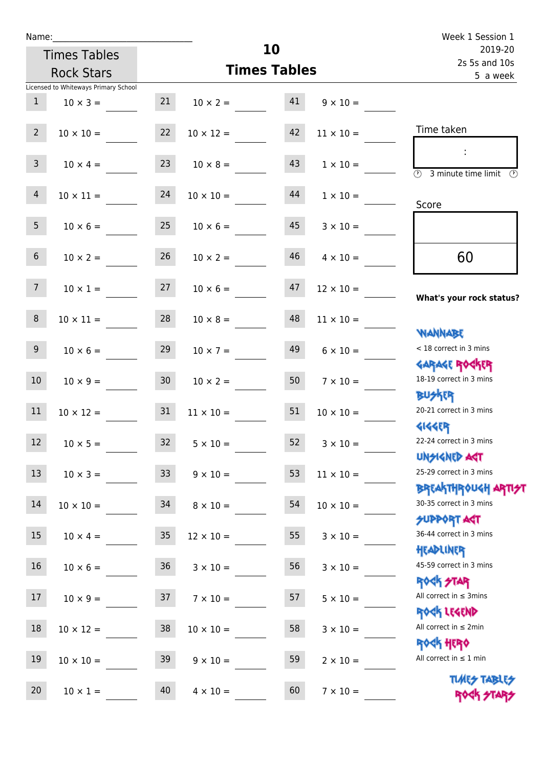| Name:           |                                      |                 |                          |    |                  | Week 1 Session 1                                                  |
|-----------------|--------------------------------------|-----------------|--------------------------|----|------------------|-------------------------------------------------------------------|
|                 | <b>Times Tables</b>                  |                 |                          | 10 |                  | 2019-20<br>2s 5s and 10s                                          |
|                 | <b>Rock Stars</b>                    |                 | <b>Times Tables</b>      |    |                  | 5 a week                                                          |
|                 | Licensed to Whiteways Primary School |                 |                          |    |                  |                                                                   |
| 1               | $10 \times 3 =$                      |                 | $21 \t 10 \times 2 = 41$ |    | $9 \times 10 =$  |                                                                   |
| 2 <sup>7</sup>  | $10 \times 10 =$                     | 22              | $10 \times 12 =$         | 42 | $11 \times 10 =$ | Time taken                                                        |
| 3 <sup>7</sup>  | $10 \times 4 =$                      | 23              | $10 \times 8 =$          | 43 | $1 \times 10 =$  | $\overline{\textcircled{1}}$ 3 minute time limit<br>$\mathcal{O}$ |
| $\overline{4}$  | $10 \times 11 = 24$                  |                 | $10 \times 10 =$         | 44 | $1 \times 10 =$  | Score                                                             |
| 5 <sub>1</sub>  | $10 \times 6 =$                      | 25              | $10 \times 6 =$          | 45 | $3 \times 10 =$  |                                                                   |
| 6 <sup>1</sup>  | $10 \times 2 =$                      | 26              | $10 \times 2 =$          | 46 | $4 \times 10 =$  | 60                                                                |
| 7 <sup>7</sup>  | $10 \times 1 = 27$                   |                 | $10 \times 6 = 47$       |    | $12 \times 10 =$ | What's your rock status?                                          |
| 8               | $10 \times 11 =$                     | 28              | $10 \times 8 =$          | 48 | $11 \times 10 =$ | <b>NANNABE</b>                                                    |
| 9               | $10 \times 6 =$                      | 29              | $10 \times 7 =$          | 49 | $6 \times 10 =$  | < 18 correct in 3 mins<br><b>GARAGE ROGKER</b>                    |
| 10 <sup>°</sup> | $10 \times 9 = 30$                   |                 | $10 \times 2 = 50$       |    | $7 \times 10 =$  | 18-19 correct in 3 mins<br><b>BUSKER</b>                          |
| 11              | $10 \times 12 = 31$                  |                 | $11 \times 10 =$         | 51 | $10 \times 10 =$ | 20-21 correct in 3 mins<br><b>4144EP</b>                          |
| 12              | $10 \times 5 =$                      | 32              | $5 \times 10 =$          | 52 | $3 \times 10 =$  | 22-24 correct in 3 mins<br><b>UNSIGNED AST</b>                    |
| 13              | $10 \times 3 =$                      | 33 <sup>°</sup> | $9 \times 10 =$          | 53 | $11 \times 10 =$ | 25-29 correct in 3 mins<br>ΒΡΓΑΚΤΗΡΟUGH ΑΡΤΙ <del>2</del> Τ       |
| 14              | $10 \times 10 =$                     | 34              | $8 \times 10 =$          | 54 | $10 \times 10 =$ | 30-35 correct in 3 mins<br><b>SUPPORT AGT</b>                     |
| 15              | $10 \times 4 =$                      | 35              | $12 \times 10 =$         | 55 | $3 \times 10 =$  | 36-44 correct in 3 mins<br>HEADLINER                              |
| 16              | $10 \times 6 =$                      | 36              | $3 \times 10 =$          | 56 | $3 \times 10 =$  | 45-59 correct in 3 mins<br><b>ROCK STAR</b>                       |
| 17              | $10 \times 9 =$                      | 37              | $7 \times 10 =$          | 57 | $5 \times 10 =$  | All correct in $\leq$ 3mins<br>ROCK LEGEND                        |
| $18\,$          | $10 \times 12 =$                     | 38              | $10 \times 10 =$         | 58 | $3 \times 10 =$  | All correct in $\leq 2$ min<br><b>ROCK HERO</b>                   |
| 19              | $10 \times 10 =$                     | 39              | $9 \times 10 =$          | 59 | $2 \times 10 =$  | All correct in $\leq 1$ min                                       |
| 20              | $10 \times 1 =$                      | 40              | $4 \times 10 =$          | 60 | $7 \times 10 =$  | <b>TUARS TABLES</b><br>ROCK STARS                                 |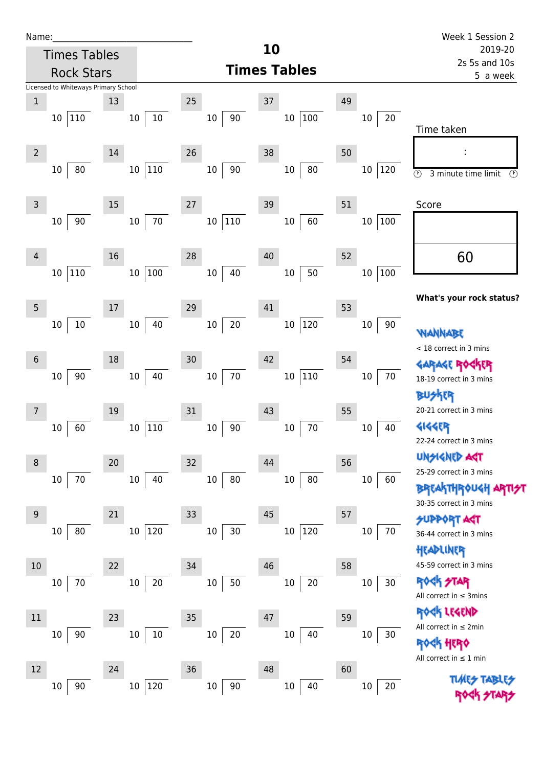| Name |  |  |  |
|------|--|--|--|
|      |  |  |  |

|                 | <b>Times Tables</b>                            |                         |                        | 10                            |                        | 2019-20                                                                                          |
|-----------------|------------------------------------------------|-------------------------|------------------------|-------------------------------|------------------------|--------------------------------------------------------------------------------------------------|
|                 | <b>Rock Stars</b>                              |                         |                        | <b>Times Tables</b>           |                        | 2s 5s and 10s<br>5 a week                                                                        |
| $1\,$           | Licensed to Whiteways Primary School<br>10 110 | 13<br>$10\,$<br>$10\,$  | 25<br>90<br>$10\,$     | 37<br> 100<br>10              | 49<br>$20\,$<br>10     | Time taken                                                                                       |
| $\overline{2}$  | $10\,$<br>80                                   | 14<br>110<br>$10\,$     | 26<br>90<br>$10\,$     | 38<br>$10\,$<br>80            | 50<br>$10\,$<br>120    | $\odot$<br>3 minute time limit<br>$\circled{r}$                                                  |
| $\overline{3}$  | $90\,$<br>10                                   | 15<br>70<br>$10\,$      | 27<br>$110\,$<br>10    | 39<br>60<br>$10\,$            | 51<br>$10\,$<br> 100   | Score                                                                                            |
| 4               | 110<br>$10\,$                                  | 16<br>$100\,$<br>$10\,$ | 28<br>40<br>10         | 40<br>50<br>$10\,$            | 52<br>100<br>$10\,$    | 60                                                                                               |
| 5               | $10\,$<br>10                                   | 17<br>40<br>$10\,$      | 29<br>$20\,$<br>$10\,$ | 41<br> 120<br>$10\,$          | 53<br>$10\,$<br>90     | What's your rock status?<br><b>WANNABE</b>                                                       |
| $6\phantom{1}6$ | $90\,$<br>$10\,$                               | 18<br>40<br>$10\,$      | 30<br>$70\,$<br>$10\,$ | 42<br>$ 110\rangle$<br>$10\,$ | 54<br>70<br>$10\,$     | < 18 correct in 3 mins<br><b>GARAGE ROGKER</b><br>18-19 correct in 3 mins<br><b>BUSKER</b>       |
| 7               | 60<br>10                                       | 19<br>110<br>$10\,$     | 31<br>90<br>$10\,$     | 43<br>$70\,$<br>$10\,$        | 55<br>10<br>40         | 20-21 correct in 3 mins<br><b>4144ER</b><br>22-24 correct in 3 mins                              |
| 8               | $70\,$<br>$10\,$                               | 20<br>$10\,$<br>40      | 32<br>80<br>10         | 44<br>80<br>$10\,$            | 56<br>$10\,$<br>60     | <b>UNSIGNED ART</b><br>25-29 correct in 3 mins<br><b>BREAKTHROUGH</b><br>30-35 correct in 3 mins |
| 9               | 80<br>10                                       | 21<br>120<br>$10\,$     | 33<br>30<br>$10\,$     | 45<br>120<br>$10\,$           | 57<br>70<br>10         | <b>SUPPORT AGT</b><br>36-44 correct in 3 mins<br>HEADLINER<br>45-59 correct in 3 mins            |
| 10              | 70<br>10                                       | 22<br>20<br>$10\,$      | 34<br>$50\,$<br>$10\,$ | 46<br>$20\,$<br>$10\,$        | 58<br>$30\,$<br>$10\,$ | <b>ROCK STAR</b><br>All correct in $\leq$ 3mins<br>ROCK LEGEND                                   |
| $11\,$          | 90<br>10                                       | 23<br>$10\,$<br>10      | 35<br>20<br>$10\,$     | 47<br>$10\,$<br>40            | 59<br>$10\,$<br>30     | All correct in $\leq 2$ min<br><b>ROCK HERO</b><br>All correct in $\leq 1$ min                   |
| 12              | $90\,$<br>10                                   | 24<br>120<br>$10\,$     | 36<br>$90\,$<br>$10\,$ | 48<br>$40\,$<br>$10\,$        | 60<br>$20\,$<br>$10\,$ | <b>TUARS TABLES</b>                                                                              |

ROCK STARS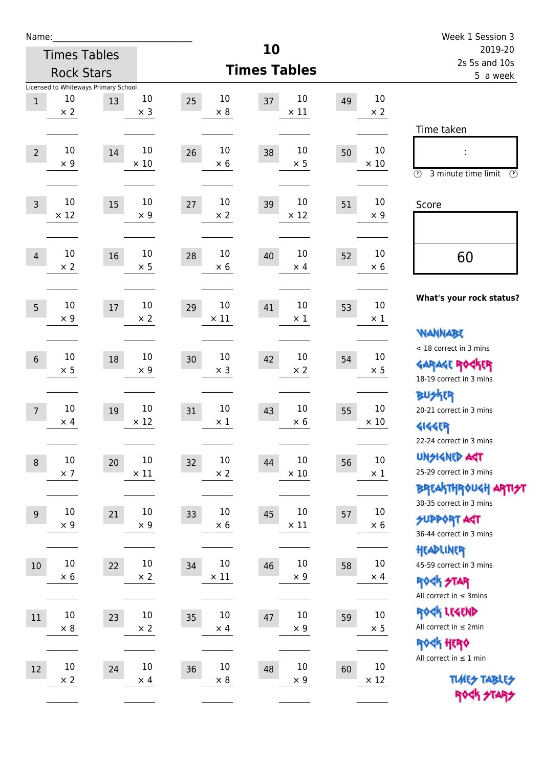| Name:          |                                                          |    |                       |                            |                     |                      |    |                       | Week 1 Session 3                                                                                                           |  |
|----------------|----------------------------------------------------------|----|-----------------------|----------------------------|---------------------|----------------------|----|-----------------------|----------------------------------------------------------------------------------------------------------------------------|--|
|                | <b>Times Tables</b>                                      |    |                       |                            | 10                  |                      |    |                       | 2019-20                                                                                                                    |  |
|                | <b>Rock Stars</b>                                        |    |                       |                            | <b>Times Tables</b> |                      |    |                       | 2s 5s and 10s<br>5 a week                                                                                                  |  |
| $1\,$          | Licensed to Whiteways Primary School<br>10<br>$\times 2$ | 13 | 10<br>$\times$ 3      | 10<br>25<br>$\times 8$     | 37                  | 10<br>$\times$ 11    | 49 | 10<br>$\times 2$      |                                                                                                                            |  |
| $\overline{2}$ | 10<br>$\times$ 9                                         | 14 | 10<br>$\times$ 10     | 10<br>26<br>$\times$ 6     | 38                  | 10<br>$\times$ 5     | 50 | 10<br>$\times$ 10     | Time taken<br>t,<br>$\circled{r}$<br>3 minute time limit<br>$\mathcal{O}$                                                  |  |
| $\overline{3}$ | 10<br>$\times$ 12                                        | 15 | 10<br>$\times$ 9      | 10<br>27<br>$\times$ 2     | 39                  | 10<br>$\times$ 12    | 51 | 10<br>$\times$ 9      | Score                                                                                                                      |  |
| $\overline{4}$ | 10<br>$\times 2$                                         | 16 | 10<br>$\times$ 5      | 10<br>28<br>$\times$ 6     | 40                  | 10<br>$\times$ 4     | 52 | 10<br>$\times 6$      | 60                                                                                                                         |  |
| 5              | 10<br>$\times$ 9                                         | 17 | 10<br>$\times$ 2      | 10<br>29<br>$\times$ 11    | 41                  | 10<br>$\times$ 1     | 53 | 10<br>$\times 1$      | What's your rock status?<br><b>NANNABE</b>                                                                                 |  |
| $\sqrt{6}$     | 10<br>$\times$ 5                                         | 18 | 10<br>$\times$ 9      | 10<br>30<br>$\times$ 3     | 42                  | 10<br>$\times 2$     | 54 | 10<br>$\times$ 5      | < 18 correct in 3 mins<br><b>GARAGE ROGKER</b><br>18-19 correct in 3 mins                                                  |  |
| $\overline{7}$ | 10<br>$\times$ 4                                         | 19 | 10<br>$\times$ 12     | 10<br>31<br>$\times$ 1     | 43                  | 10<br>$\times 6$     | 55 | 10<br>$\times$ 10     | <b>BUSKER</b><br>20-21 correct in 3 mins<br><b>4144EP</b>                                                                  |  |
| $\,8\,$        | $10\,$<br>$\times$ 7                                     | 20 | $10\,$<br>$\times$ 11 | $10\,$<br>32<br>$\times 2$ | 44                  | 10<br>$\times$ 10    | 56 | $10\,$<br>$\times$ 1  | 22-24 correct in 3 mins<br><b>UNSIGNED AGT</b><br>25-29 correct in 3 mins<br>ΒΡΓΑ <sup>Κ</sup> ΤΗΡΟυΚΗ ΑΡΤΙ <del>2</del> Τ |  |
| $\overline{9}$ | $10\,$<br>$\times$ 9                                     | 21 | 10<br>$\times$ 9      | 10<br>33<br>$\times$ 6     | 45                  | 10<br>$\times$ 11    | 57 | $10\,$<br>$\times$ 6  | 30-35 correct in 3 mins<br><b>SUPPORT AST</b><br>36-44 correct in 3 mins                                                   |  |
| 10             | $10\,$<br>$\times$ 6                                     | 22 | $10\,$<br>$\times 2$  | 10<br>34<br>$\times$ 11    | 46                  | $10\,$<br>$\times$ 9 | 58 | $10\,$<br>$\times$ 4  | HEADLINER<br>45-59 correct in 3 mins<br><b>ROCK STAR</b><br>All correct in $\leq$ 3mins                                    |  |
| 11             | $10\,$<br>$\times$ 8                                     | 23 | 10<br>$\times$ 2      | 10<br>35<br>$\times$ 4     | 47                  | $10\,$<br>$\times$ 9 | 59 | 10<br>$\times$ 5      | ROCK LEGEND<br>All correct in $\leq 2$ min<br><b>ROCK HERO</b>                                                             |  |
| 12             | $10\,$<br>$\times$ 2                                     | 24 | $10\,$<br>$\times$ 4  | $10\,$<br>36<br>$\times 8$ | 48                  | $10\,$<br>$\times$ 9 | 60 | $10\,$<br>$\times$ 12 | All correct in $\leq 1$ min<br><b>TUARS TABLES</b><br>ROCK STARS                                                           |  |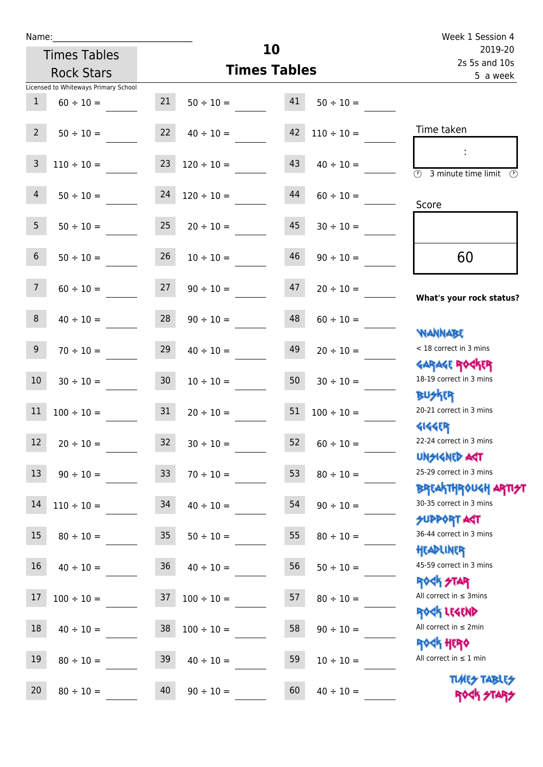| <b>Times Tables</b>                  |                 | 10                   | 2019-20<br>2s 5s and 10s |                 |                                               |
|--------------------------------------|-----------------|----------------------|--------------------------|-----------------|-----------------------------------------------|
| <b>Rock Stars</b>                    |                 | <b>Times Tables</b>  |                          |                 | 5 a week                                      |
| Licensed to Whiteways Primary School |                 |                      |                          |                 |                                               |
| $\mathbf{1}$<br>$60 \div 10 =$       | 21              | $50 \div 10 =$       | 41                       | $50 \div 10 =$  |                                               |
|                                      |                 |                      |                          |                 |                                               |
| $2^{\circ}$<br>$50 \div 10 =$        | 22              | $40 \div 10 =$       | 42                       | $110 \div 10 =$ | Time taken                                    |
|                                      |                 |                      |                          |                 |                                               |
| $\mathsf{3}$<br>$110 \div 10 =$      | 23              | $120 \div 10 =$      | 43                       | $40 \div 10 =$  | $\overline{\circledcirc}$ 3 minute time limit |
|                                      |                 |                      |                          |                 |                                               |
| $\overline{4}$<br>$50 \div 10 =$     | 24              | $120 \div 10 =$      | 44                       | $60 \div 10 =$  | Score                                         |
|                                      |                 |                      |                          |                 |                                               |
| 5 <sub>1</sub><br>$50 \div 10 =$     | 25              | $20 \div 10 =$       | 45                       | $30 \div 10 =$  |                                               |
| $6\overline{6}$                      | 26              |                      | 46                       |                 |                                               |
| $50 \div 10 =$                       |                 | $10 \div 10 =$       |                          | $90 \div 10 =$  | 60                                            |
| 7 <sup>1</sup><br>$60 \div 10 =$     | 27              | $90 \div 10 =$       | 47                       | $20 \div 10 =$  |                                               |
|                                      |                 |                      |                          |                 | What's your rock status?                      |
| 8<br>$40 \div 10 =$                  | 28              | $90 \div 10 =$       | 48                       | $60 \div 10 =$  |                                               |
|                                      |                 |                      |                          |                 | <b>JARNARY</b>                                |
| 9 <sup>°</sup><br>$70 \div 10 =$     | 29              | $40 \div 10 =$       | 49                       | $20 \div 10 =$  | < 18 correct in 3 mins                        |
|                                      |                 |                      |                          |                 | <b>GARAGE ROGKER</b>                          |
| 10<br>$30 \div 10 =$                 | 30 <sub>o</sub> | $10 \div 10 =$       | 50                       | $30 \div 10 =$  | 18-19 correct in 3 mins                       |
|                                      |                 |                      |                          |                 | <b>BUSKER</b>                                 |
| 11<br>$100 \div 10 =$                | 31              | $20 \div 10 =$       | 51                       | $100 \div 10 =$ | 20-21 correct in 3 mins                       |
|                                      |                 |                      |                          |                 | <b>4144ER</b>                                 |
| 12<br>$20 \div 10 =$                 | 32              | $30 \div 10 =$       | 52                       | $60 \div 10 =$  | 22-24 correct in 3 mins                       |
| 13                                   |                 |                      |                          |                 | UNSIGNED AGT<br>25-29 correct in 3 mins       |
| $90 \div 10 = 33$                    |                 | $70 \div 10 =$       | 53                       | $80 \div 10 =$  | ΒΡΓΑΚΤΗΡΟUGH ΑΡΤΙ <del>2</del> Τ              |
| 14<br>$110 \div 10 =$                | 34              | $40 \div 10 =$       | 54                       | $90 \div 10 =$  | 30-35 correct in 3 mins                       |
|                                      |                 |                      |                          |                 | <b>SUPPORT AGT</b>                            |
| 15<br>$80 \div 10 =$                 | 35              | $50 \div 10 =$       | 55                       | $80 \div 10 =$  | 36-44 correct in 3 mins                       |
|                                      |                 |                      |                          |                 | HEADLINER                                     |
| 16<br>$40 \div 10 =$                 |                 | $36 \t 40 \div 10 =$ | 56                       | $50 \div 10 =$  | 45-59 correct in 3 mins                       |
|                                      |                 |                      |                          |                 | <b>ROCK STAR</b>                              |
| 17<br>$100 \div 10 =$                | 37              | $100 \div 10 =$      | 57                       | $80 \div 10 =$  | All correct in $\leq$ 3mins                   |
|                                      |                 |                      |                          |                 | ROCK LEGEND                                   |
| 18<br>$40 \div 10 =$                 | 38              | $100 \div 10 =$      | 58                       | $90 \div 10 =$  | All correct in $\leq 2$ min                   |
|                                      |                 |                      |                          |                 | <b>ROCK HERO</b>                              |
| 19<br>$80 \div 10 =$                 | 39              | $40 \div 10 =$       | 59                       | $10 \div 10 =$  | All correct in $\leq 1$ min                   |
|                                      |                 |                      |                          |                 | <b>TUARS TABLES</b>                           |
| 20<br>$80 \div 10 =$                 | 40              | $90 \div 10 =$       | 60                       | $40 \div 10 =$  | ROCK STARS                                    |

**10**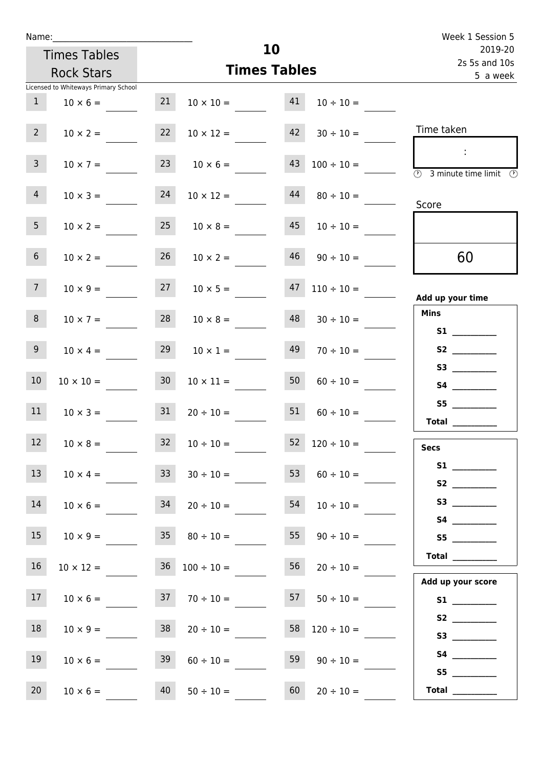| Name:           |                                      |                 | Week 1 Session 5                      |    |                          |                                        |
|-----------------|--------------------------------------|-----------------|---------------------------------------|----|--------------------------|----------------------------------------|
|                 | <b>Times Tables</b>                  |                 |                                       | 10 |                          | 2019-20<br>2s 5s and 10s               |
|                 | <b>Rock Stars</b>                    |                 | <b>Times Tables</b>                   |    |                          | 5 a week                               |
|                 | Licensed to Whiteways Primary School |                 |                                       |    |                          |                                        |
| 1               | $10 \times 6 =$                      | 21              | $10 \times 10 =$                      | 41 | $10 \div 10 =$           |                                        |
| $2^{\circ}$     | $10 \times 2 =$                      |                 | 22 $10 \times 12 =$ 42 $30 \div 10 =$ |    |                          | Time taken                             |
| 3 <sup>1</sup>  | $10 \times 7 =$                      |                 | $23 \t 10 \times 6 =$                 | 43 | $100 \div 10 =$          | $\sim$ 1.<br>3 minute time limit<br>-0 |
| 4               | $10 \times 3 =$                      | 24              | $10 \times 12 =$                      | 44 | $80 \div 10 =$           | Score                                  |
| 5 <sup>1</sup>  | $10 \times 2 =$                      |                 | $25 \t 10 \times 8 =$                 | 45 | $10 \div 10 =$           |                                        |
| 6 <sup>1</sup>  | $10 \times 2 =$                      | 26              | $10 \times 2 =$                       | 46 | $90 \div 10 =$           | 60                                     |
| 7 <sup>7</sup>  | $10 \times 9 =$                      |                 | $27 \t 10 \times 5 =$                 | 47 | $110 \div 10 =$          | Add up your time                       |
| 8               | $10 \times 7 =$                      |                 | $28$ $10 \times 8 =$                  | 48 | $30 \div 10 =$           | <b>Mins</b>                            |
| 9               | $10 \times 4 =$                      | 29              | $10 \times 1 =$                       | 49 | $70 \div 10 =$           | S2                                     |
| 10 <sup>°</sup> | $10 \times 10 =$                     | 30 <sub>o</sub> | $10 \times 11 =$                      | 50 | $60 \div 10 =$           |                                        |
| 11              | $10 \times 3 = 31$                   |                 | $20 \div 10 = 51$                     |    | $60 \div 10 =$           | S5<br>Total                            |
| 12 <sup>2</sup> | $10 \times 8 =$                      | 32 <sub>2</sub> | $10 \div 10 =$                        | 52 | $120 \div 10 =$          | <b>Secs</b>                            |
| 13              | $10 \times 4 =$                      | 33              | $30 \div 10 =$                        | 53 | $60 \div 10 =$           |                                        |
| 14              | $10 \times 6 =$                      | 34              | $20 \div 10 =$                        | 54 | $10 \div 10 =$           | S3                                     |
| 15 <sub>1</sub> | $10 \times 9 =$                      | 35              | $80 \div 10 =$                        | 55 | $90 \div 10 =$           |                                        |
| 16              | $10 \times 12 =$                     |                 | $36 \quad 100 \div 10 =$              | 56 |                          | Total $\_\_$<br>Add up your score      |
| 17 <sup>7</sup> |                                      |                 | $10 \times 6 =$ $37 \div 10 =$        |    | $57 \t 50 \div 10 =$     |                                        |
| 18              | $10 \times 9 =$                      | 38              | $20 \div 10 =$                        |    | $58 \quad 120 \div 10 =$ |                                        |
| 19              | $10 \times 6 =$                      | 39              | $60 \div 10 =$                        | 59 | $90 \div 10 =$           | S4<br>S5                               |

20 10 × 6 = 40 50 ÷ 10 = 60 20 ÷ 10 = **Total** \_\_\_\_\_\_\_\_\_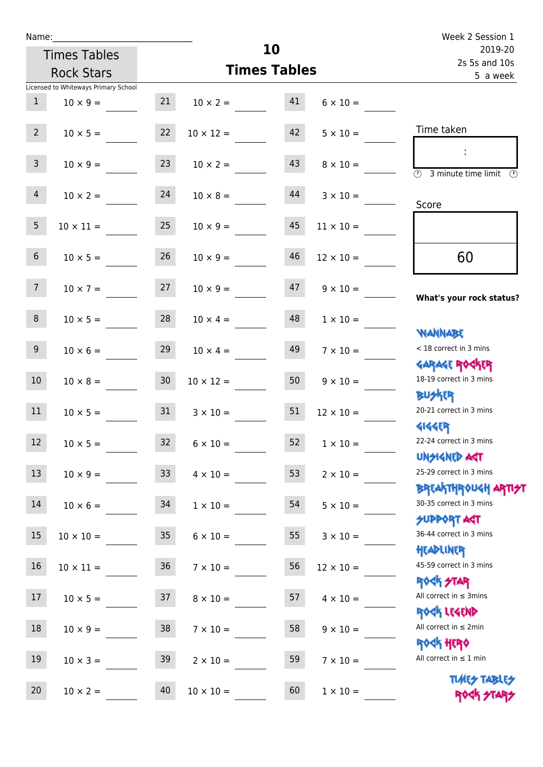| Name:           |                                      |                 |                     |    |                  | Week 2 Session 1                                                 |
|-----------------|--------------------------------------|-----------------|---------------------|----|------------------|------------------------------------------------------------------|
|                 | <b>Times Tables</b>                  |                 | 10                  |    |                  | 2019-20<br>2s 5s and 10s                                         |
|                 | <b>Rock Stars</b>                    |                 | <b>Times Tables</b> |    |                  | 5 a week                                                         |
|                 | Licensed to Whiteways Primary School |                 |                     |    |                  |                                                                  |
| 1               | $10 \times 9 =$                      | 21              | $10 \times 2 = 41$  |    | $6 \times 10 =$  |                                                                  |
| $2^{\circ}$     | $10 \times 5 =$                      | 22              | $10 \times 12 =$    | 42 | $5 \times 10 =$  | Time taken                                                       |
| 3 <sup>7</sup>  | $10 \times 9 =$                      | 23              | $10 \times 2 =$     | 43 | $8 \times 10 =$  | 3 minute time limit<br>O)                                        |
| $\overline{4}$  | $10 \times 2 = 24$                   |                 | $10 \times 8 =$     | 44 | $3 \times 10 =$  | Score                                                            |
| 5 <sub>1</sub>  | $10 \times 11 =$                     | 25              | $10 \times 9 =$     | 45 | $11 \times 10 =$ |                                                                  |
| 6 <sup>1</sup>  | $10 \times 5 =$                      | 26              | $10 \times 9 =$     | 46 | $12 \times 10 =$ | 60                                                               |
| 7 <sup>7</sup>  | $10 \times 7 = 27$                   |                 | $10 \times 9 =$     | 47 | $9 \times 10 =$  | What's your rock status?                                         |
| 8               | $10 \times 5 =$                      | 28              | $10 \times 4 =$     | 48 | $1 \times 10 =$  | <b>NANNABE</b>                                                   |
| 9 <sub>o</sub>  | $10 \times 6 =$                      | 29              | $10 \times 4 =$     | 49 | $7 \times 10 =$  | < 18 correct in 3 mins<br><b>GARAGE ROCKER</b>                   |
| 10 <sup>°</sup> | $10 \times 8 =$                      | 30              | $10 \times 12 =$    | 50 | $9 \times 10 =$  | 18-19 correct in 3 mins<br><b>BU外四</b>                           |
| 11              | $10 \times 5 = 31$                   |                 | $3 \times 10 =$     | 51 | $12 \times 10 =$ | 20-21 correct in 3 mins<br><b>4144ER</b>                         |
| 12              | $10 \times 5 =$                      | 32              | $6 \times 10 =$     | 52 | $1\times10=$     | 22-24 correct in 3 mins<br><b>UNSIGNED AGT</b>                   |
| 13              | $10 \times 9 =$                      | 33 <sup>°</sup> | $4 \times 10 =$     | 53 | $2 \times 10 =$  | 25-29 correct in 3 mins<br><b>BREAKTHROUGH ARTI<del>S</del>T</b> |
| 14              | $10 \times 6 =$                      | 34              | $1 \times 10 =$     | 54 | $5 \times 10 =$  | 30-35 correct in 3 mins<br><b>SUPPORT AGT</b>                    |
| 15              | $10 \times 10 =$                     | 35              | $6 \times 10 =$     | 55 | $3 \times 10 =$  | 36-44 correct in 3 mins<br>HEADLINER                             |
| 16              | $10 \times 11 =$                     | 36              | $7 \times 10 =$     | 56 | $12 \times 10 =$ | 45-59 correct in 3 mins<br><b>ROCK STAR</b>                      |
| 17              | $10 \times 5 =$                      | 37              | $8 \times 10 =$     | 57 | $4 \times 10 =$  | All correct in $\leq$ 3mins<br>ROCK LEGEND                       |
| 18              | $10 \times 9 =$                      | 38              | $7 \times 10 =$     | 58 | $9 \times 10 =$  | All correct in $\leq 2$ min<br><b>ROCK HERO</b>                  |
| 19              | $10 \times 3 =$                      | 39              | $2 \times 10 =$     | 59 | $7 \times 10 =$  | All correct in $\leq 1$ min                                      |
| 20              | $10 \times 2 =$                      | 40              | $10 \times 10 =$    | 60 | $1 \times 10 =$  | <b>TUARS TABLES</b><br>ROCK STARS                                |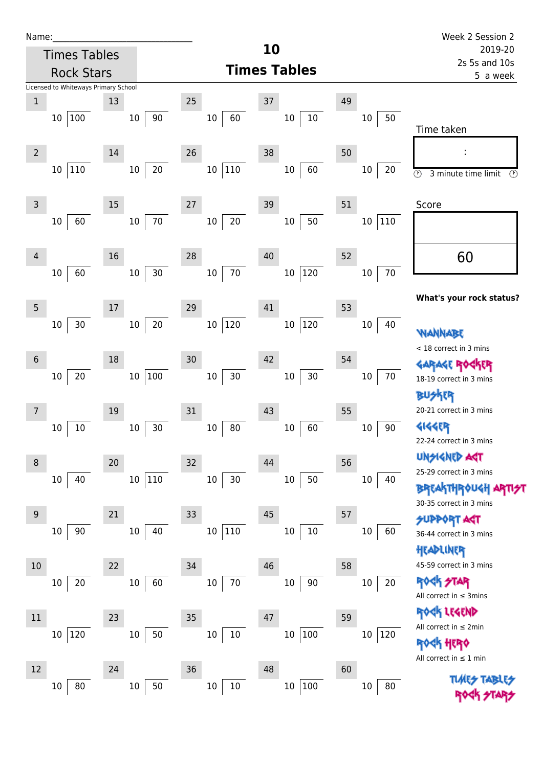| Name:            | <b>Times Tables</b>                  |    |                  |                         | 10                     |    |                           | Week 2 Session 2<br>2019-20                         |  |  |
|------------------|--------------------------------------|----|------------------|-------------------------|------------------------|----|---------------------------|-----------------------------------------------------|--|--|
|                  | <b>Rock Stars</b>                    |    |                  |                         | <b>Times Tables</b>    |    | 2s 5s and 10s<br>5 a week |                                                     |  |  |
|                  | Licensed to Whiteways Primary School |    |                  |                         |                        |    |                           |                                                     |  |  |
| $\mathbf{1}$     |                                      | 13 |                  | 25                      | 37                     | 49 |                           |                                                     |  |  |
|                  | 10 100                               |    | 90<br>10         | 60<br>$10\,$            | 10<br>10               |    | 50<br>10                  | Time taken                                          |  |  |
| $\overline{2}$   |                                      | 14 |                  | 26                      | 38                     | 50 |                           | ÷                                                   |  |  |
|                  | 10 110                               |    | $20\,$<br>$10\,$ | 10 110                  | 60<br>$10\,$           |    | 20<br>10                  | $\odot$<br>3 minute time limit                      |  |  |
| $\mathsf{3}$     |                                      | 15 |                  | 27                      | 39                     | 51 |                           | Score                                               |  |  |
|                  | 60<br>10                             |    | $70\,$<br>10     | 20<br>$10\,$            | 50<br>10               |    | 110<br>10                 |                                                     |  |  |
| 4                |                                      | 16 |                  | 28                      | 40                     | 52 |                           | 60                                                  |  |  |
|                  | 60<br>10                             |    | $30\,$<br>10     | 70<br>$10\,$            | 120<br>$10\,$          |    | $70\,$<br>10              |                                                     |  |  |
| 5                |                                      | 17 |                  | 29                      | 41                     | 53 |                           | What's your rock status                             |  |  |
|                  | $30\,$<br>10                         |    | 20<br>10         | 10 120                  | 120<br>10 <sup>°</sup> |    | 40<br>10                  | WANNABE                                             |  |  |
| $\boldsymbol{6}$ |                                      | 18 |                  | 30                      | 42                     | 54 |                           | < 18 correct in 3 mins                              |  |  |
|                  | $20\,$<br>10                         |    | 10 100           | $30\,$<br>$10\,$        | $30\,$<br>$10\,$       |    | 70<br>10                  | <b>GARAGE ROGKER</b><br>18-19 correct in 3 mins     |  |  |
|                  |                                      | 19 |                  | 31                      | 43                     | 55 |                           | 20-21 correct in 3 mins                             |  |  |
|                  | $10\,$<br>10                         |    | $30\,$<br>$10\,$ | $80\,$<br>$10\,$        | 60<br>10               |    | $90\,$<br>10              | <b>414459</b><br>22-24 correct in 3 mins            |  |  |
| 8                |                                      | 20 |                  | 32                      | 44                     | 56 |                           | <b>UNSIGNED AGT</b>                                 |  |  |
|                  | 40<br>10                             |    | 110<br>$10\,$    | 30<br>$10\,$            | 50<br>$10\,$           |    | 40<br>10                  | 25-29 correct in 3 mins<br><b>BREAKTHROUGH ARTH</b> |  |  |
| $9\,$            |                                      | 21 |                  | 33                      | 45                     | 57 |                           | 30-35 correct in 3 mins<br><b>SUPPORT AST</b>       |  |  |
|                  | 90<br>10                             |    | 40<br>$10\,$     | $ 110\rangle$<br>$10\,$ | 10<br>10               |    | 60<br>10                  | 36-44 correct in 3 mins                             |  |  |
| 10               |                                      | 22 |                  | 34                      | 46                     | 58 |                           | HEADLINER<br>45-59 correct in 3 mins                |  |  |
|                  | 20<br>10                             |    | 60<br>10         | $70\,$<br>$10\,$        | 90<br>$10\,$           |    | $20\,$<br>$10\,$          | <b>ROCK STAR</b><br>All correct in $\leq$ 3mins     |  |  |
| 11               |                                      | 23 |                  | 35                      | 47                     | 59 |                           | ROCK LEGEND<br>All correct in $\leq 2$ min          |  |  |
|                  | 10 120                               |    | $50\,$<br>$10\,$ | $10\,$<br>$10\,$        | $100\,$<br>$10\,$      |    | 120<br>$10\,$             | ale lieina                                          |  |  |

 $10 \mid 10$ 

 $10 \overline{)100}$ 

 $10 \vert 80$ 

 $10 \mid 80$ 

 $10 \overline{50}$ 

 $\overline{\circ}$ 

**your rock status?** 

 $\delta$ rthrough arti $\gamma$ t

Rock Hero All correct in ≤ 1 min

> **TLARS** ROCK STARS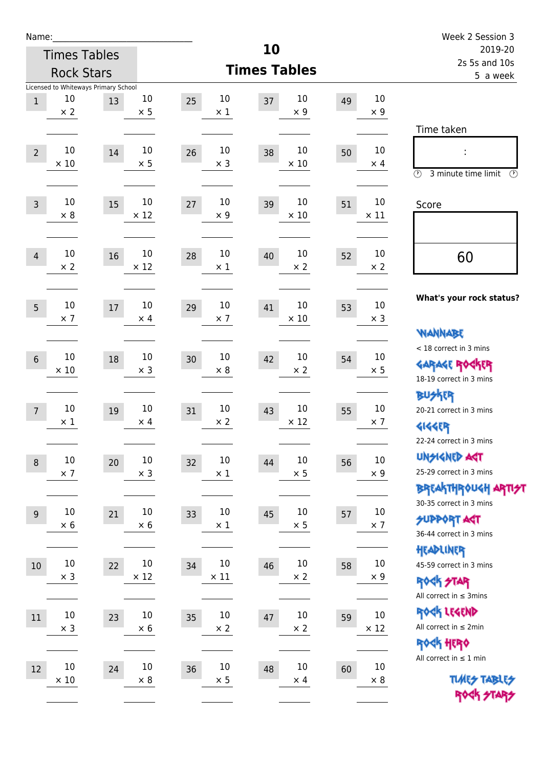| Name:            |                     |                                            |             |              |                     |    |             | Week 2 Session 3                                      |
|------------------|---------------------|--------------------------------------------|-------------|--------------|---------------------|----|-------------|-------------------------------------------------------|
|                  | <b>Times Tables</b> |                                            |             |              | 10                  |    |             | 2019-20<br>2s 5s and 10s                              |
|                  | <b>Rock Stars</b>   |                                            |             |              | <b>Times Tables</b> |    |             | 5 a week                                              |
| $\,1$            | 10                  | Licensed to Whiteways Primary School<br>13 | $10\,$      | 10<br>25     | 10<br>37            | 49 | 10          |                                                       |
|                  | $\times 2$          |                                            | $\times$ 5  | $\times$ 1   | $\times$ 9          |    | $\times$ 9  |                                                       |
|                  |                     |                                            |             |              |                     |    |             | Time taken                                            |
| $\overline{2}$   | 10                  | 14                                         | 10          | 10<br>26     | 10<br>38            | 50 | 10          |                                                       |
|                  | $\times$ 10         |                                            | $\times$ 5  | $\times$ 3   | $\times$ 10         |    | $\times$ 4  |                                                       |
|                  |                     |                                            |             |              |                     |    |             | $\circled{r}$<br>3 minute time limit<br>$\mathcal{O}$ |
| $\overline{3}$   | 10                  | 15                                         | 10          | 10<br>27     | 10<br>39            | 51 | 10          | Score                                                 |
|                  | $\times 8$          |                                            | $\times$ 12 | $\times$ 9   | $\times$ 10         |    | $\times$ 11 |                                                       |
|                  |                     |                                            |             |              |                     |    |             |                                                       |
| $\overline{4}$   | 10                  | 16                                         | $10\,$      | 10<br>28     | 10<br>40            | 52 | 10          | 60                                                    |
|                  | $\times 2$          |                                            | $\times$ 12 | $\times$ 1   | $\times 2$          |    | $\times 2$  |                                                       |
|                  |                     |                                            |             |              |                     |    |             |                                                       |
| 5                | $10\,$              | 17                                         | 10          | 10<br>29     | 10<br>41            | 53 | 10          | What's your rock status?                              |
|                  | $\times$ 7          |                                            | $\times$ 4  | $\times$ 7   | $\times$ 10         |    | $\times$ 3  |                                                       |
|                  |                     |                                            |             |              |                     |    |             | <b>NANNABE</b>                                        |
| $6\phantom{1}$   | $10\,$              | 18                                         | $10\,$      | 10<br>30     | 10<br>42            | 54 | 10          | < 18 correct in 3 mins                                |
|                  | $\times$ 10         |                                            | $\times$ 3  | $\times 8$   | $\times 2$          |    | $\times$ 5  | <b>GARAGE ROGKER</b><br>18-19 correct in 3 mins       |
|                  |                     |                                            |             |              |                     |    |             | <b>BUSKER</b>                                         |
| $\overline{7}$   | 10                  | 19                                         | 10          | 10<br>31     | 10<br>43            | 55 | 10          | 20-21 correct in 3 mins                               |
|                  | $\times$ 1          |                                            | $\times$ 4  | $\times 2$   | $\times$ 12         |    | $\times$ 7  | <b>4144EP</b>                                         |
|                  |                     |                                            |             |              |                     |    |             | 22-24 correct in 3 mins                               |
| $\, 8$           | $10\,$              | $20\,$                                     | $10\,$      | $10\,$<br>32 | $10\,$<br>44        | 56 | $10\,$      | <b>UNSIGNED AGT</b>                                   |
|                  | $\times$ 7          |                                            | $\times$ 3  | $\times$ 1   | $\times$ 5          |    | $\times$ 9  | 25-29 correct in 3 mins                               |
|                  |                     |                                            |             |              |                     |    |             | <b>BREAKTHROUGH ARTI<del>S</del>T</b>                 |
| $\boldsymbol{9}$ | $10\,$              | 21                                         | $10\,$      | 10<br>33     | 10<br>45            | 57 | $10\,$      | 30-35 correct in 3 mins                               |
|                  | $\times$ 6          |                                            | $\times$ 6  | $\times$ 1   | $\times$ 5          |    | $\times$ 7  | <b>SUPPORT ART</b><br>36-44 correct in 3 mins         |
|                  |                     |                                            |             |              |                     |    |             | HEADLINER                                             |
| 10               | $10\,$              | 22                                         | $10\,$      | $10\,$<br>34 | 10<br>46            | 58 | $10\,$      | 45-59 correct in 3 mins                               |
|                  | $\times$ 3          |                                            | $\times$ 12 | $\times$ 11  | $\times$ 2          |    | $\times$ 9  | <b>ROCK STAR</b>                                      |
|                  |                     |                                            |             |              |                     |    |             | All correct in $\leq$ 3mins                           |
| $11\,$           | $10\,$              | 23                                         | $10\,$      | $10\,$<br>35 | 10<br>47            | 59 | $10\,$      | ROCK LEGEND                                           |
|                  | $\times$ 3          |                                            | $\times 6$  | $\times 2$   | $\times 2$          |    | $\times$ 12 | All correct in $\leq 2$ min                           |
|                  |                     |                                            |             |              |                     |    |             | ROCK HERO                                             |
| 12               | $10\,$              | 24                                         | $10\,$      | $10\,$<br>36 | 10<br>48            | 60 | $10\,$      | All correct in $\leq 1$ min                           |
|                  | $\times$ 10         |                                            | $\times 8$  | $\times$ 5   | $\times$ 4          |    | $\times 8$  | <b>TUARS TABLES</b>                                   |
|                  |                     |                                            |             |              |                     |    |             | ROCK STARS                                            |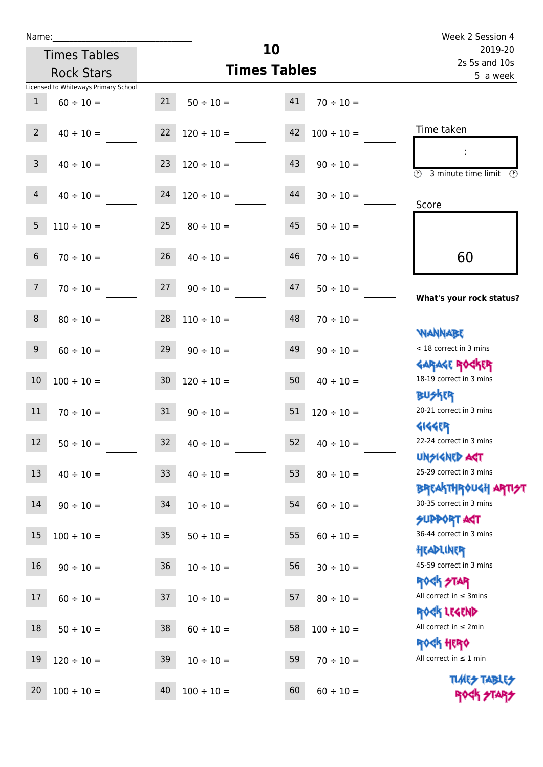|                 | <b>Times Tables</b>                  |                 | 10              | 2019-20             |                 |                                                          |
|-----------------|--------------------------------------|-----------------|-----------------|---------------------|-----------------|----------------------------------------------------------|
|                 | <b>Rock Stars</b>                    |                 |                 | <b>Times Tables</b> |                 | 2s 5s and 10s<br>5 a week                                |
|                 | Licensed to Whiteways Primary School |                 |                 |                     |                 |                                                          |
| $\mathbf{1}$    | $60 \div 10 =$                       | 21              | $50 \div 10 =$  | 41                  | $70 \div 10 =$  |                                                          |
| $2^{\circ}$     | $40 \div 10 =$                       | 22              | $120 \div 10 =$ | 42                  | $100 \div 10 =$ | Time taken                                               |
| $\mathbf{3}$    | $40 \div 10 =$                       | 23              | $120 \div 10 =$ | 43                  | $90 \div 10 =$  | $\overline{\mathcal{D}}$<br>3 minute time limit          |
| $\overline{4}$  | $40 \div 10 =$                       | 24              | $120 \div 10 =$ | 44                  | $30 \div 10 =$  | Score                                                    |
| $5\phantom{.}$  | $110 \div 10 =$                      | 25              | $80 \div 10 =$  | 45                  | $50 \div 10 =$  |                                                          |
| $6\overline{6}$ | $70 \div 10 =$                       | 26              | $40 \div 10 =$  | 46                  | $70 \div 10 =$  | 60                                                       |
| $7\overline{ }$ | $70 \div 10 =$                       | 27              | $90 \div 10 =$  | 47                  | $50 \div 10 =$  | What's your rock status?                                 |
| 8               | $80 \div 10 =$                       | 28              | $110 \div 10 =$ | 48                  | $70 \div 10 =$  | <b>JARNARY</b>                                           |
| 9               | $60 \div 10 =$                       | 29              | $90 \div 10 =$  | 49                  | $90 \div 10 =$  | < 18 correct in 3 mins<br><b>GARAGE ROGKER</b>           |
| $10$            | $100 \div 10 =$                      | 30 <sub>o</sub> | $120 \div 10 =$ | 50                  | $40 \div 10 =$  | 18-19 correct in 3 mins<br><b>BUSKER</b>                 |
| 11              | $70 \div 10 =$                       | 31              | $90 \div 10 =$  | 51                  | $120 \div 10 =$ | 20-21 correct in 3 mins                                  |
| 12              | $50 \div 10 =$                       | 32              | $40 \div 10 =$  | 52                  | $40 \div 10 =$  | <b>4144EP</b><br>22-24 correct in 3 mins<br>UNSIGNED AGT |
| 13              | $40 \div 10 =$                       | 33 <sup>°</sup> | $40 \div 10 =$  | 53                  | $80 \div 10 =$  | 25-29 correct in 3 mins                                  |
| 14              | $90 \div 10 =$                       | 34              | $10 \div 10 =$  | 54                  | $60 \div 10 =$  | <b>BREAKTHROUGH ARTH</b><br>30-35 correct in 3 mins      |
| 15              | $100 \div 10 =$                      | 35              | $50 \div 10 =$  | 55                  | $60 \div 10 =$  | <b>SUPPORT AST</b><br>36-44 correct in 3 mins            |
| 16 <sup>1</sup> | $90 \div 10 =$                       | 36              | $10 \div 10 =$  | 56                  | $30 \div 10 =$  | HEADLINER<br>45-59 correct in 3 mins                     |
| 17              | $60 \div 10 =$                       | 37              | $10 \div 10 =$  | 57                  | $80 \div 10 =$  | <b>ROCK STAR</b><br>All correct in $\leq$ 3mins          |
| 18              | $50 \div 10 =$                       | 38              | $60 \div 10 =$  | 58                  | $100 \div 10 =$ | ROCK LEGEND<br>All correct in $\leq 2$ min               |
| 19              | $120 \div 10 =$                      | 39              | $10 \div 10 =$  | 59                  | $70 \div 10 =$  | <b>ROCK HERO</b><br>All correct in $\leq 1$ min          |
| 20              | $100 \div 10 =$                      | 40              | $100 \div 10 =$ | 60                  | $60 \div 10 =$  | <b>TUARS TABLES</b><br>ROCK STARS                        |

**10**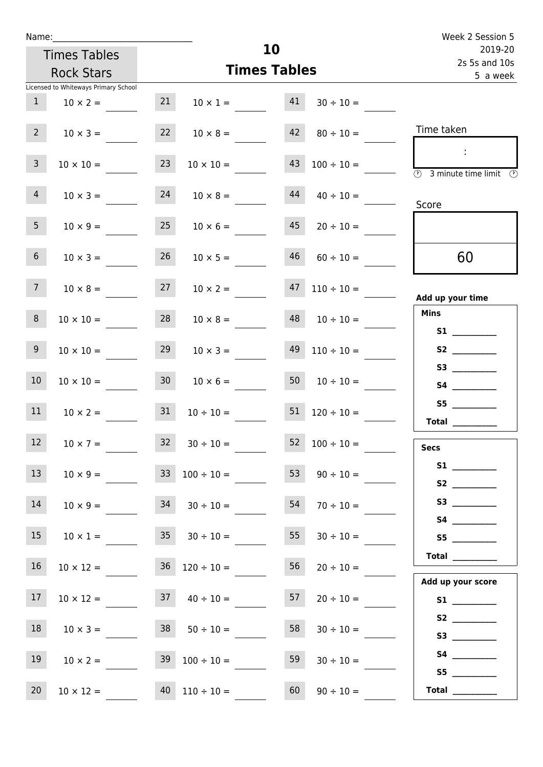| Name:           |                                                         |                 |                                   | Week 2 Session 5    |                                         |                                                                      |
|-----------------|---------------------------------------------------------|-----------------|-----------------------------------|---------------------|-----------------------------------------|----------------------------------------------------------------------|
|                 | <b>Times Tables</b>                                     |                 |                                   | 10                  |                                         | 2019-20<br>2s 5s and 10s                                             |
|                 | <b>Rock Stars</b>                                       |                 |                                   | <b>Times Tables</b> |                                         | 5 a week                                                             |
| 1               | Licensed to Whiteways Primary School<br>$10 \times 2 =$ | 21              |                                   |                     | $10 \times 1 =$ $41 \quad 30 \div 10 =$ |                                                                      |
| $2^{\circ}$     | $10 \times 3 =$                                         | 22              | $10 \times 8 =$                   |                     | $42 \t 80 \div 10 =$                    | Time taken                                                           |
| $\mathbf{3}$    | $10 \times 10 =$                                        | 23              | $10 \times 10 =$                  | 43                  | $100 \div 10 =$                         | $\sim$ 1.<br>$\overline{\textcircled{3}}$ 3 minute time limit<br>- O |
| $\overline{4}$  | $10 \times 3 =$                                         | 24              | $10 \times 8 =$                   | 44                  | $40 \div 10 =$                          | Score                                                                |
| 5 <sub>1</sub>  | $10 \times 9 =$                                         | 25              | $10 \times 6 =$                   |                     | $45$ 20 ÷ 10 =                          |                                                                      |
| 6 <sup>1</sup>  | $10 \times 3 =$                                         | 26              | $10 \times 5 =$                   | 46                  | $60 \div 10 =$                          | 60                                                                   |
| $7\overline{ }$ | $10 \times 8 =$                                         | 27              | $10 \times 2 =$                   |                     | $47$ $110 \div 10 =$                    | Add up your time                                                     |
| 8               | $10 \times 10 =$                                        | 28              | $10 \times 8 =$                   |                     | $48 \t10 \div 10 =$                     | <b>Mins</b>                                                          |
| 9 <sub>o</sub>  | $10 \times 10 =$                                        | 29              | $10 \times 3 =$                   |                     | $49$ $110 \div 10 =$                    | S2                                                                   |
| 10 <sup>°</sup> | $10 \times 10 =$                                        | 30 <sub>o</sub> | $10 \times 6 =$                   |                     | $50 \t 10 \div 10 =$                    |                                                                      |
| 11              | $10 \times 2 = 31$                                      |                 | $10 \div 10 = 51$ $120 \div 10 =$ |                     |                                         | S5<br>Total $\_\_$                                                   |
| 12 <sup>2</sup> | $10 \times 7 =$                                         | 32              | $30 \div 10 =$                    | 52                  | $100 \div 10 =$                         | <b>Secs</b>                                                          |
| 13              | $10 \times 9 =$                                         |                 | $33 \quad 100 \div 10 =$          |                     | 53 $90 \div 10 =$                       |                                                                      |
| 14              | $10 \times 9 =$                                         |                 | $34$ $30 \div 10 =$               | 54                  | $70 \div 10 =$                          | S3                                                                   |
| 15              | $10 \times 1 =$                                         |                 | $35 \t 30 \div 10 =$              | 55                  | $30 \div 10 =$                          |                                                                      |
| $16\,$          | $10 \times 12 =$                                        |                 | $36 \quad 120 \div 10 =$          | 56                  | $20 \div 10 =$                          | Add up your score                                                    |
| 17              | $10 \times 12 = 37$ $40 \div 10 =$                      |                 |                                   |                     | $57 \t 20 \div 10 =$                    |                                                                      |
| 18              | $10 \times 3 =$                                         |                 | $38$ $50 \div 10 =$               | 58                  | $30 \div 10 =$                          |                                                                      |
| 19              | $10 \times 2 =$                                         |                 | $39 \t100 \div 10 =$              | 59                  | $30 \div 10 =$                          |                                                                      |

20 10 × 12 = 40 110 ÷ 10 = 60 90 ÷ 10 = **Total** \_\_\_\_\_\_\_\_\_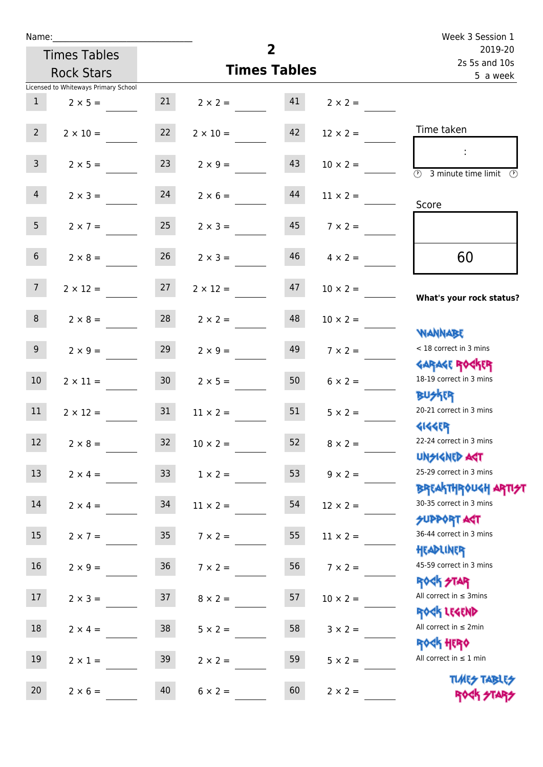| Name:           |                                      |                 |                 |                     |                 | Week 3 Session 1                                                   |
|-----------------|--------------------------------------|-----------------|-----------------|---------------------|-----------------|--------------------------------------------------------------------|
|                 | <b>Times Tables</b>                  |                 |                 | $\overline{2}$      |                 | 2019-20<br>2s 5s and 10s                                           |
|                 | <b>Rock Stars</b>                    |                 |                 | <b>Times Tables</b> |                 | 5 a week                                                           |
|                 | Licensed to Whiteways Primary School |                 |                 |                     |                 |                                                                    |
| $\mathbf{1}$    | $2 \times 5 =$                       | 21              | $2 \times 2 =$  | 41                  | $2 \times 2 =$  |                                                                    |
| $2^{\circ}$     | $2 \times 10 = 22$                   |                 | $2 \times 10 =$ | 42                  | $12 \times 2 =$ | Time taken                                                         |
| 3 <sup>7</sup>  | $2 \times 5 =$                       | 23              | $2 \times 9 =$  | 43                  | $10 \times 2 =$ | $\overline{\textcircled{2}}$ 3 minute time limit $\textcircled{2}$ |
| $\overline{4}$  | $2 \times 3 =$                       | 24              | $2 \times 6 =$  | 44                  | $11 \times 2 =$ | Score                                                              |
| 5 <sub>5</sub>  | $2 \times 7 = 25$                    |                 | $2 \times 3 =$  | 45                  | $7 \times 2 =$  |                                                                    |
| 6 <sup>1</sup>  | $2 \times 8 =$                       | 26              | $2 \times 3 =$  | 46                  | $4 \times 2 =$  | 60                                                                 |
| 7 <sup>7</sup>  | $2 \times 12 =$                      | 27              | $2 \times 12 =$ | 47                  | $10 \times 2 =$ | What's your rock status?                                           |
| 8               | $2 \times 8 = 28$                    |                 | $2 \times 2 =$  | 48                  | $10 \times 2 =$ | <b>WANNABE</b>                                                     |
| 9 <sub>o</sub>  | $2 \times 9 =$                       | 29              | $2 \times 9 =$  | 49                  | $7 \times 2 =$  | < 18 correct in 3 mins<br><b>GARAGE ROCKER</b>                     |
| 10 <sup>°</sup> | $2 \times 11 =$                      | 30 <sup>7</sup> | $2 \times 5 =$  | 50                  | $6 \times 2 =$  | 18-19 correct in 3 mins<br><b>BUSKER</b>                           |
| 11              | $2 \times 12 = 31$                   |                 | $11 \times 2 =$ | 51                  | $5 \times 2 =$  | 20-21 correct in 3 mins<br><b>4144EP</b>                           |
| 12              | $2 \times 8 =$                       | 32              | $10 \times 2 =$ | 52                  | $8 \times 2 =$  | 22-24 correct in 3 mins<br><b>UNSIGNED AGT</b>                     |
| 13              | $2 \times 4 =$                       | 33              | $1 \times 2 =$  | 53                  | $9 \times 2 =$  | 25-29 correct in 3 mins<br><b>BREAKTHROUGH ARTI</b>                |
| 14              | $2 \times 4 =$                       | 34              | $11 \times 2 =$ | 54                  | $12 \times 2 =$ | 30-35 correct in 3 mins<br><b>SUPPORT AGT</b>                      |
| 15              | $2 \times 7 =$                       | $35\,$          | $7 \times 2 =$  | 55                  | $11 \times 2 =$ | 36-44 correct in 3 mins<br>HEADLINER                               |
| 16              | $2 \times 9 =$                       | $36\,$          | $7 \times 2 =$  | 56                  | $7 \times 2 =$  | 45-59 correct in 3 mins<br><b>ROCK STAR</b>                        |
| 17              | $2 \times 3 =$                       | 37              | $8 \times 2 =$  | 57                  | $10 \times 2 =$ | All correct in $\leq$ 3mins<br>ROCK LEGEND                         |
| 18              | $2 \times 4 =$                       | $38\,$          | $5 \times 2 =$  | 58                  | $3 \times 2 =$  | All correct in $\leq 2$ min<br><b>ROCK HERO</b>                    |
| 19              | $2 \times 1 =$                       | 39              | $2 \times 2 =$  | 59                  | $5 \times 2 =$  | All correct in $\leq 1$ min                                        |
| 20              | $2 \times 6 =$                       | 40              | $6 \times 2 =$  | 60                  | $2 \times 2 =$  | <b>TUARS TABLES</b><br>ROCK STARS                                  |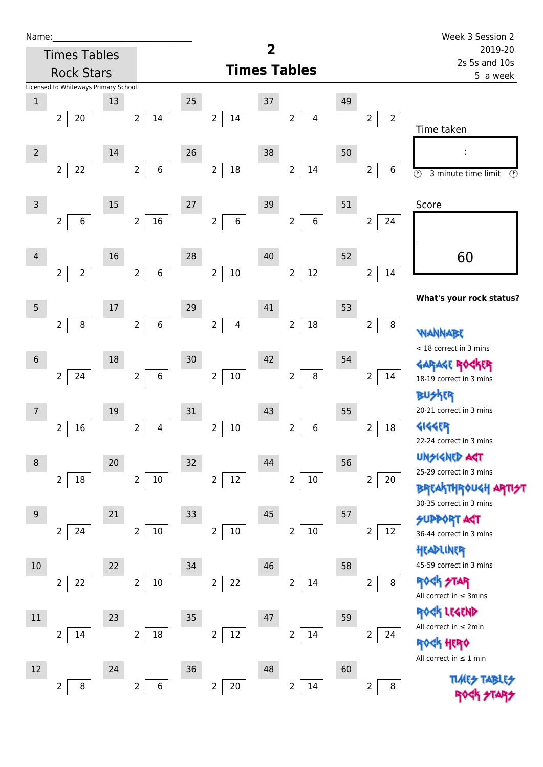| Name |  |  |  |
|------|--|--|--|
|      |  |  |  |

| Name:          |                                      |    |                                     |    |                                    |                         |                           |    |                                  | Week 3 Session 2                                          |
|----------------|--------------------------------------|----|-------------------------------------|----|------------------------------------|-------------------------|---------------------------|----|----------------------------------|-----------------------------------------------------------|
|                | <b>Times Tables</b>                  |    |                                     |    |                                    | $\overline{\mathbf{2}}$ |                           |    | 2019-20<br>2s 5s and 10s         |                                                           |
|                | <b>Rock Stars</b>                    |    |                                     |    |                                    |                         | <b>Times Tables</b>       |    |                                  | 5 a week                                                  |
|                | Licensed to Whiteways Primary School |    |                                     |    |                                    |                         |                           |    |                                  |                                                           |
| $1\,$          |                                      | 13 |                                     | 25 |                                    | 37                      |                           | 49 |                                  |                                                           |
|                | 20<br>$\overline{2}$                 |    | $\overline{2}$<br>14                |    | $\overline{2}$<br>14               |                         | $\overline{2}$<br>4       |    | $\overline{2}$<br>$\overline{2}$ | Time taken                                                |
| $\overline{2}$ |                                      | 14 |                                     | 26 |                                    | 38                      |                           | 50 |                                  |                                                           |
|                | 22<br>$\overline{2}$                 |    | $\,6\,$<br>$\overline{2}$           |    | $\overline{2}$<br>$18\,$           |                         | 14<br>$\overline{2}$      |    | 6<br>$\overline{2}$              | $\odot$<br>3 minute time limit<br>$\circled{r}$           |
| $\overline{3}$ |                                      | 15 |                                     | 27 |                                    | 39                      |                           | 51 |                                  | Score                                                     |
|                | $\,6\,$<br>$\overline{2}$            |    | 16<br>$\overline{2}$                |    | $\boldsymbol{6}$<br>$\overline{2}$ |                         | $6\,$<br>$\overline{2}$   |    | $\overline{2}$<br>24             |                                                           |
| 4              |                                      | 16 |                                     | 28 |                                    | 40                      |                           | 52 |                                  | 60                                                        |
|                | $\overline{2}$<br>$\overline{2}$     |    | $\boldsymbol{6}$<br>$\overline{2}$  |    | $\overline{2}$<br>$10\,$           |                         | $12\,$<br>$\overline{2}$  |    | $\overline{2}$<br>14             |                                                           |
| 5              |                                      | 17 |                                     | 29 |                                    | 41                      |                           | 53 |                                  | What's your rock status?                                  |
|                | $\, 8$<br>2                          |    | $\boldsymbol{6}$<br>$2\overline{ }$ |    | $\overline{2}$<br>$\overline{4}$   |                         | 18<br>$\overline{2}$      |    | $\, 8$<br>$\overline{2}$         | <b>NANNA</b>                                              |
|                |                                      |    |                                     |    |                                    |                         |                           |    |                                  | < 18 correct in 3 mins                                    |
| 6              |                                      | 18 |                                     | 30 |                                    | 42                      |                           | 54 |                                  |                                                           |
|                | 24<br>$\overline{2}$                 |    | $\,$ 6 $\,$<br>$\overline{2}$       |    | $\overline{2}$<br>$10\,$           |                         | $\bf 8$<br>$\overline{2}$ |    | $\overline{2}$<br>14             | 18-19 correct in 3 mins                                   |
|                |                                      |    |                                     |    |                                    |                         |                           |    |                                  | <b>BUSKER</b>                                             |
| $\overline{7}$ |                                      | 19 |                                     | 31 |                                    | 43                      |                           | 55 |                                  | 20-21 correct in 3 mins                                   |
|                | 16<br>2                              |    | 4<br>2                              |    | $\mathbf 2$<br>$10\,$              |                         | 6<br>2                    |    | $\overline{\mathbf{c}}$<br>18    | <b>4144EP</b>                                             |
|                |                                      |    |                                     |    |                                    |                         |                           |    |                                  | 22-24 correct in 3 mins                                   |
| 8              |                                      | 20 |                                     | 32 |                                    | 44                      |                           | 56 |                                  | <b>UNSIGNED AGT</b>                                       |
|                | $\overline{2}$<br>18                 |    | $10\,$<br>$\overline{2}$            |    | 12<br>$\overline{2}$               |                         | $\overline{2}$<br>$10\,$  |    | $\overline{2}$<br>20             | 25-29 correct in 3 mins                                   |
|                |                                      |    |                                     |    |                                    |                         |                           |    |                                  | <b>BREAKTHROUGH</b><br>30-35 correct in 3 mins            |
| $\overline{9}$ |                                      | 21 |                                     | 33 |                                    | 45                      |                           | 57 |                                  | <b>SUPPORT AGT</b>                                        |
|                | 24<br>$\overline{2}$                 |    | $10\,$<br>$\overline{2}$            |    | $\overline{2}$<br>$10\,$           |                         | $10\,$<br>$\overline{2}$  |    | 2<br>12                          | 36-44 correct in 3 mins                                   |
|                |                                      |    |                                     |    |                                    |                         |                           |    |                                  | HEADLINER                                                 |
| 10             |                                      | 22 |                                     | 34 |                                    | 46                      |                           | 58 |                                  | 45-59 correct in 3 mins                                   |
|                | 22<br>2                              |    | $10\,$<br>$\overline{2}$            |    | 22<br>$\overline{2}$               |                         | $\overline{2}$<br>14      |    | $\overline{2}$<br>$\bf 8$        | <b>STAR</b><br><b>ROGK</b><br>All correct in $\leq$ 3mins |
| $11\,$         |                                      | 23 |                                     | 35 |                                    | 47                      |                           | 59 |                                  | ROCK LEGEND                                               |
|                | $\overline{2}$<br>14                 |    | $18\,$<br>2                         |    | $12\,$<br>$\overline{2}$           |                         | 14<br>$\overline{2}$      |    | $\overline{2}$<br>24             | All correct in $\leq 2$ min                               |
|                |                                      |    |                                     |    |                                    |                         |                           |    |                                  | <b>ROCK HERO</b>                                          |
| 12             |                                      | 24 |                                     | 36 |                                    | 48                      |                           | 60 |                                  | All correct in $\leq 1$ min                               |
|                | 8<br>$\overline{2}$                  |    | $\,$ 6 $\,$<br>$\overline{2}$       |    | $\overline{2}$<br>$20\,$           |                         | 14<br>$\overline{2}$      |    | 8<br>2                           | <b>TLACES</b>                                             |
|                |                                      |    |                                     |    |                                    |                         |                           |    |                                  |                                                           |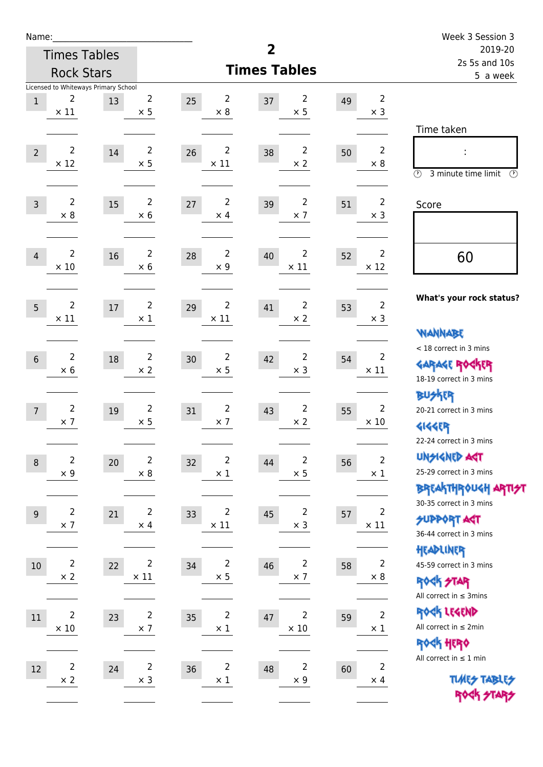| Name:          |                               |                                            |                               |                                     |                                     |    |                               | Week 3 Session 3                                                                        |
|----------------|-------------------------------|--------------------------------------------|-------------------------------|-------------------------------------|-------------------------------------|----|-------------------------------|-----------------------------------------------------------------------------------------|
|                |                               | <b>Times Tables</b>                        |                               |                                     | $\overline{2}$                      |    |                               | 2019-20<br>2s 5s and 10s                                                                |
|                |                               | <b>Rock Stars</b>                          |                               |                                     | <b>Times Tables</b>                 |    |                               | 5 a week                                                                                |
| $1\,$          | $\overline{2}$<br>$\times$ 11 | Licensed to Whiteways Primary School<br>13 | $\overline{2}$<br>$\times$ 5  | $\overline{2}$<br>25<br>$\times 8$  | 2<br>37<br>$\times$ 5               | 49 | $\overline{2}$<br>$\times$ 3  | Time taken                                                                              |
| $\overline{2}$ | $\overline{2}$<br>$\times$ 12 | 14                                         | $\overline{2}$<br>$\times$ 5  | $\overline{2}$<br>26<br>$\times$ 11 | $\overline{2}$<br>38<br>$\times$ 2  | 50 | $\overline{2}$<br>$\times 8$  | $\circled{r}$<br>3 minute time limit<br>$\circled{r}$                                   |
| $\overline{3}$ | $\overline{2}$<br>$\times$ 8  | 15                                         | $\overline{2}$<br>$\times$ 6  | $\overline{2}$<br>27<br>$\times$ 4  | $\overline{2}$<br>39<br>$\times$ 7  | 51 | $\overline{2}$<br>$\times$ 3  | Score                                                                                   |
| $\overline{4}$ | $\overline{2}$<br>$\times$ 10 | 16                                         | $\overline{2}$<br>$\times$ 6  | $\overline{2}$<br>28<br>$\times$ 9  | $\overline{2}$<br>40<br>$\times$ 11 | 52 | $\overline{2}$<br>$\times$ 12 | 60                                                                                      |
| 5              | $\overline{2}$<br>$\times$ 11 | $17\,$                                     | $\overline{c}$<br>$\times$ 1  | $\overline{2}$<br>29<br>$\times$ 11 | $\overline{c}$<br>41<br>$\times 2$  | 53 | $\overline{2}$<br>$\times$ 3  | What's your rock status?<br><b>NANNABE</b>                                              |
| $6\phantom{1}$ | $\overline{2}$<br>$\times 6$  | 18                                         | $\overline{2}$<br>$\times 2$  | $\overline{2}$<br>30<br>$\times$ 5  | $\overline{2}$<br>42<br>$\times$ 3  | 54 | $\overline{2}$<br>$\times$ 11 | < 18 correct in 3 mins<br><b>GARAGE ROCKER</b><br>18-19 correct in 3 mins               |
| $\overline{7}$ | $\overline{2}$<br>$\times$ 7  | 19                                         | $\overline{2}$<br>$\times$ 5  | $\overline{2}$<br>31<br>$\times$ 7  | $\overline{2}$<br>43<br>$\times$ 2  | 55 | $\overline{2}$<br>$\times 10$ | <b>BUSKER</b><br>20-21 correct in 3 mins<br><b>4144EP</b><br>22-24 correct in 3 mins    |
| $\,8\,$        | $\mathbf 2$<br>$\times$ 9     | 20                                         | $\mathbf 2$<br>$\times$ 8     | $\overline{2}$<br>32<br>$\times$ 1  | $\mathbf 2$<br>44<br>$\times$ 5     | 56 | $\overline{2}$<br>$\times$ 1  | <b>UNSIGNED AGT</b><br>25-29 correct in 3 mins<br>BREAKTHRÓUGH ARTI <del>2</del> 1      |
| $9\,$          | $\overline{2}$<br>$\times$ 7  | 21                                         | $\overline{2}$<br>$\times$ 4  | $\overline{2}$<br>33<br>$\times$ 11 | $\overline{2}$<br>45<br>$\times$ 3  | 57 | $\overline{2}$<br>$\times$ 11 | 30-35 correct in 3 mins<br><b>SUPPORT ART</b><br>36-44 correct in 3 mins                |
| $10$           | $\overline{2}$<br>$\times$ 2  | 22                                         | $\overline{2}$<br>$\times$ 11 | $\overline{2}$<br>34<br>$\times$ 5  | $\overline{2}$<br>46<br>$\times$ 7  | 58 | $\overline{2}$<br>$\times 8$  | HEADLINER<br>45-59 correct in 3 mins<br><b>ROCK STAR</b><br>All correct in $\leq$ 3mins |
| 11             | $\overline{2}$<br>$\times$ 10 | 23                                         | $\overline{2}$<br>$\times$ 7  | $\overline{c}$<br>35<br>$\times$ 1  | 2<br>47<br>$\times$ 10              | 59 | $\overline{2}$<br>$\times$ 1  | ROCK LEGEND<br>All correct in $\leq 2$ min<br>ROCK HERO                                 |
| 12             | $\overline{2}$<br>$\times$ 2  | 24                                         | $\overline{2}$<br>$\times$ 3  | $\overline{2}$<br>36<br>$\times$ 1  | $\overline{2}$<br>48<br>$\times$ 9  | 60 | $\overline{2}$<br>$\times$ 4  | All correct in $\leq 1$ min<br><b>TUARS TABLES</b><br>ROCK STARS                        |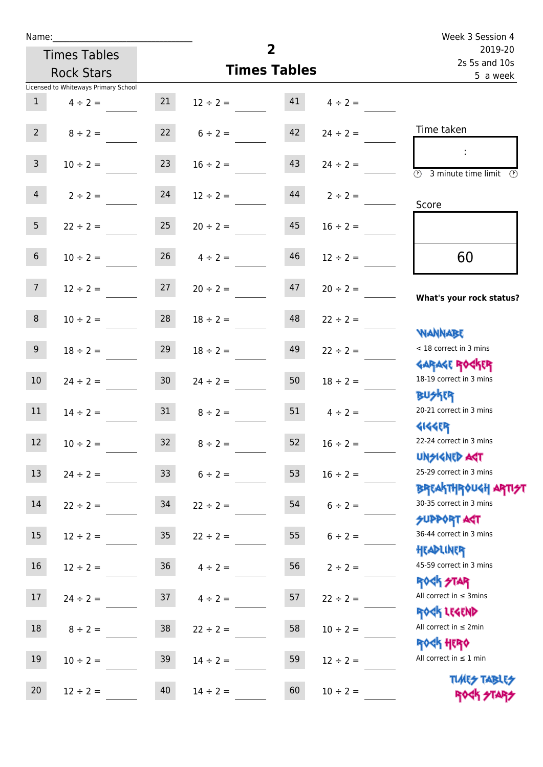| Name:           |                                      |                  |                     |                |               | Week 3 Session 4                                               |
|-----------------|--------------------------------------|------------------|---------------------|----------------|---------------|----------------------------------------------------------------|
|                 | <b>Times Tables</b>                  |                  |                     | $\overline{2}$ |               | 2019-20<br>2s 5s and 10s                                       |
|                 | <b>Rock Stars</b>                    |                  | <b>Times Tables</b> |                |               | 5 a week                                                       |
|                 | Licensed to Whiteways Primary School |                  |                     |                |               |                                                                |
| 1               | $4 \div 2 =$                         | 21               | $12 \div 2 =$       | 41             | $4 \div 2 =$  |                                                                |
| $2^{\circ}$     | $8 \div 2 =$                         |                  | $22 \t 6 \div 2 =$  | 42             | $24 \div 2 =$ | Time taken                                                     |
| 3 <sup>7</sup>  | $10 \div 2 =$                        | 23               | $16 \div 2 =$       | 43             | $24 \div 2 =$ | $\overline{\textcircled{1}}$ 3 minute time limit               |
| $4 -$           | $2 \div 2 =$                         | 24               | $12 \div 2 =$       | 44             | $2 \div 2 =$  | Score                                                          |
| 5 <sub>1</sub>  | $22 \div 2 = 25$                     |                  | $20 \div 2 =$       | 45             | $16 \div 2 =$ |                                                                |
| 6 <sup>1</sup>  | $10 \div 2 =$                        | 26               | $4 \div 2 =$        | 46             | $12 \div 2 =$ | 60                                                             |
| 7 <sup>7</sup>  | $12 \div 2 =$                        | 27               | $20 \div 2 =$       | 47             | $20 \div 2 =$ | What's your rock status?                                       |
| 8               | $10 \div 2 =$                        | 28               | $18 \div 2 =$       | 48             | $22 \div 2 =$ |                                                                |
| 9               | $18 \div 2 =$                        | 29               | $18 \div 2 =$       | 49             | $22 \div 2 =$ | WANNABE<br>< 18 correct in 3 mins                              |
| 10 <sup>°</sup> | $24 \div 2 =$                        | 30 <sup>°</sup>  | $24 \div 2 =$       | 50             | $18 \div 2 =$ | <b>GARAGE ROCKER</b><br>18-19 correct in 3 mins                |
| 11              | $14 \div 2 =$                        | 31               | $8 \div 2 =$        | 51             | $4 \div 2 =$  | <b>BUSKER</b><br>20-21 correct in 3 mins<br><b>4144EP</b>      |
| 12              | $10 \div 2 =$                        | 32               | $8 \div 2 =$        | 52             | $16 \div 2 =$ | 22-24 correct in 3 mins<br><b>UNSIGNED AST</b>                 |
| 13              | $24 \div 2 =$                        | 33 <sup>°</sup>  | $6 \div 2 =$        | 53             | $16 \div 2 =$ | 25-29 correct in 3 mins                                        |
| 14              | $22 \div 2 =$                        | 34               | $22 \div 2 =$       | 54             | $6 \div 2 =$  | <b>BREAKTHROUGH ARTH</b><br>30-35 correct in 3 mins            |
| 15              | $12 \div 2 =$                        | $35\phantom{.0}$ | $22 \div 2 =$       | 55             | $6 \div 2 =$  | SUPPORT ART<br>36-44 correct in 3 mins                         |
| 16              | $12 \div 2 =$                        | $36\,$           | $4 \div 2 =$        | 56             | $2 \div 2 =$  | HEADLINER<br>45-59 correct in 3 mins                           |
| 17              | $24 \div 2 =$                        | 37               | $4 \div 2 =$        | 57             | $22 \div 2 =$ | <b>ROCK STAR</b><br>All correct in $\leq$ 3mins<br>ROCK LEGEND |
| $18\,$          | $8 \div 2 =$                         | $38\,$           | $22 \div 2 =$       | 58             | $10 \div 2 =$ | All correct in $\leq 2$ min                                    |
| 19              | $10 \div 2 =$                        | 39               | $14 \div 2 =$       | 59             | $12 \div 2 =$ | <b>ROCK HERO</b><br>All correct in $\leq 1$ min                |
| 20              | $12 \div 2 =$                        | 40               | $14 \div 2 =$       | 60             | $10 \div 2 =$ | <b>TUARS TABLES</b><br>ROCK STARS                              |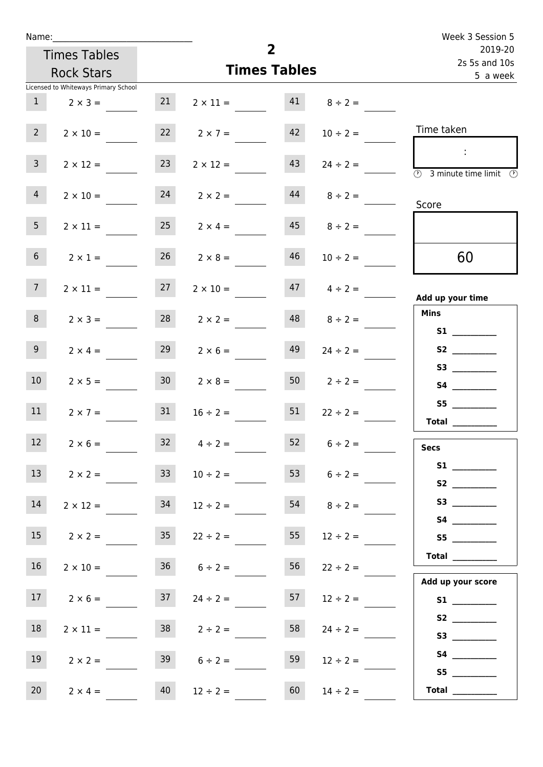| Name:                                |                 |                      |    |                                   | Week 3 Session 5                                                          |
|--------------------------------------|-----------------|----------------------|----|-----------------------------------|---------------------------------------------------------------------------|
| <b>Times Tables</b>                  |                 | $\overline{2}$       |    | 2019-20<br>2s 5s and 10s          |                                                                           |
| <b>Rock Stars</b>                    |                 | <b>Times Tables</b>  |    |                                   | 5 a week                                                                  |
| Licensed to Whiteways Primary School |                 |                      |    |                                   |                                                                           |
| 1<br>$2 \times 3 =$                  | 21              |                      |    | $2 \times 11 =$ $41$ $8 \div 2 =$ |                                                                           |
| $2^{\circ}$<br>$2 \times 10 =$       |                 | $22 \t 2 \times 7 =$ | 42 | $10 \div 2 =$                     | Time taken                                                                |
| $\mathbf{3}$<br>$2 \times 12 =$      | 23              | $2 \times 12 =$      | 43 | $24 \div 2 =$                     | $\sim 10$<br>$\overline{\circledcirc}$ 3 minute time limit $\circledcirc$ |
| $\overline{4}$<br>$2 \times 10 =$    |                 | $24$ $2 \times 2 =$  |    | $44$ $8 \div 2 =$                 | Score                                                                     |
| 5 <sub>1</sub><br>$2 \times 11 =$    | 25              | $2 \times 4 =$       |    | $45 \t 8 \div 2 =$                |                                                                           |
| 6 <sub>1</sub><br>$2 \times 1 =$     | 26              | $2 \times 8 =$       | 46 | $10 \div 2 =$                     | 60                                                                        |
| 7 <sup>7</sup><br>$2 \times 11 =$    | 27              | $2 \times 10 =$      |    | $47 \t 4 \div 2 =$                | Add up your time                                                          |
| 8<br>$2 \times 3 =$                  | 28              | $2 \times 2 =$       |    | $48$ $8 \div 2 =$                 | <b>Mins</b><br><b>S1 S1</b>                                               |
| 9 <sub>o</sub><br>$2 \times 4 =$     | 29              | $2 \times 6 =$       | 49 | $24 \div 2 =$                     | S2                                                                        |
| 10 <sup>°</sup><br>$2 \times 5 =$    | 30 <sup>1</sup> | $2 \times 8 =$       |    | $50 \t 2 \div 2 =$                | S4                                                                        |
| 11<br>$2 \times 7 =$                 | 31              | $16 \div 2 =$        | 51 | $22 \div 2 =$                     | S5<br>Total $\qquad$                                                      |
| 12 <sup>7</sup><br>$2 \times 6 =$    | 32              | $4 \div 2 =$         | 52 | $6 \div 2 =$                      | <b>Secs</b>                                                               |
| 13<br>$2 \times 2 =$                 | 33              | $10 \div 2 =$        | 53 | $6 \div 2 =$                      | S2                                                                        |
| 14<br>$2 \times 12 =$                | 34              | $12 \div 2 =$        | 54 | $8 \div 2 =$                      | S3                                                                        |
| 15 <sub>1</sub><br>$2 \times 2 =$    | 35 <sub>1</sub> | $22 \div 2 =$        | 55 | $12 \div 2 =$                     | S5                                                                        |
| 16<br>$2 \times 10 =$                |                 | $36 \t 6 \div 2 =$   | 56 | $22 \div 2 =$                     | Total<br>Add up your score                                                |
| 17<br>$2 \times 6 =$                 | 37              | $24 \div 2 =$        | 57 | $12 \div 2 =$                     |                                                                           |
| 18<br>$2 \times 11 =$                |                 | $38$ $2 \div 2 =$    | 58 | $24 \div 2 =$                     | S2<br>S3                                                                  |
| 19<br>$2 \times 2 =$                 | 39              | $6 \div 2 =$         | 59 | $12 \div 2 =$                     | S5                                                                        |
| 20<br>$2 \times 4 =$                 | 40              | $12 \div 2 =$        | 60 | $14 \div 2 =$                     | Total $\qquad$                                                            |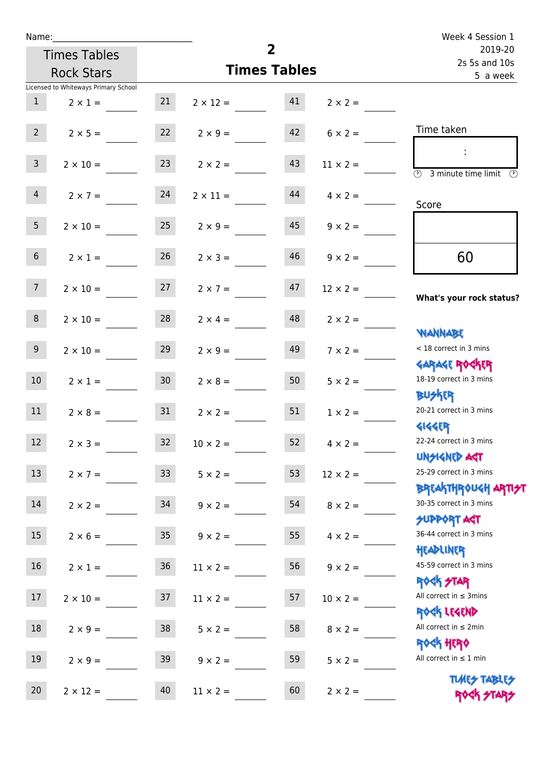| Name:           |                                      |                 |                      |                     |                 | Week 4 Session 1                                                 |
|-----------------|--------------------------------------|-----------------|----------------------|---------------------|-----------------|------------------------------------------------------------------|
|                 | <b>Times Tables</b>                  |                 |                      | $\overline{2}$      |                 | 2019-20<br>2s 5s and 10s                                         |
|                 | <b>Rock Stars</b>                    |                 |                      | <b>Times Tables</b> |                 | 5 a week                                                         |
|                 | Licensed to Whiteways Primary School |                 |                      |                     |                 |                                                                  |
| 1               | $2 \times 1 =$                       | 21              | $2 \times 12 = 41$   |                     | $2 \times 2 =$  |                                                                  |
| 2               | $2 \times 5 =$                       |                 | $22 \t 2 \times 9 =$ | 42                  | $6 \times 2 =$  | Time taken                                                       |
| 3 <sup>7</sup>  | $2 \times 10 =$                      | 23              | $2 \times 2 =$       | 43                  | $11 \times 2 =$ | $\overline{(\mathcal{V})}$<br>3 minute time limit<br>O)          |
| $\overline{4}$  | $2 \times 7 = 24$                    |                 | $2 \times 11 =$      | 44                  | $4 \times 2 =$  | Score                                                            |
| 5 <sub>1</sub>  | $2 \times 10 =$                      | 25              | $2 \times 9 =$       | 45                  | $9 \times 2 =$  |                                                                  |
| 6 <sup>1</sup>  | $2 \times 1 =$                       | 26              | $2 \times 3 =$       | 46                  | $9 \times 2 =$  | 60                                                               |
| 7 <sup>7</sup>  | $2 \times 10 = 27$                   |                 | $2 \times 7 =$       | 47                  | $12 \times 2 =$ | What's your rock status?                                         |
| 8               | $2 \times 10 =$                      | 28              | $2 \times 4 =$       | 48                  | $2 \times 2 =$  | <b>NANNABE</b>                                                   |
| 9 <sub>o</sub>  | $2 \times 10 =$                      | 29              | $2 \times 9 =$       | 49                  | $7 \times 2 =$  | < 18 correct in 3 mins<br><b>GARAGE ROCKER</b>                   |
| 10 <sup>1</sup> | $2 \times 1 =$                       | 30 <sub>o</sub> | $2 \times 8 =$       | 50                  | $5 \times 2 =$  | 18-19 correct in 3 mins<br><b>BU外科</b>                           |
| 11              | $2 \times 8 = 31$                    |                 | $2 \times 2 =$       | 51                  | $1 \times 2 =$  | 20-21 correct in 3 mins<br><b>4144EP</b>                         |
| 12              | $2 \times 3 =$                       | 32              | $10 \times 2 =$      | 52                  | $4 \times 2 =$  | 22-24 correct in 3 mins<br><b>UNSIGNED AST</b>                   |
| 13              | $2 \times 7 =$                       | 33 <sup>°</sup> | $5 \times 2 =$       | 53                  | $12 \times 2 =$ | 25-29 correct in 3 mins<br><b>BREAKTHROUGH ARTI<del>S</del>T</b> |
| 14              | $2 \times 2 =$                       | 34              | $9 \times 2 =$       | 54                  | $8 \times 2 =$  | 30-35 correct in 3 mins<br><b>SUPPORT AGT</b>                    |
| 15              | $2 \times 6 =$                       | 35              | $9 \times 2 =$       | 55                  | $4 \times 2 =$  | 36-44 correct in 3 mins<br>HEADLINER                             |
| 16              | $2 \times 1 =$                       | $36\,$          | $11 \times 2 =$      | 56                  | $9 \times 2 =$  | 45-59 correct in 3 mins<br><b>ROCK STAR</b>                      |
| 17              | $2 \times 10 =$                      | 37              | $11 \times 2 =$      | 57                  | $10 \times 2 =$ | All correct in $\leq$ 3mins<br>ROCK LEGEND                       |
| 18              | $2 \times 9 =$                       | $38\,$          | $5 \times 2 =$       | 58                  | $8 \times 2 =$  | All correct in $\leq 2$ min<br><b>ROCK HERO</b>                  |
| 19              | $2 \times 9 =$                       | 39              | $9 \times 2 =$       | 59                  | $5 \times 2 =$  | All correct in $\leq 1$ min                                      |
| 20              | $2 \times 12 =$                      | 40              | $11 \times 2 =$      | 60                  | $2 \times 2 =$  | <b>TUARS TABLES</b><br>ROCK STARS                                |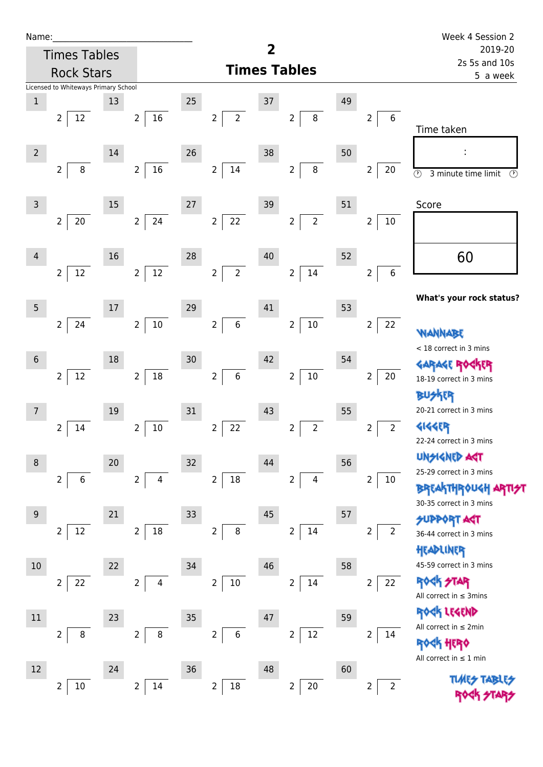| Name |  |  |  |
|------|--|--|--|
|      |  |  |  |

| Name:           |                                      |    |                          |        |                                    |                         |                                  |    |                                    | Week 4 Session 2                                |
|-----------------|--------------------------------------|----|--------------------------|--------|------------------------------------|-------------------------|----------------------------------|----|------------------------------------|-------------------------------------------------|
|                 | <b>Times Tables</b>                  |    |                          |        |                                    | $\overline{\mathbf{2}}$ |                                  |    |                                    | 2019-20<br>2s 5s and 10s                        |
|                 | <b>Rock Stars</b>                    |    |                          |        |                                    |                         | <b>Times Tables</b>              |    |                                    | 5 a week                                        |
|                 | Licensed to Whiteways Primary School |    |                          |        |                                    |                         |                                  |    |                                    |                                                 |
| $1\,$           |                                      | 13 |                          | 25     |                                    | 37                      |                                  | 49 |                                    |                                                 |
|                 | 12<br>$\overline{2}$                 |    | $16\,$<br>$\overline{2}$ |        | $\overline{2}$<br>$\overline{2}$   |                         | $\overline{2}$<br>$\,8\,$        |    | $\boldsymbol{6}$<br>$\overline{2}$ | Time taken                                      |
|                 |                                      |    |                          |        |                                    |                         |                                  |    |                                    |                                                 |
| $\overline{2}$  | $\bf 8$                              | 14 | $16\,$                   | 26     | $14\,$                             | 38                      | $\,8\,$                          | 50 |                                    |                                                 |
|                 | 2                                    |    | $\overline{2}$           |        | $\overline{2}$                     |                         | $\overline{2}$                   |    | $\overline{2}$<br>20               | $\odot$<br>3 minute time limit<br>$\circled{r}$ |
| $\overline{3}$  |                                      | 15 |                          | $27\,$ |                                    | 39                      |                                  | 51 |                                    | Score                                           |
|                 | $20\,$<br>$\overline{2}$             |    | $\overline{2}$<br>24     |        | $22\,$<br>$\overline{2}$           |                         | $\overline{2}$<br>$\overline{2}$ |    | $\overline{2}$<br>10               |                                                 |
|                 |                                      |    |                          |        |                                    |                         |                                  |    |                                    |                                                 |
| 4               |                                      | 16 |                          | 28     |                                    | $40\,$                  |                                  | 52 |                                    | 60                                              |
|                 | $12\,$<br>$\overline{2}$             |    | $12\,$<br>$\overline{2}$ |        | $\overline{2}$<br>$\overline{2}$   |                         | 14<br>$\overline{2}$             |    | $\,6\,$<br>$\overline{2}$          |                                                 |
|                 |                                      |    |                          |        |                                    |                         |                                  |    |                                    |                                                 |
| 5               |                                      | 17 |                          | 29     |                                    | 41                      |                                  | 53 |                                    | What's your rock status?                        |
|                 | 24<br>$\overline{2}$                 |    | $10\,$<br>$\overline{2}$ |        | $\,$ 6 $\,$<br>$\overline{2}$      |                         | $10\,$<br>$\overline{2}$         |    | 22<br>$\overline{2}$               |                                                 |
|                 |                                      |    |                          |        |                                    |                         |                                  |    |                                    | WANN<br>< 18 correct in 3 mins                  |
| $6\phantom{1}6$ |                                      | 18 |                          | 30     |                                    | 42                      |                                  | 54 |                                    |                                                 |
|                 | $12\,$<br>$\overline{2}$             |    | $18\,$<br>$\overline{2}$ |        | $\overline{2}$<br>$\boldsymbol{6}$ |                         | $10\,$<br>$\overline{2}$         |    | $\overline{2}$<br>20               | 18-19 correct in 3 mins                         |
|                 |                                      |    |                          |        |                                    |                         |                                  |    |                                    | <b>BUSKER</b>                                   |
| $\overline{7}$  |                                      | 19 |                          | 31     |                                    | 43                      |                                  | 55 |                                    | 20-21 correct in 3 mins                         |
|                 | 14<br>2                              |    | $10\,$<br>2              |        | 22<br>$\overline{2}$               |                         | $\overline{2}$<br>$\overline{2}$ |    | $\overline{2}$<br>$\overline{2}$   | <b>4144EP</b>                                   |
|                 |                                      |    |                          |        |                                    |                         |                                  |    |                                    | 22-24 correct in 3 mins                         |
| 8               |                                      | 20 |                          | 32     |                                    | 44                      |                                  | 56 |                                    | <b>UNGIGNED ART</b><br>25-29 correct in 3 mins  |
|                 | $\overline{2}$<br>$\,6$              |    | $\overline{2}$<br>4      |        | $18\,$<br>$\overline{2}$           |                         | $\overline{2}$<br>4              |    | $\overline{2}$<br>10               | <b>BREAKTHROUGH</b>                             |
|                 |                                      |    |                          |        |                                    |                         |                                  |    |                                    | 30-35 correct in 3 mins                         |
| $\overline{9}$  |                                      | 21 |                          | 33     |                                    | $45\,$                  |                                  | 57 |                                    | <b>SUPPORT AGT</b>                              |
|                 | $12\,$<br>$\overline{2}$             |    | $18\,$<br>$\overline{2}$ |        | $\overline{2}$<br>$\bf 8$          |                         | 14<br>$\overline{2}$             |    | 2<br>$\overline{2}$                | 36-44 correct in 3 mins                         |
|                 |                                      |    |                          |        |                                    |                         |                                  |    |                                    | HEADLINER                                       |
| 10              |                                      | 22 |                          | 34     |                                    | 46                      |                                  | 58 |                                    | 45-59 correct in 3 mins                         |
|                 | 22<br>$\overline{2}$                 |    | $\overline{2}$<br>4      |        | $\overline{2}$<br>$10\,$           |                         | 14<br>$\overline{2}$             |    | 22<br>$\overline{c}$               | <b>ROCK STAR</b><br>All correct in $\leq$ 3mins |
|                 |                                      |    |                          |        |                                    |                         |                                  |    |                                    | ROCK LEGEND                                     |
| $11\,$          |                                      | 23 |                          | 35     |                                    | 47                      |                                  | 59 |                                    | All correct in $\leq 2$ min                     |
|                 | $\, 8$<br>2                          |    | $\bf 8$<br>2             |        | $\overline{2}$<br>$\,6\,$          |                         | $12\,$<br>2                      |    | 2<br>14                            | <b>ROCK HERO</b>                                |
| 12              |                                      | 24 |                          | 36     |                                    | 48                      |                                  | 60 |                                    | All correct in $\leq 1$ min                     |
|                 |                                      |    | 14<br>2                  |        | $\overline{2}$                     |                         | $\overline{2}$                   |    | $\overline{2}$<br>$\overline{2}$   | <b>TLARES</b>                                   |
|                 | $10\,$<br>$\overline{2}$             |    |                          |        | $18\,$                             |                         | 20                               |    |                                    |                                                 |

ROCK STARS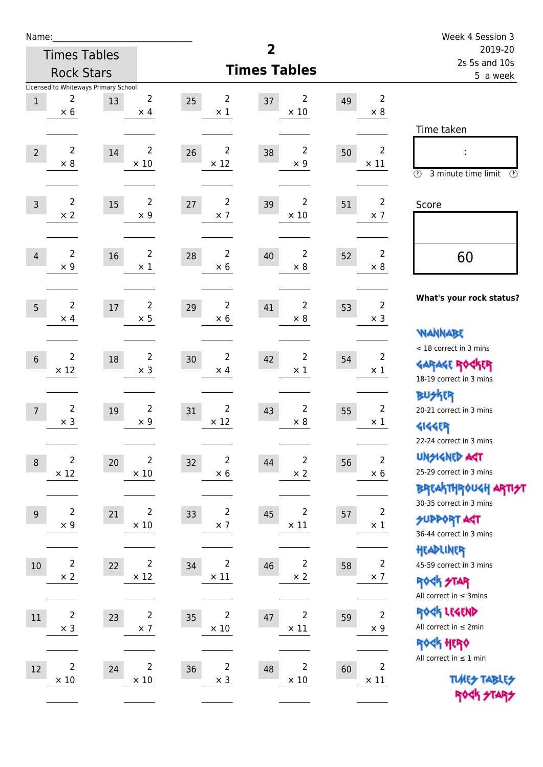| Name:          |                               |                                            |                               |    |                               |                |                               |    |                               | Week 4 Session 3                                                                        |
|----------------|-------------------------------|--------------------------------------------|-------------------------------|----|-------------------------------|----------------|-------------------------------|----|-------------------------------|-----------------------------------------------------------------------------------------|
|                |                               | <b>Times Tables</b>                        |                               |    |                               | $\overline{2}$ |                               |    |                               | 2019-20<br>2s 5s and 10s                                                                |
|                |                               | <b>Rock Stars</b>                          |                               |    |                               |                | <b>Times Tables</b>           |    |                               | 5 a week                                                                                |
| $1\,$          | $\overline{2}$<br>$\times 6$  | Licensed to Whiteways Primary School<br>13 | 2<br>$\times$ 4               | 25 | $\overline{2}$<br>$\times$ 1  | 37             | 2<br>$\times$ 10              | 49 | $\overline{2}$<br>$\times 8$  |                                                                                         |
| $\overline{2}$ | $\overline{2}$<br>$\times$ 8  | 14                                         | $\overline{2}$<br>$\times$ 10 | 26 | $\overline{2}$<br>$\times$ 12 | 38             | $\overline{2}$<br>$\times$ 9  | 50 | $\overline{2}$<br>$\times$ 11 | Time taken<br>$\circled{r}$<br>3 minute time limit<br>$\circled{r}$                     |
| $\overline{3}$ | $\overline{2}$<br>$\times 2$  | 15                                         | $\overline{2}$<br>$\times$ 9  | 27 | $\overline{2}$<br>$\times$ 7  | 39             | 2<br>$\times$ 10              | 51 | $\overline{2}$<br>$\times$ 7  | Score                                                                                   |
| $\overline{4}$ | $\overline{2}$<br>$\times$ 9  | 16                                         | $\overline{2}$<br>$\times$ 1  | 28 | $\overline{2}$<br>$\times$ 6  | 40             | $\overline{2}$<br>$\times$ 8  | 52 | $\overline{2}$<br>$\times 8$  | 60                                                                                      |
| 5              | $\overline{2}$<br>$\times$ 4  | $17\,$                                     | $\overline{c}$<br>$\times$ 5  | 29 | $\overline{2}$<br>$\times$ 6  | 41             | $\overline{2}$<br>$\times$ 8  | 53 | $\overline{2}$<br>$\times$ 3  | What's your rock status?<br><b>NANNABE</b>                                              |
| $6\phantom{1}$ | $\overline{2}$<br>$\times$ 12 | 18                                         | $\overline{2}$<br>$\times$ 3  | 30 | $\overline{2}$<br>$\times$ 4  | 42             | $\overline{2}$<br>$\times$ 1  | 54 | $\overline{2}$<br>$\times$ 1  | < 18 correct in 3 mins<br><b>GARAGE ROCKER</b><br>18-19 correct in 3 mins               |
| $\overline{7}$ | $\overline{2}$<br>$\times$ 3  | 19                                         | $\overline{2}$<br>$\times$ 9  | 31 | $\overline{2}$<br>$\times$ 12 | 43             | 2<br>$\times$ 8               | 55 | $\overline{2}$<br>$\times$ 1  | <b>BUSKER</b><br>20-21 correct in 3 mins<br><b>4144EP</b><br>22-24 correct in 3 mins    |
| $\,8\,$        | $\mathbf 2$<br>$\times$ 12    | 20                                         | $\overline{2}$<br>$\times$ 10 | 32 | $\overline{2}$<br>$\times$ 6  | 44             | $\mathbf 2$<br>$\times$ 2     | 56 | $\overline{c}$<br>$\times$ 6  | <b>UNSIGNED AGT</b><br>25-29 correct in 3 mins<br><b>BREAKTHROUGH ARTI<del>S</del>T</b> |
| $9\,$          | $\overline{2}$<br>$\times$ 9  | 21                                         | $\overline{2}$<br>$\times$ 10 | 33 | $\overline{2}$<br>$\times$ 7  | 45             | $\overline{2}$<br>$\times$ 11 | 57 | $\overline{2}$<br>$\times$ 1  | 30-35 correct in 3 mins<br><b>SUPPORT ART</b><br>36-44 correct in 3 mins                |
| $10\,$         | $\overline{2}$<br>$\times$ 2  | 22                                         | $\overline{2}$<br>$\times$ 12 | 34 | $\overline{2}$<br>$\times$ 11 | 46             | $\overline{2}$<br>$\times$ 2  | 58 | $\overline{2}$<br>$\times$ 7  | HEADLINER<br>45-59 correct in 3 mins<br><b>ROCK STAR</b><br>All correct in $\leq$ 3mins |
| 11             | $\overline{2}$<br>$\times$ 3  | 23                                         | $\overline{2}$<br>$\times$ 7  | 35 | 2<br>$\times$ 10              | 47             | $\overline{2}$<br>$\times$ 11 | 59 | $\mathbf 2$<br>$\times$ 9     | ROCK LEGEND<br>All correct in $\leq 2$ min<br>ROCK HERO                                 |
| 12             | $\overline{2}$<br>$\times$ 10 | 24                                         | $\overline{2}$<br>$\times$ 10 | 36 | $\overline{2}$<br>$\times$ 3  | 48             | $\overline{2}$<br>$\times$ 10 | 60 | $\overline{2}$<br>$\times$ 11 | All correct in $\leq 1$ min<br><b>TUARS TABLES</b><br>ROCK STARS                        |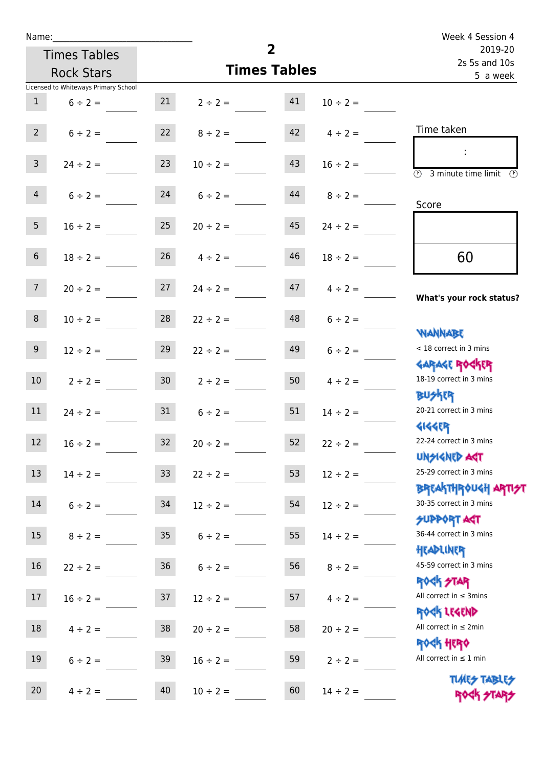| Name:           |                                      |                 |                    | Week 4 Session 4         |                    |                                                                  |
|-----------------|--------------------------------------|-----------------|--------------------|--------------------------|--------------------|------------------------------------------------------------------|
|                 | <b>Times Tables</b>                  |                 |                    | 2019-20<br>2s 5s and 10s |                    |                                                                  |
|                 | <b>Rock Stars</b>                    |                 |                    | <b>Times Tables</b>      |                    | 5 a week                                                         |
|                 | Licensed to Whiteways Primary School |                 |                    |                          |                    |                                                                  |
| 1               | $6 \div 2 =$                         |                 | 21 $2 \div 2 =$    | 41                       | $10 \div 2 =$      |                                                                  |
| $2^{\circ}$     | $6 \div 2 =$                         |                 | $22 \t 8 \div 2 =$ |                          | $42 \t 4 \div 2 =$ | Time taken                                                       |
| 3 <sup>1</sup>  | $24 \div 2 =$                        | 23              | $10 \div 2 =$      | 43                       | $16 \div 2 =$      | <b>3</b> minute time limit <b>3</b>                              |
| 4               | $6 \div 2 =$                         |                 | $24 \t 6 \div 2 =$ | 44                       | $8 \div 2 =$       | Score                                                            |
| 5 <sub>1</sub>  | $16 \div 2 = 25$                     |                 | $20 \div 2 =$      | 45                       | $24 \div 2 =$      |                                                                  |
| 6 <sup>1</sup>  | $18 \div 2 =$                        |                 | $26 \t 4 \div 2 =$ | 46                       | $18 \div 2 =$      | 60                                                               |
| 7 <sup>7</sup>  | $20 \div 2 =$                        | 27              | $24 \div 2 =$      | 47                       | $4 \div 2 =$       | What's your rock status?                                         |
| 8               | $10 \div 2 =$                        | 28              | $22 \div 2 =$      |                          | $48$ $6 \div 2 =$  | <b>NANNABE</b>                                                   |
| 9 <sub>o</sub>  | $12 \div 2 =$                        | 29              | $22 \div 2 =$      | 49                       | $6 \div 2 =$       | < 18 correct in 3 mins                                           |
| 10 <sup>°</sup> | $2 \div 2 =$                         | 30 <sub>o</sub> | $2 \div 2 =$       | 50                       | $4 \div 2 =$       | <b>GARAGE ROCKER</b><br>18-19 correct in 3 mins<br><b>BUSKER</b> |
| 11              | $24 \div 2 =$                        | 31              | $6 \div 2 =$       | 51                       | $14 \div 2 =$      | 20-21 correct in 3 mins<br><b>4144EP</b>                         |
| 12              | $16 \div 2 =$                        | 32              | $20 \div 2 =$      | 52                       | $22 \div 2 =$      | 22-24 correct in 3 mins<br><b>UNSIGNED AST</b>                   |
| 13              | $14 \div 2 =$                        | 33 <sup>°</sup> | $22 \div 2 =$      | 53                       | $12 \div 2 =$      | 25-29 correct in 3 mins<br><b>BREAKTHROUGH ARTI</b>              |
| 14              | $6 \div 2 =$                         | 34              | $12 \div 2 =$      | 54                       | $12 \div 2 =$      | 30-35 correct in 3 mins<br><b>SUPPORT AGT</b>                    |
| 15              | $8 \div 2 =$                         | 35 <sub>2</sub> | $6 \div 2 =$       | 55                       | $14 \div 2 =$      | 36-44 correct in 3 mins<br>HEADLINER                             |
| 16              | $22 \div 2 =$                        | 36              | $6 \div 2 =$       | 56                       | $8 \div 2 =$       | 45-59 correct in 3 mins<br><b>ROCK STAR</b>                      |
| 17              | $16 \div 2 =$                        | 37              | $12 \div 2 =$      | 57                       | $4 \div 2 =$       | All correct in $\leq$ 3mins<br>ROCK LEGEND                       |
| 18              | $4 \div 2 =$                         | 38              | $20 \div 2 =$      | 58                       | $20 \div 2 =$      | All correct in $\leq 2$ min<br><b>ROCK HERO</b>                  |
| 19              | $6 \div 2 =$                         | 39              | $16 \div 2 =$      | 59                       | $2 \div 2 =$       | All correct in $\leq 1$ min                                      |
| 20              | $4 \div 2 =$                         | 40              | $10 \div 2 =$      | 60                       | $14 \div 2 =$      | <b>TUARS TABLES</b><br>ROCK STARS                                |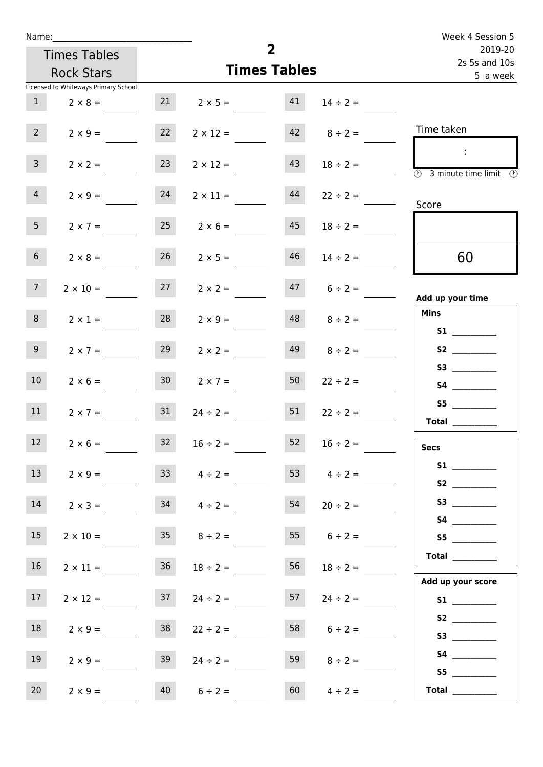| Name:           |                                      |                 |                         |                     |                          | Week 4 Session 5                                                                           |
|-----------------|--------------------------------------|-----------------|-------------------------|---------------------|--------------------------|--------------------------------------------------------------------------------------------|
|                 | <b>Times Tables</b>                  |                 |                         | $\overline{2}$      | 2019-20<br>2s 5s and 10s |                                                                                            |
|                 | <b>Rock Stars</b>                    |                 |                         | <b>Times Tables</b> | 5 a week                 |                                                                                            |
|                 | Licensed to Whiteways Primary School |                 |                         |                     |                          |                                                                                            |
| 1               | $2 \times 8 =$                       |                 | $21 \t 2 \times 5 = 41$ |                     | $14 \div 2 =$            |                                                                                            |
| $2^{\circ}$     | $2 \times 9 =$                       | 22              | $2 \times 12 =$         |                     | $42 \t 8 \div 2 =$       | Time taken                                                                                 |
| $\mathbf{3}$    | $2 \times 2 =$                       | 23              | $2 \times 12 =$         | 43                  | $18 \div 2 =$            | $\sim 10$<br>$\overline{\textcircled{2}}$ 3 minute time limit $\overline{\textcircled{2}}$ |
| $\overline{4}$  | $2 \times 9 =$                       | 24              | $2 \times 11 =$         | 44                  | $22 \div 2 =$            | Score                                                                                      |
| 5 <sub>1</sub>  | $2 \times 7 =$                       | 25              | $2 \times 6 =$          | 45                  | $18 \div 2 =$            |                                                                                            |
| 6 <sup>1</sup>  | $2 \times 8 =$                       | 26              | $2 \times 5 =$          | 46                  | $14 \div 2 =$            | 60                                                                                         |
| 7 <sup>7</sup>  | $2 \times 10 =$                      | 27              | $2 \times 2 =$          |                     | $47$ $6 \div 2 =$        | Add up your time                                                                           |
| 8               | $2 \times 1 =$                       | 28              | $2 \times 9 =$          | 48                  | $8 \div 2 =$             | <b>Mins</b><br><b>S1</b> and the set of $\sim$                                             |
| 9 <sub>o</sub>  | $2 \times 7 =$                       | 29              | $2 \times 2 =$          | 49                  | $8 \div 2 =$             | S2                                                                                         |
| 10 <sup>°</sup> | $2 \times 6 =$                       | 30 <sup>°</sup> | $2 \times 7 =$          | 50                  | $22 \div 2 =$            | S4                                                                                         |
| 11              | $2 \times 7 =$                       | 31              | $24 \div 2 =$           | 51                  | $22 \div 2 =$            | S5<br>Total $\qquad$                                                                       |
| 12              | $2 \times 6 =$                       | 32              | $16 \div 2 =$           | 52                  | $16 \div 2 =$            | <b>Secs</b>                                                                                |
| 13              | $2 \times 9 =$                       |                 | $33 \t 4 \div 2 =$      |                     | 53 $4 \div 2 =$          |                                                                                            |
| 14              | $2 \times 3 =$                       | 34              | $4 \div 2 =$            | 54                  | $20 \div 2 =$            | S3                                                                                         |
| 15              | $2 \times 10 =$                      | 35              | $8 \div 2 =$            | 55                  | $6 \div 2 =$             | S5                                                                                         |
| 16              | $2 \times 11 =$                      | 36              | $18 \div 2 =$           | 56                  | $18 \div 2 =$            | <b>Total</b><br>Add up your score                                                          |
| 17 <sup>7</sup> | $2 \times 12 =$                      | 37              | $24 \div 2 =$           | 57                  | $24 \div 2 =$            |                                                                                            |
| 18              | $2 \times 9 =$                       | 38              | $22 \div 2 =$           | 58                  | $6 \div 2 =$             | S2                                                                                         |
| 19              | $2 \times 9 =$                       | 39              | $24 \div 2 =$           | 59                  | $8 \div 2 =$             | S5                                                                                         |
| 20 <sub>2</sub> | $2 \times 9 =$                       | 40              | $6 \div 2 =$            | 60                  | $4 \div 2 =$             | Total $\qquad$                                                                             |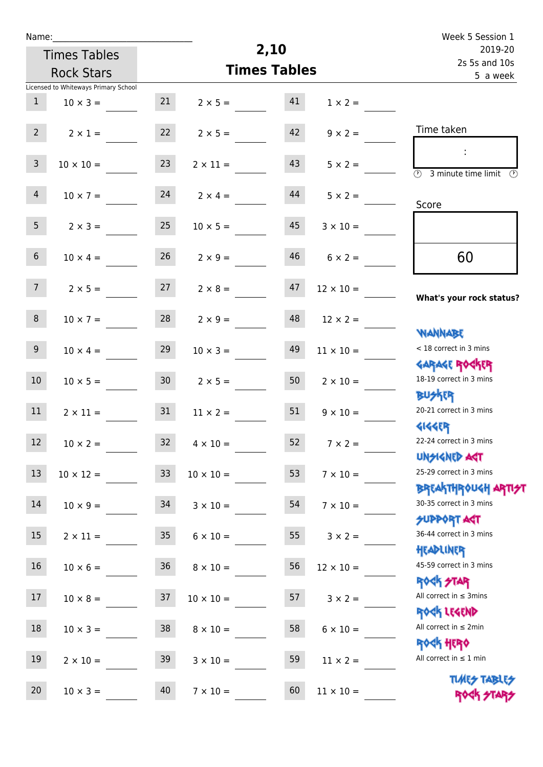| Name:          |                                      |                 |                       | Week 5 Session 1    |                  |                                                                    |
|----------------|--------------------------------------|-----------------|-----------------------|---------------------|------------------|--------------------------------------------------------------------|
|                | <b>Times Tables</b>                  |                 |                       | 2,10                |                  | 2019-20                                                            |
|                | <b>Rock Stars</b>                    |                 |                       | <b>Times Tables</b> |                  | 2s 5s and 10s<br>5 a week                                          |
|                | Licensed to Whiteways Primary School |                 |                       |                     |                  |                                                                    |
| $\mathbf{1}$   | $10 \times 3 =$                      | 21              | $2 \times 5 =$        | 41                  | $1 \times 2 =$   |                                                                    |
| 2 <sup>7</sup> | $2 \times 1 =$                       | 22              | $2 \times 5 =$        | 42                  | $9 \times 2 =$   | Time taken                                                         |
| $\mathbf{3}$   | $10 \times 10 =$                     | 23              | $2 \times 11 =$       | 43                  | $5 \times 2 =$   | $\overline{(\mathcal{V})}$<br>3 minute time limit<br>$\mathcal{O}$ |
| $\overline{4}$ | $10 \times 7 =$                      | 24              | $2 \times 4 =$        | 44                  | $5 \times 2 =$   | Score                                                              |
| 5 <sub>1</sub> | $2 \times 3 =$                       | 25              | $10 \times 5 =$       | 45                  | $3 \times 10 =$  |                                                                    |
| 6 <sup>1</sup> | $10 \times 4 =$                      | 26              | $2 \times 9 =$        | 46                  | $6 \times 2 =$   | 60                                                                 |
| 7 <sup>7</sup> | $2 \times 5 =$                       | 27              | $2 \times 8 =$        | 47                  | $12 \times 10 =$ | What's your rock status?                                           |
| 8              | $10 \times 7 =$                      | 28              | $2 \times 9 =$        | 48                  | $12 \times 2 =$  |                                                                    |
| 9 <sub>o</sub> | $10 \times 4 =$                      | 29              | $10 \times 3 =$       | 49                  | $11 \times 10 =$ | <b>NANNABE</b><br>< 18 correct in 3 mins                           |
| 10             | $10 \times 5 =$                      | 30 <sub>o</sub> | $2 \times 5 =$        | 50                  | $2 \times 10 =$  | <b>GARAGE ROGKER</b><br>18-19 correct in 3 mins                    |
| 11             | $2 \times 11 =$                      | 31              | $11 \times 2 =$       | 51                  | $9 \times 10 =$  | <b>BUSKER</b><br>20-21 correct in 3 mins<br><b>4144EP</b>          |
| 12             | $10 \times 2 =$                      |                 | $32 \t 4 \times 10 =$ | 52                  | $7 \times 2 =$   | 22-24 correct in 3 mins<br><b>UNSIGNED AST</b>                     |
| 13             | $10 \times 12 =$                     | 33 <sup>°</sup> | $10 \times 10 =$      | 53                  | $7 \times 10 =$  | 25-29 correct in 3 mins<br>ΒΡΓΑΚΤΗΡΟUGH ΑΡΤΙ <del>2</del> Τ        |
| 14             | $10 \times 9 = 34$                   |                 | $3 \times 10 =$       | 54                  | $7 \times 10 =$  | 30-35 correct in 3 mins<br><b>SUPPORT AGT</b>                      |
| 15             | $2 \times 11 =$                      | 35              | $6 \times 10 =$       | 55                  | $3 \times 2 =$   | 36-44 correct in 3 mins<br>HEADLINER                               |
| 16             | $10 \times 6 = 36$                   |                 | $8 \times 10 =$       | 56                  | $12 \times 10 =$ | 45-59 correct in 3 mins<br><b>ROCK STAR</b>                        |
| 17             | $10 \times 8 =$                      | 37              | $10 \times 10 =$      | 57                  | $3 \times 2 =$   | All correct in $\leq$ 3mins<br>ROCK LEGEND                         |
| 18             | $10 \times 3 =$                      | 38              | $8 \times 10 =$       | 58                  | $6 \times 10 =$  | All correct in $\leq 2$ min<br><b>ROCK HERO</b>                    |
| 19             | $2 \times 10 =$                      | 39              | $3 \times 10 =$       | 59                  | $11 \times 2 =$  | All correct in $\leq 1$ min                                        |
| 20             | $10 \times 3 =$                      | 40              | $7 \times 10 =$       | 60                  | $11 \times 10 =$ | <b>TUARS TABLES</b><br>ROCK STARS                                  |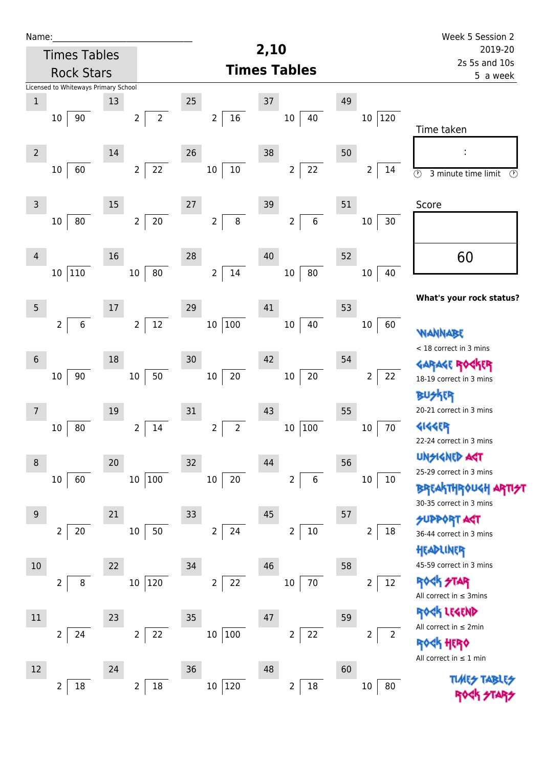| Name:          |                                      |        |                                  |                                  |                           |    |                          | Week 5 Session 2                                           |
|----------------|--------------------------------------|--------|----------------------------------|----------------------------------|---------------------------|----|--------------------------|------------------------------------------------------------|
|                | <b>Times Tables</b>                  |        |                                  |                                  | 2,10                      |    |                          | 2019-20<br>2s 5s and 10s                                   |
|                | <b>Rock Stars</b>                    |        |                                  |                                  | <b>Times Tables</b>       |    |                          | 5 a week                                                   |
|                | Licensed to Whiteways Primary School |        |                                  |                                  |                           |    |                          |                                                            |
| $\mathbf 1$    |                                      | 13     |                                  | 25                               | 37                        | 49 |                          |                                                            |
|                | 90<br>10                             |        | $\overline{2}$<br>$\overline{2}$ | $16\,$<br>$\overline{2}$         | $10\,$<br>40              |    | 10 120                   | Time taken                                                 |
| $\overline{2}$ |                                      | 14     |                                  | 26                               | 38                        | 50 |                          |                                                            |
|                | 60<br>10                             |        | 22<br>$\overline{2}$             | $10\,$<br>10                     | 22<br>$\overline{2}$      |    | $\overline{2}$<br>14     | $\overline{\odot}$<br>3 minute time limit<br>$\circled{r}$ |
| $\mathsf 3$    |                                      | $15\,$ |                                  | 27                               | 39                        | 51 |                          | Score                                                      |
|                | 80<br>10                             |        | $20\,$<br>$\overline{2}$         | 8<br>$\overline{2}$              | $\,6\,$<br>$\overline{2}$ |    | 30<br>10                 |                                                            |
| 4              |                                      | 16     |                                  | 28                               | 40                        | 52 |                          | 60                                                         |
|                | $110\,$<br>10                        |        | $80\,$<br>10 <sup>°</sup>        | $14\,$<br>$\overline{2}$         | $80\,$<br>$10\,$          |    | 40<br>10                 |                                                            |
| $\overline{5}$ |                                      | 17     |                                  | 29                               | 41                        | 53 |                          | What's your rock status?                                   |
|                | $\overline{2}$<br>6                  |        | 12<br>$\overline{2}$             | 100<br>$10\,$                    | 40<br>$10\,$              |    | $10\,$<br>60             | <b>WANNABE</b>                                             |
| $6\phantom{1}$ |                                      | 18     |                                  | 30                               | 42                        | 54 |                          | < 18 correct in 3 mins                                     |
|                | $90\,$<br>10                         |        | 50<br>$10\,$                     | $20\,$<br>$10\,$                 | $20\,$<br>$10\,$          |    | 22<br>$\overline{2}$     | <b>GARAGE RO</b><br>18-19 correct in 3 mins                |
| 7              |                                      | 19     |                                  | 31                               | 43                        | 55 |                          | <b>BUSKER</b><br>20-21 correct in 3 mins                   |
|                | 80<br>10                             |        | 14<br>2                          | $\overline{2}$<br>$\overline{2}$ | $10\,$<br>100             |    | 70<br>10                 | <b>4144EP</b>                                              |
|                |                                      |        |                                  |                                  |                           |    |                          | 22-24 correct in 3 mins                                    |
| $\,8\,$        |                                      | 20     |                                  | 32                               | 44                        | 56 |                          | UNSIGNED AGT                                               |
|                | 60<br>10                             |        | 10 100                           | $20\,$<br>10                     | $\,6\,$<br>2              |    | $10\,$<br>10             | 25-29 correct in 3 mins                                    |
|                |                                      |        |                                  |                                  |                           |    |                          | <b>BREAKTHROUGH</b><br>30-35 correct in 3 mins             |
| 9              |                                      | 21     |                                  | 33                               | 45                        | 57 |                          | <b>SUPPORT AGT</b>                                         |
|                | 20<br>2                              |        | $10\,$<br>50                     | $\overline{2}$<br>24             | $10\,$<br>$\overline{2}$  |    | $18\,$<br>2              | 36-44 correct in 3 mins<br>HEADLINER                       |
| $10$           |                                      | 22     |                                  | 34                               | 46                        | 58 |                          | 45-59 correct in 3 mins                                    |
|                | $\overline{2}$<br>8                  |        | 10 120                           | 22<br>$\overline{2}$             | 70<br>$10\,$              |    | $12\,$<br>$\overline{2}$ | <b>ROCK STAR</b><br>All correct in $\leq$ 3mins            |
| $11\,$         |                                      | 23     |                                  | 35                               | 47                        | 59 |                          | ROCK LEGEND                                                |
|                | $\overline{2}$<br>24                 |        | 22<br>$\overline{2}$             | $10\,$<br>$\vert$ 100            | 22<br>$\overline{2}$      |    | $\overline{2}$<br>2      | All correct in $\leq 2$ min                                |
|                |                                      |        |                                  |                                  |                           |    |                          | HERQ<br>All correct in $\leq 1$ min                        |
| 12             |                                      | 24     |                                  | 36                               | 48                        | 60 |                          |                                                            |
|                | $\overline{\mathbf{c}}$<br>18        |        | 18<br>$\overline{2}$             | 120<br>$10\,$                    | $18\,$<br>$\overline{2}$  |    | $10\,$                   |                                                            |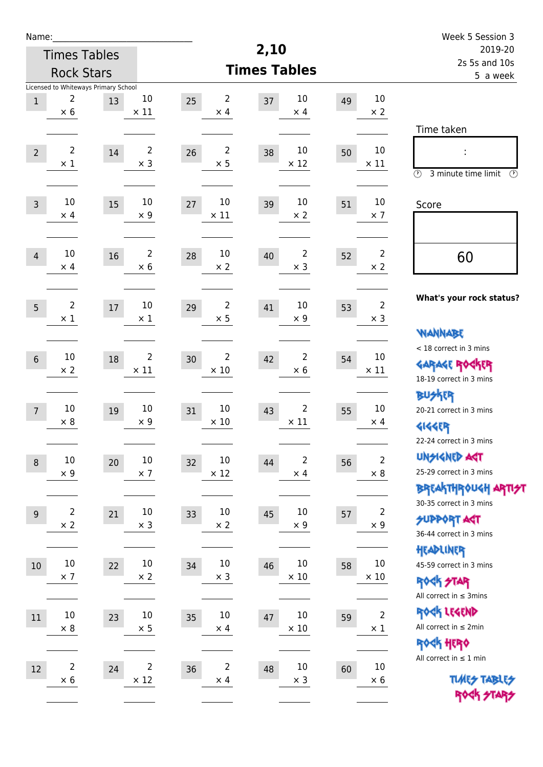| Name:            |                                                               |                                        |                                     |                                     | Week 5 Session 3                   |                                                                                                 |
|------------------|---------------------------------------------------------------|----------------------------------------|-------------------------------------|-------------------------------------|------------------------------------|-------------------------------------------------------------------------------------------------|
|                  | <b>Times Tables</b>                                           |                                        |                                     | 2,10                                |                                    | 2019-20<br>2s 5s and 10s                                                                        |
|                  | <b>Rock Stars</b>                                             |                                        |                                     | <b>Times Tables</b>                 |                                    | 5 a week                                                                                        |
| $\mathbf{1}$     | Licensed to Whiteways Primary School<br>2<br>13<br>$\times$ 6 | $10\,$<br>$\times$ 11                  | $\overline{2}$<br>25<br>$\times$ 4  | 10<br>37<br>$\times$ 4              | $10\,$<br>49<br>$\times 2$         |                                                                                                 |
| $\overline{2}$   | $\overline{2}$<br>$14\,$<br>$\times$ 1                        | $\overline{2}$<br>$\times$ 3           | $\overline{2}$<br>26<br>$\times$ 5  | 10<br>38<br>$\times$ 12             | 10<br>50<br>$\times$ 11            | Time taken<br>$\circled{r}$<br>3 minute time limit<br>$\circled{r}$                             |
| $\mathsf{3}$     | 10<br>15<br>$\times$ 4                                        | $10\,$<br>$\times$ 9                   | 10<br>27<br>$\times$ 11             | 10<br>39<br>$\times 2$              | $10\,$<br>51<br>$\times$ 7         | Score                                                                                           |
| $\overline{4}$   | 10<br>16<br>$\times$ 4                                        | $\overline{2}$<br>$\times 6$           | 10<br>28<br>$\times$ 2              | 2<br>40<br>$\times$ 3               | $\overline{2}$<br>52<br>$\times 2$ | 60                                                                                              |
| 5                | 2<br>17<br>$\times$ 1                                         | $10\,$<br>$\times 1$                   | $\overline{2}$<br>29<br>$\times$ 5  | 10<br>41<br>$\times$ 9              | $\overline{2}$<br>53<br>$\times$ 3 | What's your rock status?<br>WANNABE                                                             |
| $6\phantom{.}$   | 10<br>18<br>$\times 2$                                        | $\overline{2}$<br>$\times$ 11          | $\overline{2}$<br>30<br>$\times$ 10 | 2<br>42<br>$\times 6$               | 10<br>54<br>$\times$ 11            | < 18 correct in 3 mins<br><b>GARAGE ROCKER</b><br>18-19 correct in 3 mins                       |
| $7\overline{ }$  | 10<br>19<br>$\times 8$                                        | 10<br>$\times 9$                       | 10<br>31<br>$\times$ 10             | $\overline{2}$<br>43<br>$\times$ 11 | 10<br>55<br>$\times$ 4             | <b>BU外界</b><br>20-21 correct in 3 mins<br><b>4144EP</b><br>22-24 correct in 3 mins              |
| $\boldsymbol{8}$ | 10<br>20<br>$\times$ 9                                        | $10\,$<br>$\times$ 7                   | 10<br>32<br>$\times$ 12             | $\overline{c}$<br>44<br>$\times$ 4  | $\mathbf 2$<br>56<br>$\times$ 8    | <b>UNSIGNED AGT</b><br>25-29 correct in 3 mins<br>ΒΡΓΑ <sup>Κ</sup> ΤΗΡΟυΚΗ ΑΡΤΙ <del>2</del> Τ |
| $9\,$            | $\overline{2}$<br>21<br>$\times$ 2                            | $10\,$<br>$\times$ 3                   | $10\,$<br>33<br>$\times$ 2          | 10<br>45<br>$\times$ 9              | $\overline{2}$<br>57<br>$\times$ 9 | 30-35 correct in 3 mins<br><b>SUPPORT AGT</b><br>36-44 correct in 3 mins                        |
| 10               | $10\,$<br>22<br>$\times$ 7                                    | $10\,$<br>$\times 2$                   | $10\,$<br>34<br>$\times$ 3          | $10\,$<br>46<br>$\times$ 10         | $10\,$<br>58<br>$\times$ 10        | HEADLINER<br>45-59 correct in 3 mins<br><b>ROCK STAR</b><br>All correct in $\leq$ 3mins         |
| $11\,$           | $10\,$<br>23<br>$\times 8$                                    | $10\,$<br>$\times$ 5                   | 10<br>35<br>$\times$ 4              | 10<br>47<br>$\times$ 10             | $\mathbf 2$<br>59<br>$\times$ 1    | ROCK LEGEND<br>All correct in $\leq 2$ min<br>ROCK HERO                                         |
| 12               | $\overline{\mathbf{c}}$<br>24<br>$\times$ 6                   | $\overline{\mathbf{c}}$<br>$\times$ 12 | $\mathbf 2$<br>36<br>$\times$ 4     | $10\,$<br>48<br>$\times$ 3          | $10\,$<br>60<br>$\times$ 6         | All correct in $\leq 1$ min<br><b>TUARS TABLES</b><br>ROCK STARS                                |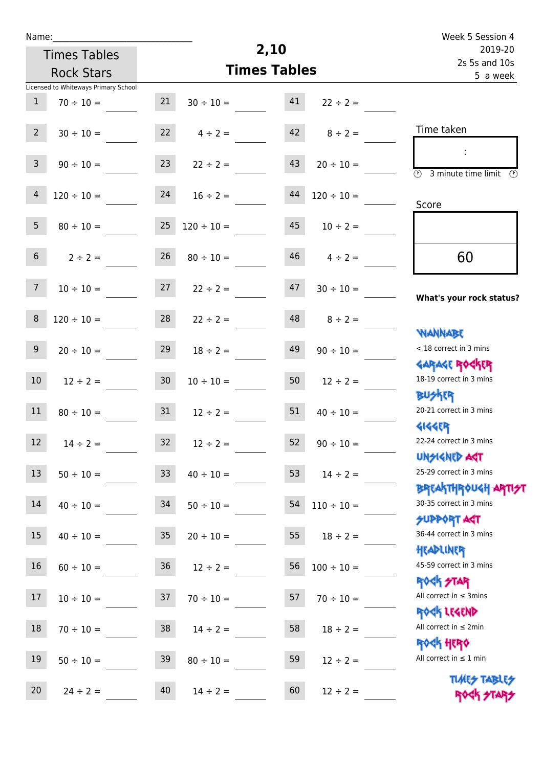| u | am |  |  |
|---|----|--|--|
|   |    |  |  |

## **2,10 Times Tables** Licensed to Whiteways Primary School Times Tables Rock Stars Week 5 Session 4 2s 5s and 10s 2019-20 5 a week Time taken :  $\overline{\textcircled{3}}$  3 minute time limit  $\overline{\textcircled{5}}$ Score **What's your rock status? WANNABE** Garage Rocker **BUSKER** Gigger Unsigned Act Breakthrough artist SUPPORT ACT Headliner ROCK STAR Rock Legend < 18 correct in 3 mins 18-19 correct in 3 mins 20-21 correct in 3 mins 22-24 correct in 3 mins 25-29 correct in 3 mins 30-35 correct in 3 mins 36-44 correct in 3 mins 45-59 correct in 3 mins All correct in ≤ 3mins All correct in ≤ 2min 60 1  $70 \div 10 =$  21  $30 \div 10 =$  41  $22 \div 2 =$ 2  $30 \div 10 =$  22  $4 \div 2 =$  42  $8 \div 2 =$ 3  $90 \div 10 =$  23  $22 \div 2 =$  43  $20 \div 10 =$  $4 \quad 120 \div 10 =$  24  $16 \div 2 =$  44  $120 \div 10 =$ 5  $80 \div 10 =$  25  $120 \div 10 =$  45  $10 \div 2 =$ 6  $2 \div 2 = 26$   $80 \div 10 = 46$   $4 \div 2 = 4$ 7  $10 \div 10 = 27$   $22 \div 2 = 47$   $30 \div 10 =$ 8  $120 \div 10 =$  28  $22 \div 2 =$  48  $8 \div 2 =$ 9 20 ÷ 10 = 29 18 ÷ 2 = 49 90 ÷ 10 = 10  $12 \div 2 = 30$   $10 \div 10 = 50$   $12 \div 2 =$ 11  $80 \div 10 =$  31  $12 \div 2 =$  51  $40 \div 10 =$ 12  $14 \div 2 = 32$   $12 \div 2 = 52$   $90 \div 10 = 52$ 13  $50 \div 10 =$  33  $40 \div 10 =$  53  $14 \div 2 =$ 14  $40 \div 10 =$  34  $50 \div 10 =$  54  $110 \div 10 =$ 15  $40 \div 10 =$  35  $20 \div 10 =$  55  $18 \div 2 =$ 16  $60 \div 10 =$  36  $12 \div 2 =$  56  $100 \div 10 =$ 17  $10 \div 10 =$  37  $70 \div 10 =$  57  $70 \div 10 =$ 18  $70 \div 10 =$  38  $14 \div 2 =$  58  $18 \div 2 =$

19  $50 \div 10 =$  39  $80 \div 10 =$  59  $12 \div 2 =$ 

20  $24 \div 2 = 40$   $14 \div 2 = 60$   $12 \div 2 =$ 

Rock Hero All correct in  $\leq 1$  min

> **TIMES TABLES** ROCK STARS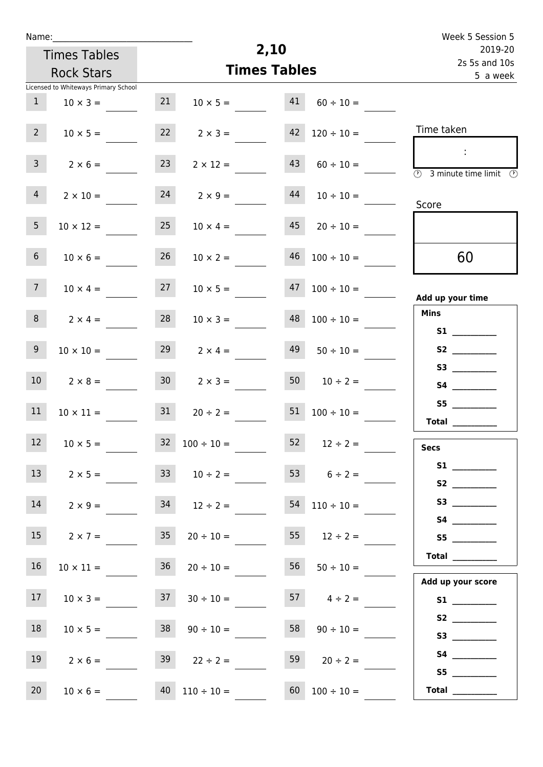| u | am |  |  |
|---|----|--|--|
|   |    |  |  |

Times Tables Rock Stars

|                                                                                     |                          |    |                      |    | Licensed to Whiteways Primary School |                 |
|-------------------------------------------------------------------------------------|--------------------------|----|----------------------|----|--------------------------------------|-----------------|
|                                                                                     | $41$ $60 \div 10 =$      |    | $10 \times 5 =$      | 21 | $10 \times 3 =$                      | $\mathbf{1}$    |
| Time taken                                                                          | $120 \div 10 =$          | 42 | $2 \times 3 =$       | 22 | $10 \times 5 =$                      | 2 <sup>7</sup>  |
| $\mathcal{L}$<br>$\overline{\textcircled{2}}$ 3 minute time limit $\textcircled{3}$ | $60 \div 10 =$           | 43 | $2 \times 12 =$      | 23 | $2 \times 6 =$                       | 3 <sup>7</sup>  |
| Score                                                                               | $10 \div 10 =$           | 44 | $2 \times 9 =$       | 24 | $2 \times 10 =$                      | $4 -$           |
|                                                                                     | $20 \div 10 =$           | 45 | $10 \times 4 =$      | 25 | $10 \times 12 =$                     | 5 <sub>1</sub>  |
| 60                                                                                  | $46$ $100 \div 10 =$     |    | $10 \times 2 =$      | 26 | $10 \times 6 =$                      | 6 <sub>1</sub>  |
| Add up your time                                                                    | $47 \quad 100 \div 10 =$ |    | $10 \times 5 =$      | 27 | $10 \times 4 =$                      | 7 <sup>7</sup>  |
| <b>Mins</b><br>S1                                                                   | $48 \quad 100 \div 10 =$ |    | $10 \times 3 =$      | 28 | $2 \times 4 =$                       | 8 <sub>1</sub>  |
|                                                                                     | $50 \div 10 =$           | 49 | $29$ $2 \times 4 =$  |    | $10 \times 10 =$                     | 9 <sub>o</sub>  |
|                                                                                     | $50 \t 10 \div 2 =$      |    | $2 \times 3 =$       | 30 | $2 \times 8 =$                       | 10 <sup>1</sup> |
| S5<br>Total $\qquad$                                                                | $51 \quad 100 \div 10 =$ |    | $20 \div 2 =$        | 31 | $10 \times 11 =$                     | 11              |
| <b>Secs</b>                                                                         | $52 \t 12 \div 2 =$      |    | $32 \t100 \div 10 =$ |    | $10 \times 5 =$                      | 12              |
| <b>S2 S2</b>                                                                        | $6 \div 2 =$             |    | $33 \t 10 \div 2 =$  |    | $2 \times 5 =$                       | 13 <sup>7</sup> |
|                                                                                     | $54$ $110 \div 10 =$     |    | $12 \div 2 =$        | 34 | $2 \times 9 =$                       | 14              |
| S5                                                                                  | 55 $12 \div 2 =$         |    | $20 \div 10 =$       | 35 | $2 \times 7 =$                       | 15              |
| Total $\_\_$                                                                        | $50 \div 10 =$           | 56 | $20 \div 10 =$       | 36 | $10 \times 11 =$                     | 16              |
| Add up your score                                                                   | 57 $4 \div 2 =$          |    | $30 \div 10 =$       | 37 | $10 \times 3 =$                      | 17              |
| S3                                                                                  | $90 \div 10 =$           | 58 | $90 \div 10 =$       | 38 | $10 \times 5 =$                      | 18              |
|                                                                                     | 59 $20 \div 2 =$         |    | $22 \div 2 =$        | 39 | $2 \times 6 =$                       | 19              |
| S5<br>Total $\_\_$                                                                  | $100 \div 10 =$          | 60 | $110 \div 10 =$      | 40 | $10 \times 6 =$                      | 20              |
|                                                                                     |                          |    |                      |    |                                      |                 |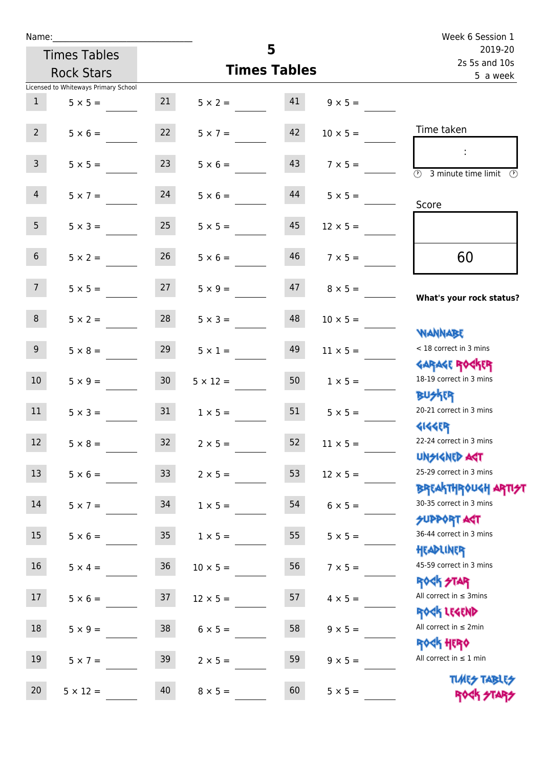| Name:            |                                      |                 |                 |                     |                                  | Week 6 Session 1                                                 |
|------------------|--------------------------------------|-----------------|-----------------|---------------------|----------------------------------|------------------------------------------------------------------|
|                  | <b>Times Tables</b>                  |                 |                 | 5                   |                                  | 2019-20<br>2s 5s and 10s                                         |
|                  | <b>Rock Stars</b>                    |                 |                 | <b>Times Tables</b> |                                  | 5 a week                                                         |
|                  | Licensed to Whiteways Primary School |                 |                 |                     |                                  |                                                                  |
| 1                | $5 \times 5 =$                       | 21              |                 |                     | $5 \times 2 =$ 41 $9 \times 5 =$ |                                                                  |
| $2^{\circ}$      | $5 \times 6 =$                       | 22              | $5 \times 7 =$  | 42                  | $10 \times 5 =$                  | Time taken                                                       |
| 3 <sup>7</sup>   | $5 \times 5 =$                       | 23              | $5 \times 6 =$  | 43                  | $7 \times 5 =$                   | (1)<br>3 minute time limit<br>(V)                                |
| 4                | $5 \times 7 =$                       | 24              | $5 \times 6 =$  | 44                  | $5 \times 5 =$                   | Score                                                            |
| 5 <sup>5</sup>   | $5 \times 3 =$                       | 25              | $5 \times 5 =$  | 45                  | $12 \times 5 =$                  |                                                                  |
| 6 <sup>1</sup>   | $5 \times 2 =$                       | 26              | $5 \times 6 =$  | 46                  | $7 \times 5 =$                   | 60                                                               |
| 7 <sup>7</sup>   | $5 \times 5 = 27$                    |                 | $5 \times 9 =$  | 47                  | $8 \times 5 =$                   | What's your rock status?                                         |
| 8                | $5 \times 2 =$                       | 28              | $5 \times 3 =$  | 48                  | $10 \times 5 =$                  | <b>NANNABE</b>                                                   |
| 9                | $5 \times 8 =$                       | 29              | $5 \times 1 =$  | 49                  | $11 \times 5 =$                  | < 18 correct in 3 mins<br><b>GARAGE ROCKER</b>                   |
| 10 <sup>1</sup>  | $5 \times 9 =$                       | 30 <sup>°</sup> | $5 \times 12 =$ | 50                  | $1 \times 5 =$                   | 18-19 correct in 3 mins<br><b>BUSKER</b>                         |
| 11               | $5 \times 3 =$                       | 31              | $1 \times 5 =$  | 51                  | $5 \times 5 =$                   | 20-21 correct in 3 mins<br><b>4144ER</b>                         |
| 12               | $5 \times 8 =$                       | 32              | $2 \times 5 =$  | 52                  | $11 \times 5 =$                  | 22-24 correct in 3 mins<br><b>UNSIGNED AGT</b>                   |
| 13               | $5 \times 6 =$                       | 33 <sup>°</sup> | $2 \times 5 =$  | 53                  | $12 \times 5 =$                  | 25-29 correct in 3 mins<br><b>BREAKTHROUGH ARTI<del>S</del>T</b> |
| 14               | $5 \times 7 =$                       | 34              | $1 \times 5 =$  | 54                  | $6 \times 5 =$                   | 30-35 correct in 3 mins<br><b>SUPPORT AGT</b>                    |
| 15 <sub>15</sub> | $5 \times 6 =$                       | 35              | $1 \times 5 =$  | 55                  | $5 \times 5 =$                   | 36-44 correct in 3 mins<br>HEADLINER                             |
| 16               | $5 \times 4 =$                       | $36\,$          | $10 \times 5 =$ | 56                  | $7 \times 5 =$                   | 45-59 correct in 3 mins<br>ROCK STAR                             |
| 17               | $5 \times 6 =$                       | 37              | $12 \times 5 =$ | 57                  | $4 \times 5 =$                   | All correct in $\leq$ 3mins<br>ROCK LEGEND                       |
| 18               | $5 \times 9 =$                       | 38              | $6 \times 5 =$  | 58                  | $9 \times 5 =$                   | All correct in $\leq 2$ min<br><b>ROCK HERO</b>                  |
| 19               | $5 \times 7 =$                       | 39              | $2 \times 5 =$  | 59                  | $9 \times 5 =$                   | All correct in $\leq 1$ min                                      |
| 20               | $5 \times 12 =$                      | 40              | $8 \times 5 =$  | 60                  | $5 \times 5 =$                   | <b>TUARS TABLES</b><br>ROCK STARS                                |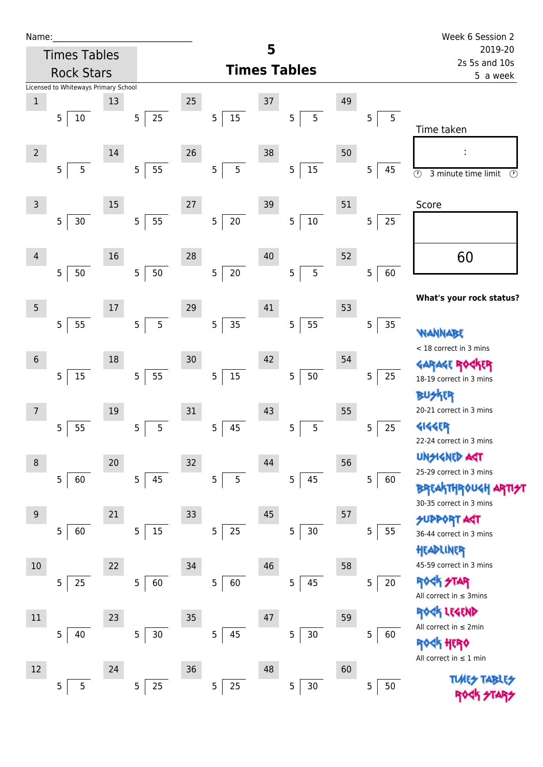| Name |  |  |  |
|------|--|--|--|
|      |  |  |  |

 $5\overline{5}$ 

 $5\overline{\smash{)}25}$ 

 $5 \overline{\smash{)}25}$ 

 $5 \overline{\smash)30}$ 

| Name:          |                                      |    |                      |        |             |    |                     |    |                      | Week 6 Session 2                                                 |  |
|----------------|--------------------------------------|----|----------------------|--------|-------------|----|---------------------|----|----------------------|------------------------------------------------------------------|--|
|                | <b>Times Tables</b>                  |    |                      |        |             | 5  |                     |    |                      | 2019-20<br>2s 5s and 10s                                         |  |
|                | <b>Rock Stars</b>                    |    |                      |        |             |    | <b>Times Tables</b> |    | 5 a week             |                                                                  |  |
|                | Licensed to Whiteways Primary School |    |                      |        |             |    |                     |    |                      |                                                                  |  |
| $\mathbf{1}$   |                                      | 13 |                      | 25     |             | 37 |                     | 49 |                      |                                                                  |  |
|                | 5<br>$10\,$                          |    | $25\,$<br>5          |        | 5<br>$15\,$ |    | 5<br>5              |    | 5<br>5               | Time taken                                                       |  |
| $\overline{2}$ |                                      | 14 |                      | 26     |             | 38 |                     | 50 |                      |                                                                  |  |
|                | $\overline{5}$<br>5                  |    | 55<br>5              |        | 5<br>5      |    | 15<br>5             |    | 5<br>45              | $\odot$<br>3 minute time limit<br>⊕                              |  |
| $\overline{3}$ |                                      | 15 |                      | 27     |             | 39 |                     | 51 |                      | Score                                                            |  |
|                | 5<br>$30$                            |    | 55<br>5              |        | $20\,$<br>5 |    | $10\,$<br>5         |    | 25<br>5              |                                                                  |  |
| $\overline{4}$ |                                      | 16 |                      | 28     |             | 40 |                     | 52 |                      | 60                                                               |  |
|                | 5<br>50                              |    | 50<br>5              |        | 5<br>$20\,$ |    | 5<br>5              |    | 60<br>$\overline{5}$ |                                                                  |  |
|                |                                      |    |                      |        |             |    |                     |    |                      |                                                                  |  |
| 5              |                                      | 17 |                      | 29     |             | 41 |                     | 53 |                      | What's your rock status?                                         |  |
|                | 55<br>5                              |    | $\overline{5}$<br>5  |        | 5<br>$35\,$ |    | 55<br>5             |    | 35<br>$\overline{5}$ | WANNABE                                                          |  |
| $\sqrt{6}$     |                                      | 18 |                      | 30     |             | 42 |                     | 54 |                      | < 18 correct in 3 mins                                           |  |
|                | 5<br>15                              |    | 55<br>5              |        | $15\,$<br>5 |    | 50<br>5             |    | 5<br>25              | GARAGE ROGKER                                                    |  |
|                |                                      |    |                      |        |             |    |                     |    |                      | 18-19 correct in 3 mins<br>木明                                    |  |
| $\overline{7}$ |                                      | 19 |                      | 31     |             | 43 |                     | 55 |                      | 20-21 correct in 3 mins                                          |  |
|                | 5<br>55                              |    | 5<br>5               |        | 5<br>45     |    | 5<br>5              |    | 25<br>5              | <b>4144EP</b>                                                    |  |
|                |                                      |    |                      |        |             |    |                     |    |                      | 22-24 correct in 3 mins                                          |  |
| 8              |                                      | 20 |                      | 32     |             | 44 |                     | 56 |                      | <b>UNSIGNED AGT</b>                                              |  |
|                | 5<br>60                              |    | 45<br>5              |        | 5<br>5      |    | 5<br>45             |    | 5<br>60              | 25-29 correct in 3 mins                                          |  |
|                |                                      |    |                      |        |             |    |                     |    |                      | <b>BREAKTHROUGH ARTI<del>S</del>T</b><br>30-35 correct in 3 mins |  |
| 9              |                                      | 21 |                      | 33     |             | 45 |                     | 57 |                      | <b>SUPPORT AST</b>                                               |  |
|                | 5<br>60                              |    | 15<br>5 <sub>5</sub> |        | 5<br>$25\,$ |    | $30\,$<br>5         |    | 55<br>5              | 36-44 correct in 3 mins                                          |  |
|                |                                      |    |                      |        |             |    |                     |    |                      | HEADLINER                                                        |  |
| 10             |                                      | 22 |                      | 34     |             | 46 |                     | 58 |                      | 45-59 correct in 3 mins                                          |  |
|                | 5<br>25                              |    | 60<br>$\overline{5}$ |        | 5<br>60     |    | 45<br>5             |    | 5<br>$20\,$          | <b>ROCK STAR</b><br>All correct in $\leq$ 3mins                  |  |
| 11             |                                      | 23 |                      | $35\,$ |             | 47 |                     | 59 |                      | ROCK LEGEND                                                      |  |
|                | 40<br>5                              |    | 30 <sub>o</sub><br>5 |        | 45<br>5     |    | $30\,$<br>5         |    | 5<br>60              | All correct in $\leq 2$ min<br>ROCK HERO                         |  |
|                |                                      |    |                      |        |             |    |                     |    |                      |                                                                  |  |

Rock Hero All correct in  $\leq 1$  min

 $5\sqrt{50}$ 

TUMES TABLES ROCK STARS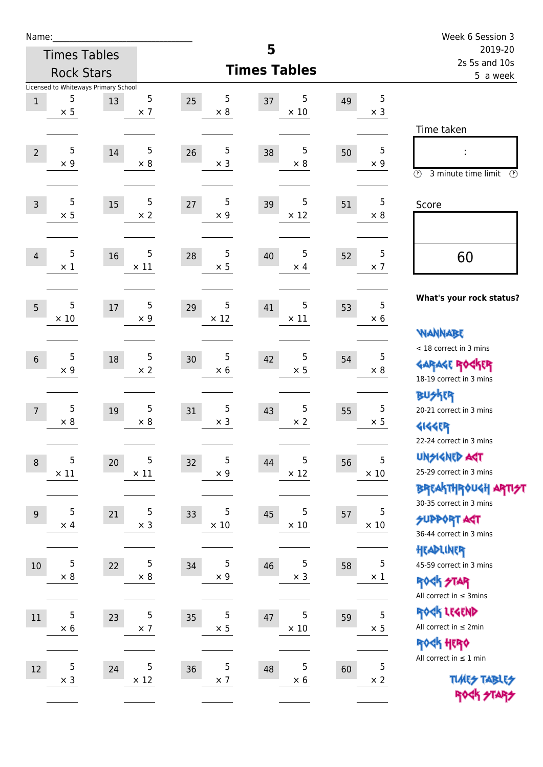| Name:            |                 |                                      |                 |                                |                        |    |                 | Week 6 Session 3                                            |  |
|------------------|-----------------|--------------------------------------|-----------------|--------------------------------|------------------------|----|-----------------|-------------------------------------------------------------|--|
|                  |                 | <b>Times Tables</b>                  |                 |                                | 5                      |    |                 | 2019-20<br>2s 5s and 10s                                    |  |
|                  |                 | <b>Rock Stars</b>                    |                 |                                | <b>Times Tables</b>    |    |                 | 5 a week                                                    |  |
|                  |                 | Licensed to Whiteways Primary School |                 |                                |                        |    |                 |                                                             |  |
| $\mathbf{1}$     | 5<br>$\times$ 5 | 13                                   | 5<br>$\times$ 7 | $\sqrt{5}$<br>25<br>$\times 8$ | 5<br>37<br>$\times$ 10 | 49 | 5<br>$\times$ 3 |                                                             |  |
|                  |                 |                                      |                 |                                |                        |    |                 | Time taken                                                  |  |
|                  | 5               |                                      | 5               | 5                              | 5                      |    | 5               |                                                             |  |
| $\overline{2}$   | $\times$ 9      | 14                                   | $\times 8$      | 26<br>$\times$ 3               | 38<br>$\times 8$       | 50 | $\times 9$      |                                                             |  |
|                  |                 |                                      |                 |                                |                        |    |                 | $\circled{r}$<br>3 minute time limit<br>$\mathcal{O}$       |  |
| $\overline{3}$   | 5               | 15                                   | 5               | 5<br>27                        | 5<br>39                | 51 | 5               | Score                                                       |  |
|                  | $\times$ 5      |                                      | $\times 2$      | $\times$ 9                     | $\times$ 12            |    | $\times 8$      |                                                             |  |
|                  |                 |                                      |                 |                                |                        |    |                 |                                                             |  |
| $\overline{4}$   | 5               | 16                                   | 5               | $\sqrt{5}$<br>28               | 5<br>40                | 52 | 5               | 60                                                          |  |
|                  | $\times$ 1      |                                      | $\times$ 11     | $\times$ 5                     | $\times$ 4             |    | $\times$ 7      |                                                             |  |
|                  |                 |                                      |                 |                                |                        |    |                 |                                                             |  |
| 5                | 5               | 17                                   | 5               | 5<br>29                        | 5<br>41                | 53 | 5               | What's your rock status?                                    |  |
|                  | $\times$ 10     |                                      | $\times$ 9      | $\times$ 12                    | $\times$ 11            |    | $\times 6$      |                                                             |  |
|                  |                 |                                      |                 |                                |                        |    |                 | <b>NANNABE</b>                                              |  |
| $6\phantom{1}$   | 5               | 18                                   | 5               | 5<br>30                        | 5<br>42                | 54 | 5               | < 18 correct in 3 mins                                      |  |
|                  | $\times$ 9      |                                      | $\times 2$      | $\times$ 6                     | $\times$ 5             |    | $\times$ 8      | <b>GARAGE ROGKER</b><br>18-19 correct in 3 mins             |  |
|                  |                 |                                      |                 |                                |                        |    |                 | <b>BUSKER</b>                                               |  |
| $\overline{7}$   | 5               | 19                                   | 5               | 5<br>31                        | 5<br>43                | 55 | 5               | 20-21 correct in 3 mins                                     |  |
|                  | $\times$ 8      |                                      | $\times$ 8      | $\times$ 3                     | $\times$ 2             |    | $\times$ 5      | <b>4144EP</b>                                               |  |
|                  |                 |                                      |                 |                                |                        |    |                 | 22-24 correct in 3 mins                                     |  |
| $\boldsymbol{8}$ | 5               | $20\,$                               | 5               | 5<br>32                        | 5<br>44                | 56 | 5               | <b>UNSIGNED AGT</b>                                         |  |
|                  | $\times$ 11     |                                      | $\times$ 11     | $\times$ 9                     | $\times$ 12            |    | $\times$ 10     | 25-29 correct in 3 mins                                     |  |
|                  |                 |                                      |                 |                                |                        |    |                 | BREAKTHRÓUGH ARTI <del>2</del> 1<br>30-35 correct in 3 mins |  |
| $9\,$            | 5               | 21                                   | 5               | $\sqrt{5}$<br>33               | 5<br>45                | 57 | 5               | <b>SUPPORT ART</b>                                          |  |
|                  | $\times$ 4      |                                      | $\times$ 3      | $\times$ 10                    | $\times$ 10            |    | $\times$ 10     | 36-44 correct in 3 mins                                     |  |
|                  |                 |                                      |                 |                                |                        |    |                 | HEADLINER                                                   |  |
| 10               | 5               | 22                                   | 5               | 5<br>34                        | 5<br>46                | 58 | 5               | 45-59 correct in 3 mins                                     |  |
|                  | $\times 8$      |                                      | $\times 8$      | $\times 9$                     | $\times$ 3             |    | $\times$ 1      | <b>ROCK STAR</b>                                            |  |
|                  |                 |                                      |                 |                                |                        |    |                 | All correct in $\leq$ 3mins                                 |  |
| $11\,$           | 5               | 23                                   | 5               | 5<br>35                        | 5<br>47                | 59 | 5               | ROCK LEGEND                                                 |  |
|                  | $\times 6$      |                                      | $\times$ 7      | $\times$ 5                     | $\times$ 10            |    | $\times$ 5      | All correct in $\leq 2$ min                                 |  |
|                  |                 |                                      |                 |                                |                        |    |                 | ROCK HERO<br>All correct in $\leq 1$ min                    |  |
| 12               | 5               | 24                                   | 5               | 5<br>36                        | 5<br>48                | 60 | 5               |                                                             |  |
|                  | $\times$ 3      |                                      | $\times$ 12     | $\times$ 7                     | $\times$ 6             |    | $\times$ 2      | <b>TUARS TABLES</b>                                         |  |
|                  |                 |                                      |                 |                                |                        |    |                 | ROCK STARS                                                  |  |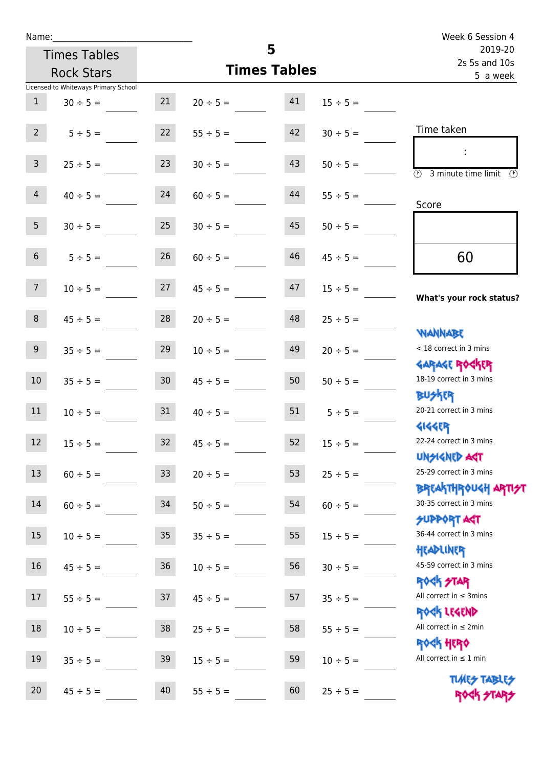| Name:           |                                                       |                  |               |                          |               | Week 6 Session 4                                                 |
|-----------------|-------------------------------------------------------|------------------|---------------|--------------------------|---------------|------------------------------------------------------------------|
|                 | <b>Times Tables</b>                                   |                  |               | 5<br><b>Times Tables</b> |               | 2019-20<br>2s 5s and 10s                                         |
|                 | <b>Rock Stars</b>                                     |                  |               |                          |               | 5 a week                                                         |
| 1               | Licensed to Whiteways Primary School<br>$30 \div 5 =$ | 21               | $20 \div 5 =$ | 41                       | $15 \div 5 =$ |                                                                  |
| $2^{\circ}$     | $5 \div 5 =$                                          | 22               | $55 \div 5 =$ | 42                       | $30 \div 5 =$ | Time taken                                                       |
| 3 <sup>7</sup>  | $25 \div 5 =$                                         | 23               | $30 \div 5 =$ | 43                       | $50 \div 5 =$ | $\overline{(\mathcal{V})}$<br>3 minute time limit<br>O)          |
| $\overline{4}$  | $40 \div 5 =$                                         | 24               | $60 \div 5 =$ | 44                       | $55 \div 5 =$ | Score                                                            |
| 5 <sub>1</sub>  | $30 \div 5 =$                                         | 25               | $30 \div 5 =$ | 45                       | $50 \div 5 =$ |                                                                  |
| 6 <sup>1</sup>  | $5 \div 5 =$                                          | 26               | $60 \div 5 =$ | 46                       | $45 \div 5 =$ | 60                                                               |
| 7 <sup>7</sup>  | $10 \div 5 =$                                         | 27               | $45 \div 5 =$ | 47                       | $15 \div 5 =$ | What's your rock status?                                         |
| 8 <sup>1</sup>  | $45 \div 5 =$                                         | 28               | $20 \div 5 =$ | 48                       | $25 \div 5 =$ |                                                                  |
| 9 <sup>°</sup>  | $35 \div 5 =$                                         | 29               | $10 \div 5 =$ | 49                       | $20 \div 5 =$ | <b>WANNABE</b><br>< 18 correct in 3 mins                         |
| 10 <sup>°</sup> | $35 \div 5 =$                                         | 30 <sub>o</sub>  | $45 \div 5 =$ | 50                       | $50 \div 5 =$ | <b>GARAGE ROCKER</b><br>18-19 correct in 3 mins                  |
| 11              | $10 \div 5 =$                                         | 31               | $40 \div 5 =$ | 51                       | $5 \div 5 =$  | <b>BUSKER</b><br>20-21 correct in 3 mins                         |
| 12              | $15 \div 5 =$                                         | 32               | $45 \div 5 =$ | 52                       | $15 \div 5 =$ | <b>4144EP</b><br>22-24 correct in 3 mins                         |
| 13              | $60 \div 5 =$                                         | 33               | $20 \div 5 =$ | 53                       | $25 \div 5 =$ | <b>UNSIGNED AST</b><br>25-29 correct in 3 mins                   |
| 14              | $60 \div 5 =$                                         | 34               | $50 \div 5 =$ | 54                       | $60 \div 5 =$ | <b>BREAKTHROUGH ARTI<del>S</del>T</b><br>30-35 correct in 3 mins |
| 15              | $10 \div 5 =$                                         | $35\phantom{.0}$ | $35 \div 5 =$ | 55                       | $15 \div 5 =$ | SUPPORT ART<br>36-44 correct in 3 mins                           |
| 16              | $45 \div 5 =$                                         | 36               | $10 \div 5 =$ | 56                       | $30 \div 5 =$ | HEADLINER<br>45-59 correct in 3 mins                             |
| 17              | $55 \div 5 =$                                         | 37               | $45 \div 5 =$ | 57                       | $35 \div 5 =$ | <b>ROCK STAR</b><br>All correct in $\leq$ 3mins                  |
| $18\,$          | $10 \div 5 =$                                         | 38               | $25 \div 5 =$ | 58                       | $55 \div 5 =$ | ROCK LEGEND<br>All correct in $\leq 2$ min                       |
| $19\,$          | $35 \div 5 =$                                         | 39               | $15 \div 5 =$ | 59                       | $10 \div 5 =$ | ROCK HERO<br>All correct in $\leq 1$ min                         |
| 20              | $45 \div 5 =$                                         | 40               | $55 \div 5 =$ | 60                       | $25 \div 5 =$ | <b>TUARS TABLES</b><br>ROCK STARS                                |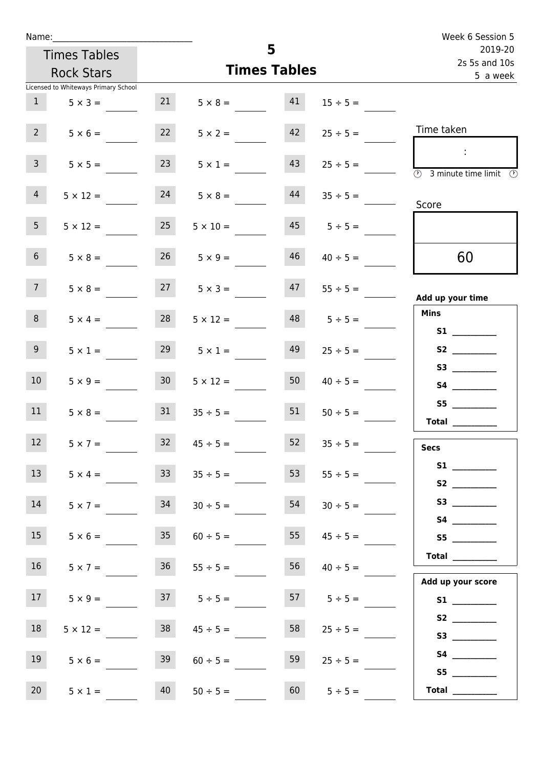| Name:                                |                                   |                      | Week 6 Session 5     |                     |                                                                         |
|--------------------------------------|-----------------------------------|----------------------|----------------------|---------------------|-------------------------------------------------------------------------|
| <b>Times Tables</b>                  |                                   |                      | 5                    |                     | 2019-20<br>2s 5s and 10s                                                |
| <b>Rock Stars</b>                    |                                   |                      | <b>Times Tables</b>  |                     | 5 a week                                                                |
| Licensed to Whiteways Primary School |                                   |                      |                      |                     |                                                                         |
| 1                                    | $5 \times 3 =$                    | 21                   | $5 \times 8 = 41$    | $15 \div 5 =$       |                                                                         |
| 2 <sup>7</sup>                       | $5 \times 6 =$                    | 22                   | 42<br>$5 \times 2 =$ | $25 \div 5 =$       | Time taken                                                              |
| 3 <sup>7</sup>                       | 23<br>$5 \times 5 =$              |                      | 43<br>$5 \times 1 =$ | $25 \div 5 =$       | $\sim$ 10 $\,$<br>$\overline{\textcircled{2}}$ 3 minute time limit<br>⊕ |
| $\overline{4}$                       | 24<br>$5 \times 12 =$             |                      | 44<br>$5 \times 8 =$ | $35 \div 5 =$       | Score                                                                   |
| 5 <sub>1</sub>                       | 25<br>$5 \times 12 =$             | $5 \times 10 =$      |                      | 45<br>$5 \div 5 =$  |                                                                         |
| 6 <sup>1</sup>                       | $5 \times 8 =$                    | $26 \t 5 \times 9 =$ | 46                   | $40 \div 5 =$       | 60                                                                      |
| 7 <sup>7</sup>                       | $5 \times 8 =$                    | $27 \t 5 \times 3 =$ |                      | $47 \t 55 \div 5 =$ | Add up your time                                                        |
| 8                                    | 28<br>$5 \times 4 =$              | $5 \times 12 =$      |                      | 48<br>$5 \div 5 =$  | <b>Mins</b><br><b>S1</b> and the set of $\mathbf{S}$                    |
| 9 <sub>o</sub>                       | 29<br>$5 \times 1 =$              | $5 \times 1 =$       | 49                   | $25 \div 5 =$       |                                                                         |
| 10 <sup>°</sup>                      | 30 <sup>1</sup><br>$5 \times 9 =$ | $5 \times 12 =$      | 50                   | $40 \div 5 =$       | S3<br><b>S4 S4</b>                                                      |
| 11                                   | $5 \times 8 =$                    | $31 \t 35 \div 5 =$  | 51                   | $50 \div 5 =$       | <b>Total</b>                                                            |
| 12 <sup>7</sup>                      | 32<br>$5 \times 7 =$              | $45 \div 5 =$        | 52                   | $35 \div 5 =$       | <b>Secs</b>                                                             |
| 13                                   | 33 <sup>°</sup><br>$5 \times 4 =$ | $35 \div 5 =$        | 53                   | $55 \div 5 =$       | S2                                                                      |
| 14                                   | 34<br>$5 \times 7 =$              | $30 \div 5 =$        | 54                   | $30 \div 5 =$       |                                                                         |
| 15                                   | 35<br>$5 \times 6 =$              | $60 \div 5 =$        | 55                   | $45 \div 5 =$       | S5                                                                      |
| 16 <sup>1</sup>                      | $5 \times 7 =$                    | $36$ $55 \div 5 =$   | 56                   | $40 \div 5 =$       | Total<br>Add up your score                                              |
| 17                                   | $5 \times 9 =$                    | $37 \t 5 \div 5 =$   |                      | $57 \t 5 \div 5 =$  |                                                                         |
| 18                                   | 38<br>$5 \times 12 =$             | $45 \div 5 =$        | 58                   | $25 \div 5 =$       | S2                                                                      |
| 19                                   | 39<br>$5 \times 6 =$              | $60 \div 5 =$        | 59                   | $25 \div 5 =$       | S5                                                                      |
| 20<br>$5 \times 1 =$                 | 40                                | $50 \div 5 =$        | 60                   | $5 \div 5 =$        | Total $\qquad$                                                          |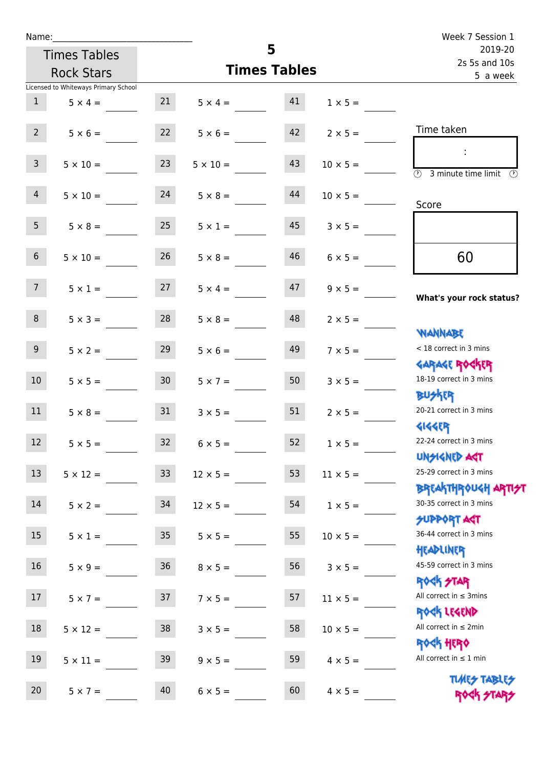| Name:           |                                          |                 |                 |                     |                      | Week 7 Session 1                                                 |
|-----------------|------------------------------------------|-----------------|-----------------|---------------------|----------------------|------------------------------------------------------------------|
|                 | <b>Times Tables</b>                      |                 |                 | 5                   |                      | 2019-20<br>2s 5s and 10s                                         |
|                 | <b>Rock Stars</b>                        |                 |                 | <b>Times Tables</b> |                      | 5 a week                                                         |
|                 | Licensed to Whiteways Primary School     |                 |                 |                     |                      |                                                                  |
| $\mathbf{1}$    | $5 \times 4 =$                           | 21              | $5 \times 4 =$  | 41                  | $1 \times 5 =$       |                                                                  |
|                 | $2 \t 5 \times 6 =$ $22 \t 5 \times 6 =$ |                 |                 |                     | $42 \t 2 \times 5 =$ | Time taken                                                       |
| 3 <sup>1</sup>  | $5 \times 10 =$                          | 23              | $5 \times 10 =$ | 43                  | $10 \times 5 =$      | <b>3</b> minute time limit <b>3</b>                              |
| 4               | $5 \times 10 =$                          | 24              | $5 \times 8 =$  | 44                  | $10 \times 5 =$      | Score                                                            |
| 5 <sup>1</sup>  | $5 \times 8 = 25$                        |                 | $5 \times 1 =$  |                     | $45$ $3 \times 5 =$  |                                                                  |
| 6 <sup>1</sup>  | $5 \times 10 =$                          | 26              | $5 \times 8 =$  | 46                  | $6 \times 5 =$       | 60                                                               |
| 7 <sup>7</sup>  | $5 \times 1 =$                           | 27              | $5 \times 4 =$  | 47                  | $9 \times 5 =$       | What's your rock status?                                         |
| 8               | $5 \times 3 = 28$                        |                 | $5 \times 8 =$  | 48                  | $2 \times 5 =$       | <b>NANNABE</b>                                                   |
| 9 <sub>o</sub>  | $5 \times 2 =$                           | 29              | $5 \times 6 =$  | 49                  | $7 \times 5 =$       | < 18 correct in 3 mins                                           |
| 10 <sup>1</sup> | $5 \times 5 =$                           | 30 <sup>7</sup> | $5 \times 7 =$  | 50 <sup>7</sup>     | $3 \times 5 =$       | <b>GARAGE ROCKER</b><br>18-19 correct in 3 mins<br><b>BUSKER</b> |
| 11              | $5 \times 8 =$                           | 31              | $3 \times 5 =$  | 51                  | $2 \times 5 =$       | 20-21 correct in 3 mins<br><b>4144EP</b>                         |
| 12              | $5 \times 5 =$                           | 32              | $6 \times 5 =$  | 52                  | $1 \times 5 =$       | 22-24 correct in 3 mins<br><b>UNSIGNED AGT</b>                   |
| 13              | $5 \times 12 =$                          | 33              | $12 \times 5 =$ | 53                  | $11 \times 5 =$      | 25-29 correct in 3 mins<br><b>BREAKTHROUGH ARTI</b>              |
| 14              | $5 \times 2 =$                           | 34              | $12 \times 5 =$ | 54                  | $1 \times 5 =$       | 30-35 correct in 3 mins<br><b>SUPPORT ART</b>                    |
| 15              | $5 \times 1 =$                           | $35\,$          | $5 \times 5 =$  | 55                  | $10 \times 5 =$      | 36-44 correct in 3 mins<br>HEADLINER                             |
| 16              | $5 \times 9 =$                           | $36\,$          | $8 \times 5 =$  | 56                  | $3 \times 5 =$       | 45-59 correct in 3 mins<br><b>ROCK STAR</b>                      |
| 17              | $5 \times 7 =$                           | 37              | $7 \times 5 =$  | 57                  | $11 \times 5 =$      | All correct in $\leq$ 3mins<br>ROCK LEGEND                       |
| 18              | $5 \times 12 =$                          | 38              | $3 \times 5 =$  | 58                  | $10 \times 5 =$      | All correct in $\leq 2$ min<br><b>ROCK HERO</b>                  |
| 19              | $5 \times 11 =$                          | 39              | $9 \times 5 =$  | 59                  | $4 \times 5 =$       | All correct in $\leq 1$ min                                      |
| 20              | $5 \times 7 =$                           | 40              | $6 \times 5 =$  | 60                  | $4 \times 5 =$       | <b>TUARS TABLES</b><br>ROCK STARS                                |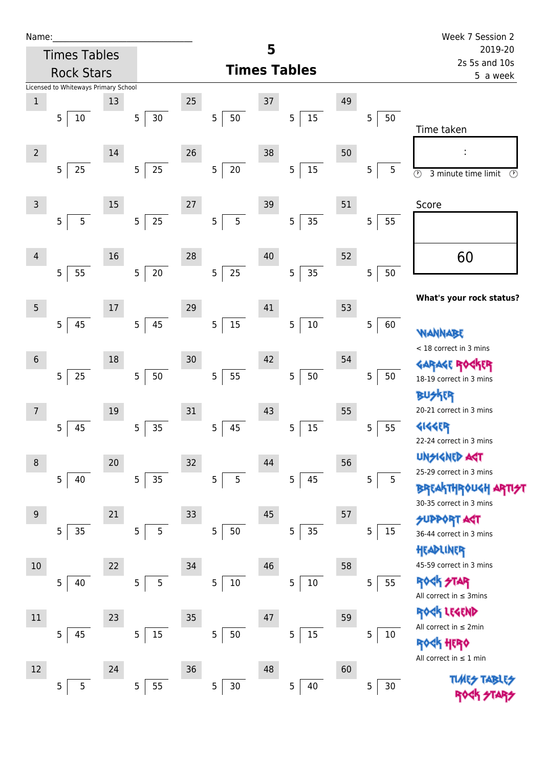| Name |  |  |  |
|------|--|--|--|
|      |  |  |  |

| Name:          |                |                     |                                      |                |        |                 |                |        |                     |                |        |    |                |      | Week 7 Session 2                                       |
|----------------|----------------|---------------------|--------------------------------------|----------------|--------|-----------------|----------------|--------|---------------------|----------------|--------|----|----------------|------|--------------------------------------------------------|
|                |                | <b>Times Tables</b> |                                      |                |        |                 |                |        | 5                   |                |        |    |                |      | 2019-20<br>2s 5s and 10s                               |
|                |                | <b>Rock Stars</b>   |                                      |                |        |                 |                |        | <b>Times Tables</b> |                |        |    |                |      | 5 a week                                               |
|                |                |                     | Licensed to Whiteways Primary School |                |        |                 |                |        |                     |                |        |    |                |      |                                                        |
| $\mathbf 1$    |                |                     | 13                                   |                |        | 25              |                |        | 37                  |                |        | 49 |                |      |                                                        |
|                | 5              | $10\,$              |                                      | $\mathbf 5$    | $30\,$ |                 | 5              | 50     |                     | 5              | $15\,$ |    | $\overline{5}$ | 50   | Time taken                                             |
|                |                |                     |                                      |                |        |                 |                |        |                     |                |        |    |                |      |                                                        |
| $\overline{2}$ |                |                     | 14                                   |                |        | 26              |                |        | 38                  |                |        | 50 |                |      | f,                                                     |
|                | 5              | 25                  |                                      | 5              | $25\,$ |                 | 5 <sub>5</sub> | $20\,$ |                     | 5              | 15     |    | 5              | 5    | $\circledcirc$<br>3 minute time limit<br>$\circled{r}$ |
|                |                |                     |                                      |                |        |                 |                |        |                     |                |        |    |                |      |                                                        |
| $\overline{3}$ |                |                     | 15                                   |                |        | $27\,$          |                |        | 39                  |                |        | 51 |                |      | Score                                                  |
|                | 5              | 5                   |                                      | $\overline{5}$ | 25     |                 | 5              | 5      |                     | 5              | 35     |    | 5              | 55   |                                                        |
|                |                |                     |                                      |                |        |                 |                |        |                     |                |        |    |                |      |                                                        |
| $\overline{4}$ |                |                     | 16                                   |                |        | 28              |                |        | 40                  |                |        | 52 |                |      | 60                                                     |
|                | 5              | 55                  |                                      | $\overline{5}$ | $20\,$ |                 | 5              | 25     |                     | 5              | 35     |    | 5              | 50   |                                                        |
|                |                |                     |                                      |                |        |                 |                |        |                     |                |        |    |                |      |                                                        |
| 5              |                |                     | 17                                   |                |        | 29              |                |        | 41                  |                |        | 53 |                |      | What's your rock status?                               |
|                | 5              | 45                  |                                      | $\mathbf 5$    | 45     |                 | 5              | $15\,$ |                     | 5              | $10\,$ |    | 5              | 60   |                                                        |
|                |                |                     |                                      |                |        |                 |                |        |                     |                |        |    |                |      | WANNABE                                                |
| $\sqrt{6}$     |                |                     | 18                                   |                |        | 30 <sub>o</sub> |                |        | 42                  |                |        | 54 |                |      | < 18 correct in 3 mins                                 |
|                | 5              |                     |                                      |                |        |                 | 5              |        |                     |                |        |    |                |      | GARAGE ROGKER                                          |
|                |                | 25                  |                                      | $\overline{5}$ | $50\,$ |                 |                | 55     |                     | 5              | $50\,$ |    | 5              | 50   | 18-19 correct in 3 mins                                |
|                |                |                     |                                      |                |        |                 |                |        |                     |                |        |    |                |      | R                                                      |
| 7              |                |                     | 19                                   |                |        | 31              |                |        | 43                  |                |        | 55 |                |      | 20-21 correct in 3 mins                                |
|                | 5              | 45                  |                                      | 5              | 35     |                 | 5              | 45     |                     | 5              | 15     |    | 5              | 55   | 4144ER<br>22-24 correct in 3 mins                      |
|                |                |                     |                                      |                |        |                 |                |        |                     |                |        |    |                |      | <b>UNSIGNED AGT</b>                                    |
| 8              |                |                     | 20                                   |                |        | 32              |                |        | 44                  |                |        | 56 |                |      | 25-29 correct in 3 mins                                |
|                | 5              | 40                  |                                      | $\overline{5}$ | 35     |                 | 5              | 5      |                     | 5 <sub>1</sub> | 45     |    | 5              | 5    | <b>BREAKTHROUGH</b>                                    |
|                |                |                     |                                      |                |        |                 |                |        |                     |                |        |    |                |      | 30-35 correct in 3 mins                                |
| 9              |                |                     | 21                                   |                |        | 33              |                |        | 45                  |                |        | 57 |                |      | <b>SUPPORT AGT</b>                                     |
|                | 5              | 35                  |                                      | 5              | 5      |                 | 5              | $50\,$ |                     | 5 <sub>5</sub> | 35     |    | 5              | 15   | 36-44 correct in 3 mins                                |
|                |                |                     |                                      |                |        |                 |                |        |                     |                |        |    |                |      | HEADLINER                                              |
| 10             |                |                     | 22                                   |                |        | 34              |                |        | 46                  |                |        | 58 |                |      | 45-59 correct in 3 mins                                |
|                | $\overline{5}$ | 40                  |                                      | 5              | 5      |                 | 5              | $10\,$ |                     | 5              | $10\,$ |    | 5              | 55   | ROCK STAR                                              |
|                |                |                     |                                      |                |        |                 |                |        |                     |                |        |    |                |      | All correct in $\leq$ 3mins                            |
| 11             |                |                     | 23                                   |                |        | 35              |                |        | 47                  |                |        | 59 |                |      | ROCK LEGEND                                            |
|                | 5              | 45                  |                                      | 5              | $15\,$ |                 | 5              | $50\,$ |                     | 5              | $15\,$ |    | 5              | 10   | All correct in $\leq 2$ min                            |
|                |                |                     |                                      |                |        |                 |                |        |                     |                |        |    |                |      | <b><k b="" her0<=""></k></b>                           |
| 12             |                |                     | 24                                   |                |        | $36$            |                |        | 48                  |                |        | 60 |                |      | All correct in $\leq 1$ min                            |
|                | 5              | 5                   |                                      | $\overline{5}$ | 55     |                 | 5              | 30     |                     | 5              | 40     |    | 5              | $30$ | <b>TLARS</b>                                           |
|                |                |                     |                                      |                |        |                 |                |        |                     |                |        |    |                |      |                                                        |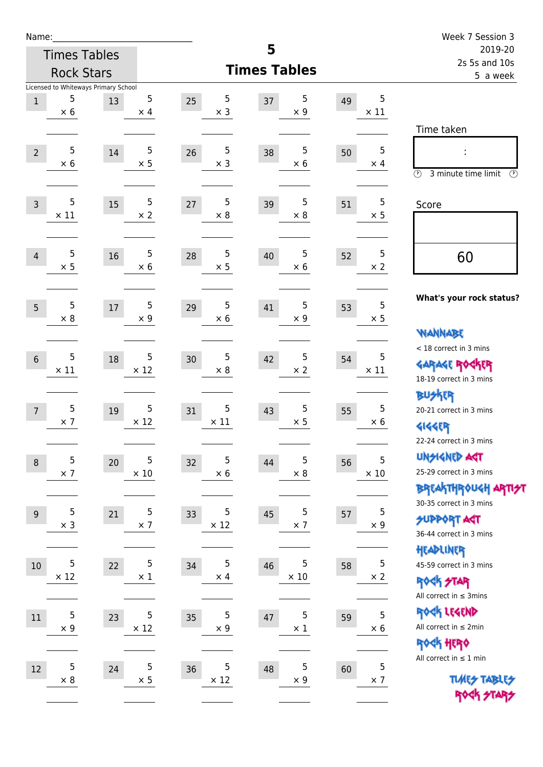| Name:            |                  |                                      |                  |        |                 |                     |                 |    |                  | Week 7 Session 3                                                 |
|------------------|------------------|--------------------------------------|------------------|--------|-----------------|---------------------|-----------------|----|------------------|------------------------------------------------------------------|
|                  |                  | <b>Times Tables</b>                  |                  |        |                 | 5                   |                 |    |                  | 2019-20<br>2s 5s and 10s                                         |
|                  |                  | <b>Rock Stars</b>                    |                  |        |                 | <b>Times Tables</b> |                 |    |                  | 5 a week                                                         |
|                  |                  | Licensed to Whiteways Primary School |                  |        |                 |                     |                 |    |                  |                                                                  |
| $\mathbf{1}$     | 5<br>$\times$ 6  | 13                                   | 5<br>$\times$ 4  | 25     | 5<br>$\times$ 3 | 37                  | 5<br>$\times$ 9 | 49 | 5<br>$\times$ 11 |                                                                  |
|                  |                  |                                      |                  |        |                 |                     |                 |    |                  | Time taken                                                       |
|                  | 5                |                                      |                  |        | 5               |                     | 5               |    | 5                |                                                                  |
| $\overline{2}$   | $\times$ 6       | 14                                   | 5<br>$\times$ 5  | 26     | $\times$ 3      | 38                  | $\times$ 6      | 50 | $\times$ 4       |                                                                  |
|                  |                  |                                      |                  |        |                 |                     |                 |    |                  | $\circled{r}$<br>3 minute time limit<br>$\circled{r}$            |
|                  |                  |                                      |                  |        |                 |                     |                 |    |                  |                                                                  |
| $\overline{3}$   | 5<br>$\times$ 11 | 15                                   | 5<br>$\times 2$  | $27\,$ | 5<br>$\times 8$ | 39                  | 5<br>$\times$ 8 | 51 | 5<br>$\times$ 5  | Score                                                            |
|                  |                  |                                      |                  |        |                 |                     |                 |    |                  |                                                                  |
|                  |                  |                                      |                  |        |                 |                     |                 |    |                  |                                                                  |
| 4                | 5<br>$\times$ 5  | 16                                   | 5<br>$\times$ 6  | 28     | 5<br>$\times$ 5 | 40                  | 5<br>$\times$ 6 | 52 | 5<br>$\times$ 2  | 60                                                               |
|                  |                  |                                      |                  |        |                 |                     |                 |    |                  |                                                                  |
|                  |                  |                                      |                  |        |                 |                     |                 |    |                  | What's your rock status?                                         |
| 5                | 5<br>$\times 8$  | 17                                   | 5<br>$\times$ 9  | 29     | 5<br>$\times$ 6 | 41                  | 5<br>$\times$ 9 | 53 | 5<br>$\times$ 5  |                                                                  |
|                  |                  |                                      |                  |        |                 |                     |                 |    |                  | <b>WANNABE</b>                                                   |
|                  |                  |                                      |                  |        |                 |                     |                 |    |                  | < 18 correct in 3 mins                                           |
| $6\phantom{1}6$  | 5<br>$\times$ 11 | 18                                   | 5<br>$\times$ 12 | 30     | 5<br>$\times 8$ | 42                  | 5<br>$\times 2$ | 54 | 5<br>$\times$ 11 | <b>GARAGE ROCKER</b>                                             |
|                  |                  |                                      |                  |        |                 |                     |                 |    |                  | 18-19 correct in 3 mins                                          |
|                  |                  |                                      |                  |        |                 |                     |                 |    |                  | <b>BUSKER</b>                                                    |
| $\overline{7}$   | 5                | 19                                   | 5                | 31     | 5               | 43                  | 5               | 55 | 5                | 20-21 correct in 3 mins                                          |
|                  | $\times$ 7       |                                      | $\times$ 12      |        | $\times$ 11     |                     | $\times$ 5      |    | $\times 6$       | <b>4144EP</b>                                                    |
|                  |                  |                                      |                  |        |                 |                     |                 |    |                  | 22-24 correct in 3 mins                                          |
| $\boldsymbol{8}$ | 5                | 20                                   | 5                | 32     | 5               | 44                  | 5               | 56 | 5                | <b>UNSIGNED AGT</b>                                              |
|                  | $\times$ 7       |                                      | $\times$ 10      |        | $\times$ 6      |                     | $\times$ 8      |    | $\times$ 10      | 25-29 correct in 3 mins                                          |
|                  |                  |                                      |                  |        |                 |                     |                 |    |                  | <b>BREAKTHROUGH ARTI<del>S</del>T</b><br>30-35 correct in 3 mins |
| $9\,$            | 5                | 21                                   | 5                | 33     | 5               | 45                  | 5               | 57 | 5                | <b>SUPPORT AGT</b>                                               |
|                  | $\times$ 3       |                                      | $\times$ 7       |        | $\times$ 12     |                     | $\times$ 7      |    | $\times$ 9       | 36-44 correct in 3 mins                                          |
|                  |                  |                                      |                  |        |                 |                     |                 |    |                  | HEADLINER                                                        |
| $10\,$           | 5                | 22                                   | 5                | 34     | 5               | 46                  | 5               | 58 | 5                | 45-59 correct in 3 mins                                          |
|                  | $\times$ 12      |                                      | $\times$ 1       |        | $\times$ 4      |                     | $\times$ 10     |    | $\times$ 2       | <b>ROCK STAR</b>                                                 |
|                  |                  |                                      |                  |        |                 |                     |                 |    |                  | All correct in $\leq$ 3mins                                      |
| 11               | 5                | 23                                   | 5                | 35     | 5               | 47                  | 5               | 59 | 5                | ROCK LEGEND                                                      |
|                  | $\times$ 9       |                                      | $\times$ 12      |        | $\times$ 9      |                     | $\times$ 1      |    | $\times 6$       | All correct in $\leq 2$ min                                      |
|                  |                  |                                      |                  |        |                 |                     |                 |    |                  | ROCK HERO                                                        |
| 12               | 5                | 24                                   | 5                | 36     | 5               | 48                  | 5               | 60 | 5                | All correct in $\leq 1$ min                                      |
|                  | $\times 8$       |                                      | $\times$ 5       |        | $\times$ 12     |                     | $\times$ 9      |    | $\times$ 7       | <b>TUARS TABLES</b>                                              |
|                  |                  |                                      |                  |        |                 |                     |                 |    |                  | ROCK STARS                                                       |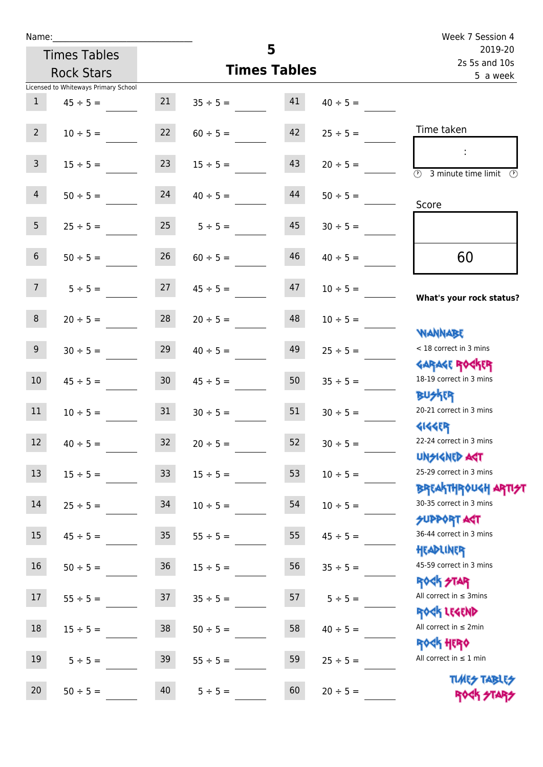| Name:           |                                      |                 |               |                     |                          | Week 7 Session 4                                                 |
|-----------------|--------------------------------------|-----------------|---------------|---------------------|--------------------------|------------------------------------------------------------------|
|                 | <b>Times Tables</b>                  |                 |               | 5                   | 2019-20<br>2s 5s and 10s |                                                                  |
|                 | <b>Rock Stars</b>                    |                 |               | <b>Times Tables</b> | 5 a week                 |                                                                  |
|                 | Licensed to Whiteways Primary School |                 |               |                     |                          |                                                                  |
| 1               | $45 \div 5 =$                        | 21              | $35 \div 5 =$ | 41                  | $40 \div 5 =$            |                                                                  |
| $2^{\circ}$     | $10 \div 5 =$                        | 22              | $60 \div 5 =$ | 42                  | $25 \div 5 =$            | Time taken                                                       |
| 3 <sup>7</sup>  | $15 \div 5 =$                        | 23              | $15 \div 5 =$ | 43                  | $20 \div 5 =$            | $\overline{\mathcal{D}}$<br>3 minute time limit<br>$\mathcal{O}$ |
| $\overline{4}$  | $50 \div 5 =$                        | 24              | $40 \div 5 =$ | 44                  | $50 \div 5 =$            | Score                                                            |
| 5 <sup>5</sup>  | $25 \div 5 =$                        | 25              | $5 \div 5 =$  | 45                  | $30 \div 5 =$            |                                                                  |
| 6 <sup>1</sup>  | $50 \div 5 =$                        | 26              | $60 \div 5 =$ | 46                  | $40 \div 5 =$            | 60                                                               |
| 7 <sup>7</sup>  | $5 \div 5 =$                         | 27              | $45 \div 5 =$ | 47                  | $10 \div 5 =$            | What's your rock status?                                         |
| 8 <sup>°</sup>  | $20 \div 5 =$                        | 28              | $20 \div 5 =$ | 48                  | $10 \div 5 =$            | <b>NANNABE</b>                                                   |
| 9               | $30 \div 5 =$                        | 29              | $40 \div 5 =$ | 49                  | $25 \div 5 =$            | < 18 correct in 3 mins<br><b>GARAGE ROCKER</b>                   |
| 10 <sup>°</sup> | $45 \div 5 =$                        | 30 <sup>°</sup> | $45 \div 5 =$ | 50                  | $35 \div 5 =$            | 18-19 correct in 3 mins<br><b>BUSKER</b>                         |
| 11              | $10 \div 5 =$                        | 31              | $30 \div 5 =$ | 51                  | $30 \div 5 =$            | 20-21 correct in 3 mins<br><b>4144ER</b>                         |
| 12              | $40 \div 5 =$                        | 32              | $20 \div 5 =$ | 52                  | $30 \div 5 =$            | 22-24 correct in 3 mins<br><b>UNSIGNED AST</b>                   |
| $13\,$          | $15 \div 5 =$                        | 33              | $15 \div 5 =$ | 53                  | $10 \div 5 =$            | 25-29 correct in 3 mins<br><b>BREAKTHROUGH ARTI<del>S</del>T</b> |
| $14\,$          | $25 \div 5 =$                        | 34              | $10 \div 5 =$ | 54                  | $10 \div 5 =$            | 30-35 correct in 3 mins<br>SUPPORT ART                           |
| 15              | $45 \div 5 =$                        | 35              | $55 \div 5 =$ | 55                  | $45 \div 5 =$            | 36-44 correct in 3 mins<br>HEADLINER                             |
| 16              | $50 \div 5 =$                        | $36\,$          | $15 \div 5 =$ | 56                  | $35 ÷ 5 =$               | 45-59 correct in 3 mins<br><b>ROCK STAR</b>                      |
| 17              | $55 \div 5 =$                        | 37              | $35 \div 5 =$ | 57                  | $5 ÷ 5 =$                | All correct in $\leq$ 3mins<br>ROCK LEGEND                       |
| 18              | $15 \div 5 =$                        | 38              | $50 \div 5 =$ | 58                  | $40 \div 5 =$            | All correct in $\leq 2$ min<br>ROCK HERO                         |
| 19              | $5 \div 5 =$                         | 39              | $55 \div 5 =$ | 59                  | $25 \div 5 =$            | All correct in $\leq 1$ min                                      |
| 20              | $50 \div 5 =$                        | 40              | $5 ÷ 5 =$     | 60                  | $20 \div 5 =$            | <b>TUARS TABLES</b><br>ROCK STARS                                |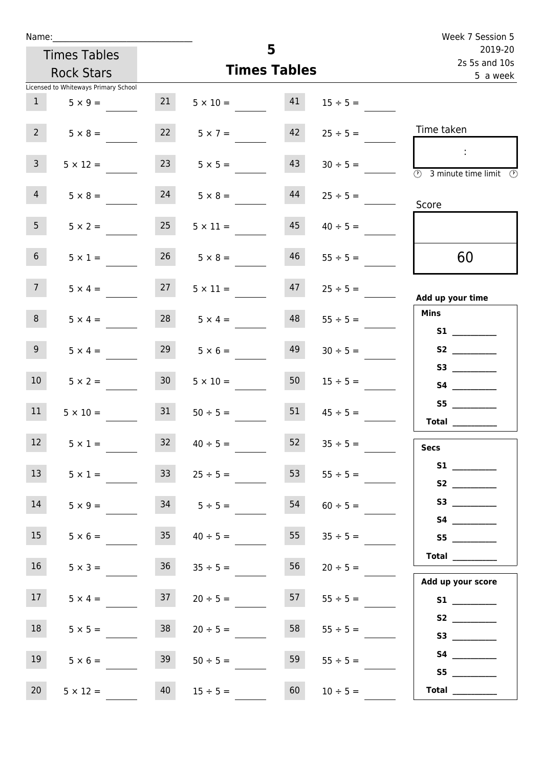| Week 7 Session 5                                                                                                                                                                                                                        |               |                     |                      |                 |                                      | Name:             |  |  |
|-----------------------------------------------------------------------------------------------------------------------------------------------------------------------------------------------------------------------------------------|---------------|---------------------|----------------------|-----------------|--------------------------------------|-------------------|--|--|
| 2019-20<br>2s 5s and 10s                                                                                                                                                                                                                |               | 5                   | <b>Times Tables</b>  |                 |                                      |                   |  |  |
| 5 a week                                                                                                                                                                                                                                |               | <b>Times Tables</b> | <b>Rock Stars</b>    |                 |                                      |                   |  |  |
|                                                                                                                                                                                                                                         |               |                     |                      |                 | Licensed to Whiteways Primary School |                   |  |  |
|                                                                                                                                                                                                                                         | $15 \div 5 =$ |                     | $5 \times 10 = 41$   | 21              | $1 \t 5 \times 9 =$                  |                   |  |  |
| Time taken                                                                                                                                                                                                                              | $25 \div 5 =$ | 42                  | $5 \times 7 =$       | 22              | $5 \times 8 =$                       | 2 <sup>7</sup>    |  |  |
| $\mathbb{R}^n$<br>$\overline{\circledcirc}$ 3 minute time limit $\overline{\circledcirc}$                                                                                                                                               | $30 \div 5 =$ | 43                  | $5 \times 5 =$       | 23              | $5 \times 12 =$                      | $\mathbf{3}$      |  |  |
| Score                                                                                                                                                                                                                                   | $25 \div 5 =$ | 44                  | $5 \times 8 =$       | 24              | $5 \times 8 =$                       | $\overline{4}$    |  |  |
|                                                                                                                                                                                                                                         | $40 \div 5 =$ | 45                  | $5 \times 11 =$      | 25              | $5 \times 2 =$                       | 5 <sub>1</sub>    |  |  |
| 60                                                                                                                                                                                                                                      | $55 \div 5 =$ | 46                  | $26 \t 5 \times 8 =$ |                 | $5 \times 1 =$                       | 6 <sup>1</sup>    |  |  |
| Add up your time                                                                                                                                                                                                                        | $25 \div 5 =$ | 47                  | $5 \times 11 =$      | 27              | $5 \times 4 =$                       | 7 <sup>7</sup>    |  |  |
| Mins<br><b>S1 S1</b>                                                                                                                                                                                                                    | $55 \div 5 =$ | 48                  | $28 \t 5 \times 4 =$ |                 | $5 \times 4 =$                       | 8                 |  |  |
| S2                                                                                                                                                                                                                                      | $30 \div 5 =$ | 49                  | $5 \times 6 =$       | 29              | $5 \times 4 =$                       | 9 <sub>o</sub>    |  |  |
|                                                                                                                                                                                                                                         | $15 \div 5 =$ | 50                  | $5 \times 10 =$      | 30 <sup>°</sup> | $5 \times 2 =$                       | 10 <sup>1</sup>   |  |  |
| S5<br>Total $\qquad$                                                                                                                                                                                                                    | $45 \div 5 =$ | 51                  | $50 \div 5 =$        | 31              | $5 \times 10 =$                      | 11                |  |  |
| <b>Secs</b>                                                                                                                                                                                                                             | $35 \div 5 =$ | 52                  | $40 \div 5 =$        | 32              | $5 \times 1 =$                       | $12 \overline{ }$ |  |  |
| S2                                                                                                                                                                                                                                      | $55 \div 5 =$ | 53                  | $25 \div 5 =$        | 33              | $5 \times 1 =$                       | 13 <sup>7</sup>   |  |  |
| S3                                                                                                                                                                                                                                      | $60 \div 5 =$ | 54                  | $5 \div 5 =$         | 34              | $5 \times 9 =$                       | 14                |  |  |
| S5 <sub>c</sub> and the state of the state of the state of the state of the state of the state of the state of the state of the state of the state of the state of the state of the state of the state of the state of the state of the | $35 \div 5 =$ | 55                  | $40 \div 5 =$        | 35              | $5 \times 6 =$                       | 15                |  |  |
| Total                                                                                                                                                                                                                                   | $20 \div 5 =$ | 56                  | $35 \div 5 =$        | 36              | $5 \times 3 =$                       | 16 <sup>1</sup>   |  |  |
| Add up your score                                                                                                                                                                                                                       | $55 \div 5 =$ | 57                  | $20 \div 5 =$        | 37              | $5 \times 4 =$                       | 17                |  |  |
| S2<br>S3                                                                                                                                                                                                                                | $55 \div 5 =$ | 58                  | $20 \div 5 =$        | 38              | $5 \times 5 =$                       | 18                |  |  |
| S4<br>S5                                                                                                                                                                                                                                | $55 \div 5 =$ | 59                  | $50 \div 5 =$        | 39              | $5 \times 6 =$                       | 19                |  |  |
| Total $\qquad$                                                                                                                                                                                                                          | $10 \div 5 =$ | 60                  | $15 \div 5 =$        | 40              | $5 \times 12 =$                      | 20                |  |  |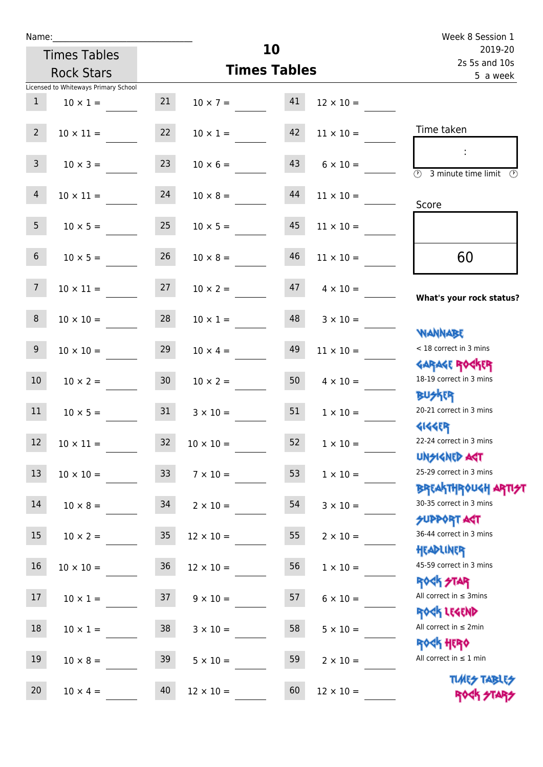| Name:           |                                      |                 |                     |                          |                      | Week 8 Session 1                                                              |
|-----------------|--------------------------------------|-----------------|---------------------|--------------------------|----------------------|-------------------------------------------------------------------------------|
|                 | <b>Times Tables</b>                  |                 | 10                  | 2019-20<br>2s 5s and 10s |                      |                                                                               |
|                 | <b>Rock Stars</b>                    |                 | <b>Times Tables</b> | 5 a week                 |                      |                                                                               |
|                 | Licensed to Whiteways Primary School |                 |                     |                          |                      |                                                                               |
| $\mathbf{1}$    | $10 \times 1 =$                      | 21              | $10 \times 7 =$     | 41                       | $12 \times 10 =$     |                                                                               |
| $2^{\circ}$     | $10 \times 11 =$                     | 22              | $10 \times 1 = 42$  |                          | $11 \times 10 =$     | Time taken                                                                    |
| 3 <sup>7</sup>  | $10 \times 3 =$                      | 23              | $10 \times 6 =$     | 43                       | $6 \times 10 =$      | $\overline{\textcircled{2}}$ 3 minute time limit $\overline{\textcircled{2}}$ |
| $\overline{4}$  | $10 \times 11 =$                     | 24              | $10 \times 8 =$     | 44                       | $11 \times 10 =$     | Score                                                                         |
| 5 <sub>1</sub>  | $10 \times 5 = 25$                   |                 | $10 \times 5 =$     | 45                       | $11 \times 10 =$     |                                                                               |
| 6 <sup>1</sup>  | $10 \times 5 =$                      | 26              | $10 \times 8 =$     | 46                       | $11 \times 10 =$     | 60                                                                            |
| 7 <sup>7</sup>  | $10 \times 11 =$                     | 27              | $10 \times 2 =$     | 47                       | $4 \times 10 =$      | What's your rock status?                                                      |
| 8               | $10 \times 10 = 28$                  |                 | $10 \times 1 =$     |                          | $48$ $3 \times 10 =$ | <b>JARNARY</b>                                                                |
| 9 <sub>o</sub>  | $10 \times 10 =$                     | 29              | $10 \times 4 =$     | 49                       | $11 \times 10 =$     | < 18 correct in 3 mins<br><b>GARAGE ROCKER</b>                                |
| 10 <sup>°</sup> | $10 \times 2 =$                      | 30              | $10 \times 2 =$     | 50                       | $4 \times 10 =$      | 18-19 correct in 3 mins<br><b>BUSKER</b>                                      |
| 11              | $10 \times 5 = 31$                   |                 | $3 \times 10 = 51$  |                          | $1 \times 10 =$      | 20-21 correct in 3 mins<br><b>4144ER</b>                                      |
| 12              | $10 \times 11 =$                     | 32              | $10 \times 10 =$    | 52                       | $1\times10=$         | 22-24 correct in 3 mins<br><b>UNSIGNED AGT</b>                                |
| 13              | $10 \times 10 =$                     | 33 <sup>°</sup> | $7 \times 10 =$     | 53                       | $1 \times 10 =$      | 25-29 correct in 3 mins<br><b>BREAKTHROUGH ARTI<del>S</del>T</b>              |
| 14              | $10 \times 8 =$                      | 34              | $2 \times 10 =$     | 54                       | $3 \times 10 =$      | 30-35 correct in 3 mins<br><b>SUPPORT AGT</b>                                 |
| 15              | $10 \times 2 =$                      | $35\,$          | $12 \times 10 =$    | 55                       | $2 \times 10 =$      | 36-44 correct in 3 mins<br>HEADLINER                                          |
| 16              | $10 \times 10 =$                     | $36\phantom{.}$ | $12 \times 10 =$    | 56                       | $1 \times 10 =$      | 45-59 correct in 3 mins<br><b>ROCK STAR</b>                                   |
| 17              | $10 \times 1 =$                      | 37              | $9 \times 10 =$     | 57                       | $6 \times 10 =$      | All correct in $\leq$ 3mins<br>ROCK LEGEND                                    |
| 18              | $10 \times 1 =$                      | 38              | $3 \times 10 =$     | 58                       | $5 \times 10 =$      | All correct in $\leq 2$ min<br><b>ROCK HERO</b>                               |
| 19              | $10 \times 8 =$                      | 39              | $5 \times 10 =$     | 59                       | $2 \times 10 =$      | All correct in $\leq 1$ min<br><b>TUARS TABLES</b>                            |
| 20              | $10 \times 4 =$                      | 40              | $12 \times 10 =$    | 60                       | $12 \times 10 =$     | ROCK STARS                                                                    |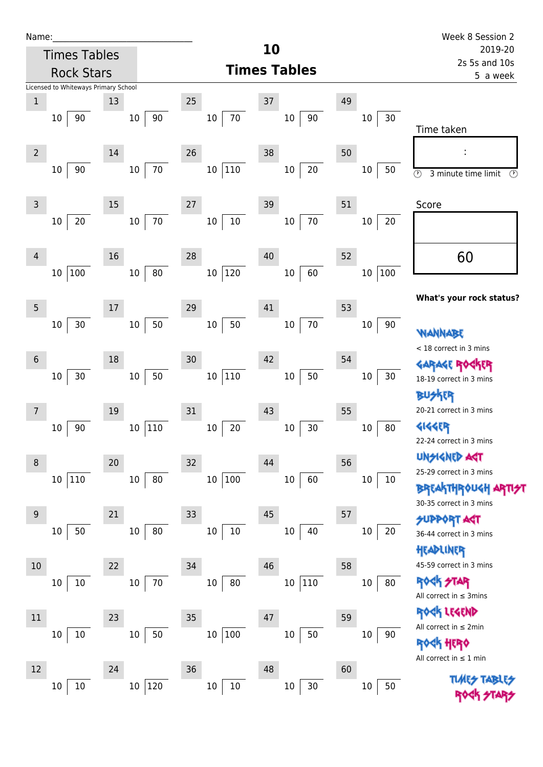| Name |  |  |  |
|------|--|--|--|
|      |  |  |  |

|                | <b>Times Tables</b>                  |    |                  |        |                   | 10 |                           |    |               | 2019-20                                                            |
|----------------|--------------------------------------|----|------------------|--------|-------------------|----|---------------------------|----|---------------|--------------------------------------------------------------------|
|                | <b>Rock Stars</b>                    |    |                  |        |                   |    | <b>Times Tables</b>       |    |               | 2s 5s and 10s<br>5 a week                                          |
|                | Licensed to Whiteways Primary School |    |                  |        |                   |    |                           |    |               |                                                                    |
| $1\,$          |                                      | 13 |                  | 25     |                   | 37 |                           | 49 |               |                                                                    |
|                | 90<br>10                             |    | 90<br>10         |        | $70\,$<br>10      |    | 90<br>$10\,$              |    | 30<br>10      | Time taken                                                         |
| $\overline{2}$ | 90<br>$10\,$                         | 14 | $70\,$<br>10     | 26     | $110\,$<br>$10\,$ | 38 | 20<br>$10\,$              | 50 | 50<br>10      | :<br>$\circledcirc$<br>3 minute time limit<br>Ø                    |
| $\overline{3}$ |                                      | 15 |                  | 27     |                   | 39 |                           | 51 |               | Score                                                              |
|                | 20<br>$10\,$                         |    | 70<br>10         |        | $10\,$<br>$10\,$  |    | 70<br>$10\,$              |    | 20<br>10      |                                                                    |
| 4              |                                      | 16 |                  | 28     |                   | 40 |                           | 52 |               | 60                                                                 |
|                | 100<br>$10\,$                        |    | 80<br>$10\,$     |        | 120<br>$10\,$     |    | 60<br>$10\,$              |    | 100<br>$10\,$ | What's your rock status?                                           |
| 5              |                                      | 17 |                  | 29     | 50                | 41 |                           | 53 |               |                                                                    |
|                | $30$<br>$10\,$                       |    | $50\,$<br>10     |        | $10\,$            |    | 70<br>$10\,$              |    | $10\,$<br>90  | WANNABE<br>< 18 correct in 3 mins                                  |
| 6              | 30<br>$10\,$                         | 18 | 50<br>$10\,$     | 30     | $110\,$<br>$10\,$ | 42 | 50<br>$10\,$              | 54 | 10<br>30      | GARAGE ROGKER<br>18-19 correct in 3 mins                           |
| $\overline{7}$ |                                      | 19 |                  | 31     |                   | 43 |                           | 55 |               | 20-21 correct in 3 mins                                            |
|                | 90<br>$10\,$                         |    | 110<br>10        |        | 20<br>10          |    | $30\,$<br>$10\,$          |    | 80<br>$10\,$  | <b>4144ER</b><br>22-24 correct in 3 mins                           |
| 8              |                                      | 20 |                  | 32     |                   | 44 |                           | 56 |               | UNSIGNED ACT<br>25-29 correct in 3 mins                            |
|                | 110<br>$10\,$                        |    | 80<br>10         |        | 10 100            |    | 60<br>$10\,$              |    | 10<br>$10\,$  | <b>BREAKTHROUGH ARTIST</b><br>30-35 correct in 3 mins              |
| 9              | 50<br>$10\,$                         | 21 | 80<br>10         | 33     | $10\,$<br>$10\,$  | 45 | 40<br>$10\,$              | 57 | 20<br>10      | <b>SUPPORT AST</b><br>36-44 correct in 3 mins                      |
| 10             |                                      | 22 |                  | 34     |                   | 46 |                           | 58 |               | HEADLINER<br>45-59 correct in 3 mins<br><b>ROCK STAR</b>           |
|                | $10\,$<br>$10\,$                     |    | $70\,$<br>10     |        | 80<br>10          |    | 110<br>10                 |    | 80<br>$10\,$  | All correct in $\leq$ 3mins<br>EK LEGEND                           |
| 11             | $10\,$<br>10                         | 23 | $50\,$<br>$10\,$ | $35\,$ | $100\,$<br>$10\,$ | 47 | 50<br>$10\,$              | 59 | 10<br>90      | All correct in $\leq 2$ min<br>HERQ<br>All correct in $\leq 1$ min |
| 12             | $10\,$<br>10                         | 24 | 10 120           | 36     | $10\,$<br>10      | 48 | 30 <sub>o</sub><br>$10\,$ | 60 | 50<br>10      | <b>TUARS TABLIS</b>                                                |

Rock STARS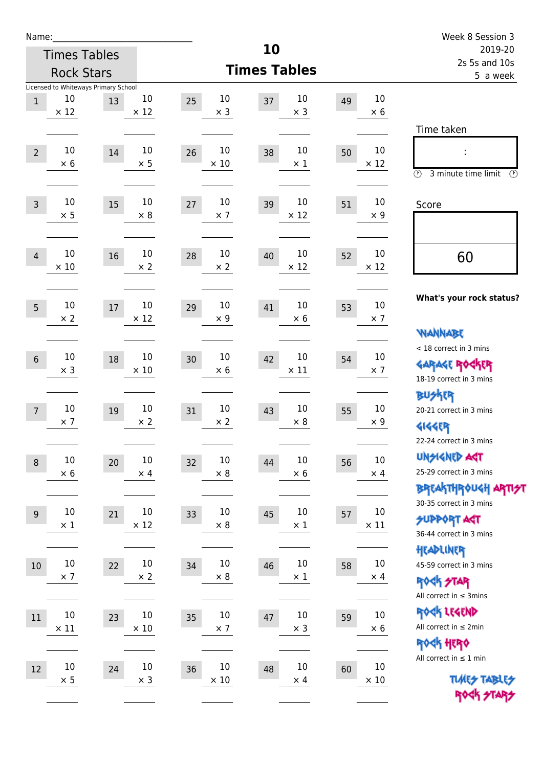| Name:            |                      |                                      |                       |                            |                            |                          |                      | Week 8 Session 3                                        |
|------------------|----------------------|--------------------------------------|-----------------------|----------------------------|----------------------------|--------------------------|----------------------|---------------------------------------------------------|
|                  |                      | <b>Times Tables</b>                  |                       |                            | 10                         | 2019-20<br>2s 5s and 10s |                      |                                                         |
|                  |                      | <b>Rock Stars</b>                    |                       |                            | <b>Times Tables</b>        |                          |                      | 5 a week                                                |
|                  | 10                   | Licensed to Whiteways Primary School |                       |                            |                            |                          | 10                   |                                                         |
| $\mathbf{1}$     | $\times$ 12          | 13                                   | 10<br>$\times$ 12     | 10<br>25<br>$\times$ 3     | 10<br>37<br>$\times$ 3     | 49                       | $\times 6$           |                                                         |
|                  |                      |                                      |                       |                            |                            |                          |                      | Time taken                                              |
|                  | 10                   |                                      | 10                    | 10                         | 10                         |                          | $10\,$               |                                                         |
| $\overline{2}$   | $\times$ 6           | 14                                   | $\times$ 5            | 26<br>$\times$ 10          | 38<br>$\times$ 1           | 50                       | $\times$ 12          |                                                         |
|                  |                      |                                      |                       |                            |                            |                          |                      | $\circled{r}$<br>3 minute time limit<br>$(\mathcal{F})$ |
| $\overline{3}$   | 10                   | 15                                   | 10                    | 10<br>27                   | 10<br>39                   | 51                       | 10                   | Score                                                   |
|                  | $\times$ 5           |                                      | $\times$ 8            | $\times$ 7                 | $\times$ 12                |                          | $\times 9$           |                                                         |
|                  |                      |                                      |                       |                            |                            |                          |                      |                                                         |
| $\overline{4}$   | 10                   | 16                                   | 10                    | 10<br>28                   | 10<br>40                   | 52                       | 10                   | 60                                                      |
|                  | $\times$ 10          |                                      | $\times 2$            | $\times 2$                 | $\times$ 12                |                          | $\times$ 12          |                                                         |
|                  |                      |                                      |                       |                            |                            |                          |                      |                                                         |
| 5                | 10                   | 17                                   | 10                    | 10<br>29                   | 10<br>41                   | 53                       | 10                   | What's your rock status?                                |
|                  | $\times 2$           |                                      | $\times$ 12           | $\times$ 9                 | $\times 6$                 |                          | $\times$ 7           |                                                         |
|                  |                      |                                      |                       |                            |                            |                          |                      | <b>VIANNABE</b><br>< 18 correct in 3 mins               |
| $6\,$            | 10                   | 18                                   | 10                    | 10<br>30                   | 10<br>42                   | 54                       | 10                   | <b>GARAGE ROCKER</b>                                    |
|                  | $\times$ 3           |                                      | $\times 10$           | $\times$ 6                 | $\times$ 11                |                          | $\times$ 7           | 18-19 correct in 3 mins                                 |
|                  |                      |                                      |                       |                            |                            |                          |                      | <b>BUSKER</b>                                           |
| $\overline{7}$   | 10<br>$\times$ 7     | 19                                   | 10<br>$\times 2$      | 10<br>31<br>$\times 2$     | 10<br>43<br>$\times 8$     | 55                       | 10<br>$\times 9$     | 20-21 correct in 3 mins                                 |
|                  |                      |                                      |                       |                            |                            |                          |                      | <b>4144EP</b>                                           |
|                  |                      |                                      |                       |                            |                            |                          |                      | 22-24 correct in 3 mins<br><b>UNSIGNED AGT</b>          |
| $\boldsymbol{8}$ | $10\,$<br>$\times$ 6 | 20                                   | $10\,$<br>$\times$ 4  | $10\,$<br>32<br>$\times 8$ | $10\,$<br>44<br>$\times$ 6 | 56                       | $10\,$<br>$\times$ 4 | 25-29 correct in 3 mins                                 |
|                  |                      |                                      |                       |                            |                            |                          |                      | BREAKTHROUGH ARTI <del>S</del> T                        |
|                  |                      |                                      |                       |                            | 10                         |                          | $10\,$               | 30-35 correct in 3 mins                                 |
| 9                | $10\,$<br>$\times$ 1 | 21                                   | $10\,$<br>$\times$ 12 | 10<br>33<br>$\times 8$     | 45<br>$\times$ 1           | 57                       | $\times$ 11          | <b>SUPPORT ART</b>                                      |
|                  |                      |                                      |                       |                            |                            |                          |                      | 36-44 correct in 3 mins                                 |
| $10\,$           | $10\,$               | 22                                   | $10\,$                | $10\,$<br>34               | 10<br>46                   | 58                       | $10\,$               | HEADLINER<br>45-59 correct in 3 mins                    |
|                  | $\times$ 7           |                                      | $\times 2$            | $\times$ 8                 | $\times$ 1                 |                          | $\times$ 4           | ROCK STAR                                               |
|                  |                      |                                      |                       |                            |                            |                          |                      | All correct in $\leq$ 3mins                             |
| 11               | $10\,$               | 23                                   | $10\,$                | $10\,$<br>35               | $10\,$<br>47               | 59                       | $10\,$               | ROCK LEGEND                                             |
|                  | $\times$ 11          |                                      | $\times 10$           | $\times$ 7                 | $\times$ 3                 |                          | $\times$ 6           | All correct in $\leq 2$ min                             |
|                  |                      |                                      |                       |                            |                            |                          |                      | ROCK HERO                                               |
| 12               | $10\,$               | 24                                   | $10\,$                | 10<br>36                   | 10<br>48                   | 60                       | 10                   | All correct in $\leq 1$ min                             |
|                  | $\times$ 5           |                                      | $\times$ 3            | $\times$ 10                | $\times$ 4                 |                          | $\times$ 10          | <b>TUARS TABLES</b>                                     |
|                  |                      |                                      |                       |                            |                            |                          |                      | ROCK STARS                                              |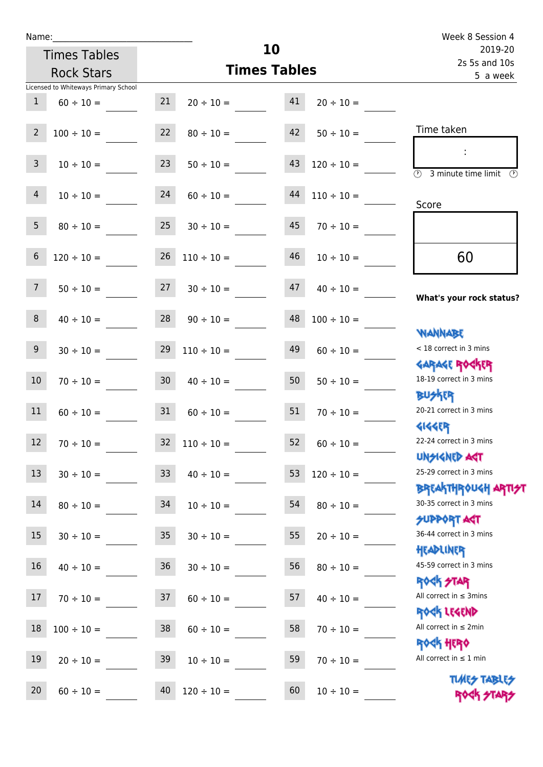Times Tables

|                | <b>Rock Stars</b>                    |                 |                      | <b>Times Tables</b> |                          | 5 a week                                                           |
|----------------|--------------------------------------|-----------------|----------------------|---------------------|--------------------------|--------------------------------------------------------------------|
|                | Licensed to Whiteways Primary School |                 |                      |                     |                          |                                                                    |
| $\mathbf{1}$   | $60 \div 10 =$                       | 21              | $20 \div 10 =$       | 41                  | $20 \div 10 =$           |                                                                    |
| $\overline{2}$ | $100 \div 10 =$                      | 22              | $80 \div 10 =$       | 42                  | $50 \div 10 =$           | Time taken                                                         |
|                |                                      |                 |                      |                     |                          | ÷                                                                  |
| $\mathbf{3}$   | $10 \div 10 =$                       | 23              | $50 \div 10 =$       | 43                  | $120 \div 10 =$          | $\overline{\textcircled{2}}$ 3 minute time limit $\textcircled{2}$ |
| $\overline{4}$ | $10 \div 10 =$                       | 24              | $60 \div 10 =$       | 44                  | $110 \div 10 =$          |                                                                    |
|                |                                      |                 |                      |                     |                          | Score                                                              |
| 5 <sup>5</sup> | $80 \div 10 =$                       | 25              | $30 \div 10 =$       | 45                  | $70 \div 10 =$           |                                                                    |
| $\sqrt{6}$     |                                      | 26              |                      | 46                  |                          |                                                                    |
|                | $120 \div 10 =$                      |                 | $110 \div 10 =$      |                     | $10 \div 10 =$           | 60                                                                 |
| 7 <sup>7</sup> | $50 \div 10 =$                       | 27              | $30 \div 10 =$       | 47                  | $40 \div 10 =$           |                                                                    |
|                |                                      |                 |                      |                     |                          | What's your rock status?                                           |
| 8              | $40 \div 10 =$                       | 28              | $90 \div 10 =$       | 48                  | $100 \div 10 =$          |                                                                    |
| 9 <sup>°</sup> |                                      |                 |                      |                     |                          | <b>NANNABE</b><br>< 18 correct in 3 mins                           |
|                | $30 \div 10 =$                       | 29              | $110 \div 10 =$      | 49                  | $60 \div 10 =$           | <b>GARAGE ROGKER</b>                                               |
| 10             | $70 \div 10 =$                       | 30 <sub>o</sub> | $40 \div 10 =$       | 50                  | $50 \div 10 =$           | 18-19 correct in 3 mins                                            |
|                |                                      |                 |                      |                     |                          | <b>BUSKRR</b>                                                      |
| 11             | $60 \div 10 =$                       | 31              | $60 \div 10 =$       | 51                  | $70 \div 10 =$           | 20-21 correct in 3 mins                                            |
|                |                                      |                 |                      |                     |                          | <b>4144ER</b>                                                      |
| 12             | $70 \div 10 =$                       | 32              | $110 \div 10 =$      | 52                  | $60 \div 10 =$           | 22-24 correct in 3 mins                                            |
|                |                                      |                 |                      |                     |                          | <b>TPA GJIAPICIU</b><br>25-29 correct in 3 mins                    |
| 13             | $30 \div 10 =$                       |                 | $33 \t 40 \div 10 =$ |                     | $53 \quad 120 \div 10 =$ | <b>BREAKTHROUGH ARTI<del>S</del>T</b>                              |
| 14             | $80 \div 10 =$                       | 34              | $10 \div 10 =$       | 54                  | $80 \div 10 =$           | 30-35 correct in 3 mins                                            |
|                |                                      |                 |                      |                     |                          | <b>SUPPORT AGT</b>                                                 |
| 15             | $30 \div 10 =$                       | 35              | $30 \div 10 =$       | 55                  | $20 \div 10 =$           | 36-44 correct in 3 mins                                            |
|                |                                      |                 |                      |                     |                          | HEADLINER                                                          |
| 16             | $40 \div 10 =$                       | 36              | $30 \div 10 =$       | 56                  | $80 \div 10 =$           | 45-59 correct in 3 mins                                            |
| 17             |                                      |                 |                      | 57                  |                          | <b>ROCK STAR</b><br>All correct in $\leq$ 3mins                    |
|                | $70 \div 10 =$                       | 37              | $60 \div 10 =$       |                     | $40 \div 10 =$           | ROCK LEGEND                                                        |
| 18             | $100 \div 10 =$                      | 38              | $60 \div 10 =$       | 58                  | $70 \div 10 =$           | All correct in $\leq 2$ min                                        |
|                |                                      |                 |                      |                     |                          | ROCK HERO                                                          |
| 19             | $20 \div 10 =$                       | 39              | $10 \div 10 =$       | 59                  | $70 \div 10 =$           | All correct in $\leq 1$ min                                        |
|                |                                      |                 |                      |                     |                          | <b>TUARS TABLES</b>                                                |
| 20             | $60 \div 10 =$                       | 40              | $120 \div 10 =$      | 60                  | $10 \div 10 =$           | ROCK STARS                                                         |

**10**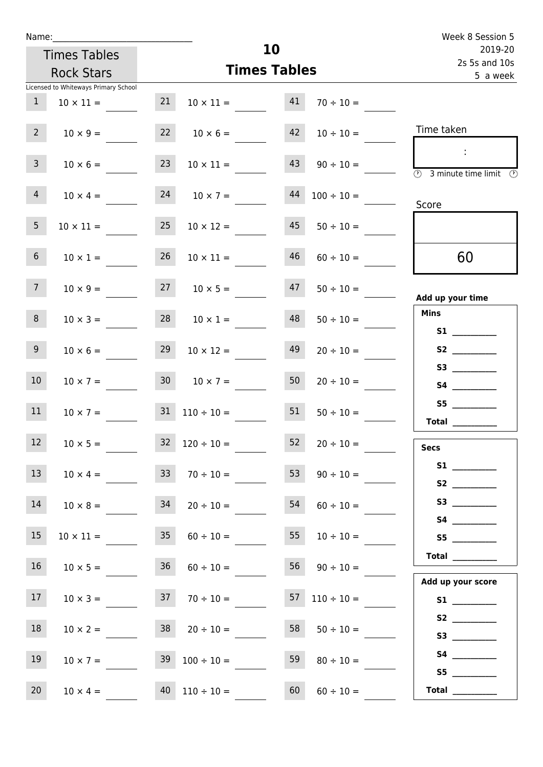| Name:                          |                                      |    |                                    | Week 8 Session 5         |                     |                                          |
|--------------------------------|--------------------------------------|----|------------------------------------|--------------------------|---------------------|------------------------------------------|
|                                | <b>Times Tables</b>                  |    |                                    | 2019-20<br>2s 5s and 10s |                     |                                          |
|                                | <b>Rock Stars</b>                    |    |                                    | <b>Times Tables</b>      |                     | 5 a week                                 |
|                                | Licensed to Whiteways Primary School |    |                                    |                          |                     |                                          |
| 1                              | $10 \times 11 =$                     | 21 | $10 \times 11 = 41$                |                          | $70 \div 10 =$      |                                          |
| $2-1$                          | $10 \times 9 =$                      |    | $22 \t 10 \times 6 =$              |                          | $42 \t10 \div 10 =$ | Time taken                               |
| 3 <sup>7</sup>                 | $10 \times 6 =$                      | 23 | $10 \times 11 =$                   | 43                       | $90 \div 10 =$      | $\sim 10$<br>3 minute time limit<br>- 09 |
| 4                              |                                      |    | $10 \times 4 = 24$ $10 \times 7 =$ | 44                       | $100 \div 10 =$     | Score                                    |
| 5 <sub>1</sub>                 | $10 \times 11 =$                     | 25 | $10 \times 12 =$                   | 45                       | $50 \div 10 =$      |                                          |
| 6 <sup>1</sup>                 | $10 \times 1 =$                      | 26 | $10 \times 11 =$                   | 46                       | $60 \div 10 =$      | 60                                       |
| 7 <sup>7</sup>                 |                                      |    | $10 \times 9 = 27$ $10 \times 5 =$ | 47                       | $50 \div 10 =$      | Add up your time                         |
| 8                              | $10 \times 3 =$                      |    | $28 \t 10 \times 1 =$              | 48                       | $50 \div 10 =$      | <b>Mins</b><br><b>S1</b>                 |
| 9 <sub>o</sub>                 | $10 \times 6 =$                      | 29 | $10 \times 12 =$                   | 49                       | $20 \div 10 =$      | S2                                       |
| 10 <sup>°</sup>                |                                      |    | $10 \times 7 = 30$ $10 \times 7 =$ | 50                       | $20 \div 10 =$      | S4 __________                            |
| 11                             | $10 \times 7 =$                      |    | $31 \quad 110 \div 10 = 51$        |                          | $50 \div 10 =$      | S5<br>Total $\_\_$                       |
| <b>Contract Contract</b><br>12 | $10 \times 5 =$                      | 32 | $120 \div 10 =$                    | 52                       | $20 \div 10 =$      | <b>Secs</b>                              |
| 13 <sup>7</sup>                | $10 \times 4 =$                      | 33 | $70 \div 10 =$                     | 53                       | $90 \div 10 =$      |                                          |
| 14                             | $10 \times 8 =$                      | 34 | $20 \div 10 =$                     | 54                       | $60 \div 10 =$      | S3                                       |
| 15                             | $10 \times 11 =$                     | 35 | $60 \div 10 =$                     | 55                       | $10 \div 10 =$      | S5                                       |
| 16 <sup>1</sup>                | $10 \times 5 =$                      | 36 | $60 \div 10 =$                     | 56                       | $90 \div 10 =$      | Total $\_\_$<br>Add up your score        |
| 17                             | $10 \times 3 =$                      |    | $37 \t 70 \div 10 =$               |                          | 57 $110 \div 10 =$  |                                          |
| 18                             | $10 \times 2 =$                      |    | $38$ $20 \div 10 =$                | 58                       | $50 \div 10 =$      |                                          |
| 19                             | $10 \times 7 =$                      |    | $39 \t100 \div 10 =$               | 59                       | $80 \div 10 =$      | S5                                       |
| 20 <sub>2</sub>                | $10 \times 4 =$                      |    | $40 \mid 110 \div 10 =$            | 60                       | $60 \div 10 =$      | Total $\_\_$                             |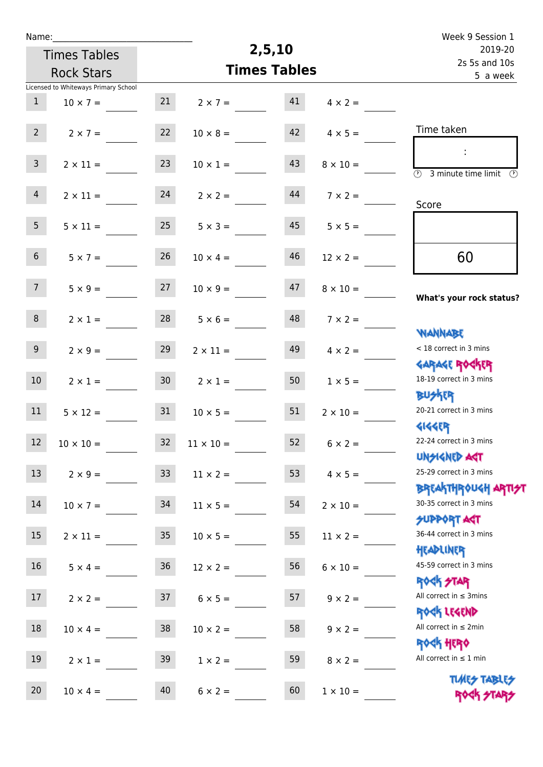| Name:           |                                      |                 |                 |                     |                 | Week 9 Session 1                                                                               |  |
|-----------------|--------------------------------------|-----------------|-----------------|---------------------|-----------------|------------------------------------------------------------------------------------------------|--|
|                 | <b>Times Tables</b>                  |                 |                 | 2,5,10              |                 | 2019-20                                                                                        |  |
|                 | <b>Rock Stars</b>                    |                 |                 | <b>Times Tables</b> |                 | 2s 5s and 10s<br>5 a week                                                                      |  |
|                 | Licensed to Whiteways Primary School |                 |                 |                     |                 |                                                                                                |  |
| $\mathbf{1}$    | $10 \times 7 =$                      | 21              | $2 \times 7 =$  | 41                  | $4 \times 2 =$  |                                                                                                |  |
| $2^{\circ}$     | $2 \times 7 =$                       | 22              | $10 \times 8 =$ | 42                  | $4 \times 5 =$  | Time taken                                                                                     |  |
| $\mathbf{3}$    | $2 \times 11 =$                      | 23              | $10 \times 1 =$ | 43                  | $8 \times 10 =$ | $\mathcal{L}_{\mathcal{A}}$<br>$\overline{(\mathcal{V})}$<br>3 minute time limit $\circled{0}$ |  |
| $\overline{4}$  | $2 \times 11 =$                      | 24              | $2 \times 2 =$  | 44                  | $7 \times 2 =$  | Score                                                                                          |  |
| 5 <sub>1</sub>  | $5 \times 11 =$                      | 25              | $5 \times 3 =$  | 45                  | $5 \times 5 =$  |                                                                                                |  |
| 6 <sup>1</sup>  | $5 \times 7 =$                       | 26              | $10 \times 4 =$ | 46                  | $12 \times 2 =$ | 60                                                                                             |  |
| 7 <sup>7</sup>  | $5 \times 9 =$                       | 27              | $10 \times 9 =$ | 47                  | $8 \times 10 =$ | What's your rock status?                                                                       |  |
| 8               | $2 \times 1 =$                       | 28              | $5 \times 6 =$  | 48                  | $7 \times 2 =$  | <b>NANNABE</b>                                                                                 |  |
| 9 <sup>°</sup>  | $2 \times 9 =$                       | 29              | $2 \times 11 =$ | 49                  | $4 \times 2 =$  | < 18 correct in 3 mins                                                                         |  |
| 10 <sup>°</sup> | $2 \times 1 =$                       | 30 <sub>2</sub> | $2 \times 1 =$  | 50                  | $1 \times 5 =$  | <b>GARAGE ROCKER</b><br>18-19 correct in 3 mins                                                |  |
| 11              | $5 \times 12 =$                      | 31              | $10 \times 5 =$ | 51                  | $2 \times 10 =$ | <b>BUSKRR</b><br>20-21 correct in 3 mins<br><b>4144ER</b>                                      |  |
| 12              | $10 \times 10 =$                     | 32              | $11\times10=$   | 52                  | $6 \times 2 =$  | 22-24 correct in 3 mins<br><b>UNSIGNED AST</b>                                                 |  |
| 13              | $2 \times 9 =$                       | 33 <sup>°</sup> | $11 \times 2 =$ | 53                  | $4 \times 5 =$  | 25-29 correct in 3 mins                                                                        |  |
| 14              | $10 \times 7 =$                      | 34              | $11 \times 5 =$ | 54                  | $2 \times 10 =$ | <b>BREAKTHROUGH ARTI<del>S</del>T</b><br>30-35 correct in 3 mins                               |  |
| 15              | $2 \times 11 =$                      | 35 <sub>1</sub> | $10 \times 5 =$ | 55                  | $11 \times 2 =$ | <b>SUPPORT AGT</b><br>36-44 correct in 3 mins                                                  |  |
| 16              | $5 \times 4 =$                       | 36              | $12 \times 2 =$ | 56                  | $6 \times 10 =$ | HEADLINER<br>45-59 correct in 3 mins<br><b>ROCK STAR</b>                                       |  |
| 17              | $2 \times 2 =$                       | 37              | $6 \times 5 =$  | 57                  | $9 \times 2 =$  | All correct in $\leq$ 3mins<br>ROCK LEGEND                                                     |  |
| 18              | $10 \times 4 =$                      | 38              | $10 \times 2 =$ | 58                  | $9 \times 2 =$  | All correct in $\leq 2$ min<br><b>ROCK HERO</b>                                                |  |
| 19              | $2 \times 1 =$                       | 39              | $1 \times 2 =$  | 59                  | $8 \times 2 =$  | All correct in $\leq 1$ min                                                                    |  |
| 20              | $10 \times 4 =$                      | 40              | $6 \times 2 =$  | 60                  | $1 \times 10 =$ | <b>TUARS TABLES</b><br>ROCK STARS                                                              |  |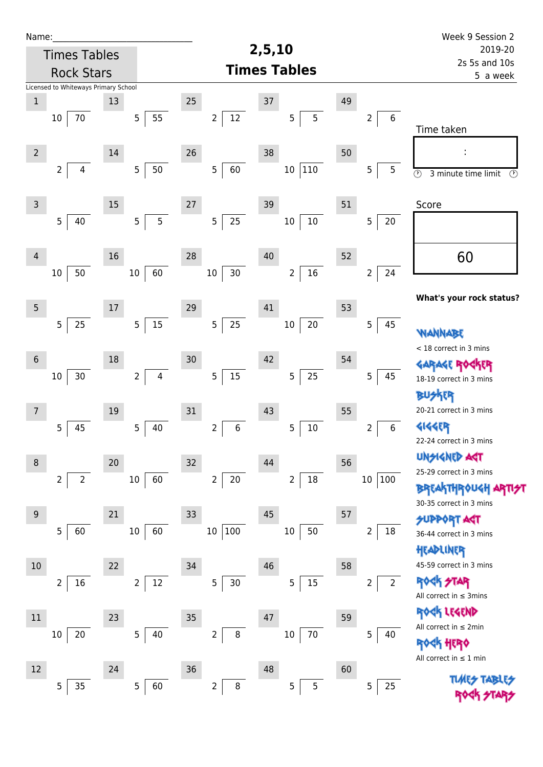| Name:           |                                      |        |                                  |                           | 2,5,10                   |    |                                  | Week 9 Session 2                                        |  |
|-----------------|--------------------------------------|--------|----------------------------------|---------------------------|--------------------------|----|----------------------------------|---------------------------------------------------------|--|
|                 | <b>Times Tables</b>                  |        |                                  |                           | 2019-20<br>2s 5s and 10s |    |                                  |                                                         |  |
|                 | <b>Rock Stars</b>                    |        |                                  |                           | <b>Times Tables</b>      |    | 5 a week                         |                                                         |  |
|                 | Licensed to Whiteways Primary School |        |                                  |                           |                          |    |                                  |                                                         |  |
| $\mathbf 1$     |                                      | 13     |                                  | 25                        | 37                       | 49 |                                  |                                                         |  |
|                 | $70\,$<br>10                         |        | 55<br>5 <sub>1</sub>             | $12\,$<br>$\overline{2}$  | 5<br>5                   |    | 6<br>$\overline{2}$              | Time taken                                              |  |
|                 |                                      |        |                                  |                           |                          |    |                                  |                                                         |  |
| $\overline{2}$  |                                      | 14     |                                  | 26                        | 38                       | 50 |                                  |                                                         |  |
|                 | $\overline{2}$<br>$\overline{4}$     |        | 5 <sub>5</sub><br>$50\,$         | 5<br>60                   | $110\,$<br>$10\,$        |    | 5<br>5                           | $\overline{\odot}$<br>$\bigcirc$<br>3 minute time limit |  |
|                 |                                      |        |                                  |                           |                          |    |                                  |                                                         |  |
| $\mathsf 3$     |                                      | 15     |                                  | 27                        | 39                       | 51 |                                  | Score                                                   |  |
|                 | 5<br>40                              |        | $\overline{5}$<br>5              | 25<br>5                   | $10\,$<br>$10\,$         |    | 5<br>20                          |                                                         |  |
| 4               |                                      | 16     |                                  | 28                        | 40                       | 52 |                                  |                                                         |  |
|                 | 50<br>10                             |        | 60<br>$10\,$                     | $30\,$<br>10 <sup>°</sup> | 16<br>$\overline{2}$     |    | 24<br>$\overline{2}$             | 60                                                      |  |
|                 |                                      |        |                                  |                           |                          |    |                                  |                                                         |  |
| $5\phantom{.0}$ |                                      | $17\,$ |                                  | 29                        | 41                       | 53 |                                  | What's your rock status?                                |  |
|                 | 5<br>25                              |        | 15<br>5 <sub>5</sub>             | 25<br>5                   | $20\,$<br>$10\,$         |    | 5<br>45                          |                                                         |  |
|                 |                                      |        |                                  |                           |                          |    |                                  | <b><i>NANNABE</i></b>                                   |  |
| $6\,$           |                                      | 18     |                                  | 30                        | 42                       | 54 |                                  | < 18 correct in 3 mins                                  |  |
|                 | $30\,$<br>$10\,$                     |        | $\overline{2}$<br>$\overline{4}$ | 5<br>$15\,$               | 25<br>$\overline{5}$     |    | 5<br>45                          |                                                         |  |
|                 |                                      |        |                                  |                           |                          |    |                                  | 18-19 correct in 3 mins                                 |  |
|                 |                                      |        |                                  |                           |                          |    |                                  | <b>BUSKER</b><br>20-21 correct in 3 mins                |  |
| 7               |                                      | 19     |                                  | 31                        | 43                       | 55 |                                  |                                                         |  |
|                 | 5<br>45                              |        | 5<br>40                          | 6<br>$\overline{2}$       | 5<br>$10\,$              |    | 6<br>2                           | 4144ER<br>22-24 correct in 3 mins                       |  |
|                 |                                      |        |                                  |                           |                          |    |                                  | <b>UNSIGNED AST</b>                                     |  |
| 8               |                                      | 20     |                                  | 32                        | 44                       | 56 |                                  | 25-29 correct in 3 mins                                 |  |
|                 | $\overline{2}$<br>$\overline{2}$     |        | 60<br>$10\,$                     | $\overline{2}$<br>$20\,$  | $18\,$<br>$\overline{2}$ |    | 10 <sub>1</sub><br> 100          | <b>BREAKTHROUGH</b>                                     |  |
|                 |                                      |        |                                  |                           |                          |    |                                  | 30-35 correct in 3 mins                                 |  |
| 9               |                                      | 21     |                                  | 33                        | 45                       | 57 |                                  | <b>SUPPORT AGT</b>                                      |  |
|                 | 5<br>60                              |        | 60<br>$10\,$                     | $\vert$ 100<br>$10\,$     | 50<br>$10\,$             |    | 18<br>$\overline{2}$             | 36-44 correct in 3 mins                                 |  |
|                 |                                      |        |                                  |                           |                          |    |                                  | HEADLINER                                               |  |
| 10              |                                      | 22     |                                  | 34                        | 46                       | 58 |                                  | 45-59 correct in 3 mins                                 |  |
|                 | $\overline{2}$<br>16                 |        | 12<br>$2^{\circ}$                | 5<br>30                   | 15<br>5                  |    | $\overline{2}$<br>$\overline{2}$ | <b>ROCK STAR</b><br>All correct in $\leq$ 3mins         |  |
|                 |                                      |        |                                  |                           |                          |    |                                  | ROCK LEGEND                                             |  |
| 11              |                                      | 23     |                                  | 35                        | 47                       | 59 |                                  | All correct in $\leq 2$ min                             |  |
|                 | 20<br>$10\,$                         |        | 40<br>5                          | 8<br>$\overline{2}$       | $70\,$<br>$10\,$         |    | 5<br>40                          | ROCK HERO                                               |  |
|                 |                                      |        |                                  |                           |                          |    |                                  | All correct in $\leq 1$ min                             |  |
| 12              |                                      | 24     |                                  | 36                        | 48                       | 60 |                                  | TUAR <del>S</del> TABI                                  |  |
|                 | 35<br>5                              |        | 60<br>5                          | $\bf 8$<br>$\overline{2}$ | 5<br>5                   |    | 25<br>5                          |                                                         |  |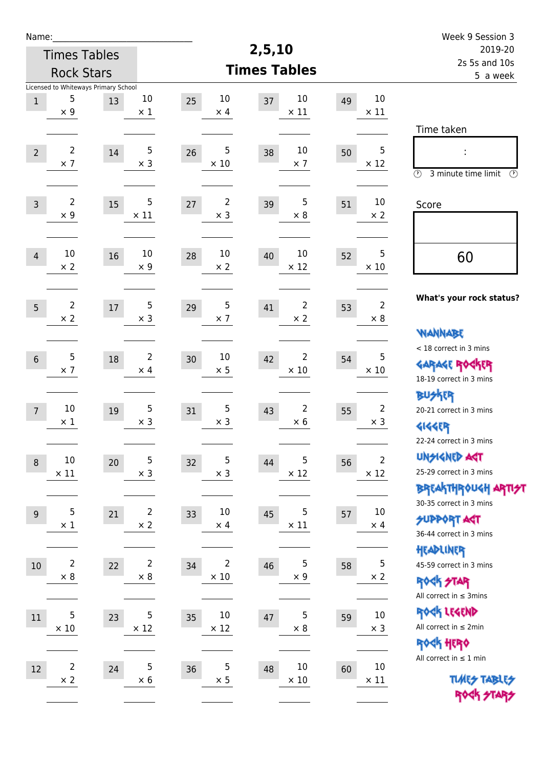| Name:            |                                      |        |                      |                        |                         |    |                   | Week 9 Session 3                              |
|------------------|--------------------------------------|--------|----------------------|------------------------|-------------------------|----|-------------------|-----------------------------------------------|
|                  | <b>Times Tables</b>                  |        |                      |                        | 2,5,10                  |    |                   | 2019-20                                       |
|                  | <b>Rock Stars</b>                    |        |                      |                        | <b>Times Tables</b>     |    |                   | 2s 5s and 10s<br>5 a week                     |
|                  | Licensed to Whiteways Primary School |        |                      |                        |                         |    |                   |                                               |
| $\mathbf{1}$     | 5<br>$\times$ 9                      | 13     | $10\,$<br>$\times$ 1 | 10<br>25<br>$\times$ 4 | 10<br>37<br>$\times$ 11 | 49 | 10<br>$\times$ 11 |                                               |
|                  |                                      |        |                      |                        |                         |    |                   | Time taken                                    |
|                  |                                      |        |                      |                        |                         |    |                   |                                               |
| $\overline{2}$   | $\overline{2}$<br>$\times$ 7         | $14\,$ | 5<br>$\times$ 3      | 5<br>26<br>$\times$ 10 | 10<br>38<br>$\times$ 7  | 50 | 5<br>$\times$ 12  | ÷                                             |
|                  |                                      |        |                      |                        |                         |    |                   | $\circled{r}$<br>3 minute time limit<br>⊕     |
|                  | $\overline{2}$                       |        | 5                    | $\overline{2}$         | 5                       |    | 10                |                                               |
| $\mathsf{3}$     | $\times$ 9                           | 15     | $\times$ 11          | 27<br>$\times$ 3       | 39<br>$\times 8$        | 51 | $\times 2$        | Score                                         |
|                  |                                      |        |                      |                        |                         |    |                   |                                               |
| $\overline{4}$   | 10                                   | 16     | 10                   | 10<br>28               | 10<br>40                | 52 | 5                 |                                               |
|                  | $\times 2$                           |        | $\times$ 9           | $\times$ 2             | $\times$ 12             |    | $\times$ 10       | 60                                            |
|                  |                                      |        |                      |                        |                         |    |                   |                                               |
| 5                | $\overline{2}$                       | 17     | 5                    | 5<br>29                | $\overline{2}$<br>41    | 53 | $\overline{2}$    | What's your rock status?                      |
|                  | $\times 2$                           |        | $\times$ 3           | $\times$ 7             | $\times 2$              |    | $\times 8$        |                                               |
|                  |                                      |        |                      |                        |                         |    |                   | WANNABE                                       |
| $\sqrt{6}$       | 5                                    | $18\,$ | $\overline{2}$       | 10<br>30               | 2<br>42                 | 54 | 5                 | < 18 correct in 3 mins                        |
|                  | $\times$ 7                           |        | $\times$ 4           | $\times$ 5             | $\times$ 10             |    | $\times$ 10       | <b>GARAGE ROCKER</b>                          |
|                  |                                      |        |                      |                        |                         |    |                   | 18-19 correct in 3 mins<br><b>BU外界</b>        |
| $\overline{7}$   | $10\,$                               | 19     | 5                    | $\sqrt{5}$<br>31       | 2<br>43                 | 55 | $\overline{2}$    | 20-21 correct in 3 mins                       |
|                  | $\times$ 1                           |        | $\times$ 3           | $\times$ 3             | $\times 6$              |    | $\times$ 3        | <b>4144EP</b>                                 |
|                  |                                      |        |                      |                        |                         |    |                   | 22-24 correct in 3 mins                       |
| $\boldsymbol{8}$ | $10\,$                               | 20     | 5                    | $\sqrt{5}$<br>32       | 5<br>44                 | 56 | $\overline{2}$    | <b>UNSIGNED AGT</b>                           |
|                  | $\times$ 11                          |        | $\times$ 3           | $\times$ 3             | $\times$ 12             |    | $\times$ 12       | 25-29 correct in 3 mins                       |
|                  |                                      |        |                      |                        |                         |    |                   | ΒΡΓΑ <sup>Κ</sup> ΤΗΡΟυΚΗ ΑΡΤΙ <del>2</del> Τ |
| $9$              | 5                                    | 21     | $\overline{2}$       | 10<br>33               | 5<br>45                 | 57 | 10                | 30-35 correct in 3 mins                       |
|                  | $\times$ 1                           |        | $\times 2$           | $\times$ 4             | $\times$ 11             |    | $\times$ 4        | <b>SUPPORT ART</b><br>36-44 correct in 3 mins |
|                  |                                      |        |                      |                        |                         |    |                   | HEADLINER                                     |
| $10\,$           | $\overline{\mathbf{c}}$              | 22     | $\overline{2}$       | $\overline{c}$<br>34   | 5<br>46                 | 58 | $\mathbf 5$       | 45-59 correct in 3 mins                       |
|                  | $\times 8$                           |        | $\times$ 8           | $\times$ 10            | $\times$ 9              |    | $\times$ 2        | <b>ROCK STAR</b>                              |
|                  |                                      |        |                      |                        |                         |    |                   | All correct in $\leq$ 3mins                   |
| 11               | 5                                    | 23     | $\overline{5}$       | 10<br>35               | 5<br>$47\,$             | 59 | $10\,$            | ROCK LEGEND                                   |
|                  | $\times$ 10                          |        | $\times$ 12          | $\times$ 12            | $\times$ 8              |    | $\times$ 3        | All correct in $\leq 2$ min                   |
|                  |                                      |        |                      |                        |                         |    |                   | ROCK HERO                                     |
| 12               | $\overline{\mathbf{c}}$              | 24     | $\overline{5}$       | $\sqrt{5}$<br>36       | $10\,$<br>48            | 60 | $10\,$            | All correct in $\leq 1$ min                   |
|                  | $\times$ 2                           |        | $\times$ 6           | $\times$ 5             | $\times$ 10             |    | $\times$ 11       | <b>TUARS TABLES</b>                           |
|                  |                                      |        |                      |                        |                         |    |                   | ROCK STARS                                    |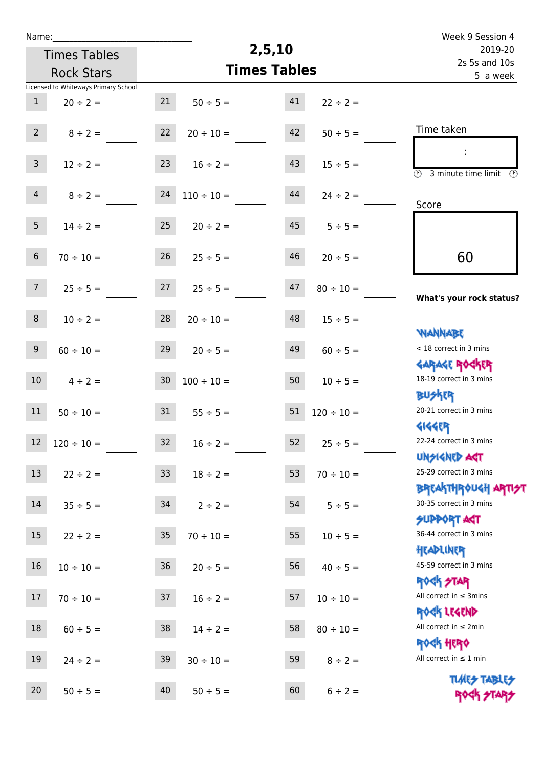| Name:           |                                      |                 | Week 9 Session 4    |        |                 |                                                                  |
|-----------------|--------------------------------------|-----------------|---------------------|--------|-----------------|------------------------------------------------------------------|
|                 | <b>Times Tables</b>                  |                 |                     | 2,5,10 |                 | 2019-20<br>2s 5s and 10s                                         |
|                 | <b>Rock Stars</b>                    |                 | <b>Times Tables</b> |        | 5 a week        |                                                                  |
|                 | Licensed to Whiteways Primary School |                 |                     |        |                 |                                                                  |
| $\mathbf{1}$    | $20 \div 2 =$                        | 21              | $50 \div 5 =$       | 41     | $22 \div 2 =$   |                                                                  |
| 2 <sup>7</sup>  | $8 \div 2 =$                         | 22              | $20 \div 10 =$      | 42     | $50 \div 5 =$   | Time taken                                                       |
| 3 <sup>7</sup>  | $12 \div 2 =$                        | 23              | $16 \div 2 =$       | 43     | $15 \div 5 =$   | $\overline{\mathcal{O}}$<br>3 minute time limit                  |
| 4               | $8 \div 2 =$                         | 24              | $110 \div 10 =$     | 44     | $24 \div 2 =$   | Score                                                            |
| 5 <sub>1</sub>  | $14 \div 2 =$                        | 25              | $20 \div 2 =$       | 45     | $5 \div 5 =$    |                                                                  |
| 6               | $70 \div 10 =$                       | 26              | $25 \div 5 =$       | 46     | $20 \div 5 =$   | 60                                                               |
| $7\overline{ }$ | $25 \div 5 =$                        | 27              | $25 \div 5 =$       | 47     | $80 \div 10 =$  | What's your rock status?                                         |
| 8               | $10 \div 2 =$                        | 28              | $20 \div 10 =$      | 48     | $15 \div 5 =$   |                                                                  |
| 9 <sup>°</sup>  | $60 \div 10 =$                       | 29              | $20 \div 5 =$       | 49     | $60 \div 5 =$   | <b>NANNABE</b><br>< 18 correct in 3 mins                         |
| 10 <sup>°</sup> | $4 \div 2 =$                         | 30 <sub>o</sub> | $100 \div 10 =$     | 50     | $10 \div 5 =$   | <b>GARAGE ROGKER</b><br>18-19 correct in 3 mins                  |
| 11              | $50 \div 10 =$                       | 31              | $55 \div 5 =$       | 51     | $120 \div 10 =$ | <b>BUSKER</b><br>20-21 correct in 3 mins                         |
| 12              | $120 \div 10 =$                      | 32              | $16 \div 2 =$       | 52     | $25 \div 5 =$   | <b>4144EP</b><br>22-24 correct in 3 mins                         |
| 13              | $22 \div 2 =$                        | 33 <sup>°</sup> | $18 \div 2 =$       | 53     | $70 \div 10 =$  | <b>UNSIGNED AGT</b><br>25-29 correct in 3 mins                   |
| 14              | $35 \div 5 =$                        | 34              | $2 \div 2 =$        | 54     | $5 \div 5 =$    | <b>BREAKTHROUGH ARTI<del>S</del>T</b><br>30-35 correct in 3 mins |
| 15              | $22 \div 2 =$                        | 35              | $70 \div 10 =$      | 55     | $10 \div 5 =$   | <b>SUPPORT AGT</b><br>36-44 correct in 3 mins                    |
| 16              | $10 \div 10 =$                       | 36 <sup>°</sup> | $20 \div 5 =$       | 56     | $40 \div 5 =$   | HEADLINER<br>45-59 correct in 3 mins                             |
| 17              | $70 \div 10 =$                       | 37              | $16 \div 2 =$       | 57     | $10 \div 10 =$  | ROCK STAR<br>All correct in $\leq$ 3mins                         |
| 18              | $60 \div 5 =$                        | 38              | $14 \div 2 =$       | 58     | $80 \div 10 =$  | ROCK LEGEND<br>All correct in $\leq 2$ min                       |
| 19              | $24 \div 2 =$                        | 39              | $30 \div 10 =$      | 59     | $8 \div 2 =$    | ROCK HERO<br>All correct in $\leq 1$ min                         |
| 20 <sub>2</sub> | $50 \div 5 =$                        | 40              | $50 \div 5 =$       | 60     | $6 \div 2 =$    | <b>TUARS TABLES</b><br>ROCK STARS                                |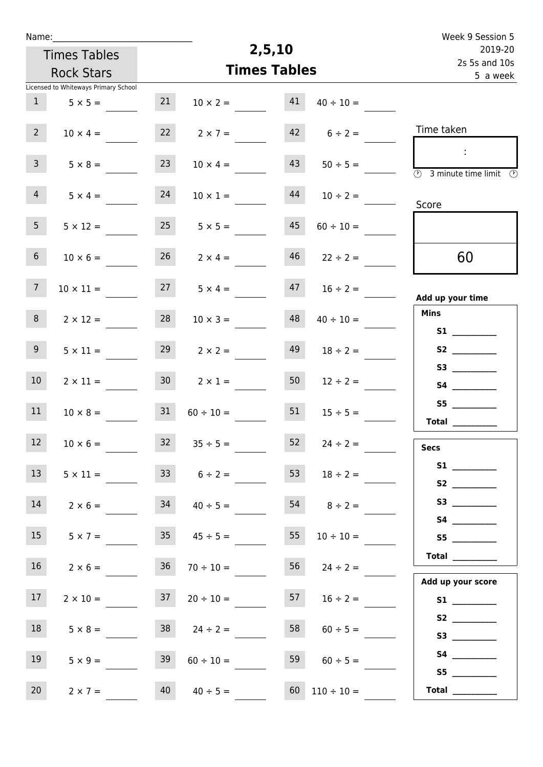| Name:                                |                 |                      |                     |                      | Week 9 Session 5                                                                           |
|--------------------------------------|-----------------|----------------------|---------------------|----------------------|--------------------------------------------------------------------------------------------|
| <b>Times Tables</b>                  |                 |                      | 2,5,10              |                      | 2019-20                                                                                    |
| <b>Rock Stars</b>                    |                 |                      | <b>Times Tables</b> |                      | 2s 5s and 10s<br>5 a week                                                                  |
| Licensed to Whiteways Primary School |                 |                      |                     |                      |                                                                                            |
| 1<br>$5 \times 5 =$                  | 21              | $10 \times 2 =$      | 41                  | $40 \div 10 =$       |                                                                                            |
| $2^{\circ}$<br>$10 \times 4 =$       | 22              | $2 \times 7 =$       |                     | $42 \t 6 \div 2 =$   | Time taken                                                                                 |
| 3 <sup>7</sup><br>$5 \times 8 =$     | 23              | $10 \times 4 =$      | 43                  | $50 \div 5 =$        | $\sim 10$<br>$\overline{\textcircled{2}}$ 3 minute time limit $\overline{\textcircled{5}}$ |
| 4<br>$5 \times 4 =$                  | 24              | $10 \times 1 =$      | 44                  | $10 \div 2 =$        | Score                                                                                      |
| 5 <sub>1</sub><br>$5 \times 12 =$    |                 | $25 \t 5 \times 5 =$ | 45                  | $60 \div 10 =$       |                                                                                            |
| 6 <sup>1</sup><br>$10 \times 6 =$    |                 | $26$ $2 \times 4 =$  |                     | $46$ $22 \div 2 =$   | 60                                                                                         |
| 7 <sup>7</sup><br>$10 \times 11 =$   | 27              | $5 \times 4 =$       | 47                  | $16 \div 2 =$        | Add up your time                                                                           |
| 8 <sub>1</sub><br>$2 \times 12 =$    | 28              | $10 \times 3 =$      | 48                  | $40 \div 10 =$       | <b>Mins</b><br>S1                                                                          |
| 9<br>$5 \times 11 =$                 | 29              | $2 \times 2 =$       | 49                  | $18 \div 2 =$        | S2                                                                                         |
| 10 <sup>°</sup><br>$2 \times 11 =$   | 30 <sup>1</sup> | $2 \times 1 =$       | 50                  | $12 \div 2 =$        | S3                                                                                         |
| 11<br>$10 \times 8 =$                | 31              | $60 \div 10 =$       | 51                  | $15 \div 5 =$        | S5<br>Total $\_\_$                                                                         |
| 12<br>$10 \times 6 =$                |                 | $32 \t35 \div 5 =$   | 52                  | $24 \div 2 =$        | <b>Secs</b>                                                                                |
| 13<br>$5 \times 11 =$                | 33              | $6 \div 2 =$         | 53                  | $18 \div 2 =$        | <b>S2 S2</b>                                                                               |
| 14<br>$2 \times 6 =$                 | 34              | $40 \div 5 =$        |                     | $54 \t 8 \div 2 =$   | S3                                                                                         |
| 15<br>$5 \times 7 =$                 |                 | $35 \t 45 \div 5 =$  | 55                  | $10 \div 10 =$       | S5                                                                                         |
| 16 <sup>1</sup><br>$2 \times 6 =$    | 36              | $70 \div 10 =$       |                     | 56 $24 \div 2 =$     | Total                                                                                      |
| 17<br>$2 \times 10 =$                | 37              | $20 \div 10 =$       |                     | 57 $16 \div 2 =$     | Add up your score                                                                          |
| 18<br>$5 \times 8 =$                 | 38              | $24 \div 2 =$        | 58                  | $60 \div 5 =$        | S3                                                                                         |
| 19<br>$5 \times 9 =$                 | 39              | $60 \div 10 =$       | 59                  | $60 \div 5 =$        |                                                                                            |
| 20<br>$2 \times 7 =$                 | 40              | $40 \div 5 =$        |                     | $60$ $110 \div 10 =$ | S5<br>Total $\_\_$                                                                         |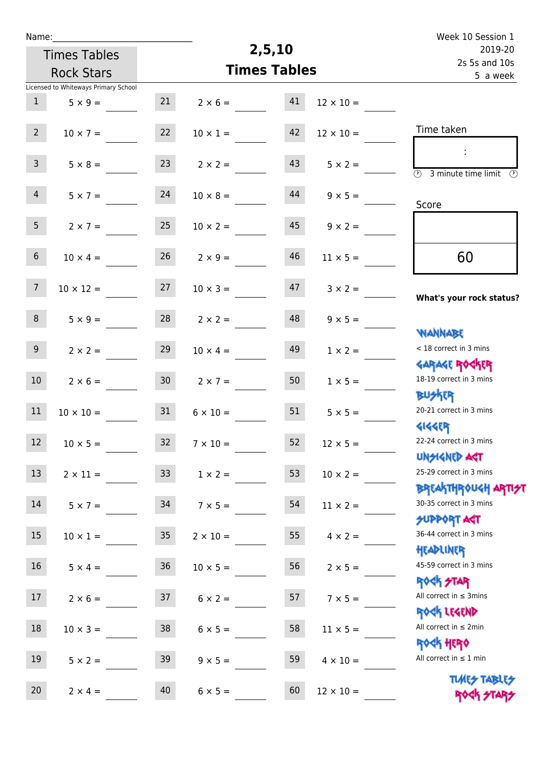| Name:           |                                      |                 |                 |                     |                  | Week 10 Session 1                                                |
|-----------------|--------------------------------------|-----------------|-----------------|---------------------|------------------|------------------------------------------------------------------|
|                 | <b>Times Tables</b>                  |                 |                 | 2,5,10              |                  | 2019-20                                                          |
|                 | <b>Rock Stars</b>                    |                 |                 | <b>Times Tables</b> |                  | 2s 5s and 10s<br>5 a week                                        |
|                 | Licensed to Whiteways Primary School |                 |                 |                     |                  |                                                                  |
| 1               | $5 \times 9 =$                       | 21              | $2 \times 6 =$  | 41                  | $12 \times 10 =$ |                                                                  |
| $2^{\circ}$     | $10 \times 7 =$                      | 22              | $10 \times 1 =$ | 42                  | $12 \times 10 =$ | Time taken                                                       |
| 3 <sup>7</sup>  | $5 \times 8 =$                       | 23              | $2 \times 2 =$  | 43                  | $5 \times 2 =$   | $\overline{(\mathcal{V})}$<br>3 minute time limit $\circled{b}$  |
| $\overline{4}$  | $5 \times 7 =$                       | 24              | $10 \times 8 =$ | 44                  | $9 \times 5 =$   | Score                                                            |
| 5 <sub>1</sub>  | $2 \times 7 =$                       | 25              | $10 \times 2 =$ | 45                  | $9 \times 2 =$   |                                                                  |
| 6 <sup>1</sup>  | $10 \times 4 =$                      | 26              | $2 \times 9 =$  | 46                  | $11 \times 5 =$  | 60                                                               |
| 7 <sup>7</sup>  | $10 \times 12 =$                     | 27              | $10 \times 3 =$ | 47                  | $3 \times 2 =$   | What's your rock status?                                         |
| 8               | $5 \times 9 =$                       | 28              | $2 \times 2 =$  | 48                  | $9 \times 5 =$   | <b>NANNABE</b>                                                   |
| 9               | $2 \times 2 =$                       | 29              | $10 \times 4 =$ | 49                  | $1 \times 2 =$   | < 18 correct in 3 mins<br><b>GARAGE ROCKER</b>                   |
| 10 <sup>°</sup> | $2 \times 6 =$                       | 30 <sub>o</sub> | $2 \times 7 =$  | 50                  | $1 \times 5 =$   | 18-19 correct in 3 mins<br><b>BUSKRR</b>                         |
| 11              | $10 \times 10 =$                     | 31              | $6 \times 10 =$ | 51                  | $5 \times 5 =$   | 20-21 correct in 3 mins<br><b>4144ER</b>                         |
| 12              | $10 \times 5 =$                      | 32              | $7 \times 10 =$ | 52                  | $12 \times 5 =$  | 22-24 correct in 3 mins<br><b>UNSIGNED AST</b>                   |
| 13              | $2 \times 11 =$                      | 33              | $1 \times 2 =$  | 53                  | $10 \times 2 =$  | 25-29 correct in 3 mins                                          |
| 14              | $5 \times 7 =$                       | 34              | $7 \times 5 =$  | 54                  | $11 \times 2 =$  | <b>BREAKTHROUGH ARTI<del>S</del>T</b><br>30-35 correct in 3 mins |
| 15              | $10 \times 1 =$                      | 35 <sub>o</sub> | $2 \times 10 =$ | 55                  | $4 \times 2 =$   | <b>SUPPORT AGT</b><br>36-44 correct in 3 mins                    |
| 16              | $5 \times 4 =$                       | 36              | $10 \times 5 =$ | 56                  | $2 \times 5 =$   | HEADLINER<br>45-59 correct in 3 mins                             |
| 17              | $2 \times 6 =$                       | 37              | $6 \times 2 =$  | 57                  | $7 \times 5 =$   | <b>ROCK STAR</b><br>All correct in $\leq$ 3mins<br>ROCK LEGEND   |
| 18              | $10 \times 3 =$                      | 38              | $6 \times 5 =$  | 58                  | $11 \times 5 =$  | All correct in $\leq 2$ min                                      |
| 19              | $5 \times 2 =$                       | 39              | $9 \times 5 =$  | 59                  | $4 \times 10 =$  | <b>ROCK HERO</b><br>All correct in $\leq 1$ min                  |
| 20              | $2 \times 4 =$                       | 40              | $6 \times 5 =$  | 60                  | $12 \times 10 =$ | <b>TUARS TABLES</b><br>ROCK STA                                  |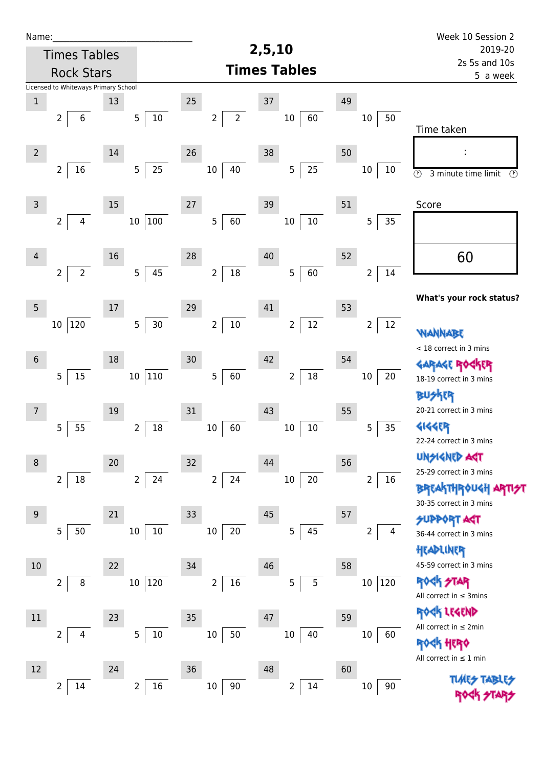| Name:          |                                      |        |                           |                                  |                          |                           |                         | Week 10 Session 2                                                |
|----------------|--------------------------------------|--------|---------------------------|----------------------------------|--------------------------|---------------------------|-------------------------|------------------------------------------------------------------|
|                | <b>Times Tables</b>                  |        |                           | 2,5,10                           | 2019-20                  |                           |                         |                                                                  |
|                | <b>Rock Stars</b>                    |        |                           |                                  | <b>Times Tables</b>      | 2s 5s and 10s<br>5 a week |                         |                                                                  |
|                | Licensed to Whiteways Primary School |        |                           |                                  |                          |                           |                         |                                                                  |
| $\mathbf 1$    |                                      | 13     |                           | 25                               | 37                       | 49                        |                         |                                                                  |
|                | $\overline{2}$<br>6                  |        | $10\,$<br>5 <sub>5</sub>  | $\overline{2}$<br>$\overline{2}$ | $10\,$<br>60             |                           | 10<br>50                | Time taken                                                       |
| $\overline{2}$ |                                      | 14     |                           | 26                               | 38                       | 50                        |                         |                                                                  |
|                | $\overline{2}$<br>16                 |        | 5 <sub>5</sub><br>25      | 40<br>10                         | 25<br>$\sqrt{5}$         |                           | 10<br>10                | $\overline{\odot}$<br>3 minute time limit<br>$\circled{r}$       |
| $\mathsf 3$    |                                      | 15     |                           | 27                               | 39                       | 51                        |                         | Score                                                            |
|                | $\overline{2}$<br>4                  |        | 100<br>$10\,$             | $\overline{5}$<br>60             | $10\,$<br>$10\,$         |                           | 35<br>5                 |                                                                  |
| $\overline{4}$ |                                      | 16     |                           | 28                               | 40                       | 52                        |                         | 60                                                               |
|                | $\overline{2}$<br>$\overline{2}$     |        | 45<br>5 <sub>1</sub>      | $18\,$<br>$\overline{2}$         | 60<br>$\overline{5}$     |                           | 14<br>$\overline{2}$    |                                                                  |
| $\overline{5}$ |                                      | 17     |                           | 29                               | 41                       | 53                        |                         | What's your rock status?                                         |
|                | 120<br>10                            |        | 30<br>5                   | $10\,$<br>$\overline{2}$         | $12\,$<br>$\overline{2}$ |                           | 12<br>$\overline{2}$    | WANNABE                                                          |
| $6\phantom{1}$ |                                      | 18     |                           | 30                               | 42                       | 54                        |                         | < 18 correct in 3 mins                                           |
|                | $15\,$<br>$\overline{5}$             |        | 10 110                    | 5<br>60                          | $18\,$<br>$\mathbf 2$    |                           | 20<br>10                | <b>GARAGE RO</b><br>18-19 correct in 3 mins                      |
|                |                                      |        |                           |                                  |                          |                           |                         | <b>BUSKER</b><br>20-21 correct in 3 mins                         |
| $\overline{7}$ | 5<br>55                              | 19     | 18<br>2                   | 31<br>60<br>$10\,$               | 43<br>10<br>$10\,$       | 55                        | 5<br>35                 | <b>4144EP</b>                                                    |
|                |                                      |        |                           |                                  |                          |                           |                         | 22-24 correct in 3 mins                                          |
| $\,8\,$        |                                      | $20\,$ |                           | 32                               | 44                       | 56                        |                         | <b>UNSIGNED AGT</b>                                              |
|                | $\overline{2}$<br>18                 |        | 2 <sup>1</sup><br>24      | $\overline{2}$<br>24             | $20\,$<br>$10\,$         |                           | $\overline{2}$<br>16    | 25-29 correct in 3 mins                                          |
|                |                                      |        |                           |                                  |                          |                           |                         | <b>BREAKTHROUGH ARTI<del>S</del>T</b><br>30-35 correct in 3 mins |
| 9              |                                      | 21     |                           | 33                               | $45\,$                   | 57                        |                         | <b>SUPPORT AGT</b>                                               |
|                | 50<br>5                              |        | 10<br>$10\,$              | 20<br>10                         | 45<br>5                  |                           | 2<br>4                  | 36-44 correct in 3 mins                                          |
|                |                                      |        |                           |                                  |                          |                           |                         | HEADLINER                                                        |
| 10             |                                      | 22     |                           | 34                               | 46                       | 58                        |                         | 45-59 correct in 3 mins                                          |
|                | $\overline{2}$<br>8                  |        | 10 120                    | $\overline{2}$<br>16             | 5<br>5                   |                           | $ 120\rangle$<br>$10\,$ | <b>ROCK STAR</b><br>All correct in $\leq$ 3mins                  |
| $11\,$         |                                      | 23     |                           | 35                               | 47                       | 59                        |                         | ROCK LEGEND                                                      |
|                | $\overline{2}$<br>4                  |        | $5\phantom{.0}$<br>$10\,$ | $10\,$<br>50                     | 40<br>$10\,$             |                           | $10\,$<br>60            | All correct in $\leq 2$ min                                      |
| 12             |                                      |        |                           | 36                               | 48                       | 60                        |                         | <b>ROGH HERO</b><br>All correct in $\leq 1$ min                  |
|                |                                      | 24     | 16<br>$\overline{2}$      | 90                               | 14<br>$\overline{2}$     |                           |                         |                                                                  |
|                | $\overline{2}$<br>14                 |        |                           | $10\,$                           |                          |                           | $10\,$                  |                                                                  |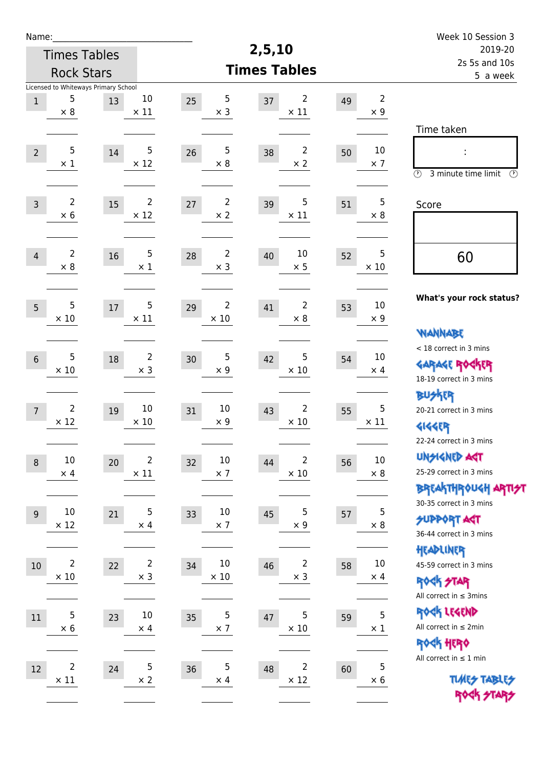| Name:                                |                         |                               |                          |                     |                              |    |                  | Week 10 Session 3                               |
|--------------------------------------|-------------------------|-------------------------------|--------------------------|---------------------|------------------------------|----|------------------|-------------------------------------------------|
|                                      | <b>Times Tables</b>     |                               |                          | 2,5,10              |                              |    |                  | 2019-20                                         |
|                                      | <b>Rock Stars</b>       |                               |                          | <b>Times Tables</b> |                              |    |                  | 2s 5s and 10s<br>5 a week                       |
| Licensed to Whiteways Primary School |                         |                               |                          |                     |                              |    |                  |                                                 |
| $\mathbf 1$                          | 5                       | $10\,$<br>13                  | $\sqrt{5}$<br>25         | 37                  | 2                            | 49 | $\overline{2}$   |                                                 |
| $\times 8$                           |                         | $\times$ 11                   | $\times$ 3               |                     | $\times$ 11                  |    | $\times$ 9       |                                                 |
|                                      |                         |                               |                          |                     |                              |    |                  | Time taken                                      |
| $\overline{2}$                       | 5                       | 5<br>14                       | 5<br>26                  | 38                  | 2                            | 50 | 10               | Ì,                                              |
| $\times$ 1                           |                         | $\times$ 12                   | $\times 8$               |                     | $\times 2$                   |    | $\times$ 7       | $\circled{r}$<br>3 minute time limit<br>⊕       |
|                                      |                         |                               |                          |                     |                              |    |                  |                                                 |
| $\overline{3}$                       | $\overline{2}$          | $\overline{2}$<br>15          | $\overline{2}$<br>$27\,$ | 39                  | 5                            | 51 | 5                | Score                                           |
| $\times$ 6                           |                         | $\times$ 12                   | $\times$ 2               |                     | $\times$ 11                  |    | $\times 8$       |                                                 |
|                                      |                         |                               |                          |                     |                              |    |                  |                                                 |
| $\overline{4}$                       | 2                       | 5<br>16                       | $\overline{2}$<br>28     | 40                  | 10                           | 52 | 5                |                                                 |
| $\times 8$                           |                         | $\times 1$                    | $\times$ 3               |                     | $\times$ 5                   |    | $\times 10$      | 60                                              |
|                                      |                         |                               |                          |                     |                              |    |                  |                                                 |
|                                      |                         |                               |                          |                     |                              |    |                  | What's your rock status?                        |
| $5\overline{)}$<br>$\times 10$       | 5                       | 5<br>$17\,$<br>$\times$ 11    | 2<br>29<br>$\times 10$   | 41                  | 2<br>$\times 8$              | 53 | 10<br>$\times$ 9 |                                                 |
|                                      |                         |                               |                          |                     |                              |    |                  | WANNABE                                         |
|                                      |                         |                               |                          |                     |                              |    |                  | < 18 correct in 3 mins                          |
| $6\phantom{1}6$                      | 5                       | $\overline{2}$<br>18          | 5<br>30                  | 42                  | 5                            | 54 | 10               | <b>GARAGE ROGKER</b>                            |
| $\times$ 10                          |                         | $\times$ 3                    | $\times$ 9               |                     | $\times$ 10                  |    | $\times$ 4       | 18-19 correct in 3 mins                         |
|                                      |                         |                               |                          |                     |                              |    |                  | BUSKER                                          |
| $\overline{7}$                       | 2                       | 10<br>19                      | 10<br>31                 | 43                  | 2                            | 55 | 5                | 20-21 correct in 3 mins                         |
| $\times$ 12                          |                         | $\times$ 10                   | $\times$ 9               |                     | $\times$ 10                  |    | $\times$ 11      | <b>4144EP</b>                                   |
|                                      |                         |                               |                          |                     |                              |    |                  | 22-24 correct in 3 mins                         |
| 10<br>$\,8\,$                        |                         | $\overline{\mathbf{c}}$<br>20 | $10\,$<br>32             | 44                  | $\overline{2}$               | 56 | $10\,$           | <b>UNSIGNED AGT</b>                             |
| $\times$ 4                           |                         | $\times$ 11                   | $\times$ 7               |                     | $\times$ 10                  |    | $\times$ 8       | 25-29 correct in 3 mins                         |
|                                      |                         |                               |                          |                     |                              |    |                  | ΒΡΓΑ <sup>Κ</sup> ΤΗΡΟυΚΗ ΑΡΤΙ <del>2</del> Τ   |
| 10<br>9                              |                         | 5<br>21                       | 10<br>33                 | 45                  | 5                            | 57 | 5                | 30-35 correct in 3 mins                         |
| $\times$ 12                          |                         | $\times$ 4                    | $\times$ 7               |                     | $\times$ 9                   |    | $\times$ 8       | <b>SUPPORT AGT</b>                              |
|                                      |                         |                               |                          |                     |                              |    |                  | 36-44 correct in 3 mins                         |
|                                      | 2                       | $\overline{2}$                | $10\,$                   |                     |                              |    | $10\,$           | HEADLINER                                       |
| 10<br>$\times$ 10                    |                         | 22<br>$\times$ 3              | 34<br>$\times$ 10        | 46                  | $\overline{2}$<br>$\times$ 3 | 58 | $\times$ 4       | 45-59 correct in 3 mins                         |
|                                      |                         |                               |                          |                     |                              |    |                  | <b>ROCK STAR</b><br>All correct in $\leq$ 3mins |
|                                      |                         |                               |                          |                     |                              |    |                  |                                                 |
| 11                                   | 5                       | $10\,$<br>23                  | 5<br>35                  | 47                  | 5                            | 59 | 5                | ROCK LEGEND<br>All correct in $\leq 2$ min      |
| $\times$ 6                           |                         | $\times$ 4                    | $\times$ 7               |                     | $\times$ 10                  |    | $\times$ 1       | <b>ROCK HERO</b>                                |
|                                      |                         |                               |                          |                     |                              |    |                  | All correct in $\leq 1$ min                     |
| 12                                   | $\overline{\mathbf{c}}$ | 5<br>24                       | 5<br>36                  | 48                  | 2                            | 60 | $\overline{5}$   |                                                 |
| $\times$ 11                          |                         | $\times 2$                    | $\times$ 4               |                     | $\times$ 12                  |    | $\times 6$       | <b>TUARS TABLES</b>                             |
|                                      |                         |                               |                          |                     |                              |    |                  | ROCK STARS                                      |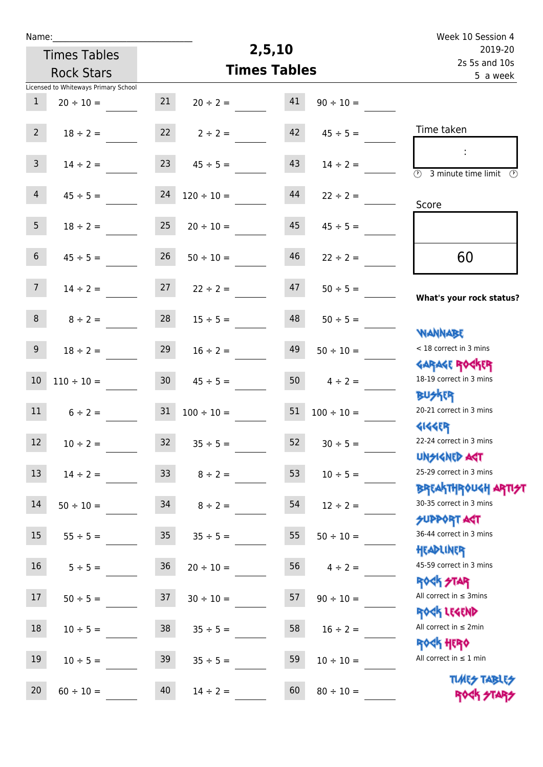| Name:            |                                      |                 |                 |                     |                 | Week 10 Session 4                                                |
|------------------|--------------------------------------|-----------------|-----------------|---------------------|-----------------|------------------------------------------------------------------|
|                  | <b>Times Tables</b>                  |                 |                 | 2,5,10              |                 | 2019-20                                                          |
|                  | <b>Rock Stars</b>                    |                 |                 | <b>Times Tables</b> |                 | 2s 5s and 10s<br>5 a week                                        |
|                  | Licensed to Whiteways Primary School |                 |                 |                     |                 |                                                                  |
| $\mathbf{1}$     | $20 \div 10 =$                       | 21              | $20 \div 2 =$   | 41                  | $90 \div 10 =$  |                                                                  |
|                  |                                      |                 |                 |                     |                 |                                                                  |
| $2^{\circ}$      | $18 \div 2 =$                        | 22              | $2 \div 2 =$    | 42                  | $45 \div 5 =$   | Time taken                                                       |
| $\mathbf{3}$     |                                      |                 |                 | 43                  |                 | ÷                                                                |
|                  | $14 \div 2 =$                        | 23              | $45 \div 5 =$   |                     | $14 \div 2 =$   | (1)<br>3 minute time limit<br>$\mathcal{O}$                      |
| $\overline{4}$   | $45 \div 5 =$                        | 24              | $120 \div 10 =$ | 44                  | $22 \div 2 =$   |                                                                  |
|                  |                                      |                 |                 |                     |                 | Score                                                            |
| 5 <sub>1</sub>   | $18 \div 2 =$                        | 25              | $20 \div 10 =$  | 45                  | $45 \div 5 =$   |                                                                  |
|                  |                                      |                 |                 |                     |                 |                                                                  |
| $6\overline{6}$  | $45 \div 5 =$                        | 26              | $50 \div 10 =$  | 46                  | $22 \div 2 =$   | 60                                                               |
|                  |                                      |                 |                 |                     |                 |                                                                  |
| 7 <sup>7</sup>   | $14 \div 2 =$                        | 27              | $22 \div 2 =$   | 47                  | $50 \div 5 =$   | What's your rock status?                                         |
| 8                |                                      | 28              |                 | 48                  |                 |                                                                  |
|                  | $8 \div 2 =$                         |                 | $15 \div 5 =$   |                     | $50 \div 5 =$   | <b>NANNABE</b>                                                   |
| $9\phantom{.0}$  | $18 \div 2 =$                        | 29              | $16 \div 2 =$   | 49                  | $50 \div 10 =$  | < 18 correct in 3 mins                                           |
|                  |                                      |                 |                 |                     |                 | <b>GARAGE ROGKER</b>                                             |
| $10\,$           | $110 \div 10 =$                      | 30 <sub>o</sub> | $45 \div 5 =$   | 50                  | $4 \div 2 =$    | 18-19 correct in 3 mins                                          |
|                  |                                      |                 |                 |                     |                 | <b>BUSKER</b>                                                    |
| 11               | $6 \div 2 =$                         | 31              | $100 \div 10 =$ | 51                  | $100 \div 10 =$ | 20-21 correct in 3 mins                                          |
|                  |                                      |                 |                 |                     |                 | <b>4144ER</b>                                                    |
| 12               | $10 \div 2 =$                        | 32              | $35 \div 5 =$   | 52                  | $30 \div 5 =$   | 22-24 correct in 3 mins                                          |
|                  |                                      |                 |                 |                     |                 | <b>UNSIGNED AGT</b>                                              |
| 13               | $14 \div 2 =$                        | 33 <sup>°</sup> | $8 \div 2 =$    | 53                  | $10 \div 5 =$   | 25-29 correct in 3 mins                                          |
| 14               |                                      |                 |                 |                     |                 | <b>BREAKTHROUGH ARTI<del>S</del>T</b><br>30-35 correct in 3 mins |
|                  | $50 \div 10 =$                       | 34              | $8 \div 2 =$    | 54                  | $12 \div 2 =$   | <b>SUPPORT AGT</b>                                               |
| 15 <sub>15</sub> | $55 \div 5 =$                        | 35 <sub>1</sub> | $35 \div 5 =$   | 55                  | $50 \div 10 =$  | 36-44 correct in 3 mins                                          |
|                  |                                      |                 |                 |                     |                 | HEADLINER                                                        |
| 16               | $5 \div 5 =$                         | 36              | $20 \div 10 =$  | 56                  | $4 \div 2 =$    | 45-59 correct in 3 mins                                          |
|                  |                                      |                 |                 |                     |                 | <b>ROCK STAR</b>                                                 |
| 17               | $50 \div 5 =$                        | 37              | $30 \div 10 =$  | 57                  | $90 \div 10 =$  | All correct in $\leq$ 3mins                                      |
|                  |                                      |                 |                 |                     |                 | ROCK LEGEND                                                      |
| 18               | $10 \div 5 =$                        | 38              | $35 \div 5 =$   | 58                  | $16 \div 2 =$   | All correct in $\leq 2$ min                                      |
|                  |                                      |                 |                 |                     |                 | <b>ROGH HERO</b>                                                 |
| 19               | $10 \div 5 =$                        | 39              | $35 \div 5 =$   | 59                  | $10 \div 10 =$  | All correct in $\leq 1$ min                                      |
|                  |                                      |                 |                 |                     |                 | <b>TUARS TABLES</b>                                              |
| 20               | $60 \div 10 =$                       | 40              | $14 \div 2 =$   | 60                  | $80 \div 10 =$  | ROCK STARS                                                       |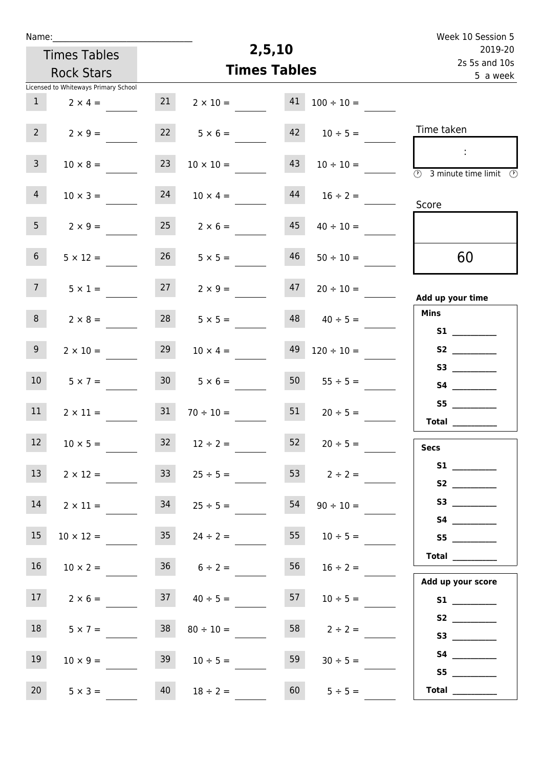| Name:                                |                    |                            |                      | Week 10 Session 5                                                                                        |
|--------------------------------------|--------------------|----------------------------|----------------------|----------------------------------------------------------------------------------------------------------|
| <b>Times Tables</b>                  |                    | 2,5,10                     |                      | 2019-20                                                                                                  |
| <b>Rock Stars</b>                    |                    | <b>Times Tables</b>        |                      | 2s 5s and 10s<br>5 a week                                                                                |
| Licensed to Whiteways Primary School |                    |                            |                      |                                                                                                          |
| $\mathbf{1}$<br>$2 \times 4 =$       | 21                 | 41<br>$2 \times 10 =$      | $100 \div 10 =$      |                                                                                                          |
| $2^{\circ}$<br>$2 \times 9 =$        | 22                 | 42<br>$5 \times 6 =$       | $10 \div 5 =$        | Time taken                                                                                               |
| 3 <sup>7</sup><br>$10 \times 8 =$    | 23                 | 43<br>$10 \times 10 =$     | $10 \div 10 =$       | $\langle \cdot \rangle$<br>$\overline{\textcircled{2}}$ 3 minute time limit $\overline{\textcircled{2}}$ |
| 4<br>$10 \times 3 =$                 | 24                 | 44<br>$10 \times 4 =$      | $16 \div 2 =$        | Score                                                                                                    |
| 5 <sub>1</sub><br>$2 \times 9 =$     |                    | $25 \t 2 \times 6 =$<br>45 | $40 \div 10 =$       |                                                                                                          |
| 6 <sup>1</sup><br>$5 \times 12 =$    | 26                 | 46<br>$5 \times 5 =$       | $50 \div 10 =$       | 60                                                                                                       |
| 7 <sup>7</sup><br>$5 \times 1 =$     | 27                 | 47<br>$2 \times 9 =$       | $20 \div 10 =$       | Add up your time                                                                                         |
| 8<br>$2 \times 8 =$                  | 28                 | 48<br>$5 \times 5 =$       | $40 \div 5 =$        | <b>Mins</b>                                                                                              |
| 9<br>$2 \times 10 =$                 | 29                 | 49<br>$10 \times 4 =$      | $120 \div 10 =$      | S2                                                                                                       |
| 10 <sup>°</sup><br>$5 \times 7 =$    | 30 <sup>1</sup>    | 50<br>$5 \times 6 =$       | $55 \div 5 =$        | S4 __________                                                                                            |
| 11<br>$2 \times 11 =$                | 31                 | $70 \div 10 =$             | 51<br>$20 \div 5 =$  | S5                                                                                                       |
| 12<br>$10 \times 5 =$                |                    | $32 \t 12 \div 2 =$        | $52 \t 20 \div 5 =$  | <b>Secs</b>                                                                                              |
| 13<br>$2 \times 12 =$                | 33                 | $25 \div 5 =$              | 53 $2 \div 2 =$      |                                                                                                          |
| 14<br>$2 \times 11 =$                |                    | $34$ $25 \div 5 =$         | $54 \t 90 \div 10 =$ |                                                                                                          |
| 15 <sub>1</sub><br>$10 \times 12 =$  |                    | $35 \t 24 \div 2 =$        | 55<br>$10 \div 5 =$  | S5                                                                                                       |
| 16<br>$10 \times 2 =$                | $36 \t 6 \div 2 =$ | 56                         | $16 \div 2 =$        |                                                                                                          |
| 17<br>$2 \times 6 =$                 |                    | $37 \t 40 \div 5 =$<br>57  | $10 \div 5 =$        | Add up your score                                                                                        |
| 18<br>$5 \times 7 =$                 | 38                 | 58<br>$80 \div 10 =$       | $2 \div 2 =$         |                                                                                                          |
| 19<br>$10 \times 9 =$                | 39                 | 59<br>$10 \div 5 =$        | $30 \div 5 =$        | S5                                                                                                       |
| 20<br>$5 \times 3 =$                 | 40                 | $18 \div 2 =$              | 60<br>$5 \div 5 =$   | Total $\_\_$                                                                                             |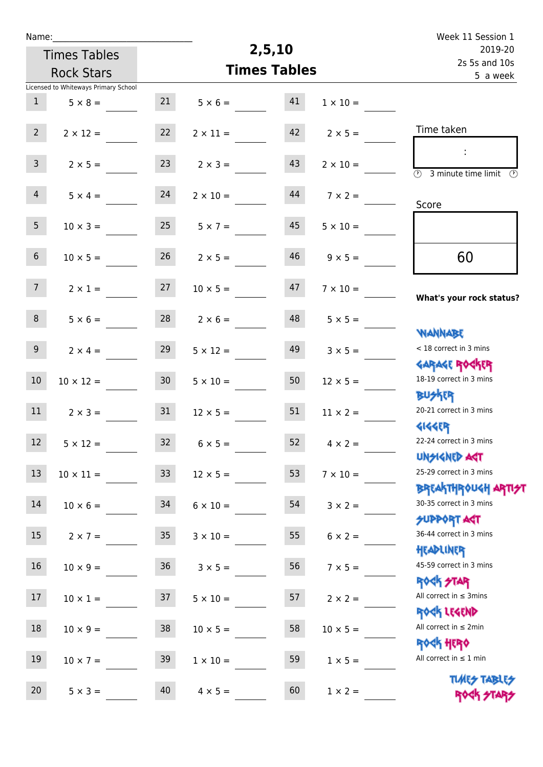| Name:            |                                      |                 |                 |                     |                 | Week 11 Session 1                                                |  |
|------------------|--------------------------------------|-----------------|-----------------|---------------------|-----------------|------------------------------------------------------------------|--|
|                  | <b>Times Tables</b>                  |                 |                 | 2,5,10              |                 | 2019-20<br>2s 5s and 10s                                         |  |
|                  | <b>Rock Stars</b>                    |                 |                 | <b>Times Tables</b> |                 | 5 a week                                                         |  |
|                  | Licensed to Whiteways Primary School |                 |                 |                     |                 |                                                                  |  |
| 1                | $5 \times 8 =$                       | 21              | $5 \times 6 =$  | 41                  | $1 \times 10 =$ |                                                                  |  |
| $2^{\circ}$      | $2 \times 12 =$                      | 22              | $2 \times 11 =$ | 42                  | $2 \times 5 =$  | Time taken                                                       |  |
| 3 <sup>7</sup>   | $2 \times 5 =$                       | 23              | $2 \times 3 =$  | 43                  | $2 \times 10 =$ | $\overline{(\mathcal{V})}$<br>3 minute time limit $\circled{b}$  |  |
| $\overline{4}$   | $5 \times 4 =$                       | 24              | $2 \times 10 =$ | 44                  | $7 \times 2 =$  | Score                                                            |  |
| 5 <sub>1</sub>   | $10 \times 3 =$                      | 25              | $5 \times 7 =$  | 45                  | $5 \times 10 =$ |                                                                  |  |
| 6 <sup>1</sup>   | $10 \times 5 =$                      | 26              | $2 \times 5 =$  | 46                  | $9 \times 5 =$  | 60                                                               |  |
| 7 <sup>7</sup>   | $2 \times 1 =$                       | 27              | $10 \times 5 =$ | 47                  | $7 \times 10 =$ | What's your rock status?                                         |  |
| 8                | $5 \times 6 =$                       | 28              | $2 \times 6 =$  | 48                  | $5 \times 5 =$  | <b>NANNABE</b>                                                   |  |
| 9 <sup>°</sup>   | $2 \times 4 =$                       | 29              | $5 \times 12 =$ | 49                  | $3 \times 5 =$  | < 18 correct in 3 mins<br><b>GARAGE ROCKER</b>                   |  |
| 10               | $10 \times 12 =$                     | 30 <sub>2</sub> | $5 \times 10 =$ | 50                  | $12 \times 5 =$ | 18-19 correct in 3 mins<br><b>BUSKRR</b>                         |  |
| 11               | $2 \times 3 =$                       | 31              | $12 \times 5 =$ | 51                  | $11 \times 2 =$ | 20-21 correct in 3 mins<br><b>4144ER</b>                         |  |
| 12 <sup>12</sup> | $5 \times 12 =$                      | 32              | $6 \times 5 =$  | 52                  | $4 \times 2 =$  | 22-24 correct in 3 mins<br><b>UNSIGNED AST</b>                   |  |
| $13\,$           | $10 \times 11 =$                     | 33              | $12 \times 5 =$ | 53                  | $7 \times 10 =$ | 25-29 correct in 3 mins                                          |  |
| 14               | $10 \times 6 =$                      | 34              | $6 \times 10 =$ | 54                  | $3 \times 2 =$  | <b>BREAKTHROUGH ARTI<del>S</del>T</b><br>30-35 correct in 3 mins |  |
| 15               | $2 \times 7 =$                       | 35              | $3 \times 10 =$ | 55                  | $6 \times 2 =$  | <b>SUPPORT AGT</b><br>36-44 correct in 3 mins                    |  |
| 16               | $10 \times 9 =$                      | 36              | $3 \times 5 =$  | 56                  | $7 \times 5 =$  | HEADLINER<br>45-59 correct in 3 mins                             |  |
| 17               | $10 \times 1 =$                      | 37              | $5 \times 10 =$ | 57                  | $2 \times 2 =$  | <b>ROCK STAR</b><br>All correct in $\leq$ 3mins                  |  |
| 18               | $10 \times 9 =$                      | 38              | $10 \times 5 =$ | 58                  | $10 \times 5 =$ | ROCK LEGEND<br>All correct in $\leq 2$ min                       |  |
| 19               | $10 \times 7 =$                      | 39              | $1 \times 10 =$ | 59                  | $1 \times 5 =$  | <b>ROCK HERO</b><br>All correct in $\leq 1$ min                  |  |
| 20               | $5 \times 3 =$                       | 40              | $4 \times 5 =$  | 60                  | $1 \times 2 =$  | <b>TUARS TABLES</b><br>ROCK STAP                                 |  |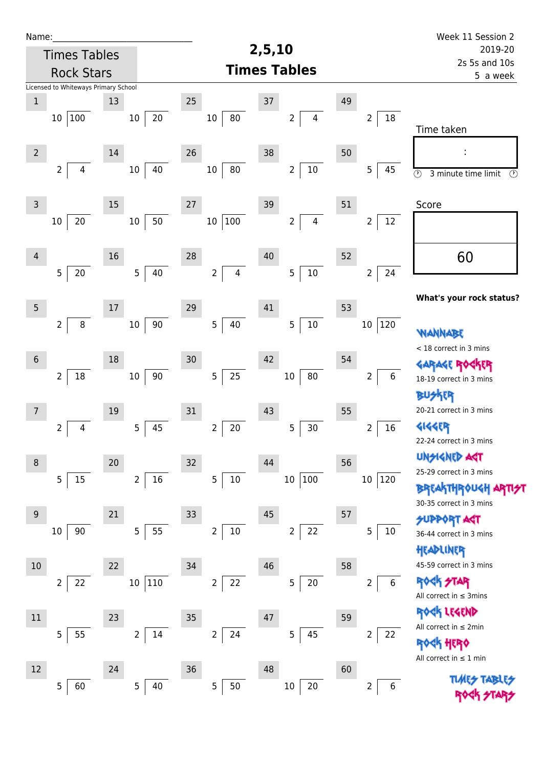| Name:          |                                      |        |                          |                      |                      |                                           |    |                                  | Week 11 Session 2                                                       |  |
|----------------|--------------------------------------|--------|--------------------------|----------------------|----------------------|-------------------------------------------|----|----------------------------------|-------------------------------------------------------------------------|--|
|                | <b>Times Tables</b>                  |        |                          |                      | 2,5,10               | 2019-20                                   |    |                                  |                                                                         |  |
|                | <b>Rock Stars</b>                    |        |                          |                      | <b>Times Tables</b>  |                                           |    |                                  | 2s 5s and 10s<br>5 a week                                               |  |
|                | Licensed to Whiteways Primary School |        |                          |                      |                      |                                           |    |                                  |                                                                         |  |
| $\mathbf 1$    |                                      | 13     |                          | 25                   | 37                   |                                           | 49 |                                  |                                                                         |  |
|                | 10 100                               |        | $20\,$<br>$10\,$         | 10                   | 80                   | 4<br>$\overline{2}$                       |    | 18<br>2                          | Time taken                                                              |  |
| $\overline{2}$ |                                      | $14\,$ |                          | 26                   | 38                   |                                           | 50 |                                  |                                                                         |  |
|                | $\overline{2}$<br>$\overline{4}$     |        | 40<br>$10\,$             | 10                   | 80                   | $10\,$<br>$\overline{2}$                  |    | 5<br>45                          | $\overline{\circ}$<br>3 minute time limit<br>$\circled{r}$              |  |
| $\mathsf{3}$   |                                      | 15     |                          | 27                   | 39                   |                                           | 51 |                                  | Score                                                                   |  |
|                | 20<br>$10\,$                         |        | 50<br>$10\,$             | $10\,$               | $100\,$              | $\overline{\mathbf{4}}$<br>$\overline{2}$ |    | 12<br>$\overline{2}$             |                                                                         |  |
| $\overline{4}$ | $20\,$<br>5                          | 16     | 40<br>5                  | 28<br>$\overline{2}$ | 40<br>$\overline{4}$ | $10\,$<br>5                               | 52 | $\overline{2}$<br>24             | 60                                                                      |  |
|                |                                      |        |                          |                      |                      |                                           |    |                                  |                                                                         |  |
| $\overline{5}$ |                                      | 17     |                          | 29                   | 41                   |                                           | 53 |                                  | What's your rock status?                                                |  |
|                | 8<br>$\overline{2}$                  |        | 90<br>$10\,$             | $\overline{5}$       | 40                   | $10\,$<br>5                               |    | $10\,$<br>$ 120\rangle$          | WANNABE                                                                 |  |
| $6\,$          |                                      | 18     |                          | 30                   | 42                   |                                           | 54 |                                  | < 18 correct in 3 mins<br><b>GARAGE RO</b>                              |  |
|                | $18\,$<br>$\overline{2}$             |        | $90\,$<br>$10\,$         | $\overline{5}$       | $25\,$               | ${\bf 80}$<br>$10\,$                      |    | 6<br>$\overline{2}$              | 18-19 correct in 3 mins                                                 |  |
| 7              |                                      | 19     |                          | 31                   | 43                   |                                           | 55 |                                  | <b>BUSKER</b><br>20-21 correct in 3 mins                                |  |
|                | $\overline{2}$<br>4                  |        | 5<br>45                  | $\overline{2}$       | 20                   | 5<br>30                                   |    | 16<br>$\overline{2}$             | 4144EP                                                                  |  |
|                |                                      |        |                          |                      |                      |                                           |    |                                  | 22-24 correct in 3 mins                                                 |  |
| $\,8\,$        |                                      | 20     |                          | 32                   | 44                   |                                           | 56 |                                  | <b>UNSIGNED AGT</b><br>25-29 correct in 3 mins                          |  |
|                | 5<br>15                              |        | $\overline{2}$<br>16     | 5                    | $10\,$               | 100<br>$10\,$                             |    | 10 <sup>°</sup><br>$ 120\rangle$ | <b>BREAKTHROUGH</b><br>30-35 correct in 3 mins                          |  |
| $9\,$          |                                      | 21     |                          | 33                   | $45\,$               |                                           | 57 |                                  | <b>SUPPORT AGT</b>                                                      |  |
|                | 90<br>10                             |        | 5<br>55                  | $\mathbf 2$          | $10\,$               | 22<br>$\overline{2}$                      |    | 5<br>$10\,$                      | 36-44 correct in 3 mins<br>HEADLINER                                    |  |
| 10             |                                      | 22     |                          | 34                   | 46                   |                                           | 58 |                                  | 45-59 correct in 3 mins                                                 |  |
|                | $\overline{2}$<br>22                 |        | 110<br>$10\,$            | $\mathsf{2}\,$       | 22                   | $20\,$<br>5                               |    | $\boldsymbol{6}$<br>2            | <b>ROCK STAR</b><br>All correct in $\leq$ 3mins                         |  |
| 11             |                                      | 23     |                          | 35                   | 47                   |                                           | 59 |                                  | ROCK LEGEND                                                             |  |
|                | 5<br>55                              |        | $\overline{2}$<br>$14\,$ | $\overline{2}$       | 24                   | 45<br>5                                   |    | $\overline{2}$<br>22             | All correct in $\leq 2$ min                                             |  |
|                |                                      |        |                          |                      |                      |                                           |    |                                  | <b><k b="" her0<=""><br/>All correct in <math>\leq 1</math> min</k></b> |  |
| 12             |                                      | 24     |                          | 36                   | 48                   |                                           | 60 |                                  |                                                                         |  |
|                | 5<br>60                              |        | 5<br>40                  | 5                    | 50                   | $10\,$<br>$20\,$                          |    | 6<br>2                           |                                                                         |  |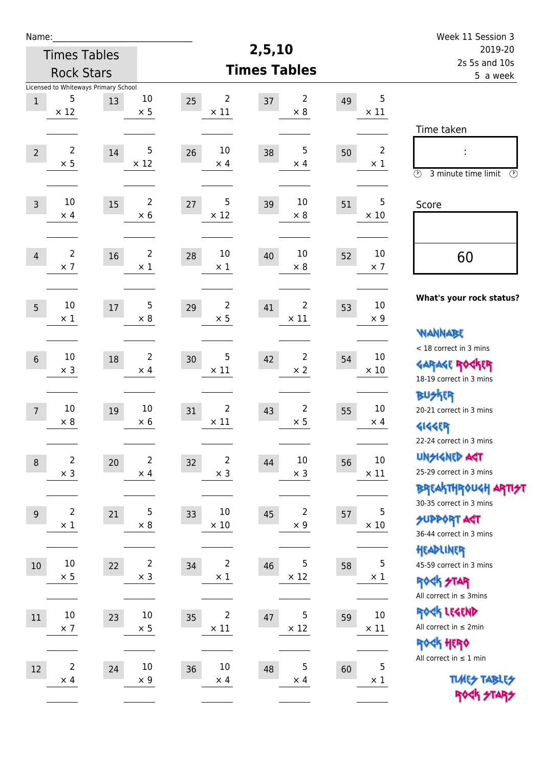| Name:          |                                           |        |                |                               |                               |    |                | Week 11 Session 3                               |
|----------------|-------------------------------------------|--------|----------------|-------------------------------|-------------------------------|----|----------------|-------------------------------------------------|
|                | <b>Times Tables</b>                       |        |                |                               | 2,5,10                        |    |                | 2019-20                                         |
|                | <b>Rock Stars</b>                         |        |                |                               | <b>Times Tables</b>           |    |                | 2s 5s and 10s<br>5 a week                       |
| $\,1$          | Licensed to Whiteways Primary School<br>5 | 13     | $10\,$         | 2<br>25                       | $\overline{2}$<br>37          | 49 | 5              |                                                 |
|                | $\times$ 12                               |        | $\times$ 5     | $\times$ 11                   | $\times 8$                    |    | $\times$ 11    |                                                 |
|                |                                           |        |                |                               |                               |    |                | Time taken                                      |
| $\overline{2}$ | $\overline{2}$                            | 14     | 5              | 10<br>26                      | 5<br>38                       | 50 | $\overline{2}$ | İ,                                              |
|                | $\times$ 5                                |        | $\times$ 12    | $\times$ 4                    | $\times$ 4                    |    | $\times$ 1     |                                                 |
|                |                                           |        |                |                               |                               |    |                | $\circled{r}$<br>3 minute time limit<br>⊕       |
| $\overline{3}$ | $10\,$                                    | 15     | $\overline{2}$ | 5<br>27                       | 10<br>39                      | 51 | 5              | Score                                           |
|                | $\times$ 4                                |        | $\times$ 6     | $\times$ 12                   | $\times 8$                    |    | $\times 10$    |                                                 |
|                |                                           |        |                |                               |                               |    |                |                                                 |
| $\overline{4}$ | 2                                         | 16     | 2              | 10<br>28                      | 10<br>40                      | 52 | 10             | 60                                              |
|                | $\times$ 7                                |        | $\times 1$     | $\times 1$                    | $\times 8$                    |    | $\times$ 7     |                                                 |
|                |                                           |        |                |                               |                               |    |                |                                                 |
| 5              | $10\,$                                    | $17\,$ | 5              | $\overline{\mathbf{c}}$<br>29 | 2<br>41                       | 53 | 10             | What's your rock status?                        |
|                | $\times$ 1                                |        | $\times 8$     | $\times$ 5                    | $\times$ 11                   |    | $\times$ 9     |                                                 |
|                |                                           |        |                |                               |                               |    |                | <b>NANNABE</b>                                  |
| $6\,$          | $10\,$                                    | 18     | $\overline{2}$ | 5<br>30                       | $\overline{2}$<br>42          | 54 | 10             | < 18 correct in 3 mins                          |
|                | $\times$ 3                                |        | $\times$ 4     | $\times$ 11                   | $\times$ 2                    |    | $\times$ 10    | <b>GARAGE ROCKER</b><br>18-19 correct in 3 mins |
|                |                                           |        |                |                               |                               |    |                | <b>BU外界</b>                                     |
| $\overline{7}$ | 10                                        | 19     | 10             | 2<br>31                       | $\overline{\mathbf{c}}$<br>43 | 55 | 10             | 20-21 correct in 3 mins                         |
|                | $\times 8$                                |        | $\times 6$     | $\times$ 11                   | $\times$ 5                    |    | $\times$ 4     | <b>4144EP</b>                                   |
|                |                                           |        |                |                               |                               |    |                | 22-24 correct in 3 mins                         |
| $\,8\,$        | $\overline{c}$                            | 20     | $\overline{2}$ | $\overline{2}$<br>32          | $10\,$<br>44                  | 56 | $10\,$         | <b>UNSIGNED AGT</b>                             |
|                | $\times$ 3                                |        | $\times$ 4     | $\times$ 3                    | $\times$ 3                    |    | $\times$ 11    | 25-29 correct in 3 mins                         |
|                |                                           |        |                |                               |                               |    |                | <b>BREAKTHROUGH ARTI<del>S</del>T</b>           |
| 9              | 2                                         | 21     | 5              | 10<br>33                      | $\overline{2}$<br>45          | 57 | 5              | 30-35 correct in 3 mins                         |
|                | $\times$ 1                                |        | $\times$ 8     | $\times$ 10                   | $\times$ 9                    |    | $\times$ 10    | <b>SUPPORT AGT</b><br>36-44 correct in 3 mins   |
|                |                                           |        |                |                               |                               |    |                | HEADLINER                                       |
| $10$           | $10\,$                                    | 22     | $\overline{2}$ | $\overline{2}$<br>34          | 5<br>46                       | 58 | 5              | 45-59 correct in 3 mins                         |
|                | $\times$ 5                                |        | $\times$ 3     | $\times$ 1                    | $\times$ 12                   |    | $\times$ 1     | <b>ROCK STAR</b>                                |
|                |                                           |        |                |                               |                               |    |                | All correct in $\leq$ 3mins                     |
| 11             | $10\,$                                    | 23     | $10\,$         | $\overline{2}$<br>35          | 5<br>47                       | 59 | $10\,$         | ROCK LEGEND                                     |
|                | $\times$ 7                                |        | $\times$ 5     | $\times$ 11                   | $\times$ 12                   |    | $\times$ 11    | All correct in $\leq 2$ min                     |
|                |                                           |        |                |                               |                               |    |                | ROCK HERO                                       |
| $12\,$         | $\overline{c}$                            | 24     | $10\,$         | 10<br>36                      | 5<br>48                       | 60 | $\mathbf 5$    | All correct in $\leq 1$ min                     |
|                | $\times$ 4                                |        | $\times$ 9     | $\times$ 4                    | $\times$ 4                    |    | $\times$ 1     | <b>TUARS TABLES</b>                             |
|                |                                           |        |                |                               |                               |    |                | ROCK STARS                                      |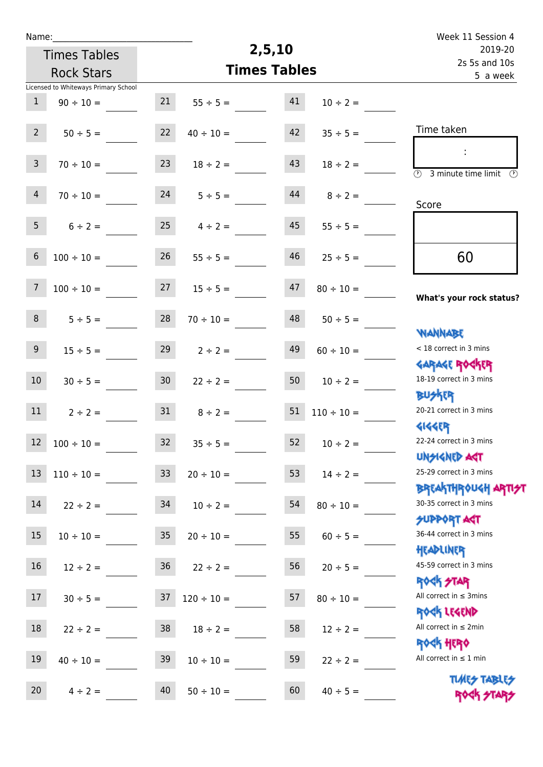| Week 11 Session 4                                             |                     |                     |                     |                 | Name:                                |                 |  |  |  |
|---------------------------------------------------------------|---------------------|---------------------|---------------------|-----------------|--------------------------------------|-----------------|--|--|--|
| 2019-20                                                       |                     | 2,5,10              |                     |                 | <b>Times Tables</b>                  |                 |  |  |  |
| 2s 5s and 10s<br>5 a week                                     |                     | <b>Times Tables</b> |                     |                 | <b>Rock Stars</b>                    |                 |  |  |  |
|                                                               |                     |                     |                     |                 | Licensed to Whiteways Primary School |                 |  |  |  |
|                                                               | $10 \div 2 =$       | 41                  | $55 \div 5 =$       | 21              | $90 \div 10 =$                       | $\mathbf{1}$    |  |  |  |
| Time taken                                                    | $35 \div 5 =$       | 42                  | $40 \div 10 =$      | 22              | $50 \div 5 =$                        | $2^{\circ}$     |  |  |  |
| $\overline{\mathcal{D}}$<br>3 minute time limit $\circled{0}$ | $18 \div 2 =$       | 43                  | $18 \div 2 =$       | 23              | $70 \div 10 =$                       | $\mathsf{3}$    |  |  |  |
| Score                                                         | $8 \div 2 =$        | 44                  | $5 \div 5 =$        | 24              | $70 \div 10 =$                       | $\overline{4}$  |  |  |  |
|                                                               | $55 \div 5 =$       | 45                  | $4 \div 2 =$        | 25              | $6 \div 2 =$                         | 5 <sup>1</sup>  |  |  |  |
| 60                                                            | $25 \div 5 =$       | 46                  | $55 \div 5 =$       | 26              | $100 \div 10 =$                      | $6\phantom{.}$  |  |  |  |
| What's your rock status?                                      | $80 \div 10 =$      | 47                  | $15 \div 5 =$       | 27              | $100 \div 10 =$                      | $\overline{7}$  |  |  |  |
| <b>NANNABE</b>                                                | $50 \div 5 =$       | 48                  | $70 \div 10 =$      | 28              | $5 ÷ 5 =$                            | 8               |  |  |  |
| < 18 correct in 3 mins<br><b>GARAGE ROCKER</b>                | $60 \div 10 =$      | 49                  | $2 \div 2 =$        | 29              | $15 \div 5 =$                        | 9               |  |  |  |
| 18-19 correct in 3 mins<br><b>BUSKER</b>                      | $10 \div 2 =$       | 50                  | $22 \div 2 =$       | 30 <sub>o</sub> | $30 \div 5 =$                        | 10 <sup>°</sup> |  |  |  |
| 20-21 correct in 3 mins<br><b>4144EP</b>                      | $110 \div 10 =$     | 51                  | $8 \div 2 =$        | 31              | $2 \div 2 =$                         | 11              |  |  |  |
| 22-24 correct in 3 mins<br><b>UNSIGNED AGT</b>                | $52 \t 10 \div 2 =$ |                     | $35 \div 5 =$       | 32              | $12 \t100 \div 10 =$                 |                 |  |  |  |
| 25-29 correct in 3 mins                                       | $14 \div 2 =$       | 53                  | $20 \div 10 =$      | 33 <sup>°</sup> | $110 \div 10 =$                      | 13              |  |  |  |
| ΒΡΓΑΚΤΗΡΟUGH ΑΡΤΙ <del>2</del> Τ<br>30-35 correct in 3 mins   | $80 \div 10 =$      | 54                  | $10 \div 2 =$       | 34              | $22 \div 2 =$                        | 14              |  |  |  |
| SUPPORT AGT<br>36-44 correct in 3 mins<br>HEADLINER           | $60 \div 5 =$       | 55                  | $20 \div 10 =$      | 35              | $10 \div 10 =$                       | 15              |  |  |  |
| 45-59 correct in 3 mins<br><b>ROCK STAR</b>                   | $20 \div 5 =$       | 56                  | $36 \t 22 \div 2 =$ |                 | $12 \div 2 =$                        | 16              |  |  |  |
| All correct in $\leq$ 3mins<br>ROCK LEGEND                    | $80 \div 10 =$      | 57                  | $120 \div 10 =$     | 37              | $30 \div 5 =$                        | 17              |  |  |  |
| All correct in $\leq 2$ min<br><b>ROCK HERO</b>               | $12 \div 2 =$       | 58                  | $18 \div 2 =$       | 38              | $22 \div 2 =$                        | 18              |  |  |  |
| All correct in $\leq 1$ min                                   | $22 \div 2 =$       | 59                  | $10 \div 10 =$      | 39              | $40 \div 10 =$                       | 19              |  |  |  |
| <b>TUARS TABLES</b><br>ROCK STARS                             | $40 \div 5 =$       | 60                  | $50 \div 10 =$      | 40              | $4 \div 2 =$                         | 20              |  |  |  |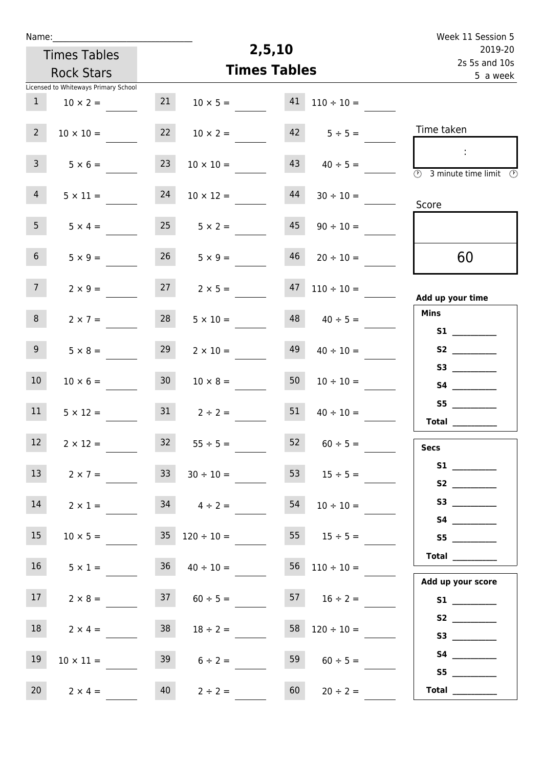| Week 11 Session 5                                                                                 |                          |        |                                |                 |                                      | Name:           |
|---------------------------------------------------------------------------------------------------|--------------------------|--------|--------------------------------|-----------------|--------------------------------------|-----------------|
| 2019-20                                                                                           |                          | 2,5,10 |                                |                 | <b>Times Tables</b>                  |                 |
| 2s 5s and 10s<br>5 a week                                                                         |                          |        | <b>Times Tables</b>            |                 | <b>Rock Stars</b>                    |                 |
|                                                                                                   |                          |        |                                |                 | Licensed to Whiteways Primary School |                 |
|                                                                                                   | $110 \div 10 =$          | 41     | $10 \times 5 =$                | 21              | $10 \times 2 =$                      | $\mathbf{1}$    |
| Time taken                                                                                        | $42 \t 5 \div 5 =$       |        | $10 \times 2 =$                | 22              | $10 \times 10 =$                     | 2 <sup>7</sup>  |
| $\mathcal{L}_{\mathcal{A}}$<br>$\overline{\textcircled{2}}$ 3 minute time limit $\textcircled{2}$ | $40 \div 5 =$            | 43     | $10 \times 10 =$               | 23              | $5 \times 6 =$                       | 3 <sup>7</sup>  |
| Score                                                                                             | $30 \div 10 =$           | 44     | $10 \times 12 =$               | 24              | $5 \times 11 =$                      | 4               |
|                                                                                                   | $90 \div 10 =$           | 45     | $25 \t 5 \times 2 =$           |                 | $5 \times 4 =$                       | 5 <sup>1</sup>  |
| 60                                                                                                | $20 \div 10 =$           | 46     | $5 \times 9 =$                 | 26              | $5 \times 9 =$                       | 6 <sup>1</sup>  |
| Add up your time                                                                                  | $110 \div 10 =$          | 47     | $2 \times 5 =$                 | 27              | $2 \times 9 =$                       | 7 <sup>7</sup>  |
| <b>Mins</b>                                                                                       | $40 \div 5 =$            | 48     | $5 \times 10 =$                | 28              | $2 \times 7 =$                       | 8               |
|                                                                                                   | $40 \div 10 =$           | 49     | $2 \times 10 =$                | 29              | $5 \times 8 =$                       | 9 <sub>o</sub>  |
|                                                                                                   | $10 \div 10 =$           | 50     | $10 \times 8 =$                | 30 <sub>o</sub> | $10 \times 6 =$                      | 10 <sub>1</sub> |
| S5<br>$\begin{tabular}{c} Total \end{tabular}$                                                    | $40 \div 10 =$           | 51     | $2 \div 2 =$                   | 31              | $5 \times 12 =$                      | 11              |
| <b>Secs</b>                                                                                       | $52 \t 60 \div 5 =$      |        | $32 \t 55 \div 5 =$            |                 | $2 \times 12 =$                      | 12              |
|                                                                                                   | 53 $15 \div 5 =$         |        | $33 \t 30 \div 10 =$           |                 | $2 \times 7 =$                       | 13              |
|                                                                                                   | $54$ $10 \div 10 =$      |        | $2 \times 1 =$ 34 $4 \div 2 =$ |                 |                                      | 14              |
| S5                                                                                                | 55 $15 \div 5 =$         |        | $35 \quad 120 \div 10 =$       |                 | $10 \times 5 =$                      | 15              |
| Total                                                                                             | $56 \quad 110 \div 10 =$ |        | $36 \t 40 \div 10 =$           |                 | $5 \times 1 =$                       | 16              |
| Add up your score                                                                                 | $16 \div 2 =$            |        | $60 \div 5 =$                  | 37              | $2 \times 8 =$                       | 17              |
|                                                                                                   | $58 \quad 120 \div 10 =$ |        | $18 \div 2 =$                  | 38              | $2 \times 4 =$                       | 18              |
|                                                                                                   | $60 \div 5 =$            | 59     | $6 \div 2 =$                   | 39              | $10 \times 11 =$                     | 19              |
| S5<br>Total $\qquad$                                                                              | $20 \div 2 =$            | 60     | $2 \div 2 =$                   | 40              | $2 \times 4 =$                       | 20              |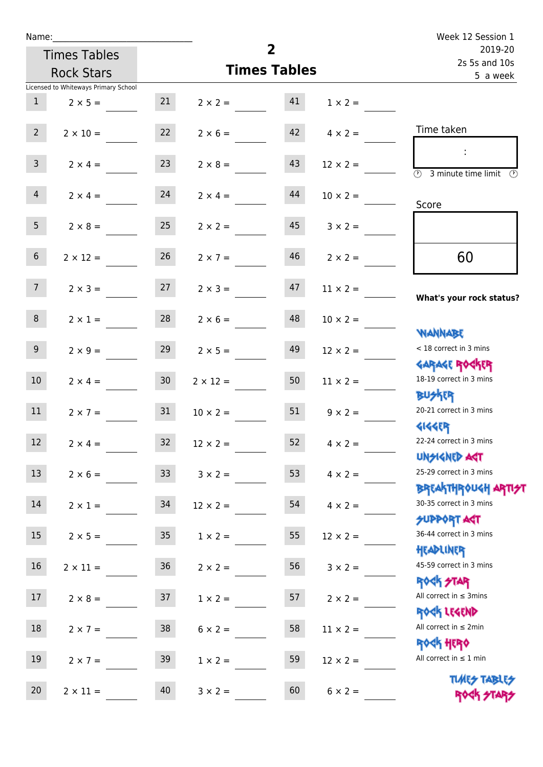| Name:            |                                      |                 |                   | Week 12 Session 1   |                      |                                                                  |
|------------------|--------------------------------------|-----------------|-------------------|---------------------|----------------------|------------------------------------------------------------------|
|                  | <b>Times Tables</b>                  |                 |                   | $\overline{2}$      |                      | 2019-20<br>2s 5s and 10s                                         |
|                  | <b>Rock Stars</b>                    |                 |                   | <b>Times Tables</b> |                      | 5 a week                                                         |
|                  | Licensed to Whiteways Primary School |                 |                   |                     |                      |                                                                  |
| $\mathbf{1}$     | $2 \times 5 =$                       | 21              | $2 \times 2 = 41$ |                     | $1 \times 2 =$       |                                                                  |
| $2^{\circ}$      | $2 \times 10 =$                      | 22              | $2 \times 6 =$    |                     | $42 \t 4 \times 2 =$ | Time taken                                                       |
| 3 <sup>7</sup>   | $2 \times 4 =$                       | 23              | $2 \times 8 =$    | 43                  | $12 \times 2 =$      | $\overline{(\mathcal{V})}$<br>3 minute time limit<br>O)          |
| $\overline{4}$   | $2 \times 4 =$                       | 24              | $2 \times 4 =$    | 44                  | $10 \times 2 =$      | Score                                                            |
| 5 <sub>1</sub>   | $2 \times 8 =$                       | 25              | $2 \times 2 =$    | 45                  | $3 \times 2 =$       |                                                                  |
| 6 <sup>1</sup>   | $2 \times 12 =$                      | 26              | $2 \times 7 =$    | 46                  | $2 \times 2 =$       | 60                                                               |
| 7 <sup>7</sup>   | $2 \times 3 = 27$                    |                 | $2 \times 3 =$    | 47                  | $11 \times 2 =$      | What's your rock status?                                         |
| 8                | $2 \times 1 =$                       | 28              | $2 \times 6 =$    | 48                  | $10 \times 2 =$      |                                                                  |
| 9 <sub>o</sub>   | $2 \times 9 =$                       | 29              | $2 \times 5 =$    | 49                  | $12 \times 2 =$      | <b>NANNABE</b><br>< 18 correct in 3 mins                         |
| 10 <sup>1</sup>  | $2 \times 4 =$                       | 30 <sub>o</sub> | $2 \times 12 =$   | 50                  | $11 \times 2 =$      | <b>GARAGE ROGKER</b><br>18-19 correct in 3 mins                  |
| 11               | $2 \times 7 = 31$                    |                 | $10 \times 2 =$   | 51                  | $9 \times 2 =$       | <b>BUSKER</b><br>20-21 correct in 3 mins                         |
| 12               | $2 \times 4 =$                       | 32              | $12 \times 2 =$   | 52                  | $4 \times 2 =$       | <b>4144EP</b><br>22-24 correct in 3 mins<br><b>UNSIGNED AGT</b>  |
| 13               | $2 \times 6 =$                       | 33 <sup>°</sup> | $3 \times 2 =$    | 53                  | $4 \times 2 =$       | 25-29 correct in 3 mins<br><b>BREAKTHROUGH ARTI<del>S</del>T</b> |
| 14               | $2 \times 1 =$                       | 34              | $12 \times 2 =$   | 54                  | $4 \times 2 =$       | 30-35 correct in 3 mins<br><b>SUPPORT AGT</b>                    |
| 15 <sub>15</sub> | $2 \times 5 =$                       | 35 <sub>o</sub> | $1 \times 2 =$    | 55                  | $12 \times 2 =$      | 36-44 correct in 3 mins<br>HEADLINER                             |
| 16               | $2 \times 11 =$                      | 36              | $2 \times 2 =$    | 56                  | $3 \times 2 =$       | 45-59 correct in 3 mins<br><b>ROCK STAR</b>                      |
| 17               | $2 \times 8 =$                       | 37              | $1 \times 2 =$    | 57                  | $2 \times 2 =$       | All correct in $\leq$ 3mins<br>ROCK LEGEND                       |
| 18               | $2 \times 7 =$                       | 38              | $6 \times 2 =$    | 58                  | $11 \times 2 =$      | All correct in $\leq 2$ min<br><b>ROCK HERO</b>                  |
| 19               | $2 \times 7 =$                       | 39              | $1 \times 2 =$    | 59                  | $12 \times 2 =$      | All correct in $\leq 1$ min                                      |
| 20               | $2 \times 11 =$                      | 40              | $3 \times 2 =$    | 60                  | $6 \times 2 =$       | <b>TUARS TABLES</b><br>ROCK STARS                                |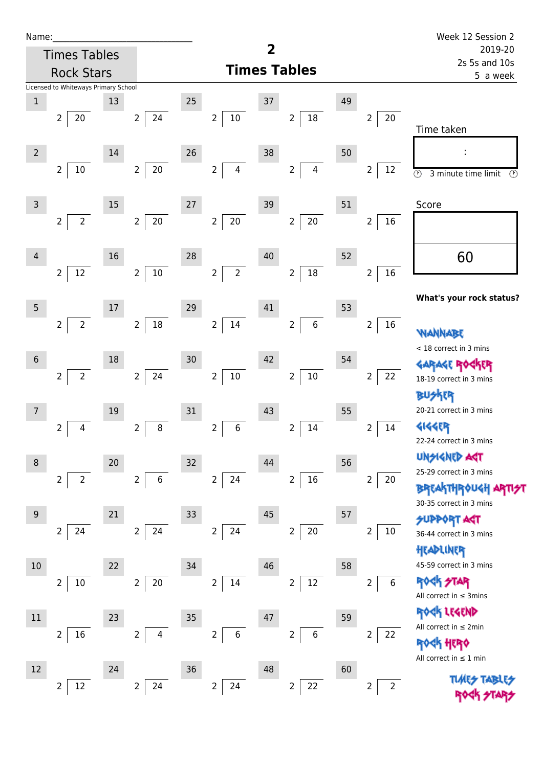| Name |  |  |  |
|------|--|--|--|
|      |  |  |  |

12 2 24

2 24

 $2 | 22$ 

| Name:          |                                      |    |                                  |    |                                    |    |                                    |    |                          | Week 12 Session 2                                          |  |  |
|----------------|--------------------------------------|----|----------------------------------|----|------------------------------------|----|------------------------------------|----|--------------------------|------------------------------------------------------------|--|--|
|                | <b>Times Tables</b>                  |    |                                  |    |                                    | 2  |                                    |    |                          | 2019-20                                                    |  |  |
|                | <b>Rock Stars</b>                    |    |                                  |    |                                    |    | <b>Times Tables</b>                |    |                          | 2s 5s and 10s<br>5 a week                                  |  |  |
|                | Licensed to Whiteways Primary School |    |                                  |    |                                    |    |                                    |    |                          |                                                            |  |  |
| $1\,$          |                                      | 13 |                                  | 25 |                                    | 37 |                                    | 49 |                          |                                                            |  |  |
|                | $\overline{2}$<br>20                 |    | 24<br>$2\overline{ }$            |    | $10\,$<br>$\overline{2}$           |    | $18\,$<br>$\overline{2}$           |    | 20<br>$\overline{2}$     | Time taken                                                 |  |  |
|                |                                      |    |                                  |    |                                    |    |                                    |    |                          |                                                            |  |  |
| $\overline{2}$ |                                      | 14 |                                  | 26 |                                    | 38 |                                    | 50 |                          |                                                            |  |  |
|                | $\overline{2}$<br>10                 |    | $20\,$<br>$\overline{2}$         |    | $\overline{2}$<br>$\overline{4}$   |    | $\overline{2}$<br>$\overline{4}$   |    | 12<br>$\overline{2}$     | $\overline{\odot}$<br>3 minute time limit<br>$\mathcal{O}$ |  |  |
| $\overline{3}$ |                                      | 15 |                                  | 27 |                                    | 39 |                                    | 51 |                          | Score                                                      |  |  |
|                | $\overline{2}$<br>$2\overline{ }$    |    | $\overline{2}$<br>$20\,$         |    | $20\,$<br>$\overline{2}$           |    | $20\,$<br>$\overline{2}$           |    | $\overline{2}$<br>16     |                                                            |  |  |
|                |                                      |    |                                  |    |                                    |    |                                    |    |                          |                                                            |  |  |
| 4              |                                      | 16 |                                  | 28 |                                    | 40 |                                    | 52 |                          | 60                                                         |  |  |
|                | $12\,$<br>$\overline{2}$             |    | $10\,$<br>$\overline{2}$         |    | $\overline{2}$<br>$\overline{2}$   |    | $18\,$<br>$\overline{2}$           |    | $16\,$<br>$\overline{2}$ |                                                            |  |  |
|                |                                      |    |                                  |    |                                    |    |                                    |    |                          |                                                            |  |  |
| 5              |                                      | 17 |                                  | 29 |                                    | 41 |                                    | 53 |                          | What's your rock status?                                   |  |  |
|                | $\overline{2}$<br>$\overline{2}$     |    | 18<br>$\overline{2}$             |    | 14<br>$\overline{2}$               |    | $\boldsymbol{6}$<br>$\overline{2}$ |    | 16<br>$\overline{2}$     |                                                            |  |  |
|                |                                      |    |                                  |    |                                    |    |                                    |    |                          | <b>NANNA</b>                                               |  |  |
| $\sqrt{6}$     |                                      | 18 |                                  | 30 |                                    | 42 |                                    | 54 |                          | < 18 correct in 3 mins                                     |  |  |
|                | $\overline{2}$<br>$\overline{2}$     |    | $24\,$<br>$\overline{2}$         |    | $10\,$<br>$\overline{2}$           |    | $10\,$<br>$\overline{2}$           |    | 22<br>$\overline{2}$     | <b>GARAGE ROGKER</b><br>18-19 correct in 3 mins            |  |  |
|                |                                      |    |                                  |    |                                    |    |                                    |    |                          | <b>BUSKER</b>                                              |  |  |
| $\overline{7}$ |                                      | 19 |                                  | 31 |                                    | 43 |                                    | 55 |                          | 20-21 correct in 3 mins                                    |  |  |
|                | $\overline{2}$<br>4                  |    | $\, 8$<br>$\overline{2}$         |    | 6<br>$\overline{2}$                |    | $\overline{2}$<br>14               |    | $\overline{2}$<br>14     | <b>4144EP</b>                                              |  |  |
|                |                                      |    |                                  |    |                                    |    |                                    |    |                          | 22-24 correct in 3 mins                                    |  |  |
| 8              |                                      | 20 |                                  | 32 |                                    | 44 |                                    | 56 |                          | <b>UNSIGNED AGT</b>                                        |  |  |
|                | $\overline{2}$<br>$\overline{2}$     |    | $\overline{2}$<br>$\,6$          |    | 24<br>$\overline{2}$               |    | $16\,$<br>$\overline{2}$           |    | 2<br>20                  | 25-29 correct in 3 mins                                    |  |  |
|                |                                      |    |                                  |    |                                    |    |                                    |    |                          | <b>BREAKTHROUGH</b><br>30-35 correct in 3 mins             |  |  |
| $9\,$          |                                      | 21 |                                  | 33 |                                    | 45 |                                    | 57 |                          | <b>SUPPORT AGT</b>                                         |  |  |
|                | $\overline{2}$<br>24                 |    | $\overline{2}$<br>24             |    | $\overline{2}$<br>24               |    | $20\,$<br>$\overline{2}$           |    | 2<br>$10\,$              | 36-44 correct in 3 mins                                    |  |  |
|                |                                      |    |                                  |    |                                    |    |                                    |    |                          | HEADLINER                                                  |  |  |
| 10             |                                      | 22 |                                  | 34 |                                    | 46 |                                    | 58 |                          | 45-59 correct in 3 mins                                    |  |  |
|                | $10\,$<br>$\overline{2}$             |    | $\overline{2}$<br>20             |    | $\overline{2}$<br>14               |    | $12\,$<br>$\overline{2}$           |    | $\overline{2}$<br>6      | <b>ROCK STAR</b>                                           |  |  |
|                |                                      |    |                                  |    |                                    |    |                                    |    |                          | All correct in $\leq$ 3mins                                |  |  |
| $11\,$         |                                      | 23 |                                  | 35 |                                    | 47 |                                    | 59 |                          | <b>KAK LEGEND</b><br>All correct in $\leq 2$ min           |  |  |
|                | 16<br>$\overline{2}$                 |    | $\overline{2}$<br>$\overline{4}$ |    | $\boldsymbol{6}$<br>$\overline{2}$ |    | $\,6$<br>$\overline{2}$            |    | 22<br>$\overline{2}$     | <b>ROCK HERO</b>                                           |  |  |
|                |                                      |    |                                  |    |                                    |    |                                    |    |                          |                                                            |  |  |

All correct in  $\leq 1$  min

 $2 \mid 2$ 

**TIMES TABLES** ROCK STARS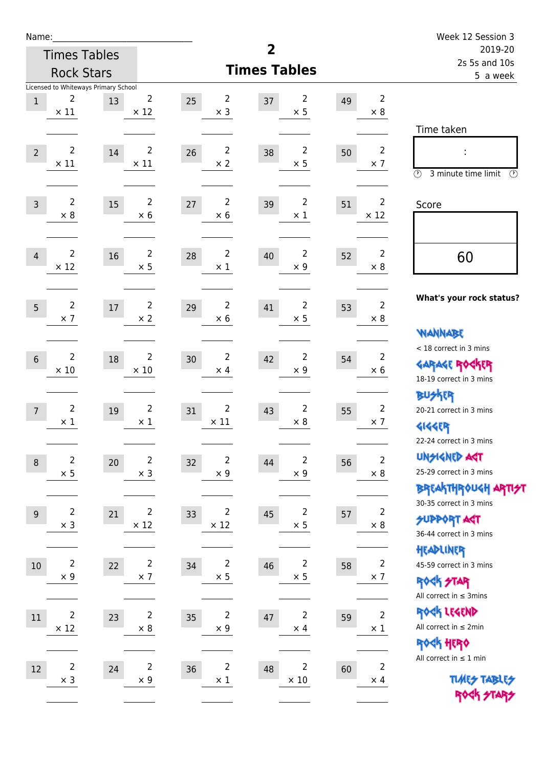| Name:          |                               |                                            |                               |    |                                       |                         |                               |    |                               | Week 12 Session 3                                                                    |  |
|----------------|-------------------------------|--------------------------------------------|-------------------------------|----|---------------------------------------|-------------------------|-------------------------------|----|-------------------------------|--------------------------------------------------------------------------------------|--|
|                |                               | <b>Times Tables</b>                        |                               |    |                                       | $\overline{\mathbf{2}}$ |                               |    |                               | 2019-20                                                                              |  |
|                |                               | <b>Rock Stars</b>                          |                               |    |                                       | <b>Times Tables</b>     |                               |    |                               | 2s 5s and 10s<br>5 a week                                                            |  |
| $\mathbf{1}$   | 2<br>$\times$ 11              | Licensed to Whiteways Primary School<br>13 | $\overline{2}$<br>$\times$ 12 | 25 | $\overline{2}$<br>$\times$ 3          | 37                      | $\overline{2}$<br>$\times$ 5  | 49 | $\overline{2}$<br>$\times$ 8  |                                                                                      |  |
| $\overline{2}$ | $\overline{2}$<br>$\times$ 11 | 14                                         | $\overline{2}$<br>$\times$ 11 | 26 | $\overline{2}$<br>$\times 2$          | 38                      | $\overline{2}$<br>$\times$ 5  | 50 | $\overline{2}$<br>$\times$ 7  | Time taken<br>$\circledcirc$<br>3 minute time limit<br>$\mathcal{O}$                 |  |
| $\overline{3}$ | $\overline{2}$<br>$\times$ 8  | 15                                         | $\overline{2}$<br>$\times$ 6  | 27 | $\overline{2}$<br>$\times$ 6          | 39                      | $\overline{2}$<br>$\times$ 1  | 51 | $\overline{2}$<br>$\times$ 12 | Score                                                                                |  |
| $\overline{4}$ | $\overline{2}$<br>$\times$ 12 | 16                                         | $\overline{2}$<br>$\times$ 5  | 28 | $\overline{2}$<br>$\times$ 1          | 40                      | $\overline{2}$<br>$\times$ 9  | 52 | $\overline{2}$<br>$\times 8$  | 60                                                                                   |  |
| 5              | $\overline{2}$<br>$\times$ 7  | 17                                         | $\overline{2}$<br>$\times 2$  | 29 | 2<br>$\times$ 6                       | 41                      | $\overline{2}$<br>$\times$ 5  | 53 | $\overline{2}$<br>$\times 8$  | What's your rock status?<br><b>WANNABE</b>                                           |  |
| $6\phantom{1}$ | $\overline{2}$<br>$\times$ 10 | 18                                         | 2<br>$\times 10$              | 30 | $\overline{2}$<br>$\times$ 4          | 42                      | $\overline{2}$<br>$\times$ 9  | 54 | 2<br>$\times 6$               | < 18 correct in 3 mins<br><b>GARAGE ROCKER</b><br>18-19 correct in 3 mins            |  |
| $\overline{7}$ | $\overline{2}$<br>$\times$ 1  | 19                                         | $\overline{2}$<br>$\times$ 1  | 31 | $\overline{2}$<br>$\times$ 11         | 43                      | $\overline{2}$<br>$\times$ 8  | 55 | $\overline{2}$<br>$\times$ 7  | <b>BUSKER</b><br>20-21 correct in 3 mins<br><b>4144EP</b><br>22-24 correct in 3 mins |  |
| $\,8\,$        | $\overline{2}$<br>$\times$ 5  | 20                                         | $\overline{2}$<br>$\times$ 3  | 32 | $\overline{2}$<br>$\times$ 9          | 44                      | $\overline{2}$<br>$\times$ 9  | 56 | $\overline{2}$<br>$\times$ 8  | <b>UNSIGNED AGT</b><br>25-29 correct in 3 mins<br>BREAKTHRÓUGH ARTI <del>2</del> 1   |  |
| $9$            | $\overline{2}$<br>$\times$ 3  | 21                                         | $\overline{2}$<br>$\times$ 12 | 33 | $\overline{2}$<br>$\times$ 12         | 45                      | $\overline{c}$<br>$\times$ 5  | 57 | $\overline{2}$<br>$\times$ 8  | 30-35 correct in 3 mins<br><b>SUPPORT AGT</b><br>36-44 correct in 3 mins             |  |
| $10\,$         | $\overline{2}$<br>$\times$ 9  | 22                                         | $\overline{2}$<br>$\times$ 7  | 34 | $\overline{2}$<br>$\times$ 5          | 46                      | $\overline{2}$<br>$\times$ 5  | 58 | $\overline{2}$<br>$\times$ 7  | HEADLINER<br>45-59 correct in 3 mins<br>ROCK STAR<br>All correct in $\leq$ 3mins     |  |
| 11             | $\overline{2}$<br>$\times$ 12 | 23                                         | $\overline{2}$<br>$\times$ 8  | 35 | $\overline{\mathbf{c}}$<br>$\times$ 9 | 47                      | $\mathbf 2$<br>$\times$ 4     | 59 | $\mathbf 2$<br>$\times$ 1     | ROCK LEGEND<br>All correct in $\leq 2$ min<br>ROCK HERO                              |  |
| 12             | $\overline{2}$<br>$\times$ 3  | 24                                         | $\overline{2}$<br>$\times$ 9  | 36 | $\overline{2}$<br>$\times$ 1          | 48                      | $\overline{2}$<br>$\times$ 10 | 60 | $\overline{2}$<br>$\times$ 4  | All correct in $\leq 1$ min<br><b>TUARS TABLES</b><br>ROCK STARS                     |  |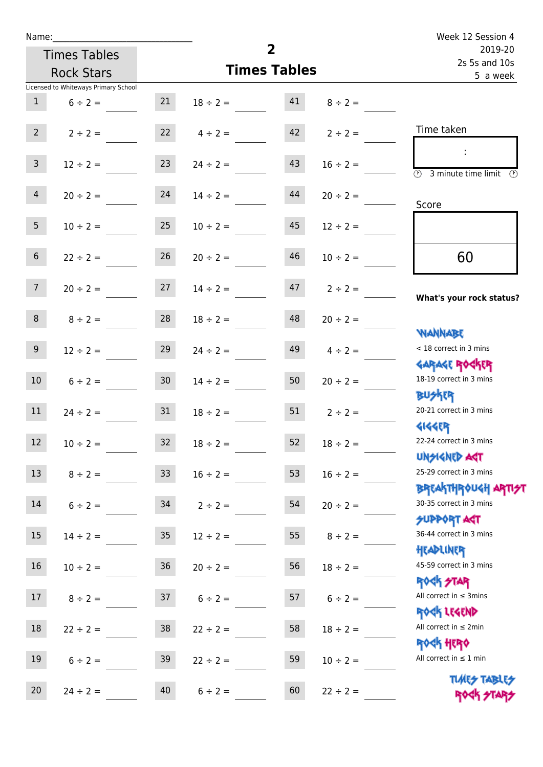| Name:           |                                      |                 |                    |                     |                    | Week 12 Session 4                                                |
|-----------------|--------------------------------------|-----------------|--------------------|---------------------|--------------------|------------------------------------------------------------------|
|                 | <b>Times Tables</b>                  |                 |                    | $\overline{2}$      |                    | 2019-20<br>2s 5s and 10s                                         |
|                 | <b>Rock Stars</b>                    |                 |                    | <b>Times Tables</b> |                    | 5 a week                                                         |
|                 | Licensed to Whiteways Primary School |                 |                    |                     |                    |                                                                  |
| $\mathbf{1}$    | $6 \div 2 =$                         | 21              | $18 \div 2 = 41$   |                     | $8 \div 2 =$       |                                                                  |
| $2^{\circ}$     | $2 \div 2 =$                         |                 | $22 \t 4 \div 2 =$ |                     | $42 \t2 \div 2 =$  | Time taken                                                       |
| 3 <sup>1</sup>  | $12 \div 2 =$                        | 23              | $24 \div 2 =$      | 43                  | $16 \div 2 =$      | $\overline{(\mathcal{V})}$<br>3 minute time limit $\circledcirc$ |
| $\overline{4}$  | $20 \div 2 =$                        | 24              | $14 \div 2 =$      | 44                  | $20 \div 2 =$      | Score                                                            |
| 5 <sup>5</sup>  | $10 \div 2 = 25$                     |                 | $10 \div 2 =$      | 45                  | $12 \div 2 =$      |                                                                  |
| 6 <sup>1</sup>  | $22 \div 2 =$                        | 26              | $20 \div 2 =$      | 46                  | $10 \div 2 =$      | 60                                                               |
| 7 <sup>7</sup>  | $20 \div 2 =$                        | 27              | $14 \div 2 =$      |                     | $47$ $2 \div 2 =$  | What's your rock status?                                         |
| 8 <sup>1</sup>  | $8 \div 2 =$                         | 28              | $18 \div 2 =$      | 48                  | $20 \div 2 =$      | <b>NANNABE</b>                                                   |
| 9 <sub>o</sub>  | $12 \div 2 =$                        | 29              | $24 \div 2 =$      | 49                  | $4 \div 2 =$       | < 18 correct in 3 mins<br><b>GARAGE ROCKER</b>                   |
| 10 <sup>°</sup> | $6 \div 2 =$                         | 30 <sub>o</sub> | $14 \div 2 =$      | 50                  | $20 \div 2 =$      | 18-19 correct in 3 mins<br><b>BUSKRY</b>                         |
| 11              | $24 \div 2 = 31$                     |                 | $18 \div 2 =$      |                     | $51 \t 2 \div 2 =$ | 20-21 correct in 3 mins<br><b>4144EP</b>                         |
| 12              | $10 \div 2 =$                        | 32              | $18 \div 2 =$      | 52                  | $18 \div 2 =$      | 22-24 correct in 3 mins<br><b>UNSIGNED AST</b>                   |
| 13              | $8 \div 2 =$                         | 33              | $16 \div 2 =$      | 53                  | $16 \div 2 =$      | 25-29 correct in 3 mins<br><b>BREAKTHROUGH ARTH</b>              |
| 14              | $6 \div 2 =$                         | 34              | $2 \div 2 =$       | 54                  | $20 \div 2 =$      | 30-35 correct in 3 mins<br><b>SUPPORT AGT</b>                    |
| 15              | $14 \div 2 =$                        | $35\,$          | $12 \div 2 =$      | 55                  | $8 \div 2 =$       | 36-44 correct in 3 mins<br>HEADLINER                             |
| 16              | $10 \div 2 =$                        | 36              | $20 \div 2 =$      | 56                  | $18 \div 2 =$      | 45-59 correct in 3 mins<br><b>ROCK STAR</b>                      |
| 17              | $8 \div 2 =$                         | 37              | $6 \div 2 =$       | 57                  | $6 \div 2 =$       | All correct in $\leq$ 3mins<br>ROCK LEGEND                       |
| 18              | $22 \div 2 =$                        | 38              | $22 \div 2 =$      | 58                  | $18 \div 2 =$      | All correct in $\leq 2$ min<br><b>ROCK HERO</b>                  |
| 19              | $6 \div 2 =$                         | 39              | $22 \div 2 =$      | 59                  | $10 \div 2 =$      | All correct in $\leq 1$ min                                      |
| 20              | $24 \div 2 =$                        | 40              | $6 \div 2 =$       | 60                  | $22 \div 2 =$      | <b>TUARS TABLES</b><br>ROCK STARS                                |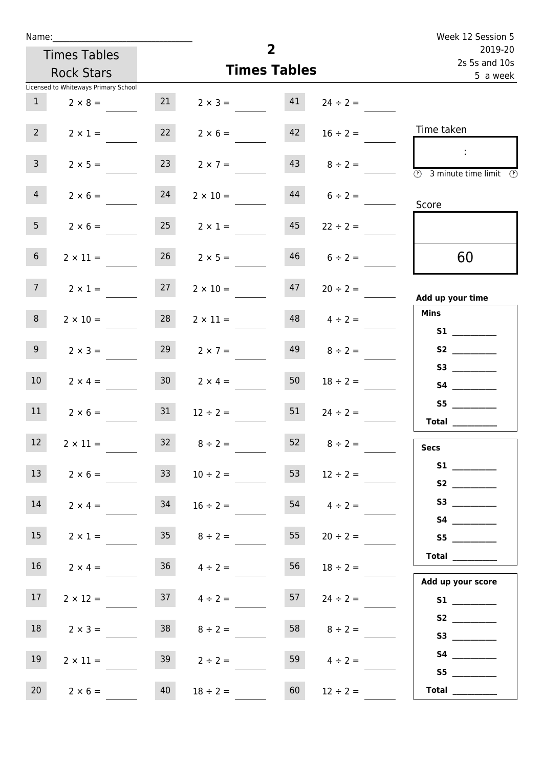| Week 12 Session 5                                      |                    |    |                     |                 |                                      | Name:           |
|--------------------------------------------------------|--------------------|----|---------------------|-----------------|--------------------------------------|-----------------|
| 2019-20<br>2s 5s and 10s                               |                    |    | $\overline{2}$      |                 | <b>Times Tables</b>                  |                 |
| 5 a week                                               |                    |    | <b>Times Tables</b> |                 | <b>Rock Stars</b>                    |                 |
|                                                        |                    |    |                     |                 | Licensed to Whiteways Primary School |                 |
|                                                        | $24 \div 2 =$      | 41 | $2 \times 3 =$      | 21              | $2 \times 8 =$                       | 1               |
| Time taken                                             | $16 \div 2 =$      | 42 | $2 \times 6 =$      | 22              | $2 \times 1 =$                       | 2 <sup>7</sup>  |
| $\mathcal{L}$<br><b>3</b> minute time limit<br>$\odot$ | $43 \t 8 \div 2 =$ |    | $2 \times 7 =$      | 23              | $2 \times 5 =$                       | 3 <sup>7</sup>  |
| Score                                                  | $6 \div 2 =$       | 44 | $2 \times 10 =$     | 24              | $2 \times 6 =$                       | $\overline{4}$  |
|                                                        | $22 \div 2 =$      | 45 | $2 \times 1 =$      | 25              | $2 \times 6 =$                       | 5 <sub>1</sub>  |
| 60                                                     | $46$ $6 \div 2 =$  |    | $26$ $2 \times 5 =$ |                 | $2 \times 11 =$                      | 6 <sup>1</sup>  |
| Add up your time                                       | $20 \div 2 =$      | 47 | $2 \times 10 =$     | 27              | $2 \times 1 =$                       | 7 <sup>7</sup>  |
| <b>Mins</b><br><b>S1</b>                               | $4 \div 2 =$       | 48 | $2 \times 11 =$     | 28              | $2 \times 10 =$                      | 8               |
| S2                                                     | $8 \div 2 =$       | 49 | $2 \times 7 =$      | 29              | $2 \times 3 =$                       | 9 <sub>o</sub>  |
| S3                                                     | $18 \div 2 =$      | 50 | $2 \times 4 =$      | 30 <sup>7</sup> | $2 \times 4 =$                       | 10 <sup>°</sup> |
| <b>Total</b>                                           | $24 \div 2 =$      | 51 | $12 \div 2 =$       | 31              | $2 \times 6 =$                       | 11              |
| <b>Secs</b>                                            | $8 \div 2 =$       | 52 | $8 \div 2 =$        | 32              | $2 \times 11 =$                      | $12$            |
|                                                        | $12 \div 2 =$      | 53 | $10 \div 2 =$       | 33              | $2 \times 6 =$                       | 13              |
|                                                        | $4 \div 2 =$       | 54 | $16 \div 2 =$       | 34              | $2 \times 4 =$                       | 14              |
| S5                                                     | $20 \div 2 =$      | 55 | $35 \t 8 \div 2 =$  |                 | $2 \times 1 =$                       | 15              |
| Total<br>Add up your score                             | $18 \div 2 =$      | 56 | $36 \t 4 \div 2 =$  |                 | $2 \times 4 =$                       | 16              |
|                                                        | $24 \div 2 =$      | 57 | $37 \t 4 \div 2 =$  |                 | $2 \times 12 =$                      | 17 <sub>1</sub> |
|                                                        | $8 \div 2 =$       | 58 | $8 \div 2 =$        | 38              | $2 \times 3 =$                       | 18              |
| <b>S4 S4</b><br>S5                                     | $4 \div 2 =$       | 59 | $2 \div 2 =$        | 39              | $2 \times 11 =$                      | 19              |
| Total $\qquad$                                         | $12 \div 2 =$      | 60 | $18 \div 2 =$       | 40              | $2 \times 6 =$                       | 20              |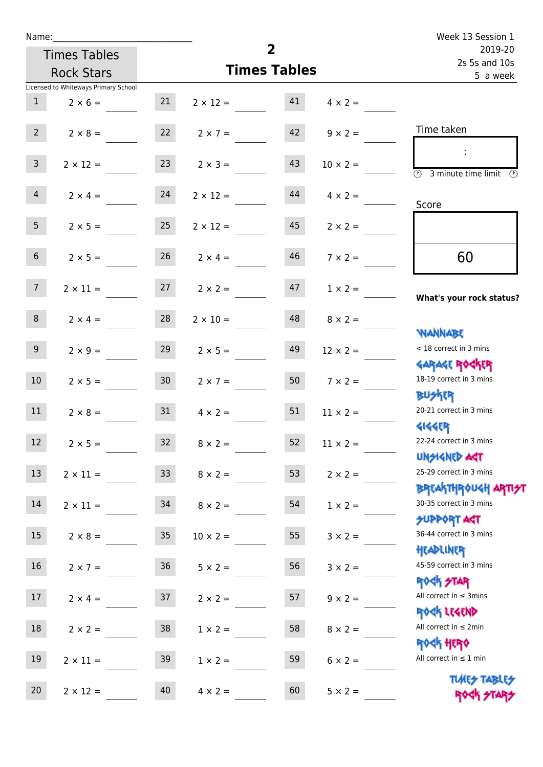| Name:           |                                      |                 |                                   |                     |                 | Week 13 Session 1                                                |  |  |
|-----------------|--------------------------------------|-----------------|-----------------------------------|---------------------|-----------------|------------------------------------------------------------------|--|--|
|                 | <b>Times Tables</b>                  |                 |                                   | $\overline{2}$      |                 | 2019-20<br>2s 5s and 10s                                         |  |  |
|                 | <b>Rock Stars</b>                    |                 |                                   | <b>Times Tables</b> |                 | 5 a week                                                         |  |  |
|                 | Licensed to Whiteways Primary School |                 |                                   |                     |                 |                                                                  |  |  |
| 1               | $2 \times 6 =$                       | 21              | $2 \times 12 = 41$                |                     | $4 \times 2 =$  |                                                                  |  |  |
| $2^{\circ}$     | $2 \times 8 =$                       | 22              | $2 \times 7 =$                    | 42                  | $9 \times 2 =$  | Time taken                                                       |  |  |
| 3 <sup>7</sup>  | $2 \times 12 =$                      | 23              | $2 \times 3 =$                    | 43                  | $10 \times 2 =$ | $\overline{\textcircled{2}}$ 3 minute time limit                 |  |  |
| $\overline{4}$  | $2 \times 4 = 24$                    |                 | $2 \times 12 =$                   | 44                  | $4 \times 2 =$  | Score                                                            |  |  |
| 5 <sub>1</sub>  | $2 \times 5 =$                       | 25              | $2 \times 12 =$                   | 45                  | $2 \times 2 =$  |                                                                  |  |  |
| 6 <sup>1</sup>  | $2 \times 5 =$                       | 26              | $2 \times 4 =$                    | 46                  | $7 \times 2 =$  | 60                                                               |  |  |
| 7 <sup>7</sup>  |                                      |                 | $2 \times 11 = 27$ $2 \times 2 =$ | 47                  | $1 \times 2 =$  | What's your rock status?                                         |  |  |
| 8               | $2 \times 4 =$                       | 28              | $2 \times 10 =$                   | 48                  | $8 \times 2 =$  | <b>NANNABE</b>                                                   |  |  |
| 9 <sub>o</sub>  | $2 \times 9 =$                       | 29              | $2 \times 5 =$                    | 49                  | $12 \times 2 =$ | < 18 correct in 3 mins<br><b>GARAGE ROCKER</b>                   |  |  |
| 10 <sup>°</sup> | $2 \times 5 =$                       | 30              | $2 \times 7 =$                    | 50                  | $7 \times 2 =$  | 18-19 correct in 3 mins<br><b>BUSKER</b>                         |  |  |
| 11              | $2 \times 8 =$                       | 31              | $4 \times 2 =$                    | 51                  | $11 \times 2 =$ | 20-21 correct in 3 mins<br><b>4144ER</b>                         |  |  |
| 12              | $2 \times 5 =$                       | 32              | $8 \times 2 =$                    | 52                  | $11 \times 2 =$ | 22-24 correct in 3 mins<br><b>UNSIGNED AGT</b>                   |  |  |
| 13              | $2 \times 11 =$                      | 33 <sup>°</sup> | $8 \times 2 =$                    | 53                  | $2 \times 2 =$  | 25-29 correct in 3 mins<br><b>BREAKTHROUGH ARTI<del>S</del>T</b> |  |  |
| 14              | $2 \times 11 =$                      | 34              | $8 \times 2 =$                    | 54                  | $1 \times 2 =$  | 30-35 correct in 3 mins<br><b>SUPPORT AGT</b>                    |  |  |
| 15              | $2 \times 8 =$                       | 35              | $10 \times 2 =$                   | 55                  | $3 \times 2 =$  | 36-44 correct in 3 mins<br>HEADLINER                             |  |  |
| 16              | $2 \times 7 =$                       | 36              | $5 \times 2 =$                    | 56                  | $3 \times 2 =$  | 45-59 correct in 3 mins<br>ROCK STAR                             |  |  |
| 17              | $2 \times 4 =$                       | 37              | $2 \times 2 =$                    | 57                  | $9 \times 2 =$  | All correct in $\leq$ 3mins<br>ROCK LEGEND                       |  |  |
| 18              | $2 \times 2 =$                       | 38              | $1 \times 2 =$                    | 58                  | $8 \times 2 =$  | All correct in $\leq 2$ min<br><b>ROCK HERO</b>                  |  |  |
| 19              | $2 \times 11 =$                      | 39              | $1 \times 2 =$                    | 59                  | $6 \times 2 =$  | All correct in $\leq 1$ min                                      |  |  |
| 20              | $2 \times 12 =$                      | 40              | $4 \times 2 =$                    | 60                  | $5 \times 2 =$  | <b>TUARS TABLES</b><br>ROCK STARS                                |  |  |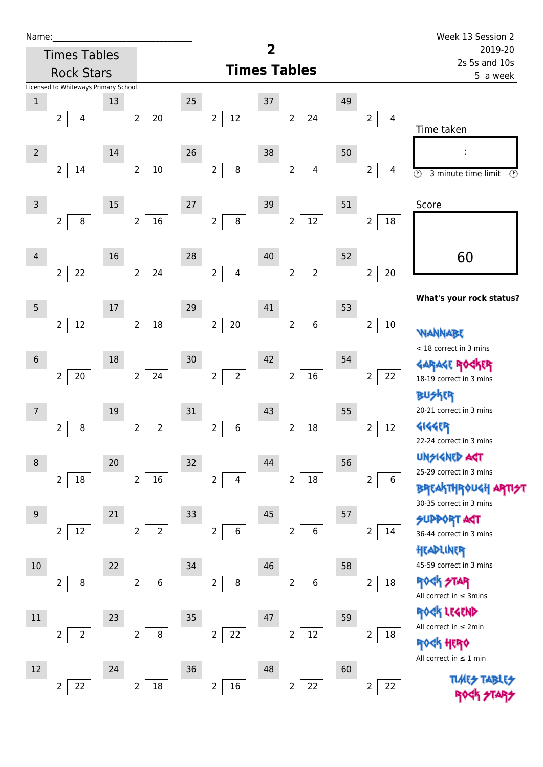| Name |  |  |  |
|------|--|--|--|
|      |  |  |  |

22 2 18

| Name:                                                |                                                                        | Week 13 Session 2                                                                                          |               |
|------------------------------------------------------|------------------------------------------------------------------------|------------------------------------------------------------------------------------------------------------|---------------|
| <b>Times Tables</b>                                  | $\overline{\mathbf{2}}$                                                | 2019-20<br>2s 5s and 10s                                                                                   |               |
| <b>Rock Stars</b>                                    | <b>Times Tables</b>                                                    | 5 a week                                                                                                   |               |
| Licensed to Whiteways Primary School                 |                                                                        |                                                                                                            |               |
| $\mathbf 1$<br>13                                    | 25<br>37                                                               | 49                                                                                                         |               |
| $20\,$<br>$\overline{2}$<br>$\overline{2}$<br>4      | $12 \overline{ }$<br>$\overline{2}$<br>$2^{\circ}$                     | 24<br>$\overline{2}$<br>$\overline{4}$<br>Time taken                                                       |               |
| $\overline{2}$<br>14                                 | 26<br>38                                                               | 50                                                                                                         |               |
| $10\,$<br>$\mathbf{2}$<br>14<br>$\overline{2}$       | $\bf 8$<br>$\overline{2}$<br>$\overline{2}$                            | $\overline{\mathbf{4}}$<br>$\overline{2}$<br>4<br>$\overline{\circlearrowright}$<br>3 minute time limit    | $\circled{r}$ |
| 15<br>3                                              | $27\,$<br>39                                                           | 51<br>Score                                                                                                |               |
| $16\,$<br>$\bf 8$<br>$\mathbf 2$<br>$\overline{2}$   | $\bf 8$<br>$\overline{2}$<br>$\overline{2}$                            | $12\,$<br>$\overline{2}$<br>$18\,$                                                                         |               |
| 16<br>4                                              | 28<br>40                                                               | 60<br>52                                                                                                   |               |
| 22<br>24<br>$\overline{2}$<br>$\overline{2}$         | $\overline{2}$<br>$\overline{4}$<br>$\overline{2}$                     | $\overline{2}$<br>$\overline{2}$<br>20                                                                     |               |
|                                                      |                                                                        | What's your rock status?                                                                                   |               |
| $5\phantom{.0}$<br>17                                | 29<br>41                                                               | 53                                                                                                         |               |
| $18\,$<br>$12\,$<br>$\overline{2}$<br>$\overline{2}$ | $\overline{2}$<br>$20\,$<br>$\overline{2}$                             | $\,$ 6 $\,$<br>$\overline{2}$<br>$10\,$<br>WANNABE<br>< 18 correct in 3 mins                               |               |
| 18<br>$6\phantom{1}6$                                | 42<br>30                                                               | 54                                                                                                         |               |
| $20\,$<br>24<br>$\overline{2}$<br>$\overline{2}$     | $\overline{2}$<br>$\overline{2}$<br>$\overline{2}$                     | $16\,$<br>22<br>$\overline{2}$<br>18-19 correct in 3 mins<br><b>BUSKER</b>                                 |               |
| $\overline{7}$<br>19                                 | 31<br>43                                                               | 20-21 correct in 3 mins<br>55                                                                              |               |
| 8<br>$\overline{2}$<br>$\overline{2}$                | $\overline{2}$<br>$\,6\,$<br>$\overline{2}$<br>2                       | <b>4144EP</b><br>$18\,$<br>12<br>2<br>22-24 correct in 3 mins                                              |               |
| 20<br>$\,8\,$                                        | 32<br>44                                                               | <b>UNSIGNED ART</b><br>56                                                                                  |               |
| $16\,$<br>18<br>$\overline{2}$<br>$\overline{2}$     | $\overline{2}$<br>$\overline{4}$<br>$\overline{2}$                     | 25-29 correct in 3 mins<br>$18\,$<br>$\overline{2}$<br>6<br><b>BREAKTHROUGH</b><br>30-35 correct in 3 mins |               |
| 21<br>$9\,$                                          | 45<br>33                                                               | 57<br><b>SUPPORT AGT</b>                                                                                   |               |
| $12\,$<br>$\overline{2}$<br>$\overline{2}$           | $\overline{2}$<br>$\boldsymbol{6}$<br>$\overline{2}$<br>$\overline{2}$ | 6<br>2<br>14<br>36-44 correct in 3 mins<br>HEADLINER                                                       |               |
| 10<br>22                                             | 46<br>34                                                               | 45-59 correct in 3 mins<br>58                                                                              |               |
| 8<br>$\overline{2}$<br>$\overline{2}$                | $\boldsymbol{6}$<br>$\bf 8$<br>$\overline{2}$<br>$\overline{2}$        | <b>ROCK STAR</b><br>6<br>$18\,$<br>$\overline{2}$<br>All correct in $\leq$ 3mins                           |               |
|                                                      |                                                                        | ROCK LEGEND                                                                                                |               |
| $11\,$<br>23                                         | 35<br>47                                                               | 59<br>All correct in $\leq 2$ min                                                                          |               |
| $\overline{2}$<br>$\overline{2}$<br>$\overline{2}$   | 22<br>$\, 8$<br>$\overline{2}$<br>$\overline{2}$                       | $12\,$<br>$\overline{2}$<br>18<br><b>ROCK HERO</b><br>All correct in $\leq 1$ min                          |               |
| 12<br>24                                             | 48<br>36                                                               | 60<br><b>TABLE</b>                                                                                         |               |

16

 $2 | 22$ 

 $2 | 22$ 

**TIMES TABLES RA** 274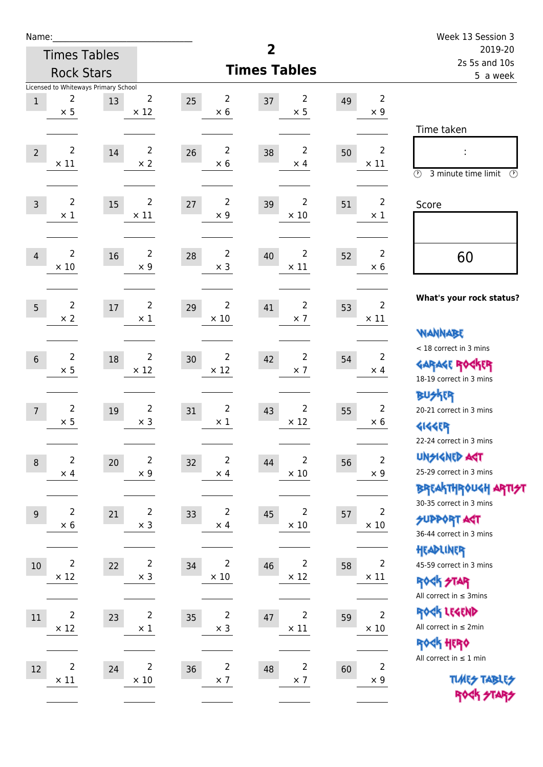| Name:            |                               |                                            |                               |    |                               |                     |                               |    |                               | Week 13 Session 3                                                                       |
|------------------|-------------------------------|--------------------------------------------|-------------------------------|----|-------------------------------|---------------------|-------------------------------|----|-------------------------------|-----------------------------------------------------------------------------------------|
|                  |                               | <b>Times Tables</b>                        |                               |    |                               | 2                   |                               |    |                               | 2019-20<br>2s 5s and 10s                                                                |
|                  |                               | <b>Rock Stars</b>                          |                               |    |                               | <b>Times Tables</b> |                               |    |                               | 5 a week                                                                                |
| $1\,$            | 2<br>$\times$ 5               | Licensed to Whiteways Primary School<br>13 | 2<br>$\times$ 12              | 25 | 2<br>$\times$ 6               | 37                  | 2<br>$\times$ 5               | 49 | $\overline{2}$<br>$\times$ 9  | Time taken                                                                              |
| $\overline{2}$   | $\overline{2}$<br>$\times$ 11 | 14                                         | $\overline{2}$<br>$\times$ 2  | 26 | $\overline{2}$<br>$\times 6$  | 38                  | $\overline{2}$<br>$\times$ 4  | 50 | $\overline{2}$<br>$\times$ 11 | $\circled{r}$<br>3 minute time limit<br>$\circled{r}$                                   |
| $\overline{3}$   | $\overline{2}$<br>$\times$ 1  | 15                                         | $\overline{2}$<br>$\times$ 11 | 27 | $\overline{2}$<br>$\times$ 9  | 39                  | $\overline{2}$<br>$\times$ 10 | 51 | $\overline{2}$<br>$\times$ 1  | Score                                                                                   |
| $\overline{4}$   | $\overline{2}$<br>$\times$ 10 | 16                                         | $\overline{2}$<br>$\times$ 9  | 28 | $\overline{2}$<br>$\times$ 3  | 40                  | $\overline{2}$<br>$\times$ 11 | 52 | $\overline{2}$<br>$\times 6$  | 60                                                                                      |
| 5                | $\overline{2}$<br>$\times 2$  | 17                                         | $\overline{2}$<br>$\times$ 1  | 29 | $\overline{2}$<br>$\times$ 10 | 41                  | 2<br>$\times$ 7               | 53 | $\overline{2}$<br>$\times$ 11 | What's your rock status?<br><b>NANNABE</b>                                              |
| $6\phantom{1}$   | $\overline{2}$<br>$\times$ 5  | 18                                         | $\overline{2}$<br>$\times$ 12 | 30 | $\overline{2}$<br>$\times$ 12 | 42                  | 2<br>$\times$ 7               | 54 | 2<br>$\times$ 4               | < 18 correct in 3 mins<br><b>GARAGE ROCKER</b><br>18-19 correct in 3 mins               |
| $\overline{7}$   | $\overline{2}$<br>$\times$ 5  | 19                                         | $\overline{2}$<br>$\times$ 3  | 31 | $\overline{2}$<br>$\times$ 1  | 43                  | 2<br>$\times$ 12              | 55 | $\overline{2}$<br>$\times 6$  | <b>BUSKER</b><br>20-21 correct in 3 mins<br><b>4144ER</b><br>22-24 correct in 3 mins    |
| $\boldsymbol{8}$ | $\overline{2}$<br>$\times$ 4  | 20                                         | $\mathbf 2$<br>$\times$ 9     | 32 | $\overline{2}$<br>$\times$ 4  | 44                  | 2<br>$\times$ 10              | 56 | $\overline{2}$<br>$\times$ 9  | <b>UNSIGNED AGT</b><br>25-29 correct in 3 mins<br>BREAKTHRÓUGH ARTI <del>2</del> 1      |
| 9                | $\overline{2}$<br>$\times$ 6  | 21                                         | $\overline{2}$<br>$\times$ 3  | 33 | 2<br>$\times$ 4               | 45                  | 2<br>$\times$ 10              | 57 | $\overline{2}$<br>$\times$ 10 | 30-35 correct in 3 mins<br><b>SUPPORT ART</b><br>36-44 correct in 3 mins                |
| $10\,$           | $\overline{2}$<br>$\times$ 12 | 22                                         | $\overline{c}$<br>$\times$ 3  | 34 | $\overline{2}$<br>$\times$ 10 | 46                  | $\overline{2}$<br>$\times$ 12 | 58 | $\overline{2}$<br>$\times$ 11 | HEADLINER<br>45-59 correct in 3 mins<br><b>ROCK STAR</b><br>All correct in $\leq$ 3mins |
| 11               | $\overline{2}$<br>$\times$ 12 | 23                                         | $\overline{c}$<br>$\times$ 1  | 35 | $\overline{c}$<br>$\times$ 3  | 47                  | $\overline{2}$<br>$\times$ 11 | 59 | $\overline{2}$<br>$\times$ 10 | ROCK LEGEND<br>All correct in $\leq 2$ min<br>ROCK HERO                                 |
| $12\,$           | $\overline{2}$<br>$\times$ 11 | 24                                         | 2<br>$\times$ 10              | 36 | $\overline{c}$<br>$\times$ 7  | 48                  | $\overline{2}$<br>$\times$ 7  | 60 | $\overline{2}$<br>$\times$ 9  | All correct in $\leq 1$ min<br><b>TUARS TABLES</b><br>ROCK STARS                        |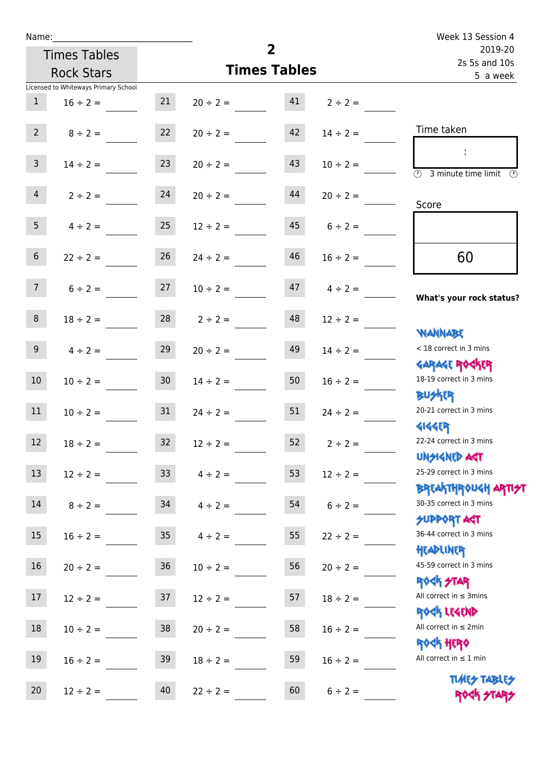| Name:           |                                      |                 |                               |                     |                   | Week 13 Session 4                                   |
|-----------------|--------------------------------------|-----------------|-------------------------------|---------------------|-------------------|-----------------------------------------------------|
|                 | <b>Times Tables</b>                  |                 |                               | $\overline{2}$      |                   | 2019-20<br>2s 5s and 10s                            |
|                 | <b>Rock Stars</b>                    |                 |                               | <b>Times Tables</b> |                   | 5 a week                                            |
|                 | Licensed to Whiteways Primary School |                 |                               |                     |                   |                                                     |
| 1               | $16 \div 2 =$                        | 21              | $20 \div 2 = 41$ $2 \div 2 =$ |                     |                   |                                                     |
| $2^{\circ}$     | $8 \div 2 =$                         | 22              | $20 \div 2 =$                 | 42                  | $14 \div 2 =$     | Time taken                                          |
| 3 <sup>7</sup>  | $14 \div 2 =$                        | 23              | $20 \div 2 =$                 | 43                  | $10 \div 2 =$     | $\overline{(\mathcal{V})}$<br>3 minute time limit   |
| 4               | $2 \div 2 =$                         | 24              | $20 \div 2 =$                 | 44                  | $20 \div 2 =$     | Score                                               |
| 5 <sub>1</sub>  | $4 \div 2 = 25$                      |                 | $12 \div 2 = 45$ $6 \div 2 =$ |                     |                   |                                                     |
| 6 <sup>1</sup>  | $22 \div 2 =$                        | 26              | $24 \div 2 =$                 | 46                  | $16 \div 2 =$     | 60                                                  |
| 7 <sup>7</sup>  | $6 \div 2 = 27$                      |                 | $10 \div 2 =$                 |                     | $47$ $4 \div 2 =$ | What's your rock status?                            |
| 8 <sup>1</sup>  | $18 \div 2 =$                        |                 | $28$ $2 \div 2 =$             | 48                  | $12 \div 2 =$     | <b>NANNABE</b>                                      |
| 9 <sub>o</sub>  | $4 \div 2 =$                         | 29              | $20 \div 2 =$                 | 49                  | $14 \div 2 =$     | < 18 correct in 3 mins<br><b>GARAGE ROCKER</b>      |
| 10 <sup>°</sup> | $10 \div 2 =$                        | 30              | $14 \div 2 =$                 | 50                  | $16 \div 2 =$     | 18-19 correct in 3 mins<br><b>BUSKER</b>            |
| 11              | $10 \div 2 = 31$                     |                 | $24 \div 2 =$                 | 51                  | $24 \div 2 =$     | 20-21 correct in 3 mins<br><b>4144EP</b>            |
| 12              | $18 \div 2 =$                        | 32              | $12 \div 2 =$                 | 52                  | $2 \div 2 =$      | 22-24 correct in 3 mins<br><b>UNSIGNED AST</b>      |
| 13              | $12 \div 2 =$                        | 33 <sup>°</sup> | $4 \div 2 =$                  | 53                  | $12 \div 2 =$     | 25-29 correct in 3 mins<br><b>BREAKTHROUGH ARTH</b> |
| 14              | $8 \div 2 =$                         | 34              | $4 \div 2 =$                  | 54                  | $6 \div 2 =$      | 30-35 correct in 3 mins<br><b>SUPPORT AGT</b>       |
| 15              | $16 \div 2 =$                        | $35\,$          | $4 \div 2 =$                  | 55                  | $22 \div 2 =$     | 36-44 correct in 3 mins<br>HEADLINER                |
| 16              | $20 \div 2 =$                        | $36\,$          | $10 \div 2 =$                 | 56                  | $20 \div 2 =$     | 45-59 correct in 3 mins<br><b>ROCK STAR</b>         |
| 17              | $12 \div 2 =$                        | 37              | $12 \div 2 =$                 | 57                  | $18 \div 2 =$     | All correct in $\leq$ 3mins<br>ROCK LEGEND          |
| 18              | $10 \div 2 =$                        | 38              | $20 \div 2 =$                 | 58                  | $16 \div 2 =$     | All correct in $\leq 2$ min<br><b>ROCK HERO</b>     |
| 19              | $16 \div 2 =$                        | 39              | $18 \div 2 =$                 | 59                  | $16 \div 2 =$     | All correct in $\leq 1$ min<br><b>TUARS TABLES</b>  |
| 20              | $12 \div 2 =$                        | 40              | $22 \div 2 =$                 | 60                  | $6 \div 2 =$      | ROCK STARS                                          |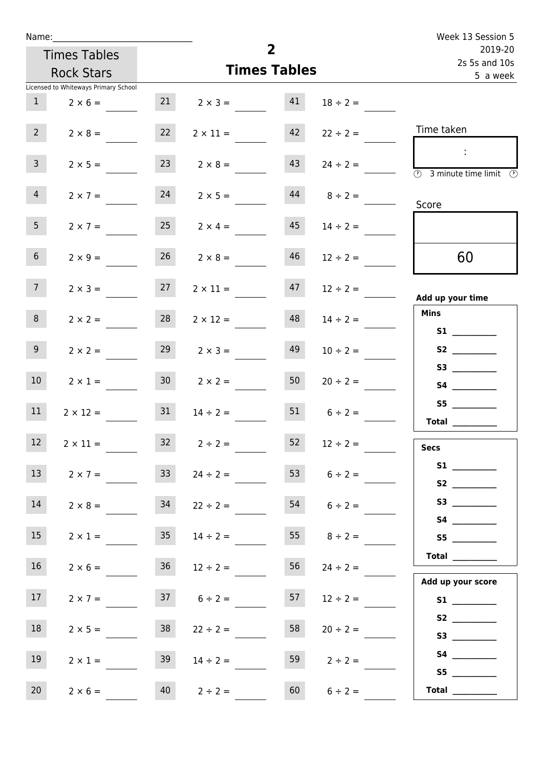| Name:                                |                                   |                      |                      |                          | Week 13 Session 5                                |
|--------------------------------------|-----------------------------------|----------------------|----------------------|--------------------------|--------------------------------------------------|
| <b>Times Tables</b>                  |                                   |                      | $\overline{2}$       | 2019-20<br>2s 5s and 10s |                                                  |
| <b>Rock Stars</b>                    |                                   |                      | <b>Times Tables</b>  |                          | 5 a week                                         |
| Licensed to Whiteways Primary School |                                   |                      |                      |                          |                                                  |
| 1<br>$2 \times 6 =$                  |                                   | 21                   | 41<br>$2 \times 3 =$ | $18 \div 2 =$            |                                                  |
| 2 <sup>7</sup><br>$2 \times 8 =$     | 22                                | $2 \times 11 =$      | 42                   | $22 \div 2 =$            | Time taken                                       |
| 3 <sup>7</sup><br>$2 \times 5 =$     | 23                                |                      | 43<br>$2 \times 8 =$ | $24 \div 2 =$            | $\mathbb{R}^n$<br>3 minute time limit<br>$\odot$ |
| $\overline{4}$<br>$2 \times 7 =$     | 24                                | $2 \times 5 =$       | 44                   | $8 \div 2 =$             | Score                                            |
| 5 <sub>1</sub><br>$2 \times 7 =$     | 25                                | $2 \times 4 =$       | 45                   | $14 \div 2 =$            |                                                  |
| 6 <sup>1</sup>                       | $2 \times 9 =$                    | 26<br>$2 \times 8 =$ | 46                   | $12 \div 2 =$            | 60                                               |
| 7 <sup>7</sup>                       | 27<br>$2 \times 3 =$              | $2 \times 11 =$      | 47                   | $12 \div 2 =$            | Add up your time                                 |
| 8                                    | 28<br>$2 \times 2 =$              | $2 \times 12 =$      | 48                   | $14 \div 2 =$            | <b>Mins</b><br><b>S1 S1</b>                      |
| 9 <sub>o</sub><br>$2 \times 2 =$     | 29                                | $2 \times 3 =$       | 49                   | $10 \div 2 =$            | S2                                               |
| 10 <sup>°</sup><br>$2 \times 1 =$    | 30 <sub>o</sub>                   | $2 \times 2 =$       | 50                   | $20 \div 2 =$            | S3                                               |
| 11<br>$2 \times 12 =$                | 31                                | $14 \div 2 =$        | 51                   | $6 \div 2 =$             | S5<br>Total                                      |
| 12<br>$2 \times 11 =$                | 32                                | $2 \div 2 =$         | 52                   | $12 \div 2 =$            | <b>Secs</b>                                      |
| 13                                   | 33 <sup>2</sup><br>$2 \times 7 =$ | $24 \div 2 =$        | 53                   | $6 \div 2 =$             |                                                  |
| 14                                   | 34<br>$2 \times 8 =$              | $22 \div 2 =$        | 54                   | $6 \div 2 =$             |                                                  |
| 15                                   | 35 <sub>1</sub><br>$2 \times 1 =$ | $14 \div 2 =$        |                      | 55 $8 \div 2 =$          | S5                                               |
| 16                                   | $2 \times 6 =$                    | $36 \t 12 \div 2 =$  | 56                   | $24 \div 2 =$            | Total<br>Add up your score                       |
| 17 <sub>1</sub>                      | $2 \times 7 =$                    | $37 \t 6 \div 2 =$   | 57                   | $12 \div 2 =$            |                                                  |
| 18<br>$2 \times 5 =$                 | 38                                | $22 \div 2 =$        | 58                   | $20 \div 2 =$            |                                                  |
| 19<br>$2 \times 1 =$                 | 39                                | $14 \div 2 =$        | 59                   | $2 \div 2 =$             | S5                                               |
| 20<br>$2 \times 6 =$                 | 40                                | $2 \div 2 =$         | 60                   | $6 \div 2 =$             | Total $\_\_$                                     |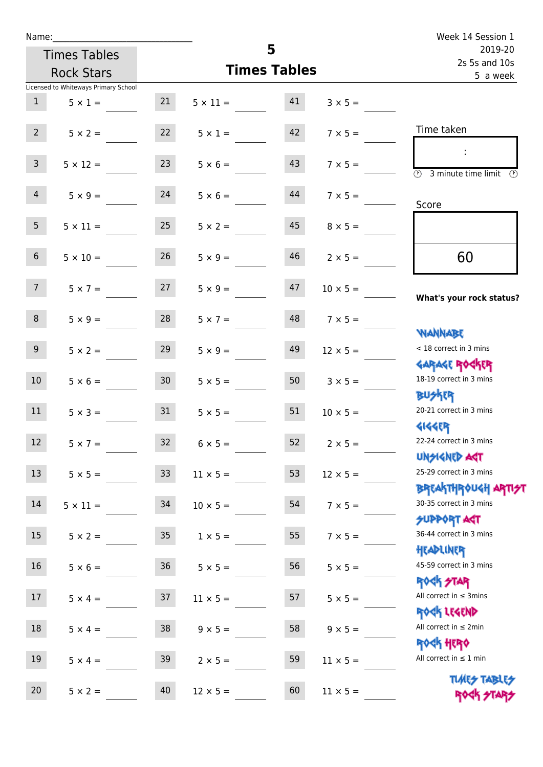| Name:           |                                      |                 |                    | Week 14 Session 1   |                                  |                                                                              |  |
|-----------------|--------------------------------------|-----------------|--------------------|---------------------|----------------------------------|------------------------------------------------------------------------------|--|
|                 | <b>Times Tables</b>                  |                 |                    | 5                   |                                  | 2019-20<br>2s 5s and 10s                                                     |  |
|                 | <b>Rock Stars</b>                    |                 |                    | <b>Times Tables</b> |                                  | 5 a week                                                                     |  |
|                 | Licensed to Whiteways Primary School |                 |                    |                     |                                  |                                                                              |  |
| 1               | $5 \times 1 =$                       | 21              | $5 \times 11 = 41$ |                     | $3 \times 5 =$                   |                                                                              |  |
| $2^{\circ}$     | $5 \times 2 =$                       | 22              | $5 \times 1 =$     | 42                  | $7 \times 5 =$                   | Time taken                                                                   |  |
| $\mathbf{3}$    | $5 \times 12 =$                      | 23              | $5 \times 6 =$     | 43                  | $7 \times 5 =$                   | $\sim$<br>$\overline{(\mathcal{V})}$<br>3 minute time limit<br>$\mathcal{O}$ |  |
| $\overline{4}$  | $5 \times 9 =$                       | 24              | $5 \times 6 =$     | 44                  | $7 \times 5 =$                   | Score                                                                        |  |
| 5 <sub>1</sub>  | $5 \times 11 =$                      | 25              | $5 \times 2 =$     | 45                  | $8 \times 5 =$                   |                                                                              |  |
| $6\overline{6}$ | $5 \times 10 =$                      | 26              | $5 \times 9 =$     | 46                  | $2 \times 5 =$                   | 60                                                                           |  |
| 7 <sup>7</sup>  | $5 \times 7 = 27$                    |                 | $5 \times 9 =$     | 47                  | $10 \times 5 =$                  | What's your rock status?                                                     |  |
| 8               | $5 \times 9 =$                       | 28              | $5 \times 7 =$     | 48                  | $7 \times 5 =$                   | <b>JARNAM</b>                                                                |  |
| 9 <sub>o</sub>  | $5 \times 2 =$                       | 29              | $5 \times 9 =$     | 49                  | $12 \times 5 =$                  | < 18 correct in 3 mins<br><b>GARAGE ROGKER</b>                               |  |
| 10 <sup>1</sup> | $5 \times 6 = 30$                    |                 |                    |                     | $5 \times 5 = 50$ $3 \times 5 =$ | 18-19 correct in 3 mins<br><b>BUSKER</b>                                     |  |
| 11              | $5 \times 3 =$                       | 31              | $5 \times 5 =$     | 51                  | $10 \times 5 =$                  | 20-21 correct in 3 mins<br><b>4144ER</b>                                     |  |
| 12 <sup>7</sup> | $5 \times 7 =$                       | 32 <sup>°</sup> | $6 \times 5 =$     | 52                  | $2 \times 5 =$                   | 22-24 correct in 3 mins<br><b>UNSIGNED AGT</b>                               |  |
| 13              | $5 \times 5 =$                       | 33 <sup>°</sup> | $11 \times 5 =$    | 53                  | $12 \times 5 =$                  | 25-29 correct in 3 mins<br>BREAKTHRÓUGH ARTI <del>2</del> 1                  |  |
| 14              | $5 \times 11 =$                      | 34              | $10 \times 5 =$    | 54                  | $7 \times 5 =$                   | 30-35 correct in 3 mins<br><b>SUPPORT AGT</b>                                |  |
| 15              | $5 \times 2 =$                       | 35              | $1 \times 5 =$     | 55                  | $7 \times 5 =$                   | 36-44 correct in 3 mins<br>HEADLINER                                         |  |
| 16              | $5 \times 6 =$                       | 36              | $5 \times 5 =$     | 56                  | $5 \times 5 =$                   | 45-59 correct in 3 mins<br>ROCK STAR                                         |  |
| 17              | $5 \times 4 =$                       | 37              | $11 \times 5 =$    | 57                  | $5 \times 5 =$                   | All correct in $\leq$ 3mins<br>ROCK LEGEND                                   |  |
| 18              | $5 \times 4 =$                       | 38              | $9 \times 5 =$     | 58                  | $9 \times 5 =$                   | All correct in $\leq 2$ min<br>ROCK HERO                                     |  |
| 19              | $5 \times 4 =$                       | 39              | $2 \times 5 =$     | 59                  | $11 \times 5 =$                  | All correct in $\leq 1$ min                                                  |  |
| 20              | $5 \times 2 =$                       | 40              | $12 \times 5 =$    | 60                  | $11 \times 5 =$                  | <b>TUARS TABLES</b><br>ROCK STARS                                            |  |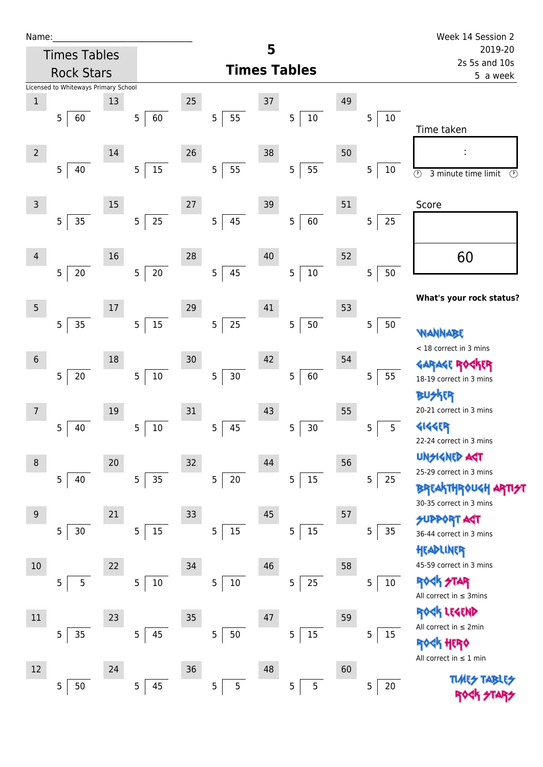| Name |  |  |  |
|------|--|--|--|
|      |  |  |  |

| Name:          |                                      |    |                          |        |                      |    |                          |    |             | Week 14 Session 2                               |
|----------------|--------------------------------------|----|--------------------------|--------|----------------------|----|--------------------------|----|-------------|-------------------------------------------------|
|                | <b>Times Tables</b>                  |    |                          |        |                      | 5  |                          |    |             | 2019-20                                         |
|                | <b>Rock Stars</b>                    |    |                          |        |                      |    | <b>Times Tables</b>      |    |             | 2s 5s and 10s<br>5 a week                       |
|                | Licensed to Whiteways Primary School |    |                          |        |                      |    |                          |    |             |                                                 |
| $\mathbf{1}$   | 5                                    | 13 |                          | 25     | 5<br>55              | 37 |                          | 49 | $10\,$      |                                                 |
|                | 60                                   |    | 60<br>5                  |        |                      |    | $10\,$<br>$\overline{5}$ |    | 5           | Time taken                                      |
|                |                                      |    |                          | 26     |                      |    |                          |    |             |                                                 |
| $\overline{2}$ | 5<br>40                              | 14 | $15\,$<br>$\sqrt{5}$     |        | 5<br>55              | 38 | 55<br>5                  | 50 | 5<br>$10\,$ | İ,                                              |
|                |                                      |    |                          |        |                      |    |                          |    |             | $\odot$<br>3 minute time limit<br>$\circled{r}$ |
| 3              |                                      | 15 |                          | 27     |                      | 39 |                          | 51 |             | Score                                           |
|                | 35<br>5                              |    | 25<br>$\overline{5}$     |        | 5<br>45              |    | 60<br>$5\phantom{.0}$    |    | 5<br>25     |                                                 |
|                |                                      |    |                          |        |                      |    |                          |    |             |                                                 |
| $\overline{4}$ |                                      | 16 |                          | 28     |                      | 40 |                          | 52 |             | 60                                              |
|                | 20<br>5                              |    | $20\,$<br>$\overline{5}$ |        | 5<br>45              |    | $10\,$<br>5              |    | 5<br>50     |                                                 |
|                |                                      |    |                          |        |                      |    |                          |    |             |                                                 |
| 5              |                                      | 17 |                          | 29     |                      | 41 |                          | 53 |             | What's your rock status?                        |
|                | 35<br>$\overline{5}$                 |    | $15\,$<br>$\sqrt{5}$     |        | 5<br>25              |    | $50\,$<br>5              |    | 5<br>50     |                                                 |
|                |                                      |    |                          |        |                      |    |                          |    |             | wannabe<br>< 18 correct in 3 mins               |
| $\,$ 6 $\,$    |                                      | 18 |                          | $30\,$ |                      | 42 |                          | 54 |             | GARAGE ROGKER                                   |
|                | $20\,$<br>5                          |    | $10\,$<br>$\sqrt{5}$     |        | 5<br>30 <sub>o</sub> |    | 60<br>5                  |    | 5<br>55     | 18-19 correct in 3 mins                         |
|                |                                      |    |                          |        |                      |    |                          |    |             | 化                                               |
| 7              |                                      | 19 |                          | $31\,$ |                      | 43 |                          | 55 |             | 20-21 correct in 3 mins                         |
|                | 40<br>5                              |    | $10\,$<br>$\overline{5}$ |        | 5<br>45              |    | $\mathsf S$<br>30        |    | 5<br>5      | 4144ER                                          |
|                |                                      |    |                          |        |                      |    |                          |    |             | 22-24 correct in 3 mins                         |
| 8              |                                      | 20 |                          | $32\,$ |                      | 44 |                          | 56 |             | <b>UNSIGNED AST</b><br>25-29 correct in 3 mins  |
|                | 5<br>40                              |    | 35<br>$\overline{5}$     |        | 5<br>20              |    | $15\,$<br>5              |    | 5<br>25     | <b>BREAKTHROUGH</b>                             |
|                |                                      |    |                          |        |                      |    |                          |    |             | 30-35 correct in 3 mins                         |
| $9$            |                                      | 21 |                          | 33     |                      | 45 |                          | 57 |             | <b>SUPPORT AGT</b>                              |
|                | 5<br>30                              |    | $15\,$<br>5              |        | 5<br>$15\,$          |    | 15<br>5                  |    | 5<br>35     | 36-44 correct in 3 mins                         |
|                |                                      |    |                          |        |                      |    |                          |    |             | HEADLINER                                       |
| 10             |                                      | 22 |                          | 34     |                      | 46 |                          | 58 |             | 45-59 correct in 3 mins                         |
|                | 5<br>5                               |    | $10\,$<br>$\mathsf S$    |        | 5<br>$10\,$          |    | 25<br>5                  |    | 5<br>$10\,$ | <b>ROCK STAR</b><br>All correct in $\leq$ 3mins |
|                |                                      |    |                          |        |                      |    |                          |    |             | ROCK LEGEND                                     |
| 11             |                                      | 23 |                          | 35     |                      | 47 |                          | 59 |             | All correct in $\leq 2$ min                     |
|                | 35<br>5                              |    | $\mathsf S$<br>45        |        | 5<br>50              |    | 15<br>5                  |    | 5<br>15     | <b>HERQ</b>                                     |
|                |                                      |    |                          |        |                      |    |                          |    |             | All correct in $\leq 1$ min                     |
| 12             |                                      | 24 |                          | 36     |                      | 48 |                          | 60 |             | <b>TIMES TABI</b>                               |
|                | 50<br>5                              |    | 45<br>$\overline{5}$     |        | 5<br>5               |    | 5<br>$\overline{5}$      |    | $20\,$<br>5 | ROCK STA                                        |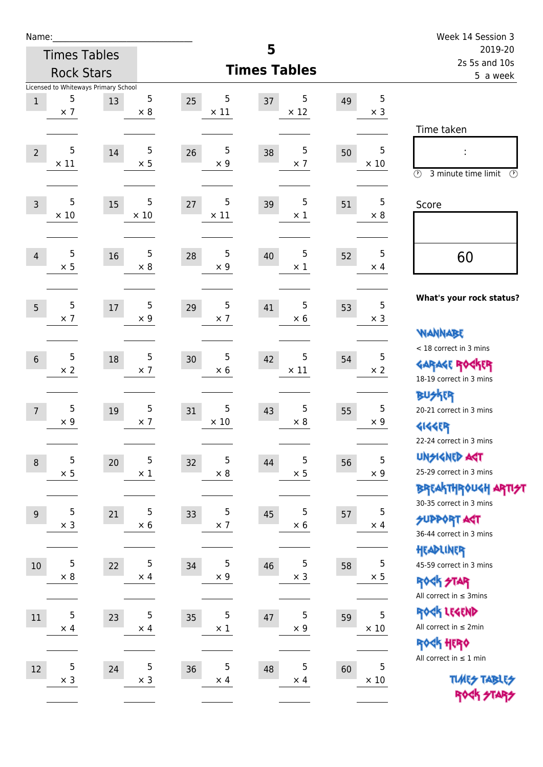| Name:            |                     |                                            |             |                  |                     |    |             | Week 14 Session 3                                       |  |
|------------------|---------------------|--------------------------------------------|-------------|------------------|---------------------|----|-------------|---------------------------------------------------------|--|
|                  | <b>Times Tables</b> |                                            |             |                  | 5                   |    |             | 2019-20<br>2s 5s and 10s                                |  |
|                  | <b>Rock Stars</b>   |                                            |             |                  | <b>Times Tables</b> |    |             | 5 a week                                                |  |
| $1\,$            | 5                   | Licensed to Whiteways Primary School<br>13 | 5           | 5<br>25          | 5<br>37             | 49 | 5           |                                                         |  |
|                  | $\times$ 7          |                                            | $\times$ 8  | $\times$ 11      | $\times$ 12         |    | $\times$ 3  |                                                         |  |
|                  |                     |                                            |             |                  |                     |    |             | Time taken                                              |  |
| $\overline{2}$   | 5                   | 14                                         | 5           | 5<br>26          | 5<br>38             | 50 | 5           |                                                         |  |
|                  | $\times$ 11         |                                            | $\times$ 5  | $\times$ 9       | $\times$ 7          |    | $\times$ 10 | $\circled{r}$<br>3 minute time limit<br>$(\mathcal{F})$ |  |
| $\overline{3}$   | 5                   | 15                                         | 5           | 5<br>27          | 5<br>39             | 51 | 5           | Score                                                   |  |
|                  | $\times$ 10         |                                            | $\times$ 10 | $\times$ 11      | $\times$ 1          |    | $\times 8$  |                                                         |  |
| $\overline{4}$   | 5                   | 16                                         | $\sqrt{5}$  | 5<br>28          | 5<br>40             | 52 | 5           | 60                                                      |  |
|                  | $\times$ 5          |                                            | $\times$ 8  | $\times$ 9       | $\times$ 1          |    | $\times$ 4  |                                                         |  |
|                  | 5                   |                                            | 5           | 5                | 5                   |    | 5           | What's your rock status?                                |  |
| 5                | $\times$ 7          | $17\,$                                     | $\times$ 9  | 29<br>$\times$ 7 | 41<br>$\times$ 6    | 53 | $\times$ 3  |                                                         |  |
|                  |                     |                                            |             |                  |                     |    |             | <b>WANNABE</b>                                          |  |
| $6\,$            | 5                   | 18                                         | 5           | 5<br>30          | 5<br>42             | 54 | 5           | < 18 correct in 3 mins                                  |  |
|                  | $\times 2$          |                                            | $\times$ 7  | $\times$ 6       | $\times$ 11         |    | $\times 2$  | <b>GARAGE ROCKER</b><br>18-19 correct in 3 mins         |  |
|                  |                     |                                            |             |                  |                     |    |             | <b>BUSKER</b>                                           |  |
| $\overline{7}$   | 5                   | 19                                         | 5           | 5<br>31          | 5<br>43             | 55 | 5           | 20-21 correct in 3 mins                                 |  |
|                  | $\times$ 9          |                                            | $\times$ 7  | $\times$ 10      | $\times$ 8          |    | $\times$ 9  | <b>4144ER</b>                                           |  |
|                  |                     |                                            |             |                  |                     |    |             | 22-24 correct in 3 mins                                 |  |
| $\boldsymbol{8}$ | 5                   | $20\,$                                     | 5           | 5<br>32          | 5<br>44             | 56 | 5           | <b>UNGIGNED AGT</b>                                     |  |
|                  | $\times$ 5          |                                            | $\times$ 1  | $\times$ 8       | $\times$ 5          |    | $\times$ 9  | 25-29 correct in 3 mins                                 |  |
|                  |                     |                                            |             |                  |                     |    |             | <b>BREAKTHR0UGH ARTI<del>S</del>T</b>                   |  |
| 9                | 5                   | 21                                         | 5           | 5<br>33          | 5<br>45             | 57 | 5           | 30-35 correct in 3 mins<br><b>SUPPORT ART</b>           |  |
|                  | $\times$ 3          |                                            | $\times$ 6  | $\times$ 7       | $\times$ 6          |    | $\times$ 4  | 36-44 correct in 3 mins                                 |  |
|                  |                     |                                            |             |                  |                     |    |             | HEADLINER                                               |  |
| $10$             | 5                   | 22                                         | 5           | 5<br>34          | 5<br>46             | 58 | 5           | 45-59 correct in 3 mins                                 |  |
|                  | $\times$ 8          |                                            | $\times$ 4  | $\times$ 9       | $\times$ 3          |    | $\times$ 5  | <b>ROCK STAR</b>                                        |  |
|                  |                     |                                            |             |                  |                     |    |             | All correct in $\leq$ 3mins                             |  |
| 11               | 5                   | 23                                         | 5           | 5<br>35          | 5<br>47             | 59 | 5           | ROCK LEGEND                                             |  |
|                  | $\times$ 4          |                                            | $\times$ 4  | $\times$ 1       | $\times$ 9          |    | $\times$ 10 | All correct in $\leq 2$ min                             |  |
|                  |                     |                                            |             |                  |                     |    |             | ROCK HERO<br>All correct in $\leq 1$ min                |  |
| 12               | 5                   | 24                                         | 5           | 5<br>36          | 5<br>48             | 60 | 5           |                                                         |  |
|                  | $\times$ 3          |                                            | $\times$ 3  | $\times$ 4       | $\times$ 4          |    | $\times 10$ | <b>TUARS TABLES</b>                                     |  |
|                  |                     |                                            |             |                  |                     |    |             | ROCK STARS                                              |  |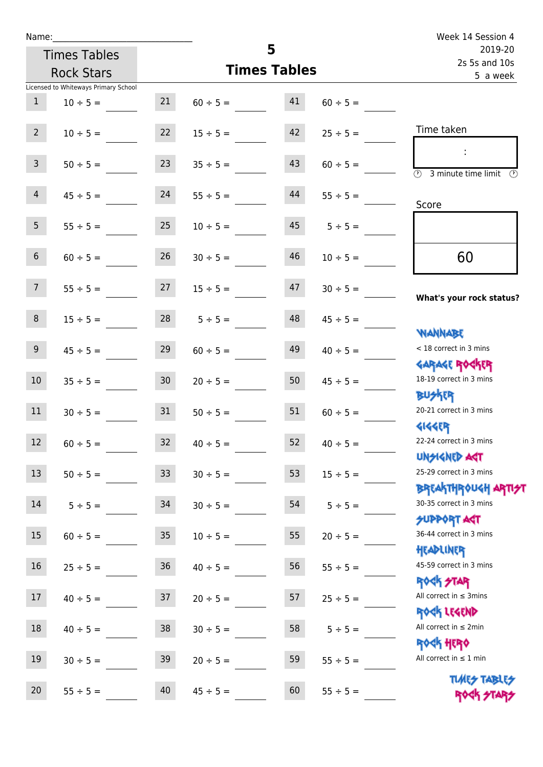| Name:           |                                      |                 |                     | Week 14 Session 4         |               |                                                     |
|-----------------|--------------------------------------|-----------------|---------------------|---------------------------|---------------|-----------------------------------------------------|
|                 | <b>Times Tables</b>                  |                 | 5                   | 2019-20                   |               |                                                     |
|                 | <b>Rock Stars</b>                    |                 | <b>Times Tables</b> | 2s 5s and 10s<br>5 a week |               |                                                     |
|                 | Licensed to Whiteways Primary School |                 |                     |                           |               |                                                     |
| $\mathbf{1}$    | $10 \div 5 =$                        | 21              | $60 \div 5 =$       | 41                        | $60 \div 5 =$ |                                                     |
| $2^{\circ}$     | $10 \div 5 =$                        | 22              | $15 \div 5 =$       | 42                        | $25 \div 5 =$ | Time taken                                          |
| 3 <sup>7</sup>  | $50 \div 5 =$                        | 23              | $35 \div 5 =$       | 43                        | $60 \div 5 =$ | $\overline{\textcircled{2}}$ 3 minute time limit    |
| $\overline{4}$  | $45 \div 5 =$                        | 24              | $55 \div 5 =$       | 44                        | $55 \div 5 =$ | Score                                               |
| 5 <sub>1</sub>  | $55 \div 5 =$                        | 25              | $10 \div 5 =$       | 45                        | $5 \div 5 =$  |                                                     |
| 6 <sup>1</sup>  | $60 \div 5 =$                        | 26              | $30 \div 5 =$       | 46                        | $10 \div 5 =$ | 60                                                  |
| 7 <sup>7</sup>  | $55 \div 5 =$                        | 27              | $15 \div 5 =$       | 47                        | $30 \div 5 =$ | What's your rock status?                            |
| 8               | $15 \div 5 =$                        |                 | $28$ $5 \div 5 =$   | 48                        | $45 \div 5 =$ |                                                     |
| 9 <sub>o</sub>  | $45 \div 5 =$                        | 29              | $60 \div 5 =$       | 49                        | $40 \div 5 =$ | <b>NANNABE</b><br>< 18 correct in 3 mins            |
| 10 <sup>°</sup> | $35 \div 5 =$                        | 30 <sub>2</sub> | $20 \div 5 =$       | 50                        | $45 \div 5 =$ | <b>GARAGE ROGKER</b><br>18-19 correct in 3 mins     |
| 11              | $30 \div 5 =$                        | 31              | $50 \div 5 =$       | 51                        | $60 \div 5 =$ | <b>BUSKER</b><br>20-21 correct in 3 mins            |
| 12              | $60 \div 5 =$                        | 32              | $40 \div 5 =$       | 52                        | $40 \div 5 =$ | <b>4144EP</b><br>22-24 correct in 3 mins            |
| 13              | $50 \div 5 =$                        | 33              | $30 \div 5 =$       | 53                        | $15 \div 5 =$ | <b>UNSIGNED AGT</b><br>25-29 correct in 3 mins      |
| 14              | $5 ÷ 5 =$                            | 34              | $30 \div 5 =$       | 54                        | $5 ÷ 5 =$     | <b>BREAKTHROUGH ARTH</b><br>30-35 correct in 3 mins |
| 15              | $60 \div 5 =$                        | 35              | $10 \div 5 =$       | 55                        | $20 \div 5 =$ | SUPPORT ART<br>36-44 correct in 3 mins              |
| 16              | $25 \div 5 =$                        | 36              | $40 \div 5 =$       | 56                        | $55 \div 5 =$ | HEADLINER<br>45-59 correct in 3 mins                |
| 17              | $40 \div 5 =$                        | 37              | $20 \div 5 =$       | 57                        | $25 \div 5 =$ | <b>ROCK STAR</b><br>All correct in $\leq$ 3mins     |
| $18\,$          | $40 \div 5 =$                        | 38              | $30 \div 5 =$       | 58                        | $5 ÷ 5 =$     | ROCK LEGEND<br>All correct in $\leq 2$ min          |
| $19\,$          | $30 \div 5 =$                        | 39              | $20 \div 5 =$       | 59                        | $55 \div 5 =$ | ROCK HERO<br>All correct in $\leq 1$ min            |
| 20              | $55 \div 5 =$                        | 40              | $45 \div 5 =$       | 60                        | $55 \div 5 =$ | <b>TUARS TABLES</b><br>ROCK STARS                   |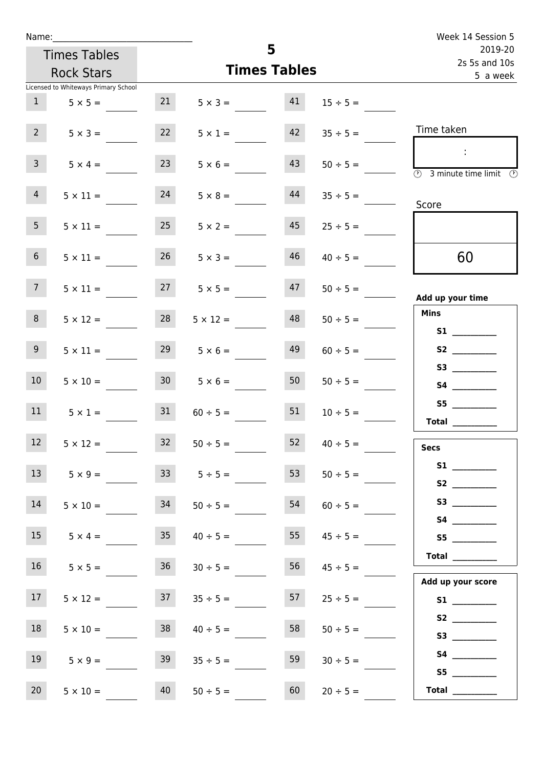| Name:                                |                                   |                                   |                      |                           | Week 14 Session 5                  |
|--------------------------------------|-----------------------------------|-----------------------------------|----------------------|---------------------------|------------------------------------|
| <b>Times Tables</b>                  |                                   |                                   | 5                    | 2019-20                   |                                    |
| <b>Rock Stars</b>                    |                                   |                                   | <b>Times Tables</b>  | 2s 5s and 10s<br>5 a week |                                    |
| Licensed to Whiteways Primary School |                                   |                                   |                      |                           |                                    |
| 1                                    | 21<br>$5 \times 5 =$              |                                   | 41<br>$5 \times 3 =$ | $15 \div 5 =$             |                                    |
| $2^{\circ}$                          | 22<br>$5 \times 3 =$              | $5 \times 1 =$                    | 42                   | $35 \div 5 =$             | Time taken                         |
| $\mathbf{3}$                         | 23<br>$5 \times 4 =$              |                                   | 43<br>$5 \times 6 =$ | $50 \div 5 =$             | $\sim$<br>3 minute time limit<br>⊙ |
| $\overline{4}$                       | 24<br>$5 \times 11 =$             | $5 \times 8 =$                    | 44                   | $35 \div 5 =$             | Score                              |
| 5 <sub>1</sub>                       | 25<br>$5 \times 11 =$             | $5 \times 2 =$                    | 45                   | $25 \div 5 =$             |                                    |
| 6 <sup>1</sup>                       | $5 \times 11 =$                   | 26<br>$5 \times 3 =$              | 46                   | $40 \div 5 =$             | 60                                 |
| 7 <sup>7</sup>                       | $5 \times 11 =$                   | $27 \t 5 \times 5 =$              | 47                   | $50 \div 5 =$             | Add up your time                   |
| 8                                    | 28<br>$5 \times 12 =$             | $5 \times 12 =$                   | 48                   | $50 \div 5 =$             | <b>Mins</b><br><b>S1 S1</b>        |
| 9 <sub>o</sub>                       | 29<br>$5 \times 11 =$             | $5 \times 6 =$                    | 49                   | $60 \div 5 =$             |                                    |
| 10 <sup>°</sup>                      | $5 \times 10 =$                   | 30 <sub>2</sub><br>$5 \times 6 =$ | 50                   | $50 \div 5 =$             |                                    |
| 11                                   | 31<br>$5 \times 1 =$              | $60 \div 5 =$                     | 51                   | $10 \div 5 =$             | <b>Total</b>                       |
| 12                                   | 32<br>$5 \times 12 =$             | $50 \div 5 =$                     | 52                   | $40 \div 5 =$             | <b>Secs</b>                        |
| 13                                   | $5 \times 9 =$                    | 33<br>$5 \div 5 =$                | 53                   | $50 \div 5 =$             |                                    |
| 14                                   | 34<br>$5 \times 10 =$             | $50 \div 5 =$                     | 54                   | $60 \div 5 =$             | S3                                 |
| 15                                   | 35 <sub>1</sub><br>$5 \times 4 =$ | $40 \div 5 =$                     | 55                   | $45 \div 5 =$             | S5                                 |
| 16                                   | 36<br>$5 \times 5 =$              | $30 \div 5 =$                     | 56                   | $45 \div 5 =$             | Total                              |
| 17 <sub>1</sub>                      | 37<br>$5 \times 12 =$             | $35 \div 5 =$                     | 57                   | $25 \div 5 =$             | Add up your score                  |
| 18                                   | 38<br>$5 \times 10 =$             | $40 \div 5 =$                     | 58                   | $50 \div 5 =$             |                                    |
| 19                                   | 39<br>$5 \times 9 =$              | $35 \div 5 =$                     | 59                   | $30 \div 5 =$             | S5                                 |
| 20<br>$5 \times 10 =$                | 40                                | $50 \div 5 =$                     | 60                   | $20 \div 5 =$             |                                    |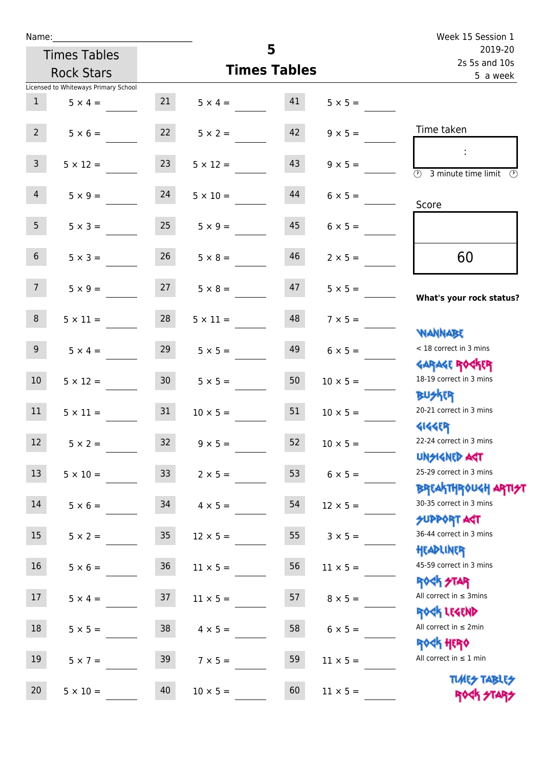| Name:           |                                      |                 |                     | Week 15 Session 1        |                 |                                                                   |
|-----------------|--------------------------------------|-----------------|---------------------|--------------------------|-----------------|-------------------------------------------------------------------|
|                 | <b>Times Tables</b>                  |                 |                     | 2019-20<br>2s 5s and 10s |                 |                                                                   |
|                 | <b>Rock Stars</b>                    |                 | <b>Times Tables</b> | 5 a week                 |                 |                                                                   |
|                 | Licensed to Whiteways Primary School |                 |                     |                          |                 |                                                                   |
| 1               | $5 \times 4 =$                       | 21              | $5 \times 4 = 41$   |                          | $5 \times 5 =$  |                                                                   |
| $2^{\circ}$     | $5 \times 6 =$                       | 22              | $5 \times 2 =$      | 42                       | $9 \times 5 =$  | Time taken                                                        |
| $\mathsf{3}$    | $5 \times 12 =$                      | 23              | $5 \times 12 =$     | 43                       | $9 \times 5 =$  | $\overline{\textcircled{2}}$ 3 minute time limit<br>$\mathcal{O}$ |
| $\overline{4}$  | $5 \times 9 = 24$                    |                 | $5 \times 10 =$     | 44                       | $6 \times 5 =$  | Score                                                             |
| 5 <sub>1</sub>  | $5 \times 3 =$                       | 25              | $5 \times 9 =$      | 45                       | $6 \times 5 =$  |                                                                   |
| 6 <sup>1</sup>  | $5 \times 3 =$                       | 26              | $5 \times 8 =$      | 46                       | $2 \times 5 =$  | 60                                                                |
| 7 <sup>7</sup>  | $5 \times 9 = 27$                    |                 | $5 \times 8 =$      | 47                       | $5 \times 5 =$  | What's your rock status?                                          |
| 8               | $5 \times 11 =$                      | 28              | $5 \times 11 =$     | 48                       | $7 \times 5 =$  | <b>JARNARY</b>                                                    |
| 9 <sub>o</sub>  | $5 \times 4 =$                       | 29              | $5 \times 5 =$      | 49                       | $6 \times 5 =$  | < 18 correct in 3 mins<br><b>GARAGE ROCKER</b>                    |
| 10 <sup>1</sup> | $5 \times 12 = 30$                   |                 | $5 \times 5 =$      | 50                       | $10 \times 5 =$ | 18-19 correct in 3 mins<br><b>BUSKER</b>                          |
| 11              | $5 \times 11 =$                      | 31              | $10 \times 5 =$     | 51                       | $10 \times 5 =$ | 20-21 correct in 3 mins<br><b>4144EP</b>                          |
| 12              | $5 \times 2 =$                       | 32              | $9 \times 5 =$      | 52                       | $10 \times 5 =$ | 22-24 correct in 3 mins<br><b>UNSIGNED AGT</b>                    |
| 13              | $5 \times 10 =$                      | 33 <sup>°</sup> | $2 \times 5 =$      | 53                       | $6 \times 5 =$  | 25-29 correct in 3 mins<br><b>BREAKTHROUGH ARTI<del>S</del>T</b>  |
| 14              | $5 \times 6 =$                       | 34              | $4 \times 5 =$      | 54                       | $12 \times 5 =$ | 30-35 correct in 3 mins<br><b>SUPPORT AGT</b>                     |
| 15              | $5 \times 2 =$                       | 35 <sub>o</sub> | $12 \times 5 =$     | 55                       | $3 \times 5 =$  | 36-44 correct in 3 mins<br>HEADLINER                              |
| 16              | $5 \times 6 =$                       | $36\,$          | $11 \times 5 =$     | 56                       | $11 \times 5 =$ | 45-59 correct in 3 mins<br>ROCK STAR                              |
| 17              | $5 \times 4 =$                       | 37              | $11 \times 5 =$     | 57                       | $8 \times 5 =$  | All correct in $\leq$ 3mins<br>ROCK LEGEND                        |
| 18              | $5 \times 5 =$                       | 38              | $4 \times 5 =$      | 58                       | $6 \times 5 =$  | All correct in $\leq 2$ min<br><b>ROCK HERO</b>                   |
| 19              | $5 \times 7 =$                       | 39              | $7 \times 5 =$      | 59                       | $11 \times 5 =$ | All correct in $\leq 1$ min                                       |
| 20              | $5 \times 10 =$                      | 40              | $10 \times 5 =$     | 60                       | $11 \times 5 =$ | <b>TUARS TABLES</b><br>ROCK STARS                                 |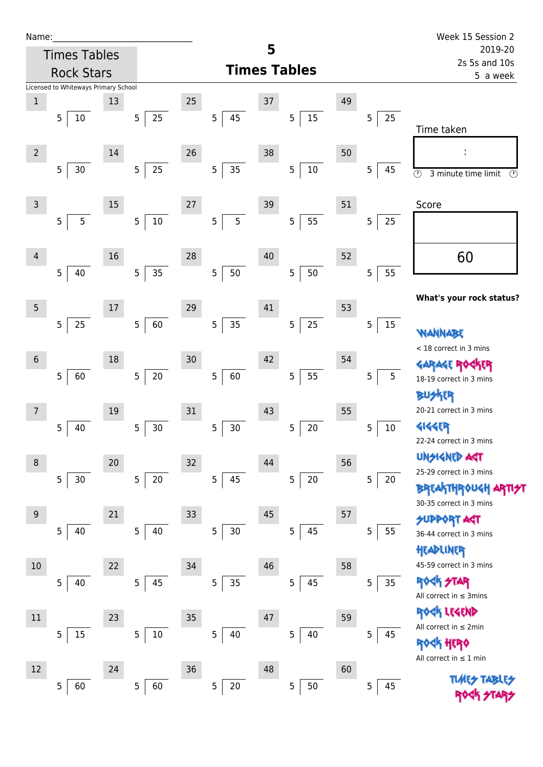| Name |  |  |  |
|------|--|--|--|
|      |  |  |  |

| Name:          |                                      |    |                          |        |                                   |    |                      |    |                           | Week 15 Session 2                               |  |
|----------------|--------------------------------------|----|--------------------------|--------|-----------------------------------|----|----------------------|----|---------------------------|-------------------------------------------------|--|
|                | <b>Times Tables</b>                  |    |                          |        |                                   | 5  |                      |    |                           | 2019-20                                         |  |
|                | <b>Rock Stars</b>                    |    |                          |        | <b>Times Tables</b>               |    |                      |    | 2s 5s and 10s<br>5 a week |                                                 |  |
|                | Licensed to Whiteways Primary School |    |                          |        |                                   |    |                      |    |                           |                                                 |  |
| $\mathbf 1$    |                                      | 13 |                          | 25     |                                   | 37 |                      | 49 |                           |                                                 |  |
|                | 5<br>10                              |    | 25<br>$\sqrt{5}$         |        | 5<br>45                           |    | 15<br>5              |    | 5<br>25                   | Time taken                                      |  |
|                |                                      |    |                          |        |                                   |    |                      |    |                           |                                                 |  |
| $\overline{2}$ |                                      | 14 |                          | 26     |                                   | 38 |                      | 50 |                           | f,                                              |  |
|                | 5<br>30                              |    | $25\,$<br>$\overline{5}$ |        | 5<br>35                           |    | $10\,$<br>5          |    | 5<br>45                   | $\odot$<br>3 minute time limit<br>$\circled{r}$ |  |
|                |                                      |    |                          |        |                                   |    |                      |    |                           |                                                 |  |
| 3              |                                      | 15 |                          | $27\,$ |                                   | 39 |                      | 51 |                           | Score                                           |  |
|                | 5<br>5                               |    | $10\,$<br>$\overline{5}$ |        | 5                                 | 5  | 55<br>5              |    | 25<br>5                   |                                                 |  |
|                |                                      |    |                          |        |                                   |    |                      |    |                           |                                                 |  |
| $\overline{4}$ |                                      | 16 |                          | 28     |                                   | 40 |                      | 52 |                           | 60                                              |  |
|                | 40<br>5                              |    | 35<br>5                  |        | 5<br>50                           |    | 50<br>5              |    | 55<br>5                   |                                                 |  |
|                |                                      |    |                          |        |                                   |    |                      |    |                           | What's your rock status?                        |  |
| $5\phantom{.}$ |                                      | 17 |                          | 29     |                                   | 41 |                      | 53 |                           |                                                 |  |
|                | 25<br>$\overline{5}$                 |    | 60<br>$\sqrt{5}$         |        | 5<br>35                           |    | 25<br>$\overline{5}$ |    | 5<br>15                   | WANNABE                                         |  |
|                |                                      |    |                          |        |                                   |    |                      |    |                           | < 18 correct in 3 mins                          |  |
| $\sqrt{6}$     |                                      | 18 |                          | 30     |                                   | 42 |                      | 54 |                           | GARAGE ROGKER                                   |  |
|                | $\overline{5}$<br>60                 |    | $20\,$<br>$\sqrt{5}$     |        | 5<br>60                           |    | 55<br>$\overline{5}$ |    | 5<br>5                    | 18-19 correct in 3 mins                         |  |
|                |                                      |    |                          |        |                                   |    |                      |    |                           | R                                               |  |
| 7              |                                      | 19 |                          | 31     |                                   | 43 |                      | 55 |                           | 20-21 correct in 3 mins                         |  |
|                | 5<br>40                              |    | $30$<br>$\overline{5}$   |        | $\overline{5}$<br>30 <sub>o</sub> |    | 5<br>20              |    | 5<br>10                   | <b>4144EP</b>                                   |  |
|                |                                      |    |                          |        |                                   |    |                      |    |                           | 22-24 correct in 3 mins                         |  |
| 8              |                                      | 20 |                          | 32     |                                   | 44 |                      | 56 |                           | <b>UNGIGNED ART</b>                             |  |
|                | 30<br>5                              |    | $20\,$<br>5              |        | 5<br>45                           |    | $20\,$<br>5          |    | 5<br>20                   | 25-29 correct in 3 mins                         |  |
|                |                                      |    |                          |        |                                   |    |                      |    |                           | BREAKTHROUGH<br>30-35 correct in 3 mins         |  |
| $9$            |                                      | 21 |                          | 33     |                                   | 45 |                      | 57 |                           | <b>SUPPORT AGT</b>                              |  |
|                | 5<br>40                              |    | 5<br>40                  |        | 5<br>30 <sub>o</sub>              |    | 45<br>5              |    | 5<br>55                   | 36-44 correct in 3 mins                         |  |
|                |                                      |    |                          |        |                                   |    |                      |    |                           | HEADLINER                                       |  |
| 10             |                                      | 22 |                          | 34     |                                   | 46 |                      | 58 |                           | 45-59 correct in 3 mins                         |  |
|                | 5<br>40                              |    | 45<br>$\mathsf S$        |        | 5<br>35                           |    | 45<br>5              |    | 5<br>35                   | <b>ROCK STAR</b>                                |  |
|                |                                      |    |                          |        |                                   |    |                      |    |                           | All correct in $\leq$ 3mins                     |  |
| 11             |                                      | 23 |                          | $35\,$ |                                   | 47 |                      | 59 |                           | ROCK LEGEND                                     |  |
|                | $15\,$<br>5                          |    | $10\,$<br>5              |        | 5<br>40                           |    | 5<br>40              |    | 5<br>45                   | All correct in $\leq 2$ min                     |  |
|                |                                      |    |                          |        |                                   |    |                      |    |                           | HERQ<br>All correct in $\leq 1$ min             |  |
| 12             |                                      | 24 |                          | $36\,$ |                                   | 48 |                      | 60 |                           |                                                 |  |
|                | 60<br>5                              |    | $\overline{5}$<br>60     |        | 5<br>20                           |    | 50<br>$\overline{5}$ |    | 5<br>45                   | <b>TLARS</b>                                    |  |
|                |                                      |    |                          |        |                                   |    |                      |    |                           |                                                 |  |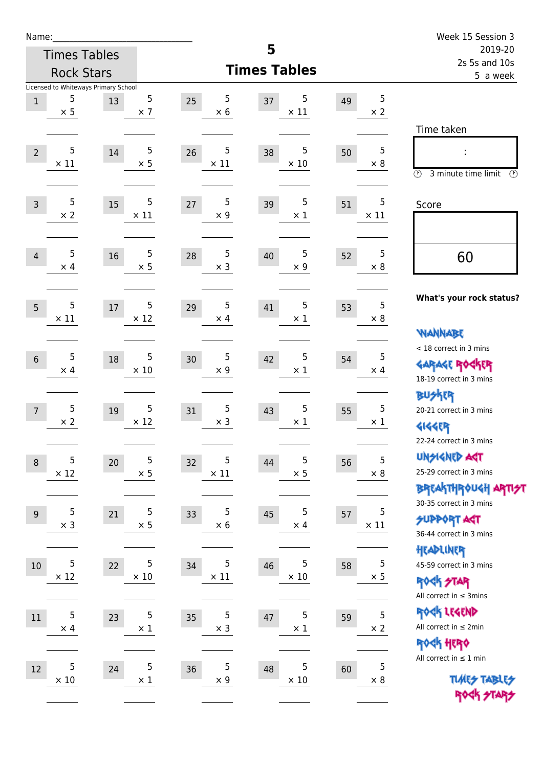| Name:          |                     |                                            |                          |                        |                        |    |                  | Week 15 Session 3                                                                                                  |
|----------------|---------------------|--------------------------------------------|--------------------------|------------------------|------------------------|----|------------------|--------------------------------------------------------------------------------------------------------------------|
|                | <b>Times Tables</b> |                                            |                          |                        | 5                      |    |                  | 2019-20<br>2s 5s and 10s                                                                                           |
|                | <b>Rock Stars</b>   |                                            |                          |                        | <b>Times Tables</b>    |    |                  | 5 a week                                                                                                           |
| $1\,$          | 5<br>$\times$ 5     | Licensed to Whiteways Primary School<br>13 | 5<br>$\times$ 7          | 5<br>25<br>$\times$ 6  | 5<br>37<br>$\times$ 11 | 49 | 5<br>$\times 2$  | Time taken                                                                                                         |
| $\overline{2}$ | 5<br>$\times$ 11    | 14                                         | 5<br>$\times$ 5          | 5<br>26<br>$\times$ 11 | 5<br>38<br>$\times$ 10 | 50 | 5<br>$\times 8$  | $\circled{r}$<br>3 minute time limit<br>$(\mathcal{F})$                                                            |
| $\overline{3}$ | 5<br>$\times 2$     | 15                                         | 5<br>$\times$ 11         | 5<br>27<br>$\times$ 9  | 5<br>39<br>$\times$ 1  | 51 | 5<br>$\times$ 11 | Score                                                                                                              |
| 4              | 5<br>$\times$ 4     | 16                                         | $\sqrt{5}$<br>$\times$ 5 | 5<br>28<br>$\times$ 3  | 5<br>40<br>$\times$ 9  | 52 | 5<br>$\times 8$  | 60                                                                                                                 |
| 5              | 5<br>$\times$ 11    | 17                                         | 5<br>$\times$ 12         | 5<br>29<br>$\times$ 4  | 5<br>41<br>$\times$ 1  | 53 | 5<br>$\times 8$  | What's your rock status?<br><b>WANNABE</b>                                                                         |
| $6\phantom{1}$ | 5<br>$\times$ 4     | 18                                         | 5<br>$\times 10$         | 5<br>30<br>$\times$ 9  | 5<br>42<br>$\times$ 1  | 54 | 5<br>$\times$ 4  | < 18 correct in 3 mins<br><b>GARAGE ROCKER</b><br>18-19 correct in 3 mins<br><b>BUSKER</b>                         |
| $\overline{7}$ | 5<br>$\times$ 2     | 19                                         | 5<br>$\times$ 12         | 5<br>31<br>$\times$ 3  | 5<br>43<br>$\times$ 1  | 55 | 5<br>$\times$ 1  | 20-21 correct in 3 mins<br><b>4144EP</b><br>22-24 correct in 3 mins                                                |
| $\,8\,$        | 5<br>$\times$ 12    | 20                                         | 5<br>$\times$ 5          | 5<br>32<br>$\times$ 11 | 5<br>44<br>$\times$ 5  | 56 | 5<br>$\times$ 8  | <b>UNGIGNED AST</b><br>25-29 correct in 3 mins<br><b>BREAKTHR0UGH ARTI<del>S</del>T</b><br>30-35 correct in 3 mins |
| 9              | 5<br>$\times$ 3     | 21                                         | 5<br>$\times$ 5          | 5<br>33<br>$\times$ 6  | 5<br>45<br>$\times$ 4  | 57 | 5<br>$\times$ 11 | <b>SUPPORT ART</b><br>36-44 correct in 3 mins<br>HEADLINER                                                         |
| 10             | 5<br>$\times$ 12    | 22                                         | 5<br>$\times$ 10         | 5<br>34<br>$\times$ 11 | 5<br>46<br>$\times$ 10 | 58 | 5<br>$\times$ 5  | 45-59 correct in 3 mins<br>ROCK STAR<br>All correct in $\leq$ 3mins                                                |
| 11             | 5<br>$\times$ 4     | 23                                         | 5<br>$\times$ 1          | 5<br>35<br>$\times$ 3  | 5<br>47<br>$\times$ 1  | 59 | 5<br>$\times 2$  | ROCK LEGEND<br>All correct in $\leq 2$ min<br>ROCK HERO                                                            |
| 12             | 5<br>$\times$ 10    | 24                                         | 5<br>$\times$ 1          | 5<br>36<br>$\times$ 9  | 5<br>48<br>$\times$ 10 | 60 | 5<br>$\times 8$  | All correct in $\leq 1$ min<br><b>TUARS TABLES</b><br>ROCK STARS                                                   |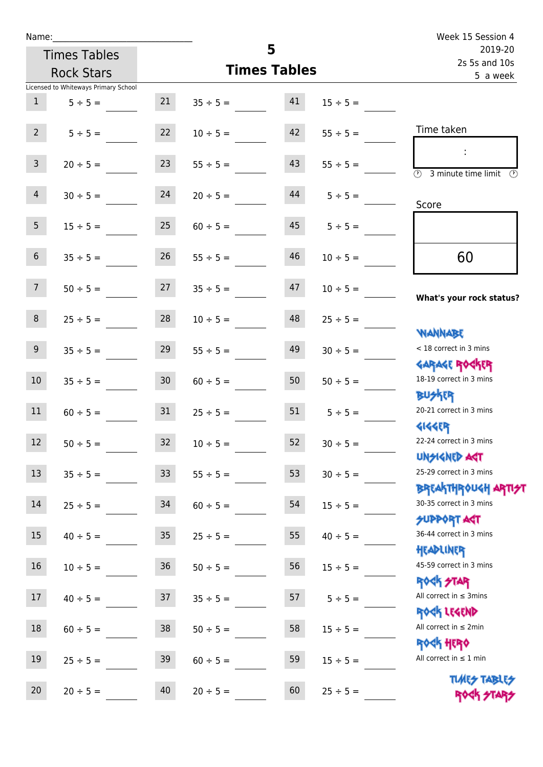| Name:           |                                      |                 |                     |    |                    | Week 15 Session 4                                                |
|-----------------|--------------------------------------|-----------------|---------------------|----|--------------------|------------------------------------------------------------------|
|                 | <b>Times Tables</b>                  |                 |                     | 5  |                    | 2019-20<br>2s 5s and 10s                                         |
|                 | <b>Rock Stars</b>                    |                 | <b>Times Tables</b> |    |                    | 5 a week                                                         |
|                 | Licensed to Whiteways Primary School |                 |                     |    |                    |                                                                  |
| 1               | $5 \div 5 =$                         |                 | $21 \t 35 \div 5 =$ | 41 | $15 \div 5 =$      |                                                                  |
| 2 <sup>1</sup>  | $5 \div 5 =$                         | 22              | $10 \div 5 =$       | 42 | $55 \div 5 =$      | Time taken                                                       |
| 3 <sup>7</sup>  | $20 \div 5 =$                        | 23              | $55 \div 5 =$       | 43 | $55 \div 5 =$      | $\overline{(\mathcal{V})}$<br>3 minute time limit                |
| 4               | $30 \div 5 =$                        | 24              | $20 \div 5 =$       |    | $44$ $5 \div 5 =$  | Score                                                            |
| 5 <sub>5</sub>  | $15 \div 5 =$                        | 25              | $60 \div 5 =$       |    | $45 \t 5 \div 5 =$ |                                                                  |
| 6 <sup>1</sup>  | $35 \div 5 =$                        | 26              | $55 \div 5 =$       | 46 | $10 \div 5 =$      | 60                                                               |
| 7 <sup>7</sup>  | $50 \div 5 =$                        |                 | $27 \t 35 \div 5 =$ | 47 | $10 \div 5 =$      | What's your rock status?                                         |
| 8               | $25 \div 5 =$                        | 28              | $10 \div 5 =$       | 48 | $25 \div 5 =$      | <b>NANNABE</b>                                                   |
| 9 <sub>o</sub>  | $35 \div 5 =$                        | 29              | $55 \div 5 =$       | 49 | $30 \div 5 =$      | < 18 correct in 3 mins                                           |
| 10 <sup>°</sup> | $35 \div 5 =$                        | 30 <sup>°</sup> | $60 \div 5 =$       | 50 | $50 \div 5 =$      | <b>GARAGE ROCKER</b><br>18-19 correct in 3 mins<br><b>BU外科</b>   |
| 11              | $60 \div 5 = 31$                     |                 | $25 \div 5 =$       |    | $51 \t 5 \div 5 =$ | 20-21 correct in 3 mins                                          |
| 12              | $50 \div 5 =$                        | 32              | $10 \div 5 =$       | 52 | $30 \div 5 =$      | <b>4144ER</b><br>22-24 correct in 3 mins<br><b>UNSIGNED AST</b>  |
| 13              | $35 ÷ 5 =$                           | 33              | $55 \div 5 =$       | 53 | $30 \div 5 =$      | 25-29 correct in 3 mins<br><b>BREAKTHROUGH ARTI<del>S</del>T</b> |
| 14              | $25 \div 5 =$                        | 34              | $60 \div 5 =$       | 54 | $15 \div 5 =$      | 30-35 correct in 3 mins<br><b>SUPPORT AGT</b>                    |
| 15              | $40 \div 5 =$                        | 35              | $25 \div 5 =$       | 55 | $40 \div 5 =$      | 36-44 correct in 3 mins<br>HEADLINER                             |
| 16              | $10 \div 5 =$                        | 36              | $50 \div 5 =$       | 56 | $15 \div 5 =$      | 45-59 correct in 3 mins<br><b>ROCK STAR</b>                      |
| 17              | $40 \div 5 =$                        | 37              | $35 ÷ 5 =$          | 57 | $5 ÷ 5 =$          | All correct in $\leq$ 3mins<br>ROCK LEGEND                       |
| $18\,$          | $60 \div 5 =$                        | 38              | $50 \div 5 =$       | 58 | $15 \div 5 =$      | All correct in $\leq 2$ min<br>ROCK HERO                         |
| 19              | $25 \div 5 =$                        | 39              | $60 \div 5 =$       | 59 | $15 \div 5 =$      | All correct in $\leq 1$ min                                      |
| 20              | $20 \div 5 =$                        | 40              | $20 \div 5 =$       | 60 | $25 \div 5 =$      | <b>TUARS TABLES</b><br>ROCK STARS                                |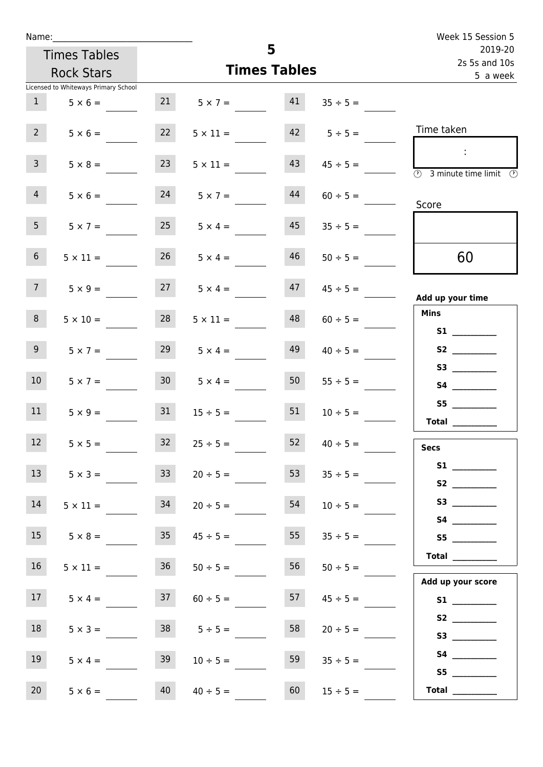| Week 15 Session 5                                                       |                     |                      |                   |                                      | Name:           |  |  |  |
|-------------------------------------------------------------------------|---------------------|----------------------|-------------------|--------------------------------------|-----------------|--|--|--|
| 5<br>2019-20<br>2s 5s and 10s                                           |                     |                      |                   | <b>Times Tables</b>                  |                 |  |  |  |
| 5 a week                                                                | <b>Times Tables</b> |                      | <b>Rock Stars</b> |                                      |                 |  |  |  |
|                                                                         |                     |                      |                   | Licensed to Whiteways Primary School |                 |  |  |  |
| 41<br>$35 \div 5 =$                                                     |                     | $21 \t 5 \times 7 =$ |                   | $5 \times 6 =$                       | 1               |  |  |  |
| Time taken<br>$42 \t 5 \div 5 =$                                        |                     | $5 \times 11 =$      | 22                | $5 \times 6 =$                       | 2 <sup>7</sup>  |  |  |  |
| $\mathbb{R}^n$<br>43<br>$45 \div 5 =$<br>3 minute time limit<br>$\odot$ |                     | $5 \times 11 =$      | 23                | $5 \times 8 =$                       | $\mathbf{3}$    |  |  |  |
| 44<br>$60 \div 5 =$<br>Score                                            |                     | $5 \times 7 =$       | 24                | $5 \times 6 =$                       | 4               |  |  |  |
| 45<br>$35 \div 5 =$                                                     |                     | $5 \times 4 =$       | 25                | $5 \times 7 =$                       | 5 <sub>1</sub>  |  |  |  |
| 46<br>60<br>$50 \div 5 =$                                               |                     | $5 \times 4 =$       | 26                | $5 \times 11 =$                      | 6 <sup>1</sup>  |  |  |  |
| 47<br>$45 \div 5 =$<br>Add up your time                                 |                     | $27 \t 5 \times 4 =$ |                   | $5 \times 9 =$                       | 7 <sup>7</sup>  |  |  |  |
| <b>Mins</b><br>48<br>$60 \div 5 =$<br><b>S1 S1</b>                      |                     | $5 \times 11 =$      | 28                | $5 \times 10 =$                      | 8               |  |  |  |
| 49<br>$40 \div 5 =$                                                     |                     | $5 \times 4 =$       | 29                | $5 \times 7 =$                       | 9 <sub>o</sub>  |  |  |  |
| 50<br>$55 \div 5 =$                                                     |                     | $5 \times 4 =$       | 30 <sub>1</sub>   | $5 \times 7 =$                       | 10 <sup>°</sup> |  |  |  |
| S5<br>51<br>$10 \div 5 =$<br><b>Total</b>                               |                     | $15 \div 5 =$        | 31                | $5 \times 9 =$                       | 11              |  |  |  |
| 52<br>$40 \div 5 =$<br><b>Secs</b>                                      |                     | $25 \div 5 =$        | 32                | $5 \times 5 =$                       | 12              |  |  |  |
| 53<br>$35 \div 5 =$                                                     |                     | $20 \div 5 =$        | 33                | $5 \times 3 =$                       | 13              |  |  |  |
| 54<br>$10 \div 5 =$                                                     |                     | $20 \div 5 =$        | 34                | $5 \times 11 =$                      | 14              |  |  |  |
| 55<br>$35 \div 5 =$<br>S5                                               |                     | $45 \div 5 =$        | 35                | $5 \times 8 =$                       | 15              |  |  |  |
| Total<br>56<br>$50 \div 5 =$<br>Add up your score                       |                     | $50 \div 5 =$        | 36                | $5 \times 11 =$                      | 16              |  |  |  |
| 57<br>$45 \div 5 =$                                                     |                     | $60 \div 5 =$        | 37                | $5 \times 4 =$                       | 17 <sub>1</sub> |  |  |  |
| 58<br>$20 \div 5 =$                                                     |                     | $38$ $5 \div 5 =$    |                   | $5 \times 3 =$                       | 18              |  |  |  |
| 59<br>$35 \div 5 =$<br>S5                                               |                     | $10 \div 5 =$        | 39                | $5 \times 4 =$                       | 19              |  |  |  |
| 60<br>Total $\_\_$<br>$15 \div 5 =$                                     |                     | $40 \div 5 =$        | 40                | $5 \times 6 =$                       | 20              |  |  |  |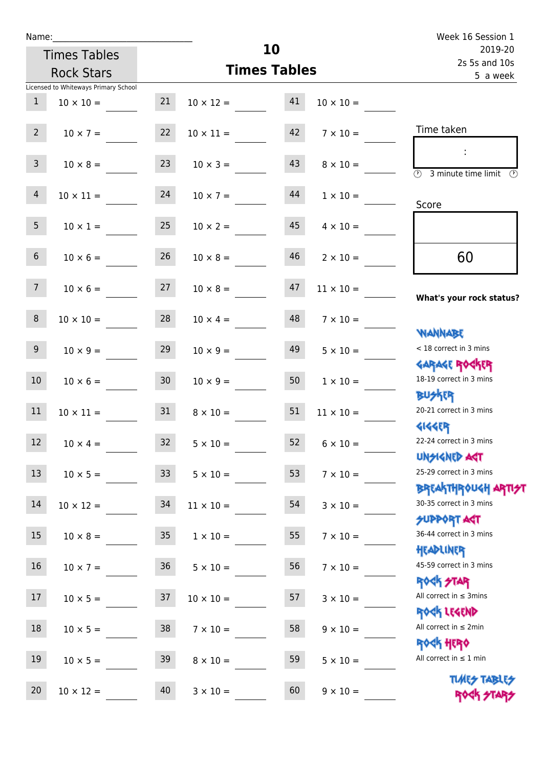| Name:           |                                      |                 |                  |                     |                  | Week 16 Session 1                                   |  |
|-----------------|--------------------------------------|-----------------|------------------|---------------------|------------------|-----------------------------------------------------|--|
|                 | <b>Times Tables</b>                  |                 |                  | 10                  |                  | 2019-20<br>2s 5s and 10s                            |  |
|                 | <b>Rock Stars</b>                    |                 |                  | <b>Times Tables</b> |                  | 5 a week                                            |  |
|                 | Licensed to Whiteways Primary School |                 |                  |                     |                  |                                                     |  |
| $\mathbf{1}$    | $10 \times 10 =$                     | 21              | $10 \times 12 =$ | 41                  | $10 \times 10 =$ |                                                     |  |
| $2^{\circ}$     | $10 \times 7 =$                      | 22              | $10 \times 11 =$ | 42                  | $7 \times 10 =$  | Time taken                                          |  |
| 3 <sup>7</sup>  | $10 \times 8 =$                      | 23              | $10 \times 3 =$  | 43                  | $8 \times 10 =$  | (1)<br>3 minute time limit $\circled{0}$            |  |
| $\overline{4}$  | $10 \times 11 =$                     | 24              | $10 \times 7 =$  | 44                  | $1 \times 10 =$  | Score                                               |  |
| 5 <sub>1</sub>  | $10 \times 1 = 25$                   |                 | $10 \times 2 =$  | 45                  | $4 \times 10 =$  |                                                     |  |
| 6 <sup>1</sup>  | $10 \times 6 =$                      | 26              | $10 \times 8 =$  | 46                  | $2 \times 10 =$  | 60                                                  |  |
| 7 <sup>7</sup>  | $10 \times 6 =$                      | 27              | $10 \times 8 =$  | 47                  | $11 \times 10 =$ | What's your rock status?                            |  |
| 8               | $10 \times 10 = 28$                  |                 | $10 \times 4 =$  | 48                  | $7 \times 10 =$  | <b>NANNABE</b>                                      |  |
| 9 <sub>o</sub>  | $10 \times 9 =$                      | 29              | $10 \times 9 =$  | 49                  | $5 \times 10 =$  | < 18 correct in 3 mins<br><b>GARAGE ROCKER</b>      |  |
| 10 <sup>°</sup> | $10 \times 6 =$                      | 30 <sub>o</sub> | $10 \times 9 =$  | 50                  | $1 \times 10 =$  | 18-19 correct in 3 mins<br><b>BUSKER</b>            |  |
| 11              | $10 \times 11 = 31$                  |                 | $8 \times 10 =$  | 51                  | $11 \times 10 =$ | 20-21 correct in 3 mins<br><b>4144ER</b>            |  |
| 12              | $10 \times 4 =$                      | 32              | $5 \times 10 =$  | 52                  | $6 \times 10 =$  | 22-24 correct in 3 mins<br><b>UNSIGNED AST</b>      |  |
| 13              | $10 \times 5 =$                      | 33              | $5 \times 10 =$  | 53                  | $7 \times 10 =$  | 25-29 correct in 3 mins<br><b>BREAKTHROUGH ARTH</b> |  |
| 14              | $10 \times 12 =$                     | 34              | $11 \times 10 =$ | 54                  | $3 \times 10 =$  | 30-35 correct in 3 mins<br><b>SUPPORT AGT</b>       |  |
| 15              | $10 \times 8 =$                      | 35              | $1 \times 10 =$  | 55                  | $7 \times 10 =$  | 36-44 correct in 3 mins<br>HEADLINER                |  |
| 16              | $10 \times 7 =$                      | 36              | $5 \times 10 =$  | 56                  | $7 \times 10 =$  | 45-59 correct in 3 mins<br><b>ROCK STAR</b>         |  |
| 17              | $10 \times 5 =$                      | 37              | $10 \times 10 =$ | 57                  | $3 \times 10 =$  | All correct in $\leq$ 3mins<br>ROCK LEGEND          |  |
| 18              | $10 \times 5 =$                      | 38              | $7 \times 10 =$  | 58                  | $9 \times 10 =$  | All correct in $\leq 2$ min<br><b>ROCK HERO</b>     |  |
| 19              | $10 \times 5 =$                      | 39              | $8 \times 10 =$  | 59                  | $5 \times 10 =$  | All correct in $\leq 1$ min                         |  |
| 20              | $10 \times 12 =$                     | 40              | $3 \times 10 =$  | 60                  | $9 \times 10 =$  | <b>TUARS TABLES</b><br>ROCK STARS                   |  |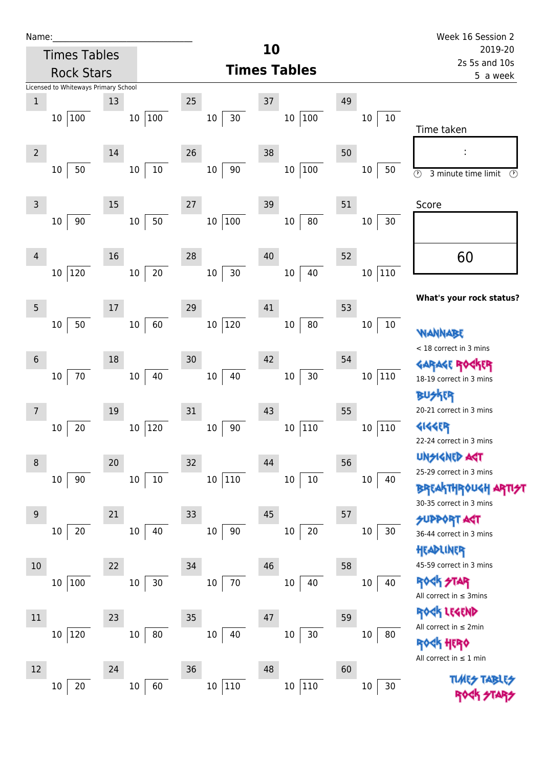| Name |  |  |  |
|------|--|--|--|
|      |  |  |  |

|                | <b>Times Tables</b>                  |              |                       |              | 10                  |                      |    |               | 2019-20                                                                        |
|----------------|--------------------------------------|--------------|-----------------------|--------------|---------------------|----------------------|----|---------------|--------------------------------------------------------------------------------|
|                | <b>Rock Stars</b>                    |              |                       |              | <b>Times Tables</b> |                      |    |               | 2s 5s and 10s<br>5 a week                                                      |
|                | Licensed to Whiteways Primary School |              |                       |              |                     |                      |    |               |                                                                                |
| $\,1$          |                                      | 13           |                       | 25           | 37                  |                      | 49 |               |                                                                                |
|                | 100<br>10                            |              | 10 100                | $10\,$       | $30\,$              | 100<br>10            |    | $10\,$<br>10  | Time taken                                                                     |
| $\overline{2}$ | 50<br>$10\,$                         | 14<br>$10\,$ | 10                    | 26<br>$10\,$ | 38<br>90            | 100<br>$10\,$        | 50 | 50<br>10      | :<br>$\odot$<br>3 minute time limit<br>Ø                                       |
| 3              | 90<br>10                             | 15<br>$10\,$ | 50                    | 27<br>10 100 | 39                  | 80<br>10             | 51 | 30<br>10      | Score                                                                          |
| 4              | 120<br>$10\,$                        | 16<br>10     | $20\,$                | 28<br>$10\,$ | 40<br>$30$          | 40<br>$10\,$         | 52 | 110<br>$10\,$ | 60                                                                             |
| 5              |                                      | 17           |                       | 29           | 41                  |                      | 53 |               | What's your rock status?                                                       |
| 6              | 50<br>10                             | 18           | 60<br>10 <sub>1</sub> | 10 120<br>30 | 42                  | ${\bf 80}$<br>$10\,$ | 54 | 10<br>10      | NANNABE<br>< 18 correct in 3 mins                                              |
|                | $70\,$<br>$10\,$                     | 10           | 40                    | 10           | 40                  | 30<br>$10\,$         |    | 110<br>$10\,$ | <b>GARAGE ROGKER</b><br>18-19 correct in 3 mins                                |
| 7              | 20<br>$10\,$                         | 19           | 10 120                | 31<br>10     | 43<br>$90\,$        | 110<br>$10\,$        | 55 | 110<br>$10\,$ | 20-21 correct in 3 mins<br><b>4144ER</b><br>22-24 correct in 3 mins            |
| 8              | 90<br>10                             | 20<br>$10\,$ | $10\,$                | 32<br>10 110 | 44                  | $10\,$<br>$10\,$     | 56 | $10\,$<br>40  | UNSIGNED ACT<br>25-29 correct in 3 mins<br><b>BREAKTHROUGH ARTIST</b>          |
| 9              | 20<br>$10\,$                         | 21<br>10     | 40                    | 33<br>$10\,$ | 45<br>$90\,$        | $20\,$<br>$10\,$     | 57 | 30<br>10      | 30-35 correct in 3 mins<br><b>SUPPORT AST</b><br>36-44 correct in 3 mins       |
| 10             | 100<br>10                            | 22<br>10     | 30                    | 34<br>10     | 46<br>$70\,$        | 10<br>40             | 58 | 10<br>40      | HEADLINER<br>45-59 correct in 3 mins<br><b>ROCK STAR</b>                       |
| 11             |                                      | 23           |                       | 35           | 47                  |                      | 59 |               | All correct in $\leq$ 3mins<br><b>ER LEGEND</b><br>All correct in $\leq 2$ min |
| 12             | 120<br>$10\,$                        | $10\,$<br>24 | $80\,$                | $10\,$<br>36 | 40<br>48            | $30\,$<br>$10\,$     | 60 | 10<br>80      | HERQ<br>All correct in $\leq 1$ min                                            |
|                | $20\,$<br>10                         | 10           | 60                    | 10 110       |                     | 110<br>$10\,$        |    | $30\,$<br>10  | <b>TUARS TABLES</b>                                                            |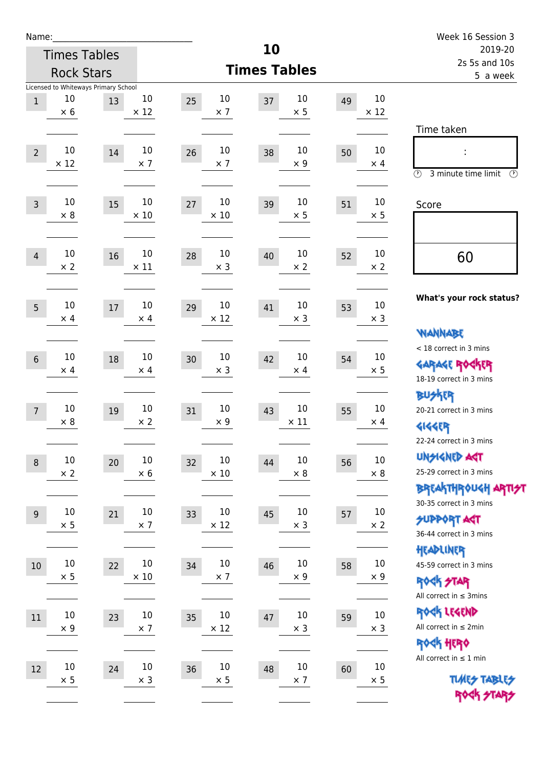| Name:            |             |                                      |             |                  |                     |    |             | Week 16 Session 3                                       |
|------------------|-------------|--------------------------------------|-------------|------------------|---------------------|----|-------------|---------------------------------------------------------|
|                  |             | <b>Times Tables</b>                  |             |                  | 10                  |    |             | 2019-20<br>2s 5s and 10s                                |
|                  |             | <b>Rock Stars</b>                    |             |                  | <b>Times Tables</b> |    |             | 5 a week                                                |
|                  | 10          | Licensed to Whiteways Primary School | 10          | 10               | 10                  |    | 10          |                                                         |
| $\mathbf{1}$     | $\times$ 6  | 13                                   | $\times$ 12 | 25<br>$\times$ 7 | 37<br>$\times$ 5    | 49 | $\times$ 12 |                                                         |
|                  |             |                                      |             |                  |                     |    |             | Time taken                                              |
|                  | 10          | 14                                   | 10          | 10<br>26         | 10<br>38            |    | $10\,$      |                                                         |
| $\overline{2}$   | $\times$ 12 |                                      | $\times$ 7  | $\times$ 7       | $\times$ 9          | 50 | $\times$ 4  |                                                         |
|                  |             |                                      |             |                  |                     |    |             | $\circled{r}$<br>3 minute time limit<br>$(\mathcal{F})$ |
| $\overline{3}$   | 10          | 15                                   | 10          | 10<br>27         | 10<br>39            | 51 | 10          | Score                                                   |
|                  | $\times 8$  |                                      | $\times$ 10 | $\times$ 10      | $\times$ 5          |    | $\times$ 5  |                                                         |
|                  |             |                                      |             |                  |                     |    |             |                                                         |
| $\overline{4}$   | 10          | 16                                   | $10\,$      | 10<br>28         | 10<br>40            | 52 | $10\,$      | 60                                                      |
|                  | $\times$ 2  |                                      | $\times$ 11 | $\times$ 3       | $\times 2$          |    | $\times 2$  |                                                         |
|                  |             |                                      |             |                  |                     |    |             |                                                         |
| 5                | 10          | 17                                   | 10          | 10<br>29         | 10<br>41            | 53 | 10          | What's your rock status?                                |
|                  | $\times$ 4  |                                      | $\times$ 4  | $\times$ 12      | $\times$ 3          |    | $\times$ 3  |                                                         |
|                  |             |                                      |             |                  |                     |    |             | <b>WANNABE</b>                                          |
| $\sqrt{6}$       | 10          | 18                                   | $10\,$      | 10<br>30         | 10<br>42            | 54 | 10          | < 18 correct in 3 mins                                  |
|                  | $\times$ 4  |                                      | $\times$ 4  | $\times$ 3       | $\times$ 4          |    | $\times$ 5  | <b>GARAGE ROCKER</b><br>18-19 correct in 3 mins         |
|                  |             |                                      |             |                  |                     |    |             | <b>BUSKER</b>                                           |
| $\overline{7}$   | 10          | 19                                   | 10          | 10<br>31         | 10<br>43            | 55 | 10          | 20-21 correct in 3 mins                                 |
|                  | $\times 8$  |                                      | $\times 2$  | $\times 9$       | $\times$ 11         |    | $\times$ 4  | <b>4144EP</b>                                           |
|                  |             |                                      |             |                  |                     |    |             | 22-24 correct in 3 mins                                 |
| $\boldsymbol{8}$ | $10\,$      | 20                                   | $10\,$      | $10\,$<br>32     | $10\,$<br>44        | 56 | $10\,$      | <b>UNSIGNED AGT</b>                                     |
|                  | $\times 2$  |                                      | $\times 6$  | $\times$ 10      | $\times$ 8          |    | $\times$ 8  | 25-29 correct in 3 mins                                 |
|                  |             |                                      |             |                  |                     |    |             | <b>BREAKTHR0UGH ARTI<del>S</del>T</b>                   |
| 9                | $10\,$      | 21                                   | $10\,$      | 10<br>33         | $10\,$<br>45        | 57 | $10\,$      | 30-35 correct in 3 mins<br><b>SUPPORT ART</b>           |
|                  | $\times$ 5  |                                      | $\times$ 7  | $\times$ 12      | $\times$ 3          |    | $\times$ 2  | 36-44 correct in 3 mins                                 |
|                  |             |                                      |             |                  |                     |    |             | HEADLINER                                               |
| $10\,$           | $10\,$      | 22                                   | $10\,$      | 10<br>34         | 10<br>46            | 58 | $10\,$      | 45-59 correct in 3 mins                                 |
|                  | $\times$ 5  |                                      | $\times$ 10 | $\times$ 7       | $\times$ 9          |    | $\times$ 9  | ROCK STAR                                               |
|                  |             |                                      |             |                  |                     |    |             | All correct in $\leq$ 3mins                             |
| 11               | $10\,$      | 23                                   | $10\,$      | $10\,$<br>35     | $10\,$<br>47        | 59 | $10\,$      | ROCK LEGEND                                             |
|                  | $\times$ 9  |                                      | $\times$ 7  | $\times$ 12      | $\times$ 3          |    | $\times$ 3  | All correct in $\leq 2$ min                             |
|                  |             |                                      |             |                  |                     |    |             | ROCK HERO<br>All correct in $\leq 1$ min                |
| 12               | $10\,$      | 24                                   | $10\,$      | $10\,$<br>36     | 10<br>48            | 60 | $10\,$      |                                                         |
|                  | $\times$ 5  |                                      | $\times$ 3  | $\times$ 5       | $\times$ 7          |    | $\times$ 5  | <b>TUARS TABLES</b>                                     |
|                  |             |                                      |             |                  |                     |    |             | ROCK STARS                                              |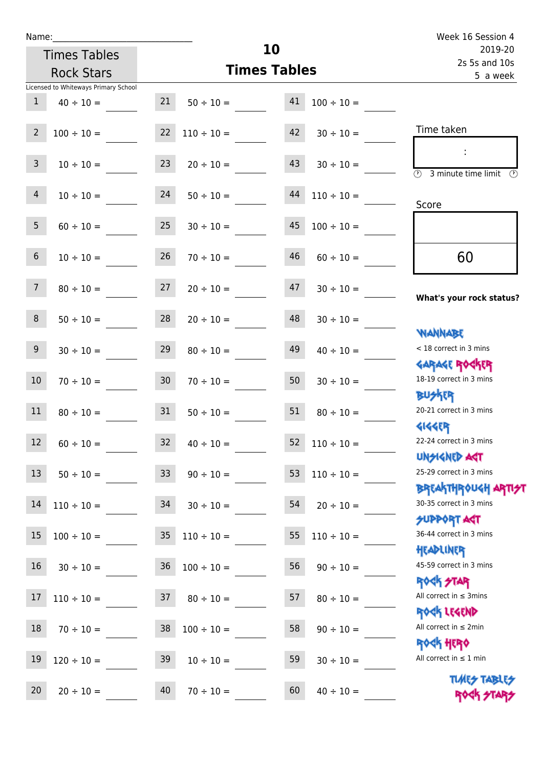|                 | <b>Times Tables</b>                  |                 | 10                   | 2019-20                   |                 |                                                             |
|-----------------|--------------------------------------|-----------------|----------------------|---------------------------|-----------------|-------------------------------------------------------------|
|                 | <b>Rock Stars</b>                    |                 | <b>Times Tables</b>  | 2s 5s and 10s<br>5 a week |                 |                                                             |
|                 | Licensed to Whiteways Primary School |                 |                      |                           |                 |                                                             |
| $\mathbf{1}$    | $40 \div 10 =$                       | 21              | $50 \div 10 =$       | 41                        | $100 \div 10 =$ |                                                             |
| $\overline{2}$  | $100 \div 10 =$                      | 22              | $110 \div 10 =$      | 42                        | $30 \div 10 =$  | Time taken                                                  |
| $\overline{3}$  | $10 \div 10 =$                       | 23              | $20 \div 10 =$       | 43                        | $30 \div 10 =$  | $\overline{\mathcal{D}}$<br>3 minute time limit             |
| $\overline{4}$  | $10 \div 10 =$                       | 24              | $50 \div 10 =$       | 44                        | $110 \div 10 =$ | Score                                                       |
| 5 <sub>1</sub>  | $60 \div 10 =$                       | 25              | $30 \div 10 =$       | 45                        | $100 \div 10 =$ |                                                             |
| $6\overline{6}$ | $10 \div 10 =$                       | 26              | $70 \div 10 =$       | 46                        | $60 \div 10 =$  | 60                                                          |
| 7 <sup>7</sup>  | $80 \div 10 =$                       | 27              | $20 \div 10 =$       | 47                        | $30 \div 10 =$  | What's your rock status?                                    |
| 8               | $50 \div 10 =$                       | 28              | $20 \div 10 =$       | 48                        | $30 \div 10 =$  | <b>JARNARY</b>                                              |
| 9 <sup>°</sup>  | $30 \div 10 =$                       | 29              | $80 \div 10 =$       | 49                        | $40 \div 10 =$  | < 18 correct in 3 mins<br><b>GARAGE ROGKER</b>              |
| 10              | $70 \div 10 =$                       | 30 <sub>o</sub> | $70 \div 10 =$       | 50                        | $30 \div 10 =$  | 18-19 correct in 3 mins<br><b>BUSKER</b>                    |
| 11              | $80 \div 10 =$                       | 31              | $50 \div 10 =$       | 51                        | $80 \div 10 =$  | 20-21 correct in 3 mins<br><b>4144ER</b>                    |
| 12              | $60 \div 10 =$                       | 32              | $40 \div 10 =$       | 52                        | $110 \div 10 =$ | 22-24 correct in 3 mins<br>UNSIGNED AGT                     |
| 13              | $50 \div 10 = 33$                    |                 | $90 \div 10 =$       | 53                        | $110 \div 10 =$ | 25-29 correct in 3 mins<br>ΒΡΓΑΚΤΗΡΟUGH ΑΡΤΙ <del>2</del> Τ |
| 14              | $110 \div 10 =$                      | 34              | $30 \div 10 =$       | 54                        | $20 \div 10 =$  | 30-35 correct in 3 mins<br><b>SUPPORT AST</b>               |
| 15              | $100 \div 10 =$                      | 35              | $110 \div 10 =$      | 55                        | $110 \div 10 =$ | 36-44 correct in 3 mins<br>HEADLINER                        |
| 16 <sup>1</sup> | $30 \div 10 =$                       |                 | $36 \t100 \div 10 =$ | 56                        | $90 \div 10 =$  | 45-59 correct in 3 mins<br><b>ROCK STAR</b>                 |
| 17              | $110 \div 10 =$                      | 37              | $80 \div 10 =$       | 57                        | $80 \div 10 =$  | All correct in $\leq$ 3mins<br>ROCK LEGEND                  |
| 18              | $70 \div 10 =$                       | 38              | $100 \div 10 =$      | 58                        | $90 \div 10 =$  | All correct in $\leq 2$ min<br><b>ROCK HERO</b>             |
| 19              | $120 \div 10 =$                      | 39              | $10 \div 10 =$       | 59                        | $30 \div 10 =$  | All correct in $\leq 1$ min                                 |
| 20              | $20 \div 10 =$                       | 40              | $70 \div 10 =$       | 60                        | $40 \div 10 =$  | <b>TUARS TABLES</b><br>ROCK STARS                           |

**10**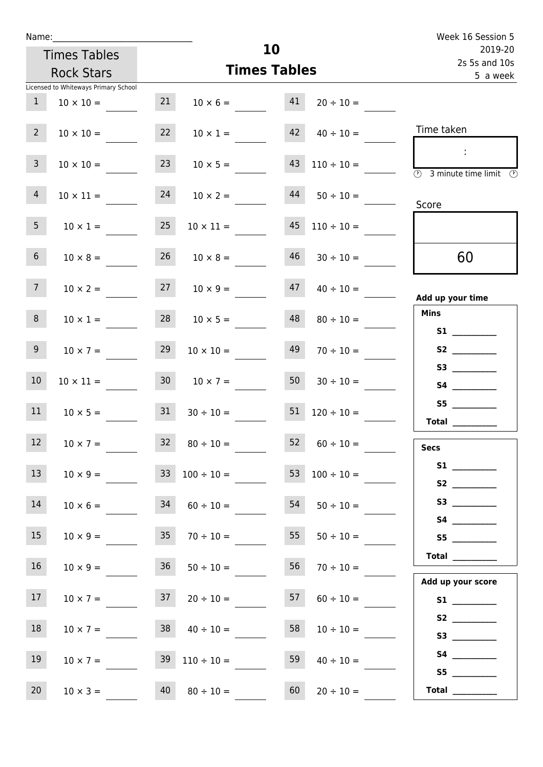| Name:           |                                      |    |                                                      |                     |                                          | Week 16 Session 5                                       |  |  |
|-----------------|--------------------------------------|----|------------------------------------------------------|---------------------|------------------------------------------|---------------------------------------------------------|--|--|
|                 | <b>Times Tables</b>                  |    |                                                      | 10                  |                                          | 2019-20<br>2s 5s and 10s                                |  |  |
|                 | <b>Rock Stars</b>                    |    |                                                      | <b>Times Tables</b> |                                          | 5 a week                                                |  |  |
|                 | Licensed to Whiteways Primary School |    |                                                      |                     |                                          |                                                         |  |  |
| $\mathbf{1}$    | $10 \times 10 =$                     | 21 | $10 \times 6 = 41$                                   |                     | $20 \div 10 =$                           |                                                         |  |  |
| $2^{\circ}$     | $10 \times 10 =$                     | 22 |                                                      |                     | $10 \times 1 =$ $42 \times 40 \div 10 =$ | Time taken                                              |  |  |
| $\mathbf{3}$    | $10 \times 10 =$                     | 23 | $10 \times 5 =$                                      | 43                  | $110 \div 10 =$                          |                                                         |  |  |
|                 |                                      |    |                                                      |                     |                                          | $\overline{\textcircled{2}}$ 3 minute time limit<br>-09 |  |  |
| $\overline{4}$  | $10 \times 11 =$                     | 24 | $10 \times 2 =$                                      | 44                  | $50 \div 10 =$                           | Score                                                   |  |  |
| 5 <sub>1</sub>  | $10 \times 1 = 25$                   |    | $10 \times 11 =$                                     | 45                  | $110 \div 10 =$                          |                                                         |  |  |
| 6 <sup>1</sup>  | $10 \times 8 =$                      | 26 | $10 \times 8 =$                                      | 46                  | $30 \div 10 =$                           | 60                                                      |  |  |
| 7 <sup>7</sup>  | $10 \times 2 =$                      |    | $27 \t 10 \times 9 =$                                | 47                  | $40 \div 10 =$                           | Add up your time                                        |  |  |
| 8               | $10 \times 1 =$                      |    | $28 \t 10 \times 5 =$                                | 48                  | $80 \div 10 =$                           | <b>Mins</b>                                             |  |  |
| 9 <sup>°</sup>  | $10 \times 7 =$                      | 29 | $10 \times 10 =$                                     | 49                  | $70 \div 10 =$                           |                                                         |  |  |
| 10 <sup>°</sup> | $10 \times 11 =$                     | 30 | $10 \times 7 =$                                      | 50                  | $30 \div 10 =$                           |                                                         |  |  |
| 11              |                                      |    | $10 \times 5 =$ 31 $30 \div 10 =$ 51 $120 \div 10 =$ |                     |                                          |                                                         |  |  |
|                 |                                      |    |                                                      |                     |                                          | Total $\qquad$                                          |  |  |
| 12              | $10 \times 7 =$                      | 32 | $80 \div 10 =$                                       | 52                  | $60 \div 10 =$                           | <b>Secs</b>                                             |  |  |
| 13              | $10 \times 9 =$                      |    | $33 \t100 \div 10 =$                                 | 53                  | $100 \div 10 =$                          |                                                         |  |  |
| 14              | $10 \times 6 =$                      | 34 | $60 \div 10 =$                                       | 54                  | $50 \div 10 =$                           | S3                                                      |  |  |
| 15 <sub>1</sub> | $10 \times 9 =$                      | 35 | $70 \div 10 =$                                       | 55                  | $50 \div 10 =$                           |                                                         |  |  |
|                 |                                      |    |                                                      |                     |                                          | $\begin{tabular}{c} Total \end{tabular}$                |  |  |
| 16              | $10 \times 9 =$                      | 36 | $50 \div 10 =$                                       | 56                  | $70 \div 10 =$                           | Add up your score                                       |  |  |
| 17              |                                      |    | $10 \times 7 = 37$ $20 \div 10 =$                    | 57                  | $60 \div 10 =$                           |                                                         |  |  |
| 18              | $10 \times 7 =$                      |    | $38 \t 40 \div 10 =$                                 | 58                  | $10 \div 10 =$                           |                                                         |  |  |
|                 |                                      |    |                                                      |                     |                                          |                                                         |  |  |
| 19              | $10 \times 7 =$                      |    | $39 \quad 110 \div 10 =$                             | 59                  | $40 \div 10 =$                           | S4 __________                                           |  |  |

20  $10 \times 3 = 40$   $80 \div 10 = 60$   $20 \div 10 =$ 

 **S5 \_\_\_\_\_\_\_\_\_\_\_\_ Total \_\_\_\_\_\_\_\_\_\_\_\_**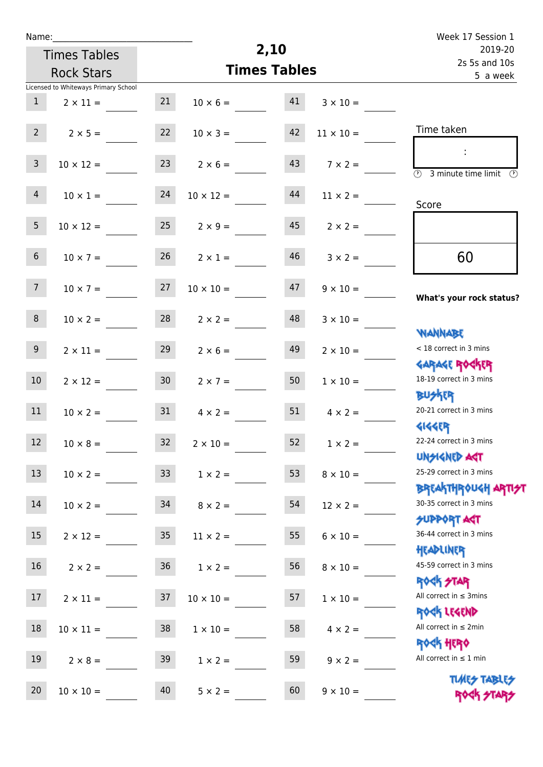| ٠ | а | m |  |  |
|---|---|---|--|--|
|   |   |   |  |  |

Times Tables

|                | <b>Rock Stars</b>                                       |                 | <b>Times Tables</b> | 5 a week |                  |                                                                  |
|----------------|---------------------------------------------------------|-----------------|---------------------|----------|------------------|------------------------------------------------------------------|
| $\mathbf{1}$   | Licensed to Whiteways Primary School<br>$2 \times 11 =$ | 21              | $10 \times 6 =$     | 41       | $3 \times 10 =$  |                                                                  |
| 2 <sup>7</sup> | $2 \times 5 =$                                          | 22              | $10 \times 3 =$     | 42       | $11 \times 10 =$ | Time taken                                                       |
| $\mathbf{3}$   | $10 \times 12 =$                                        | 23              | $2 \times 6 =$      | 43       | $7 \times 2 =$   | $\overline{(\Omega)}$<br>3 minute time limit $\circled{0}$       |
| $\overline{4}$ | $10 \times 1 =$                                         | 24              | $10 \times 12 =$    | 44       | $11 \times 2 =$  | Score                                                            |
| 5 <sup>1</sup> | $10 \times 12 =$                                        | 25              | $2 \times 9 =$      | 45       | $2 \times 2 =$   |                                                                  |
| 6              | $10 \times 7 =$                                         | 26              | $2 \times 1 =$      | 46       | $3 \times 2 =$   | 60                                                               |
| 7 <sup>7</sup> | $10 \times 7 =$                                         | 27              | $10 \times 10 =$    | 47       | $9 \times 10 =$  | What's your rock status?                                         |
| 8              | $10 \times 2 =$                                         | 28              | $2 \times 2 =$      | 48       | $3 \times 10 =$  | <b>NANNABE</b>                                                   |
| 9 <sup>1</sup> | $2 \times 11 =$                                         | 29              | $2 \times 6 =$      | 49       | $2 \times 10 =$  | < 18 correct in 3 mins                                           |
| $10\,$         | $2 \times 12 =$                                         | 30 <sub>o</sub> | $2 \times 7 =$      | 50       | $1 \times 10 =$  | <b>GARAGE ROCKER</b><br>18-19 correct in 3 mins                  |
| 11             | $10 \times 2 =$                                         | 31              | $4 \times 2 =$      | 51       | $4 \times 2 =$   | <b>BUSKRR</b><br>20-21 correct in 3 mins                         |
| 12             | $10 \times 8 =$                                         | 32              | $2 \times 10 =$     | 52       | $1 \times 2 =$   | <b>4144ER</b><br>22-24 correct in 3 mins                         |
| 13             | $10 \times 2 =$                                         | 33              | $1 \times 2 =$      | 53       | $8 \times 10 =$  | <b>UNSIGNED AGT</b><br>25-29 correct in 3 mins                   |
| $14\,$         | $10 \times 2 =$                                         | 34              | $8 \times 2 =$      | 54       | $12 \times 2 =$  | <b>BREAKTHROUGH ARTI<del>S</del>T</b><br>30-35 correct in 3 mins |
| 15             | $2 \times 12 =$                                         | 35 <sub>1</sub> | $11 \times 2 =$     | 55       | $6 \times 10 =$  | SUPPORT ART<br>36-44 correct in 3 mins<br>HEADLINER              |
| 16             | $2 \times 2 =$                                          | 36 <sup>°</sup> | $1 \times 2 =$      | 56       | $8 \times 10 =$  | 45-59 correct in 3 mins                                          |
| 17             | $2 \times 11 =$                                         | 37              | $10 \times 10 =$    | 57       | $1 \times 10 =$  | <b>ROCK STAR</b><br>All correct in $\leq$ 3mins                  |
| 18             | $10 \times 11 =$                                        | 38              | $1 \times 10 =$     | 58       | $4 \times 2 =$   | ROCK LEGEND<br>All correct in $\leq 2$ min                       |
| 19             | $2 \times 8 =$                                          | 39              | $1 \times 2 =$      | 59       | $9 \times 2 =$   | <b>ROCK HERO</b><br>All correct in $\leq 1$ min                  |
| 20             | $10 \times 10 =$                                        | 40              | $5 \times 2 =$      | 60       | $9 \times 10 =$  | <b>TUARS TABLES</b><br>ROCK STA                                  |

**2,10**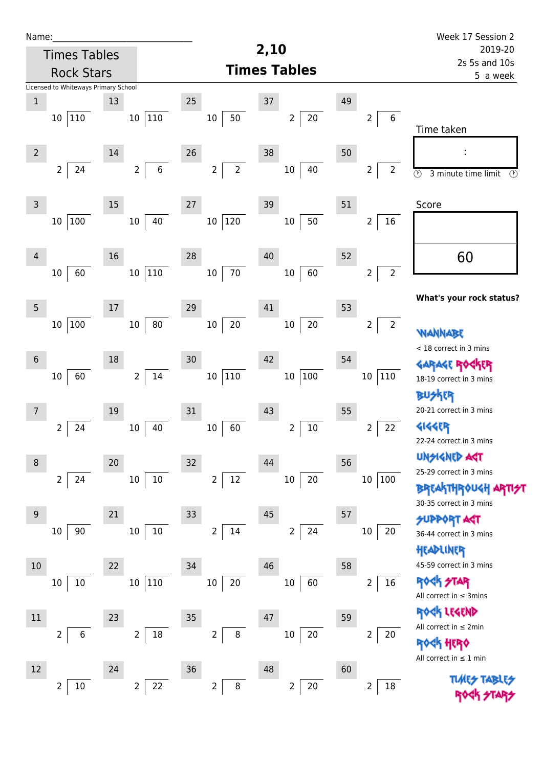| Name:           |                                      |        |                               |    |                                  |      |                          |    |                                   | Week 17 Session 2                                          |
|-----------------|--------------------------------------|--------|-------------------------------|----|----------------------------------|------|--------------------------|----|-----------------------------------|------------------------------------------------------------|
|                 | <b>Times Tables</b>                  |        |                               |    |                                  | 2,10 |                          |    |                                   | 2019-20<br>2s 5s and 10s                                   |
|                 | <b>Rock Stars</b>                    |        |                               |    | <b>Times Tables</b>              |      |                          |    |                                   | 5 a week                                                   |
|                 | Licensed to Whiteways Primary School |        |                               |    |                                  |      |                          |    |                                   |                                                            |
| $\,1$           |                                      | 13     |                               | 25 |                                  | 37   |                          | 49 |                                   |                                                            |
|                 | 10 110                               |        | 10 110                        |    | 50<br>10                         |      | $20\,$<br>$\overline{2}$ |    | $\,6\,$<br>$\overline{2}$         | Time taken                                                 |
| $\overline{2}$  |                                      | 14     |                               | 26 |                                  | 38   |                          | 50 |                                   |                                                            |
|                 | $\overline{2}$<br>24                 |        | $\,$ 6 $\,$<br>$\overline{2}$ |    | $\overline{2}$<br>$\overline{2}$ |      | 40<br>$10\,$             |    | $\overline{2}$<br>$\overline{2}$  | $\overline{\odot}$<br>$\circled{r}$<br>3 minute time limit |
| $\mathsf 3$     |                                      | 15     |                               | 27 |                                  | 39   |                          | 51 |                                   | Score                                                      |
|                 | 10 100                               |        | 40<br>$10\,$                  |    | 120<br>10 <sub>1</sub>           |      | 50<br>$10\,$             |    | $16\,$<br>$\overline{2}$          |                                                            |
| 4               |                                      | 16     |                               | 28 |                                  | 40   |                          | 52 |                                   | 60                                                         |
|                 | 60<br>10                             |        | 110<br>10 <sub>1</sub>        |    | $70\,$<br>$10\,$                 |      | 60<br>$10\,$             |    | $\overline{2}$<br>$\overline{2}$  |                                                            |
| $5\phantom{.0}$ |                                      | $17\,$ |                               | 29 |                                  | 41   |                          | 53 |                                   | What's your rock status?                                   |
|                 | 10 100                               |        | 80<br>$10\,$                  |    | 20<br>10                         |      | $20\,$<br>$10\,$         |    | $\overline{2}$<br>$\overline{2}$  | <b>WANNABE</b>                                             |
|                 |                                      |        |                               |    |                                  |      |                          |    |                                   | < 18 correct in 3 mins                                     |
| $6\,$           | 60<br>10                             | 18     | $14\,$<br>$2^{\circ}$         | 30 | 10 110                           | 42   | 100<br>$10\,$            | 54 | 110<br>10                         | <b>GARAGE RO</b><br>18-19 correct in 3 mins                |
|                 |                                      |        |                               |    |                                  |      |                          |    |                                   | <b>BUSKER</b>                                              |
|                 |                                      | 19     |                               | 31 |                                  | 43   |                          | 55 |                                   | 20-21 correct in 3 mins                                    |
|                 | $\overline{2}$<br>24                 | $10\,$ | 40                            |    | 60<br>$10\,$                     |      | $10\,$<br>$\overline{2}$ |    | 22<br>$\overline{2}$              | <b>4144ER</b>                                              |
|                 |                                      |        |                               |    |                                  |      |                          |    |                                   | 22-24 correct in 3 mins                                    |
| 8               |                                      | 20     |                               | 32 |                                  | 44   |                          | 56 |                                   | UNSIGNED AGT<br>25-29 correct in 3 mins                    |
|                 | $\overline{2}$<br>24                 |        | $10\,$<br>10                  |    | 12<br>$\overline{2}$             |      | $20\,$<br>$10\,$         |    | 10 <sub>1</sub><br> 100           | <b>BREAKTHROUGH</b><br>30-35 correct in 3 mins             |
| 9               |                                      | 21     |                               | 33 |                                  | 45   |                          | 57 |                                   | <b>SUPPORT AGT</b>                                         |
|                 | 90<br>$10\,$                         | $10\,$ | $10\,$                        |    | $\overline{2}$<br>14             |      | 24<br>$\overline{2}$     |    | 20<br>10                          | 36-44 correct in 3 mins<br>HEADLINER                       |
| 10              |                                      | 22     |                               | 34 |                                  | 46   |                          | 58 |                                   | 45-59 correct in 3 mins                                    |
|                 | $10\,$<br>10                         |        | 110<br>10 <sup>1</sup>        |    | 20<br>$10\,$                     |      | 60<br>$10\,$             |    | $16\,$<br>2                       | ROCK STAR<br>All correct in $\leq$ 3mins                   |
| 11              |                                      | 23     |                               | 35 |                                  | 47   |                          | 59 |                                   | ROCK LEGEND                                                |
|                 | $\overline{2}$<br>6                  |        | $18\,$                        |    | 8<br>$\overline{2}$              |      | 20                       |    | $20\,$                            | All correct in $\leq 2$ min                                |
|                 |                                      |        | $\overline{2}$                |    |                                  |      | $10\,$                   |    | 2                                 | <b>ROGK HERO</b><br>All correct in $\leq 1$ min            |
| 12              |                                      | 24     |                               | 36 |                                  | 48   |                          | 60 |                                   |                                                            |
|                 | $\overline{2}$<br>$10\,$             |        | $\overline{2}$<br>22          |    | $\overline{2}$<br>$\bf 8$        |      | $20\,$<br>$\overline{2}$ |    | $\overline{\mathbf{c}}$<br>$18\,$ |                                                            |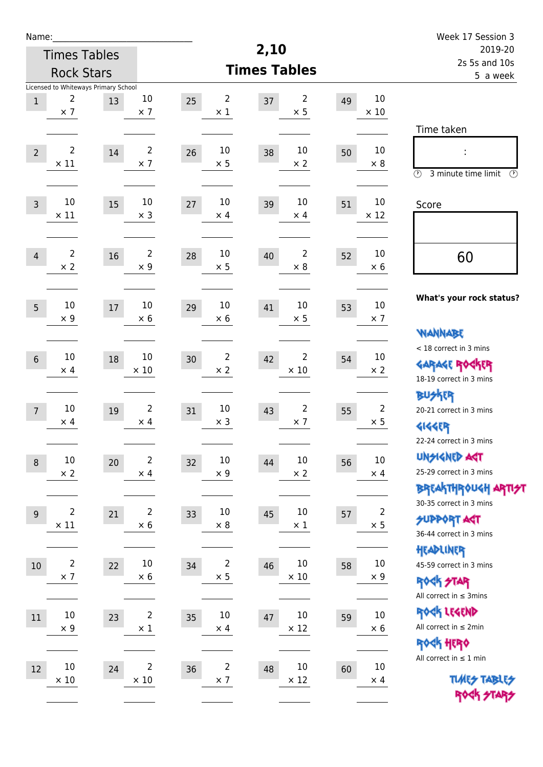| Name:                                           |                                            |                               |                                    |                             |                                    | Week 17 Session 3                                                                       |
|-------------------------------------------------|--------------------------------------------|-------------------------------|------------------------------------|-----------------------------|------------------------------------|-----------------------------------------------------------------------------------------|
|                                                 | <b>Times Tables</b>                        |                               |                                    | 2,10                        |                                    | 2019-20<br>2s 5s and 10s                                                                |
|                                                 | <b>Rock Stars</b>                          |                               |                                    | <b>Times Tables</b>         |                                    | 5 a week                                                                                |
| 2<br>$\,1$<br>$\times$ 7                        | Licensed to Whiteways Primary School<br>13 | 10<br>$\times$ 7              | $\overline{2}$<br>25<br>$\times$ 1 | 2<br>37<br>$\times$ 5       | 10<br>49<br>$\times$ 10            | Time taken                                                                              |
| $\overline{2}$<br>$\overline{2}$<br>$\times$ 11 | 14                                         | $\overline{2}$<br>$\times$ 7  | 10<br>26<br>$\times$ 5             | 10<br>38<br>$\times 2$      | 10<br>50<br>$\times 8$             | $\circled{r}$<br>3 minute time limit<br>⊕                                               |
| 10<br>$\overline{3}$<br>$\times$ 11             | 15                                         | 10<br>$\times$ 3              | 10<br>27<br>$\times$ 4             | 10<br>39<br>$\times$ 4      | 10<br>51<br>$\times$ 12            | Score                                                                                   |
| $\overline{2}$<br>$\overline{4}$<br>$\times 2$  | 16                                         | $\overline{2}$<br>$\times$ 9  | 10<br>28<br>$\times$ 5             | 2<br>40<br>$\times 8$       | 10<br>52<br>$\times 6$             | 60                                                                                      |
| 10<br>5<br>$\times$ 9                           | 17                                         | 10<br>$\times 6$              | 10<br>29<br>$\times$ 6             | 10<br>41<br>$\times$ 5      | 10<br>53<br>$\times$ 7             | What's your rock status?                                                                |
| 10<br>$6\,$<br>$\times$ 4                       | 18                                         | 10<br>$\times 10$             | $\overline{2}$<br>30<br>$\times 2$ | 2<br>42<br>$\times$ 10      | 10<br>54<br>$\times$ 2             | <b>NANNABE</b><br>< 18 correct in 3 mins<br><b>GARAGE RO</b><br>18-19 correct in 3 mins |
| 10<br>$\overline{7}$<br>$\times$ 4              | 19                                         | $\overline{2}$<br>$\times$ 4  | 10<br>31<br>$\times$ 3             | 2<br>43<br>$\times$ 7       | $\overline{2}$<br>55<br>$\times$ 5 | <b>BUSKER</b><br>20-21 correct in 3 mins<br><b>4144EP</b><br>22-24 correct in 3 mins    |
| $10\,$<br>$\boldsymbol{8}$<br>$\times$ 2        | 20                                         | $\overline{2}$<br>$\times$ 4  | $10\,$<br>32<br>$\times$ 9         | $10\,$<br>44<br>$\times$ 2  | $10\,$<br>56<br>$\times$ 4         | <b>UNSIGNED AGT</b><br>25-29 correct in 3 mins<br>BREAKTHRÓUGH ARTI <del>S</del> T      |
| $\overline{2}$<br>9<br>$\times$ 11              | 21                                         | $\overline{2}$<br>$\times$ 6  | $10\,$<br>33<br>$\times$ 8         | $10\,$<br>45<br>$\times$ 1  | $\overline{2}$<br>57<br>$\times$ 5 | 30-35 correct in 3 mins<br><b>SUPPORT ART</b><br>36-44 correct in 3 mins                |
| $\overline{2}$<br>$10\,$<br>$\times$ 7          | 22                                         | $10\,$<br>$\times$ 6          | $\overline{2}$<br>34<br>$\times$ 5 | 10<br>46<br>$\times$ 10     | $10\,$<br>58<br>$\times$ 9         | HEADLINER<br>45-59 correct in 3 mins<br><b>ROCK STAR</b><br>All correct in $\leq$ 3mins |
| $10\,$<br>$11\,$<br>$\times$ 9                  | 23                                         | $\overline{2}$<br>$\times$ 1  | $10\,$<br>35<br>$\times$ 4         | $10\,$<br>47<br>$\times$ 12 | $10\,$<br>59<br>$\times 6$         | ROCK LEGEND<br>All correct in $\leq 2$ min<br>ROCK HERO                                 |
| 10<br>12<br>$\times$ 10                         | 24                                         | $\overline{2}$<br>$\times$ 10 | $\overline{c}$<br>36<br>$\times$ 7 | 10<br>48<br>$\times$ 12     | $10\,$<br>60<br>$\times$ 4         | All correct in $\leq 1$ min<br><b>TUARS TABLES</b><br>ROCK STARS                        |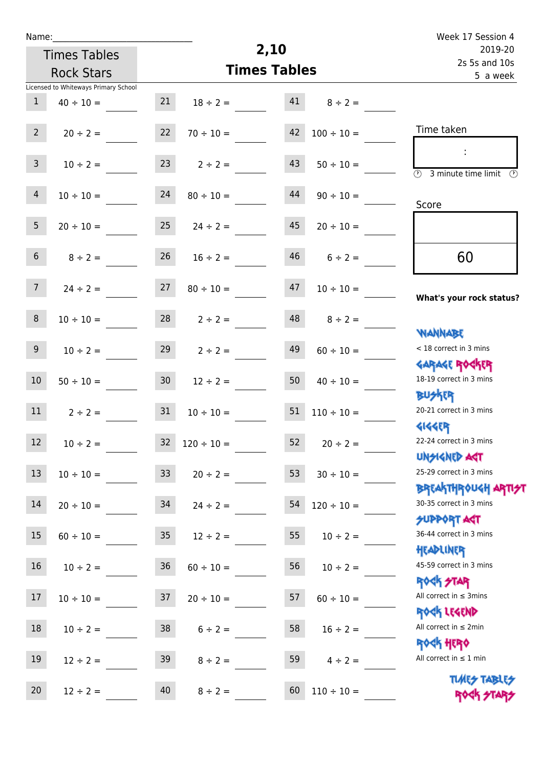| u | am |  |  |
|---|----|--|--|
|   |    |  |  |

| Name:          |                                      |                 |                 |                     |                 | Week 17 Session 4                                                |
|----------------|--------------------------------------|-----------------|-----------------|---------------------|-----------------|------------------------------------------------------------------|
|                | <b>Times Tables</b>                  |                 |                 | 2,10                |                 | 2019-20<br>2s 5s and 10s                                         |
|                | <b>Rock Stars</b>                    |                 |                 | <b>Times Tables</b> |                 | 5 a week                                                         |
|                | Licensed to Whiteways Primary School |                 |                 |                     |                 |                                                                  |
| $\mathbf{1}$   | $40 \div 10 =$                       | 21              | $18 \div 2 =$   | 41                  | $8 \div 2 =$    |                                                                  |
| $2^{\circ}$    | $20 \div 2 =$                        | 22              | $70 \div 10 =$  | 42                  | $100 \div 10 =$ | Time taken                                                       |
| $\mathbf{3}$   | $10 \div 2 =$                        | 23              | $2 \div 2 =$    | 43                  | $50 \div 10 =$  | 3 minute time limit<br>(V)                                       |
| $\overline{4}$ | $10 \div 10 =$                       | 24              | $80 \div 10 =$  | 44                  | $90 \div 10 =$  | Score                                                            |
| 5 <sup>5</sup> | $20 \div 10 =$                       | 25              | $24 \div 2 =$   | 45                  | $20 \div 10 =$  |                                                                  |
| 6 <sup>1</sup> | $8 \div 2 =$                         | 26              | $16 \div 2 =$   | 46                  | $6 \div 2 =$    | 60                                                               |
| 7 <sup>7</sup> | $24 \div 2 =$                        | 27              | $80 \div 10 =$  | 47                  | $10 \div 10 =$  | What's your rock status?                                         |
| 8              | $10 \div 10 =$                       | 28              | $2 \div 2 =$    | 48                  | $8 \div 2 =$    |                                                                  |
| 9              | $10 \div 2 =$                        | 29              | $2 \div 2 =$    | 49                  | $60 \div 10 =$  | WANNABE<br>< 18 correct in 3 mins                                |
| 10             | $50 \div 10 =$                       | 30 <sub>o</sub> | $12 \div 2 =$   | 50                  | $40 \div 10 =$  | <b>GARAGE ROCKER</b><br>18-19 correct in 3 mins                  |
| 11             | $2 \div 2 =$                         | 31              | $10 \div 10 =$  | 51                  | $110 \div 10 =$ | 20-21 correct in 3 mins                                          |
| 12             | $10 \div 2 =$                        | 32              | $120 \div 10 =$ | 52                  | $20 \div 2 =$   | <b>4144EP</b><br>22-24 correct in 3 mins                         |
| 13             | $10 \div 10 =$                       | 33 <sup>°</sup> | $20 \div 2 =$   | 53                  | $30 \div 10 =$  | <b>UNSIGNED AGT</b><br>25-29 correct in 3 mins                   |
| 14             | $20 \div 10 =$                       | 34              | $24 \div 2 =$   | 54                  | $120 \div 10 =$ | <b>BREAKTHROUGH ARTI<del>S</del>T</b><br>30-35 correct in 3 mins |
| 15             | $60 \div 10 =$                       | 35 <sub>2</sub> | $12 \div 2 =$   | 55                  | $10 \div 2 =$   | <b>SUPPORT ART</b><br>36-44 correct in 3 mins<br>HEADLINER       |
| 16             | $10 \div 2 =$                        | 36              | $60 \div 10 =$  | 56                  | $10 \div 2 =$   | 45-59 correct in 3 mins                                          |

17  $10 \div 10 =$  37  $20 \div 10 =$  57  $60 \div 10 =$ 

18  $10 \div 2 =$  38  $6 \div 2 =$  58  $16 \div 2 =$ 

19  $12 \div 2 =$  39  $8 \div 2 =$  59  $4 \div 2 =$ 

20  $12 \div 2 =$  40  $8 \div 2 =$  60  $110 \div 10 =$ 

**ROCK STAR** All correct in  $\leq$  3mins

Rock Legend All correct in ≤ 2min

Rock Hero All correct in  $\leq 1$  min

> **TIMES TABLES** ROCK STARS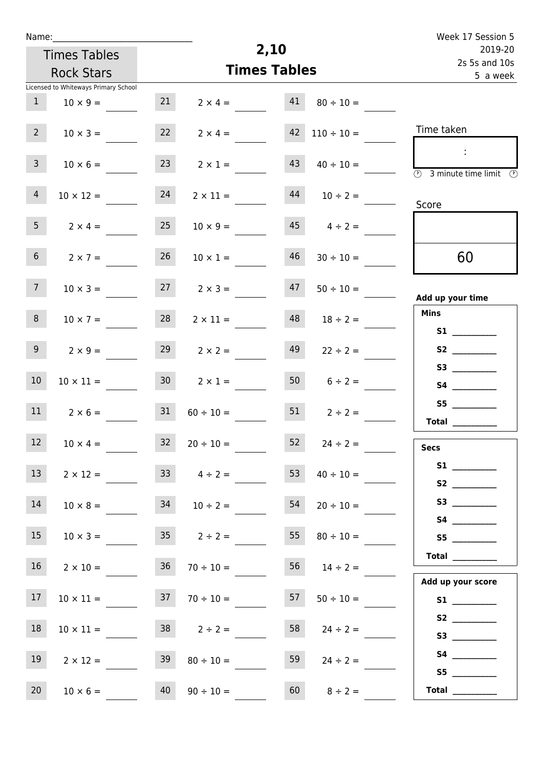| Name:          |                                      |                 |                      |                     |                    | Week 17 Session 5                                                               |
|----------------|--------------------------------------|-----------------|----------------------|---------------------|--------------------|---------------------------------------------------------------------------------|
|                | <b>Times Tables</b>                  |                 |                      | 2,10                |                    | 2019-20                                                                         |
|                | <b>Rock Stars</b>                    |                 |                      | <b>Times Tables</b> |                    | 2s 5s and 10s<br>5 a week                                                       |
|                | Licensed to Whiteways Primary School |                 |                      |                     |                    |                                                                                 |
| 1              | $10 \times 9 =$                      | 21              | $2 \times 4 =$       | 41                  | $80 \div 10 =$     |                                                                                 |
| $2^{\circ}$    | $10 \times 3 =$                      | 22              | $2 \times 4 =$       | 42                  | $110 \div 10 =$    | Time taken                                                                      |
| 3 <sup>7</sup> | $10 \times 6 =$                      | 23              | $2 \times 1 =$       | 43                  | $40 \div 10 =$     | $\sim 10$<br>$\overline{\textcircled{1}}$ 3 minute time limit $\textcircled{1}$ |
| $\overline{4}$ | $10 \times 12 =$                     | 24              | $2 \times 11 =$      | 44                  | $10 \div 2 =$      | Score                                                                           |
| 5 <sub>1</sub> | $2 \times 4 =$                       | 25              | $10 \times 9 =$      |                     | $45 \t 4 \div 2 =$ |                                                                                 |
| 6 <sup>1</sup> | $2 \times 7 =$                       | 26              | $10 \times 1 =$      | 46                  | $30 \div 10 =$     | 60                                                                              |
| 7 <sup>7</sup> | $10 \times 3 =$                      |                 | $27 \t 2 \times 3 =$ | 47                  | $50 \div 10 =$     | Add up your time                                                                |
| 8              | $10 \times 7 =$                      | 28              | $2 \times 11 =$      | 48                  | $18 \div 2 =$      | <b>Mins</b><br><b>S1 S1</b>                                                     |
| 9 <sub>o</sub> | $2 \times 9 =$                       | 29              | $2 \times 2 =$       | 49                  | $22 \div 2 =$      |                                                                                 |
| 10             | $10 \times 11 =$                     | 30 <sup>1</sup> | $2 \times 1 =$       |                     | $50 \t 6 \div 2 =$ | S3                                                                              |
| 11             | $2 \times 6 =$                       | 31              | $60 \div 10 =$       | 51                  | $2 \div 2 =$       | <b>Total</b>                                                                    |
| $12$           | $10 \times 4 =$                      | $32$            | $20 \div 10 =$       | 52                  | $24 \div 2 =$      | <b>Secs</b>                                                                     |
| 13             | $2 \times 12 =$                      |                 | $33 \t 4 \div 2 =$   | 53                  | $40 \div 10 =$     | S1                                                                              |
| 14             | $10 \times 8 =$                      | 34              | $10 \div 2 =$        | 54                  | $20 \div 10 =$     | S3                                                                              |
| 15             | $10 \times 3 =$                      |                 | $35 \t 2 \div 2 =$   | 55                  | $80 \div 10 =$     | S5                                                                              |
| 16             | $2 \times 10 =$                      | 36              | $70 \div 10 =$       |                     | $56$ $14 \div 2 =$ | Total $\qquad$                                                                  |
| 17             | $10 \times 11 =$                     |                 | $37 \t 70 \div 10 =$ | 57                  | $50 \div 10 =$     | Add up your score<br>S1                                                         |
| 18             | $10 \times 11 =$                     |                 | $38$ $2 \div 2 =$    | 58                  | $24 \div 2 =$      |                                                                                 |
| 19             | $2 \times 12 =$                      | 39              | $80 \div 10 =$       | 59                  | $24 \div 2 =$      | S5                                                                              |
| 20             | $10 \times 6 =$                      | 40              | $90 \div 10 =$       | 60                  | $8 \div 2 =$       | Total $\qquad$                                                                  |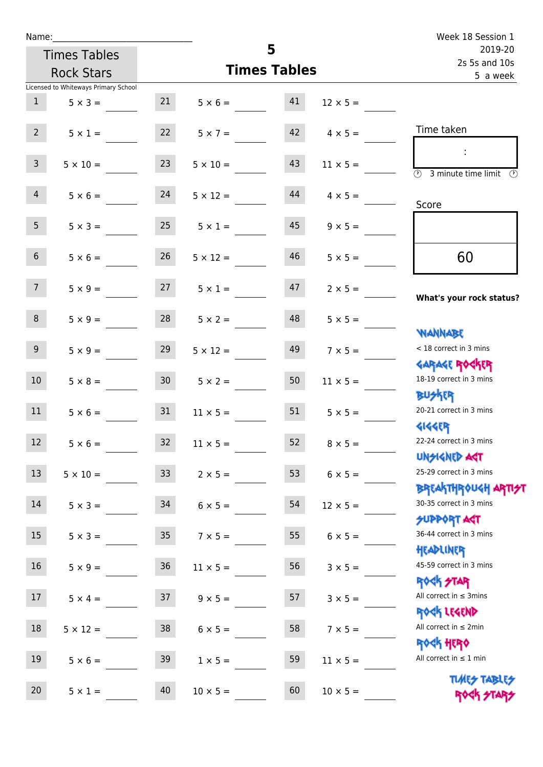| Name:           |                                      |                 |                                  |                     |                      | Week 18 Session 1                                                |
|-----------------|--------------------------------------|-----------------|----------------------------------|---------------------|----------------------|------------------------------------------------------------------|
|                 | <b>Times Tables</b>                  |                 |                                  | 5                   |                      | 2019-20<br>2s 5s and 10s                                         |
|                 | <b>Rock Stars</b>                    |                 |                                  | <b>Times Tables</b> |                      | 5 a week                                                         |
|                 | Licensed to Whiteways Primary School |                 |                                  |                     |                      |                                                                  |
| 1               | $5 \times 3 =$                       | 21              | $5 \times 6 = 41$                |                     | $12 \times 5 =$      |                                                                  |
| $2^{\circ}$     | $5 \times 1 =$                       | 22              | $5 \times 7 =$                   |                     | $42 \t 4 \times 5 =$ | Time taken                                                       |
| 3 <sup>7</sup>  | $5 \times 10 =$                      | 23              | $5 \times 10 =$                  | 43                  | $11 \times 5 =$      | $\overline{(\mathcal{V})}$<br>3 minute time limit<br>O)          |
| $\overline{4}$  | $5 \times 6 = 24$                    |                 | $5 \times 12 =$                  | 44                  | $4 \times 5 =$       | Score                                                            |
| 5 <sub>1</sub>  | $5 \times 3 =$                       | 25              | $5 \times 1 =$                   | 45                  | $9 \times 5 =$       |                                                                  |
| 6 <sup>1</sup>  | $5 \times 6 =$                       | 26              | $5 \times 12 =$                  | 46                  | $5 \times 5 =$       | 60                                                               |
| 7 <sup>7</sup>  |                                      |                 | $5 \times 9 = 27$ $5 \times 1 =$ | 47                  | $2 \times 5 =$       | What's your rock status?                                         |
| 8               | $5 \times 9 =$                       | 28              | $5 \times 2 =$                   | 48                  | $5 \times 5 =$       | <b>NANNABE</b>                                                   |
| 9 <sub>o</sub>  | $5 \times 9 =$                       | 29              | $5 \times 12 =$                  | 49                  | $7 \times 5 =$       | < 18 correct in 3 mins<br><b>GARAGE ROGKER</b>                   |
| 10 <sup>1</sup> | $5 \times 8 =$                       | 30              | $5 \times 2 =$                   | 50                  | $11 \times 5 =$      | 18-19 correct in 3 mins<br><b>BUSKER</b>                         |
| 11              | $5 \times 6 = 31$                    |                 | $11 \times 5 =$                  | 51                  | $5 \times 5 =$       | 20-21 correct in 3 mins<br><b>4144ER</b>                         |
| 12              | $5 \times 6 =$                       | 32              | $11 \times 5 =$                  | 52                  | $8 \times 5 =$       | 22-24 correct in 3 mins<br><b>UNSIGNED AST</b>                   |
| 13              | $5 \times 10 =$                      | 33 <sup>°</sup> | $2 \times 5 =$                   | 53                  | $6 \times 5 =$       | 25-29 correct in 3 mins<br><b>BREAKTHROUGH ARTI<del>S</del>T</b> |
| 14              | $5 \times 3 =$                       | 34              | $6 \times 5 =$                   | 54                  | $12 \times 5 =$      | 30-35 correct in 3 mins<br><b>SUPPORT ART</b>                    |
| 15              | $5 \times 3 =$                       | 35              | $7 \times 5 =$                   | 55                  | $6 \times 5 =$       | 36-44 correct in 3 mins<br>HEADLINER                             |
| 16              | $5 \times 9 =$                       | $36\,$          | $11 \times 5 =$                  | 56                  | $3 \times 5 =$       | 45-59 correct in 3 mins<br>ROCK STAR                             |
| 17              | $5 \times 4 =$                       | 37              | $9 \times 5 =$                   | 57                  | $3 \times 5 =$       | All correct in $\leq$ 3mins<br>ROCK LEGEND                       |
| 18              | $5 \times 12 =$                      | 38              | $6 \times 5 =$                   | 58                  | $7 \times 5 =$       | All correct in $\leq 2$ min<br><b>ROCK HERO</b>                  |
| 19              | $5 \times 6 =$                       | 39              | $1 \times 5 =$                   | 59                  | $11 \times 5 =$      | All correct in $\leq 1$ min                                      |
| 20              | $5 \times 1 =$                       | 40              | $10 \times 5 =$                  | 60                  | $10 \times 5 =$      | <b>TUARS TABLES</b><br>ROCK STARS                                |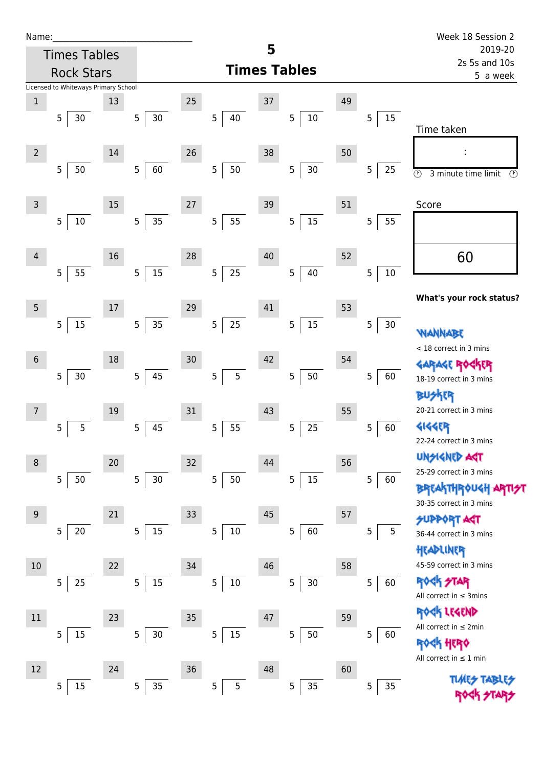| N | arr |  | ı |  |
|---|-----|--|---|--|
|   |     |  |   |  |

| Name:          |                                      |    |                          |        |                       |    |                          |    |             | Week 18 Session 2                              |
|----------------|--------------------------------------|----|--------------------------|--------|-----------------------|----|--------------------------|----|-------------|------------------------------------------------|
|                | <b>Times Tables</b>                  |    |                          |        |                       | 5  |                          |    |             | 2019-20                                        |
|                | <b>Rock Stars</b>                    |    |                          |        |                       |    | <b>Times Tables</b>      |    |             | 2s 5s and 10s<br>5 a week                      |
|                | Licensed to Whiteways Primary School |    |                          |        |                       |    |                          |    |             |                                                |
| $\mathbf 1$    | 5<br>$30$                            | 13 | 30<br>$\sqrt{5}$         | 25     | 5<br>40               | 37 | 5<br>$10\,$              | 49 | 15<br>5     |                                                |
|                |                                      |    |                          |        |                       |    |                          |    |             | Time taken                                     |
| $\overline{2}$ |                                      | 14 |                          | 26     |                       | 38 |                          | 50 |             | f,                                             |
|                | 50<br>5                              |    | 60<br>$\overline{5}$     |        | 50<br>5               |    | $30\,$<br>5              |    | 5<br>25     | $\odot$<br>3 minute time limit<br>$\odot$      |
|                |                                      |    |                          |        |                       |    |                          |    |             |                                                |
| $\overline{3}$ |                                      | 15 |                          | 27     |                       | 39 |                          | 51 |             | Score                                          |
|                | $10\,$<br>5                          |    | 35<br>$\overline{5}$     |        | 5<br>55               |    | 15<br>5                  |    | 5<br>55     |                                                |
|                |                                      |    |                          |        |                       |    |                          |    |             |                                                |
| $\overline{4}$ |                                      | 16 |                          | 28     |                       | 40 |                          | 52 |             | 60                                             |
|                | 55<br>5                              |    | $15\,$<br>$\overline{5}$ |        | $25\,$<br>5           |    | 40<br>5                  |    | 5<br>$10\,$ |                                                |
|                |                                      |    |                          |        |                       |    |                          |    |             | What's your rock status?                       |
| 5              |                                      | 17 |                          | 29     |                       | 41 |                          | 53 |             |                                                |
|                | $15\,$<br>5                          |    | $35\,$<br>$\sqrt{5}$     |        | $25\phantom{.0}$<br>5 |    | 15<br>5                  |    | 5<br>30     | WANNABE                                        |
|                |                                      |    |                          |        |                       |    |                          |    |             | < 18 correct in 3 mins                         |
| $6\,$          |                                      | 18 |                          | 30     |                       | 42 |                          | 54 |             | GARAGE ROGKER                                  |
|                | 5<br>$30$                            |    | 45<br>$\overline{5}$     |        | 5<br>5                |    | 50<br>5                  |    | 5<br>60     | 18-19 correct in 3 mins                        |
| 7              |                                      | 19 |                          | 31     |                       | 43 |                          | 55 |             | <b>FR</b><br>20-21 correct in 3 mins           |
|                | 5<br>5                               |    | 45<br>5                  |        | 55<br>5               |    | 25<br>5                  |    | 5<br>60     | 4144ER                                         |
|                |                                      |    |                          |        |                       |    |                          |    |             | 22-24 correct in 3 mins                        |
| 8              |                                      | 20 |                          | $32\,$ |                       | 44 |                          | 56 |             | <b>UNSIGNED AST</b>                            |
|                | 50<br>5                              |    | $30\,$<br>$\overline{5}$ |        | 5<br>50               |    | $15\,$<br>5 <sub>5</sub> |    | 5<br>60     | 25-29 correct in 3 mins                        |
|                |                                      |    |                          |        |                       |    |                          |    |             | <b>BREAKTHROUGH</b><br>30-35 correct in 3 mins |
| 9              |                                      | 21 |                          | 33     |                       | 45 |                          | 57 |             | <b>SUPPORT AGT</b>                             |
|                | $\overline{5}$<br>20                 |    | $15\,$<br>$\mathsf S$    |        | 5<br>$10\,$           |    | 5<br>60                  |    | 5<br>5      | 36-44 correct in 3 mins                        |
|                |                                      |    |                          |        |                       |    |                          |    |             | HEADLINER                                      |
| 10             |                                      | 22 |                          | 34     |                       | 46 |                          | 58 |             | 45-59 correct in 3 mins                        |
|                | 25<br>$\overline{5}$                 |    | $15\,$<br>5              |        | 5<br>$10\,$           |    | $30\,$<br>5              |    | 5<br>60     | ROCK STAR                                      |
|                |                                      |    |                          |        |                       |    |                          |    |             | All correct in $\leq$ 3mins<br>ROCK LEGEND     |
| $11\,$         |                                      | 23 |                          | 35     |                       | 47 |                          | 59 |             | All correct in $\leq 2$ min                    |
|                | $15\,$<br>5                          |    | $\mathsf S$<br>$30\,$    |        | $15\,$<br>5           |    | $50\,$<br>5              |    | 5<br>60     | <b><htp: <="" b=""></htp:></b>                 |
|                |                                      |    |                          |        |                       |    |                          |    |             | All correct in $\leq 1$ min                    |
| 12             | 15<br>5                              | 24 | 35<br>$\overline{5}$     | 36     | 5<br>5                | 48 | 35<br>5                  | 60 | 35<br>5     | <b>TLARES</b>                                  |
|                |                                      |    |                          |        |                       |    |                          |    |             |                                                |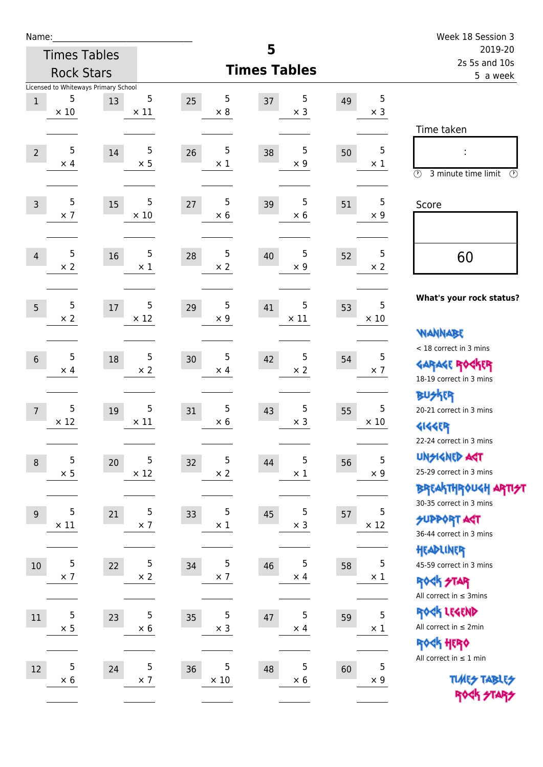| Name:            |                               |                                            |                           |                                 |                        |    |                  | Week 18 Session 3                                                                    |
|------------------|-------------------------------|--------------------------------------------|---------------------------|---------------------------------|------------------------|----|------------------|--------------------------------------------------------------------------------------|
|                  | <b>Times Tables</b>           |                                            |                           |                                 | 5                      |    |                  | 2019-20<br>2s 5s and 10s                                                             |
|                  | <b>Rock Stars</b>             |                                            |                           |                                 | <b>Times Tables</b>    |    |                  | 5 a week                                                                             |
| $\mathbf{1}$     | 5<br>$\times 10$              | Licensed to Whiteways Primary School<br>13 | 5<br>$\times$ 11          | 5<br>25<br>$\times 8$           | 5<br>37<br>$\times$ 3  | 49 | 5<br>$\times$ 3  | Time taken                                                                           |
| $\overline{2}$   | 5<br>$\times$ 4               | 14                                         | 5<br>$\times$ 5           | 5<br>26<br>$\times$ 1           | 5<br>38<br>$\times$ 9  | 50 | 5<br>$\times$ 1  | $\circled{r}$<br>3 minute time limit<br>$\circled{r}$                                |
| $\overline{3}$   | 5<br>$\times$ 7               | 15                                         | 5<br>$\times$ 10          | 5<br>27<br>$\times$ 6           | 5<br>39<br>$\times$ 6  | 51 | 5<br>$\times 9$  | Score                                                                                |
| $\overline{4}$   | 5<br>$\times 2$               | 16                                         | $\sqrt{5}$<br>$\times$ 1  | $\sqrt{5}$<br>28<br>$\times 2$  | 5<br>40<br>$\times$ 9  | 52 | 5<br>$\times 2$  | 60                                                                                   |
| 5                | 5<br>$\times 2$               | 17                                         | 5<br>$\times$ 12          | 5<br>29<br>$\times$ 9           | 5<br>41<br>$\times$ 11 | 53 | 5<br>$\times$ 10 | What's your rock status?<br><b>NANNABE</b>                                           |
| $6\phantom{1}$   | 5<br>$\times$ 4               | 18                                         | 5<br>$\times 2$           | $\mathbf 5$<br>30<br>$\times$ 4 | 5<br>42<br>$\times$ 2  | 54 | 5<br>$\times$ 7  | < 18 correct in 3 mins<br><b>GARAGE ROCKER</b><br>18-19 correct in 3 mins            |
| $\overline{7}$   | 5<br>$\times$ 12              | 19                                         | 5<br>$\times$ 11          | 5<br>31<br>$\times$ 6           | 5<br>43<br>$\times$ 3  | 55 | 5<br>$\times$ 10 | <b>BUSKER</b><br>20-21 correct in 3 mins<br><b>4144ER</b><br>22-24 correct in 3 mins |
| $\boldsymbol{8}$ | 5<br>$\times$ 5               | $20\,$                                     | 5<br>$\times$ 12          | $\mathbf 5$<br>32<br>$\times$ 2 | 5<br>44<br>$\times$ 1  | 56 | 5<br>$\times$ 9  | <b>UNGIGNED AST</b><br>25-29 correct in 3 mins<br>BREAKTHRÓUGH ARTI <del>2</del> 1   |
| $\overline{9}$   | $\overline{5}$<br>$\times$ 11 | 21                                         | $\mathsf 5$<br>$\times$ 7 | 5<br>33<br>$\times$ 1           | 5<br>45<br>$\times$ 3  | 57 | 5<br>$\times$ 12 | 30-35 correct in 3 mins<br><b>SUPPORT ART</b><br>36-44 correct in 3 mins             |
| $10\,$           | 5<br>$\times$ 7               | 22                                         | 5<br>$\times$ 2           | 5<br>34<br>$\times$ 7           | 5<br>46<br>$\times$ 4  | 58 | 5<br>$\times$ 1  | HEADLINER<br>45-59 correct in 3 mins<br>ROCK STAR<br>All correct in $\leq$ 3mins     |
| 11               | 5<br>$\times$ 5               | 23                                         | $\mathbf 5$<br>$\times$ 6 | $\mathsf 5$<br>35<br>$\times$ 3 | 5<br>47<br>$\times$ 4  | 59 | 5<br>$\times$ 1  | ROCK LEGEND<br>All correct in $\leq 2$ min<br>ROCK HERO                              |
| 12               | 5<br>$\times$ 6               | 24                                         | 5<br>$\times$ 7           | 5<br>36<br>$\times$ 10          | 5<br>48<br>$\times$ 6  | 60 | 5<br>$\times$ 9  | All correct in $\leq 1$ min<br><b>TUARS TABLES</b><br>ROCK STARS                     |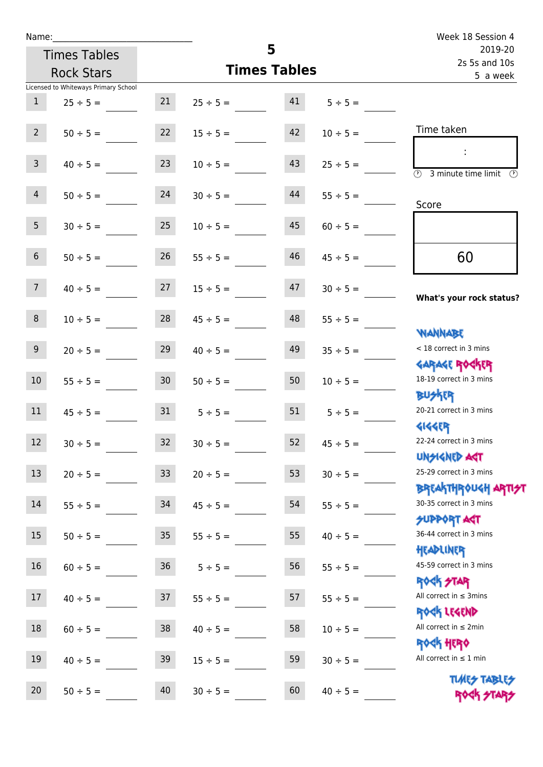| Name:                                |                 |                     |    |               | Week 18 Session 4                                              |
|--------------------------------------|-----------------|---------------------|----|---------------|----------------------------------------------------------------|
| <b>Times Tables</b>                  |                 | 5                   |    |               | 2019-20<br>2s 5s and 10s                                       |
| <b>Rock Stars</b>                    |                 | <b>Times Tables</b> |    |               | 5 a week                                                       |
| Licensed to Whiteways Primary School |                 |                     |    |               |                                                                |
| 1<br>$25 \div 5 =$                   | 21              | $25 \div 5 =$       | 41 | $5 \div 5 =$  |                                                                |
| $2^{\circ}$<br>$50 \div 5 =$         | 22              | $15 \div 5 =$       | 42 | $10 \div 5 =$ | Time taken                                                     |
| 3 <sup>7</sup><br>$40 \div 5 =$      | 23              | $10 \div 5 =$       | 43 | $25 \div 5 =$ | <b>3</b> minute time limit <b>3</b>                            |
| $\overline{4}$<br>$50 \div 5 =$      | 24              | $30 \div 5 =$       | 44 | $55 \div 5 =$ | Score                                                          |
| 5 <sub>1</sub><br>$30 \div 5 =$      | 25              | $10 \div 5 =$       | 45 | $60 \div 5 =$ |                                                                |
| 6 <sup>1</sup><br>$50 \div 5 =$      | 26              | $55 \div 5 =$       | 46 | $45 \div 5 =$ | 60                                                             |
| 7 <sup>7</sup><br>$40 \div 5 =$      | 27              | $15 \div 5 =$       | 47 | $30 \div 5 =$ | What's your rock status?                                       |
| 8<br>$10 \div 5 =$                   | 28              | $45 \div 5 =$       | 48 | $55 \div 5 =$ |                                                                |
| 9<br>$20 \div 5 =$                   | 29              | $40 \div 5 =$       | 49 | $35 \div 5 =$ | <b>NANNABE</b><br>< 18 correct in 3 mins                       |
| 10 <sup>°</sup><br>$55 \div 5 =$     | 30 <sup>7</sup> | $50 \div 5 =$       | 50 | $10 \div 5 =$ | <b>GARAGE ROCKER</b><br>18-19 correct in 3 mins                |
| 11<br>$45 \div 5 =$                  | 31              | $5 \div 5 =$        | 51 | $5 \div 5 =$  | <b>BUSKER</b><br>20-21 correct in 3 mins                       |
| 12<br>$30 \div 5 =$                  | 32              | $30 \div 5 =$       | 52 | $45 \div 5 =$ | <b>4144EP</b><br>22-24 correct in 3 mins                       |
| 13<br>$20 \div 5 =$                  | 33              | $20 \div 5 =$       | 53 | $30 \div 5 =$ | <b>UNSIGNED AGT</b><br>25-29 correct in 3 mins                 |
| 14<br>$55 \div 5 =$                  | 34              | $45 \div 5 =$       | 54 | $55 \div 5 =$ | <b>BREAKTHROUGH ARTI</b><br>30-35 correct in 3 mins            |
| 15<br>$50 \div 5 =$                  | 35              | $55 \div 5 =$       | 55 | $40 \div 5 =$ | <b>SUPPORT AGT</b><br>36-44 correct in 3 mins                  |
| 16<br>$60 \div 5 =$                  | 36              | $5 ÷ 5 =$           | 56 | $55 \div 5 =$ | HEADLINER<br>45-59 correct in 3 mins                           |
| 17<br>$40 \div 5 =$                  | 37              | $55 \div 5 =$       | 57 | $55 \div 5 =$ | <b>ROCK STAR</b><br>All correct in $\leq$ 3mins<br>ROCK LEGEND |
| 18<br>$60 \div 5 =$                  | 38              | $40 \div 5 =$       | 58 | $10 \div 5 =$ | All correct in $\leq 2$ min<br><b>ROCK HERO</b>                |
| 19<br>$40 \div 5 =$                  | 39              | $15 \div 5 =$       | 59 | $30 \div 5 =$ | All correct in $\leq 1$ min                                    |
| 20<br>$50 \div 5 =$                  | 40              | $30 \div 5 =$       | 60 | $40 \div 5 =$ | <b>TUARS TABLES</b><br>ROCK STARS                              |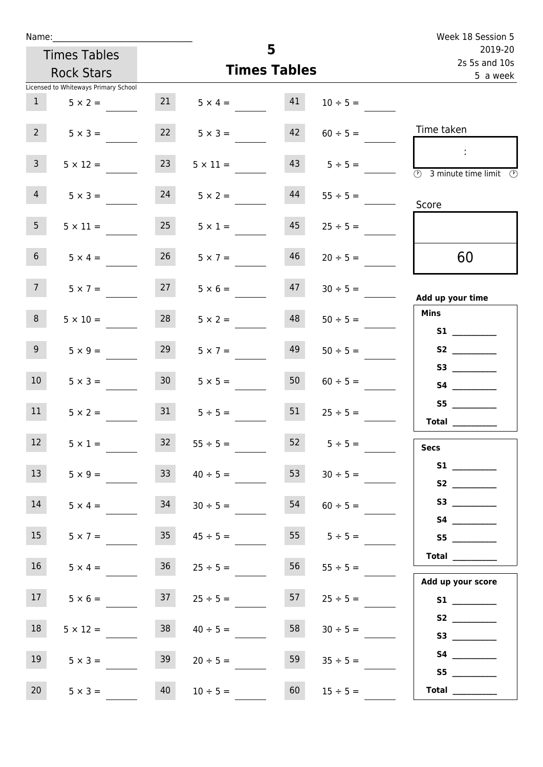| Week 18 Session 5                    |               |                     |                 |                 |                                      | Name:           |
|--------------------------------------|---------------|---------------------|-----------------|-----------------|--------------------------------------|-----------------|
| 2019-20                              |               | 5                   |                 |                 | <b>Times Tables</b>                  |                 |
| 2s 5s and 10s<br>5 a week            |               | <b>Times Tables</b> |                 |                 | <b>Rock Stars</b>                    |                 |
|                                      |               |                     |                 |                 | Licensed to Whiteways Primary School |                 |
|                                      | $10 \div 5 =$ | 41                  | $5 \times 4 =$  | 21              | $5 \times 2 =$                       | 1               |
| Time taken                           | $60 \div 5 =$ | 42                  | $5 \times 3 =$  | 22              | $5 \times 3 =$                       | $2^{\circ}$     |
| 3 minute time limit<br>$\circled{r}$ | $5 \div 5 =$  | 43                  | $5 \times 11 =$ | 23              | $5 \times 12 =$                      | 3 <sup>7</sup>  |
| Score                                | $55 \div 5 =$ | 44                  | $5 \times 2 =$  | 24              | $5 \times 3 =$                       | $\overline{4}$  |
|                                      | $25 \div 5 =$ | 45                  | $5 \times 1 =$  | 25              | $5 \times 11 =$                      | 5 <sub>1</sub>  |
| 60                                   | $20 \div 5 =$ | 46                  | $5 \times 7 =$  | 26              | $5 \times 4 =$                       | 6 <sup>1</sup>  |
| Add up your time                     | $30 \div 5 =$ | 47                  | $5 \times 6 =$  | 27              | $5 \times 7 =$                       | 7 <sup>7</sup>  |
| <b>Mins</b><br><b>S1</b>             | $50 \div 5 =$ | 48                  | $5 \times 2 =$  | 28              | $5 \times 10 =$                      | 8               |
| S2                                   | $50 \div 5 =$ | 49                  | $5 \times 7 =$  | 29              | $5 \times 9 =$                       | 9 <sub>o</sub>  |
|                                      | $60 \div 5 =$ | 50                  | $5 \times 5 =$  | 30 <sup>1</sup> | $5 \times 3 =$                       | 10 <sup>°</sup> |
| Total                                | $25 \div 5 =$ | 51                  | $5 \div 5 =$    | 31              | $5 \times 2 =$                       | 11              |
| <b>Secs</b>                          | $5 \div 5 =$  | 52                  | $55 \div 5 =$   | 32              | $5 \times 1 =$                       | 12              |
|                                      | $30 \div 5 =$ | 53                  | $40 \div 5 =$   | 33 <sup>1</sup> | $5 \times 9 =$                       | 13              |
|                                      | $60 \div 5 =$ | 54                  | $30 \div 5 =$   | 34              | $5 \times 4 =$                       | 14              |
| S5                                   | $5 \div 5 =$  | 55                  | $45 \div 5 =$   | 35              | $5 \times 7 =$                       | 15              |
| Total<br>Add up your score           | $55 \div 5 =$ | 56                  | $25 \div 5 =$   | 36              | $5 \times 4 =$                       | 16 <sup>1</sup> |
|                                      | $25 \div 5 =$ | 57                  | $25 \div 5 =$   | 37              | $5 \times 6 =$                       | 17 <sup>7</sup> |
|                                      | $30 \div 5 =$ | 58                  | $40 \div 5 =$   | 38              | $5 \times 12 =$                      | 18              |
| <b>S4 S4</b><br>S5                   | $35 \div 5 =$ | 59                  | $20 \div 5 =$   | 39              | $5 \times 3 =$                       | 19              |
| Total $\_\_$                         | $15 \div 5 =$ | 60                  | $10 \div 5 =$   | 40              | $5 \times 3 =$                       | 20 <sup>°</sup> |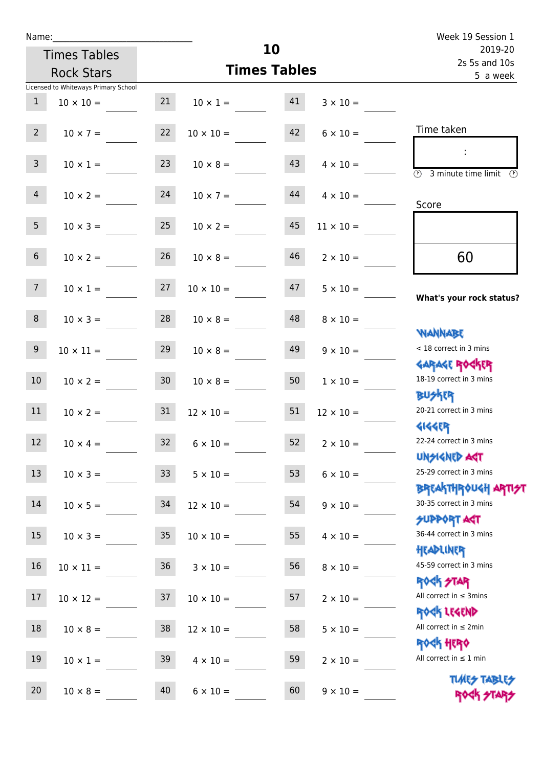| Week 19 Session 1                                                |                  |    |                     |                 |                                      | Name:           |
|------------------------------------------------------------------|------------------|----|---------------------|-----------------|--------------------------------------|-----------------|
| 2019-20<br>2s 5s and 10s                                         |                  |    | 10                  |                 | <b>Times Tables</b>                  |                 |
| 5 a week                                                         |                  |    | <b>Times Tables</b> |                 | <b>Rock Stars</b>                    |                 |
|                                                                  |                  |    |                     |                 | Licensed to Whiteways Primary School |                 |
|                                                                  | $3 \times 10 =$  |    | $10 \times 1 = 41$  | 21              | $10 \times 10 =$                     | $\mathbf{1}$    |
| Time taken                                                       | $6 \times 10 =$  | 42 | $10 \times 10 =$    | 22              | $10 \times 7 =$                      | 2 <sup>7</sup>  |
| <b>3</b> minute time limit<br>$\mathcal{O}$                      | $4 \times 10 =$  | 43 | $10 \times 8 =$     | 23              | $10 \times 1 =$                      | 3 <sup>7</sup>  |
| Score                                                            | $4 \times 10 =$  | 44 | $10 \times 7 =$     |                 | $10 \times 2 = 24$                   | $\overline{4}$  |
|                                                                  | $11 \times 10 =$ | 45 | $10 \times 2 =$     | 25              | $10 \times 3 =$                      | 5 <sup>5</sup>  |
| 60                                                               | $2 \times 10 =$  | 46 | $10 \times 8 =$     | 26              | $10 \times 2 =$                      | 6 <sup>1</sup>  |
| What's your rock status?                                         | $5 \times 10 =$  | 47 | $10 \times 10 =$    |                 | $10 \times 1 = 27$                   | 7 <sup>7</sup>  |
| <b>NANNABE</b>                                                   | $8 \times 10 =$  | 48 | $10 \times 8 =$     | 28              | $10 \times 3 =$                      | 8               |
| < 18 correct in 3 mins<br><b>GARAGE ROCKER</b>                   | $9 \times 10 =$  | 49 | $10 \times 8 =$     | 29              | $10 \times 11 =$                     | 9               |
| 18-19 correct in 3 mins<br><b>BU外界</b>                           | $1 \times 10 =$  | 50 | $10 \times 8 =$     |                 | $10 \times 2 = 30$                   | 10 <sup>°</sup> |
| 20-21 correct in 3 mins<br>41445                                 | $12 \times 10 =$ | 51 | $12 \times 10 =$    | 31              | $10 \times 2 =$                      | 11              |
| 22-24 correct in 3 mins<br><b>UNSIGNED AGT</b>                   | $2 \times 10 =$  | 52 | $6 \times 10 =$     | 32              | $10 \times 4 =$                      | $12\,$          |
| 25-29 correct in 3 mins                                          | $6 \times 10 =$  | 53 | $5 \times 10 =$     | 33 <sup>°</sup> | $10 \times 3 =$                      | 13              |
| <b>BREAKTHROUGH ARTI<del>S</del>T</b><br>30-35 correct in 3 mins | $9 \times 10 =$  | 54 | $12 \times 10 =$    | 34              | $10 \times 5 =$                      | 14              |
| <b>SUPPORT AGT</b><br>36-44 correct in 3 mins<br>HEADLINER       | $4 \times 10 =$  | 55 | $10 \times 10 =$    | 35              | $10 \times 3 =$                      | 15              |
| 45-59 correct in 3 mins<br><b>ROCK STAR</b>                      | $8 \times 10 =$  | 56 | $3 \times 10 =$     | 36              | $10 \times 11 =$                     | 16              |
| All correct in $\leq$ 3mins<br>ROCK LEGEND                       | $2 \times 10 =$  | 57 | $10 \times 10 =$    | 37              | $10 \times 12 =$                     | 17              |
| All correct in $\leq 2$ min<br><b>ROCK HERO</b>                  | $5 \times 10 =$  | 58 | $12 \times 10 =$    | 38              | $10 \times 8 =$                      | $18\,$          |
| All correct in $\leq 1$ min                                      | $2 \times 10 =$  | 59 | $4 \times 10 =$     | 39              | $10 \times 1 =$                      | 19              |
| <b>TUARS TABLES</b><br>ROCK STARS                                | $9 \times 10 =$  | 60 | $6 \times 10 =$     | 40              | $10 \times 8 =$                      | 20              |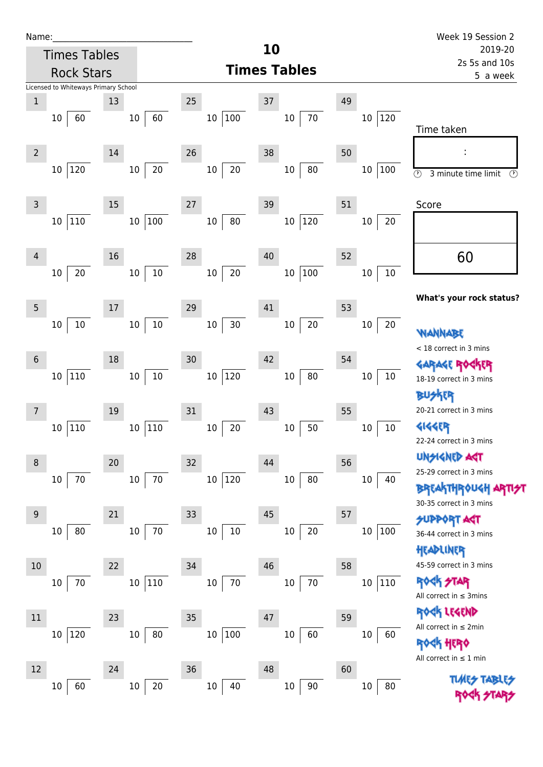| Name |  |  |  |
|------|--|--|--|
|      |  |  |  |

|                | <b>Times Tables</b>                  |    |                      |    |                  | 10 |                     |    |                         | 2019-20                                                                                                                      |
|----------------|--------------------------------------|----|----------------------|----|------------------|----|---------------------|----|-------------------------|------------------------------------------------------------------------------------------------------------------------------|
|                | <b>Rock Stars</b>                    |    |                      |    |                  |    | <b>Times Tables</b> |    |                         | 2s 5s and 10s<br>5 a week                                                                                                    |
|                | Licensed to Whiteways Primary School |    |                      |    |                  |    |                     |    |                         |                                                                                                                              |
| $\mathbf 1$    | 60<br>10                             | 13 | 60<br>$10\,$         | 25 | 100<br>10        | 37 | $70\,$<br>$10\,$    | 49 | $ 120\rangle$<br>$10\,$ | Time taken                                                                                                                   |
| $\overline{2}$ | 120<br>$10\,$                        | 14 | 20<br>$10\,$         | 26 | 20<br>$10\,$     | 38 | 80<br>$10\,$        | 50 | $10\,$<br>100           | $\odot$<br>3 minute time limit<br>Ø                                                                                          |
| 3              | 110<br>10                            | 15 | 100<br>$10\,$        | 27 | 80<br>$10\,$     | 39 | 120<br>$10\,$       | 51 | $20\,$<br>10            | Score                                                                                                                        |
| 4              | 20<br>$10\,$                         | 16 | $10\,$<br>$10\,$     | 28 | 20<br>$10\,$     | 40 | 100<br>$10\,$       | 52 | $10\,$<br>$10\,$        | 60                                                                                                                           |
| 5              | $10\,$<br>$10\,$                     | 17 | $10\,$<br>$10\,$     | 29 | $30\,$<br>$10\,$ | 41 | $20\,$<br>$10\,$    | 53 | $10\,$<br>20            | What's your rock status?<br><b>WANNABE</b>                                                                                   |
| 6              | 110<br>$10\,$                        | 18 | $10\,$<br>$10\,$     | 30 | 120<br>$10\,$    | 42 | 80<br>$10\,$        | 54 | 10<br>10                | < 18 correct in 3 mins<br><b>GARAGE ROGKER</b><br>18-19 correct in 3 mins                                                    |
| 7              | 110<br>10                            | 19 | 110<br>$10\,$        | 31 | $20\,$<br>$10\,$ | 43 | 50<br>$10\,$        | 55 | $10\,$<br>10            | 20-21 correct in 3 mins<br><b>4144ER</b><br>22-24 correct in 3 mins                                                          |
| 8              | 70<br>10                             | 20 | 70<br>$10\,$         | 32 | 120<br>10        | 44 | $80\,$<br>$10\,$    | 56 | 40<br>$10\,$            | UNSIGNED ACT<br>25-29 correct in 3 mins<br><b>BREAKTHROUGH ARTI<del>S</del>T</b><br>30-35 correct in 3 mins                  |
| 9              | 80<br>10                             | 21 | $70\,$<br>$10\,$     | 33 | $10\,$<br>$10\,$ | 45 | $20\,$<br>$10\,$    | 57 | $10\,$<br>$\vert$ 100   | <b>SUPPORT AGT</b><br>36-44 correct in 3 mins<br>HEADLINER                                                                   |
| 10             | 70<br>10                             | 22 | 110<br>$10\,$        | 34 | $70\,$<br>$10\,$ | 46 | $70\,$<br>$10\,$    | 58 | 110<br>10               | 45-59 correct in 3 mins<br><b>ROCK STAR</b><br>All correct in $\leq$ 3mins                                                   |
| 11             | 120<br>$10\,$                        | 23 | ${\bf 80}$<br>$10\,$ | 35 | 100<br>$10\,$    | 47 | 60<br>$10\,$        | 59 | $10\,$<br>60            | <b><h b="" lesend<=""><br/>All correct in <math>\leq 2</math>min<br/>HERQ<br/>All correct in <math>\leq 1</math> min</h></b> |
| 12             | 60<br>10                             | 24 | 20<br>10             | 36 | 40<br>$10\,$     | 48 | $90\,$<br>$10\,$    | 60 | $80\,$<br>10            | <b>TLMES</b>                                                                                                                 |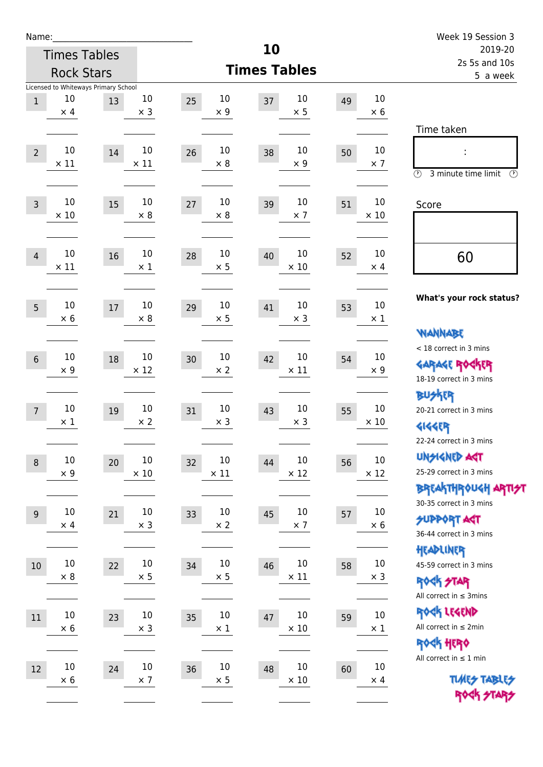| Name:          |                                                          |    |                       |                   |                     |                       |    |                       | Week 19 Session 3                                                                               |  |
|----------------|----------------------------------------------------------|----|-----------------------|-------------------|---------------------|-----------------------|----|-----------------------|-------------------------------------------------------------------------------------------------|--|
|                | <b>Times Tables</b>                                      |    |                       |                   | 10                  |                       |    |                       | 2019-20                                                                                         |  |
|                | <b>Rock Stars</b>                                        |    |                       |                   | <b>Times Tables</b> |                       |    |                       | 2s 5s and 10s<br>5 a week                                                                       |  |
| $1\,$          | Licensed to Whiteways Primary School<br>10<br>$\times$ 4 | 13 | 10<br>$\times$ 3      | 25<br>$\times$ 9  | 10<br>37            | 10<br>$\times$ 5      | 49 | 10<br>$\times$ 6      |                                                                                                 |  |
| $\overline{2}$ | 10<br>$\times$ 11                                        | 14 | 10<br>$\times$ 11     | 26<br>$\times 8$  | 10<br>38            | 10<br>$\times 9$      | 50 | 10<br>$\times$ 7      | Time taken<br>t,<br>$\circled{r}$<br>3 minute time limit<br>$\mathcal{O}$                       |  |
| $\overline{3}$ | 10<br>$\times 10$                                        | 15 | 10<br>$\times 8$      | 27<br>$\times 8$  | 10<br>39            | 10<br>$\times$ 7      | 51 | 10<br>$\times$ 10     | Score                                                                                           |  |
| $\overline{4}$ | 10<br>$\times$ 11                                        | 16 | 10<br>$\times$ 1      | 28<br>$\times$ 5  | 10<br>40            | 10<br>$\times$ 10     | 52 | 10<br>$\times$ 4      | 60                                                                                              |  |
| 5              | 10<br>$\times 6$                                         | 17 | 10<br>$\times 8$      | 29<br>$\times$ 5  | 10<br>41            | 10<br>$\times$ 3      | 53 | 10<br>$\times 1$      | What's your rock status?<br><b>NANNABE</b>                                                      |  |
| $6\,$          | 10<br>$\times$ 9                                         | 18 | 10<br>$\times$ 12     | 30<br>$\times 2$  | 10<br>42            | $10\,$<br>$\times$ 11 | 54 | 10<br>$\times$ 9      | < 18 correct in 3 mins<br><b>GARAGE ROGKER</b><br>18-19 correct in 3 mins                       |  |
| $\overline{7}$ | 10<br>$\times$ 1                                         | 19 | 10<br>$\times 2$      | 31<br>$\times$ 3  | 10<br>43            | 10<br>$\times$ 3      | 55 | 10<br>$\times$ 10     | <b>BUSKER</b><br>20-21 correct in 3 mins<br><b>4144EP</b><br>22-24 correct in 3 mins            |  |
| $\,8\,$        | $10\,$<br>$\times$ 9                                     | 20 | $10\,$<br>$\times$ 10 | 32<br>$\times$ 11 | $10\,$<br>44        | $10\,$<br>$\times$ 12 | 56 | $10\,$<br>$\times$ 12 | <b>UNSIGNED AGT</b><br>25-29 correct in 3 mins<br>ΒΡΓΑ <sup>Κ</sup> ΤΗΡΟυΚΗ ΑΡΤΙ <del>2</del> Τ |  |
| $\overline{9}$ | 10<br>$\times$ 4                                         | 21 | 10<br>$\times$ 3      | 33<br>$\times$ 2  | $10\,$<br>45        | $10\,$<br>$\times$ 7  | 57 | $10\,$<br>$\times$ 6  | 30-35 correct in 3 mins<br><b>SUPPORT AGT</b><br>36-44 correct in 3 mins                        |  |
| 10             | $10\,$<br>$\times$ 8                                     | 22 | $10\,$<br>$\times$ 5  | 34<br>$\times$ 5  | 10<br>46            | $10\,$<br>$\times$ 11 | 58 | $10\,$<br>$\times$ 3  | HEADLINER<br>45-59 correct in 3 mins<br><b>ROCK STAR</b><br>All correct in $\leq$ 3mins         |  |
| 11             | $10\,$<br>$\times$ 6                                     | 23 | 10<br>$\times$ 3      | 35<br>$\times$ 1  | $10\,$<br>47        | $10\,$<br>$\times$ 10 | 59 | 10<br>$\times$ 1      | ROCK LEGEND<br>All correct in $\leq 2$ min<br><b>ROCK HERO</b>                                  |  |
| 12             | $10\,$<br>$\times$ 6                                     | 24 | $10\,$<br>$\times$ 7  | 36<br>$\times$ 5  | $10\,$<br>48        | $10\,$<br>$\times$ 10 | 60 | $10\,$<br>$\times$ 4  | All correct in $\leq 1$ min<br><b>TUARS TABLES</b><br>ROCK STARS                                |  |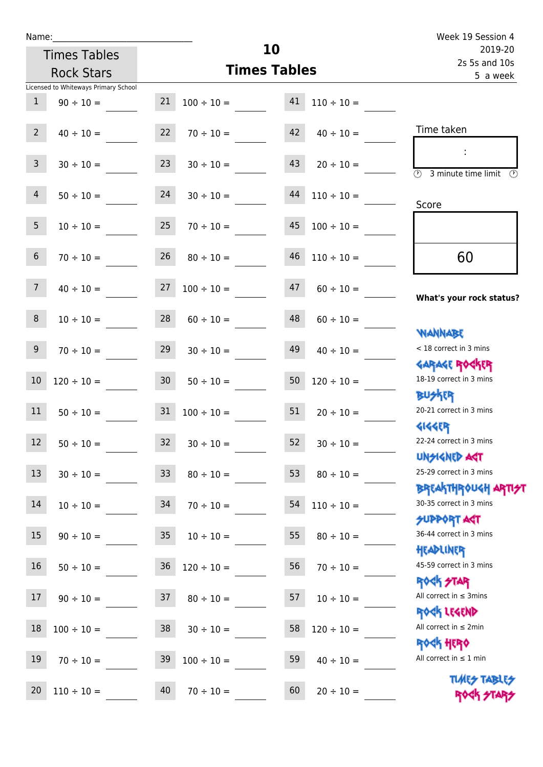| Name:                                   |                                                            | Week 19 Session 4                                                              |
|-----------------------------------------|------------------------------------------------------------|--------------------------------------------------------------------------------|
| <b>Times Tables</b>                     | 10                                                         | 2019-20<br>2s 5s and 10s                                                       |
| <b>Rock Stars</b>                       | <b>Times Tables</b>                                        | 5 a week                                                                       |
| Licensed to Whiteways Primary School    |                                                            |                                                                                |
| $\mathbf{1}$<br>$90 \div 10 =$          | 21<br>41<br>$100 \div 10 =$<br>$110 \div 10 =$             |                                                                                |
| $2^{\circ}$<br>$40 \div 10 =$           | $42 \t 40 \div 10 =$<br>22<br>$70 \div 10 =$               | Time taken                                                                     |
| $\mathsf{3}$<br>$30 \div 10 =$          | 23<br>$43 \t20 \div 10 =$<br>$30 \div 10 =$                | $\sim 10$<br>$\overline{\textcircled{2}}$ 3 minute time limit<br>$\mathcal{L}$ |
| $\overline{4}$<br>$50 \div 10 =$        | 24<br>$44$ $110 \div 10 =$<br>$30 \div 10 =$               | Score                                                                          |
| 5 <sub>5</sub><br>$10 \div 10 =$        | 25<br>$45$ $100 \div 10 =$<br>$70 \div 10 =$               |                                                                                |
| $6\phantom{1}$<br>$70 \div 10 =$        | 26<br>$46$ $110 \div 10 =$<br>$80 \div 10 =$               | 60                                                                             |
| $40 \div 10 =$ 27<br>$\overline{7}$     | 47<br>$100 \div 10 =$<br>$60 \div 10 =$                    | What's your rock status?                                                       |
| 8<br>$10 \div 10 =$                     | 48<br>28<br>$60 \div 10 =$<br>$60 \div 10 =$               | <b>NANNABE</b>                                                                 |
| 9<br>$70 \div 10 =$                     | 29<br>49<br>$30 \div 10 =$<br>$40 \div 10 =$               | < 18 correct in 3 mins                                                         |
| 10<br>$120 \div 10 =$                   | 30 <sub>1</sub><br>50<br>$50 \div 10 =$<br>$120 \div 10 =$ | <b>GARAGE ROGKER</b><br>18-19 correct in 3 mins<br><b>BUSKER</b>               |
| $50 \div 10 = 31$<br>11                 | $100 \div 10 = 51$<br>$20 \div 10 =$                       | 20-21 correct in 3 mins<br><b>4144ER</b>                                       |
| <b>Contract</b><br>12<br>$50 \div 10 =$ | $30 \div 10 =$<br>52<br>32<br>$30 \div 10 =$               | 22-24 correct in 3 mins<br><b>UNSIGNED AGT</b>                                 |
| 13<br>$30 \div 10 =$                    | 33<br>53<br>$80 \div 10 =$<br>$80 \div 10 =$               | 25-29 correct in 3 mins<br><b>BREAKTHROUGH ARTI<del>S</del>T</b>               |
| 14<br>$10 \div 10 =$                    | 34<br>54<br>$70 \div 10 =$<br>$110 \div 10 =$              | 30-35 correct in 3 mins<br>SUPPORT AST                                         |
| 15<br>$90 \div 10 =$                    | $35\phantom{.0}$<br>55<br>$10 \div 10 =$<br>$80 \div 10 =$ | 36-44 correct in 3 mins<br>HEADLINER                                           |
| 16<br>$50 \div 10 =$                    | $36\,$<br>56<br>$120 \div 10 =$<br>$70 \div 10 =$          | 45-59 correct in 3 mins<br><b>ROCK STAR</b>                                    |
| 17<br>$90 \div 10 =$                    | 37<br>57<br>$80 \div 10 =$<br>$10 \div 10 =$               | All correct in $\leq$ 3mins<br>ROCK LEGEND                                     |
| 18<br>$100 \div 10 =$                   | 38<br>58<br>$30 \div 10 =$<br>$120 \div 10 =$              | All correct in $\leq 2$ min<br><b>ROCK HERO</b>                                |
| 19<br>$70 \div 10 =$                    | 39<br>59<br>$100 \div 10 =$<br>$40 \div 10 =$              | All correct in $\leq 1$ min                                                    |
| 20<br>$110 \div 10 =$                   | 40<br>60<br>$70 \div 10 =$<br>$20 \div 10 =$               | <b>TUARS TABLES</b><br>ROCK STARS                                              |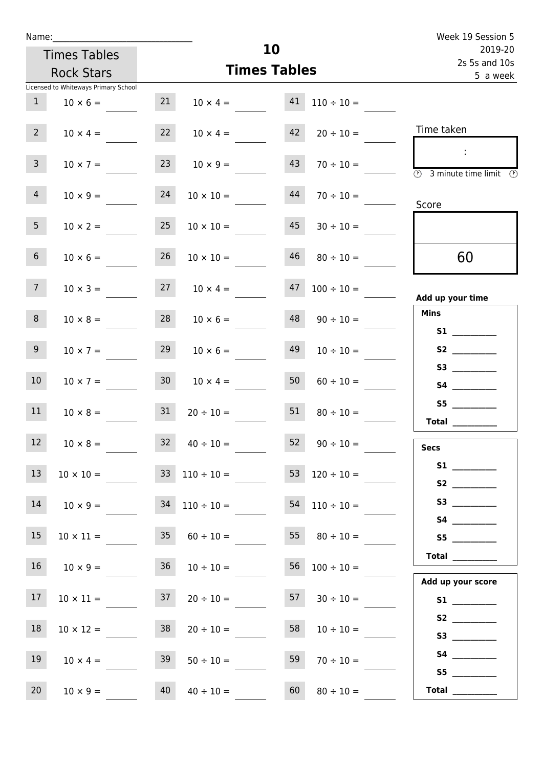| Name:           |                                      |    |                                    | Week 19 Session 5   |                                          |                                                                                            |
|-----------------|--------------------------------------|----|------------------------------------|---------------------|------------------------------------------|--------------------------------------------------------------------------------------------|
|                 | <b>Times Tables</b>                  |    |                                    | 10                  |                                          | 2019-20                                                                                    |
|                 | <b>Rock Stars</b>                    |    |                                    | <b>Times Tables</b> |                                          | 2s 5s and 10s<br>5 a week                                                                  |
|                 | Licensed to Whiteways Primary School |    |                                    |                     |                                          |                                                                                            |
| 1               | $10 \times 6 =$                      | 21 |                                    |                     | $10 \times 4 =$ $41 \quad 110 \div 10 =$ |                                                                                            |
| $2^{\circ}$     | $10 \times 4 =$                      | 22 | $10 \times 4 =$                    |                     | $42 \t 20 \div 10 =$                     | Time taken                                                                                 |
| 3 <sup>7</sup>  | $10 \times 7 =$                      | 23 | $10 \times 9 =$                    | 43                  | $70 \div 10 =$                           | $\sim 10$<br>$\overline{\textcircled{1}}$ 3 minute time limit $\overline{\textcircled{1}}$ |
| 4               | $10 \times 9 =$                      | 24 | $10 \times 10 =$                   | 44                  | $70 \div 10 =$                           | Score                                                                                      |
| 5 <sub>1</sub>  | $10 \times 2 =$                      | 25 | $10 \times 10 =$                   | 45                  | $30 \div 10 =$                           |                                                                                            |
| 6 <sup>1</sup>  | $10 \times 6 =$                      | 26 | $10 \times 10 =$                   | 46                  | $80 \div 10 =$                           | 60                                                                                         |
| 7 <sup>7</sup>  |                                      |    | $10 \times 3 = 27$ $10 \times 4 =$ |                     | $47 \quad 100 \div 10 =$                 | Add up your time                                                                           |
| 8               | $10 \times 8 =$                      | 28 | $10 \times 6 =$                    |                     | $48 \t 90 \div 10 =$                     | <b>Mins</b>                                                                                |
| 9 <sub>o</sub>  | $10 \times 7 =$                      | 29 | $10 \times 6 =$                    | 49                  | $10 \div 10 =$                           | S2                                                                                         |
| 10 <sup>°</sup> | $10 \times 7 =$                      | 30 | $10 \times 4 =$                    | 50                  | $60 \div 10 =$                           |                                                                                            |
| 11              | $10 \times 8 = 31$                   |    | $20 \div 10 = 51$                  |                     | $80 \div 10 =$                           | S5<br>Total $\_\_$                                                                         |
| 12 <sup>2</sup> | $10 \times 8 =$                      |    | $32 \t 40 \div 10 =$               |                     | 52 $90 \div 10 =$                        | <b>Secs</b>                                                                                |
| 13              | $10 \times 10 =$                     |    | $33 \quad 110 \div 10 =$           |                     | 53 $120 \div 10 =$                       |                                                                                            |
| 14              | $10 \times 9 =$                      |    | $34$ $110 \div 10 =$               |                     | $54$ 110 ÷ 10 =                          |                                                                                            |
| 15              | $10 \times 11 =$                     | 35 | $60 \div 10 =$                     |                     | 55 $80 \div 10 =$                        | S5                                                                                         |
| 16              | $10 \times 9 =$                      | 36 | $10 \div 10 =$                     |                     | $56 \quad 100 \div 10 =$                 | Total $\_\_$<br>Add up your score                                                          |
| 17              | $10 \times 11 =$                     |    | $37$ $20 \div 10 =$                |                     | $57 \t 30 \div 10 =$                     |                                                                                            |
| 18              | $10 \times 12 =$                     | 38 | $20 \div 10 =$                     | 58                  | $10 \div 10 =$                           |                                                                                            |
| 19              | $10 \times 4 =$                      | 39 | $50 \div 10 =$                     | 59                  | $70 \div 10 =$                           |                                                                                            |
| 20              | $10 \times 9 =$                      | 40 | $40 \div 10 =$                     | 60                  | $80 \div 10 =$                           | Total $\_\_$                                                                               |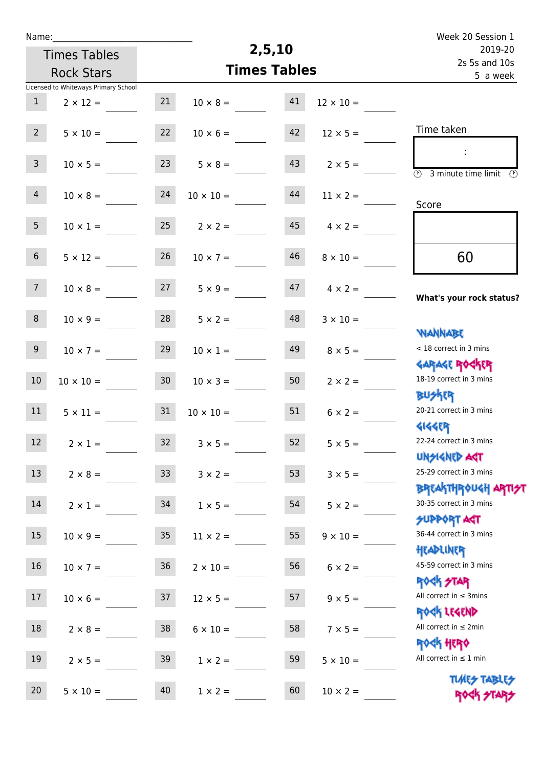| Name:            |                                      |                 |                  |                     |                  | Week 20 Session 1                                                             |
|------------------|--------------------------------------|-----------------|------------------|---------------------|------------------|-------------------------------------------------------------------------------|
|                  | <b>Times Tables</b>                  |                 |                  | 2,5,10              |                  | 2019-20                                                                       |
|                  | <b>Rock Stars</b>                    |                 |                  | <b>Times Tables</b> |                  | 2s 5s and 10s<br>5 a week                                                     |
|                  | Licensed to Whiteways Primary School |                 |                  |                     |                  |                                                                               |
| $\mathbf{1}$     | $2 \times 12 =$                      | 21              | $10 \times 8 =$  | 41                  | $12 \times 10 =$ |                                                                               |
| $2^{\circ}$      | $5 \times 10 =$                      | 22              | $10 \times 6 =$  | 42                  | $12 \times 5 =$  | Time taken                                                                    |
| 3 <sup>7</sup>   | $10 \times 5 =$                      | 23              | $5 \times 8 =$   | 43                  | $2 \times 5 =$   | $\overline{\textcircled{2}}$ 3 minute time limit $\overline{\textcircled{2}}$ |
| $\overline{4}$   | $10 \times 8 =$                      | 24              | $10 \times 10 =$ | 44                  | $11 \times 2 =$  | Score                                                                         |
| 5 <sub>1</sub>   | $10 \times 1 =$                      | 25              | $2 \times 2 =$   | 45                  | $4 \times 2 =$   |                                                                               |
| 6 <sup>1</sup>   | $5 \times 12 =$                      | 26              | $10 \times 7 =$  | 46                  | $8 \times 10 =$  | 60                                                                            |
| 7 <sup>7</sup>   | $10 \times 8 =$                      | 27              | $5 \times 9 =$   | 47                  | $4 \times 2 =$   | What's your rock status?                                                      |
| 8                | $10 \times 9 =$                      | 28              | $5 \times 2 =$   | 48                  | $3 \times 10 =$  | <b>NANNABE</b>                                                                |
| 9 <sub>o</sub>   | $10 \times 7 =$                      | 29              | $10 \times 1 =$  | 49                  | $8 \times 5 =$   | < 18 correct in 3 mins                                                        |
| 10               | $10 \times 10 =$                     | 30 <sub>2</sub> | $10 \times 3 =$  | 50                  | $2 \times 2 =$   | <b>GARAGE ROCKER</b><br>18-19 correct in 3 mins<br><b>BUSKRR</b>              |
| 11               | $5 \times 11 =$                      | 31              | $10 \times 10 =$ | 51                  | $6 \times 2 =$   | 20-21 correct in 3 mins<br><b>4144EP</b>                                      |
| 12 <sup>12</sup> | $2 \times 1 =$                       | 32              | $3 \times 5 =$   | 52                  | $5 \times 5 =$   | 22-24 correct in 3 mins<br><b>UNSIGNED AST</b>                                |
| 13               | $2 \times 8 =$                       | 33              | $3 \times 2 =$   | 53                  | $3 \times 5 =$   | 25-29 correct in 3 mins                                                       |
| 14               | $2 \times 1 =$                       | 34              | $1 \times 5 =$   | 54                  | $5 \times 2 =$   | <b>BREAKTHROUGH ARTI<del>S</del>T</b><br>30-35 correct in 3 mins              |
| 15 <sub>1</sub>  | $10 \times 9 =$                      | 35 <sub>1</sub> | $11 \times 2 =$  | 55                  | $9 \times 10 =$  | <b>SUPPORT ART</b><br>36-44 correct in 3 mins                                 |
| 16               | $10 \times 7 =$                      | 36              | $2 \times 10 =$  | 56                  | $6 \times 2 =$   | HEADLINER<br>45-59 correct in 3 mins                                          |
| 17               | $10 \times 6 =$                      | 37              | $12 \times 5 =$  | 57                  | $9 \times 5 =$   | <b>ROCK STAR</b><br>All correct in $\leq$ 3mins                               |
| 18               | $2 \times 8 =$                       | 38              | $6 \times 10 =$  | 58                  | $7 \times 5 =$   | ROCK LEGEND<br>All correct in $\leq 2$ min                                    |
| 19               | $2 \times 5 =$                       | 39              | $1 \times 2 =$   | 59                  | $5 \times 10 =$  | <b>ROCK HERO</b><br>All correct in $\leq 1$ min                               |
| 20               | $5 \times 10 =$                      | 40              | $1 \times 2 =$   | 60                  | $10 \times 2 =$  | <b>TUARS TABLES</b><br>ROCK STAP                                              |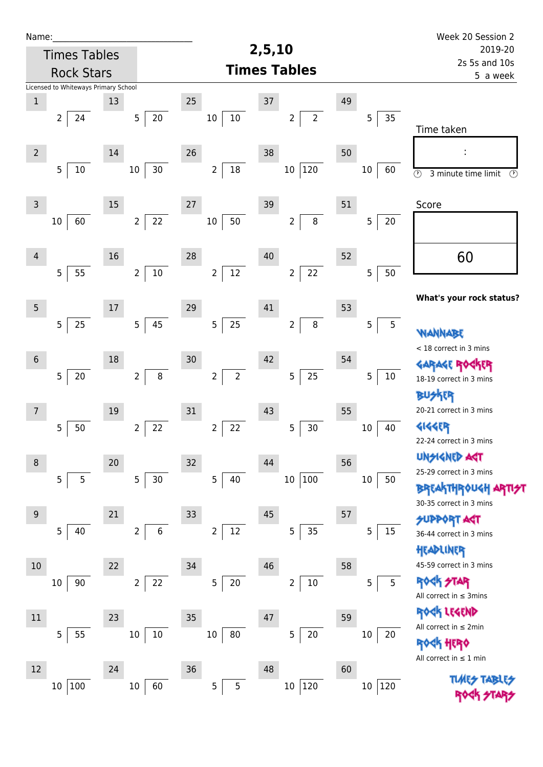| Name:           |                                      |        |                          |                                  |                                  |    |                     | Week 20 Session 2                                          |  |
|-----------------|--------------------------------------|--------|--------------------------|----------------------------------|----------------------------------|----|---------------------|------------------------------------------------------------|--|
|                 | <b>Times Tables</b>                  |        |                          |                                  | 2,5,10                           |    |                     | 2019-20                                                    |  |
|                 | <b>Rock Stars</b>                    |        |                          |                                  | <b>Times Tables</b>              |    |                     | 2s 5s and 10s<br>5 a week                                  |  |
|                 | Licensed to Whiteways Primary School |        |                          |                                  |                                  |    |                     |                                                            |  |
| $\,1$           |                                      | 13     |                          | 25                               | 37                               | 49 |                     |                                                            |  |
|                 | $\overline{2}$<br>24                 |        | 20<br>5 <sub>1</sub>     | $10\,$<br>10                     | $\overline{2}$<br>$\overline{2}$ |    | 35<br>5             | Time taken                                                 |  |
| $\overline{2}$  |                                      | 14     |                          | 26                               | 38                               | 50 |                     |                                                            |  |
|                 | $\overline{5}$<br>10                 |        | 30<br>$10\,$             | $18\,$<br>$\overline{2}$         | 120<br>$10\,$                    |    | 10<br>60            | $\overline{\odot}$<br>3 minute time limit<br>$\circled{r}$ |  |
| $\mathsf 3$     |                                      | $15\,$ |                          | 27                               | 39                               | 51 |                     | Score                                                      |  |
|                 | 60<br>10                             |        | 22<br>$\overline{2}$     | 50<br>$10\,$                     | 8<br>$\overline{2}$              |    | 5<br>$20\,$         |                                                            |  |
| $\overline{4}$  |                                      | 16     |                          | 28                               | 40                               | 52 |                     | 60                                                         |  |
|                 | 5<br>55                              |        | $10\,$<br>$\overline{2}$ | 12<br>$\overline{2}$             | 22<br>$\overline{2}$             |    | 5<br>50             |                                                            |  |
| $5\phantom{.0}$ |                                      | 17     |                          | 29                               | 41                               | 53 |                     | What's your rock status?                                   |  |
|                 | $\overline{5}$<br>25                 |        | 45<br>5                  | 25<br>5                          | $\, 8$<br>$\overline{2}$         |    | $\overline{5}$<br>5 | WANNABE                                                    |  |
|                 |                                      |        |                          |                                  |                                  |    |                     | < 18 correct in 3 mins                                     |  |
| $6\,$           |                                      | 18     |                          | 30                               | 42                               | 54 |                     | <b>GARAGE RO</b>                                           |  |
|                 | $\overline{5}$<br>$20\,$             |        | $\, 8$<br>$\overline{2}$ | $\overline{2}$<br>$\overline{2}$ | 25<br>5                          |    | 5<br>$10\,$         | 18-19 correct in 3 mins                                    |  |
|                 |                                      |        |                          |                                  |                                  |    |                     | <b>BUSKER</b>                                              |  |
| $\overline{7}$  |                                      | 19     |                          | 31                               | 43                               | 55 |                     | 20-21 correct in 3 mins                                    |  |
|                 | 5<br>50                              |        | 22<br>2                  | $\mathbf 2$<br>22                | 5<br>30                          |    | 40<br>$10\,$        | <b>4144EP</b>                                              |  |
|                 |                                      |        |                          |                                  |                                  |    |                     | 22-24 correct in 3 mins                                    |  |
| $\,8\,$         |                                      | 20     |                          | 32                               | 44                               | 56 |                     | <b>UNSIGNED AGT</b>                                        |  |
|                 | 5<br>5                               |        | 30<br>5 <sub>1</sub>     | 5<br>40                          | 100<br>$10\,$                    |    | $10\,$<br>50        | 25-29 correct in 3 mins                                    |  |
|                 |                                      |        |                          |                                  |                                  |    |                     | <b>BREAKTHROUGH</b>                                        |  |
| 9               |                                      | 21     |                          | 33                               | 45                               | 57 |                     | 30-35 correct in 3 mins                                    |  |
|                 | 5<br>40                              |        | $\,$ 6<br>$\overline{2}$ | 12<br>$\overline{2}$             | 35<br>5                          |    | $15\,$<br>5         | <b>SUPPORT AGT</b>                                         |  |
|                 |                                      |        |                          |                                  |                                  |    |                     | 36-44 correct in 3 mins                                    |  |
| 10              |                                      | 22     |                          | 34                               | 46                               | 58 |                     | HEADLINER<br>45-59 correct in 3 mins                       |  |
|                 | 90<br>10                             |        | 22<br>$\overline{2}$     | 5<br>$20\,$                      | $10\,$<br>$\overline{c}$         |    | 5<br>5              | <b>ROCK STAR</b>                                           |  |
|                 |                                      |        |                          |                                  |                                  |    |                     | All correct in $\leq$ 3mins                                |  |
|                 |                                      |        |                          |                                  |                                  |    |                     | ROCK LEGEND                                                |  |
| $11\,$          |                                      | 23     |                          | 35                               | 47                               | 59 |                     | All correct in $\leq 2$ min                                |  |
|                 | $\overline{5}$<br>55                 |        | $10\,$<br>$10\,$         | 80<br>10                         | $20\,$<br>5                      |    | $10\,$<br>20        | <b><htps: <="" b=""></htps:></b>                           |  |
|                 |                                      |        |                          |                                  |                                  |    |                     | All correct in $\leq 1$ min                                |  |
| 12              |                                      | 24     |                          | 36                               | 48                               | 60 |                     | <b>TUARS TABLES</b>                                        |  |
|                 | $100\,$<br>$10\,$                    |        | $10\,$<br>60             | 5<br>5                           | 120<br>$10\,$                    |    | 120<br>$10\,$       |                                                            |  |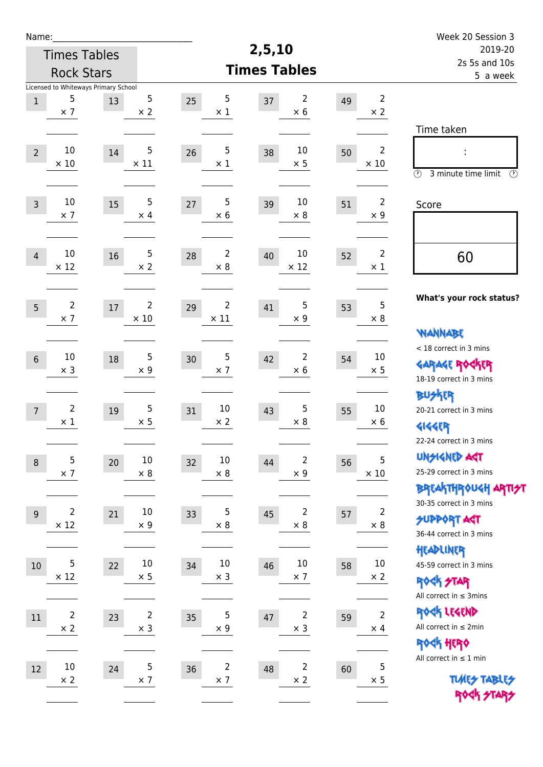| Name:             |                                                         |    |                               |                                    |                     |                              |    |                               | Week 20 Session 3                                                                           |  |
|-------------------|---------------------------------------------------------|----|-------------------------------|------------------------------------|---------------------|------------------------------|----|-------------------------------|---------------------------------------------------------------------------------------------|--|
|                   | <b>Times Tables</b>                                     |    |                               |                                    | 2,5,10              |                              |    |                               | 2019-20                                                                                     |  |
| <b>Rock Stars</b> |                                                         |    |                               |                                    | <b>Times Tables</b> |                              |    | 2s 5s and 10s<br>5 a week     |                                                                                             |  |
| $\mathbf 1$       | Licensed to Whiteways Primary School<br>5<br>$\times$ 7 | 13 | 5<br>$\times 2$               | 5<br>25<br>$\times$ 1              | 37                  | 2<br>$\times$ 6              | 49 | $\overline{2}$<br>$\times 2$  |                                                                                             |  |
| $\overline{2}$    | 10<br>$\times$ 10                                       | 14 | 5<br>$\times$ 11              | 5<br>26<br>$\times$ 1              | 38                  | 10<br>$\times$ 5             | 50 | $\overline{2}$<br>$\times$ 10 | Time taken<br>Ì,<br>$\circled{r}$<br>3 minute time limit<br>$\mathcal{O}$                   |  |
| $\overline{3}$    | $10\,$<br>$\times$ 7                                    | 15 | 5<br>$\times$ 4               | 5<br>27<br>$\times$ 6              | 39                  | 10<br>$\times 8$             | 51 | $\overline{2}$<br>$\times$ 9  | Score                                                                                       |  |
| $\overline{4}$    | 10<br>$\times$ 12                                       | 16 | $\overline{5}$<br>$\times 2$  | $\overline{2}$<br>28<br>$\times 8$ | 40                  | 10<br>$\times$ 12            | 52 | $\overline{2}$<br>$\times 1$  | 60                                                                                          |  |
| 5                 | $\overline{2}$<br>$\times$ 7                            | 17 | $\overline{2}$<br>$\times$ 10 | 2<br>29<br>$\times$ 11             | 41                  | 5<br>$\times$ 9              | 53 | 5<br>$\times 8$               | What's your rock status?                                                                    |  |
| $6\,$             | 10<br>$\times$ 3                                        | 18 | 5<br>$\times$ 9               | 5<br>30<br>$\times$ 7              | 42                  | 2<br>$\times 6$              | 54 | 10<br>$\times$ 5              | <b>WANNABE</b><br>< 18 correct in 3 mins<br><b>GARAGE ROCKER</b><br>18-19 correct in 3 mins |  |
| $\overline{7}$    | $\overline{2}$<br>$\times$ 1                            | 19 | 5<br>$\times$ 5               | 10<br>31<br>$\times 2$             | 43                  | 5<br>$\times$ 8              | 55 | 10<br>$\times 6$              | BU外界<br>20-21 correct in 3 mins<br><b>4144EP</b><br>22-24 correct in 3 mins                 |  |
| $\,8\,$           | 5<br>$\times$ 7                                         | 20 | $10\,$<br>$\times$ 8          | 10<br>32<br>$\times$ 8             | 44                  | 2<br>$\times$ 9              | 56 | 5<br>$\times$ 10              | <b>UNSIGNED AGT</b><br>25-29 correct in 3 mins<br>ΒΡΓΑΚΤΗΡΟUGH ΑΡΤΙ <del>2</del> Τ          |  |
| 9                 | 2<br>$\times$ 12                                        | 21 | $10\,$<br>$\times$ 9          | 5<br>33<br>$\times 8$              | 45                  | 2<br>$\times$ 8              | 57 | $\overline{c}$<br>$\times$ 8  | 30-35 correct in 3 mins<br><b>SUPPORT AGT</b><br>36-44 correct in 3 mins                    |  |
| 10                | 5<br>$\times$ 12                                        | 22 | $10\,$<br>$\times$ 5          | $10\,$<br>34<br>$\times$ 3         | 46                  | $10\,$<br>$\times$ 7         | 58 | $10\,$<br>$\times$ 2          | HEADLINER<br>45-59 correct in 3 mins<br><b>ROCK STAR</b><br>All correct in $\leq$ 3mins     |  |
| 11                | $\overline{2}$<br>$\times$ 2                            | 23 | $\overline{2}$<br>$\times$ 3  | 5<br>35<br>$\times$ 9              | 47                  | 2<br>$\times$ 3              | 59 | $\mathbf 2$<br>$\times$ 4     | ROCK LEGEND<br>All correct in $\leq 2$ min<br>ROCK HERO                                     |  |
| $12\,$            | $10\,$<br>$\times$ 2                                    | 24 | $\mathbf 5$<br>$\times$ 7     | $\mathbf 2$<br>36<br>$\times$ 7    | 48                  | $\overline{c}$<br>$\times$ 2 | 60 | $\mathbf 5$<br>$\times$ 5     | All correct in $\leq 1$ min<br><b>TUARS TABLES</b><br>ROCK STARS                            |  |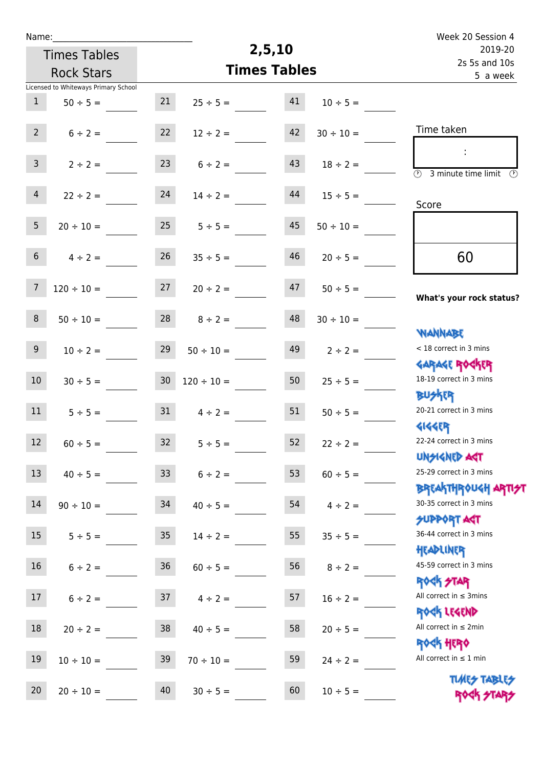| Name:           |                                      |                 |                 |                     |                | Week 20 Session 4                                                |
|-----------------|--------------------------------------|-----------------|-----------------|---------------------|----------------|------------------------------------------------------------------|
|                 | <b>Times Tables</b>                  |                 |                 | 2,5,10              |                | 2019-20                                                          |
|                 | <b>Rock Stars</b>                    |                 |                 | <b>Times Tables</b> |                | 2s 5s and 10s<br>5 a week                                        |
|                 | Licensed to Whiteways Primary School |                 |                 |                     |                |                                                                  |
| $\mathbf{1}$    | $50 \div 5 =$                        | 21              | $25 \div 5 =$   | 41                  | $10 \div 5 =$  |                                                                  |
| $2^{\circ}$     | $6 \div 2 =$                         | 22              | $12 \div 2 =$   | 42                  | $30 \div 10 =$ | Time taken                                                       |
| $\mathbf{3}$    | $2 \div 2 =$                         | 23              | $6 \div 2 =$    | 43                  | $18 \div 2 =$  | $\overline{\mathcal{O}}$<br>3 minute time limit<br>$\mathcal{O}$ |
| $\overline{4}$  | $22 \div 2 =$                        | 24              | $14 \div 2 =$   | 44                  | $15 \div 5 =$  | Score                                                            |
| 5 <sup>1</sup>  | $20 \div 10 =$                       | 25              | $5 \div 5 =$    | 45                  | $50 \div 10 =$ |                                                                  |
| 6               | $4 \div 2 =$                         | 26              | $35 \div 5 =$   | 46                  | $20 \div 5 =$  | 60                                                               |
| $\overline{7}$  | $120 \div 10 =$                      | 27              | $20 \div 2 =$   | 47                  | $50 \div 5 =$  | What's your rock status?                                         |
| 8               | $50 \div 10 =$                       | 28              | $8 \div 2 =$    | 48                  | $30 \div 10 =$ |                                                                  |
| 9               | $10 \div 2 =$                        | 29              | $50 \div 10 =$  | 49                  | $2 \div 2 =$   | <b>YIANNABE</b><br>< 18 correct in 3 mins                        |
| 10 <sup>°</sup> | $30 \div 5 =$                        | 30 <sub>o</sub> | $120 \div 10 =$ | 50                  | $25 \div 5 =$  | <b>GARAGE ROCKER</b><br>18-19 correct in 3 mins                  |
| 11              | $5 \div 5 =$                         | 31              | $4 \div 2 =$    | 51                  | $50 \div 5 =$  | <b>BUSKRR</b><br>20-21 correct in 3 mins                         |
| 12 <sup>2</sup> | $60 \div 5 =$                        | 32              | $5 \div 5 =$    | 52                  | $22 \div 2 =$  | <b>4144EP</b><br>22-24 correct in 3 mins<br><b>UNGIGNED AGT</b>  |
| 13              | $40 \div 5 =$                        | 33 <sup>°</sup> | $6 \div 2 =$    | 53                  | $60 \div 5 =$  | 25-29 correct in 3 mins                                          |
| 14              | $90 \div 10 =$                       | 34              | $40 \div 5 =$   | 54                  | $4 \div 2 =$   | ΒΡΓΑΚΤΗΡΟUGH ΑΡΤΙ <del>2</del> Τ<br>30-35 correct in 3 mins      |
| 15              | $5 \div 5 =$                         | 35 <sub>2</sub> | $14 \div 2 =$   | 55                  | $35 \div 5 =$  | <b>SUPPORT AGT</b><br>36-44 correct in 3 mins                    |
| 16              | $6 \div 2 =$                         | 36 <sup>°</sup> | $60 \div 5 =$   | 56                  | $8 \div 2 =$   | HEADLINER<br>45-59 correct in 3 mins                             |
| 17 <sup>7</sup> | $6 \div 2 =$                         | 37              | $4 \div 2 =$    | 57                  | $16 \div 2 =$  | <b>ROCK STAR</b><br>All correct in $\leq$ 3mins                  |
| 18              | $20 \div 2 =$                        | 38              | $40 \div 5 =$   | 58                  | $20 \div 5 =$  | ROCK LEGEND<br>All correct in $\leq 2$ min                       |
| 19              | $10 \div 10 =$                       | 39              | $70 \div 10 =$  | 59                  | $24 \div 2 =$  | <b>ROCK HERO</b><br>All correct in $\leq 1$ min                  |
| 20              | $20 \div 10 =$                       | 40              | $30 \div 5 =$   | 60                  | $10 \div 5 =$  | <b>TUARS TABLES</b><br>ROCK STARS                                |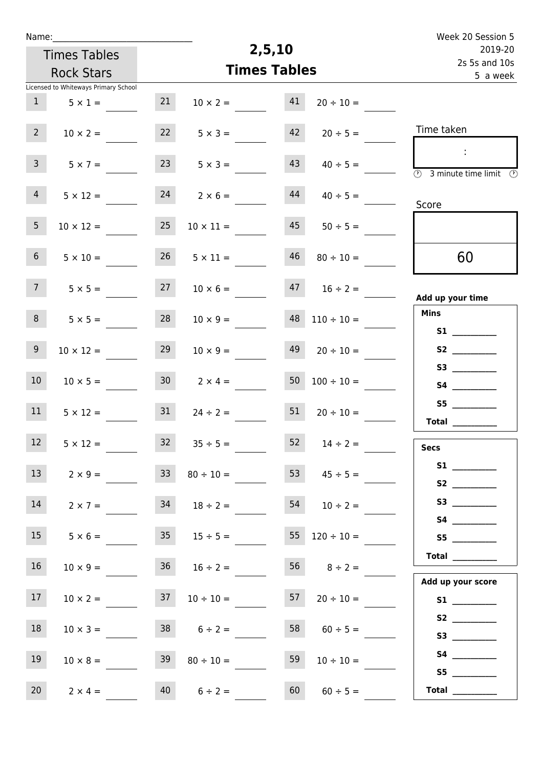| Name:                                |                    |                        |                       | Week 20 Session 5                                                                          |  |  |
|--------------------------------------|--------------------|------------------------|-----------------------|--------------------------------------------------------------------------------------------|--|--|
| <b>Times Tables</b>                  |                    | 2,5,10                 |                       | 2019-20                                                                                    |  |  |
| <b>Rock Stars</b>                    |                    | <b>Times Tables</b>    |                       | 2s 5s and 10s<br>5 a week                                                                  |  |  |
| Licensed to Whiteways Primary School |                    |                        |                       |                                                                                            |  |  |
| 1<br>$5 \times 1 =$                  | 21                 | 41<br>$10 \times 2 =$  | $20 \div 10 =$        |                                                                                            |  |  |
| $2^{\circ}$<br>$10 \times 2 =$       | 22                 | 42<br>$5 \times 3 =$   | $20 \div 5 =$         | Time taken                                                                                 |  |  |
| 3 <sup>7</sup><br>$5 \times 7 =$     | 23                 | 43<br>$5 \times 3 =$   | $40 \div 5 =$         | $\sim 10$<br>$\overline{\textcircled{1}}$ 3 minute time limit $\overline{\textcircled{1}}$ |  |  |
| 4<br>$5 \times 12 =$                 | 24                 | 44<br>$2 \times 6 =$   | $40 \div 5 =$         | Score                                                                                      |  |  |
| 5 <sub>1</sub><br>$10 \times 12 =$   | 25                 | 45<br>$10 \times 11 =$ | $50 \div 5 =$         |                                                                                            |  |  |
| 6 <sup>1</sup><br>$5 \times 10 =$    | 26                 | 46<br>$5 \times 11 =$  | $80 \div 10 =$        | 60                                                                                         |  |  |
| 7 <sup>7</sup><br>$5 \times 5 =$     | 27                 | $10 \times 6 =$        | $47 \t16 \div 2 =$    | Add up your time                                                                           |  |  |
| 8<br>$5 \times 5 =$                  | 28                 | 48<br>$10 \times 9 =$  | $110 \div 10 =$       | <b>Mins</b><br>S1                                                                          |  |  |
| 9 <sub>o</sub><br>$10 \times 12 =$   | 29                 | 49<br>$10 \times 9 =$  | $20 \div 10 =$        |                                                                                            |  |  |
| 10 <sup>°</sup><br>$10 \times 5 =$   | 30 <sup>1</sup>    | 50<br>$2 \times 4 =$   | $100 \div 10 =$       |                                                                                            |  |  |
| 11<br>$5 \times 12 =$                | 31                 | 51<br>$24 \div 2 =$    | $20 \div 10 =$        | S5<br>Total $\_\_$                                                                         |  |  |
| 12<br>$5 \times 12 =$                |                    | $32 \t 35 \div 5 =$    | $52 \t 14 \div 2 =$   | <b>Secs</b>                                                                                |  |  |
| 13 <sup>7</sup><br>$2 \times 9 =$    | 33 <sup>°</sup>    | 53<br>$80 \div 10 =$   | $45 \div 5 =$         | S1<br>S2                                                                                   |  |  |
| 14<br>$2 \times 7 =$                 |                    | $34 \t 18 \div 2 =$    | $54$ $10 \div 2 =$    |                                                                                            |  |  |
| 15<br>$5 \times 6 =$                 |                    | $35 \t 15 \div 5 =$    | $55 \t 120 \div 10 =$ | S5                                                                                         |  |  |
| 16<br>$10 \times 9 =$                |                    | $36 \t 16 \div 2 =$    | $56 \t 8 \div 2 =$    | Total $\qquad$                                                                             |  |  |
| 17<br>$10 \times 2 =$                | 37                 | $10 \div 10 =$         | $57 \t 20 \div 10 =$  | Add up your score                                                                          |  |  |
| 18<br>$10 \times 3 =$                | $38 \t 6 \div 2 =$ | 58                     | $60 \div 5 =$         | S3                                                                                         |  |  |
| 19<br>$10 \times 8 =$                | 39                 | 59<br>$80 \div 10 =$   | $10 \div 10 =$        | S5                                                                                         |  |  |
| 20<br>$2 \times 4 =$                 | 40                 | 60<br>$6 \div 2 =$     | $60 \div 5 =$         | $\begin{tabular}{c} Total \end{tabular}$                                                   |  |  |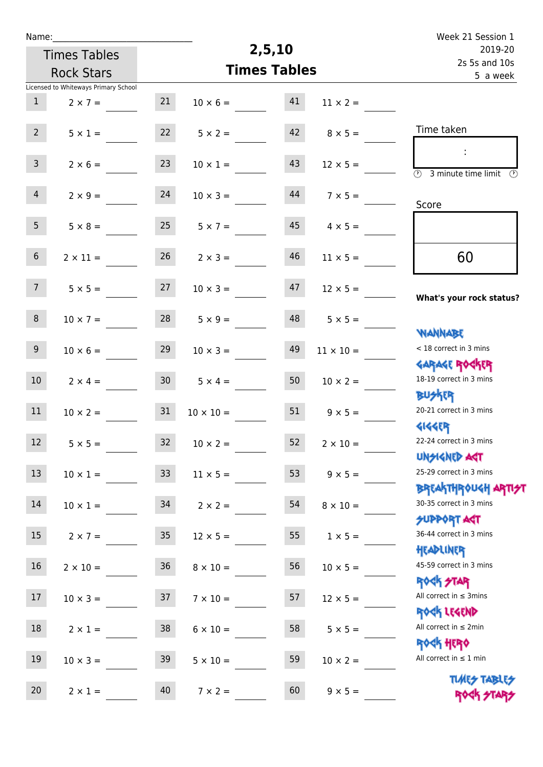| Name:           |                                      |                 |                       |                     |                       | Week 21 Session 1                                                |
|-----------------|--------------------------------------|-----------------|-----------------------|---------------------|-----------------------|------------------------------------------------------------------|
|                 | <b>Times Tables</b>                  |                 |                       | 2,5,10              |                       | 2019-20<br>2s 5s and 10s<br>5 a week                             |
|                 | <b>Rock Stars</b>                    |                 |                       | <b>Times Tables</b> |                       |                                                                  |
|                 | Licensed to Whiteways Primary School |                 |                       |                     |                       |                                                                  |
| $\mathbf{1}$    | $2 \times 7 =$                       | 21              | $10 \times 6 =$       | 41                  | $11 \times 2 =$       |                                                                  |
| $2^{\circ}$     | $5 \times 1 =$                       | 22              | $5 \times 2 =$        | 42                  | $8 \times 5 =$        | Time taken                                                       |
| 3 <sup>7</sup>  | $2 \times 6 =$                       | 23              | $10 \times 1 =$       | 43                  | $12 \times 5 =$       | $\overline{(\mathfrak{h})}$<br>3 minute time limit $\circled{0}$ |
| $\overline{4}$  | $2 \times 9 =$                       | 24              | $10 \times 3 =$       | 44                  | $7 \times 5 =$        | Score                                                            |
| 5 <sup>1</sup>  | $5 \times 8 =$                       | 25              | $5 \times 7 =$        | 45                  | $4 \times 5 =$        |                                                                  |
| 6 <sup>1</sup>  | $2 \times 11 =$                      | 26              | $2 \times 3 =$        | 46                  | $11 \times 5 =$       | 60                                                               |
| 7 <sup>7</sup>  | $5 \times 5 =$                       | 27              | $10 \times 3 =$       | 47                  | $12 \times 5 =$       | What's your rock status?                                         |
| 8               | $10 \times 7 =$                      | 28              | $5 \times 9 =$        | 48                  | $5 \times 5 =$        | <b>NANNABE</b>                                                   |
| 9 <sub>o</sub>  | $10 \times 6 =$                      | 29              | $10 \times 3 =$       | 49                  | $11 \times 10 =$      | < 18 correct in 3 mins                                           |
| 10 <sup>°</sup> | $2 \times 4 =$                       | 30 <sub>2</sub> | $5 \times 4 =$        | 50                  | $10 \times 2 =$       | <b>GARAGE ROCKER</b><br>18-19 correct in 3 mins                  |
| 11              | $10 \times 2 =$                      | 31              | $10 \times 10 =$      | 51                  | $9 \times 5 =$        | <b>BUSKRR</b><br>20-21 correct in 3 mins                         |
| 12              | $5 \times 5 =$                       |                 | $32 \t 10 \times 2 =$ |                     | $52 \t 2 \times 10 =$ | <b>4144EP</b><br>22-24 correct in 3 mins<br><b>UNSIGNED AGT</b>  |
| 13              | $10 \times 1 =$                      | 33              | $11 \times 5 =$       | 53                  | $9 \times 5 =$        | 25-29 correct in 3 mins                                          |
| 14              | $10 \times 1 =$                      | 34              | $2 \times 2 =$        | 54                  | $8 \times 10 =$       | <b>BREAKTHROUGH ARTI<del>S</del>T</b><br>30-35 correct in 3 mins |
| 15              | $2 \times 7 =$                       | 35              | $12 \times 5 =$       | 55                  | $1 \times 5 =$        | <b>SUPPORT AGT</b><br>36-44 correct in 3 mins                    |
| 16              | $2 \times 10 =$                      | 36 <sub>2</sub> | $8 \times 10 =$       | 56                  | $10 \times 5 =$       | HEADLINER<br>45-59 correct in 3 mins                             |
| 17              | $10 \times 3 =$                      | 37              | $7 \times 10 =$       | 57                  | $12 \times 5 =$       | <b>ROCK STAR</b><br>All correct in $\leq$ 3mins                  |
| 18              | $2 \times 1 =$                       | 38              | $6 \times 10 =$       | 58                  | $5 \times 5 =$        | ROCK LEGEND<br>All correct in $\leq 2$ min                       |
| 19              | $10 \times 3 =$                      | 39              | $5 \times 10 =$       | 59                  | $10 \times 2 =$       | <b>ROCK HERO</b><br>All correct in $\leq 1$ min                  |
| 20              | $2 \times 1 =$                       | 40              | $7 \times 2 =$        | 60                  | $9 \times 5 =$        | <b>TUARS TABLES</b><br>ROCK STARS                                |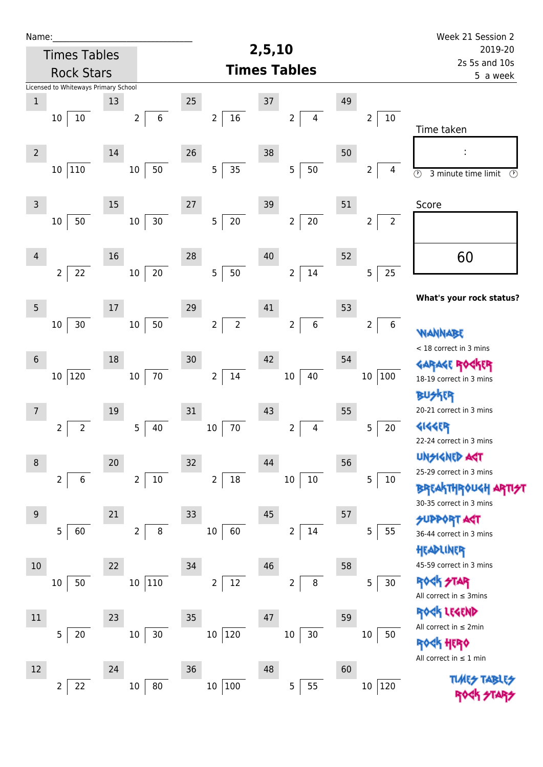| Name:          |                                      |                          |                  |                                        |                                                     |    |                                  | Week 21 Session 2                                                                         |  |
|----------------|--------------------------------------|--------------------------|------------------|----------------------------------------|-----------------------------------------------------|----|----------------------------------|-------------------------------------------------------------------------------------------|--|
|                | <b>Times Tables</b>                  |                          |                  |                                        | 2,5,10                                              |    |                                  | 2019-20                                                                                   |  |
|                | <b>Rock Stars</b>                    |                          |                  |                                        | <b>Times Tables</b>                                 |    | 2s 5s and 10s<br>5 a week        |                                                                                           |  |
|                | Licensed to Whiteways Primary School |                          |                  |                                        |                                                     |    |                                  |                                                                                           |  |
| $\mathbf 1$    | $10\,$<br>10                         | 13<br>$\overline{2}$     | $\boldsymbol{6}$ | 25<br>16<br>$\overline{2}$             | $37\,$<br>$\overline{\mathbf{4}}$<br>$\overline{2}$ | 49 | $\overline{2}$<br>10             | Time taken                                                                                |  |
| $\overline{2}$ | 110<br>10                            | 14<br>$10\,$             | 50               | 26<br>35<br>5                          | 38<br>$50\,$<br>$\sqrt{5}$                          | 50 | 2<br>4                           | $\overline{\circlearrowright}$<br>3 minute time limit<br>$\circled{r}$                    |  |
| $\mathsf{3}$   | 50<br>10                             | 15<br>$10\,$             | 30               | 27<br>$\overline{5}$<br>$20\,$         | 39<br>$20\,$<br>$\overline{2}$                      | 51 | $\overline{2}$<br>$\overline{2}$ | Score                                                                                     |  |
| $\overline{4}$ | $\overline{2}$<br>22                 | 16<br>$10\,$             | $20\,$           | 28<br>5<br>50                          | 40<br>$14\,$<br>$\overline{2}$                      | 52 | 25<br>5                          | 60                                                                                        |  |
| $\overline{5}$ | 30<br>10                             | 17<br>$10\,$             | 50               | 29<br>$\overline{2}$<br>$\overline{2}$ | 41<br>$\sqrt{6}$<br>$\overline{2}$                  | 53 | 6<br>$\overline{2}$              | What's your rock status?                                                                  |  |
| $6\phantom{1}$ | 120<br>10                            | 18<br>10 <sub>1</sub>    | 70               | 30<br>$14\,$<br>$\overline{2}$         | 42<br>$40\,$<br>$10\,$                              | 54 | 100<br>$10\,$                    | <b>WANNABE</b><br>< 18 correct in 3 mins<br>GARAGE RO<br>18-19 correct in 3 mins          |  |
| $\overline{7}$ | $\overline{2}$<br>2                  | 19<br>5                  | 40               | 31<br>70<br>$10\,$                     | 43<br>$\overline{4}$<br>$\overline{2}$              | 55 | 5<br>20                          | 外郎<br>TEL<br>20-21 correct in 3 mins<br><b>4144EP</b><br>22-24 correct in 3 mins          |  |
| $\,8\,$        | $\overline{2}$<br>6                  | $20\,$<br>$\overline{2}$ | $10\,$           | 32<br>$\overline{2}$<br>$18\,$         | 44<br>$10\,$<br>$10\,$                              | 56 | 5<br>10                          | <b>UNSIGNED AGT</b><br>25-29 correct in 3 mins<br><b>BREAKTHROUGH</b>                     |  |
| 9              | 5<br>60                              | 21<br>$\overline{2}$     | $\, 8$           | 33<br>10<br>60                         | 45<br>14<br>$\overline{2}$                          | 57 | 55<br>5                          | 30-35 correct in 3 mins<br><b>SUPPORT AGT</b><br>36-44 correct in 3 mins<br>HEADLINER     |  |
| $10$           | 50<br>10                             | 22                       | 10 110           | 34<br>12<br>$\overline{2}$             | 46<br>8<br>2                                        | 58 | 30<br>5                          | 45-59 correct in 3 mins<br><b>ROCK STAR</b><br>All correct in $\leq$ 3mins                |  |
| $11\,$         | $\overline{5}$<br>20                 | 23<br>10                 | $30\,$           | 35<br>120<br>10                        | 47<br>30 <sub>o</sub><br>$10\,$                     | 59 | 10<br>50                         | ROCK LEGEND<br>All correct in $\leq 2$ min<br>$\,$ 40 $\,$<br>All correct in $\leq 1$ min |  |
| 12             | 22<br>2                              | 24<br>$10\,$             | 80               | 36<br>100<br>10                        | 48<br>55<br>5                                       | 60 | 120<br>$10\,$                    |                                                                                           |  |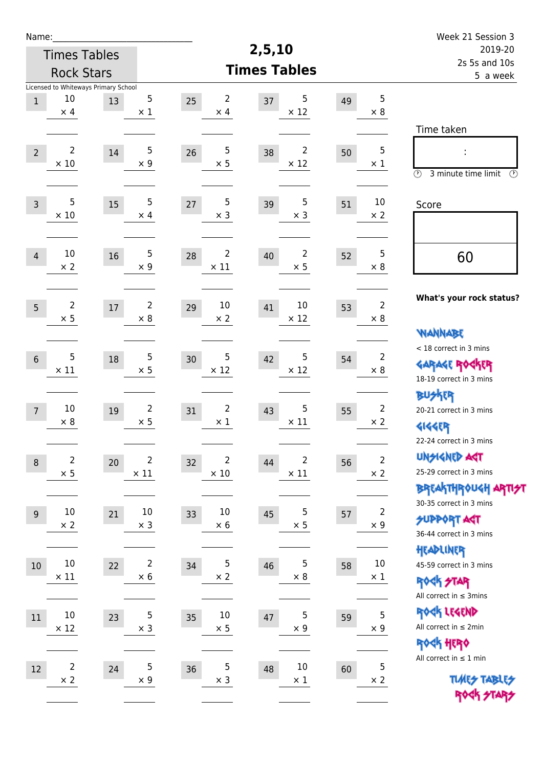| Name:                                           |                                            |                               |                                     |                                     |                                    | Week 21 Session 3                                                                       |  |
|-------------------------------------------------|--------------------------------------------|-------------------------------|-------------------------------------|-------------------------------------|------------------------------------|-----------------------------------------------------------------------------------------|--|
|                                                 | <b>Times Tables</b>                        |                               |                                     | 2,5,10                              |                                    | 2019-20<br>2s 5s and 10s                                                                |  |
|                                                 | <b>Rock Stars</b>                          |                               |                                     | <b>Times Tables</b>                 |                                    | 5 a week                                                                                |  |
| 10<br>$\mathbf{1}$<br>$\times$ 4                | Licensed to Whiteways Primary School<br>13 | 5<br>$\times$ 1               | $\overline{2}$<br>25<br>$\times$ 4  | 5<br>37<br>$\times$ 12              | 5<br>49<br>$\times$ 8              | Time taken                                                                              |  |
| $\overline{2}$<br>$\overline{2}$<br>$\times$ 10 | 14                                         | 5<br>$\times$ 9               | $\sqrt{5}$<br>26<br>$\times$ 5      | $\overline{2}$<br>38<br>$\times$ 12 | 5<br>50<br>$\times$ 1              | $\circled{r}$<br>3 minute time limit<br>⊕                                               |  |
| 5<br>$\overline{3}$<br>$\times$ 10              | 15                                         | 5<br>$\times$ 4               | 5<br>27<br>$\times$ 3               | 5<br>39<br>$\times$ 3               | 10<br>51<br>$\times 2$             | Score                                                                                   |  |
| 10<br>$\overline{4}$<br>$\times$ 2              | 16                                         | 5<br>$\times$ 9               | $\overline{2}$<br>28<br>$\times$ 11 | 2<br>40<br>$\times$ 5               | 5<br>52<br>$\times 8$              | 60                                                                                      |  |
| $\overline{2}$<br>5<br>$\times$ 5               | 17                                         | $\overline{2}$<br>$\times 8$  | 10<br>29<br>$\times 2$              | 10<br>41<br>$\times$ 12             | $\overline{2}$<br>53<br>$\times 8$ | What's your rock status?<br><b>NANNABE</b>                                              |  |
| $6\phantom{1}6$<br>$\times$ 11                  | 5<br>18                                    | 5<br>$\times$ 5               | 5<br>30<br>$\times$ 12              | 5<br>42<br>$\times$ 12              | $\overline{2}$<br>54<br>$\times 8$ | < 18 correct in 3 mins<br><b>GARAGE RO</b><br>18-19 correct in 3 mins                   |  |
| 10<br>$\overline{7}$<br>$\times 8$              | 19                                         | $\overline{2}$<br>$\times$ 5  | $\overline{2}$<br>31<br>$\times$ 1  | 5<br>43<br>$\times$ 11              | $\overline{2}$<br>55<br>$\times 2$ | <b>BUSKER</b><br>20-21 correct in 3 mins<br><b>4144EP</b><br>22-24 correct in 3 mins    |  |
| $\boldsymbol{8}$<br>$\times$ 5                  | $\overline{\mathbf{c}}$<br>20              | $\overline{2}$<br>$\times$ 11 | 2<br>32<br>$\times$ 10              | 2<br>44<br>$\times$ 11              | $\overline{2}$<br>56<br>$\times$ 2 | <b>UNSIGNED AGT</b><br>25-29 correct in 3 mins<br>BREAKTHRÓUGH ARTI <del>S</del> T      |  |
| $10\,$<br>$9$<br>$\times 2$                     | 21                                         | $10\,$<br>$\times$ 3          | $10\,$<br>33<br>$\times$ 6          | 5<br>45<br>$\times$ 5               | $\mathbf 2$<br>57<br>$\times$ 9    | 30-35 correct in 3 mins<br><b>SUPPORT AGT</b><br>36-44 correct in 3 mins                |  |
| 10<br>$10\,$<br>$\times$ 11                     | 22                                         | $\overline{2}$<br>$\times$ 6  | 5<br>34<br>$\times$ 2               | 5<br>46<br>$\times$ 8               | $10\,$<br>58<br>$\times$ 1         | HEADLINER<br>45-59 correct in 3 mins<br><b>ROCK STAR</b><br>All correct in $\leq$ 3mins |  |
| $10\,$<br>11<br>$\times$ 12                     | 23                                         | 5<br>$\times$ 3               | $10\,$<br>35<br>$\times$ 5          | 5<br>47<br>$\times$ 9               | 5<br>59<br>$\times$ 9              | ROCK LEGEND<br>All correct in $\leq 2$ min<br>ROCK HERO                                 |  |
| 12<br>$\times$ 2                                | $\overline{\mathbf{c}}$<br>24              | $\sqrt{5}$<br>$\times$ 9      | $\overline{5}$<br>36<br>$\times$ 3  | 10<br>48<br>$\times$ 1              | 5<br>60<br>$\times$ 2              | All correct in $\leq 1$ min<br><b>TUARS TABLES</b><br>ROCK STARS                        |  |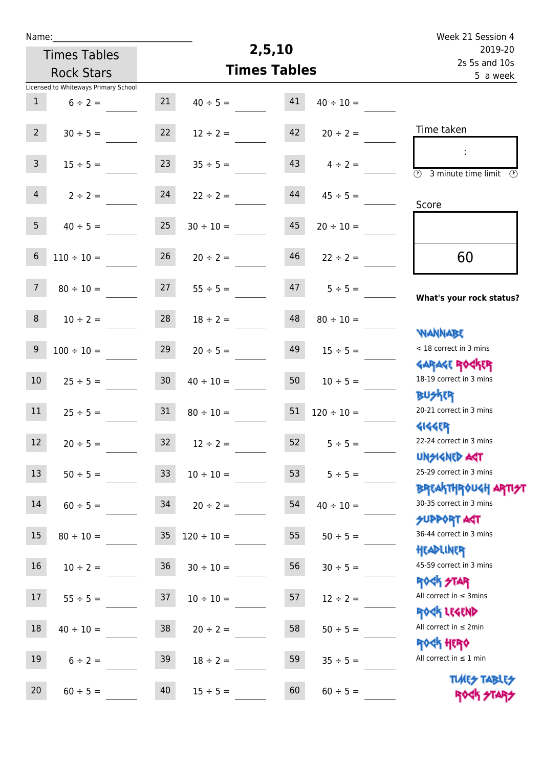| Name:                                    |                                      |                 |                                |                                      |                    | Week 21 Session 4                                                |
|------------------------------------------|--------------------------------------|-----------------|--------------------------------|--------------------------------------|--------------------|------------------------------------------------------------------|
| <b>Times Tables</b><br><b>Rock Stars</b> |                                      |                 | 2,5,10                         | 2019-20<br>2s 5s and 10s<br>5 a week |                    |                                                                  |
|                                          |                                      |                 | <b>Times Tables</b>            |                                      |                    |                                                                  |
|                                          | Licensed to Whiteways Primary School |                 |                                |                                      |                    |                                                                  |
| $\mathbf{1}$                             | $6 \div 2 =$                         | 21              | $40 \div 5 =$                  | 41                                   | $40 \div 10 =$     |                                                                  |
| $2^{\circ}$                              | $30 \div 5 =$                        | 22              | $12 \div 2 =$                  | 42                                   | $20 \div 2 =$      | Time taken                                                       |
| 3 <sup>7</sup>                           | $15 \div 5 =$                        | 23              | $35 \div 5 =$                  | 43                                   | $4 \div 2 =$       | ÷<br>$\overline{\odot}$<br>3 minute time limit<br>$\mathcal{O}$  |
| $\overline{4}$                           | $2 \div 2 =$                         | 24              | $22 \div 2 =$                  | 44                                   | $45 \div 5 =$      | Score                                                            |
| 5 <sub>1</sub>                           | $40 \div 5 =$                        | 25              | $30 \div 10 =$                 | 45                                   | $20 \div 10 =$     |                                                                  |
| $6\,$                                    | $110 \div 10 =$                      | 26              | $20 \div 2 =$                  | 46                                   | $22 \div 2 =$      | 60                                                               |
| 7 <sup>7</sup>                           | $80 \div 10 =$                       | 27              | $55 \div 5 =$                  | 47                                   | $5 \div 5 =$       | What's your rock status?                                         |
| 8                                        | $10 \div 2 =$                        | 28              | $18 \div 2 =$                  | 48                                   | $80 \div 10 =$     |                                                                  |
| $9\,$                                    | $100 \div 10 =$                      | 29              | $20 \div 5 =$                  | 49                                   | $15 \div 5 =$      | <b>YIANNABE</b><br>< 18 correct in 3 mins                        |
| 10                                       | $25 \div 5 =$                        | 30 <sub>o</sub> | $40 \div 10 =$                 | 50                                   | $10 \div 5 =$      | <b>GARAGE ROGKER</b><br>18-19 correct in 3 mins                  |
| 11                                       | $25 \div 5 =$                        | 31              | $80 \div 10 =$                 | 51                                   | $120 \div 10 =$    | <b>BUSKER</b><br>20-21 correct in 3 mins                         |
| 12                                       | $20 \div 5 =$                        | 32              | $12 \div 2 =$                  | 52                                   | $5 \div 5 =$       | <b>4144EP</b><br>22-24 correct in 3 mins<br><b>UNSIGNED AGT</b>  |
| 13                                       | $50 \div 5 =$                        | 33              | $10 \div 10 =$                 |                                      | $53 \t 5 \div 5 =$ | 25-29 correct in 3 mins                                          |
| 14                                       |                                      |                 | $60 \div 5 =$ 34 $20 \div 2 =$ | 54                                   | $40 \div 10 =$     | <b>BREAKTHROUGH ARTI<del>S</del>T</b><br>30-35 correct in 3 mins |
| $15\phantom{.0}$                         | $80 \div 10 =$                       | 35 <sub>1</sub> | $120 \div 10 =$                | 55                                   | $50 \div 5 =$      | <b>SUPPORT AGT</b><br>36-44 correct in 3 mins                    |
| 16 <sup>1</sup>                          | $10 \div 2 =$                        | 36              | $30 \div 10 =$                 | 56                                   | $30 \div 5 =$      | HEADLINER<br>45-59 correct in 3 mins                             |
| 17                                       | $55 \div 5 =$                        | 37              | $10 \div 10 =$                 | 57                                   | $12 \div 2 =$      | <b>ROCK STAR</b><br>All correct in $\leq$ 3mins                  |
| 18                                       | $40 \div 10 =$                       | 38              | $20 \div 2 =$                  | 58                                   | $50 \div 5 =$      | ROCK LEGEND<br>All correct in $\leq 2$ min                       |
| 19                                       | $6 \div 2 =$                         | 39              | $18 \div 2 =$                  | 59                                   | $35 \div 5 =$      | <b>ROCK HERO</b><br>All correct in $\leq 1$ min                  |
| 20                                       | $60 \div 5 =$                        | 40              | $15 \div 5 =$                  | 60                                   | $60 \div 5 =$      | <b>TUARS TABLES</b><br>ROCK STARS                                |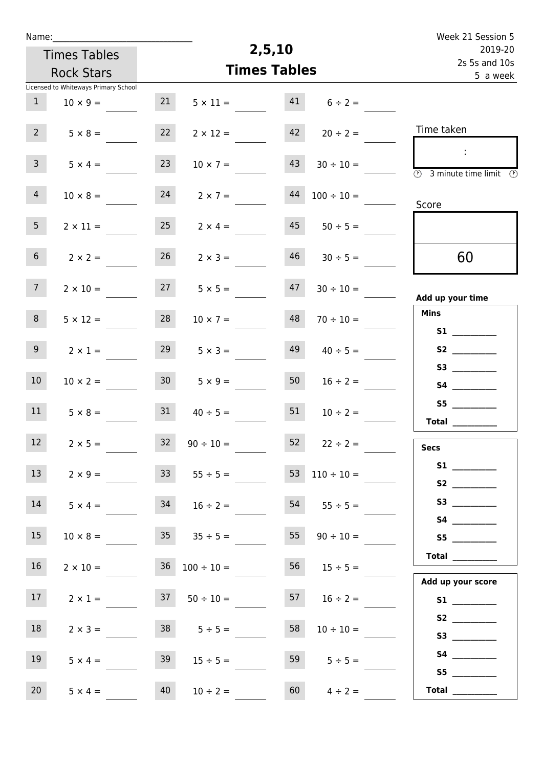| Name:                                |                                  | 2,5,10                    |                      | Week 21 Session 5                                                                                    |
|--------------------------------------|----------------------------------|---------------------------|----------------------|------------------------------------------------------------------------------------------------------|
| <b>Times Tables</b>                  |                                  | 2019-20                   |                      |                                                                                                      |
| <b>Rock Stars</b>                    | <b>Times Tables</b>              | 2s 5s and 10s<br>5 a week |                      |                                                                                                      |
| Licensed to Whiteways Primary School |                                  |                           |                      |                                                                                                      |
| 1<br>$10 \times 9 =$                 | 21                               | 41<br>$5 \times 11 =$     | $6 \div 2 =$         |                                                                                                      |
| $2^{\circ}$<br>$5 \times 8 =$        | 22                               | 42<br>$2 \times 12 =$     | $20 \div 2 =$        | Time taken                                                                                           |
| 3 <sup>7</sup><br>$5 \times 4 =$     | 23                               | 43<br>$10 \times 7 =$     | $30 \div 10 =$       | $\langle 1 \rangle$<br>$\overline{\textcircled{1}}$ 3 minute time limit $\overline{\textcircled{1}}$ |
| 4<br>$10 \times 8 =$                 | 24                               | 44<br>$2 \times 7 =$      | $100 \div 10 =$      | Score                                                                                                |
| 5 <sub>1</sub><br>$2 \times 11 =$    | 25                               | 45<br>$2 \times 4 =$      | $50 \div 5 =$        |                                                                                                      |
| 6 <sup>1</sup><br>$2 \times 2 =$     | 26                               | $2 \times 3 =$            | $46$ $30 \div 5 =$   | 60                                                                                                   |
| 7 <sup>7</sup><br>$2 \times 10 =$    | 27                               | 47<br>$5 \times 5 =$      | $30 \div 10 =$       | Add up your time                                                                                     |
| 8<br>$5 \times 12 =$                 | 28                               | 48<br>$10 \times 7 =$     | $70 \div 10 =$       | <b>Mins</b>                                                                                          |
| 9 <sub>o</sub><br>$2 \times 1 =$     | 29                               | 49<br>$5 \times 3 =$      | $40 \div 5 =$        | S2                                                                                                   |
| 10 <sup>°</sup><br>$10 \times 2 =$   | 30 <sup>1</sup>                  | 50<br>$5 \times 9 =$      | $16 \div 2 =$        |                                                                                                      |
| 11<br>$5 \times 8 =$                 | 31                               | 51<br>$40 \div 5 =$       | $10 \div 2 =$        | Total $\_\_$                                                                                         |
| 12<br>$2 \times 5 =$                 | 32<br>$90 \div 10 =$             |                           | $52 \t22 \div 2 =$   | <b>Secs</b>                                                                                          |
| 13<br>$2 \times 9 =$                 | 33                               | $55 \div 5 =$             | $110 \div 10 =$      | S2                                                                                                   |
| 14<br>$5 \times 4 =$                 | $34 \t 16 \div 2 =$              |                           | $54$ $55 \div 5 =$   | S3                                                                                                   |
| 15                                   | $10 \times 8 = 35$ $35 \div 5 =$ |                           | $55 \t 90 \div 10 =$ | S5                                                                                                   |
| 16<br>$2 \times 10 =$                | $36 \t100 \div 10 =$             |                           | $56 \t 15 \div 5 =$  | Total<br>Add up your score                                                                           |
| 17 <sup>7</sup><br>$2 \times 1 =$    | $37 \t 50 \div 10 =$             |                           | $57 \t16 \div 2 =$   |                                                                                                      |
| 18<br>$2 \times 3 =$                 | $38$ $5 \div 5 =$                | 58                        | $10 \div 10 =$       | S3                                                                                                   |
| 19<br>$5 \times 4 =$                 | 39                               | $15 \div 5 =$             | 59<br>$5 \div 5 =$   | S5                                                                                                   |
| 20<br>$5 \times 4 =$                 | 40<br>$10 \div 2 =$              |                           | 60<br>$4 \div 2 =$   | Total $\_\_$                                                                                         |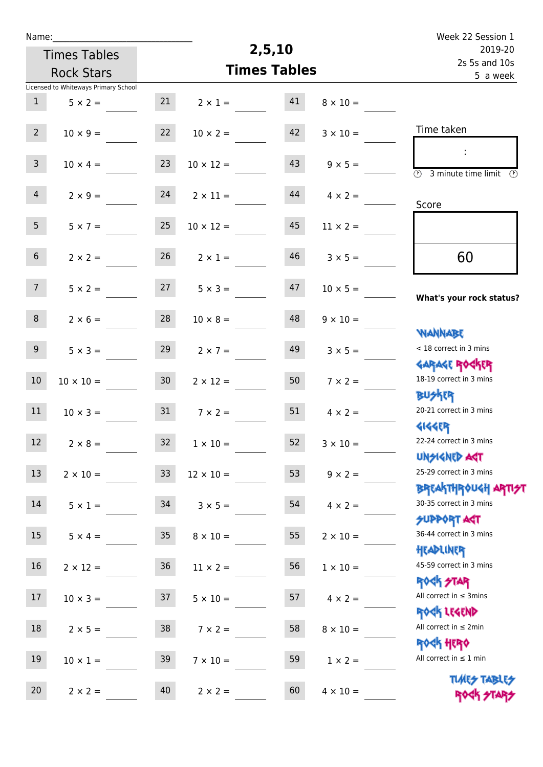| Name:                                    |                                      |                 |                       | 2,5,10                   |                 | Week 22 Session 1                                                                      |
|------------------------------------------|--------------------------------------|-----------------|-----------------------|--------------------------|-----------------|----------------------------------------------------------------------------------------|
| <b>Times Tables</b><br><b>Rock Stars</b> |                                      |                 |                       | 2019-20<br>2s 5s and 10s |                 |                                                                                        |
|                                          |                                      |                 | <b>Times Tables</b>   |                          | 5 a week        |                                                                                        |
|                                          | Licensed to Whiteways Primary School |                 |                       |                          |                 |                                                                                        |
| $\mathbf{1}$                             | $5 \times 2 =$                       | 21              | $2 \times 1 =$        | 41                       | $8 \times 10 =$ |                                                                                        |
| 2 <sup>7</sup>                           | $10 \times 9 =$                      | 22              | $10 \times 2 =$       | 42                       | $3 \times 10 =$ | Time taken                                                                             |
| 3 <sup>7</sup>                           | $10 \times 4 =$                      | 23              | $10 \times 12 =$      | 43                       | $9 \times 5 =$  | $\overline{(\mathcal{V})}$<br>3 minute time limit<br>$\odot$                           |
| $\overline{4}$                           | $2 \times 9 =$                       | 24              | $2 \times 11 =$       | 44                       | $4 \times 2 =$  | Score                                                                                  |
| 5 <sub>1</sub>                           | $5 \times 7 =$                       | 25              | $10 \times 12 =$      | 45                       | $11 \times 2 =$ |                                                                                        |
| 6 <sup>1</sup>                           | $2 \times 2 =$                       | 26              | $2 \times 1 =$        | 46                       | $3 \times 5 =$  | 60                                                                                     |
| 7 <sup>7</sup>                           | $5 \times 2 =$                       | 27              | $5 \times 3 =$        | 47                       | $10 \times 5 =$ | What's your rock status?                                                               |
| 8                                        | $2 \times 6 =$                       | 28              | $10 \times 8 =$       | 48                       | $9 \times 10 =$ |                                                                                        |
| 9 <sub>o</sub>                           | $5 \times 3 =$                       | 29              | $2 \times 7 =$        | 49                       | $3 \times 5 =$  | <b>NANNABE</b><br>< 18 correct in 3 mins                                               |
| 10                                       | $10 \times 10 =$                     | 30 <sub>o</sub> | $2 \times 12 =$       | 50                       | $7 \times 2 =$  | <b>GARAGE ROGKER</b><br>18-19 correct in 3 mins<br><b>BUSKRR</b>                       |
| 11                                       | $10 \times 3 =$                      | 31              | $7 \times 2 =$        | 51                       | $4 \times 2 =$  | 20-21 correct in 3 mins<br><b>4144EP</b>                                               |
| 12                                       | $2 \times 8 =$                       |                 | $32 \t 1 \times 10 =$ | 52                       | $3 \times 10 =$ | 22-24 correct in 3 mins<br><b>UNSIGNED AST</b>                                         |
| 13                                       | $2 \times 10 =$                      | 33 <sup>°</sup> | $12 \times 10 =$      | 53                       | $9 \times 2 =$  | 25-29 correct in 3 mins                                                                |
| 14                                       | $5 \times 1 =$                       | 34              | $3 \times 5 =$        | 54                       | $4 \times 2 =$  | <b>BREAKTHROUGH ARTI<del>S</del>T</b><br>30-35 correct in 3 mins<br><b>SUPPORT AGT</b> |
| 15                                       | $5 \times 4 =$                       | 35 <sub>1</sub> | $8 \times 10 =$       | 55                       | $2 \times 10 =$ | 36-44 correct in 3 mins<br>HEADLINER                                                   |
| 16                                       | $2 \times 12 =$                      | 36 <sub>1</sub> | $11 \times 2 =$       | 56                       | $1 \times 10 =$ | 45-59 correct in 3 mins<br><b>ROCK STAR</b>                                            |
| 17                                       | $10 \times 3 =$                      | 37              | $5 \times 10 =$       | 57                       | $4 \times 2 =$  | All correct in $\leq$ 3mins<br>ROCK LEGEND                                             |
| 18                                       | $2 \times 5 =$                       | 38              | $7 \times 2 =$        | 58                       | $8 \times 10 =$ | All correct in $\leq 2$ min<br>ROCK HERO                                               |
| 19                                       | $10 \times 1 =$                      | 39              | $7 \times 10 =$       | 59                       | $1 \times 2 =$  | All correct in $\leq 1$ min                                                            |
| 20                                       | $2 \times 2 =$                       | 40              | $2 \times 2 =$        | 60                       | $4 \times 10 =$ | <b>TUARS TABLES</b><br>ROCK STARS                                                      |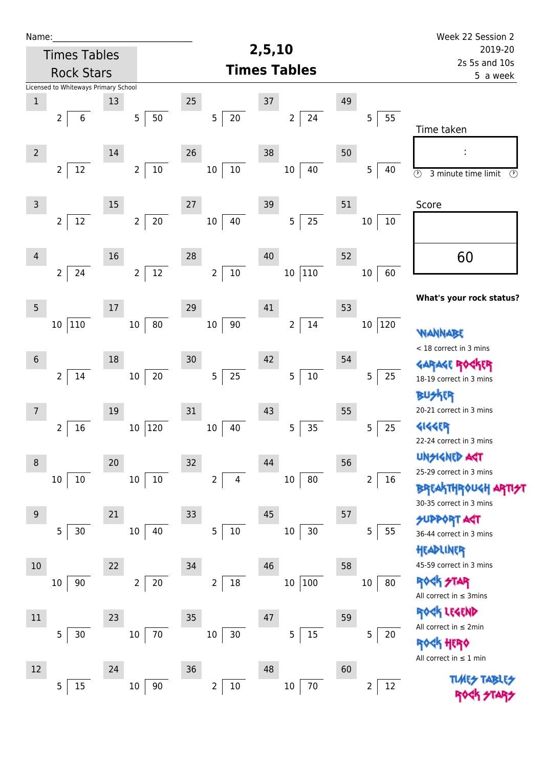| Name:               |                                      |        |                          |                          |                      |    |                           | Week 22 Session 2                                          |  |
|---------------------|--------------------------------------|--------|--------------------------|--------------------------|----------------------|----|---------------------------|------------------------------------------------------------|--|
| <b>Times Tables</b> |                                      |        |                          | 2,5,10                   | 2019-20              |    |                           |                                                            |  |
| <b>Rock Stars</b>   |                                      |        |                          |                          | <b>Times Tables</b>  |    | 2s 5s and 10s<br>5 a week |                                                            |  |
|                     | Licensed to Whiteways Primary School |        |                          |                          |                      |    |                           |                                                            |  |
| $\mathbf 1$         |                                      | 13     |                          | 25                       | $37\,$               | 49 |                           |                                                            |  |
|                     | $\overline{2}$<br>6                  |        | 5 <sub>5</sub><br>50     | $\overline{5}$<br>20     | 24<br>$\overline{2}$ |    | 55<br>5                   |                                                            |  |
|                     |                                      |        |                          |                          |                      |    |                           | Time taken                                                 |  |
| $\overline{2}$      |                                      | 14     |                          | 26                       | 38                   | 50 |                           |                                                            |  |
|                     | $\overline{2}$<br>12                 |        | $10\,$<br>$\overline{2}$ | $10\,$<br>10             | 40<br>$10\,$         |    | 5<br>40                   | $\overline{\odot}$<br>3 minute time limit<br>$\circled{r}$ |  |
|                     |                                      |        |                          |                          |                      |    |                           |                                                            |  |
| $\mathsf 3$         |                                      | 15     |                          | 27                       | 39                   | 51 |                           | Score                                                      |  |
|                     | $12\,$<br>$\overline{2}$             |        | $20$<br>$\overline{2}$   | 40<br>$10\,$             | 25<br>$\overline{5}$ |    | $10\,$<br>$10\,$          |                                                            |  |
|                     |                                      |        |                          |                          |                      |    |                           |                                                            |  |
| $\overline{4}$      |                                      | 16     |                          | 28                       | 40                   | 52 |                           | 60                                                         |  |
|                     | 24<br>$\overline{2}$                 |        | 12<br>$\overline{2}$     | $10\,$<br>$\overline{2}$ | 110<br>$10\,$        |    | 60<br>$10\,$              |                                                            |  |
|                     |                                      |        |                          |                          |                      |    |                           |                                                            |  |
| $\overline{5}$      |                                      | $17\,$ |                          | 29                       | 41                   | 53 |                           | What's your rock status?                                   |  |
|                     | 110<br>10                            |        | 80<br>$10\,$             | 90<br>10                 | 14<br>$\overline{2}$ |    | 120<br>10                 |                                                            |  |
|                     |                                      |        |                          |                          |                      |    |                           | WANNABE<br>< 18 correct in 3 mins                          |  |
| $6\phantom{1}$      |                                      | 18     |                          | 30                       | 42                   | 54 |                           | GARAGE RO                                                  |  |
|                     | $\overline{2}$<br>14                 |        | 20<br>10 <sub>1</sub>    | $25\,$<br>5              | $10\,$<br>5          |    | 25<br>5                   | 18-19 correct in 3 mins                                    |  |
|                     |                                      |        |                          |                          |                      |    |                           | BUSKER                                                     |  |
| $\overline{7}$      |                                      | 19     |                          | 31                       | 43                   | 55 |                           | 20-21 correct in 3 mins                                    |  |
|                     | 16<br>2                              |        | 120<br>$10\,$            | 40<br>$10\,$             | 35<br>5              |    | 25<br>5                   | <b>4144EP</b>                                              |  |
|                     |                                      |        |                          |                          |                      |    |                           | 22-24 correct in 3 mins                                    |  |
| 8                   |                                      | 20     |                          | 32                       | 44                   | 56 |                           | <b>UNSIGNED AGT</b>                                        |  |
|                     | $10\,$<br>10                         |        | $10\,$<br>$10\,$         | $\overline{2}$<br>4      | 80<br>$10\,$         |    | 2<br>16                   | 25-29 correct in 3 mins                                    |  |
|                     |                                      |        |                          |                          |                      |    |                           | <b>BREAKTHROUGH</b>                                        |  |
| 9                   |                                      | 21     |                          | 33                       | 45                   | 57 |                           | 30-35 correct in 3 mins                                    |  |
|                     | 5<br>$30$                            |        | 10 <sup>°</sup><br>40    | 5<br>$10\,$              | $10\,$<br>30         |    | 5<br>55                   | <b>SUPPORT AGT</b><br>36-44 correct in 3 mins              |  |
|                     |                                      |        |                          |                          |                      |    |                           | HEADLINER                                                  |  |
| $10$                |                                      | 22     |                          | 34                       | 46                   | 58 |                           | 45-59 correct in 3 mins                                    |  |
|                     | 90<br>10                             |        | 20<br>2 <sup>1</sup>     | $18\,$<br>$\overline{c}$ | 100<br>$10\,$        |    | $10\,$<br>80              | <b>ROCK STAR</b>                                           |  |
|                     |                                      |        |                          |                          |                      |    |                           | All correct in $\leq$ 3mins                                |  |
| $11\,$              |                                      | 23     |                          | 35                       | 47                   | 59 |                           | ROCK LEGEND                                                |  |
|                     | 5<br>30                              |        | 70<br>10                 | 30<br>$10\,$             | $15\,$<br>5          |    | 5<br>20                   | All correct in $\leq 2$ min                                |  |
|                     |                                      |        |                          |                          |                      |    |                           | HERQ                                                       |  |
| 12                  |                                      | 24     |                          | 36                       | 48                   | 60 |                           | All correct in $\leq 1$ min                                |  |
|                     | 15<br>5                              |        | $10\,$<br>90             | $10\,$<br>$\overline{2}$ | $70\,$<br>$10\,$     |    | 12<br>2                   | <b>TLARS</b>                                               |  |
|                     |                                      |        |                          |                          |                      |    |                           |                                                            |  |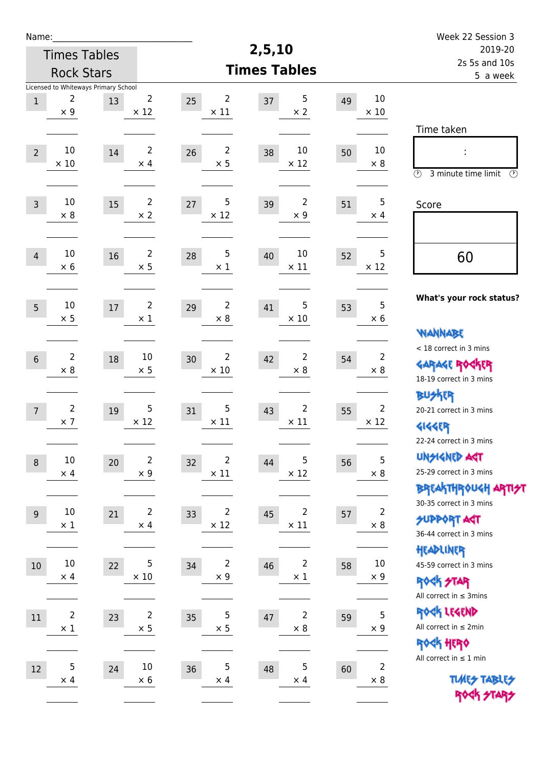| Name:               |                                                         |    |                               |                                     |                                     |                          | Week 22 Session 3                                                                                      |
|---------------------|---------------------------------------------------------|----|-------------------------------|-------------------------------------|-------------------------------------|--------------------------|--------------------------------------------------------------------------------------------------------|
| <b>Times Tables</b> |                                                         |    |                               |                                     | 2,5,10                              | 2019-20<br>2s 5s and 10s |                                                                                                        |
| <b>Rock Stars</b>   |                                                         |    |                               |                                     | <b>Times Tables</b>                 | 5 a week                 |                                                                                                        |
| $\mathbf 1$         | Licensed to Whiteways Primary School<br>2<br>$\times$ 9 | 13 | $\overline{2}$<br>$\times$ 12 | $\overline{2}$<br>25<br>$\times$ 11 | 5<br>37<br>$\times 2$               | 49<br>$\times$ 10        | 10<br>Time taken                                                                                       |
| $\overline{2}$      | 10<br>$\times 10$                                       | 14 | $\overline{2}$<br>$\times$ 4  | $\overline{2}$<br>26<br>$\times$ 5  | 10<br>38<br>$\times$ 12             | 50<br>$\times 8$         | 10<br>$\circled{r}$<br>3 minute time limit<br>⊕                                                        |
| $\overline{3}$      | 10<br>$\times 8$                                        | 15 | $\overline{2}$<br>$\times 2$  | 5<br>27<br>$\times$ 12              | 2<br>39<br>$\times$ 9               | 51<br>$\times$ 4         | 5<br>Score                                                                                             |
| $\overline{4}$      | 10<br>$\times 6$                                        | 16 | $\overline{2}$<br>$\times$ 5  | 5<br>28<br>$\times$ 1               | 10<br>40<br>$\times$ 11             | 52<br>$\times$ 12        | 5<br>60                                                                                                |
| 5                   | 10<br>$\times$ 5                                        | 17 | $\overline{2}$<br>$\times 1$  | $\overline{2}$<br>29<br>$\times 8$  | 5<br>41<br>$\times$ 10              | 53<br>$\times 6$         | What's your rock status?<br>5<br><b>NANNABE</b>                                                        |
| $6\,$               | $\overline{2}$<br>$\times 8$                            | 18 | 10<br>$\times$ 5              | $\overline{2}$<br>30<br>$\times 10$ | 2<br>42<br>$\times 8$               | 54<br>$\times 8$         | < 18 correct in 3 mins<br>$\overline{2}$<br><b>GARAGE RO</b><br>18-19 correct in 3 mins                |
| $\overline{7}$      | $\overline{2}$<br>$\times$ 7                            | 19 | $\overline{5}$<br>$\times$ 12 | 5<br>31<br>$\times$ 11              | $\overline{2}$<br>43<br>$\times$ 11 | 55<br>$\times$ 12        | <b>BUSKER</b><br>$\overline{2}$<br>20-21 correct in 3 mins<br><b>4144EP</b><br>22-24 correct in 3 mins |
| $\boldsymbol{8}$    | $10\,$<br>$\times$ 4                                    | 20 | $\overline{2}$<br>$\times 9$  | 2<br>32<br>$\times$ 11              | 5<br>44<br>$\times$ 12              | 56<br>$\times$ 8         | <b>UNSIGNED AGT</b><br>5<br>25-29 correct in 3 mins<br>BREAKTHRÓUGH ARTI <del>S</del> T                |
| $9$                 | $10\,$<br>$\times$ 1                                    | 21 | $\overline{2}$<br>$\times$ 4  | $\overline{2}$<br>33<br>$\times$ 12 | $\overline{2}$<br>45<br>$\times$ 11 | 57<br>$\times$ 8         | 30-35 correct in 3 mins<br>$\overline{2}$<br><b>SUPPORT AGT</b><br>36-44 correct in 3 mins             |
| $10\,$              | 10<br>$\times$ 4                                        | 22 | 5<br>$\times$ 10              | $\overline{2}$<br>34<br>$\times$ 9  | 2<br>46<br>$\times$ 1               | 58<br>$\times$ 9         | HEADLINER<br>10<br>45-59 correct in 3 mins<br><b>ROCK STAR</b><br>All correct in $\leq$ 3mins          |
| $11\,$              | $\overline{\mathbf{c}}$<br>$\times$ 1                   | 23 | $\overline{2}$<br>$\times$ 5  | $\sqrt{5}$<br>35<br>$\times$ 5      | 2<br>47<br>$\times$ 8               | 59<br>$\times$ 9         | ROCK LEGEND<br>$\mathsf S$<br>All correct in $\leq 2$ min<br>ROCK HERO                                 |
| 12                  | 5<br>$\times$ 4                                         | 24 | $10\,$<br>$\times 6$          | $\sqrt{5}$<br>36<br>$\times$ 4      | 5<br>48<br>$\times$ 4               | 60<br>$\times$ 8         | All correct in $\leq 1$ min<br>$\overline{2}$<br><b>TUARS TABLES</b><br>ROCK STARS                     |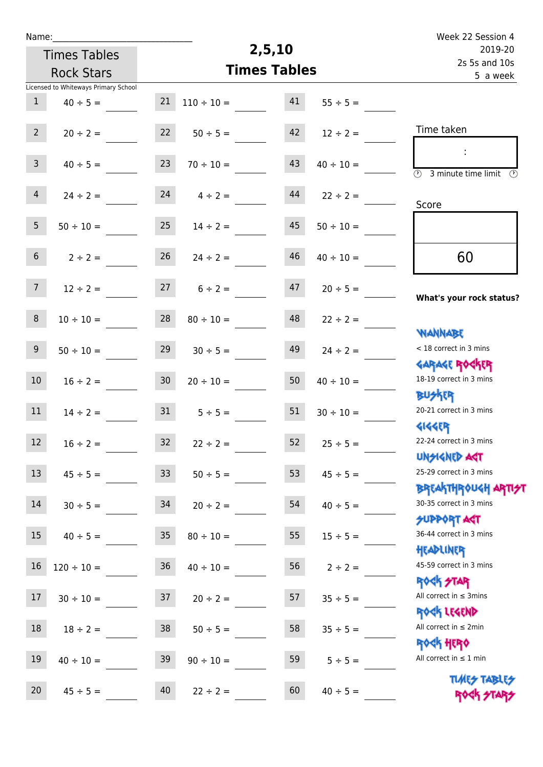| Name:           |                                      |                  |                 |                     |                | Week 22 Session 4                                                |
|-----------------|--------------------------------------|------------------|-----------------|---------------------|----------------|------------------------------------------------------------------|
|                 | <b>Times Tables</b>                  |                  |                 | 2,5,10              |                | 2019-20                                                          |
|                 | <b>Rock Stars</b>                    |                  |                 | <b>Times Tables</b> |                | 2s 5s and 10s<br>5 a week                                        |
|                 | Licensed to Whiteways Primary School |                  |                 |                     |                |                                                                  |
| $\mathbf{1}$    | $40 \div 5 =$                        | 21               | $110 \div 10 =$ | 41                  | $55 \div 5 =$  |                                                                  |
| $2^{\circ}$     | $20 \div 2 =$                        | 22               | $50 \div 5 =$   | 42                  | $12 \div 2 =$  | Time taken                                                       |
| 3 <sup>7</sup>  | $40 \div 5 =$                        | 23               | $70 \div 10 =$  | 43                  | $40 \div 10 =$ | ÷<br>$\overline{\odot}$<br>3 minute time limit<br>$\mathcal{O}$  |
| $\overline{4}$  | $24 \div 2 =$                        | 24               | $4 \div 2 =$    | 44                  | $22 \div 2 =$  | Score                                                            |
| 5 <sub>1</sub>  | $50 \div 10 =$                       | 25               | $14 \div 2 =$   | 45                  | $50 \div 10 =$ |                                                                  |
| 6 <sup>1</sup>  | $2 \div 2 =$                         | 26               | $24 \div 2 =$   | 46                  | $40 \div 10 =$ | 60                                                               |
| 7 <sup>7</sup>  | $12 \div 2 =$                        | 27               | $6 \div 2 =$    | 47                  | $20 \div 5 =$  | What's your rock status?                                         |
| 8               | $10 \div 10 =$                       | 28               | $80 \div 10 =$  | 48                  | $22 \div 2 =$  |                                                                  |
| 9               | $50 \div 10 =$                       | 29               | $30 \div 5 =$   | 49                  | $24 \div 2 =$  | <b>NANNABE</b><br>< 18 correct in 3 mins                         |
| 10 <sup>°</sup> | $16 \div 2 =$                        | 30 <sub>o</sub>  | $20 \div 10 =$  | 50                  | $40 \div 10 =$ | <b>GARAGE ROCKER</b><br>18-19 correct in 3 mins                  |
| 11              | $14 \div 2 =$                        | 31               | $5 \div 5 =$    | 51                  | $30 \div 10 =$ | <b>BUSKER</b><br>20-21 correct in 3 mins                         |
| 12              | $16 \div 2 =$                        | 32               | $22 \div 2 =$   | 52                  | $25 \div 5 =$  | <b>4144EP</b><br>22-24 correct in 3 mins                         |
| 13              | $45 \div 5 =$                        | 33 <sup>°</sup>  | $50 \div 5 =$   | 53                  | $45 \div 5 =$  | <b>UNSIGNED AST</b><br>25-29 correct in 3 mins                   |
| 14              | $30 \div 5 =$                        | 34               | $20 \div 2 =$   | 54                  | $40 \div 5 =$  | <b>BREAKTHROUGH ARTI<del>S</del>T</b><br>30-35 correct in 3 mins |
| 15              | $40 \div 5 =$                        | $35\phantom{.0}$ | $80 \div 10 =$  | 55                  | $15 \div 5 =$  | <b>JUPPORT ART</b><br>36-44 correct in 3 mins                    |
| 16              | $120 \div 10 =$                      | 36               | $40 \div 10 =$  | 56                  | $2 \div 2 =$   | HEADLINER<br>45-59 correct in 3 mins                             |
| 17              | $30 \div 10 =$                       | 37               | $20 \div 2 =$   | 57                  | $35 \div 5 =$  | <b>ROCK STAR</b><br>All correct in $\leq$ 3mins                  |
| 18              | $18 \div 2 =$                        | 38               | $50 \div 5 =$   | 58                  | $35 \div 5 =$  | ROCK LEGEND<br>All correct in $\leq 2$ min                       |
| 19              | $40 \div 10 =$                       | 39               | $90 \div 10 =$  | 59                  | $5 \div 5 =$   | <b>ROGH HERO</b><br>All correct in $\leq 1$ min                  |
| 20              | $45 \div 5 =$                        | 40               | $22 \div 2 =$   | 60                  | $40 \div 5 =$  | <b>TUARS TABLES</b><br>ROCK STARS                                |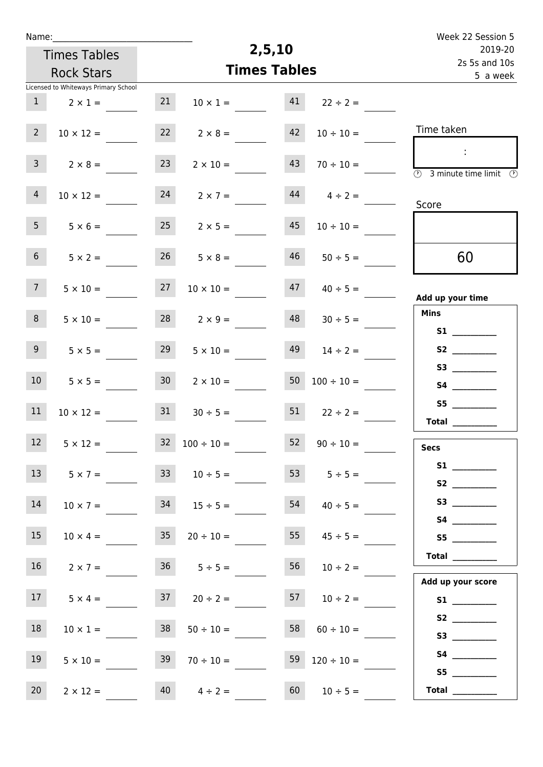| Name:                                |                                    |                                        | Week 22 Session 5                                                                                            |
|--------------------------------------|------------------------------------|----------------------------------------|--------------------------------------------------------------------------------------------------------------|
| <b>Times Tables</b>                  |                                    | 2,5,10                                 | 2019-20                                                                                                      |
| <b>Rock Stars</b>                    |                                    | <b>Times Tables</b>                    | 2s 5s and 10s<br>5 a week                                                                                    |
| Licensed to Whiteways Primary School |                                    |                                        |                                                                                                              |
| 1<br>$2 \times 1 =$                  | 21                                 | 41<br>$10 \times 1 =$<br>$22 \div 2 =$ |                                                                                                              |
| $2^{\circ}$<br>$10 \times 12 =$      | 22<br>$2 \times 8 =$               | 42<br>$10 \div 10 =$                   | Time taken                                                                                                   |
| 3 <sup>7</sup><br>$2 \times 8 =$     | 23<br>$2 \times 10 =$              | 43<br>$70 \div 10 =$                   | $\mathcal{A}^{\mathcal{A}}$<br>$\overline{\textcircled{2}}$ 3 minute time limit $\overline{\textcircled{5}}$ |
| $\overline{4}$<br>$10 \times 12 =$   | 24<br>$2 \times 7 =$               | $44$ $4 \div 2 =$                      | Score                                                                                                        |
| 5 <sub>1</sub><br>$5 \times 6 =$     | $25 \t 2 \times 5 =$               | 45<br>$10 \div 10 =$                   |                                                                                                              |
| 6 <sup>1</sup><br>$5 \times 2 =$     | $26 \t 5 \times 8 =$               | 46<br>$50 \div 5 =$                    | 60                                                                                                           |
| 7 <sup>7</sup><br>$5 \times 10 =$    | 27<br>$10 \times 10 =$             | 47<br>$40 \div 5 =$                    | Add up your time                                                                                             |
| 8 <sup>°</sup><br>$5 \times 10 =$    | 28<br>$2 \times 9 =$               | 48<br>$30 \div 5 =$                    | <b>Mins</b><br>S1                                                                                            |
| 9<br>$5 \times 5 =$                  | 29<br>$5 \times 10 =$              | 49<br>$14 \div 2 =$                    |                                                                                                              |
| 10 <sup>°</sup><br>$5 \times 5 =$    | 30 <sup>1</sup><br>$2 \times 10 =$ | 50<br>$100 \div 10 =$                  |                                                                                                              |
| 11<br>$10 \times 12 =$               | 31                                 | 51<br>$30 \div 5 =$<br>$22 \div 2 =$   | S5<br>Total $\_\_$                                                                                           |
| 12<br>$5 \times 12 =$                | $32 \t100 \div 10 =$               | 52<br>$90 \div 10 =$                   | <b>Secs</b>                                                                                                  |
| 13<br>$5 \times 7 =$                 | 33                                 | 53 $5 \div 5 =$<br>$10 \div 5 =$       | S2                                                                                                           |
| 14<br>$10 \times 7 =$                | $34$ $15 \div 5 =$                 | $54 \t 40 \div 5 =$                    |                                                                                                              |
| 15<br>$10 \times 4 =$                | 35<br>$20 \div 10 =$               | $55 \t 45 \div 5 =$                    | S5                                                                                                           |
| 16 <sub>1</sub><br>$2 \times 7 =$    | $36 \t 5 \div 5 =$                 | 56<br>$10 \div 2 =$                    | Add up your score                                                                                            |
| 17<br>$5 \times 4 =$                 | 37<br>$20 \div 2 =$                | $57 \t10 \div 2 =$                     |                                                                                                              |
| 18<br>$10 \times 1 =$                | 38<br>$50 \div 10 =$               | 58<br>$60 \div 10 =$                   | <b>S3 S3</b>                                                                                                 |
| 19<br>$5 \times 10 =$                | 39<br>$70 \div 10 =$               | 59<br>$120 \div 10 =$                  | S5                                                                                                           |
| 20<br>$2 \times 12 =$                | $40 \t 4 \div 2 =$                 | $60 \t 10 \div 5 =$                    | Total $\frac{1}{1}$                                                                                          |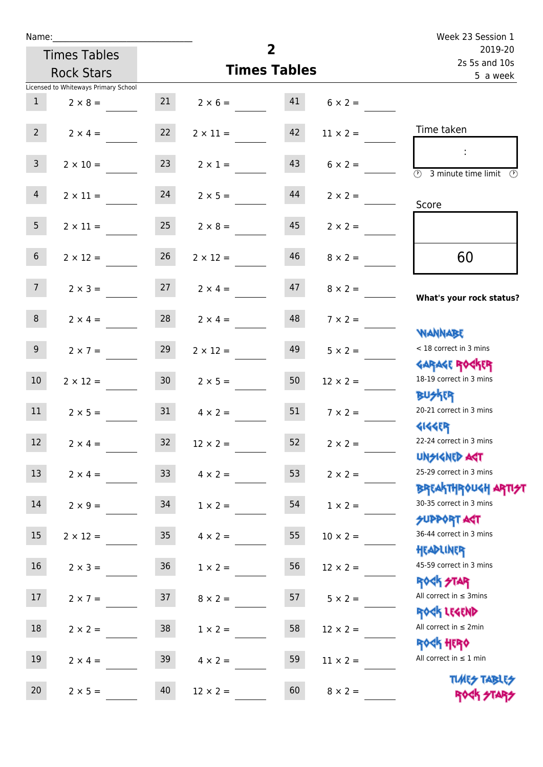| Name:           |                                      |                 |                      |                     |                 | Week 23 Session 1                                                    |
|-----------------|--------------------------------------|-----------------|----------------------|---------------------|-----------------|----------------------------------------------------------------------|
|                 | <b>Times Tables</b>                  |                 |                      | $\overline{2}$      | 2019-20         |                                                                      |
|                 | <b>Rock Stars</b>                    |                 |                      | <b>Times Tables</b> |                 | 2s 5s and 10s<br>5 a week                                            |
|                 | Licensed to Whiteways Primary School |                 |                      |                     |                 |                                                                      |
| 1               | $2 \times 8 =$                       |                 | $21 \t 2 \times 6 =$ | 41                  | $6 \times 2 =$  |                                                                      |
| $2^{\circ}$     | $2 \times 4 =$                       | 22              | $2 \times 11 =$      | 42                  | $11 \times 2 =$ | Time taken                                                           |
| $\mathbf{3}$    | $2 \times 10 =$                      | 23              | $2 \times 1 =$       | 43                  | $6 \times 2 =$  | $\sim 10$<br>$\overline{(\mathcal{V})}$<br>3 minute time limit<br>O) |
| $\overline{4}$  | $2 \times 11 =$                      | 24              | $2 \times 5 =$       | 44                  | $2 \times 2 =$  | Score                                                                |
| 5 <sub>1</sub>  | $2 \times 11 =$                      | 25              | $2 \times 8 =$       | 45                  | $2 \times 2 =$  |                                                                      |
| $6\overline{6}$ | $2 \times 12 =$                      | 26              | $2 \times 12 =$      | 46                  | $8 \times 2 =$  | 60                                                                   |
| 7 <sup>7</sup>  | $2 \times 3 =$                       |                 | $27 \t 2 \times 4 =$ | 47                  | $8 \times 2 =$  | What's your rock status?                                             |
| 8               | $2 \times 4 =$                       | 28              | $2 \times 4 =$       | 48                  | $7 \times 2 =$  | <b>NANNABE</b>                                                       |
| 9 <sub>o</sub>  | $2 \times 7 =$                       | 29              | $2 \times 12 =$      | 49                  | $5 \times 2 =$  | < 18 correct in 3 mins<br><b>GARAGE ROCKER</b>                       |
| 10 <sup>°</sup> | $2 \times 12 =$                      | 30              | $2 \times 5 =$       | 50                  | $12 \times 2 =$ | 18-19 correct in 3 mins<br><b>BUSKER</b>                             |
| 11              | $2 \times 5 =$                       | 31              | $4 \times 2 =$       | 51                  | $7 \times 2 =$  | 20-21 correct in 3 mins<br>41445                                     |
| $12\,$          | $2 \times 4 =$                       | 32              | $12 \times 2 =$      | 52                  | $2 \times 2 =$  | 22-24 correct in 3 mins<br><b>UNSIGNED AGT</b>                       |
| 13              | $2 \times 4 =$                       | 33 <sup>°</sup> | $4 \times 2 =$       | 53                  | $2 \times 2 =$  | 25-29 correct in 3 mins<br><b>BREAKTHROUGH ARTI<del>S</del>T</b>     |
| $14\,$          | $2 \times 9 =$                       | 34              | $1 \times 2 =$       | 54                  | $1 \times 2 =$  | 30-35 correct in 3 mins<br><b>SUPPORT AGT</b>                        |
| 15              | $2 \times 12 =$                      | 35 <sub>o</sub> | $4 \times 2 =$       | 55                  | $10 \times 2 =$ | 36-44 correct in 3 mins<br>HEADLINER                                 |
| 16              | $2 \times 3 =$                       | 36              | $1 \times 2 =$       | 56                  | $12 \times 2 =$ | 45-59 correct in 3 mins<br><b>ROCK STAR</b>                          |
| 17              | $2 \times 7 =$                       | 37              | $8 \times 2 =$       | 57                  | $5 \times 2 =$  | All correct in $\leq$ 3mins<br>ROCK LEGEND                           |
| 18              | $2 \times 2 =$                       | 38              | $1 \times 2 =$       | 58                  | $12 \times 2 =$ | All correct in $\leq 2$ min<br><b>ROCK HERO</b>                      |
| 19              | $2 \times 4 =$                       | 39              | $4 \times 2 =$       | 59                  | $11 \times 2 =$ | All correct in $\leq 1$ min                                          |
| 20              | $2 \times 5 =$                       | 40              | $12 \times 2 =$      | 60                  | $8 \times 2 =$  | <b>TUARS TABLES</b><br>ROCK STARS                                    |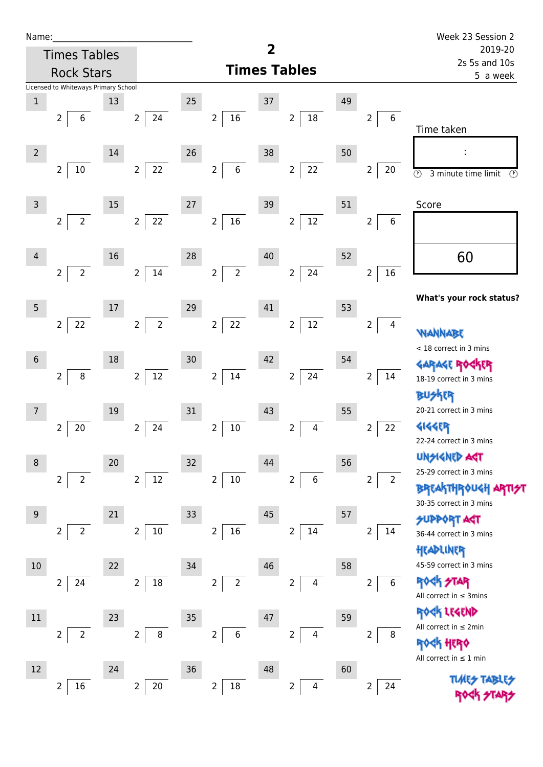| Name |  |  |  |
|------|--|--|--|
|      |  |  |  |

Times Tables Rock Stars

|                 | Licensed to Whiteways Primary School |    |                                  |      |                                    |    |                                           |    |                                  |                                                                          |
|-----------------|--------------------------------------|----|----------------------------------|------|------------------------------------|----|-------------------------------------------|----|----------------------------------|--------------------------------------------------------------------------|
| $\mathbf 1$     |                                      | 13 |                                  | 25   |                                    | 37 |                                           | 49 |                                  |                                                                          |
|                 | $\overline{2}$<br>6                  |    | 24<br>$\overline{2}$             |      | $16\,$<br>$\overline{a}$           |    | 18<br>$\overline{2}$                      |    | 6<br>$\overline{2}$              | Time taken                                                               |
| $\overline{2}$  |                                      | 14 |                                  | 26   |                                    | 38 |                                           | 50 |                                  |                                                                          |
|                 | $\overline{2}$<br>$10\,$             |    | 22<br>$\overline{2}$             |      | $\,6\,$<br>$\overline{a}$          |    | 22<br>$\overline{2}$                      |    | 2<br>20                          | $\circledcirc$<br>3 minute time limit<br>$\circledcirc$                  |
| 3               |                                      | 15 |                                  | 27   |                                    | 39 |                                           | 51 |                                  | Score                                                                    |
|                 | $\overline{2}$<br>$\overline{2}$     |    | 22<br>$\overline{2}$             |      | 16<br>$\overline{2}$               |    | 12<br>$\overline{2}$                      |    | 2<br>6                           |                                                                          |
| 4               |                                      | 16 |                                  | 28   |                                    | 40 |                                           | 52 |                                  | 60                                                                       |
|                 | $\overline{2}$<br>$\overline{2}$     |    | $\overline{2}$<br>$14\,$         |      | $\overline{2}$<br>$\overline{2}$   |    | 24<br>$\overline{2}$                      |    | 16<br>$\overline{2}$             |                                                                          |
| 5               |                                      | 17 |                                  | 29   |                                    | 41 |                                           | 53 |                                  | What's your rock status?                                                 |
|                 | 22<br>$\overline{2}$                 |    | $\overline{2}$<br>$\overline{2}$ |      | 22<br>$\overline{2}$               |    | 12<br>$\overline{2}$                      |    | 2<br>4                           | WANNABE                                                                  |
| $6\phantom{1}6$ |                                      | 18 |                                  | 30   |                                    | 42 |                                           | 54 |                                  | < 18 correct in 3 mins                                                   |
|                 | $\overline{2}$<br>$\, 8$             |    | $12\,$<br>$\overline{2}$         |      | $\overline{2}$<br>$14\,$           |    | 24<br>$\overline{2}$                      |    | 2<br>14                          | 18-19 correct in 3 mins<br><b>BUSKER</b>                                 |
|                 |                                      | 19 |                                  | 31   |                                    | 43 |                                           | 55 |                                  | 20-21 correct in 3 mins                                                  |
|                 | $\overline{2}$<br>20                 |    | 24<br>$\overline{2}$             |      | $\mathbf{2}$<br>$10\,$             |    | $\overline{2}$<br>$\overline{\mathbf{4}}$ |    | 22<br>$\overline{2}$             | <b>4144EP</b><br>22-24 correct in 3 mins                                 |
| 8               |                                      | 20 |                                  | 32   |                                    | 44 |                                           | 56 |                                  | <b>UNSIGNED AST</b>                                                      |
|                 | $\overline{2}$<br>2                  |    | $12\,$<br>$\overline{2}$         |      | $10\,$<br>$\overline{2}$           |    | $\,$ 6 $\,$<br>$\overline{2}$             |    | $\overline{2}$<br>$\overline{2}$ | 25-29 correct in 3 mins<br>BREAKTHRÓUGH ARTIA<br>30-35 correct in 3 mins |
| 9               |                                      | 21 |                                  | 33   |                                    | 45 |                                           | 57 |                                  | <b>SUPPORT ART</b>                                                       |
|                 | $\overline{2}$<br>$\overline{2}$     |    | $10\,$<br>$\overline{2}$         |      | $\overline{2}$<br>$16\,$           |    | $14\,$<br>$\overline{2}$                  |    | $\mathbf 2$<br>$14\,$            | 36-44 correct in 3 mins<br>HEADLINER                                     |
| 10              |                                      | 22 |                                  | 34   |                                    | 46 |                                           | 58 |                                  | 45-59 correct in 3 mins                                                  |
|                 | $\overline{2}$<br>24                 |    | 18<br>$\overline{2}$             |      | $\overline{2}$<br>$\overline{2}$   |    | $\overline{2}$<br>$\overline{4}$          |    | $\boldsymbol{6}$<br>$\mathbf 2$  | <b>ROCK STAR</b><br>All correct in $\leq$ 3mins                          |
| $11\,$          |                                      | 23 |                                  | 35   |                                    | 47 |                                           | 59 |                                  | ROCK LEGEND                                                              |
|                 | $\overline{2}$<br>$\overline{2}$     |    | $\, 8$<br>$\overline{2}$         |      | $\overline{2}$<br>$\boldsymbol{6}$ |    | $\overline{4}$<br>$\overline{2}$          |    | $\overline{2}$<br>8              | All correct in $\leq 2$ min<br><b>ROGK HERO</b>                          |
| 12              |                                      | 24 |                                  | $36$ |                                    | 48 |                                           | 60 |                                  | All correct in $\leq 1$ min                                              |
|                 | 16<br>$\overline{2}$                 |    | $\overline{2}$<br>$20\,$         |      | $\overline{2}$<br>$18\,$           |    | $\overline{\mathbf{4}}$<br>$\overline{2}$ |    | $\mathbf 2$<br>24                | <b>TIARS TABL</b>                                                        |

**Times Tables**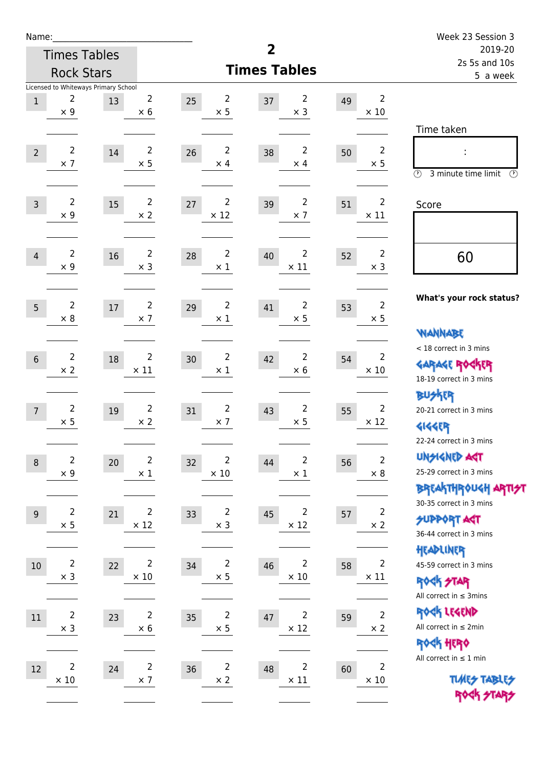| Name:          |                               |                                            |                               |                                     |                                     |    |                               | Week 23 Session 3                                                                  |
|----------------|-------------------------------|--------------------------------------------|-------------------------------|-------------------------------------|-------------------------------------|----|-------------------------------|------------------------------------------------------------------------------------|
|                |                               | <b>Times Tables</b>                        |                               |                                     | 2                                   |    |                               | 2019-20<br>2s 5s and 10s                                                           |
|                |                               | <b>Rock Stars</b>                          |                               |                                     | <b>Times Tables</b>                 |    |                               | 5 a week                                                                           |
| $1\,$          | 2<br>$\times$ 9               | Licensed to Whiteways Primary School<br>13 | 2<br>$\times$ 6               | 2<br>25<br>$\times$ 5               | 2<br>37<br>$\times$ 3               | 49 | $\overline{2}$<br>$\times$ 10 |                                                                                    |
| $\overline{2}$ | $\overline{2}$<br>$\times$ 7  | 14                                         | $\overline{2}$<br>$\times$ 5  | $\overline{2}$<br>26<br>$\times$ 4  | $\overline{2}$<br>38<br>$\times$ 4  | 50 | $\overline{2}$<br>$\times$ 5  | Time taken<br>$\circled{r}$<br>3 minute time limit<br>$\circled{r}$                |
| $\overline{3}$ | $\overline{2}$<br>$\times$ 9  | 15                                         | $\overline{2}$<br>$\times 2$  | 2<br>27<br>$\times$ 12              | $\overline{2}$<br>39<br>$\times$ 7  | 51 | $\overline{2}$<br>$\times$ 11 | Score                                                                              |
| $\overline{4}$ | $\overline{2}$<br>$\times$ 9  | 16                                         | $\overline{2}$<br>$\times$ 3  | $\overline{2}$<br>28<br>$\times$ 1  | $\overline{2}$<br>40<br>$\times$ 11 | 52 | $\overline{2}$<br>$\times$ 3  | 60                                                                                 |
| 5              | $\overline{2}$<br>$\times$ 8  | 17                                         | $\overline{2}$<br>$\times$ 7  | $\overline{2}$<br>29<br>$\times$ 1  | 2<br>41<br>$\times$ 5               | 53 | $\overline{2}$<br>$\times$ 5  | What's your rock status?<br><b>NANNABE</b>                                         |
| $6\phantom{1}$ | $\overline{2}$<br>$\times 2$  | 18                                         | $\overline{2}$<br>$\times$ 11 | $\overline{2}$<br>30<br>$\times$ 1  | 2<br>42<br>$\times 6$               | 54 | 2<br>$\times$ 10              | < 18 correct in 3 mins<br><b>GARAGE ROCKER</b><br>18-19 correct in 3 mins          |
| $\overline{7}$ | $\overline{2}$<br>$\times$ 5  | 19                                         | $\overline{2}$<br>$\times 2$  | $\overline{2}$<br>31<br>$\times$ 7  | 2<br>43<br>$\times$ 5               | 55 | $\overline{2}$<br>$\times$ 12 | <b>BUSKER</b><br>20-21 correct in 3 mins<br>外行<br>22-24 correct in 3 mins          |
| $\, 8$         | $\overline{2}$<br>$\times$ 9  | 20                                         | $\overline{2}$<br>$\times$ 1  | $\overline{2}$<br>32<br>$\times$ 10 | 2<br>44<br>$\times$ 1               | 56 | $\overline{2}$<br>$\times$ 8  | <b>UNSIGNED AGT</b><br>25-29 correct in 3 mins<br>BREAKTHRÓUGH ARTI <del>2</del> 1 |
| $9\,$          | $\mathbf 2$<br>$\times$ 5     | 21                                         | $\overline{2}$<br>$\times$ 12 | $\overline{2}$<br>33<br>$\times$ 3  | $\overline{2}$<br>45<br>$\times$ 12 | 57 | $\mathbf 2$<br>$\times$ 2     | 30-35 correct in 3 mins<br><b>SUPPORT ART</b><br>36-44 correct in 3 mins           |
| $10\,$         | $\overline{c}$<br>$\times$ 3  | 22                                         | $\overline{2}$<br>$\times$ 10 | $\overline{2}$<br>34<br>$\times$ 5  | $\overline{2}$<br>46<br>$\times$ 10 | 58 | $\overline{2}$<br>$\times$ 11 | HEADLINER<br>45-59 correct in 3 mins<br>ROCK STAR<br>All correct in $\leq$ 3mins   |
| $11\,$         | $\overline{2}$<br>$\times$ 3  | 23                                         | $\overline{2}$<br>$\times$ 6  | $\overline{c}$<br>35<br>$\times$ 5  | $\overline{c}$<br>47<br>$\times$ 12 | 59 | $\mathbf 2$<br>$\times 2$     | ROCK LEGEND<br>All correct in $\leq 2$ min<br>ROCK HERO                            |
| $12\,$         | $\overline{2}$<br>$\times$ 10 | 24                                         | $\overline{2}$<br>$\times$ 7  | $\overline{2}$<br>36<br>$\times$ 2  | $\overline{2}$<br>48<br>$\times$ 11 | 60 | $\overline{2}$<br>$\times$ 10 | All correct in $\leq 1$ min<br><b>TUARS TABLES</b><br>ROCK STARS                   |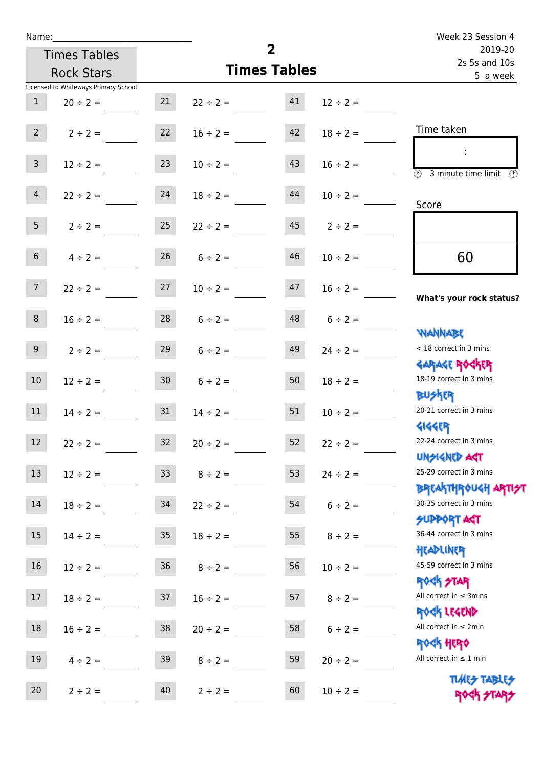| Name:           |                                      |                  |                     |                     |                   | Week 23 Session 4                                   |  |
|-----------------|--------------------------------------|------------------|---------------------|---------------------|-------------------|-----------------------------------------------------|--|
|                 | <b>Times Tables</b>                  |                  |                     | $\overline{2}$      |                   | 2019-20<br>2s 5s and 10s<br>5 a week                |  |
|                 | <b>Rock Stars</b>                    |                  |                     | <b>Times Tables</b> |                   |                                                     |  |
|                 | Licensed to Whiteways Primary School |                  |                     |                     |                   |                                                     |  |
| $\mathbf{1}$    | $20 \div 2 =$                        | 21               | $22 \div 2 =$       | 41                  | $12 \div 2 =$     |                                                     |  |
| $2^{\circ}$     | $2 \div 2 =$                         |                  | $22 \t 16 \div 2 =$ | 42                  | $18 \div 2 =$     | Time taken                                          |  |
| 3 <sup>7</sup>  | $12 \div 2 =$                        | 23               | $10 \div 2 =$       | 43                  | $16 \div 2 =$     | $\circled{2}$ 3 minute time limit $\circled{2}$     |  |
| $\overline{4}$  | $22 \div 2 =$                        | 24               | $18 \div 2 =$       | 44                  | $10 \div 2 =$     | Score                                               |  |
| 5 <sub>1</sub>  | $2 \div 2 = 25$                      |                  | $22 \div 2 =$       |                     | $45$ $2 \div 2 =$ |                                                     |  |
| 6 <sup>1</sup>  | $4 \div 2 =$                         | 26               | $6 \div 2 =$        | 46                  | $10 \div 2 =$     | 60                                                  |  |
| 7 <sup>7</sup>  | $22 \div 2 =$                        | 27               | $10 \div 2 =$       | 47                  | $16 \div 2 =$     | What's your rock status?                            |  |
| 8               | $16 \div 2 =$                        |                  | $28$ $6 \div 2 =$   |                     | $48$ $6 \div 2 =$ | <b>NANNABE</b>                                      |  |
| 9 <sub>o</sub>  | $2 \div 2 =$                         | 29               | $6 \div 2 =$        | 49                  | $24 \div 2 =$     | < 18 correct in 3 mins<br><b>GARAGE ROCKER</b>      |  |
| 10 <sup>°</sup> | $12 \div 2 =$                        | 30               | $6 \div 2 =$        | 50                  | $18 \div 2 =$     | 18-19 correct in 3 mins<br><b>BUSKER</b>            |  |
| 11              | $14 \div 2 = 31$                     |                  | $14 \div 2 =$       | 51                  | $10 \div 2 =$     | 20-21 correct in 3 mins<br><b>4144ER</b>            |  |
| 12              | $22 \div 2 =$                        | 32               | $20 \div 2 =$       | 52                  | $22 \div 2 =$     | 22-24 correct in 3 mins<br><b>UNSIGNED AST</b>      |  |
| 13              | $12 \div 2 =$                        | 33               | $8 \div 2 =$        | 53                  | $24 \div 2 =$     | 25-29 correct in 3 mins<br><b>BREAKTHROUGH ARTH</b> |  |
| 14              | $18 \div 2 =$                        | 34               | $22 \div 2 =$       | 54                  | $6 \div 2 =$      | 30-35 correct in 3 mins<br><b>SUPPORT AGT</b>       |  |
| 15              | $14 \div 2 =$                        | $35\phantom{.0}$ | $18 \div 2 =$       | 55                  | $8 \div 2 =$      | 36-44 correct in 3 mins<br>HEADLINER                |  |
| 16              | $12 \div 2 =$                        | $36\,$           | $8 \div 2 =$        | 56                  | $10 \div 2 =$     | 45-59 correct in 3 mins<br><b>ROCK STAR</b>         |  |
| 17              | $18 \div 2 =$                        | 37               | $16 \div 2 =$       | 57                  | $8 \div 2 =$      | All correct in $\leq$ 3mins<br>ROCK LEGEND          |  |
| 18              | $16 \div 2 =$                        | 38               | $20 \div 2 =$       | 58                  | $6 \div 2 =$      | All correct in $\leq 2$ min<br><b>ROCK HERO</b>     |  |
| 19              | $4 \div 2 =$                         | 39               | $8 \div 2 =$        | 59                  | $20 \div 2 =$     | All correct in $\leq 1$ min                         |  |
| 20              | $2 \div 2 =$                         | 40               | $2 \div 2 =$        | 60                  | $10 \div 2 =$     | <b>TUARS TABLES</b><br>ROCK STARS                   |  |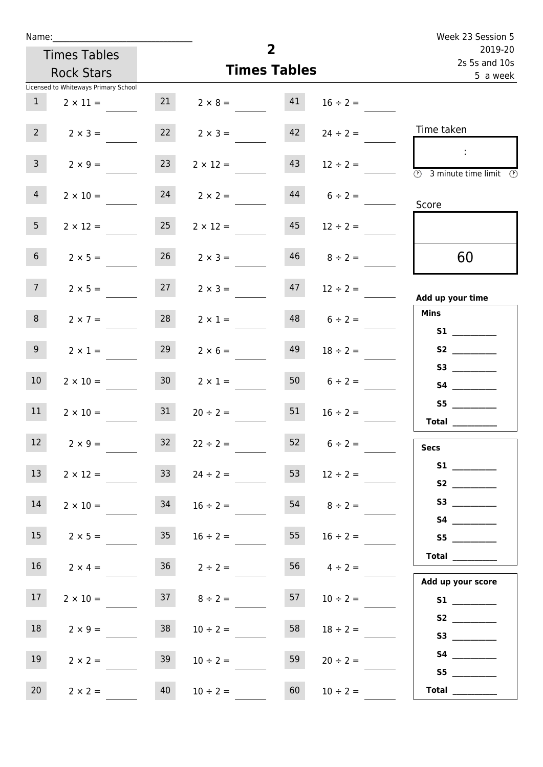| Week 23 Session 5                                     |                 |                     |                    | Name:           |                                      |                 |  |  |  |  |
|-------------------------------------------------------|-----------------|---------------------|--------------------|-----------------|--------------------------------------|-----------------|--|--|--|--|
| 2019-20<br>2s 5s and 10s                              |                 | $\overline{2}$      |                    |                 | <b>Times Tables</b>                  |                 |  |  |  |  |
| 5 a week                                              |                 | <b>Times Tables</b> |                    |                 | <b>Rock Stars</b>                    |                 |  |  |  |  |
|                                                       |                 |                     |                    |                 | Licensed to Whiteways Primary School |                 |  |  |  |  |
|                                                       | $16 \div 2 =$   | 41                  | $2 \times 8 =$     | 21              | $2 \times 11 =$                      | $\mathbf{1}$    |  |  |  |  |
| Time taken                                            | $24 \div 2 =$   | 42                  | $2 \times 3 =$     | 22              | $2 \times 3 =$                       | $2^{\circ}$     |  |  |  |  |
| ÷.<br>$\circled{r}$<br>3 minute time limit<br>$\odot$ | $12 \div 2 =$   | 43                  | $2 \times 12 =$    | 23              | $2 \times 9 =$                       | 3 <sup>7</sup>  |  |  |  |  |
| Score                                                 | $6 \div 2 =$    | 44                  | $2 \times 2 =$     | 24              | $2 \times 10 =$                      | $\overline{4}$  |  |  |  |  |
|                                                       | $12 \div 2 =$   | 45                  | $2 \times 12 =$    | 25              | $2 \times 12 =$                      | 5 <sub>1</sub>  |  |  |  |  |
| 60                                                    | $8 \div 2 =$    | 46                  | $2 \times 3 =$     | 26              | $2 \times 5 =$                       | 6 <sup>1</sup>  |  |  |  |  |
| Add up your time                                      | $12 \div 2 =$   | 47                  | $2 \times 3 =$     | 27              | $2 \times 5 =$                       | 7 <sup>7</sup>  |  |  |  |  |
| <b>Mins</b>                                           | $6 \div 2 =$    | 48                  | $2 \times 1 =$     | 28              | $2 \times 7 =$                       | 8               |  |  |  |  |
| S2                                                    | $18 \div 2 =$   | 49                  | $2 \times 6 =$     | 29              | $2 \times 1 =$                       | 9               |  |  |  |  |
|                                                       | $6 \div 2 =$    | 50                  | $2 \times 1 =$     | 30 <sup>°</sup> | $2 \times 10 =$                      | 10 <sup>°</sup> |  |  |  |  |
| S5<br><b>Total</b>                                    | $16 \div 2 =$   | 51                  | $20 \div 2 =$      | 31              | $2 \times 10 =$                      | 11              |  |  |  |  |
| <b>Secs</b>                                           | $6 \div 2 =$    | 52                  | $22 \div 2 =$      | 32              | $2 \times 9 =$                       | 12              |  |  |  |  |
|                                                       | $12 \div 2 =$   | 53                  | $24 \div 2 =$      | 33 <sup>°</sup> | $2 \times 12 =$                      | 13              |  |  |  |  |
|                                                       | $8 \div 2 =$    | 54                  | $16 \div 2 =$      | 34              | $2 \times 10 =$                      | 14              |  |  |  |  |
| S5                                                    | $16 \div 2 =$   | 55                  | $16 \div 2 =$      | 35              | $2 \times 5 =$                       | 15              |  |  |  |  |
| Total<br>Add up your score                            | 56 $4 \div 2 =$ |                     | $36 \t 2 \div 2 =$ |                 | $2 \times 4 =$                       | 16              |  |  |  |  |
|                                                       | $10 \div 2 =$   | 57                  | $37 \t 8 \div 2 =$ |                 | $2 \times 10 =$                      | 17 <sub>1</sub> |  |  |  |  |
|                                                       | $18 \div 2 =$   | 58                  | $10 \div 2 =$      | 38              | $2 \times 9 =$                       | 18              |  |  |  |  |
| S5                                                    | $20 \div 2 =$   | 59                  | $10 \div 2 =$      | 39              | $2 \times 2 =$                       | 19              |  |  |  |  |
| Total $\qquad$                                        | $10 \div 2 =$   | 60                  | $10 \div 2 =$      | 40              | $2 \times 2 =$                       | 20 <sub>2</sub> |  |  |  |  |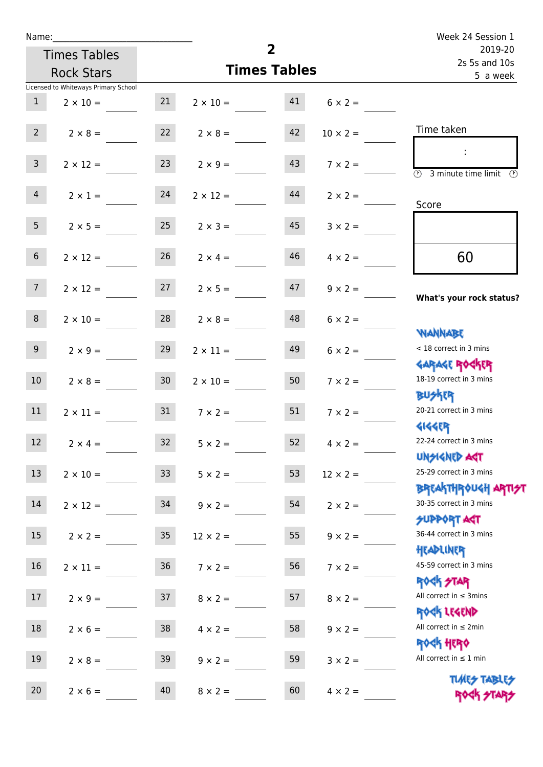| Name:           |                                      |                 |                                   | Week 24 Session 1        |                 |                                                                  |
|-----------------|--------------------------------------|-----------------|-----------------------------------|--------------------------|-----------------|------------------------------------------------------------------|
|                 | <b>Times Tables</b>                  |                 | $\overline{2}$                    | 2019-20<br>2s 5s and 10s |                 |                                                                  |
|                 | <b>Rock Stars</b>                    |                 |                                   | <b>Times Tables</b>      |                 | 5 a week                                                         |
|                 | Licensed to Whiteways Primary School |                 |                                   |                          |                 |                                                                  |
| 1               | $2 \times 10 =$                      | 21              | $2 \times 10 = 41$                |                          | $6 \times 2 =$  |                                                                  |
| $2^{\circ}$     | $2 \times 8 =$                       | 22              | $2 \times 8 =$                    | 42                       | $10 \times 2 =$ | Time taken                                                       |
| 3 <sup>7</sup>  | $2 \times 12 =$                      | 23              | $2 \times 9 =$                    | 43                       | $7 \times 2 =$  | $\overline{\textcircled{2}}$ 3 minute time limit<br>O)           |
| $\overline{4}$  | $2 \times 1 = 24$                    |                 | $2 \times 12 =$                   | 44                       | $2 \times 2 =$  | Score                                                            |
| 5 <sub>5</sub>  | $2 \times 5 =$                       | 25              | $2 \times 3 =$                    | 45                       | $3 \times 2 =$  |                                                                  |
| 6 <sup>1</sup>  | $2 \times 12 =$                      | 26              | $2 \times 4 =$                    | 46                       | $4 \times 2 =$  | 60                                                               |
| 7               |                                      |                 | $2 \times 12 = 27$ $2 \times 5 =$ | 47                       | $9 \times 2 =$  | What's your rock status?                                         |
| 8               | $2 \times 10 =$                      | 28              | $2 \times 8 =$                    | 48                       | $6 \times 2 =$  | <b>WANNABE</b>                                                   |
| 9 <sub>o</sub>  | $2 \times 9 =$                       | 29              | $2 \times 11 =$                   | 49                       | $6 \times 2 =$  | < 18 correct in 3 mins<br><b>GARAGE ROCKER</b>                   |
| 10 <sup>°</sup> | $2 \times 8 = 30$                    |                 | $2 \times 10 =$                   | 50 <sup>7</sup>          | $7 \times 2 =$  | 18-19 correct in 3 mins<br><b>BUSKER</b>                         |
| 11              | $2 \times 11 =$                      | 31              | $7 \times 2 =$                    | 51                       | $7 \times 2 =$  | 20-21 correct in 3 mins<br><b>4144ER</b>                         |
| 12              | $2 \times 4 =$                       | 32              | $5 \times 2 =$                    | 52                       | $4 \times 2 =$  | 22-24 correct in 3 mins<br><b>UNSIGNED AGT</b>                   |
| 13              | $2 \times 10 =$                      | 33 <sup>°</sup> | $5 \times 2 =$                    | 53                       | $12 \times 2 =$ | 25-29 correct in 3 mins<br><b>BREAKTHROUGH ARTI<del>S</del>T</b> |
| 14              | $2 \times 12 =$                      | 34              | $9 \times 2 =$                    | 54                       | $2 \times 2 =$  | 30-35 correct in 3 mins<br><b>SUPPORT AGT</b>                    |
| 15              | $2 \times 2 =$                       | 35              | $12 \times 2 =$                   | 55                       | $9 \times 2 =$  | 36-44 correct in 3 mins<br>HEADLINER                             |
| 16              | $2 \times 11 =$                      | $36\,$          | $7 \times 2 =$                    | 56                       | $7 \times 2 =$  | 45-59 correct in 3 mins<br>ROCK STAR                             |
| 17              | $2 \times 9 =$                       | 37              | $8 \times 2 =$                    | 57                       | $8 \times 2 =$  | All correct in $\leq$ 3mins<br>ROCK LEGEND                       |
| 18              | $2 \times 6 =$                       | 38              | $4 \times 2 =$                    | 58                       | $9 \times 2 =$  | All correct in $\leq 2$ min                                      |
| 19              | $2 \times 8 =$                       | 39              | $9 \times 2 =$                    | 59                       | $3 \times 2 =$  | <b>ROCK HERO</b><br>All correct in $\leq 1$ min                  |
| 20              | $2 \times 6 =$                       | 40              | $8 \times 2 =$                    | 60                       | $4 \times 2 =$  | <b>TUARS TABLES</b><br>ROCK STARS                                |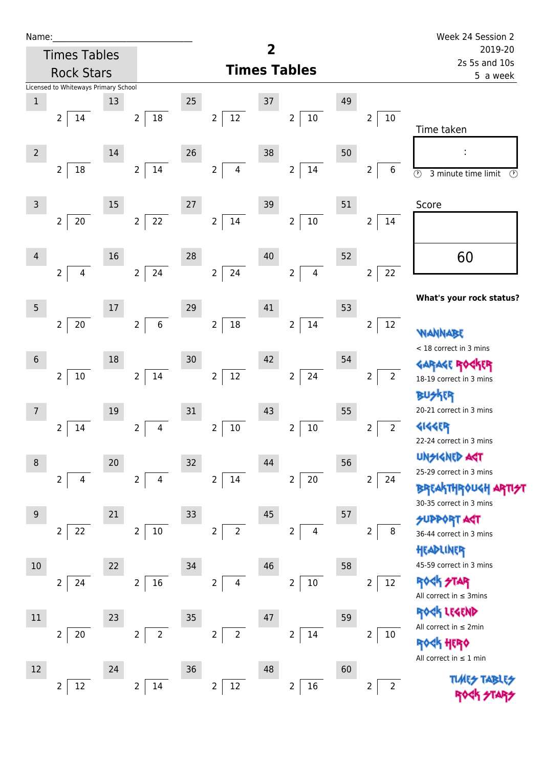| Name:           |                                      |    |                                  |      |                                  |        |                                           |    |                                   | Week 24 Session 2                                                      |  |
|-----------------|--------------------------------------|----|----------------------------------|------|----------------------------------|--------|-------------------------------------------|----|-----------------------------------|------------------------------------------------------------------------|--|
|                 | <b>Times Tables</b>                  |    |                                  |      |                                  | 2      |                                           |    |                                   | 2019-20<br>2s 5s and 10s                                               |  |
|                 | <b>Rock Stars</b>                    |    |                                  |      |                                  |        | <b>Times Tables</b>                       |    | 5 a week                          |                                                                        |  |
|                 | Licensed to Whiteways Primary School |    |                                  |      |                                  |        |                                           |    |                                   |                                                                        |  |
| $1\,$           |                                      | 13 |                                  | 25   |                                  | 37     |                                           | 49 |                                   |                                                                        |  |
|                 | $\overline{2}$<br>14                 |    | 18<br>$\overline{2}$             |      | $\overline{2}$<br>12             |        | $\overline{2}$<br>$10\,$                  |    | $10\,$<br>$\overline{2}$          | Time taken                                                             |  |
| $\overline{2}$  |                                      | 14 |                                  | 26   |                                  | 38     |                                           | 50 |                                   |                                                                        |  |
|                 | $18\,$<br>$\overline{2}$             |    | 14<br>2 <sup>1</sup>             |      | $\overline{2}$<br>$\overline{4}$ |        | $\overline{2}$<br>14                      |    | $\overline{2}$<br>6               | $\overline{\circlearrowright}$<br>3 minute time limit<br>$\circled{r}$ |  |
| $\overline{3}$  |                                      | 15 |                                  | $27$ |                                  | 39     |                                           | 51 |                                   | Score                                                                  |  |
|                 | $20\,$<br>$\overline{2}$             |    | $22$<br>2 <sup>1</sup>           |      | $\overline{2}$<br>$14\,$         |        | $10\,$<br>$\overline{2}$                  |    | $\mathbf 2$<br>14                 |                                                                        |  |
| 4               |                                      | 16 |                                  | 28   |                                  | $40\,$ |                                           | 52 |                                   | 60                                                                     |  |
|                 | $\overline{4}$<br>$\overline{2}$     |    | 24<br>$\overline{2}$             |      | $\overline{2}$<br>24             |        | $\overline{2}$<br>$\overline{\mathbf{4}}$ |    | 22<br>$\mathbf 2$                 |                                                                        |  |
| $\overline{5}$  |                                      | 17 |                                  | 29   |                                  | 41     |                                           | 53 |                                   | What's your rock status?                                               |  |
|                 | 20<br>$\overline{2}$                 |    | $\,$ 6 $\,$<br>$\overline{2}$    |      | $18\,$<br>$\overline{2}$         |        | 14<br>$\overline{2}$                      |    | $\overline{2}$<br>12              | <b>ANNAW</b>                                                           |  |
| $6\phantom{1}6$ |                                      | 18 |                                  | 30   |                                  | 42     |                                           | 54 |                                   | < 18 correct in 3 mins                                                 |  |
|                 | $10\,$<br>$\overline{2}$             |    | 14<br>2 <sup>1</sup>             |      | $\overline{2}$<br>$12\,$         |        | 24<br>$\overline{2}$                      |    | $\overline{2}$<br>$2\overline{ }$ | 18-19 correct in 3 mins                                                |  |
| $\overline{7}$  |                                      | 19 |                                  | 31   |                                  | 43     |                                           | 55 |                                   | <b>BUSKER</b><br>20-21 correct in 3 mins                               |  |
|                 | 14<br>2                              |    | $\overline{2}$<br>4              |      | $\overline{2}$<br>$10\,$         |        | $10\,$<br>2                               |    | 2 <sup>1</sup><br>$\overline{2}$  | <b>4144EP</b><br>22-24 correct in 3 mins                               |  |
| 8               |                                      | 20 |                                  | 32   |                                  | 44     |                                           | 56 |                                   | <b>UNGIGNED ART</b>                                                    |  |
|                 | $\overline{2}$<br>4                  |    | $\overline{2}$<br>4              |      | $\overline{2}$<br>14             |        | $20\,$<br>$\overline{2}$                  |    | 2<br>24                           | 25-29 correct in 3 mins                                                |  |
|                 |                                      |    |                                  |      |                                  |        |                                           |    |                                   | <b>BREAKTHROUGH</b><br>30-35 correct in 3 mins                         |  |
| 9               |                                      | 21 |                                  | 33   |                                  | 45     |                                           | 57 |                                   | <b>SUPPORT AGT</b>                                                     |  |
|                 | 22<br>2                              |    | $10\,$<br>$\overline{2}$         |      | $\overline{2}$<br>$\overline{2}$ |        | 2<br>4                                    |    | 2<br>8                            | 36-44 correct in 3 mins<br>HEADLINER                                   |  |
| 10              |                                      | 22 |                                  | 34   |                                  | 46     |                                           | 58 |                                   | 45-59 correct in 3 mins                                                |  |
|                 | 24<br>$\overline{2}$                 |    | 16<br>$\overline{2}$             |      | $\overline{2}$<br>4              |        | $10\,$<br>$\overline{2}$                  |    | $\overline{2}$<br>12              | <b>ROCK STAR</b><br>All correct in $\leq$ 3mins                        |  |
| $11\,$          |                                      | 23 |                                  | 35   |                                  | 47     |                                           | 59 |                                   | ROCK LEGEND                                                            |  |
|                 | 20<br>$\overline{2}$                 |    | $\overline{2}$<br>$\overline{2}$ |      | $\overline{2}$<br>$\overline{2}$ |        | 14<br>$\overline{2}$                      |    | 2<br>$10\,$                       | All correct in $\leq 2$ min<br><b>ROCK HERO</b>                        |  |
| 12              |                                      | 24 |                                  | 36   |                                  | 48     |                                           | 60 |                                   | All correct in $\leq 1$ min                                            |  |
|                 | $12\,$<br>$\overline{2}$             |    | $\overline{2}$<br>14             |      | $\overline{2}$<br>$12\,$         |        | $16\,$<br>$\overline{2}$                  |    | 2<br>$\overline{2}$               |                                                                        |  |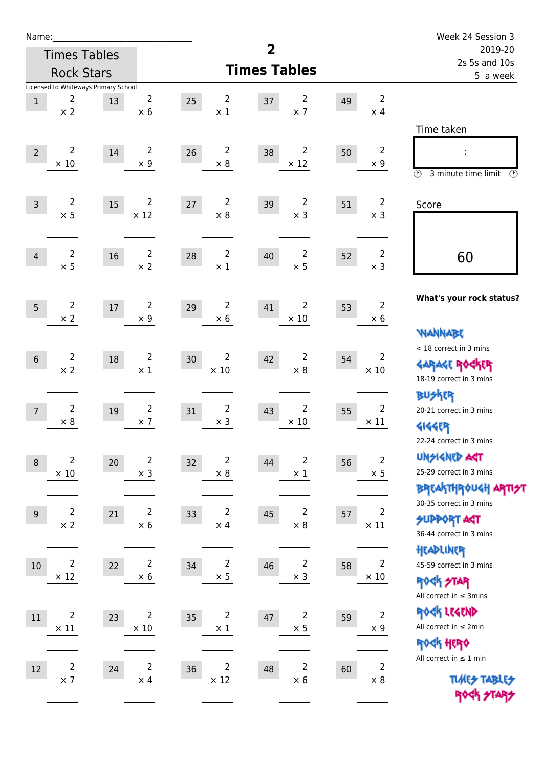| Name:          |                               |                                      |                               |                                     |                                     |                          |                              | Week 24 Session 3                                                |
|----------------|-------------------------------|--------------------------------------|-------------------------------|-------------------------------------|-------------------------------------|--------------------------|------------------------------|------------------------------------------------------------------|
|                |                               | <b>Times Tables</b>                  |                               |                                     | $\overline{\mathbf{2}}$             | 2019-20<br>2s 5s and 10s |                              |                                                                  |
|                |                               | <b>Rock Stars</b>                    |                               |                                     | <b>Times Tables</b>                 |                          |                              | 5 a week                                                         |
|                |                               | Licensed to Whiteways Primary School |                               |                                     |                                     |                          |                              |                                                                  |
| $\mathbf 1$    | 2<br>$\times$ 2               | 13                                   | 2<br>$\times$ 6               | $\overline{2}$<br>25<br>$\times$ 1  | 2<br>37<br>$\times$ 7               | 49                       | 2<br>$\times$ 4              |                                                                  |
|                |                               |                                      |                               |                                     |                                     |                          |                              | Time taken                                                       |
|                |                               |                                      |                               |                                     |                                     |                          |                              |                                                                  |
| $\overline{2}$ | $\overline{2}$<br>$\times$ 10 | 14                                   | $\overline{2}$<br>$\times$ 9  | $\overline{2}$<br>26<br>$\times 8$  | $\overline{2}$<br>38<br>$\times$ 12 | 50                       | $\overline{2}$<br>$\times$ 9 |                                                                  |
|                |                               |                                      |                               |                                     |                                     |                          |                              | $\circled{r}$<br>3 minute time limit<br>$\circled{r}$            |
|                |                               |                                      |                               |                                     |                                     |                          |                              |                                                                  |
| $\overline{3}$ | $\overline{2}$<br>$\times$ 5  | 15                                   | $\overline{2}$<br>$\times$ 12 | $\overline{2}$<br>27<br>$\times 8$  | $\overline{2}$<br>39<br>$\times$ 3  | 51                       | $\overline{2}$<br>$\times$ 3 | Score                                                            |
|                |                               |                                      |                               |                                     |                                     |                          |                              |                                                                  |
|                |                               |                                      |                               |                                     |                                     |                          |                              |                                                                  |
| $\overline{4}$ | $\overline{2}$<br>$\times$ 5  | 16                                   | $\overline{2}$<br>$\times$ 2  | 2<br>28<br>$\times$ 1               | $\overline{2}$<br>40<br>$\times$ 5  | 52                       | $\overline{2}$<br>$\times$ 3 | 60                                                               |
|                |                               |                                      |                               |                                     |                                     |                          |                              |                                                                  |
|                |                               |                                      |                               |                                     |                                     |                          |                              | What's your rock status?                                         |
| 5              | $\overline{2}$<br>$\times 2$  | $17\,$                               | $\overline{2}$<br>$\times$ 9  | $\overline{2}$<br>29<br>$\times$ 6  | 2<br>41<br>$\times$ 10              | 53                       | $\overline{2}$<br>$\times 6$ |                                                                  |
|                |                               |                                      |                               |                                     |                                     |                          |                              | <b>VIANNABE</b>                                                  |
|                |                               |                                      |                               |                                     |                                     |                          |                              | < 18 correct in 3 mins                                           |
| $6\phantom{1}$ | $\overline{2}$                | 18                                   | $\overline{2}$                | $\overline{2}$<br>30<br>$\times$ 10 | $\overline{2}$<br>42<br>$\times$ 8  | 54                       | $\overline{2}$               | <b>GARAGE ROCKER</b>                                             |
|                | $\times$ 2                    |                                      | $\times$ 1                    |                                     |                                     |                          | $\times$ 10                  | 18-19 correct in 3 mins                                          |
|                |                               |                                      |                               |                                     |                                     |                          |                              | <b>BUSKER</b>                                                    |
| $\overline{7}$ | $\overline{2}$                | 19                                   | $\overline{2}$                | $\overline{2}$<br>31                | $\overline{2}$<br>43                | 55                       | $\overline{2}$               | 20-21 correct in 3 mins                                          |
|                | $\times$ 8                    |                                      | $\times$ 7                    | $\times$ 3                          | $\times$ 10                         |                          | $\times$ 11                  | <b>4144EP</b>                                                    |
|                |                               |                                      |                               |                                     |                                     |                          |                              | 22-24 correct in 3 mins                                          |
| $\,8\,$        | $\overline{2}$                | 20                                   | $\overline{2}$                | $\overline{2}$<br>32                | $\overline{2}$<br>44                | 56                       | $\overline{c}$               | <b>UNSIGNED AGT</b>                                              |
|                | $\times$ 10                   |                                      | $\times$ 3                    | $\times$ 8                          | $\times$ 1                          |                          | $\times$ 5                   | 25-29 correct in 3 mins                                          |
|                |                               |                                      |                               |                                     |                                     |                          |                              | <b>BREAKTHROUGH ARTI<del>S</del>T</b><br>30-35 correct in 3 mins |
| 9              | $\overline{2}$                | 21                                   | $\overline{2}$                | 2<br>33                             | 2<br>45                             | 57                       | $\overline{2}$               | <b>SUPPORT ART</b>                                               |
|                | $\times$ 2                    |                                      | $\times$ 6                    | $\times$ 4                          | $\times$ 8                          |                          | $\times$ 11                  | 36-44 correct in 3 mins                                          |
|                |                               |                                      |                               |                                     |                                     |                          |                              | HEADLINER                                                        |
| $10\,$         | $\overline{2}$                | 22                                   | $\overline{2}$                | $\overline{c}$<br>34                | $\overline{c}$<br>46                | 58                       | $\overline{2}$               | 45-59 correct in 3 mins                                          |
|                | $\times$ 12                   |                                      | $\times$ 6                    | $\times$ 5                          | $\times$ 3                          |                          | $\times$ 10                  | ROCK STAR                                                        |
|                |                               |                                      |                               |                                     |                                     |                          |                              | All correct in $\leq$ 3mins                                      |
| 11             | $\overline{2}$                | 23                                   | $\overline{2}$                | $\mathbf 2$<br>35                   | $\mathbf 2$<br>47                   | 59                       | $\mathbf 2$                  | ROCK LEGEND                                                      |
|                | $\times$ 11                   |                                      | $\times$ 10                   | $\times$ 1                          | $\times$ 5                          |                          | $\times$ 9                   | All correct in $\leq 2$ min                                      |
|                |                               |                                      |                               |                                     |                                     |                          |                              | ROCK HERO                                                        |
| 12             | $\overline{2}$                | 24                                   | $\mathbf 2$                   | $\overline{2}$<br>36                | 2<br>48                             | 60                       | $\overline{2}$               | All correct in $\leq 1$ min                                      |
|                | $\times$ 7                    |                                      | $\times$ 4                    | $\times$ 12                         | $\times$ 6                          |                          | $\times 8$                   | <b>TUARS TABLES</b>                                              |
|                |                               |                                      |                               |                                     |                                     |                          |                              | ROCK STARS                                                       |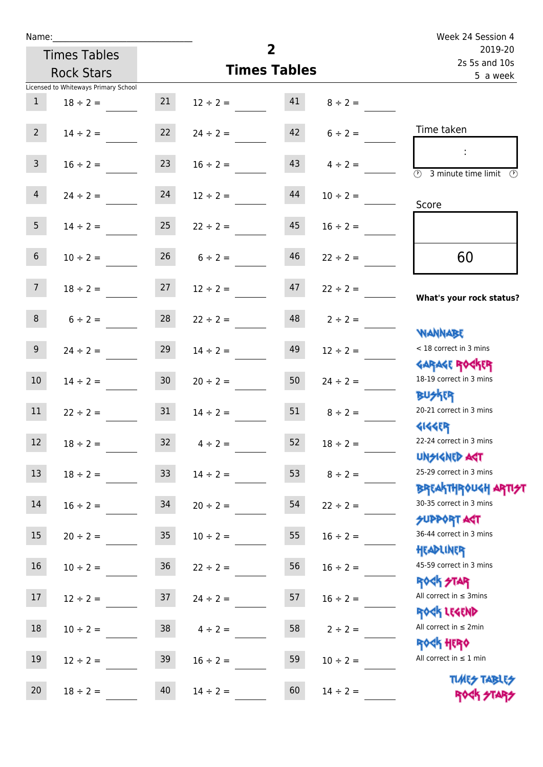| Name:           |                                      |                 | Week 24 Session 4 |                     |               |                                                             |  |
|-----------------|--------------------------------------|-----------------|-------------------|---------------------|---------------|-------------------------------------------------------------|--|
|                 | <b>Times Tables</b>                  |                 |                   | $\overline{2}$      |               | 2019-20<br>2s 5s and 10s<br>5 a week                        |  |
|                 | <b>Rock Stars</b>                    |                 |                   | <b>Times Tables</b> |               |                                                             |  |
|                 | Licensed to Whiteways Primary School |                 |                   |                     |               |                                                             |  |
| $\mathbf{1}$    | $18 \div 2 =$                        | 21              | $12 \div 2 =$     | 41                  | $8 \div 2 =$  |                                                             |  |
| $2^{\circ}$     | $14 \div 2 =$                        | 22              | $24 \div 2 =$     | 42                  | $6 \div 2 =$  | Time taken                                                  |  |
| 3 <sup>7</sup>  | $16 \div 2 =$                        | 23              | $16 \div 2 =$     | 43                  | $4 \div 2 =$  | $\overline{(\mathcal{V})}$<br>3 minute time limit<br>O)     |  |
| 4               | $24 \div 2 =$                        | 24              | $12 \div 2 =$     | 44                  | $10 \div 2 =$ | Score                                                       |  |
| 5 <sub>1</sub>  | $14 \div 2 =$                        | 25              | $22 \div 2 =$     | 45                  | $16 \div 2 =$ |                                                             |  |
| 6 <sup>1</sup>  | $10 \div 2 =$                        | 26              | $6 \div 2 =$      | 46                  | $22 \div 2 =$ | 60                                                          |  |
| 7 <sup>7</sup>  | $18 \div 2 =$                        | 27              | $12 \div 2 =$     | 47                  | $22 \div 2 =$ | What's your rock status?                                    |  |
| 8               | $6 \div 2 =$                         | 28              | $22 \div 2 =$     | 48                  | $2 \div 2 =$  | <b>NANNABE</b>                                              |  |
| 9 <sub>o</sub>  | $24 \div 2 =$                        | 29              | $14 \div 2 =$     | 49                  | $12 \div 2 =$ | < 18 correct in 3 mins<br><b>GARAGE ROCKER</b>              |  |
| 10 <sup>°</sup> | $14 \div 2 =$                        | 30 <sub>o</sub> | $20 \div 2 =$     | 50                  | $24 \div 2 =$ | 18-19 correct in 3 mins<br><b>BUSKER</b>                    |  |
| 11              | $22 \div 2 =$                        | 31              | $14 \div 2 =$     | 51                  | $8 \div 2 =$  | 20-21 correct in 3 mins<br><b>4144EP</b>                    |  |
| 12              | $18 \div 2 =$                        | 32              | $4 \div 2 =$      | 52                  | $18 \div 2 =$ | 22-24 correct in 3 mins<br><b>UNSIGNED AGT</b>              |  |
| 13              | $18 \div 2 =$                        | 33 <sup>°</sup> | $14 \div 2 =$     | 53                  | $8 \div 2 =$  | 25-29 correct in 3 mins<br>BREAKTHRÓUGH ARTI <del>2</del> 1 |  |
| 14              | $16 \div 2 =$                        | 34              | $20 \div 2 =$     | 54                  | $22 \div 2 =$ | 30-35 correct in 3 mins<br><b>SUPPORT AGT</b>               |  |
| 15              | $20 \div 2 =$                        | 35 <sub>2</sub> | $10 \div 2 =$     | 55                  | $16 \div 2 =$ | 36-44 correct in 3 mins<br>HEADLINER                        |  |
| 16              | $10 \div 2 =$                        | $36\,$          | $22 \div 2 =$     | 56                  | $16 \div 2 =$ | 45-59 correct in 3 mins<br>ROCK STAR                        |  |
| 17              | $12 \div 2 =$                        | 37              | $24 \div 2 =$     | 57                  | $16 \div 2 =$ | All correct in $\leq$ 3mins<br>ROCK LEGEND                  |  |
| $18\,$          | $10 \div 2 =$                        | 38              | $4 \div 2 =$      | 58                  | $2 \div 2 =$  | All correct in $\leq 2$ min<br>ROCK HERO                    |  |
| 19              | $12 \div 2 =$                        | 39              | $16 \div 2 =$     | 59                  | $10 \div 2 =$ | All correct in $\leq 1$ min                                 |  |
| 20              | $18 \div 2 =$                        | 40              | $14 \div 2 =$     | 60                  | $14 \div 2 =$ | <b>TUARS TABLES</b><br>ROCK STARS                           |  |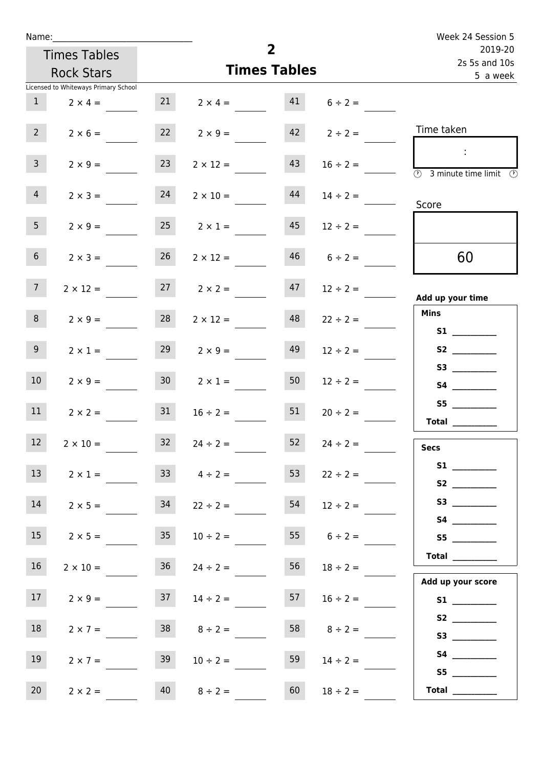| Name:                                |                 |                      |                          |                   | Week 24 Session 5                                                          |
|--------------------------------------|-----------------|----------------------|--------------------------|-------------------|----------------------------------------------------------------------------|
| <b>Times Tables</b>                  |                 | $\overline{2}$       | 2019-20<br>2s 5s and 10s |                   |                                                                            |
| <b>Rock Stars</b>                    |                 | <b>Times Tables</b>  |                          | 5 a week          |                                                                            |
| Licensed to Whiteways Primary School |                 |                      |                          |                   |                                                                            |
| 1<br>$2 \times 4 =$                  | 21              | $2 \times 4 =$       | 41                       | $6 \div 2 =$      |                                                                            |
| $2^{\circ}$<br>$2 \times 6 =$        |                 | $22 \t 2 \times 9 =$ |                          | $42 \t2 \div 2 =$ | Time taken                                                                 |
| $\mathbf{3}$<br>$2 \times 9 =$       | 23              | $2 \times 12 =$      | 43                       | $16 \div 2 =$     | - 11<br>$\overline{\textcircled{2}}$ 3 minute time limit $\textcircled{2}$ |
| $\overline{4}$<br>$2 \times 3 =$     | 24              | $2 \times 10 =$      | 44                       | $14 \div 2 =$     | Score                                                                      |
| 5 <sub>1</sub><br>$2 \times 9 =$     | 25              | $2 \times 1 =$       | 45                       | $12 \div 2 =$     |                                                                            |
| 6 <sup>1</sup><br>$2 \times 3 =$     | 26              | $2 \times 12 =$      | 46                       | $6 \div 2 =$      | 60                                                                         |
| 7 <sup>7</sup><br>$2 \times 12 =$    |                 | $27 \t 2 \times 2 =$ | 47                       | $12 \div 2 =$     | Add up your time                                                           |
| 8<br>$2 \times 9 =$                  | 28              | $2 \times 12 =$      | 48                       | $22 \div 2 =$     | <b>Mins</b><br><b>S1</b>                                                   |
| 9 <sub>o</sub><br>$2 \times 1 =$     | 29              | $2 \times 9 =$       | 49                       | $12 \div 2 =$     | S2                                                                         |
| 10 <sup>°</sup><br>$2 \times 9 =$    | 30 <sub>o</sub> | $2 \times 1 =$       | 50                       | $12 \div 2 =$     | S3<br><b>S4 S4</b>                                                         |
| 11<br>$2 \times 2 =$                 | 31              | $16 \div 2 =$        | 51                       | $20 \div 2 =$     | <b>Total</b>                                                               |
| 12 <sup>2</sup><br>$2 \times 10 =$   | 32              | $24 \div 2 =$        | 52                       | $24 \div 2 =$     | <b>Secs</b>                                                                |
| 13<br>$2 \times 1 =$                 |                 | $33 \t 4 \div 2 =$   | 53                       | $22 \div 2 =$     |                                                                            |
| 14<br>$2 \times 5 =$                 | 34              | $22 \div 2 =$        | 54                       | $12 \div 2 =$     |                                                                            |
| 15<br>$2 \times 5 =$                 | 35 <sub>1</sub> | $10 \div 2 =$        | 55                       | $6 \div 2 =$      | S5                                                                         |
| 16<br>$2 \times 10 =$                |                 | $36 \t 24 \div 2 =$  | 56                       | $18 \div 2 =$     | $\begin{tabular}{c} Total \end{tabular}$<br>Add up your score              |
| 17<br>$2 \times 9 =$                 | 37              | $14 \div 2 =$        | 57                       | $16 \div 2 =$     |                                                                            |
| 18<br>$2 \times 7 =$                 | 38              | $8 \div 2 =$         | 58                       | $8 \div 2 =$      | S2                                                                         |
| 19<br>$2 \times 7 =$                 | 39              | $10 \div 2 =$        | 59                       | $14 \div 2 =$     | S5                                                                         |
| 20<br>$2 \times 2 =$                 | 40              | $8 \div 2 =$         | 60                       | $18 \div 2 =$     | Total $\qquad$                                                             |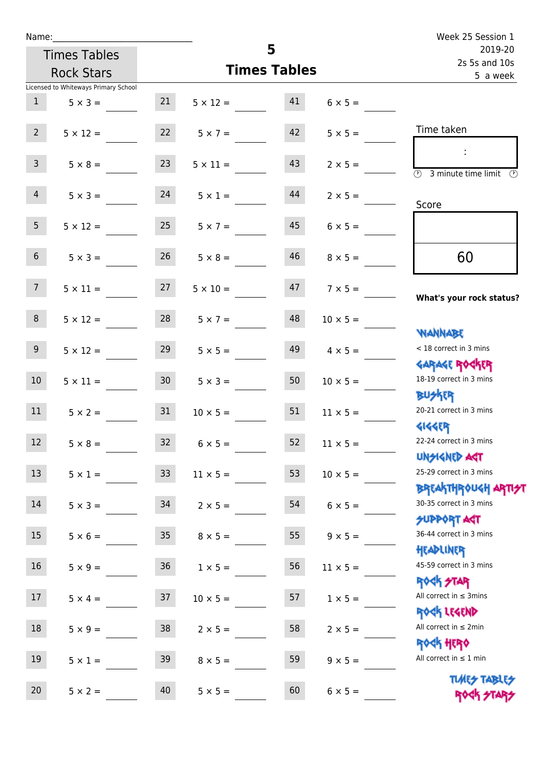| Name:           |                                      |                 |                          |                     |                          | Week 25 Session 1                                                 |
|-----------------|--------------------------------------|-----------------|--------------------------|---------------------|--------------------------|-------------------------------------------------------------------|
|                 | <b>Times Tables</b>                  |                 |                          | 5                   | 2019-20<br>2s 5s and 10s |                                                                   |
|                 | <b>Rock Stars</b>                    |                 |                          | <b>Times Tables</b> |                          | 5 a week                                                          |
|                 | Licensed to Whiteways Primary School |                 |                          |                     |                          |                                                                   |
| 1               | $5 \times 3 =$                       |                 | $21 \t 5 \times 12 = 41$ |                     | $6 \times 5 =$           |                                                                   |
| $2^{\circ}$     | $5 \times 12 =$                      | 22              | $5 \times 7 =$           | 42                  | $5 \times 5 =$           | Time taken                                                        |
| 3 <sup>7</sup>  | $5 \times 8 =$                       | 23              | $5 \times 11 =$          | 43                  | $2 \times 5 =$           | $\overline{\textcircled{2}}$ 3 minute time limit<br>$\mathcal{O}$ |
| $\overline{4}$  | $5 \times 3 = 24$                    |                 | $5 \times 1 =$           | 44                  | $2 \times 5 =$           | Score                                                             |
| 5 <sub>1</sub>  | $5 \times 12 =$                      | 25              | $5 \times 7 =$           | 45                  | $6 \times 5 =$           |                                                                   |
| 6 <sup>1</sup>  | $5 \times 3 =$                       | 26              | $5 \times 8 =$           | 46                  | $8 \times 5 =$           | 60                                                                |
| 7 <sup>7</sup>  | $5 \times 11 = 27$                   |                 | $5 \times 10 =$          |                     | $47 \t 7 \times 5 =$     | What's your rock status?                                          |
| 8 <sub>1</sub>  | $5 \times 12 =$                      | 28              | $5 \times 7 =$           | 48                  | $10 \times 5 =$          |                                                                   |
| 9               | $5 \times 12 =$                      | 29              | $5 \times 5 =$           | 49                  | $4 \times 5 =$           | <b>NANNABE</b><br>< 18 correct in 3 mins                          |
| 10 <sup>°</sup> | $5 \times 11 = 30$                   |                 | $5 \times 3 =$           | 50                  | $10 \times 5 =$          | <b>GARAGE ROCKER</b><br>18-19 correct in 3 mins<br><b>BUSKER</b>  |
| 11              | $5 \times 2 =$                       | 31              | $10 \times 5 =$          | 51                  | $11 \times 5 =$          | 20-21 correct in 3 mins                                           |
| 12              | $5 \times 8 =$                       | 32              | $6 \times 5 =$           | 52                  | $11 \times 5 =$          | <b>4144EP</b><br>22-24 correct in 3 mins<br><b>UNSIGNED AGT</b>   |
| 13              | $5 \times 1 =$                       | 33              | $11 \times 5 =$          | 53                  | $10 \times 5 =$          | 25-29 correct in 3 mins<br><b>BREAKTHROUGH ARTIST</b>             |
| 14              | $5 \times 3 =$                       | 34              | $2 \times 5 =$           | 54                  | $6 \times 5 =$           | 30-35 correct in 3 mins<br><b>SUPPORT AGT</b>                     |
| 15              | $5 \times 6 =$                       | 35 <sub>2</sub> | $8 \times 5 =$           | 55                  | $9 \times 5 =$           | 36-44 correct in 3 mins<br>HEADLINER                              |
| 16              | $5 \times 9 =$                       | $36\,$          | $1 \times 5 =$           | 56                  | $11 \times 5 =$          | 45-59 correct in 3 mins<br>ROCK STAR                              |
| 17              | $5 \times 4 =$                       | 37              | $10 \times 5 =$          | 57                  | $1 \times 5 =$           | All correct in $\leq$ 3mins<br>ROCK LEGEND                        |
| 18              | $5 \times 9 =$                       | 38              | $2 \times 5 =$           | 58                  | $2 \times 5 =$           | All correct in $\leq 2$ min<br><b>ROCK HERO</b>                   |
| 19              | $5 \times 1 =$                       | 39              | $8 \times 5 =$           | 59                  | $9 \times 5 =$           | All correct in $\leq 1$ min                                       |
| 20              | $5 \times 2 =$                       | 40              | $5 \times 5 =$           | 60                  | $6 \times 5 =$           | <b>TUARS TABLES</b><br>ROCK STARS                                 |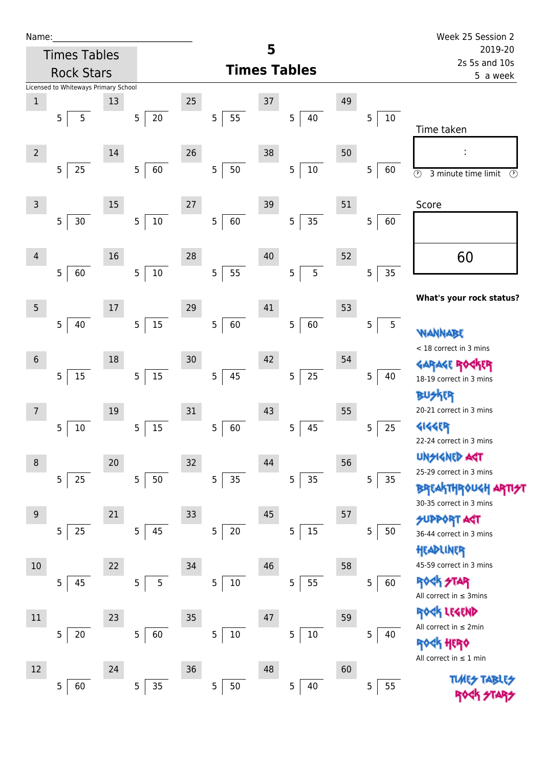| Name |  |  |  |
|------|--|--|--|
|      |  |  |  |

| Name:          |                                      |    |                          |        |                      |                     |                      |    |             | Week 25 Session 2                               |  |
|----------------|--------------------------------------|----|--------------------------|--------|----------------------|---------------------|----------------------|----|-------------|-------------------------------------------------|--|
|                | <b>Times Tables</b>                  |    |                          |        |                      | 5                   |                      |    |             | 2019-20<br>2s 5s and 10s                        |  |
|                | <b>Rock Stars</b>                    |    |                          |        |                      | <b>Times Tables</b> |                      |    | 5 a week    |                                                 |  |
|                | Licensed to Whiteways Primary School |    |                          |        |                      |                     |                      |    |             |                                                 |  |
| $\mathbf{1}$   |                                      | 13 |                          | 25     |                      | 37                  |                      | 49 |             |                                                 |  |
|                | 5<br>5                               |    | $20\,$<br>$\overline{5}$ |        | 5<br>55              |                     | $\overline{5}$<br>40 |    | 5<br>$10\,$ | Time taken                                      |  |
|                |                                      |    |                          |        |                      |                     |                      |    |             |                                                 |  |
| $\overline{2}$ |                                      | 14 |                          | 26     |                      | 38                  |                      | 50 |             | f,                                              |  |
|                | 25<br>$\overline{5}$                 |    | 60<br>$\overline{5}$     |        | 5<br>50              |                     | $10\,$<br>5          |    | 5<br>60     | $\odot$<br>3 minute time limit<br>$\odot$       |  |
|                |                                      |    |                          |        |                      |                     |                      |    |             |                                                 |  |
| 3              |                                      | 15 |                          | 27     |                      | 39                  |                      | 51 |             | Score                                           |  |
|                | 5<br>30                              |    | $10\,$<br>$\overline{5}$ |        | 5<br>60              |                     | 35<br>5              |    | 5<br>60     |                                                 |  |
|                |                                      |    |                          |        |                      |                     |                      |    |             |                                                 |  |
| $\overline{4}$ |                                      | 16 |                          | 28     |                      | 40                  |                      | 52 |             | 60                                              |  |
|                | 5<br>60                              |    | $10\,$<br>$\overline{5}$ |        | 55<br>5              |                     | 5<br>5               |    | 5<br>35     |                                                 |  |
|                |                                      |    |                          |        |                      |                     |                      |    |             |                                                 |  |
| 5              |                                      | 17 |                          | 29     |                      | 41                  |                      | 53 |             | What's your rock status?                        |  |
|                | $\overline{5}$<br>40                 |    | $15\,$<br>$\mathbf 5$    |        | $\overline{5}$<br>60 |                     | 60<br>5              |    | 5<br>5      |                                                 |  |
|                |                                      |    |                          |        |                      |                     |                      |    |             | WANNABE                                         |  |
| $\sqrt{6}$     |                                      | 18 |                          | 30     |                      | 42                  |                      | 54 |             | < 18 correct in 3 mins                          |  |
|                | 15<br>5                              |    | $15\,$<br>$\overline{5}$ |        | 5<br>45              |                     | 25<br>5              |    | 5<br>40     | GARAGE ROGKER<br>18-19 correct in 3 mins        |  |
|                |                                      |    |                          |        |                      |                     |                      |    |             | R                                               |  |
| 7              |                                      | 19 |                          | 31     |                      | 43                  |                      | 55 |             | 20-21 correct in 3 mins                         |  |
|                | 10<br>5                              |    | $15\,$<br>$\overline{5}$ |        | $\overline{5}$<br>60 |                     | 45<br>5              |    | 5<br>25     | <b>4144ER</b>                                   |  |
|                |                                      |    |                          |        |                      |                     |                      |    |             | 22-24 correct in 3 mins                         |  |
|                |                                      |    |                          |        |                      |                     |                      |    |             | <b>UNSIGNED AST</b>                             |  |
| 8              |                                      | 20 |                          | $32\,$ |                      | 44                  |                      | 56 |             | 25-29 correct in 3 mins                         |  |
|                | 25<br>5                              |    | $50\,$<br>$\overline{5}$ |        | 5<br>35              |                     | 35<br>5              |    | 5<br>35     | <b>BREAKTHROUGH</b>                             |  |
|                |                                      |    |                          |        |                      |                     |                      |    |             | 30-35 correct in 3 mins                         |  |
| 9              |                                      | 21 |                          | 33     |                      | 45                  |                      | 57 |             | <b>SUPPORT AGT</b>                              |  |
|                | 25<br>5                              |    | $\overline{5}$<br>45     |        | 5<br>$20\,$          |                     | $15\,$<br>5          |    | 5<br>50     | 36-44 correct in 3 mins                         |  |
|                |                                      |    |                          |        |                      |                     |                      |    |             | HEADLINER                                       |  |
| 10             |                                      | 22 |                          | 34     |                      | 46                  |                      | 58 |             | 45-59 correct in 3 mins                         |  |
|                | 45<br>5                              |    | 5<br>5                   |        | 5<br>$10\,$          |                     | 55<br>5              |    | 5<br>60     | ROCK STAR                                       |  |
|                |                                      |    |                          |        |                      |                     |                      |    |             | All correct in $\leq$ 3mins                     |  |
| 11             |                                      | 23 |                          | 35     |                      | $47\,$              |                      | 59 |             | <b>ER LEGEND</b><br>All correct in $\leq 2$ min |  |
|                | 5<br>20                              |    | $\sqrt{5}$<br>60         |        | 5<br>$10\,$          |                     | 5<br>$10\,$          |    | 5<br>40     | HERQ                                            |  |
|                |                                      |    |                          |        |                      |                     |                      |    |             | All correct in $\leq 1$ min                     |  |
| 12             |                                      | 24 |                          | 36     |                      | 48                  |                      | 60 |             |                                                 |  |
|                | 60<br>5                              |    | 35<br>$\overline{5}$     |        | 5<br>50              |                     | $\overline{5}$<br>40 |    | 55<br>5     | <b>TUARS TABI</b>                               |  |
|                |                                      |    |                          |        |                      |                     |                      |    |             |                                                 |  |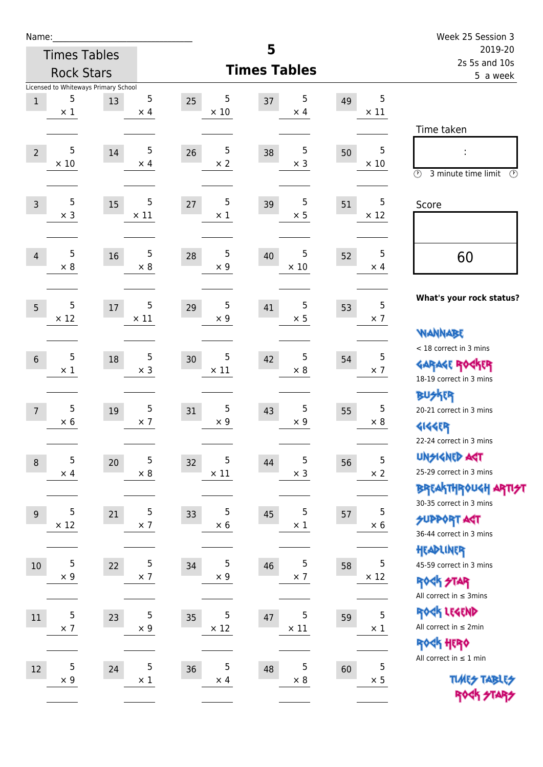| Name:          |                  |                                      |                  |                        |                        |    |                  | Week 25 Session 3                                     |
|----------------|------------------|--------------------------------------|------------------|------------------------|------------------------|----|------------------|-------------------------------------------------------|
|                |                  | <b>Times Tables</b>                  |                  |                        | 5                      |    |                  | 2019-20<br>2s 5s and 10s                              |
|                |                  | <b>Rock Stars</b>                    |                  |                        | <b>Times Tables</b>    |    |                  | 5 a week                                              |
|                |                  | Licensed to Whiteways Primary School |                  |                        |                        |    |                  |                                                       |
| $\mathbf 1$    | 5<br>$\times$ 1  | 13                                   | 5<br>$\times$ 4  | 5<br>25<br>$\times$ 10 | 5<br>37<br>$\times$ 4  | 49 | 5<br>$\times$ 11 |                                                       |
|                |                  |                                      |                  |                        |                        |    |                  | Time taken                                            |
|                |                  |                                      |                  |                        |                        |    |                  |                                                       |
| $\overline{2}$ | 5<br>$\times$ 10 | 14                                   | 5<br>$\times$ 4  | 5<br>26<br>$\times 2$  | 5<br>38<br>$\times$ 3  | 50 | 5<br>$\times$ 10 |                                                       |
|                |                  |                                      |                  |                        |                        |    |                  | $\circled{r}$<br>3 minute time limit<br>$\mathcal{O}$ |
|                |                  |                                      |                  |                        |                        |    |                  |                                                       |
| $\overline{3}$ | 5<br>$\times$ 3  | 15                                   | 5<br>$\times$ 11 | 5<br>27<br>$\times$ 1  | 5<br>39<br>$\times$ 5  | 51 | 5<br>$\times$ 12 | Score                                                 |
|                |                  |                                      |                  |                        |                        |    |                  |                                                       |
|                |                  |                                      |                  |                        |                        |    |                  |                                                       |
| 4              | 5<br>$\times$ 8  | 16                                   | 5<br>$\times$ 8  | 5<br>28<br>$\times$ 9  | 5<br>40<br>$\times$ 10 | 52 | 5<br>$\times$ 4  | 60                                                    |
|                |                  |                                      |                  |                        |                        |    |                  |                                                       |
|                |                  |                                      |                  |                        |                        |    |                  | What's your rock status?                              |
| 5              | 5<br>$\times$ 12 | 17                                   | 5<br>$\times$ 11 | 5<br>29<br>$\times$ 9  | 5<br>41<br>$\times$ 5  | 53 | 5<br>$\times$ 7  |                                                       |
|                |                  |                                      |                  |                        |                        |    |                  | <b>NANNABE</b>                                        |
|                |                  |                                      |                  |                        |                        |    |                  | < 18 correct in 3 mins                                |
| $6\phantom{1}$ | 5<br>$\times 1$  | 18                                   | 5<br>$\times$ 3  | 5<br>30<br>$\times$ 11 | 5<br>42<br>$\times$ 8  | 54 | 5<br>$\times$ 7  | <b>GARAGE ROCKER</b>                                  |
|                |                  |                                      |                  |                        |                        |    |                  | 18-19 correct in 3 mins                               |
|                |                  |                                      |                  |                        |                        |    |                  | <b>BUSKER</b>                                         |
| $\overline{7}$ | 5<br>$\times$ 6  | 19                                   | 5<br>$\times$ 7  | 5<br>31<br>$\times$ 9  | 5<br>43<br>$\times$ 9  | 55 | 5<br>$\times$ 8  | 20-21 correct in 3 mins                               |
|                |                  |                                      |                  |                        |                        |    |                  | <b>4144EP</b>                                         |
|                |                  |                                      |                  |                        |                        |    |                  | 22-24 correct in 3 mins                               |
| $\,8\,$        | 5                | 20                                   | 5                | 5<br>32<br>$\times$ 11 | 5<br>44<br>$\times$ 3  | 56 | 5<br>$\times$ 2  | <b>UNSIGNED AGT</b><br>25-29 correct in 3 mins        |
|                | $\times$ 4       |                                      | $\times$ 8       |                        |                        |    |                  | <b>BREAKTHROUGH ARTI<del>S</del>T</b>                 |
|                |                  |                                      |                  |                        |                        |    |                  | 30-35 correct in 3 mins                               |
| 9              | 5                | 21                                   | 5                | 5<br>33                | 5<br>45                | 57 | 5                | <b>SUPPORT ART</b>                                    |
|                | $\times$ 12      |                                      | $\times$ 7       | $\times$ 6             | $\times$ 1             |    | $\times$ 6       | 36-44 correct in 3 mins                               |
|                |                  |                                      |                  |                        |                        |    |                  | HEADLINER                                             |
| 10             | 5                | 22                                   | 5                | 5<br>34                | 5<br>46                | 58 | 5                | 45-59 correct in 3 mins                               |
|                | $\times$ 9       |                                      | $\times$ 7       | $\times$ 9             | $\times$ 7             |    | $\times$ 12      | <b>ROCK STAR</b>                                      |
|                |                  |                                      |                  |                        |                        |    |                  | All correct in $\leq$ 3mins                           |
| $11\,$         | 5                | 23                                   | 5                | 5<br>35                | 5<br>47                | 59 | 5                | ROCK LEGEND                                           |
|                | $\times$ 7       |                                      | $\times$ 9       | $\times$ 12            | $\times$ 11            |    | $\times$ 1       | All correct in $\leq 2$ min                           |
|                |                  |                                      |                  |                        |                        |    |                  | ROCK HERO<br>All correct in $\leq 1$ min              |
| 12             | 5                | 24                                   | 5                | 5<br>36                | 5<br>48                | 60 | 5                |                                                       |
|                | $\times$ 9       |                                      | $\times$ 1       | $\times$ 4             | $\times$ 8             |    | $\times$ 5       | <b>TUARS TABLES</b>                                   |
|                |                  |                                      |                  |                        |                        |    |                  | ROCK STARS                                            |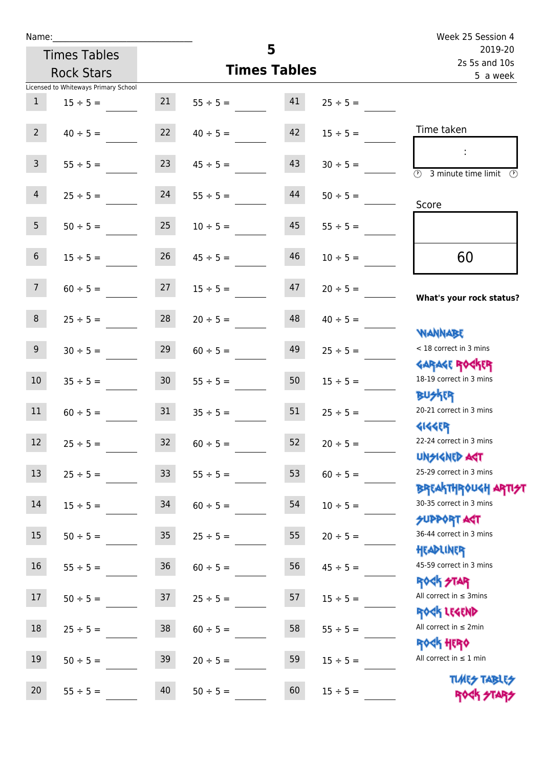| Name:          |                                      |                 |                     |          | Week 25 Session 4        |                                                                     |
|----------------|--------------------------------------|-----------------|---------------------|----------|--------------------------|---------------------------------------------------------------------|
|                | <b>Times Tables</b>                  |                 |                     | 5        | 2019-20<br>2s 5s and 10s |                                                                     |
|                | <b>Rock Stars</b>                    |                 | <b>Times Tables</b> | 5 a week |                          |                                                                     |
|                | Licensed to Whiteways Primary School |                 |                     |          |                          |                                                                     |
| $\mathbf{1}$   | $15 \div 5 =$                        | 21              | $55 \div 5 =$       | 41       | $25 \div 5 =$            |                                                                     |
| $2^{\circ}$    | $40 \div 5 =$                        | 22              | $40 \div 5 =$       | 42       | $15 \div 5 =$            | Time taken                                                          |
| 3 <sup>7</sup> | $55 \div 5 =$                        | 23              | $45 \div 5 =$       | 43       | $30 \div 5 =$            | $\mathbb{R}^2$<br>$\overline{(\mathcal{V})}$<br>3 minute time limit |
| $\overline{4}$ | $25 \div 5 =$                        | 24              | $55 \div 5 =$       | 44       | $50 \div 5 =$            | Score                                                               |
| 5 <sub>1</sub> | $50 \div 5 =$                        | 25              | $10 \div 5 =$       | 45       | $55 \div 5 =$            |                                                                     |
| 6 <sup>1</sup> | $15 \div 5 =$                        | 26              | $45 \div 5 =$       | 46       | $10 \div 5 =$            | 60                                                                  |
| 7 <sup>7</sup> | $60 \div 5 =$                        | 27              | $15 \div 5 =$       | 47       | $20 \div 5 =$            | What's your rock status?                                            |
| 8              | $25 \div 5 =$                        | 28              | $20 \div 5 =$       | 48       | $40 \div 5 =$            | <b>TARAMARY</b>                                                     |
| 9 <sup>°</sup> | $30 \div 5 =$                        | 29              | $60 \div 5 =$       | 49       | $25 \div 5 =$            | < 18 correct in 3 mins                                              |
| 10             | $35 \div 5 =$                        | 30 <sub>o</sub> | $55 \div 5 =$       | 50       | $15 \div 5 =$            | <b>GARAGE ROCKER</b><br>18-19 correct in 3 mins<br><b>BUSKER</b>    |
| 11             | $60 \div 5 =$                        | 31              | $35 \div 5 =$       | 51       | $25 \div 5 =$            | 20-21 correct in 3 mins                                             |
| 12             | $25 \div 5 =$                        | 32              | $60 \div 5 =$       | 52       | $20 \div 5 =$            | <b>4144ER</b><br>22-24 correct in 3 mins<br><b>UNSIGNED AST</b>     |
| 13             | $25 \div 5 =$                        | 33              | $55 \div 5 =$       | 53       | $60 \div 5 =$            | 25-29 correct in 3 mins<br><b>BREAKTHROUGH ARTI<del>S</del>T</b>    |
| 14             | $15 \div 5 =$                        | 34              | $60 \div 5 =$       | 54       | $10 \div 5 =$            | 30-35 correct in 3 mins<br><b>SUPPORT ART</b>                       |
| 15             | $50 \div 5 =$                        | $35\,$          | $25 \div 5 =$       | 55       | $20 \div 5 =$            | 36-44 correct in 3 mins<br>HEADLINER                                |
| 16             | $55 \div 5 =$                        | 36              | $60 \div 5 =$       | 56       | $45 \div 5 =$            | 45-59 correct in 3 mins<br><b>ROCK STAR</b>                         |
| 17             | $50 \div 5 =$                        | 37              | $25 \div 5 =$       | 57       | $15 \div 5 =$            | All correct in $\leq$ 3mins<br>ROCK LEGEND                          |
| $18\,$         | $25 \div 5 =$                        | $38\,$          | $60 \div 5 =$       | 58       | $55 \div 5 =$            | All correct in $\leq 2$ min<br><b>ROCK HERO</b>                     |
| 19             | $50 \div 5 =$                        | 39              | $20 \div 5 =$       | 59       | $15 \div 5 =$            | All correct in $\leq 1$ min                                         |
| 20             | $55 \div 5 =$                        | 40              | $50 \div 5 =$       | 60       | $15 \div 5 =$            | <b>TUARS TABLES</b><br>ROCK STARS                                   |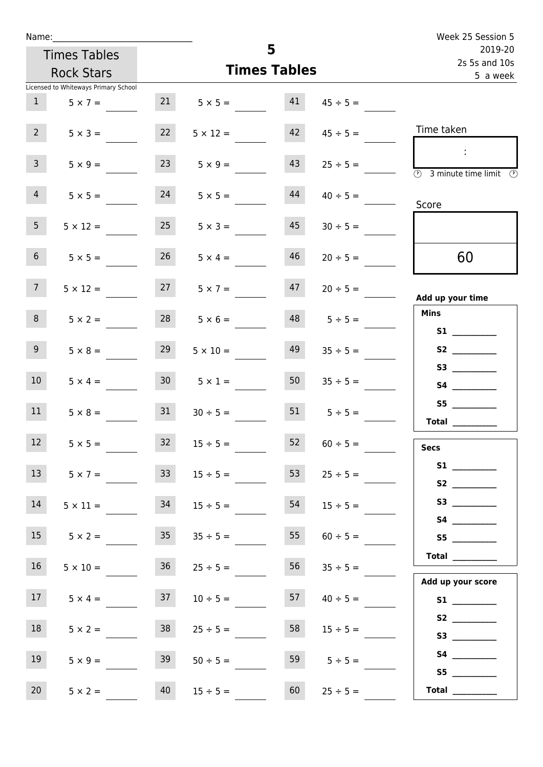| Name:           |                                      |                 |                 |                     | Week 25 Session 5        |                                            |  |
|-----------------|--------------------------------------|-----------------|-----------------|---------------------|--------------------------|--------------------------------------------|--|
|                 | <b>Times Tables</b>                  |                 |                 | 5                   | 2019-20<br>2s 5s and 10s |                                            |  |
|                 | <b>Rock Stars</b>                    |                 |                 | <b>Times Tables</b> |                          | 5 a week                                   |  |
|                 | Licensed to Whiteways Primary School |                 |                 |                     |                          |                                            |  |
| 1               | $5 \times 7 =$                       | 21              | $5 \times 5 =$  | 41                  | $45 \div 5 =$            |                                            |  |
| 2 <sup>7</sup>  | $5 \times 3 =$                       | 22              | $5 \times 12 =$ | 42                  | $45 \div 5 =$            | Time taken                                 |  |
| $\mathbf{3}$    | $5 \times 9 =$                       | 23              | $5 \times 9 =$  | 43                  | $25 \div 5 =$            | $\mathbb{R}^n$<br>3 minute time limit<br>⊕ |  |
| 4               | $5 \times 5 =$                       | 24              | $5 \times 5 =$  | 44                  | $40 \div 5 =$            | Score                                      |  |
| 5 <sub>1</sub>  | $5 \times 12 =$                      | 25              | $5 \times 3 =$  | 45                  | $30 \div 5 =$            |                                            |  |
| 6 <sup>1</sup>  | $5 \times 5 =$                       | 26              | $5 \times 4 =$  | 46                  | $20 \div 5 =$            | 60                                         |  |
| 7 <sup>7</sup>  | $5 \times 12 =$                      | 27              | $5 \times 7 =$  | 47                  | $20 \div 5 =$            | Add up your time                           |  |
| 8               | $5 \times 2 =$                       | 28              | $5 \times 6 =$  | 48                  | $5 \div 5 =$             | <b>Mins</b><br><b>S1 S1</b>                |  |
| 9               | $5 \times 8 =$                       | 29              | $5 \times 10 =$ | 49                  | $35 \div 5 =$            |                                            |  |
| 10 <sup>°</sup> | $5 \times 4 =$                       | 30 <sup>1</sup> | $5 \times 1 =$  | 50                  | $35 \div 5 =$            |                                            |  |
| 11              | $5 \times 8 =$                       | 31              | $30 \div 5 =$   | 51                  | $5 \div 5 =$             | S5<br><b>Total</b>                         |  |
| 12              | $5 \times 5 =$                       | 32              | $15 \div 5 =$   | 52                  | $60 \div 5 =$            | <b>Secs</b>                                |  |
| 13              | $5 \times 7 =$                       | 33 <sup>2</sup> | $15 \div 5 =$   | 53                  | $25 \div 5 =$            |                                            |  |
| 14              | $5 \times 11 =$                      | 34              | $15 \div 5 =$   | 54                  | $15 \div 5 =$            |                                            |  |
| 15              | $5 \times 2 =$                       | 35 <sub>1</sub> | $35 \div 5 =$   | 55                  | $60 \div 5 =$            | S5                                         |  |
| 16 <sup>1</sup> | $5 \times 10 =$                      | 36              | $25 \div 5 =$   | 56                  | $35 \div 5 =$            | Total<br>Add up your score                 |  |
| 17 <sup>7</sup> | $5 \times 4 =$                       | 37              | $10 \div 5 =$   | 57                  | $40 \div 5 =$            |                                            |  |
| 18              | $5 \times 2 =$                       | 38              | $25 \div 5 =$   | 58                  | $15 \div 5 =$            |                                            |  |
| 19              | $5 \times 9 =$                       | 39              | $50 \div 5 =$   | 59                  | $5 \div 5 =$             | S5                                         |  |
| 20              | $5 \times 2 =$                       | 40              | $15 \div 5 =$   | 60                  | $25 \div 5 =$            | Total $\qquad$                             |  |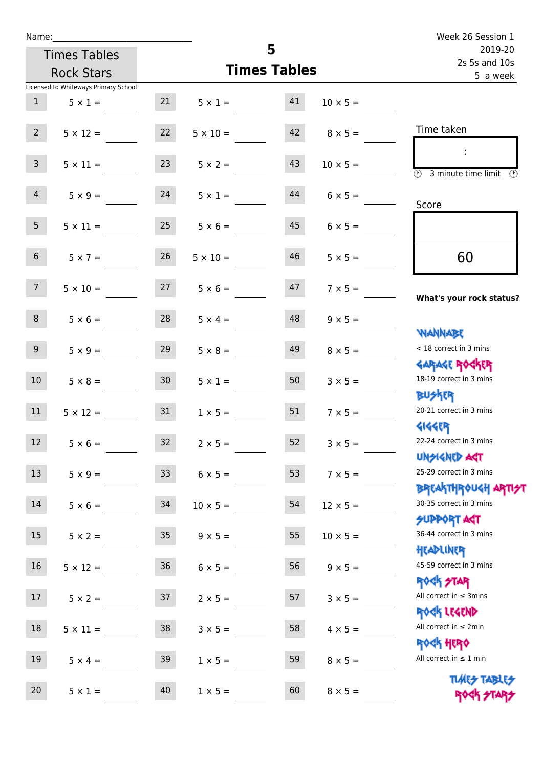| Name:           |                                      |                 |                         | 5                        |                 | Week 26 Session 1                                                |
|-----------------|--------------------------------------|-----------------|-------------------------|--------------------------|-----------------|------------------------------------------------------------------|
|                 | <b>Times Tables</b>                  |                 |                         | 2019-20<br>2s 5s and 10s |                 |                                                                  |
|                 | <b>Rock Stars</b>                    |                 |                         | <b>Times Tables</b>      |                 | 5 a week                                                         |
|                 | Licensed to Whiteways Primary School |                 |                         |                          |                 |                                                                  |
| 1               | $5 \times 1 =$                       |                 | $21 \t 5 \times 1 =$ 41 |                          | $10 \times 5 =$ |                                                                  |
| $2^{\circ}$     | $5 \times 12 =$                      | 22              | $5 \times 10 = 42$      |                          | $8 \times 5 =$  | Time taken                                                       |
| 3 <sup>7</sup>  | $5 \times 11 =$                      | 23              | $5 \times 2 =$          | 43                       | $10 \times 5 =$ | $\mathbb{R}^n$<br>$(\Gamma)$<br>3 minute time limit              |
| 4               | $5 \times 9 = 24$                    |                 | $5 \times 1 =$          | 44                       | $6 \times 5 =$  | Score                                                            |
| 5 <sup>1</sup>  | $5 \times 11 =$                      | 25              | $5 \times 6 =$          | 45                       | $6 \times 5 =$  |                                                                  |
| 6 <sup>1</sup>  | $5 \times 7 =$                       | 26              | $5 \times 10 =$         | 46                       | $5 \times 5 =$  | 60                                                               |
| 7               | $5 \times 10 = 27$                   |                 | $5 \times 6 =$          | 47                       | $7 \times 5 =$  | What's your rock status?                                         |
| 8               | $5 \times 6 =$                       | 28              | $5 \times 4 =$          | 48                       | $9 \times 5 =$  | <b>NANNABE</b>                                                   |
| 9 <sub>o</sub>  | $5 \times 9 =$                       | 29              | $5 \times 8 =$          | 49                       | $8 \times 5 =$  | < 18 correct in 3 mins<br><b>GARAGE ROCKER</b>                   |
| 10 <sup>1</sup> | $5 \times 8 =$                       | 30              | $5 \times 1 =$          | 50                       | $3 \times 5 =$  | 18-19 correct in 3 mins<br><b>BUSKER</b>                         |
| 11              | $5 \times 12 =$                      | 31              | $1 \times 5 =$          | 51                       | $7 \times 5 =$  | 20-21 correct in 3 mins<br><b>4144ER</b>                         |
| 12              | $5 \times 6 =$                       | 32              | $2 \times 5 =$          | 52                       | $3 \times 5 =$  | 22-24 correct in 3 mins<br><b>UNSIGNED AST</b>                   |
| 13              | $5 \times 9 =$                       | 33 <sup>°</sup> | $6 \times 5 =$          | 53                       | $7 \times 5 =$  | 25-29 correct in 3 mins<br><b>BREAKTHROUGH ARTI<del>S</del>T</b> |
| 14              | $5 \times 6 =$                       | 34              | $10 \times 5 =$         | 54                       | $12 \times 5 =$ | 30-35 correct in 3 mins<br><b>SUPPORT AGT</b>                    |
| 15              | $5 \times 2 =$                       | $35\,$          | $9 \times 5 =$          | 55                       | $10 \times 5 =$ | 36-44 correct in 3 mins<br>HEADLINER                             |
| 16              | $5 \times 12 =$                      | $36\,$          | $6 \times 5 =$          | 56                       | $9 \times 5 =$  | 45-59 correct in 3 mins<br>ROCK STAR                             |
| 17              | $5 \times 2 =$                       | 37              | $2 \times 5 =$          | 57                       | $3 \times 5 =$  | All correct in $\leq$ 3mins<br>ROCK LEGEND                       |
| 18              | $5 \times 11 =$                      | 38              | $3 \times 5 =$          | 58                       | $4 \times 5 =$  | All correct in $\leq 2$ min                                      |
| 19              | $5 \times 4 =$                       | 39              | $1 \times 5 =$          | 59                       | $8 \times 5 =$  | <b>ROCK HERO</b><br>All correct in $\leq 1$ min                  |
| 20              | $5 \times 1 =$                       | 40              | $1 \times 5 =$          | 60                       | $8 \times 5 =$  | <b>TUARS TABLES</b><br>ROCK STARS                                |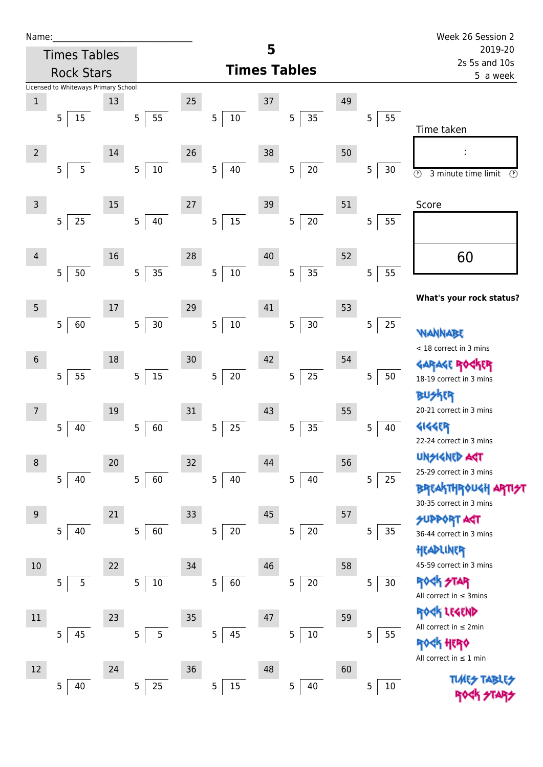| Name |  |  |  |
|------|--|--|--|
|      |  |  |  |

| Name:          |                                      |    |                          |                 |             |    |                      |                           |                      | Week 26 Session 2                              |
|----------------|--------------------------------------|----|--------------------------|-----------------|-------------|----|----------------------|---------------------------|----------------------|------------------------------------------------|
|                | <b>Times Tables</b>                  |    |                          |                 |             | 5  |                      |                           |                      | 2019-20                                        |
|                | <b>Rock Stars</b>                    |    |                          |                 |             |    | <b>Times Tables</b>  | 2s 5s and 10s<br>5 a week |                      |                                                |
|                | Licensed to Whiteways Primary School |    |                          |                 |             |    |                      |                           |                      |                                                |
| $\mathbf 1$    |                                      | 13 |                          | 25              |             | 37 |                      | 49                        |                      |                                                |
|                | 15<br>5                              |    | 55<br>$\mathsf S$        |                 | 5<br>$10\,$ |    | $35\,$<br>5          |                           | 55<br>5              |                                                |
|                |                                      |    |                          |                 |             |    |                      |                           |                      | Time taken                                     |
| $\overline{2}$ |                                      | 14 |                          | 26              |             | 38 |                      | 50                        |                      | f,                                             |
|                | 5<br>5                               |    | $10\,$<br>$\overline{5}$ |                 | 40<br>5     |    | 20<br>5              |                           | $\overline{5}$<br>30 | $\odot$<br>3 minute time limit<br>$\odot$      |
|                |                                      |    |                          |                 |             |    |                      |                           |                      |                                                |
| $\overline{3}$ |                                      | 15 |                          | $27\,$          |             | 39 |                      | 51                        |                      | Score                                          |
|                | 25<br>5                              |    | 40<br>$\overline{5}$     |                 | $15\,$<br>5 |    | $20\,$<br>5          |                           | 5<br>55              |                                                |
|                |                                      |    |                          |                 |             |    |                      |                           |                      |                                                |
| $\overline{4}$ |                                      | 16 |                          | 28              |             | 40 |                      | 52                        |                      | 60                                             |
|                | 50<br>5                              |    | 35<br>$\overline{5}$     |                 | $10\,$<br>5 |    | 35<br>5              |                           | 5<br>55              |                                                |
|                |                                      |    |                          |                 |             |    |                      |                           |                      |                                                |
| 5 <sub>5</sub> |                                      | 17 |                          | 29              |             | 41 |                      | 53                        |                      | What's your rock status?                       |
|                | 60<br>5                              |    | $30\,$<br>$\mathsf S$    |                 | 5<br>$10\,$ |    | 5<br>$30\,$          |                           | 5<br>25              |                                                |
|                |                                      |    |                          |                 |             |    |                      |                           |                      | WANNABE                                        |
|                |                                      |    |                          |                 |             |    |                      |                           |                      | < 18 correct in 3 mins                         |
| $\sqrt{6}$     |                                      | 18 |                          | 30 <sub>o</sub> |             | 42 |                      | 54                        |                      | GARAGE ROGKER                                  |
|                | 55<br>5                              |    | $15\,$<br>$\overline{5}$ |                 | $20\,$<br>5 |    | 25<br>5              |                           | 5<br>50              | 18-19 correct in 3 mins                        |
|                |                                      |    |                          |                 |             |    |                      |                           |                      | <b>FR</b>                                      |
| 7              |                                      | 19 |                          | 31              |             | 43 |                      | 55                        |                      | 20-21 correct in 3 mins                        |
|                | 5<br>40                              |    | 5<br>60                  |                 | 5<br>25     |    | 35<br>5              |                           | 5<br>40              | 4144ER                                         |
|                |                                      |    |                          |                 |             |    |                      |                           |                      | 22-24 correct in 3 mins                        |
| 8              |                                      | 20 |                          | $32\,$          |             | 44 |                      | 56                        |                      | <b>UNSIGNED AGT</b><br>25-29 correct in 3 mins |
|                | 5<br>40                              |    | $\overline{5}$<br>60     |                 | 5<br>40     |    | 5 <sub>1</sub><br>40 |                           | 5<br>25              | <b>BREAKTHROUGH</b>                            |
|                |                                      |    |                          |                 |             |    |                      |                           |                      | 30-35 correct in 3 mins                        |
| 9              |                                      | 21 |                          | 33              |             | 45 |                      | 57                        |                      | <b>SUPPORT AGT</b>                             |
|                | 5<br>40                              |    | 60<br>5                  |                 | 5<br>$20\,$ |    | $20\,$<br>5          |                           | 5<br>35              | 36-44 correct in 3 mins                        |
|                |                                      |    |                          |                 |             |    |                      |                           |                      | HEADLINER                                      |
| 10             |                                      | 22 |                          | 34              |             | 46 |                      | 58                        |                      | 45-59 correct in 3 mins                        |
|                | 5<br>5                               |    | $10\,$<br>$\mathsf S$    |                 | 5<br>60     |    | $20\,$<br>5          |                           | 5<br>$30\,$          | <b>ROCK STAR</b>                               |
|                |                                      |    |                          |                 |             |    |                      |                           |                      | All correct in $\leq$ 3mins                    |
| $11\,$         |                                      | 23 |                          | 35              |             | 47 |                      | 59                        |                      | ROCK LEGEND                                    |
|                | 45<br>5                              |    | 5<br>5                   |                 | 5<br>45     |    | 5<br>$10\,$          |                           | 5<br>55              | All correct in ≤ 2min                          |
|                |                                      |    |                          |                 |             |    |                      |                           |                      | <b>《下出民》</b>                                   |
|                |                                      |    |                          |                 |             |    |                      |                           |                      | All correct in $\leq 1$ min                    |
| 12             |                                      | 24 |                          | $36$            |             | 48 |                      | 60                        |                      | <b>TUARS TABLES</b>                            |
|                | 40<br>5                              |    | 25<br>$\overline{5}$     |                 | 5<br>15     |    | $\overline{5}$<br>40 |                           | 5<br>$10\,$          |                                                |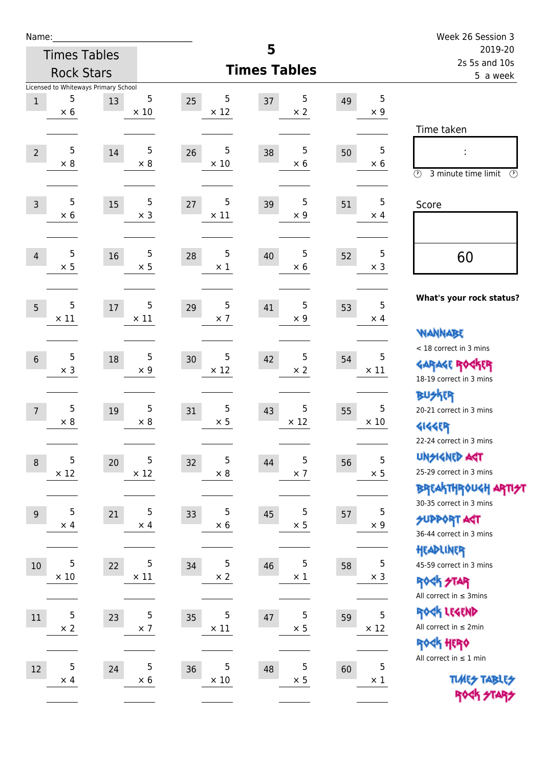| Name:            |                  |                                            |                  |    |                  |                     |                  |    |                          | Week 26 Session 3                                                                    |
|------------------|------------------|--------------------------------------------|------------------|----|------------------|---------------------|------------------|----|--------------------------|--------------------------------------------------------------------------------------|
|                  |                  | <b>Times Tables</b>                        |                  |    |                  | 5                   |                  |    |                          | 2019-20<br>2s 5s and 10s                                                             |
|                  |                  | <b>Rock Stars</b>                          |                  |    |                  | <b>Times Tables</b> |                  |    |                          | 5 a week                                                                             |
| $1\,$            | 5<br>$\times$ 6  | Licensed to Whiteways Primary School<br>13 | 5<br>$\times$ 10 | 25 | 5<br>$\times$ 12 | 37                  | 5<br>$\times 2$  | 49 | 5<br>$\times$ 9          | Time taken                                                                           |
| $\overline{2}$   | 5<br>$\times 8$  | 14                                         | 5<br>$\times$ 8  | 26 | 5<br>$\times$ 10 | 38                  | 5<br>$\times$ 6  | 50 | 5<br>$\times$ 6          | $\circled{r}$<br>3 minute time limit<br>$\circled{r}$                                |
| $\overline{3}$   | 5<br>$\times$ 6  | 15                                         | 5<br>$\times$ 3  | 27 | 5<br>$\times$ 11 | 39                  | 5<br>$\times$ 9  | 51 | 5<br>$\times$ 4          | Score                                                                                |
| $\overline{4}$   | 5<br>$\times$ 5  | 16                                         | 5<br>$\times$ 5  | 28 | 5<br>$\times$ 1  | 40                  | 5<br>$\times$ 6  | 52 | 5<br>$\times$ 3          | 60                                                                                   |
| 5                | 5<br>$\times$ 11 | 17                                         | 5<br>$\times$ 11 | 29 | 5<br>$\times$ 7  | 41                  | 5<br>$\times$ 9  | 53 | 5<br>$\times$ 4          | What's your rock status?<br><b>NANNABE</b>                                           |
| $6\phantom{1}$   | 5<br>$\times$ 3  | 18                                         | 5<br>$\times$ 9  | 30 | 5<br>$\times$ 12 | 42                  | 5<br>$\times 2$  | 54 | 5<br>$\times$ 11         | < 18 correct in 3 mins<br><b>GARAGE ROCKER</b><br>18-19 correct in 3 mins            |
| $\overline{7}$   | 5<br>$\times$ 8  | 19                                         | 5<br>$\times$ 8  | 31 | 5<br>$\times$ 5  | 43                  | 5<br>$\times$ 12 | 55 | 5<br>$\times 10$         | <b>BUSKER</b><br>20-21 correct in 3 mins<br><b>4144EP</b><br>22-24 correct in 3 mins |
| $\boldsymbol{8}$ | 5<br>$\times$ 12 | 20                                         | 5<br>$\times$ 12 | 32 | 5<br>$\times$ 8  | 44                  | 5<br>$\times$ 7  | 56 | 5<br>$\times$ 5          | <b>UNGIGNED AST</b><br>25-29 correct in 3 mins<br>BREAKTHRÓUGH ARTI <del>2</del> 1   |
| 9                | 5<br>$\times$ 4  | 21                                         | 5<br>$\times$ 4  | 33 | 5<br>$\times$ 6  | 45                  | 5<br>$\times$ 5  | 57 | $\sqrt{5}$<br>$\times$ 9 | 30-35 correct in 3 mins<br><b>SUPPORT ART</b><br>36-44 correct in 3 mins             |
| $10\,$           | 5<br>$\times$ 10 | 22                                         | 5<br>$\times$ 11 | 34 | 5<br>$\times$ 2  | 46                  | 5<br>$\times$ 1  | 58 | 5<br>$\times$ 3          | HEADLINER<br>45-59 correct in 3 mins<br>ROCK STAR<br>All correct in $\leq$ 3mins     |
| $11\,$           | 5<br>$\times$ 2  | 23                                         | 5<br>$\times$ 7  | 35 | 5<br>$\times$ 11 | 47                  | 5<br>$\times$ 5  | 59 | 5<br>$\times$ 12         | ROCK LEGEND<br>All correct in $\leq 2$ min<br>ROCK HERO                              |
| 12               | 5<br>$\times$ 4  | 24                                         | 5<br>$\times$ 6  | 36 | 5<br>$\times$ 10 | 48                  | 5<br>$\times$ 5  | 60 | 5<br>$\times$ 1          | All correct in $\leq 1$ min<br><b>TUARS TABLES</b><br>ROCK STARS                     |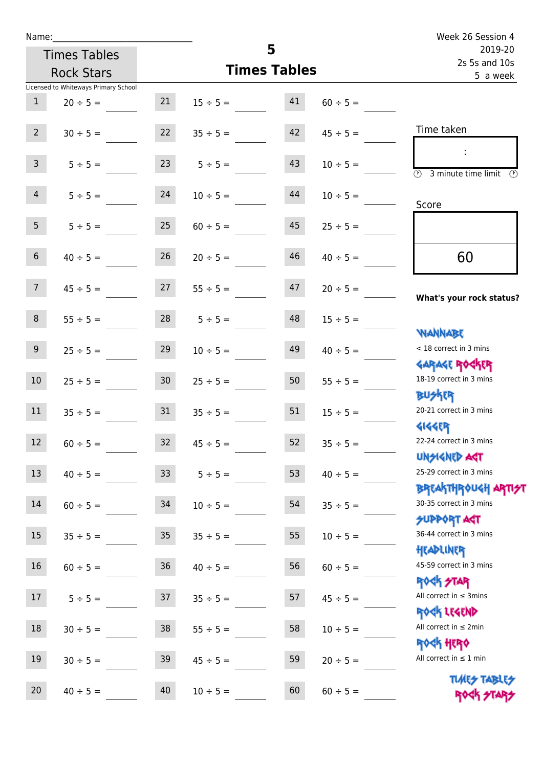| Name:                     |                                      |                 |                     |          |                          | Week 26 Session 4                                                |
|---------------------------|--------------------------------------|-----------------|---------------------|----------|--------------------------|------------------------------------------------------------------|
|                           | <b>Times Tables</b>                  |                 |                     | 5        | 2019-20<br>2s 5s and 10s |                                                                  |
|                           | <b>Rock Stars</b>                    |                 | <b>Times Tables</b> | 5 a week |                          |                                                                  |
|                           | Licensed to Whiteways Primary School |                 |                     |          |                          |                                                                  |
| $\mathbf{1}$              | $20 \div 5 =$                        | 21              | $15 \div 5 =$       | 41       | $60 \div 5 =$            |                                                                  |
| $2^{\circ}$               | $30 \div 5 =$                        | 22              | $35 \div 5 =$       | 42       | $45 \div 5 =$            | Time taken                                                       |
| 3 <sup>7</sup>            | $5 \div 5 =$                         | 23              | $5 \div 5 =$        | 43       | $10 \div 5 =$            | $\overline{(\mathcal{V})}$<br>3 minute time limit                |
| $\overline{4}$            | $5 \div 5 =$                         | 24              | $10 \div 5 =$       | 44       | $10 \div 5 =$            | Score                                                            |
| 5 <sub>5</sub>            | $5 \div 5 =$                         | 25              | $60 \div 5 =$       | 45       | $25 \div 5 =$            |                                                                  |
| $6\overline{6}$           | $40 \div 5 =$                        | 26              | $20 \div 5 =$       | 46       | $40 \div 5 =$            | 60                                                               |
| 7 <sup>7</sup>            | $45 \div 5 =$                        | 27              | $55 \div 5 =$       | 47       | $20 \div 5 =$            | What's your rock status?                                         |
| 8                         | $55 \div 5 =$                        |                 | $28$ $5 \div 5 =$   | 48       | $15 \div 5 =$            |                                                                  |
| 9 <sub>o</sub>            | $25 \div 5 =$                        | 29              | $10 \div 5 =$       | 49       | $40 \div 5 =$            | <b>NANNABE</b><br>< 18 correct in 3 mins                         |
| 10 <sup>°</sup>           | $25 \div 5 =$                        | 30 <sub>2</sub> | $25 \div 5 =$       | 50       | $55 \div 5 =$            | <b>GARAGE ROCKER</b><br>18-19 correct in 3 mins                  |
| 11                        | $35 \div 5 =$                        | 31              | $35 \div 5 =$       | 51       | $15 \div 5 =$            | <b>BUSKER</b><br>20-21 correct in 3 mins                         |
| $\sim 10^{-10}$<br>$12\,$ | $60 \div 5 =$                        | 32              | $45 \div 5 =$       | 52       | $35 \div 5 =$            | <b>4144EP</b><br>22-24 correct in 3 mins<br><b>UNSIGNED AST</b>  |
| 13                        | $40 \div 5 =$                        | 33              | $5 ÷ 5 =$           | 53       | $40 \div 5 =$            | 25-29 correct in 3 mins                                          |
| 14                        | $60 \div 5 =$                        | 34              | $10 \div 5 =$       | 54       | $35 \div 5 =$            | <b>BREAKTHROUGH ARTI<del>S</del>T</b><br>30-35 correct in 3 mins |
| 15                        | $35 \div 5 =$                        | $35\,$          | $35 \div 5 =$       | 55       | $10 \div 5 =$            | <b>SUPPORT ART</b><br>36-44 correct in 3 mins                    |
| 16                        | $60 \div 5 =$                        | $36\,$          | $40 \div 5 =$       | 56       | $60 \div 5 =$            | HEADLINER<br>45-59 correct in 3 mins                             |
| $17\,$                    | $5 ÷ 5 =$                            | 37              | $35 \div 5 =$       | 57       | $45 \div 5 =$            | <b>ROCK STAR</b><br>All correct in $\leq$ 3mins                  |
| $18\,$                    | $30 \div 5 =$                        | $38\,$          | $55 \div 5 =$       | 58       | $10 \div 5 =$            | ROCK LEGEND<br>All correct in $\leq 2$ min<br>ROCK HERO          |
| 19                        | $30 \div 5 =$                        | 39              | $45 \div 5 =$       | 59       | $20 \div 5 =$            | All correct in $\leq 1$ min                                      |
| 20                        | $40 \div 5 =$                        | 40              | $10 \div 5 =$       | 60       | $60 \div 5 =$            | <b>TUARS TABLES</b><br>ROCK STARS                                |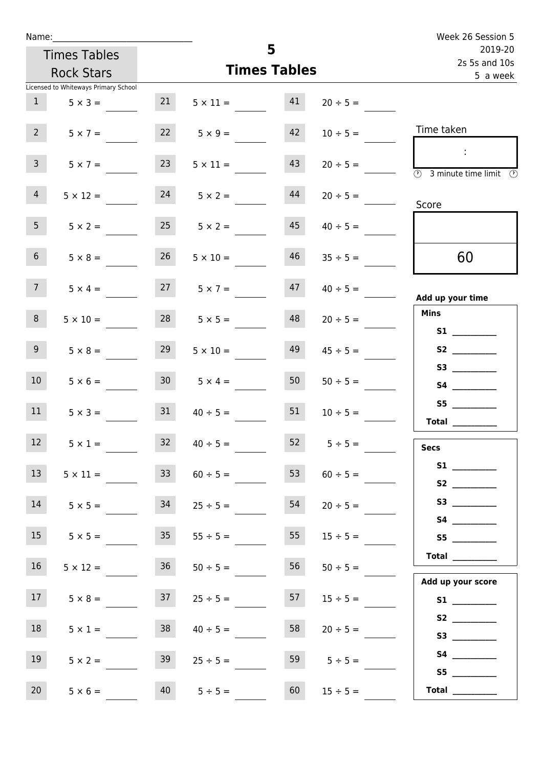| Name:                                   |                                         |               | Week 26 Session 5                  |
|-----------------------------------------|-----------------------------------------|---------------|------------------------------------|
| <b>Times Tables</b>                     | 5                                       |               | 2019-20<br>2s 5s and 10s           |
| <b>Rock Stars</b>                       | <b>Times Tables</b>                     |               | 5 a week                           |
| Licensed to Whiteways Primary School    |                                         |               |                                    |
| 1<br>$5 \times 3 =$                     | 21<br>41<br>$5 \times 11 =$             | $20 \div 5 =$ |                                    |
| $2^{\circ}$<br>$5 \times 7 =$           | 22<br>42<br>$5 \times 9 =$              | $10 \div 5 =$ | Time taken                         |
| 3 <sup>7</sup><br>23<br>$5 \times 7 =$  | 43<br>$5 \times 11 =$                   | $20 \div 5 =$ | $\sim$<br>3 minute time limit<br>⊕ |
| $\overline{4}$<br>$5 \times 12 =$       | 24<br>44<br>$5 \times 2 =$              | $20 \div 5 =$ | Score                              |
| 5 <sub>1</sub><br>$5 \times 2 =$        | 25<br>45<br>$5 \times 2 =$              | $40 \div 5 =$ |                                    |
| 6 <sup>1</sup><br>$5 \times 8 =$        | 26<br>46<br>$5 \times 10 =$             | $35 \div 5 =$ | 60                                 |
| 7 <sup>7</sup><br>$5 \times 4 =$        | $27 \t 5 \times 7 =$<br>47              | $40 \div 5 =$ | Add up your time                   |
| 8<br>$5 \times 10 =$                    | 28<br>48<br>$5 \times 5 =$              | $20 \div 5 =$ | <b>Mins</b><br><b>S1 S1</b>        |
| 9 <sup>°</sup><br>29<br>$5 \times 8 =$  | 49<br>$5 \times 10 =$                   | $45 \div 5 =$ |                                    |
| 10 <sup>°</sup><br>$5 \times 6 =$       | 30 <sup>1</sup><br>50<br>$5 \times 4 =$ | $50 \div 5 =$ |                                    |
| 11<br>31<br>$5 \times 3 =$              | 51<br>$40 \div 5 =$                     | $10 \div 5 =$ | <b>Total</b>                       |
| 12 <sup>7</sup><br>32<br>$5 \times 1 =$ | 52<br>$40 \div 5 =$                     | $5 \div 5 =$  | <b>Secs</b>                        |
| 13<br>$5 \times 11 =$                   | 53<br>33 <sup>7</sup><br>$60 \div 5 =$  | $60 \div 5 =$ |                                    |
| 14<br>34<br>$5 \times 5 =$              | 54<br>$25 \div 5 =$                     | $20 \div 5 =$ |                                    |
| 15<br>$5 \times 5 =$                    | 55<br>35<br>$55 \div 5 =$               | $15 \div 5 =$ | S5                                 |
| 16<br>$5 \times 12 =$                   | 56<br>36<br>$50 \div 5 =$               | $50 \div 5 =$ | <b>Total</b> __________            |
| 17 <sup>7</sup><br>$5 \times 8 =$       | 57<br>37<br>$25 \div 5 =$               | $15 \div 5 =$ | Add up your score<br>S1            |
| 18<br>$5 \times 1 =$                    | 38<br>58<br>$40 \div 5 =$               | $20 \div 5 =$ |                                    |
| 19<br>$5 \times 2 =$                    | 39<br>59<br>$25 \div 5 =$               | $5 \div 5 =$  | S5                                 |
| 20<br>$5 \times 6 =$                    | 60<br>40<br>$5 \div 5 =$                | $15 \div 5 =$ | Total $\_\_$                       |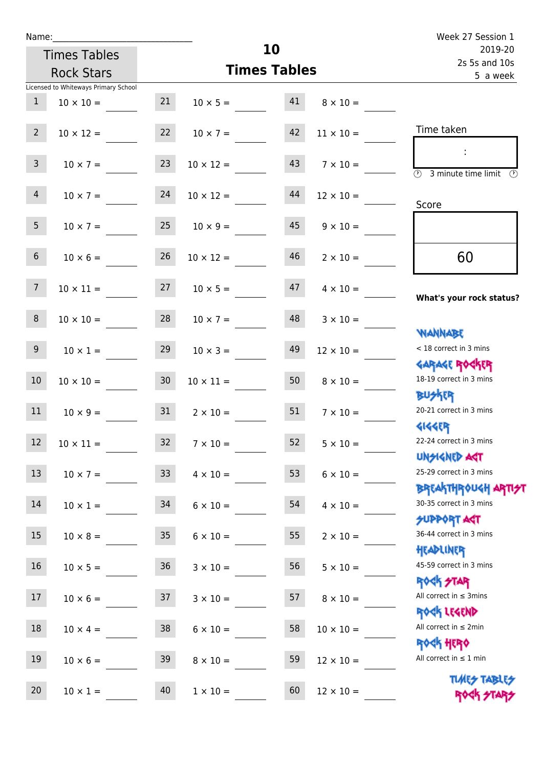| Name:          |                                      |    |                       |    |                  | Week 27 Session 1                                                  |
|----------------|--------------------------------------|----|-----------------------|----|------------------|--------------------------------------------------------------------|
|                | <b>Times Tables</b>                  | 10 |                       |    |                  | 2019-20<br>2s 5s and 10s                                           |
|                | <b>Rock Stars</b>                    |    | <b>Times Tables</b>   |    |                  | 5 a week                                                           |
|                | Licensed to Whiteways Primary School |    |                       |    |                  |                                                                    |
| $\mathbf{1}$   | $10 \times 10 =$                     | 21 | $10 \times 5 =$       | 41 | $8 \times 10 =$  |                                                                    |
| 2 <sup>7</sup> | $10 \times 12 =$                     | 22 | $10 \times 7 =$       | 42 | $11 \times 10 =$ | Time taken                                                         |
| 3 <sup>7</sup> | $10 \times 7 =$                      | 23 | $10 \times 12 =$      | 43 | $7 \times 10 =$  | $\overline{(\mathcal{V})}$<br>3 minute time limit<br>$\mathcal{O}$ |
| $\overline{4}$ | $10 \times 7 =$                      | 24 | $10 \times 12 =$      | 44 | $12 \times 10 =$ | Score                                                              |
| 5 <sub>1</sub> | $10 \times 7 =$                      | 25 | $10 \times 9 =$       | 45 | $9 \times 10 =$  |                                                                    |
| 6 <sup>1</sup> | $10 \times 6 =$                      | 26 | $10 \times 12 =$      | 46 | $2 \times 10 =$  | 60                                                                 |
| 7 <sup>7</sup> | $10 \times 11 =$                     |    | $27 \t 10 \times 5 =$ | 47 | $4 \times 10 =$  | What's your rock status?                                           |
| 8              | $10 \times 10 =$                     | 28 | $10 \times 7 =$       | 48 | $3 \times 10 =$  | <b>JARNARY</b>                                                     |
| 9 <sub>o</sub> | $10 \times 1 =$                      | 29 | $10 \times 3 =$       | 49 | $12 \times 10 =$ | < 18 correct in 3 mins<br><b>GARAGE ROCKER</b>                     |
| 10             | $10 \times 10 =$                     | 30 | $10 \times 11 =$      | 50 | $8 \times 10 =$  | 18-19 correct in 3 mins<br><b>BUSKER</b>                           |
| 11             | $10 \times 9 =$                      | 31 | $2 \times 10 =$       | 51 | $7 \times 10 =$  | 20-21 correct in 3 mins<br><b>4144ER</b>                           |
| $12$           | $10 \times 11 =$                     | 32 | $7 \times 10 =$       | 52 | $5 \times 10 =$  | 22-24 correct in 3 mins<br><b>UNSIGNED AGT</b>                     |
| 13             | $10 \times 7 = 33$                   |    | $4 \times 10 =$       | 53 | $6 \times 10 =$  | 25-29 correct in 3 mins<br>ΒΡΓΑΚΤΗΡΟUGH ΑΡΤΙ <del>2</del> Τ        |
| 14             | $10 \times 1 =$                      | 34 | $6 \times 10 =$       | 54 | $4 \times 10 =$  | 30-35 correct in 3 mins<br><b>SUPPORT AGT</b>                      |
| 15             | $10 \times 8 =$                      | 35 | $6 \times 10 =$       | 55 | $2 \times 10 =$  | 36-44 correct in 3 mins<br>HEADLINER                               |
| 16             | $10 \times 5 = 36$                   |    | $3 \times 10 =$       | 56 | $5 \times 10 =$  | 45-59 correct in 3 mins<br>ROCK STAR                               |
| 17             | $10 \times 6 =$                      | 37 | $3 \times 10 =$       | 57 | $8 \times 10 =$  | All correct in $\leq$ 3mins<br>ROCK LEGEND                         |
| 18             | $10 \times 4 =$                      | 38 | $6 \times 10 =$       | 58 | $10 \times 10 =$ | All correct in $\leq 2$ min<br><b>ROCK HERO</b>                    |
| 19             | $10 \times 6 =$                      | 39 | $8 \times 10 =$       | 59 | $12 \times 10 =$ | All correct in $\leq 1$ min                                        |
| 20             | $10 \times 1 =$                      | 40 | $1 \times 10 =$       | 60 | $12 \times 10 =$ | <b>TUARS TABLES</b><br>ROCK STARS                                  |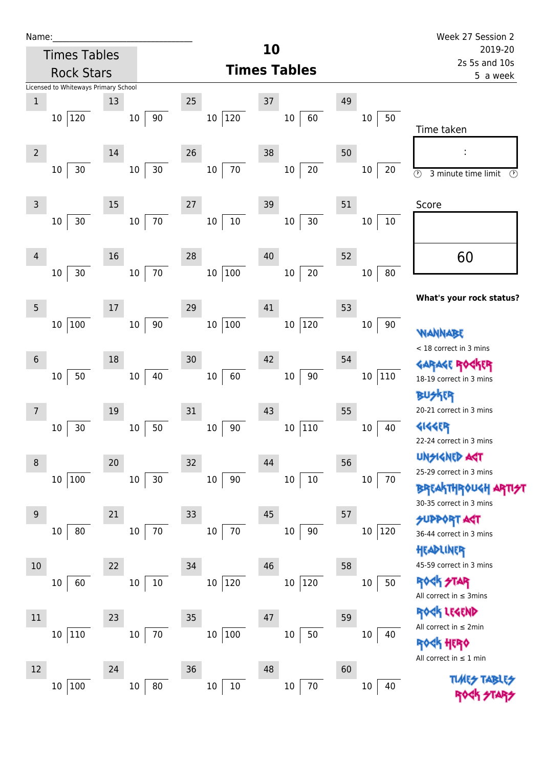| Name |  |  |  |
|------|--|--|--|
|      |  |  |  |

|                 | <b>Times Tables</b>                            |                        |                         | 10                     |                    | 2019-20                                                                                          |
|-----------------|------------------------------------------------|------------------------|-------------------------|------------------------|--------------------|--------------------------------------------------------------------------------------------------|
|                 | <b>Rock Stars</b>                              |                        |                         | <b>Times Tables</b>    |                    | 2s 5s and 10s<br>5 a week                                                                        |
| $1\,$           | Licensed to Whiteways Primary School<br>10 120 | 13<br>90<br>$10\,$     | 25<br>120<br>10         | 37<br>60<br>10         | 49<br>50<br>10     | Time taken                                                                                       |
| $\overline{2}$  | 30<br>10                                       | 14<br>30<br>$10\,$     | 26<br>$70\,$<br>$10\,$  | 38<br>$20\,$<br>$10\,$ | 50<br>$10\,$<br>20 | $\odot$<br>3 minute time limit<br>$\circled{r}$                                                  |
| $\overline{3}$  | 30<br>10                                       | 15<br>$70\,$<br>$10\,$ | 27<br>$10\,$<br>$10\,$  | 39<br>$30\,$<br>$10\,$ | 51<br>10<br>$10\,$ | Score                                                                                            |
| 4               | 30<br>$10\,$                                   | 16<br>70<br>$10\,$     | 28<br>$100\,$<br>$10\,$ | 40<br>$20\,$<br>$10\,$ | 52<br>$80\,$<br>10 | 60                                                                                               |
| 5               | 100<br>10                                      | 17<br>$90\,$<br>$10\,$ | 29<br>$100\,$<br>10     | 41<br>120<br>$10\,$    | 53<br>$10\,$<br>90 | What's your rock status?<br><b>WANNABE</b>                                                       |
| $6\phantom{1}6$ | 50<br>10                                       | 18<br>40<br>$10\,$     | 30<br>60<br>10          | 42<br>$90\,$<br>$10\,$ | 54<br> 110<br>10   | < 18 correct in 3 mins<br><b>GARAGE ROS</b><br>18-19 correct in 3 mins<br><b>BUSKER</b>          |
| 7               | 30<br>10                                       | 19<br>$50\,$<br>$10\,$ | 31<br>90<br>$10\,$      | 43<br> 110<br>$10\,$   | 55<br>10<br>40     | 20-21 correct in 3 mins<br><b>4144ER</b><br>22-24 correct in 3 mins                              |
| 8               | 10 100                                         | 20<br>30<br>$10\,$     | 32<br>90<br>10          | 44<br>$10\,$<br>$10\,$ | 56<br>$10\,$<br>70 | <b>UNSIGNED ART</b><br>25-29 correct in 3 mins<br><b>BREAKTHROUGH</b><br>30-35 correct in 3 mins |
| 9               | 80<br>10                                       | 21<br>$70\,$<br>$10\,$ | 33<br>$70\,$<br>$10\,$  | 45<br>$90\,$<br>$10\,$ | 57<br>10<br>120    | <b>SUPPORT AGT</b><br>36-44 correct in 3 mins<br>HEADLINER                                       |
| 10              | 60<br>10                                       | 22<br>$10\,$<br>$10\,$ | 34<br>120<br>10         | 46<br> 120<br>$10\,$   | 58<br>50<br>$10\,$ | 45-59 correct in 3 mins<br><b>ROCK STAR</b><br>All correct in $\leq$ 3mins<br>ROCK LEGEND        |
| $11\,$          | 110<br>10                                      | 23<br>$70\,$<br>10     | 35<br>100<br>$10\,$     | 47<br>$50\,$<br>$10\,$ | 59<br>$10\,$<br>40 | All correct in $\leq 2$ min<br><b>ROCK HERO</b><br>All correct in $\leq 1$ min                   |
| 12              | 100<br>10                                      | 24<br>$80\,$<br>$10\,$ | 36<br>$10\,$<br>$10\,$  | 48<br>$70\,$<br>$10\,$ | 60<br>$10\,$<br>40 | <b>TIMES TABL</b>                                                                                |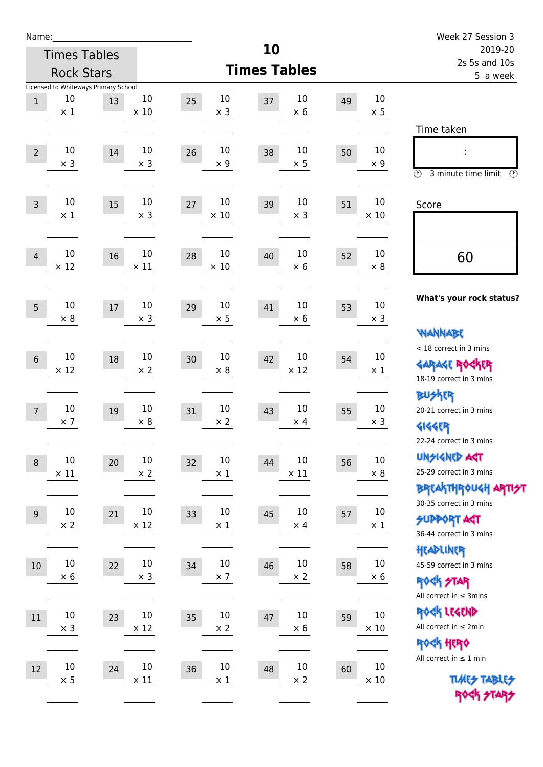| Name:           |                       |                                      |                      |                         | 10                       |    |                      | Week 27 Session 3                                     |
|-----------------|-----------------------|--------------------------------------|----------------------|-------------------------|--------------------------|----|----------------------|-------------------------------------------------------|
|                 |                       | <b>Times Tables</b>                  |                      |                         | 2019-20<br>2s 5s and 10s |    |                      |                                                       |
|                 |                       | <b>Rock Stars</b>                    |                      |                         | <b>Times Tables</b>      |    |                      | 5 a week                                              |
|                 |                       | Licensed to Whiteways Primary School |                      |                         |                          |    |                      |                                                       |
| $\mathbf{1}$    | 10<br>$\times$ 1      | 13                                   | 10<br>$\times$ 10    | 10<br>25<br>$\times$ 3  | 10<br>37<br>$\times 6$   | 49 | $10\,$<br>$\times$ 5 |                                                       |
|                 |                       |                                      |                      |                         |                          |    |                      | Time taken                                            |
|                 |                       |                                      |                      |                         |                          |    |                      |                                                       |
| $\overline{2}$  | 10<br>$\times$ 3      | 14                                   | 10<br>$\times$ 3     | 10<br>26<br>$\times$ 9  | 10<br>38<br>$\times$ 5   | 50 | 10<br>$\times$ 9     |                                                       |
|                 |                       |                                      |                      |                         |                          |    |                      | $\circled{r}$<br>3 minute time limit<br>$\circled{r}$ |
|                 |                       |                                      |                      |                         |                          |    |                      |                                                       |
| $\overline{3}$  | 10<br>$\times$ 1      | 15                                   | 10<br>$\times$ 3     | 10<br>27<br>$\times$ 10 | 10<br>39<br>$\times$ 3   | 51 | 10<br>$\times$ 10    | Score                                                 |
|                 |                       |                                      |                      |                         |                          |    |                      |                                                       |
|                 |                       |                                      |                      |                         |                          |    |                      |                                                       |
| $\overline{4}$  | 10<br>$\times$ 12     | 16                                   | 10<br>$\times$ 11    | 10<br>28<br>$\times$ 10 | 10<br>40<br>$\times 6$   | 52 | 10<br>$\times 8$     | 60                                                    |
|                 |                       |                                      |                      |                         |                          |    |                      |                                                       |
|                 |                       |                                      |                      |                         |                          |    |                      | What's your rock status?                              |
| 5               | 10<br>$\times 8$      | 17                                   | 10<br>$\times$ 3     | 10<br>29<br>$\times$ 5  | 10<br>41<br>$\times 6$   | 53 | 10<br>$\times$ 3     |                                                       |
|                 |                       |                                      |                      |                         |                          |    |                      | <b>NANNABE</b>                                        |
|                 |                       |                                      |                      |                         |                          |    |                      | < 18 correct in 3 mins                                |
| $6\phantom{1}6$ | $10\,$<br>$\times$ 12 | 18                                   | $10\,$<br>$\times 2$ | 10<br>30<br>$\times 8$  | 10<br>42<br>$\times$ 12  | 54 | 10<br>$\times$ 1     | <b>GARAGE ROCKER</b>                                  |
|                 |                       |                                      |                      |                         |                          |    |                      | 18-19 correct in 3 mins                               |
|                 |                       |                                      |                      |                         |                          |    |                      | <b>BUSKER</b>                                         |
| $7\overline{ }$ | 10<br>$\times$ 7      | 19                                   | 10<br>$\times 8$     | 10<br>31<br>$\times 2$  | 10<br>43<br>$\times$ 4   | 55 | 10<br>$\times$ 3     | 20-21 correct in 3 mins                               |
|                 |                       |                                      |                      |                         |                          |    |                      | <b>4144EP</b>                                         |
|                 |                       |                                      |                      |                         |                          |    |                      | 22-24 correct in 3 mins                               |
| $\, 8$          | $10\,$                | $20\,$                               | $10\,$               | $10\,$<br>32            | $10\,$<br>44             | 56 | $10\,$               | <b>UNSIGNED AGT</b><br>25-29 correct in 3 mins        |
|                 | $\times$ 11           |                                      | $\times 2$           | $\times$ 1              | $\times$ 11              |    | $\times$ 8           | ΒΡΓΑ <sup>Κ</sup> ΤΗΡΟυΚΗ ΑΡΤΙ <del>2</del> Τ         |
|                 |                       |                                      |                      |                         |                          |    |                      | 30-35 correct in 3 mins                               |
| $9\,$           | $10\,$                | 21                                   | $10\,$               | 10<br>33                | 10<br>45                 | 57 | $10\,$               | <b>SUPPORT AGT</b>                                    |
|                 | $\times$ 2            |                                      | $\times$ 12          | $\times$ 1              | $\times$ 4               |    | $\times$ 1           | 36-44 correct in 3 mins                               |
|                 |                       |                                      |                      |                         |                          |    |                      | HEADLINER                                             |
| $10\,$          | $10\,$                | 22                                   | $10\,$               | $10\,$<br>34            | $10\,$<br>46             | 58 | $10\,$               | 45-59 correct in 3 mins                               |
|                 | $\times$ 6            |                                      | $\times$ 3           | $\times$ 7              | $\times$ 2               |    | $\times$ 6           | <b>ROCK STAR</b>                                      |
|                 |                       |                                      |                      |                         |                          |    |                      | All correct in $\leq$ 3mins                           |
| $11\,$          | $10\,$                | 23                                   | $10\,$               | 10<br>35                | $10\,$<br>47             | 59 | $10\,$               | ROCK LEGEND                                           |
|                 | $\times$ 3            |                                      | $\times$ 12          | $\times$ 2              | $\times$ 6               |    | $\times$ 10          | All correct in $\leq 2$ min                           |
|                 |                       |                                      |                      |                         |                          |    |                      | ROCK HERO                                             |
| 12              | $10\,$                | 24                                   | $10\,$               | $10\,$<br>36            | 10<br>48                 | 60 | $10\,$               | All correct in $\leq 1$ min                           |
|                 | $\times$ 5            |                                      | $\times$ 11          | $\times$ 1              | $\times$ 2               |    | $\times$ 10          | <b>TUARS TABLES</b>                                   |
|                 |                       |                                      |                      |                         |                          |    |                      | ROCK STARS                                            |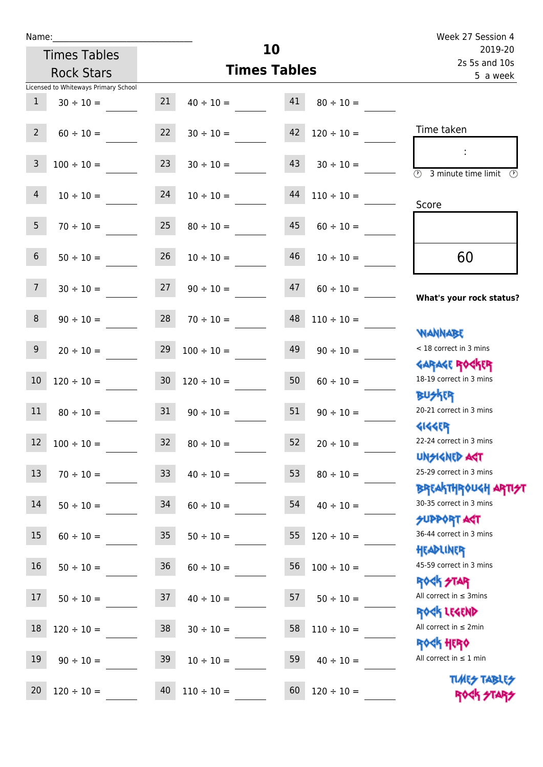|                 | <b>Times Tables</b>                  |                 |                     | 10       |                 | 2019-20<br>2s 5s and 10s                                    |
|-----------------|--------------------------------------|-----------------|---------------------|----------|-----------------|-------------------------------------------------------------|
|                 | <b>Rock Stars</b>                    |                 | <b>Times Tables</b> | 5 a week |                 |                                                             |
|                 | Licensed to Whiteways Primary School |                 |                     |          |                 |                                                             |
| $\mathbf{1}$    | $30 \div 10 =$                       | 21              | $40 \div 10 =$      | 41       | $80 \div 10 =$  |                                                             |
| $2^{\circ}$     | $60 \div 10 =$                       | 22              | $30 \div 10 =$      | 42       | $120 \div 10 =$ | Time taken                                                  |
| $\mathsf{3}$    | $100 \div 10 =$                      | 23              | $30 \div 10 =$      | 43       | $30 \div 10 =$  | 3 minute time limit                                         |
| $\overline{4}$  | $10 \div 10 =$                       | 24              | $10 \div 10 =$      | 44       | $110 \div 10 =$ | Score                                                       |
| 5 <sub>1</sub>  | $70 \div 10 =$                       | 25              | $80 \div 10 =$      | 45       | $60 \div 10 =$  |                                                             |
| $6\overline{6}$ | $50 \div 10 =$                       | 26              | $10 \div 10 =$      | 46       | $10 \div 10 =$  | 60                                                          |
| 7 <sup>7</sup>  | $30 \div 10 =$                       | 27              | $90 \div 10 =$      | 47       | $60 \div 10 =$  | What's your rock status?                                    |
| 8               | $90 \div 10 =$                       | 28              | $70 \div 10 =$      | 48       | $110 \div 10 =$ | <b>JARNARY</b>                                              |
| 9               | $20 \div 10 =$                       | 29              | $100 \div 10 =$     | 49       | $90 \div 10 =$  | < 18 correct in 3 mins<br><b>GARAGE ROGKER</b>              |
| $10\,$          | $120 \div 10 =$                      | 30 <sup>°</sup> | $120 \div 10 =$     | 50       | $60 \div 10 =$  | 18-19 correct in 3 mins<br><b>BUSKER</b>                    |
| 11              | $80 \div 10 =$                       | 31              | $90 \div 10 =$      | 51       | $90 \div 10 =$  | 20-21 correct in 3 mins<br><b>4144ER</b>                    |
| 12              | $100 \div 10 =$                      | 32              | $80 \div 10 =$      | 52       | $20 \div 10 =$  | 22-24 correct in 3 mins<br>UNSIGNED AGT                     |
| 13              | $70 \div 10 =$                       | 33              | $40 \div 10 =$      | 53       | $80 \div 10 =$  | 25-29 correct in 3 mins<br>ΒΡΓΑΚΤΗΡΟUGH ΑΡΤΙ <del>2</del> Τ |
| 14              | $50 \div 10 =$                       | 34              | $60 \div 10 =$      | 54       | $40 \div 10 =$  | 30-35 correct in 3 mins<br><b>SUPPORT AGT</b>               |
| 15              | $60 \div 10 =$                       | 35              | $50 \div 10 =$      | 55       | $120 \div 10 =$ | 36-44 correct in 3 mins<br>HEADLINER                        |
| 16              | $50 \div 10 =$                       | 36              | $60 \div 10 =$      | 56       | $100 \div 10 =$ | 45-59 correct in 3 mins<br><b>ROCK STAR</b>                 |
| 17              | $50 \div 10 =$                       | 37              | $40 \div 10 =$      | 57       | $50 \div 10 =$  | All correct in $\leq$ 3mins<br>ROCK LEGEND                  |
| 18              | $120 \div 10 =$                      | 38              | $30 \div 10 =$      | 58       | $110 \div 10 =$ | All correct in $\leq 2$ min                                 |
| 19              | $90 \div 10 =$                       | 39              | $10 \div 10 =$      | 59       | $40 \div 10 =$  | <b>ROCK HERO</b><br>All correct in $\leq 1$ min             |
| 20              | $120 \div 10 =$                      | 40              | $110 \div 10 =$     | 60       | $120 \div 10 =$ | <b>TUARS TABLES</b><br>ROCK STARS                           |

**10**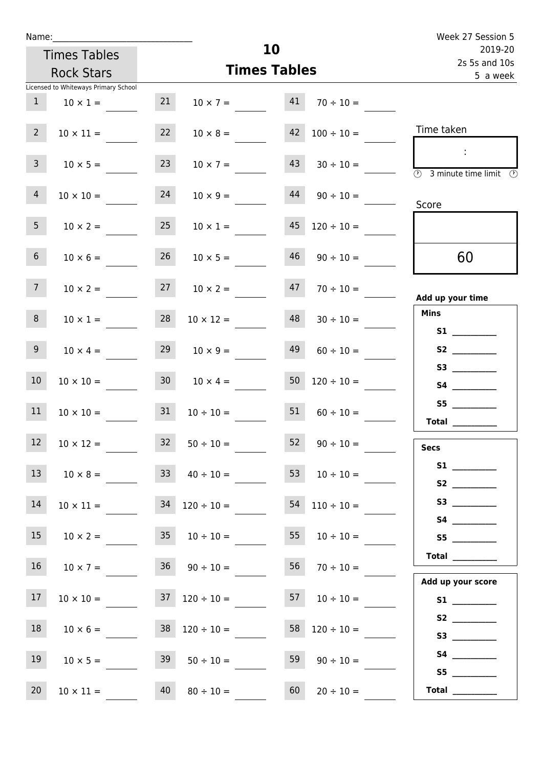| Name:                 |                                      |    |                                    |                                                            | Week 27 Session 5                              |
|-----------------------|--------------------------------------|----|------------------------------------|------------------------------------------------------------|------------------------------------------------|
|                       | <b>Times Tables</b>                  |    |                                    | 10                                                         | 2019-20<br>2s 5s and 10s                       |
|                       | <b>Rock Stars</b>                    |    |                                    | <b>Times Tables</b>                                        | 5 a week                                       |
|                       | Licensed to Whiteways Primary School |    |                                    |                                                            |                                                |
| 1                     | $10 \times 1 =$                      | 21 | $10 \times 7 = 41$                 | $70 \div 10 =$                                             |                                                |
| $2^{\circ}$           | $10 \times 11 =$                     | 22 | $10 \times 8 =$                    | $42 \mid 100 \div 10 =$                                    | Time taken                                     |
| 3 <sup>7</sup>        | $10 \times 5 =$                      | 23 | $10 \times 7 =$                    | 43<br>$30 \div 10 =$                                       | $\mathbb{R}^2$<br>3 minute time limit<br>-09   |
| $\overline{4}$        | $10 \times 10 = 24$                  |    | $10 \times 9 =$                    | 44<br>$90 \div 10 =$                                       | Score                                          |
| 5 <sub>1</sub>        | $10 \times 2 =$                      | 25 | $10 \times 1 =$                    | 45<br>$120 \div 10 =$                                      |                                                |
| 6 <sup>1</sup>        | $10 \times 6 =$                      | 26 | $10 \times 5 =$                    | 46<br>$90 \div 10 =$                                       | 60                                             |
| 7 <sup>7</sup>        |                                      |    | $10 \times 2 = 27$ $10 \times 2 =$ | $47$ $70 \div 10 =$                                        | Add up your time                               |
| 8                     | $10 \times 1 =$                      | 28 | $10 \times 12 =$                   | 48<br>$30 \div 10 =$                                       | <b>Mins</b><br><b>S1</b> and the set of $\sim$ |
| 9 <sub>o</sub>        | $10 \times 4 =$                      | 29 | $10 \times 9 =$                    | 49<br>$60 \div 10 =$                                       | S2                                             |
| 10 <sup>°</sup>       |                                      |    |                                    | $10 \times 10 =$ $30$ $10 \times 4 =$ $50$ $120 \div 10 =$ |                                                |
| 11                    | $10 \times 10 = 31$                  |    | $10 \div 10 =$                     | 51<br>$60 \div 10 =$                                       | S5<br>Total $\_\_$                             |
| <b>Contract</b><br>12 | $10 \times 12 =$                     | 32 | $50 \div 10 =$                     | 52<br>$90 \div 10 =$                                       | <b>Secs</b>                                    |
| 13                    | $10 \times 8 =$ 33                   |    | $40 \div 10 =$                     | $10 \div 10 =$                                             |                                                |
| 14                    | $10 \times 11 =$                     |    | $34$ $120 \div 10 =$               | $54$ 110 ÷ 10 =                                            |                                                |
| 15 <sub>1</sub>       | $10 \times 2 =$                      | 35 | $10 \div 10 =$                     | 55<br>$10 \div 10 =$                                       | S5                                             |
| 16 <sup>1</sup>       | $10 \times 7 =$                      |    | $36 \t 90 \div 10 =$               | $56 \t 70 \div 10 =$                                       | Total $\_\_$<br>Add up your score              |
| 17                    | $10 \times 10 =$                     |    | $37 \quad 120 \div 10 =$           | $57 \t10 \div 10 =$                                        |                                                |
| 18                    | $10 \times 6 =$                      |    | $38 \quad 120 \div 10 =$           | $58 \quad 120 \div 10 =$                                   |                                                |
| 19                    | $10 \times 5 =$                      |    | $39 \t 50 \div 10 =$               | $59 \t 90 \div 10 =$                                       | S4<br>S5                                       |

20 10 × 11 = 40 80 ÷ 10 = 60 20 ÷ 10 = **Total** \_\_\_\_\_\_\_\_\_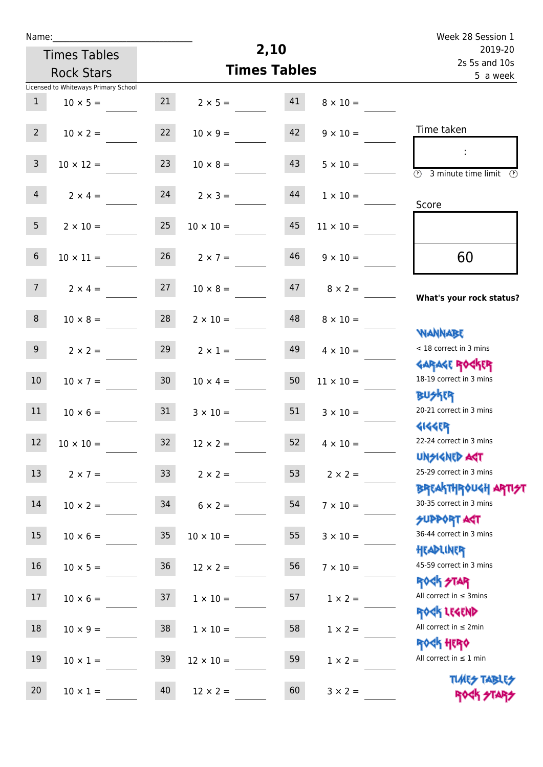| ٠ | а | m |  |  |
|---|---|---|--|--|
|   |   |   |  |  |

Times Tables

|                 | <b>Rock Stars</b>                    |                 | <b>Times Tables</b>  |    |                  | 2s 5s and 10s<br>5 a week                                        |
|-----------------|--------------------------------------|-----------------|----------------------|----|------------------|------------------------------------------------------------------|
|                 | Licensed to Whiteways Primary School |                 |                      |    |                  |                                                                  |
| 1               | $10 \times 5 =$                      |                 | $21 \t 2 \times 5 =$ | 41 | $8 \times 10 =$  |                                                                  |
| 2 <sup>7</sup>  | $10 \times 2 =$                      | 22              | $10 \times 9 =$      | 42 | $9 \times 10 =$  | Time taken                                                       |
| 3 <sup>7</sup>  | $10 \times 12 =$                     | 23              | $10 \times 8 =$      | 43 | $5 \times 10 =$  | <b>3</b> minute time limit<br>$\mathcal{O}$                      |
| 4               | $2 \times 4 =$                       |                 | $24$ $2 \times 3 =$  | 44 | $1 \times 10 =$  | Score                                                            |
| 5 <sub>5</sub>  | $2 \times 10 =$                      | 25              | $10 \times 10 =$     | 45 | $11 \times 10 =$ |                                                                  |
| $6\overline{6}$ | $10 \times 11 =$                     | 26              | $2 \times 7 =$       | 46 | $9 \times 10 =$  | 60                                                               |
| 7 <sup>7</sup>  | $2 \times 4 =$                       | 27              | $10 \times 8 =$      | 47 | $8 \times 2 =$   | What's your rock status?                                         |
| 8               | $10 \times 8 =$                      | 28              | $2 \times 10 =$      | 48 | $8 \times 10 =$  |                                                                  |
| 9 <sub>o</sub>  | $2 \times 2 =$                       | 29              | $2 \times 1 =$       | 49 | $4 \times 10 =$  | <b>NANNABE</b><br>< 18 correct in 3 mins                         |
| 10 <sup>°</sup> | $10 \times 7 =$                      | 30 <sub>o</sub> | $10 \times 4 =$      | 50 | $11 \times 10 =$ | <b>GARAGE ROCKER</b><br>18-19 correct in 3 mins                  |
| 11              | $10 \times 6 = 31$                   |                 | $3 \times 10 =$      | 51 | $3 \times 10 =$  | <b>BUSKER</b><br>20-21 correct in 3 mins                         |
| 12              | $10 \times 10 =$                     | 32              | $12 \times 2 =$      | 52 | $4 \times 10 =$  | <b>GIGGER</b><br>22-24 correct in 3 mins                         |
| 13              | $2 \times 7 =$                       | 33 <sup>°</sup> | $2 \times 2 =$       | 53 | $2 \times 2 =$   | <b>UNSIGNED AST</b><br>25-29 correct in 3 mins                   |
| 14              | $10 \times 2 =$                      | 34              | $6 \times 2 =$       | 54 | $7 \times 10 =$  | <b>BREAKTHROUGH ARTI<del>S</del>T</b><br>30-35 correct in 3 mins |
| 15              | $10 \times 6 =$                      | 35 <sub>o</sub> | $10 \times 10 =$     | 55 | $3 \times 10 =$  | <b>SUPPORT AGT</b><br>36-44 correct in 3 mins                    |
| 16              | $10 \times 5 =$                      | 36              | $12 \times 2 =$      | 56 | $7 \times 10 =$  | HEADLINER<br>45-59 correct in 3 mins                             |
| 17              | $10 \times 6 =$                      | 37              | $1 \times 10 =$      | 57 | $1 \times 2 =$   | <b>ROCK STAR</b><br>All correct in $\leq$ 3mins                  |
| $18\,$          | $10 \times 9 =$                      | 38              | $1 \times 10 =$      | 58 | $1 \times 2 =$   | ROCK LEGEND<br>All correct in $\leq 2$ min                       |
| 19              | $10 \times 1 =$                      | 39              | $12 \times 10 =$     | 59 | $1 \times 2 =$   | <b>ROCK HERO</b><br>All correct in $\leq 1$ min                  |
| 20              | $10 \times 1 =$                      | 40              | $12 \times 2 =$      | 60 | $3 \times 2 =$   | <b>TUARS TABLES</b><br>ROCK STARS                                |

**2,10**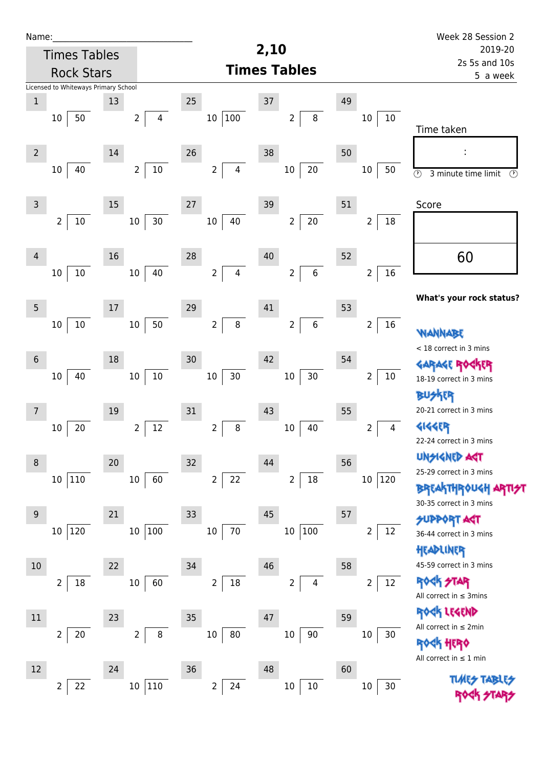| Name:           |                                      |      |                            |                           |                                    |    |                          | Week 28 Session 2                                          |
|-----------------|--------------------------------------|------|----------------------------|---------------------------|------------------------------------|----|--------------------------|------------------------------------------------------------|
|                 | <b>Times Tables</b>                  |      |                            |                           | 2,10                               |    |                          | 2019-20                                                    |
|                 | <b>Rock Stars</b>                    |      |                            |                           | <b>Times Tables</b>                |    |                          | 2s 5s and 10s<br>5 a week                                  |
|                 | Licensed to Whiteways Primary School |      |                            |                           |                                    |    |                          |                                                            |
| $\mathbf 1$     |                                      | 13   |                            | 25                        | 37                                 | 49 |                          |                                                            |
|                 | 50<br>10                             |      | 4<br>$\overline{2}$        | 10 100                    | $\bf 8$<br>$\overline{2}$          |    | 10<br>10                 | Time taken                                                 |
|                 |                                      |      |                            |                           |                                    |    |                          |                                                            |
| $\overline{2}$  |                                      | 14   |                            | 26                        | 38                                 | 50 |                          |                                                            |
|                 | 40<br>10                             |      | $10\,$<br>$\overline{2}$   | $\overline{2}$<br>4       | $20\,$<br>$10\,$                   |    | $10\,$<br>50             | $\overline{\odot}$<br>$\circled{r}$<br>3 minute time limit |
|                 |                                      |      |                            |                           |                                    |    |                          |                                                            |
| $\mathsf 3$     |                                      | 15   |                            | 27                        | 39                                 | 51 |                          | Score                                                      |
|                 | $\overline{2}$<br>$10\,$             |      | 30<br>$10\,$               | 10<br>40                  | $20\,$<br>$\overline{2}$           |    | $\overline{2}$<br>18     |                                                            |
|                 |                                      |      |                            |                           |                                    |    |                          |                                                            |
| 4               |                                      | 16   |                            | 28                        | 40                                 | 52 |                          | 60                                                         |
|                 | $10\,$<br>10                         |      | 40<br>10                   | $\overline{2}$<br>4       | $\,6\,$<br>$\overline{2}$          |    | 16<br>$\overline{2}$     |                                                            |
|                 |                                      |      |                            |                           |                                    |    |                          | What's your rock status?                                   |
| $5\phantom{.0}$ |                                      | $17$ |                            | 29                        | 41                                 | 53 |                          |                                                            |
|                 | $10\,$<br>$10\,$                     |      | 50<br>$10\,$               | $\,8\,$<br>$\overline{2}$ | $\boldsymbol{6}$<br>$\overline{2}$ |    | 16<br>$\overline{2}$     | <b>WANNABE</b>                                             |
|                 |                                      |      |                            |                           |                                    |    |                          | < 18 correct in 3 mins                                     |
| $6\,$           |                                      | 18   |                            | 30                        | 42                                 | 54 |                          | <b>GARAGE RO</b>                                           |
|                 | 40<br>$10\,$                         |      | $10\,$<br>$10\,$           | $30\,$<br>$10\,$          | $30\,$<br>$10\,$                   |    | $\overline{2}$<br>$10\,$ | 18-19 correct in 3 mins                                    |
|                 |                                      |      |                            |                           |                                    |    |                          | <b>BUSKER</b>                                              |
| 7               |                                      | 19   |                            | 31                        | 43                                 | 55 |                          | 20-21 correct in 3 mins                                    |
|                 | 20<br>$10\,$                         |      | 12<br>$\overline{2}$       | $\bf 8$<br>$\overline{2}$ | 40<br>10                           |    | 2<br>4                   | <b>4144ER</b>                                              |
|                 |                                      |      |                            |                           |                                    |    |                          | 22-24 correct in 3 mins                                    |
| 8               |                                      | 20   |                            | 32                        | 44                                 | 56 |                          | UNSIGNED AGT                                               |
|                 | 10 110                               |      | 60<br>10                   | $\overline{2}$<br>22      | $18\,$<br>$\overline{2}$           |    | 120<br>10 <sub>1</sub>   | 25-29 correct in 3 mins                                    |
|                 |                                      |      |                            |                           |                                    |    |                          | <b>BREAKTHROUGH</b>                                        |
| 9               |                                      | 21   |                            | 33                        | 45                                 | 57 |                          | 30-35 correct in 3 mins<br><b>SUPPORT AGT</b>              |
|                 | 10 120                               |      | 100<br>$10\,$              | $10\,$<br>70              | 100<br>$10\,$                      |    | 12<br>2                  | 36-44 correct in 3 mins                                    |
|                 |                                      |      |                            |                           |                                    |    |                          | HEADLINER                                                  |
| 10              |                                      | 22   |                            | 34                        | 46                                 | 58 |                          | 45-59 correct in 3 mins                                    |
|                 | 18<br>$\overline{2}$                 |      | 60<br>$10\,$               | $\overline{2}$<br>$18\,$  | 2<br>$\overline{\mathbf{4}}$       |    | 12<br>$\overline{2}$     | <b>ROCK STAR</b>                                           |
|                 |                                      |      |                            |                           |                                    |    |                          | All correct in $\leq$ 3mins                                |
| $11\,$          |                                      | 23   |                            | 35                        | 47                                 | 59 |                          | ROCK LEGEND                                                |
|                 | $\overline{2}$<br>$20\,$             |      | $\bf 8$<br>$\overline{2}$  | $10\,$<br>80              | $90\,$<br>$10\,$                   |    | $10\,$<br>30             | All correct in $\leq 2$ min                                |
|                 |                                      |      |                            |                           |                                    |    |                          | <b>ROGH HERO</b>                                           |
| 12              |                                      | 24   |                            | 36                        | 48                                 | 60 |                          | All correct in $\leq 1$ min                                |
|                 | $\overline{2}$<br>22                 |      | $110\,$<br>10 <sup>1</sup> | 24<br>$\overline{2}$      | $10\,$<br>$10\,$                   |    | 30<br>$10\,$             | <b>TUARS TABI</b>                                          |
|                 |                                      |      |                            |                           |                                    |    |                          |                                                            |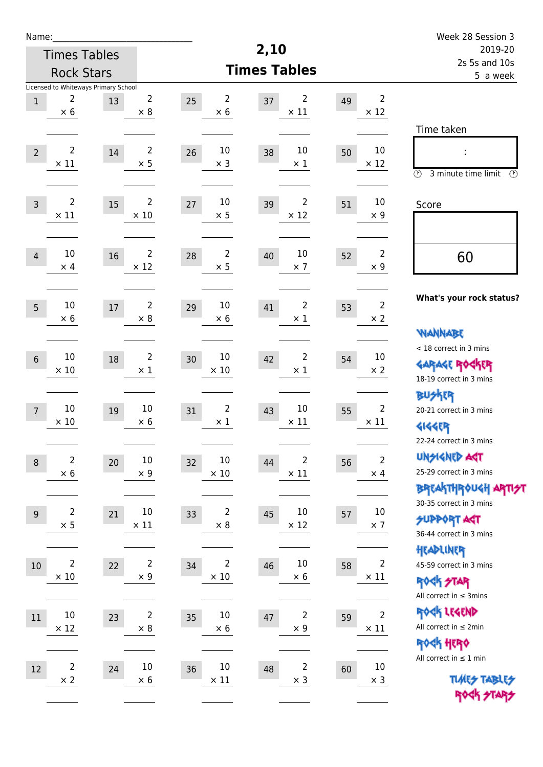| Name:           |                                                         |    |                               |                                    |                                     |    |                               | Week 28 Session 3<br>2019-20                                                                    |  |  |
|-----------------|---------------------------------------------------------|----|-------------------------------|------------------------------------|-------------------------------------|----|-------------------------------|-------------------------------------------------------------------------------------------------|--|--|
|                 | <b>Times Tables</b>                                     |    |                               |                                    | 2,10                                |    |                               |                                                                                                 |  |  |
|                 | <b>Rock Stars</b>                                       |    |                               |                                    | <b>Times Tables</b>                 |    |                               | 2s 5s and 10s<br>5 a week                                                                       |  |  |
| $\mathbf 1$     | Licensed to Whiteways Primary School<br>2<br>$\times$ 6 | 13 | $\overline{2}$<br>$\times 8$  | $\overline{2}$<br>25<br>$\times 6$ | 2<br>37<br>$\times$ 11              | 49 | $\overline{2}$<br>$\times$ 12 |                                                                                                 |  |  |
| $\overline{2}$  | $\overline{2}$<br>$\times$ 11                           | 14 | $\overline{2}$<br>$\times$ 5  | 10<br>26<br>$\times$ 3             | 10<br>38<br>$\times$ 1              | 50 | 10<br>$\times$ 12             | Time taken<br>Ì,<br>$\circled{r}$<br>3 minute time limit<br>⊕                                   |  |  |
| $\overline{3}$  | $\overline{2}$<br>$\times$ 11                           | 15 | $\overline{2}$<br>$\times 10$ | 10<br>27<br>$\times$ 5             | $\overline{2}$<br>39<br>$\times$ 12 | 51 | 10<br>$\times$ 9              | Score                                                                                           |  |  |
| $\overline{4}$  | 10<br>$\times$ 4                                        | 16 | $\overline{2}$<br>$\times$ 12 | $\overline{2}$<br>28<br>$\times$ 5 | 10<br>40<br>$\times$ 7              | 52 | $\overline{2}$<br>$\times$ 9  | 60                                                                                              |  |  |
| 5               | 10<br>$\times$ 6                                        | 17 | $\overline{2}$<br>$\times 8$  | 10<br>29<br>$\times 6$             | 2<br>41<br>$\times 1$               | 53 | $\overline{2}$<br>$\times$ 2  | What's your rock status?<br><b>VIANNABE</b>                                                     |  |  |
| $6\phantom{1}$  | $10\,$<br>$\times$ 10                                   | 18 | $\overline{2}$<br>$\times$ 1  | 10<br>30<br>$\times$ 10            | 2<br>42<br>$\times$ 1               | 54 | 10<br>$\times 2$              | < 18 correct in 3 mins<br><b>GARAGE ROGKER</b><br>18-19 correct in 3 mins                       |  |  |
| $7\overline{ }$ | $10\,$<br>$\times 10$                                   | 19 | 10<br>$\times 6$              | $\overline{2}$<br>31<br>$\times 1$ | 10<br>43<br>$\times$ 11             | 55 | $\overline{2}$<br>$\times$ 11 | <b>BU外界</b><br>20-21 correct in 3 mins<br><b>4144EP</b><br>22-24 correct in 3 mins              |  |  |
| $\,8\,$         | $\overline{c}$<br>$\times$ 6                            | 20 | $10\,$<br>$\times$ 9          | 10<br>32<br>$\times$ 10            | 2<br>44<br>$\times$ 11              | 56 | $\mathbf 2$<br>$\times$ 4     | <b>UNSIGNED AGT</b><br>25-29 correct in 3 mins<br>ΒΡΓΑ <sup>Κ</sup> ΤΗΡΟυΚΗ ΑΡΤΙ <del>2</del> Τ |  |  |
| 9               | 2<br>$\times$ 5                                         | 21 | 10<br>$\times$ 11             | $\overline{2}$<br>33<br>$\times 8$ | 10<br>45<br>$\times$ 12             | 57 | $10\,$<br>$\times$ 7          | 30-35 correct in 3 mins<br><b>SUPPORT AGT</b><br>36-44 correct in 3 mins                        |  |  |
| 10              | $\overline{2}$<br>$\times$ 10                           | 22 | $\overline{2}$<br>$\times$ 9  | 2<br>34<br>$\times$ 10             | $10\,$<br>46<br>$\times$ 6          | 58 | $\overline{2}$<br>$\times$ 11 | HEADLINER<br>45-59 correct in 3 mins<br><b>ROCK STAR</b><br>All correct in $\leq$ 3mins         |  |  |
| 11              | 10<br>$\times$ 12                                       | 23 | $\overline{2}$<br>$\times$ 8  | 10<br>35<br>$\times$ 6             | $\overline{2}$<br>47<br>$\times$ 9  | 59 | $\overline{2}$<br>$\times$ 11 | ROCK LEGEND<br>All correct in $\leq 2$ min<br><b>ROCK HERO</b>                                  |  |  |
| $12\,$          | $\mathbf 2$<br>$\times$ 2                               | 24 | $10\,$<br>$\times 6$          | $10\,$<br>36<br>$\times$ 11        | 2<br>48<br>$\times$ 3               | 60 | $10\,$<br>$\times$ 3          | All correct in $\leq 1$ min<br><b>TUARS TABLES</b><br>ROCK STARS                                |  |  |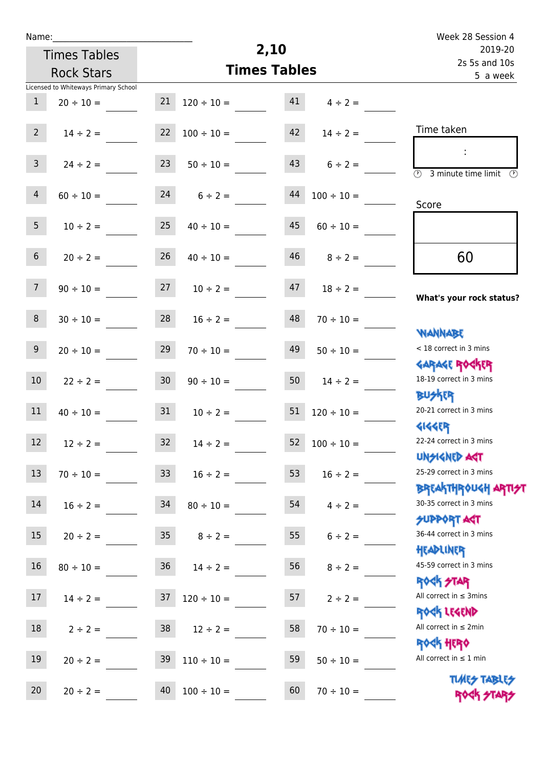| u | am |  |  |
|---|----|--|--|
|   |    |  |  |

## **2,10 Times Tables** Licensed to Whiteways Primary School Times Tables Rock Stars Week 28 Session 4 2s 5s and 10s 2019-20 5 a week Time taken :  $\overline{3}$  minute time limit  $\overline{3}$ Score **What's your rock status? WANNABE** Garage Rocker **BUSKER** Gigger Unsigned Act Breakthrough artist SUPPORT ACT Headliner ROCK STAR Rock Legend Rock Hero **TIMES TABLES** ROCK STARS < 18 correct in 3 mins 18-19 correct in 3 mins 20-21 correct in 3 mins 22-24 correct in 3 mins 25-29 correct in 3 mins 30-35 correct in 3 mins 36-44 correct in 3 mins 45-59 correct in 3 mins All correct in ≤ 3mins All correct in ≤ 2min All correct in  $\leq 1$  min 60 1  $20 \div 10 =$  21  $120 \div 10 =$  41  $4 \div 2 =$ 2  $14 \div 2 = 22 \quad 100 \div 10 = 42 \quad 14 \div 2 =$ 3  $24 \div 2 = 23$   $50 \div 10 = 43$   $6 \div 2 =$ 4  $60 \div 10 =$  24  $6 \div 2 =$  44  $100 \div 10 =$ 5  $10 \div 2 = 25$   $40 \div 10 = 45$   $60 \div 10 = 10$ 6  $20 \div 2 = 26$   $40 \div 10 = 46$   $8 \div 2 =$ 7  $90 \div 10 = 27$   $10 \div 2 = 47$   $18 \div 2 =$ 8  $30 \div 10 =$  28  $16 \div 2 =$  48  $70 \div 10 =$ 9  $20 \div 10 =$   $29$   $70 \div 10 =$   $49$   $50 \div 10 =$ 10  $22 \div 2 = 30$   $90 \div 10 = 50$   $14 \div 2 =$ 11  $40 \div 10 =$  31  $10 \div 2 =$  51  $120 \div 10 =$ 12  $12 \div 2 = 32$   $14 \div 2 = 52$   $100 \div 10 =$ 13  $70 \div 10 =$  33  $16 \div 2 =$  53  $16 \div 2 =$ 14  $16 \div 2 = 34$   $80 \div 10 = 54$   $4 \div 2 =$ 15  $20 \div 2 = 35$   $8 \div 2 = 55$   $6 \div 2 =$ 16  $80 \div 10 =$  36  $14 \div 2 =$  56  $8 \div 2 =$ 17  $14 \div 2 =$  37  $120 \div 10 =$  57  $2 \div 2 =$ 18  $2 \div 2 = 38$   $12 \div 2 = 58$   $70 \div 10 =$ 19  $20 \div 2 = 39 \div 110 \div 10 = 59 \div 10 =$ 20  $20 \div 2 = 40$   $100 \div 10 = 60$   $70 \div 10 =$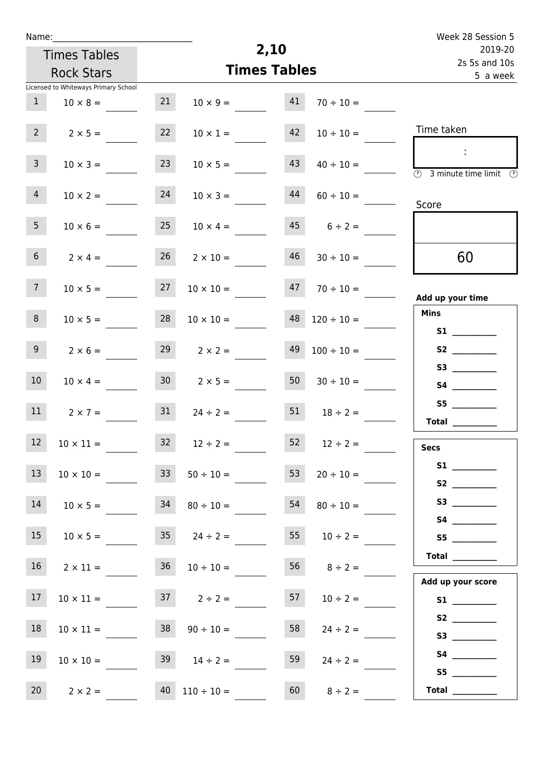| ٠ | а | m |  |  |
|---|---|---|--|--|
|   |   |   |  |  |

Times Tables Rock Stars

## **2,10 Times Tables** Week 28 Session 5 2s 5s and 10s 2019-20 5 a week Time taken : 3 minute time limit Score

|                                                                                                                                                                                                                                                                                                                                                                                                                                                                                                                                                                                                                     |                      |    |                       |                 | Licensed to Whiteways Primary School |                 |
|---------------------------------------------------------------------------------------------------------------------------------------------------------------------------------------------------------------------------------------------------------------------------------------------------------------------------------------------------------------------------------------------------------------------------------------------------------------------------------------------------------------------------------------------------------------------------------------------------------------------|----------------------|----|-----------------------|-----------------|--------------------------------------|-----------------|
|                                                                                                                                                                                                                                                                                                                                                                                                                                                                                                                                                                                                                     | $70 \div 10 =$       | 41 | $10 \times 9 =$       | 21              | $10 \times 8 =$                      | $\mathbf{1}$    |
| Time taken                                                                                                                                                                                                                                                                                                                                                                                                                                                                                                                                                                                                          | $10 \div 10 =$       | 42 | $10 \times 1 =$       | 22              | $2 \times 5 =$                       | 2 <sup>7</sup>  |
| $\mathcal{L}$<br>$\overline{\textcircled{2}}$ 3 minute time limit<br>(F                                                                                                                                                                                                                                                                                                                                                                                                                                                                                                                                             | $40 \div 10 =$       | 43 | $10 \times 5 =$       | 23              | $10 \times 3 =$                      | 3 <sup>7</sup>  |
| Score                                                                                                                                                                                                                                                                                                                                                                                                                                                                                                                                                                                                               | $60 \div 10 =$       | 44 | $10 \times 3 =$       | 24              | $10 \times 2 =$                      | 4               |
|                                                                                                                                                                                                                                                                                                                                                                                                                                                                                                                                                                                                                     | $45$ $6 \div 2 =$    |    | $10 \times 4 =$       | 25              | $10 \times 6 =$                      | 5 <sub>1</sub>  |
| 60                                                                                                                                                                                                                                                                                                                                                                                                                                                                                                                                                                                                                  | $46$ $30 \div 10 =$  |    | $26 \t 2 \times 10 =$ |                 | $2 \times 4 =$                       | 6 <sup>1</sup>  |
| Add up your time                                                                                                                                                                                                                                                                                                                                                                                                                                                                                                                                                                                                    | $47 \t 70 \div 10 =$ |    | $10 \times 10 =$      | 27              | $10 \times 5 =$                      | 7 <sup>7</sup>  |
| <b>Mins</b>                                                                                                                                                                                                                                                                                                                                                                                                                                                                                                                                                                                                         | $120 \div 10 =$      | 48 | $10 \times 10 =$      | 28              | $10 \times 5 =$                      | 8 <sup>1</sup>  |
| <b>S1 S1</b>                                                                                                                                                                                                                                                                                                                                                                                                                                                                                                                                                                                                        | $100 \div 10 =$      | 49 | $29$ $2 \times 2 =$   |                 | $2 \times 6 =$                       | 9 <sub>o</sub>  |
|                                                                                                                                                                                                                                                                                                                                                                                                                                                                                                                                                                                                                     | $30 \div 10 =$       | 50 | $2 \times 5 =$        | 30 <sub>1</sub> | $10 \times 4 =$                      | 10 <sup>°</sup> |
| S5<br>Total $\_\_$                                                                                                                                                                                                                                                                                                                                                                                                                                                                                                                                                                                                  | $18 \div 2 =$        | 51 | $24 \div 2 =$         | 31              | $2 \times 7 =$                       | 11              |
| <b>Secs</b>                                                                                                                                                                                                                                                                                                                                                                                                                                                                                                                                                                                                         | $52 \t 12 \div 2 =$  |    | $32 \t 12 \div 2 =$   |                 | $10 \times 11 =$                     | 12              |
| S <sub>2</sub> and the set of the set of the set of the set of the set of the set of the set of the set of the set of the set of the set of the set of the set of the set of the set of the set of the set of the set of the set of the                                                                                                                                                                                                                                                                                                                                                                             | $20 \div 10 =$       | 53 | $50 \div 10 =$        | 33              | $10 \times 10 =$                     | 13              |
|                                                                                                                                                                                                                                                                                                                                                                                                                                                                                                                                                                                                                     | $80 \div 10 =$       | 54 | $80 \div 10 =$        | 34              | $10 \times 5 =$                      | 14              |
| S5                                                                                                                                                                                                                                                                                                                                                                                                                                                                                                                                                                                                                  | $10 \div 2 =$        | 55 | $35 \t 24 \div 2 =$   |                 | $10 \times 5 =$                      | 15              |
| Total $\qquad$                                                                                                                                                                                                                                                                                                                                                                                                                                                                                                                                                                                                      | $56 \t 8 \div 2 =$   |    | $10 \div 10 =$        | 36              | $2 \times 11 =$                      | 16              |
| Add up your score                                                                                                                                                                                                                                                                                                                                                                                                                                                                                                                                                                                                   | $10 \div 2 =$        | 57 | $37 \t 2 \div 2 =$    |                 | $10 \times 11 =$                     | 17              |
|                                                                                                                                                                                                                                                                                                                                                                                                                                                                                                                                                                                                                     | $24 \div 2 =$        | 58 | $90 \div 10 =$        | 38              | $10 \times 11 =$                     | 18              |
| S4                                                                                                                                                                                                                                                                                                                                                                                                                                                                                                                                                                                                                  | $24 \div 2 =$        | 59 | $39 \t 14 \div 2 =$   |                 | $10 \times 10 =$                     | 19              |
| $\begin{tabular}{c} Total & \underline{\hspace{1cm}} & \underline{\hspace{1cm}} & \underline{\hspace{1cm}} & \underline{\hspace{1cm}} & \underline{\hspace{1cm}} & \underline{\hspace{1cm}} & \underline{\hspace{1cm}} & \underline{\hspace{1cm}} & \underline{\hspace{1cm}} & \underline{\hspace{1cm}} & \underline{\hspace{1cm}} & \underline{\hspace{1cm}} & \underline{\hspace{1cm}} & \underline{\hspace{1cm}} & \underline{\hspace{1cm}} & \underline{\hspace{1cm}} & \underline{\hspace{1cm}} & \underline{\hspace{1cm}} & \underline{\hspace{1cm}} & \underline{\hspace{1cm}} & \underline{\hspace{1cm}} &$ | $8 \div 2 =$         | 60 | $40$ $110 \div 10 =$  |                 | $2 \times 2 =$                       | 20              |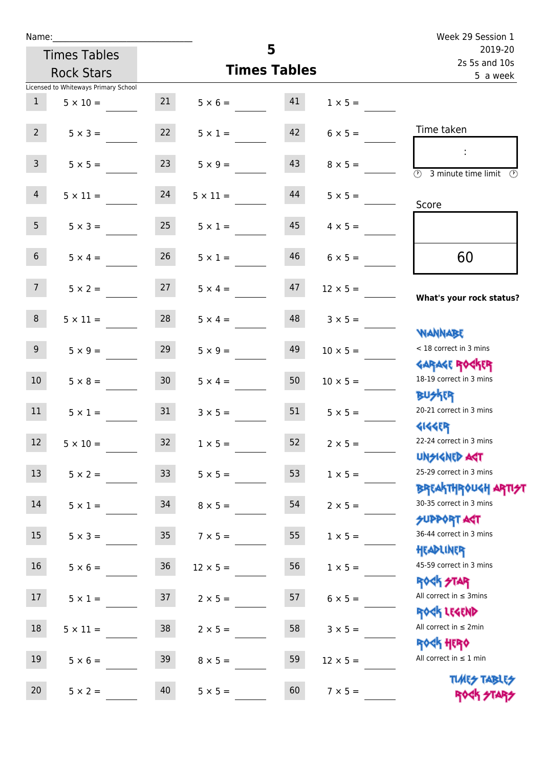| Name:               |                                      |                 |                     |                           |                      | Week 29 Session 1<br>2019-20                                      |  |
|---------------------|--------------------------------------|-----------------|---------------------|---------------------------|----------------------|-------------------------------------------------------------------|--|
| <b>Times Tables</b> |                                      |                 | 5                   |                           |                      |                                                                   |  |
|                     | <b>Rock Stars</b>                    |                 | <b>Times Tables</b> | 2s 5s and 10s<br>5 a week |                      |                                                                   |  |
|                     | Licensed to Whiteways Primary School |                 |                     |                           |                      |                                                                   |  |
| 1                   | $5 \times 10 =$                      | 21              | $5 \times 6 = 41$   |                           | $1 \times 5 =$       |                                                                   |  |
| $2^{\circ}$         | $5 \times 3 =$                       | 22              | $5 \times 1 =$      | 42                        | $6 \times 5 =$       | Time taken                                                        |  |
| 3 <sup>7</sup>      | $5 \times 5 =$                       | 23              | $5 \times 9 =$      | 43                        | $8 \times 5 =$       | $\overline{\textcircled{2}}$ 3 minute time limit<br>$\mathcal{O}$ |  |
| $\overline{4}$      | $5 \times 11 = 24$                   |                 | $5 \times 11 =$     | 44                        | $5 \times 5 =$       | Score                                                             |  |
| 5 <sub>1</sub>      | $5 \times 3 =$                       | 25              | $5 \times 1 =$      | 45                        | $4 \times 5 =$       |                                                                   |  |
| 6 <sup>1</sup>      | $5 \times 4 =$                       | 26              | $5 \times 1 =$      | 46                        | $6 \times 5 =$       | 60                                                                |  |
| 7 <sup>7</sup>      | $5 \times 2 = 27$                    |                 | $5 \times 4 =$      | 47                        | $12 \times 5 =$      | What's your rock status?                                          |  |
| 8                   | $5 \times 11 =$                      | 28              | $5 \times 4 =$      | 48                        | $3 \times 5 =$       | <b>JARNARY</b>                                                    |  |
| 9 <sub>o</sub>      | $5 \times 9 =$                       | 29              | $5 \times 9 =$      | 49                        | $10 \times 5 =$      | < 18 correct in 3 mins                                            |  |
| 10 <sup>°</sup>     | $5 \times 8 = 30$                    |                 | $5 \times 4 =$      | 50                        | $10 \times 5 =$      | <b>GARAGE ROCKER</b><br>18-19 correct in 3 mins<br><b>BUSKER</b>  |  |
| 11                  | $5 \times 1 =$                       | 31              | $3 \times 5 =$      |                           | $51 \t 5 \times 5 =$ | 20-21 correct in 3 mins                                           |  |
| 12                  | $5 \times 10 =$                      | 32              | $1 \times 5 =$      | 52                        | $2 \times 5 =$       | <b>4144EP</b><br>22-24 correct in 3 mins<br><b>UNSIGNED AGT</b>   |  |
| 13                  | $5 \times 2 =$                       | 33              | $5 \times 5 =$      | 53                        | $1 \times 5 =$       | 25-29 correct in 3 mins<br><b>BREAKTHROUGH ARTI<del>S</del>T</b>  |  |
| 14                  | $5 \times 1 =$                       | 34              | $8 \times 5 =$      | 54                        | $2 \times 5 =$       | 30-35 correct in 3 mins<br><b>SUPPORT AGT</b>                     |  |
| 15 <sub>15</sub>    | $5 \times 3 =$                       | 35 <sub>o</sub> | $7 \times 5 =$      | 55                        | $1 \times 5 =$       | 36-44 correct in 3 mins<br>HEADLINER                              |  |
| 16                  | $5 \times 6 =$                       | $36\,$          | $12 \times 5 =$     | 56                        | $1 \times 5 =$       | 45-59 correct in 3 mins<br><b>ROCK STAR</b>                       |  |
| 17                  | $5 \times 1 =$                       | 37              | $2 \times 5 =$      | 57                        | $6 \times 5 =$       | All correct in $\leq$ 3mins<br>ROCK LEGEND                        |  |
| 18                  | $5 \times 11 =$                      | 38              | $2 \times 5 =$      | 58                        | $3 \times 5 =$       | All correct in $\leq 2$ min                                       |  |
| 19                  | $5 \times 6 =$                       | 39              | $8 \times 5 =$      | 59                        | $12 \times 5 =$      | <b>ROCK HERO</b><br>All correct in $\leq 1$ min                   |  |
| 20                  | $5 \times 2 =$                       | 40              | $5 \times 5 =$      | 60                        | $7 \times 5 =$       | <b>TUARS TABLES</b><br>ROCK STARS                                 |  |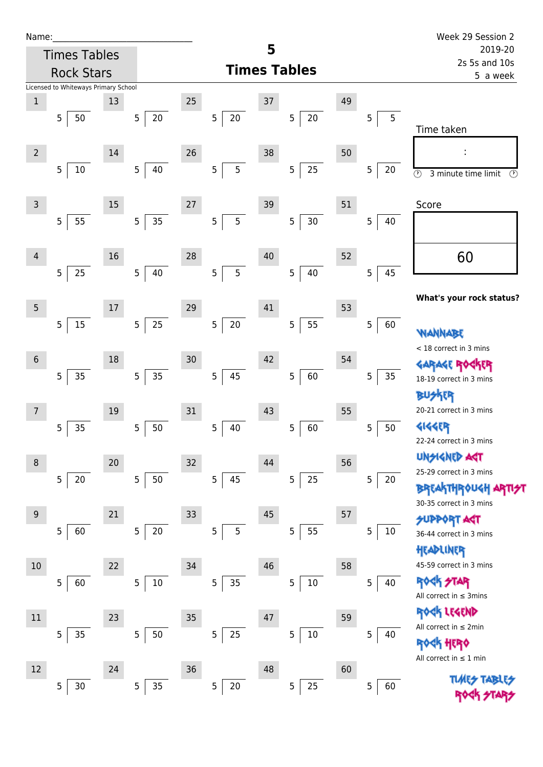| Name |  |  |  |
|------|--|--|--|
|      |  |  |  |

| Name:          |                                      |        |                          |    |                          |    |                      |    |                          | Week 29 Session 2                               |
|----------------|--------------------------------------|--------|--------------------------|----|--------------------------|----|----------------------|----|--------------------------|-------------------------------------------------|
|                | <b>Times Tables</b>                  |        |                          |    |                          | 5  |                      |    |                          | 2019-20                                         |
|                | <b>Rock Stars</b>                    |        |                          |    |                          |    | <b>Times Tables</b>  |    |                          | 2s 5s and 10s<br>5 a week                       |
|                | Licensed to Whiteways Primary School |        |                          |    |                          |    |                      |    |                          |                                                 |
| $\mathbf{1}$   |                                      | 13     |                          | 25 |                          | 37 |                      | 49 |                          |                                                 |
|                | 5<br>50                              |        | $\overline{5}$<br>$20\,$ |    | 5<br>20                  |    | 5 <br>20             |    | 5<br>$\sqrt{5}$          |                                                 |
|                |                                      |        |                          |    |                          |    |                      |    |                          | Time taken                                      |
| $\overline{2}$ |                                      | 14     |                          | 26 |                          | 38 |                      | 50 |                          |                                                 |
|                | $10\,$<br>5                          |        | 5<br>40                  |    | 5<br>5                   |    | 25<br>5 <sup>1</sup> |    | $\overline{5}$<br>$20\,$ | $\odot$<br>3 minute time limit<br>$\circled{r}$ |
|                |                                      |        |                          |    |                          |    |                      |    |                          |                                                 |
| $\overline{3}$ |                                      | $15\,$ |                          | 27 |                          | 39 |                      | 51 |                          | Score                                           |
|                | 55<br>5                              |        | 35<br>$\overline{5}$     |    | 5<br>5                   |    | $30\,$<br>5          |    | 5<br>40                  |                                                 |
|                |                                      |        |                          |    |                          |    |                      |    |                          |                                                 |
|                |                                      | 16     |                          | 28 |                          | 40 |                      | 52 |                          |                                                 |
| $\overline{4}$ |                                      |        |                          |    |                          |    |                      |    |                          | 60                                              |
|                | 25<br>5                              |        | 5<br>40                  |    | 5<br>5                   |    | 5 <br>40             |    | 45<br>$\sqrt{5}$         |                                                 |
|                |                                      |        |                          |    |                          |    |                      |    |                          | What's your rock status?                        |
| 5              |                                      | 17     |                          | 29 |                          | 41 |                      | 53 |                          |                                                 |
|                | $15\,$<br>$\overline{5}$             |        | $25\,$<br>$\overline{5}$ |    | $20\,$<br>5              |    | 55<br>5              |    | 60<br>$\sqrt{5}$         | WANNABE                                         |
|                |                                      |        |                          |    |                          |    |                      |    |                          | < 18 correct in 3 mins                          |
| $\sqrt{6}$     |                                      | 18     |                          | 30 |                          | 42 |                      | 54 |                          | <b>GARAGE ROGKER</b>                            |
|                | 35<br>5                              |        | 5<br>35                  |    | 45<br>5                  |    | 5<br>60              |    | $35\,$<br>$\sqrt{5}$     | 18-19 correct in 3 mins                         |
|                |                                      |        |                          |    |                          |    |                      |    |                          | ዋ                                               |
| $\overline{7}$ |                                      | $19\,$ |                          | 31 |                          | 43 |                      | 55 |                          | 20-21 correct in 3 mins                         |
|                | 35<br>5                              |        | 50<br>5                  |    | 5<br>40                  |    | 60<br>5              |    | 50<br>5                  | 4144ER                                          |
|                |                                      |        |                          |    |                          |    |                      |    |                          | 22-24 correct in 3 mins                         |
| 8              |                                      | $20\,$ |                          | 32 |                          | 44 |                      | 56 |                          | <b>UNSIGNED AGT</b>                             |
|                | 20<br>5                              |        | $\overline{5}$<br>50     |    | 45<br>5 <sub>1</sub>     |    | 25<br>5              |    | $\overline{5}$<br>20     | 25-29 correct in 3 mins                         |
|                |                                      |        |                          |    |                          |    |                      |    |                          | <b>BREAKTHROUGH ARTI<del>S</del>T</b>           |
|                |                                      |        |                          |    |                          |    |                      |    |                          | 30-35 correct in 3 mins                         |
| 9              |                                      | 21     |                          | 33 |                          | 45 |                      | 57 |                          | <b>SUPPORT AST</b>                              |
|                | 5<br>60                              |        | $20\,$<br>5              |    | 5<br>5                   |    | 55<br>5 <sup>1</sup> |    | 5<br>10                  | 36-44 correct in 3 mins                         |
|                |                                      |        |                          |    |                          |    |                      |    |                          | HEADLINER                                       |
| 10             |                                      | 22     |                          | 34 |                          | 46 |                      | 58 |                          | 45-59 correct in 3 mins                         |
|                | 5<br>60                              |        | $\overline{5}$<br>$10\,$ |    | 35<br>$\overline{5}$     |    | 5<br>$10\,$          |    | $\overline{5}$<br>40     | 外<br><b>Rodk</b>                                |
|                |                                      |        |                          |    |                          |    |                      |    |                          | All correct in $\leq$ 3mins                     |
| $11\,$         |                                      | 23     |                          | 35 |                          | 47 |                      | 59 |                          | ROCK LEGEND                                     |
|                | 35<br>5                              |        | 5<br>$50\,$              |    | 5<br>$25\,$              |    | 5<br>$10\,$          |    | $\overline{5}$<br>40     | All correct in ≤ 2min                           |
|                |                                      |        |                          |    |                          |    |                      |    |                          | HERQ                                            |
| 12             |                                      | 24     |                          | 36 |                          | 48 |                      | 60 |                          | All correct in $\leq 1$ min                     |
|                | $30\,$<br>5                          |        | 35<br>5                  |    | $20\,$<br>5 <sub>1</sub> |    | 25<br>5              |    | 60<br>5                  |                                                 |
|                |                                      |        |                          |    |                          |    |                      |    |                          |                                                 |

Rock STARS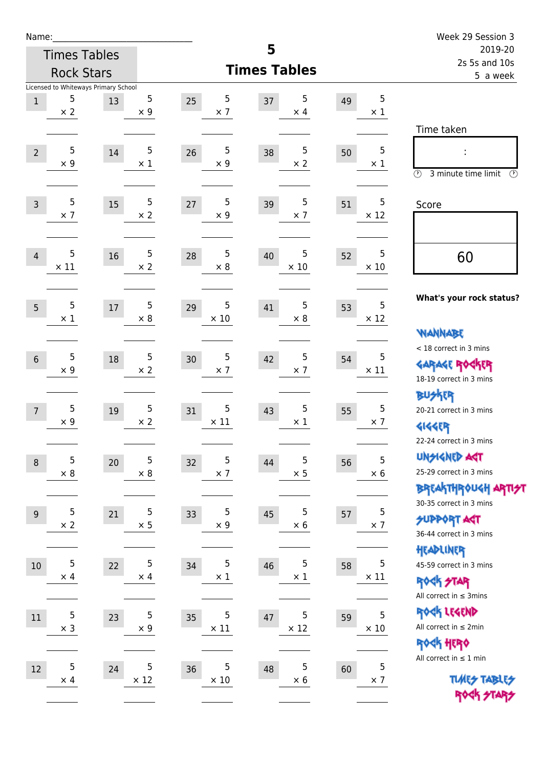|                                                                                                                                                | Week 29 Session 3        |
|------------------------------------------------------------------------------------------------------------------------------------------------|--------------------------|
| 5<br><b>Times Tables</b>                                                                                                                       | 2019-20<br>2s 5s and 10s |
| <b>Times Tables</b><br><b>Rock Stars</b>                                                                                                       | 5 a week                 |
| Licensed to Whiteways Primary School                                                                                                           |                          |
| 5<br>5<br>5<br>5<br>5<br>37<br>25<br>49<br>$1\,$<br>13<br>$\times 2$<br>$\times$ 9<br>$\times$ 7<br>$\times$ 4<br>$\times$ 1                   |                          |
| Time taken                                                                                                                                     |                          |
|                                                                                                                                                |                          |
| 5<br>5<br>5<br>$\sqrt{5}$<br>5<br>14<br>26<br>$\overline{2}$<br>38<br>50<br>$\times$ 2<br>$\times$ 9<br>$\times$ 1<br>$\times$ 9<br>$\times$ 1 |                          |
| $\circled{r}$<br>3 minute time limit                                                                                                           | $(\mathcal{F})$          |
| 5<br>5<br>5<br>5<br>5<br>15<br>27<br>$\overline{3}$<br>39<br>51                                                                                |                          |
| Score<br>$\times$ 7<br>$\times$ 2<br>$\times$ 9<br>$\times$ 12<br>$\times$ 7                                                                   |                          |
|                                                                                                                                                |                          |
| 5<br>5<br>5<br>5<br>5<br>16<br>28<br>40<br>52<br>60<br>$\overline{4}$                                                                          |                          |
| $\times$ 10<br>$\times$ 11<br>$\times 2$<br>$\times 8$<br>$\times$ 10                                                                          |                          |
|                                                                                                                                                |                          |
| What's your rock status?<br>5<br>5<br>5<br>5<br>5<br>41<br>53<br>5<br>17<br>29                                                                 |                          |
| $\times$ 10<br>$\times$ 8<br>$\times$ 12<br>$\times$ 1<br>$\times$ 8                                                                           |                          |
| <b>VIANNABE</b>                                                                                                                                |                          |
| < 18 correct in 3 mins<br>5<br>5<br>5<br>5<br>5<br>42<br>$6\,$<br>18<br>30<br>54                                                               |                          |
| <b>GARAGE ROCKER</b><br>$\times$ 9<br>$\times 2$<br>$\times$ 7<br>$\times$ 11<br>$\times$ 7<br>18-19 correct in 3 mins                         |                          |
| <b>BUSKER</b>                                                                                                                                  |                          |
| 5<br>5<br>5<br>5<br>5<br>43<br>20-21 correct in 3 mins<br>19<br>31<br>55<br>$\overline{7}$                                                     |                          |
| $\times$ 9<br>$\times$ 7<br>$\times$ 2<br>$\times$ 11<br>$\times$ 1<br><b>4144EP</b>                                                           |                          |
| 22-24 correct in 3 mins                                                                                                                        |                          |
| <b>UNGIGNED AST</b><br>5<br>5<br>5<br>5<br>5<br>32<br>44<br>$20\,$<br>56<br>$\,8\,$                                                            |                          |
| 25-29 correct in 3 mins<br>$\times$ 5<br>$\times$ 6<br>$\times$ 8<br>$\times$ 8<br>$\times$ 7                                                  |                          |
| <b>BREAKTHR0UGH ARTI<del>S</del>T</b><br>30-35 correct in 3 mins                                                                               |                          |
| 5<br>5<br>5<br>5<br>5<br>21<br>45<br>33<br>57<br>$9\,$<br><b>SUPPORT ART</b>                                                                   |                          |
| $\times$ 2<br>$\times$ 5<br>$\times$ 7<br>$\times$ 9<br>$\times$ 6<br>36-44 correct in 3 mins                                                  |                          |
| HEADLINER                                                                                                                                      |                          |
| 5<br>5<br>5<br>5<br>5<br>34<br>46<br>10<br>22<br>58<br>45-59 correct in 3 mins                                                                 |                          |
| $\times$ 1<br>$\times$ 1<br>$\times$ 11<br>$\times$ 4<br>$\times$ 4<br><b>ROCK STAR</b>                                                        |                          |
| All correct in $\leq$ 3mins                                                                                                                    |                          |
| ROCK LEGEND<br>5<br>5<br>5<br>5<br>5<br>11<br>35<br>47<br>23<br>59<br>All correct in $\leq 2$ min                                              |                          |
| $\times$ 10<br>$\times$ 12<br>$\times$ 3<br>$\times$ 9<br>$\times$ 11<br>ROCK HERO                                                             |                          |
| All correct in $\leq 1$ min                                                                                                                    |                          |
| 5<br>5<br>5<br>5<br>5<br>36<br>$12\,$<br>24<br>48<br>60<br><b>TUARS TABLES</b>                                                                 |                          |
| $\times$ 12<br>$\times$ 10<br>$\times$ 6<br>$\times$ 7<br>$\times$ 4                                                                           | ROCK STARS               |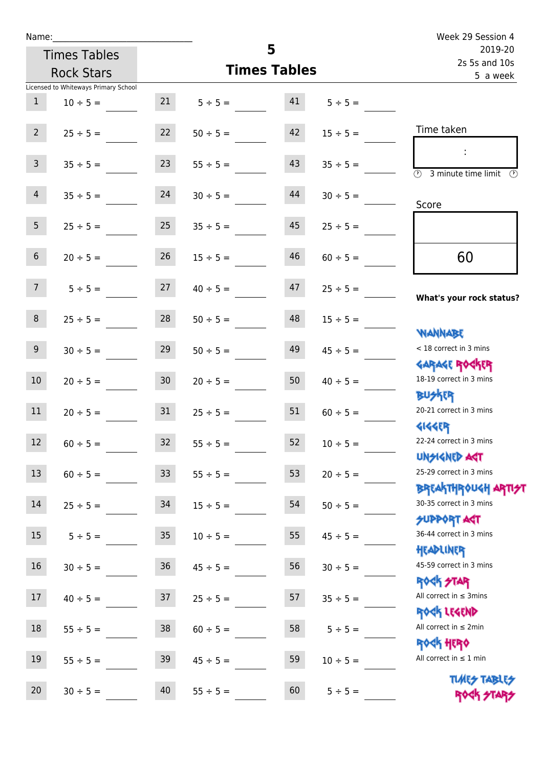| Name:                    |                                      |                 |                     |          |               | Week 29 Session 4                                   |
|--------------------------|--------------------------------------|-----------------|---------------------|----------|---------------|-----------------------------------------------------|
| 5<br><b>Times Tables</b> |                                      |                 |                     |          |               | 2019-20<br>2s 5s and 10s                            |
|                          | <b>Rock Stars</b>                    |                 | <b>Times Tables</b> | 5 a week |               |                                                     |
|                          | Licensed to Whiteways Primary School |                 |                     |          |               |                                                     |
| $\mathbf{1}$             | $10 \div 5 =$                        | 21              | $5 \div 5 =$        | 41       | $5 \div 5 =$  |                                                     |
| $2^{\circ}$              | $25 \div 5 =$                        | 22              | $50 \div 5 =$       | 42       | $15 \div 5 =$ | Time taken                                          |
| $\mathbf{3}$             | $35 \div 5 =$                        | 23              | $55 \div 5 =$       | 43       | $35 \div 5 =$ | $\overline{\textcircled{2}}$ 3 minute time limit    |
| $\overline{4}$           | $35 \div 5 =$                        | 24              | $30 \div 5 =$       | 44       | $30 \div 5 =$ | Score                                               |
| 5 <sub>1</sub>           | $25 \div 5 =$                        | 25              | $35 \div 5 =$       | 45       | $25 \div 5 =$ |                                                     |
| $6\overline{6}$          | $20 \div 5 =$                        | 26              | $15 \div 5 =$       | 46       | $60 \div 5 =$ | 60                                                  |
| 7 <sup>7</sup>           | $5 \div 5 =$                         | 27              | $40 \div 5 =$       | 47       | $25 \div 5 =$ | What's your rock status?                            |
| 8                        | $25 \div 5 =$                        | 28              | $50 \div 5 =$       | 48       | $15 \div 5 =$ | WANNABE                                             |
| 9 <sup>°</sup>           | $30 \div 5 =$                        | 29              | $50 \div 5 =$       | 49       | $45 \div 5 =$ | < 18 correct in 3 mins<br><b>GARAGE ROCKER</b>      |
| 10 <sup>°</sup>          | $20 \div 5 =$                        | 30 <sub>2</sub> | $20 \div 5 =$       | 50       | $40 \div 5 =$ | 18-19 correct in 3 mins<br><b>BUSKER</b>            |
| 11                       | $20 \div 5 =$                        | 31              | $25 \div 5 =$       | 51       | $60 \div 5 =$ | 20-21 correct in 3 mins<br><b>4144EP</b>            |
| 12                       | $60 \div 5 =$                        | 32              | $55 \div 5 =$       | 52       | $10 \div 5 =$ | 22-24 correct in 3 mins<br><b>UNSIGNED AST</b>      |
| 13                       | $60 \div 5 =$                        | 33              | $55 \div 5 =$       | 53       | $20 \div 5 =$ | 25-29 correct in 3 mins<br><b>BREAKTHROUGH ARTI</b> |
| 14                       | $25 \div 5 =$                        | 34              | $15 \div 5 =$       | 54       | $50 \div 5 =$ | 30-35 correct in 3 mins<br>SUPPORT ART              |
| 15                       | $5 ÷ 5 =$                            | 35              | $10 \div 5 =$       | 55       | $45 \div 5 =$ | 36-44 correct in 3 mins<br>HEADLINER                |
| 16                       | $30 \div 5 =$                        | 36              | $45 \div 5 =$       | 56       | $30 \div 5 =$ | 45-59 correct in 3 mins<br><b>ROCK STAR</b>         |
| 17                       | $40 \div 5 =$                        | 37              | $25 \div 5 =$       | 57       | $35 \div 5 =$ | All correct in $\leq$ 3mins<br>ROCK LEGEND          |
| 18                       | $55 \div 5 =$                        | 38              | $60 \div 5 =$       | 58       | $5 ÷ 5 =$     | All correct in $\leq 2$ min<br>ROCK HERO            |
| 19                       | $55 \div 5 =$                        | 39              | $45 \div 5 =$       | 59       | $10 \div 5 =$ | All correct in $\leq 1$ min                         |
|                          |                                      |                 |                     |          |               | <b>TUARS TABLES</b>                                 |

20  $30 \div 5 =$  40  $55 \div 5 =$  60  $5 \div 5 =$  ROCK FIAR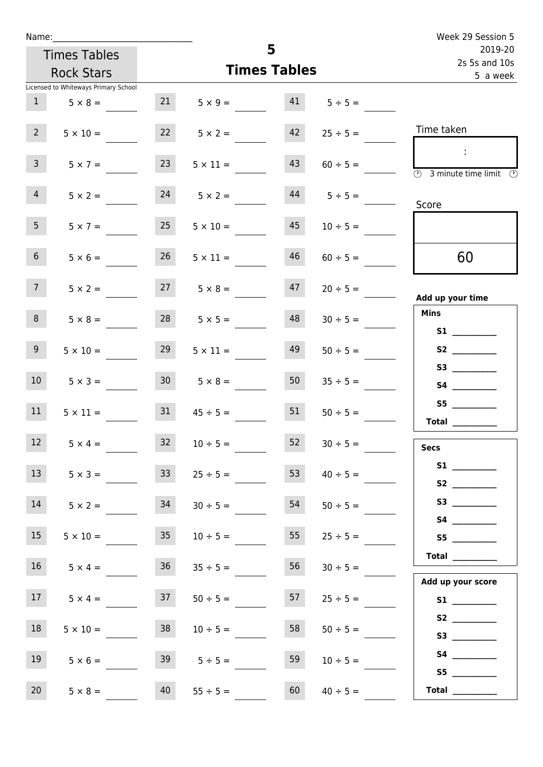| Name:                                |                 |                      |                     |                   | Week 29 Session 5                                             |
|--------------------------------------|-----------------|----------------------|---------------------|-------------------|---------------------------------------------------------------|
| <b>Times Tables</b>                  |                 |                      | 5                   |                   | 2019-20<br>2s 5s and 10s                                      |
| <b>Rock Stars</b>                    |                 |                      | <b>Times Tables</b> |                   | 5 a week                                                      |
| Licensed to Whiteways Primary School |                 |                      |                     |                   |                                                               |
| 1<br>$5 \times 8 =$                  | 21              | $5 \times 9 = 41$    |                     | $5 \div 5 =$      |                                                               |
| 2 <sup>7</sup><br>$5 \times 10 =$    |                 | $22 \t 5 \times 2 =$ | 42                  | $25 \div 5 =$     | Time taken                                                    |
| $\mathbf{3}$<br>$5 \times 7 =$       | 23              | $5 \times 11 =$      | 43                  | $60 \div 5 =$     | $\sim$ 10 $\,$<br>3 minute time limit<br>⊕                    |
| $\overline{4}$<br>$5 \times 2 =$     |                 | $24 \t 5 \times 2 =$ |                     | $44$ $5 \div 5 =$ | Score                                                         |
| 5 <sub>1</sub><br>$5 \times 7 =$     | 25              | $5 \times 10 =$      | 45                  | $10 \div 5 =$     |                                                               |
| 6 <sup>1</sup><br>$5 \times 6 =$     | 26              | $5 \times 11 =$      | 46                  | $60 \div 5 =$     | 60                                                            |
| 7 <sup>7</sup><br>$5 \times 2 =$     |                 | $27 \t 5 \times 8 =$ | 47                  | $20 \div 5 =$     | Add up your time                                              |
| 8<br>$5 \times 8 =$                  |                 | $28$ $5 \times 5 =$  | 48                  | $30 \div 5 =$     | <b>Mins</b><br><b>S1</b>                                      |
| 9 <sub>o</sub><br>$5 \times 10 =$    | 29              | $5 \times 11 =$      | 49                  | $50 \div 5 =$     |                                                               |
| 10 <sup>°</sup><br>$5 \times 3 =$    |                 | $30 \t 5 \times 8 =$ | 50                  | $35 \div 5 =$     | S3<br><b>S4 S4</b>                                            |
| 11<br>$5 \times 11 =$                | 31              | $45 \div 5 =$        | 51                  | $50 \div 5 =$     | <b>Total</b>                                                  |
| 12 <sup>12</sup><br>$5 \times 4 =$   | 32              | $10 \div 5 =$        | 52                  | $30 \div 5 =$     | <b>Secs</b>                                                   |
| 13<br>$5 \times 3 =$                 | 33 <sup>°</sup> | $25 \div 5 =$        | 53                  | $40 \div 5 =$     |                                                               |
| 14<br>$5 \times 2 =$                 | 34              | $30 \div 5 =$        | 54                  | $50 \div 5 =$     |                                                               |
| 15<br>$5 \times 10 =$                | 35              | $10 \div 5 =$        | 55                  | $25 \div 5 =$     | S5                                                            |
| 16<br>$5 \times 4 =$                 | 36              | $35 \div 5 =$        | 56                  | $30 \div 5 =$     | $\begin{tabular}{c} Total \end{tabular}$<br>Add up your score |
| 17<br>$5 \times 4 =$                 | 37              | $50 \div 5 =$        | 57                  | $25 \div 5 =$     |                                                               |
| 18<br>$5 \times 10 =$                | 38              | $10 \div 5 =$        | 58                  | $50 \div 5 =$     | S2                                                            |
| 19<br>$5 \times 6 =$                 | 39              | $5 \div 5 =$         | 59                  | $10 \div 5 =$     | <b>S4 S4</b><br>S5                                            |
| 20<br>$5 \times 8 =$                 | 40              | $55 \div 5 =$        | 60                  | $40 \div 5 =$     | Total $\qquad$                                                |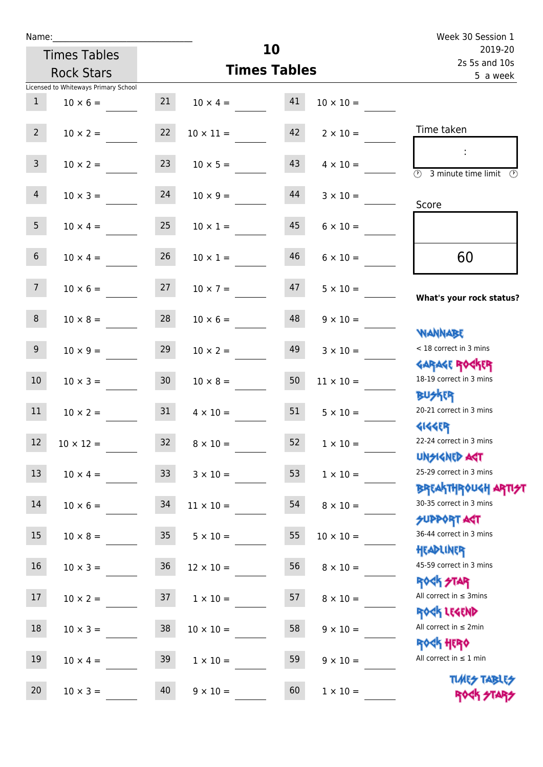| Name:           |                                      |                 |                       |                     |                  | Week 30 Session 1                                                                 |  |  |
|-----------------|--------------------------------------|-----------------|-----------------------|---------------------|------------------|-----------------------------------------------------------------------------------|--|--|
|                 | <b>Times Tables</b>                  |                 |                       | 10                  |                  | 2019-20<br>2s 5s and 10s                                                          |  |  |
|                 | <b>Rock Stars</b>                    |                 |                       | <b>Times Tables</b> |                  | 5 a week                                                                          |  |  |
|                 | Licensed to Whiteways Primary School |                 |                       |                     |                  |                                                                                   |  |  |
| $\mathbf{1}$    | $10 \times 6 =$                      |                 | $21 \t 10 \times 4 =$ | 41                  | $10 \times 10 =$ |                                                                                   |  |  |
| $2^{\circ}$     | $10 \times 2 =$                      | 22              | $10 \times 11 =$      | 42                  | $2 \times 10 =$  | Time taken                                                                        |  |  |
| 3 <sup>7</sup>  | $10 \times 2 =$                      | 23              | $10 \times 5 =$       | 43                  | $4 \times 10 =$  | $\overline{\textcircled{3}}$ 3 minute time limit $\overline{\textcircled{5}}$     |  |  |
| $\overline{4}$  | $10 \times 3 =$                      | 24              | $10 \times 9 =$       | 44                  | $3 \times 10 =$  | Score                                                                             |  |  |
| 5 <sub>1</sub>  | $10 \times 4 =$                      | 25              | $10 \times 1 =$       | 45                  | $6 \times 10 =$  |                                                                                   |  |  |
| 6 <sup>1</sup>  | $10 \times 4 =$                      | 26              | $10 \times 1 =$       | 46                  | $6 \times 10 =$  | 60                                                                                |  |  |
| 7 <sup>7</sup>  | $10 \times 6 =$                      | 27              | $10 \times 7 =$       | 47                  | $5 \times 10 =$  | What's your rock status?                                                          |  |  |
| 8               | $10 \times 8 =$                      | 28              | $10 \times 6 =$       | 48                  | $9 \times 10 =$  | <b>NANNABE</b>                                                                    |  |  |
| 9 <sub>o</sub>  | $10 \times 9 =$                      | 29              | $10 \times 2 =$       | 49                  | $3 \times 10 =$  | < 18 correct in 3 mins<br><b>GARAGE ROCKER</b>                                    |  |  |
| 10 <sup>°</sup> | $10 \times 3 =$                      | 30 <sub>o</sub> | $10 \times 8 =$       | 50                  | $11 \times 10 =$ | 18-19 correct in 3 mins<br><b>BUSKRY</b>                                          |  |  |
| 11              | $10 \times 2 = 31$                   |                 | $4 \times 10 =$       | 51                  | $5 \times 10 =$  | 20-21 correct in 3 mins                                                           |  |  |
| 12              | $10 \times 12 =$                     | 32              | $8 \times 10 =$       | 52                  | $1\times10=$     | <b>4144ER</b><br>22-24 correct in 3 mins<br><b>UNSIGNED AST</b>                   |  |  |
| 13              | $10 \times 4 =$                      | 33 <sup>°</sup> | $3 \times 10 =$       | 53                  | $1 \times 10 =$  | 25-29 correct in 3 mins                                                           |  |  |
| 14              | $10 \times 6 =$                      | 34              | $11 \times 10 =$      | 54                  | $8 \times 10 =$  | ΒΡΓΑΚΤΗΡΟUGH ΑΡΤΙ <del>2</del> Τ<br>30-35 correct in 3 mins<br><b>SUPPORT AGT</b> |  |  |
| 15              | $10 \times 8 =$                      | 35              | $5 \times 10 =$       | 55                  | $10 \times 10 =$ | 36-44 correct in 3 mins<br>HEADLINER                                              |  |  |
| 16              | $10 \times 3 =$                      | $36\,$          | $12 \times 10 =$      | 56                  | $8 \times 10 =$  | 45-59 correct in 3 mins                                                           |  |  |
| 17              | $10 \times 2 =$                      | 37              | $1 \times 10 =$       | 57                  | $8 \times 10 =$  | <b>ROCK STAR</b><br>All correct in $\leq$ 3mins                                   |  |  |
| $18\,$          | $10 \times 3 =$                      | 38              | $10 \times 10 =$      | 58                  | $9 \times 10 =$  | ROCK LEGEND<br>All correct in $\leq 2$ min                                        |  |  |
| 19              | $10 \times 4 =$                      | 39              | $1 \times 10 =$       | 59                  | $9 \times 10 =$  | <b>ROCK HERO</b><br>All correct in $\leq 1$ min                                   |  |  |
| 20              | $10 \times 3 =$                      | 40              | $9 \times 10 =$       | 60                  | $1 \times 10 =$  | <b>TUARS TABLES</b><br>ROCK STARS                                                 |  |  |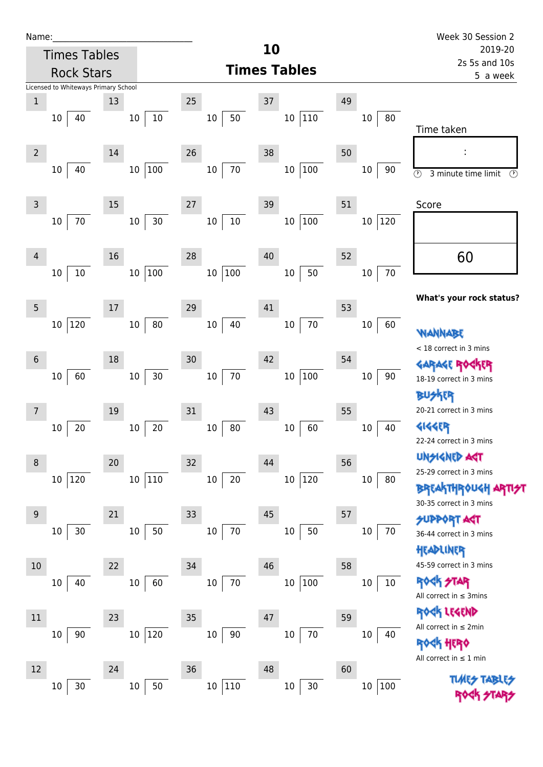| Name |  |  |  |
|------|--|--|--|
|      |  |  |  |

|                 | <b>Times Tables</b>                  |                 |        |                           | 10 |                     |    |                        | 2019-20                                         |
|-----------------|--------------------------------------|-----------------|--------|---------------------------|----|---------------------|----|------------------------|-------------------------------------------------|
|                 | <b>Rock Stars</b>                    |                 |        |                           |    | <b>Times Tables</b> |    |                        | 2s 5s and 10s<br>5 a week                       |
|                 | Licensed to Whiteways Primary School |                 |        |                           |    |                     |    |                        |                                                 |
| $1\,$           |                                      | 13              | 25     |                           | 37 |                     | 49 |                        |                                                 |
|                 | 40<br>10                             | 10              | 10     | 50<br>$10\,$              |    | 10 110              |    | 80<br>10               |                                                 |
|                 |                                      |                 |        |                           |    |                     |    |                        | Time taken                                      |
| $\overline{2}$  |                                      | 14              | 26     |                           | 38 |                     | 50 |                        |                                                 |
|                 | 40<br>$10\,$                         |                 | 10 100 | $70\,$<br>10              |    | 100<br>$10\,$       |    | 10<br>90               | $\odot$<br>3 minute time limit<br>$\circled{r}$ |
|                 |                                      |                 |        |                           |    |                     |    |                        |                                                 |
| $\overline{3}$  |                                      | 15              | $27$   |                           | 39 |                     | 51 |                        | Score                                           |
|                 | $70\,$<br>$10\,$                     | 10 <sup>1</sup> | $30\,$ | $10\,$<br>10 <sup>°</sup> |    | 10 100              |    | 120<br>10 <sub>1</sub> |                                                 |
|                 |                                      |                 |        |                           |    |                     |    |                        |                                                 |
| 4               |                                      | 16              | 28     |                           | 40 |                     | 52 |                        | 60                                              |
|                 | $10\,$<br>10                         |                 | 10 100 | 10 100                    |    | 50<br>$10\,$        |    | $70\,$<br>$10\,$       |                                                 |
|                 |                                      |                 |        |                           |    |                     |    |                        |                                                 |
| 5               |                                      | 17              | 29     |                           | 41 |                     | 53 |                        | What's your rock status?                        |
|                 | 120<br>10                            | $10\,$          | $80\,$ | 40<br>10 <sup>°</sup>     |    | 70<br>$10\,$        |    | $10\,$<br>60           |                                                 |
|                 |                                      |                 |        |                           |    |                     |    |                        | WANNABE                                         |
| $6\phantom{1}6$ |                                      | 18              | 30     |                           | 42 |                     | 54 |                        | < 18 correct in 3 mins                          |
|                 | 60<br>$10\,$                         | 10 <sup>1</sup> | 30     | $70\,$<br>10 <sub>1</sub> |    | 10 100              |    | $90\,$<br>$10\,$       | <b>GARAGE ROGKER</b>                            |
|                 |                                      |                 |        |                           |    |                     |    |                        | 18-19 correct in 3 mins<br><b>BUSKER</b>        |
| 7               |                                      | 19              | 31     |                           | 43 |                     | 55 |                        | 20-21 correct in 3 mins                         |
|                 | 20                                   | $10\,$          | 20     | $10\,$<br>80              |    | 60<br>$10\,$        |    | $10\,$<br>40           | <b>4144ER</b>                                   |
|                 | 10                                   |                 |        |                           |    |                     |    |                        | 22-24 correct in 3 mins                         |
|                 |                                      |                 |        |                           |    |                     |    |                        | <b>UNGIGNED ART</b>                             |
| 8               |                                      | 20              | 32     |                           | 44 |                     | 56 |                        | 25-29 correct in 3 mins                         |
|                 | 120<br>10 <sup>°</sup>               |                 | 10 110 | $20\,$<br>10              |    | 10 120              |    | 80<br>10               | <b>BREAKTHROUGH</b>                             |
|                 |                                      |                 |        |                           |    |                     |    |                        | 30-35 correct in 3 mins                         |
| 9               |                                      | 21              | 33     |                           | 45 |                     | 57 |                        | <b>SUPPORT AGT</b>                              |
|                 | 30<br>$10\,$                         | $10\,$          | 50     | $70\,$<br>$10\,$          |    | $10\,$<br>50        |    | 70<br>10               | 36-44 correct in 3 mins                         |
|                 |                                      |                 |        |                           |    |                     |    |                        | HEADLINER                                       |
| 10              |                                      | 22              | 34     |                           | 46 |                     | 58 |                        | 45-59 correct in 3 mins                         |
|                 | 40<br>10                             | $10\,$          | 60     | $70\,$<br>$10\,$          |    | 100<br>$10\,$       |    | $10\,$<br>$10\,$       | <b>ROCK STAR</b>                                |
|                 |                                      |                 |        |                           |    |                     |    |                        | All correct in $\leq$ 3mins                     |
| $11\,$          |                                      | 23              | 35     |                           | 47 |                     | 59 |                        | ROCK LEGEND<br>All correct in $\leq 2$ min      |
|                 | 90<br>$10\,$                         | $10\,$          | 120    | $90\,$<br>$10\,$          |    | 70<br>$10\,$        |    | 10<br>40               |                                                 |
|                 |                                      |                 |        |                           |    |                     |    |                        | <b>ROCK HERO</b><br>All correct in $\leq 1$ min |
| 12              |                                      | 24              | 36     |                           | 48 |                     | 60 |                        |                                                 |
|                 | 30<br>10                             | 10              | 50     | 10 110                    |    | $30\,$<br>$10\,$    |    | 100<br>$10\,$          | <b>TUARS TABLES</b>                             |
|                 |                                      |                 |        |                           |    |                     |    |                        |                                                 |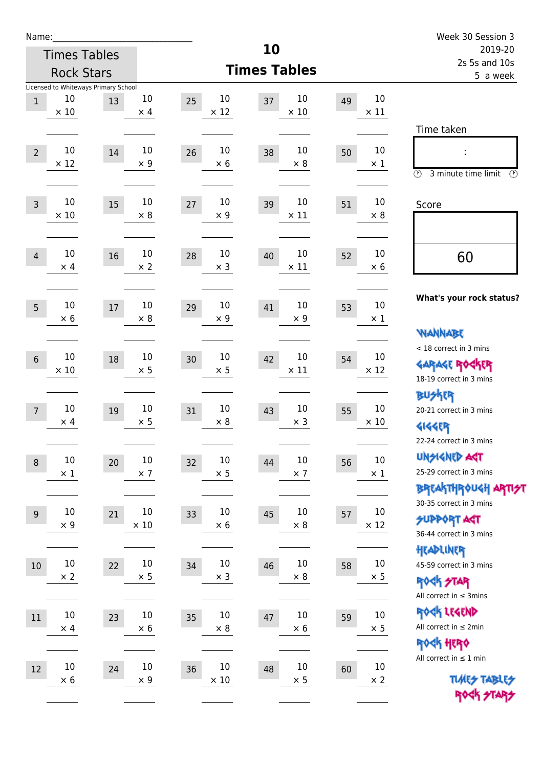| Name:           |                      |                                            |                       |                            |                            |    |                       | Week 30 Session 3                                                                     |
|-----------------|----------------------|--------------------------------------------|-----------------------|----------------------------|----------------------------|----|-----------------------|---------------------------------------------------------------------------------------|
|                 |                      | <b>Times Tables</b>                        |                       |                            | 10                         |    |                       | 2019-20                                                                               |
|                 | <b>Rock Stars</b>    |                                            |                       |                            | <b>Times Tables</b>        |    |                       | 2s 5s and 10s<br>5 a week                                                             |
| $\mathbf{1}$    | 10<br>$\times$ 10    | Licensed to Whiteways Primary School<br>13 | 10<br>$\times$ 4      | 10<br>25<br>$\times$ 12    | 10<br>37<br>$\times$ 10    | 49 | $10\,$<br>$\times$ 11 |                                                                                       |
| $\overline{2}$  | 10<br>$\times$ 12    | 14                                         | 10<br>$\times$ 9      | 10<br>26<br>$\times$ 6     | 10<br>38<br>$\times$ 8     | 50 | $10\,$<br>$\times$ 1  | Time taken<br>$\circled{r}$<br>3 minute time limit<br>$\mathcal{O}$                   |
| $\overline{3}$  | 10<br>$\times$ 10    | 15                                         | 10<br>$\times 8$      | 10<br>27<br>$\times$ 9     | 10<br>39<br>$\times$ 11    | 51 | 10<br>$\times 8$      | Score                                                                                 |
| $\overline{4}$  | 10<br>$\times$ 4     | 16                                         | $10\,$<br>$\times 2$  | 10<br>28<br>$\times$ 3     | 10<br>40<br>$\times$ 11    | 52 | 10<br>$\times 6$      | 60                                                                                    |
| 5               | 10<br>$\times$ 6     | 17                                         | 10<br>$\times 8$      | 10<br>29<br>$\times$ 9     | 10<br>41<br>$\times$ 9     | 53 | 10<br>$\times$ 1      | What's your rock status?<br><b>NANNABE</b>                                            |
| $6\phantom{1}6$ | 10<br>$\times 10$    | 18                                         | 10<br>$\times$ 5      | 10<br>30<br>$\times$ 5     | 10<br>42<br>$\times$ 11    | 54 | 10<br>$\times$ 12     | < 18 correct in 3 mins<br><b>GARAGE ROCKER</b><br>18-19 correct in 3 mins             |
| $\overline{7}$  | 10<br>$\times$ 4     | 19                                         | 10<br>$\times$ 5      | 10<br>31<br>$\times 8$     | 10<br>43<br>$\times$ 3     | 55 | $10\,$<br>$\times$ 10 | <b>BUSKER</b><br>20-21 correct in 3 mins<br><b>4144EP</b><br>22-24 correct in 3 mins  |
| $\,8\,$         | $10\,$<br>$\times$ 1 | 20                                         | $10\,$<br>$\times$ 7  | 10<br>32<br>$\times$ 5     | 10<br>44<br>$\times$ 7     | 56 | $10\,$<br>$\times$ 1  | <b>UNSIGNED AGT</b><br>25-29 correct in 3 mins<br>BREAKTHRÓUGH ARTI <del>2</del> 1    |
| $9\,$           | 10<br>$\times$ 9     | 21                                         | $10\,$<br>$\times$ 10 | 10<br>33<br>$\times$ 6     | 10<br>45<br>$\times$ 8     | 57 | $10\,$<br>$\times$ 12 | 30-35 correct in 3 mins<br><b>SUPPORT AGT</b><br>36-44 correct in 3 mins<br>HEADLINER |
| $10\,$          | $10\,$<br>$\times 2$ | 22                                         | $10\,$<br>$\times 5$  | $10\,$<br>34<br>$\times$ 3 | 10<br>46<br>$\times$ 8     | 58 | $10\,$<br>$\times$ 5  | 45-59 correct in 3 mins<br><b>ROCK STAR</b><br>All correct in $\leq$ 3mins            |
| 11              | $10\,$<br>$\times$ 4 | 23                                         | $10\,$<br>$\times 6$  | $10\,$<br>35<br>$\times 8$ | $10\,$<br>47<br>$\times 6$ | 59 | $10\,$<br>$\times$ 5  | ROCK LEGEND<br>All correct in $\leq 2$ min<br>ROCK HERO                               |
| 12              | $10\,$<br>$\times$ 6 | 24                                         | 10<br>$\times$ 9      | 10<br>36<br>$\times$ 10    | 10<br>48<br>$\times$ 5     | 60 | $10\,$<br>$\times$ 2  | All correct in $\leq 1$ min<br><b>TUARS TABLES</b><br>ROCK STARS                      |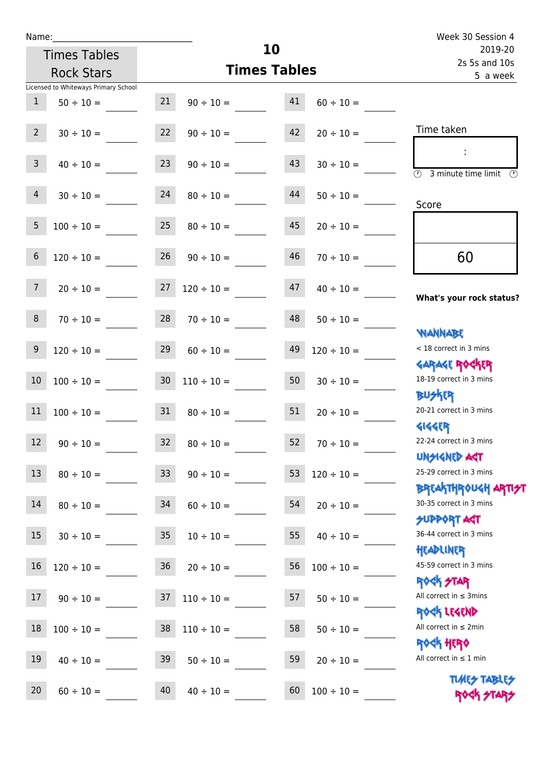Times Tables

|                 | <b>Rock Stars</b>                    |                  | <b>Times Tables</b>                 | 2s 5s and 10s<br>5 a week |                 |                                                                               |
|-----------------|--------------------------------------|------------------|-------------------------------------|---------------------------|-----------------|-------------------------------------------------------------------------------|
|                 | Licensed to Whiteways Primary School |                  |                                     |                           |                 |                                                                               |
| $\mathbf{1}$    | $50 \div 10 =$                       | 21               | $90 \div 10 =$                      | 41                        | $60 \div 10 =$  |                                                                               |
| $2^{\circ}$     |                                      |                  | $30 \div 10 =$ 22 $90 \div 10 =$ 42 |                           | $20 \div 10 =$  | Time taken                                                                    |
| 3 <sup>7</sup>  | $40 \div 10 =$                       |                  | $23 \t 90 \div 10 = 43$             |                           | $30 \div 10 =$  | $\overline{\textcircled{1}}$ 3 minute time limit $\overline{\textcircled{1}}$ |
| 4               | $30 \div 10 =$                       | 24               | $80 \div 10 =$                      | 44                        | $50 \div 10 =$  | Score                                                                         |
| 5 <sup>5</sup>  | $100 \div 10 = 25$                   |                  | $80 \div 10 = 45$                   |                           | $20 \div 10 =$  |                                                                               |
| $6\phantom{1}$  | $120 \div 10 =$                      |                  | $26 \t 90 \div 10 =$                | 46                        | $70 \div 10 =$  | 60                                                                            |
| 7 <sup>7</sup>  | $20 \div 10 =$                       |                  | $27 \quad 120 \div 10 =$            | 47                        | $40 \div 10 =$  | What's your rock status?                                                      |
| 8               |                                      |                  | $70 \div 10 =$ 28 $70 \div 10 =$ 48 |                           | $50 \div 10 =$  | <b>NANNABE</b>                                                                |
| 9               | $120 \div 10 =$                      |                  | $29 \t 60 \div 10 =$                | 49                        | $120 \div 10 =$ | < 18 correct in 3 mins                                                        |
| 10 <sup>°</sup> | $100 \div 10 =$                      |                  | $30 \quad 110 \div 10 =$            | 50 <sub>1</sub>           | $30 \div 10 =$  | <b>GARAGE ROGKER</b><br>18-19 correct in 3 mins                               |
| 11              |                                      |                  | $100 \div 10 = 31$ $80 \div 10 =$   | 51                        | $20 \div 10 =$  | <b>BUSKER</b><br>20-21 correct in 3 mins                                      |
| 12              |                                      |                  | $90 \div 10 = 32$ $80 \div 10 =$    | 52                        | $70 \div 10 =$  | <b>GIGGER</b><br>22-24 correct in 3 mins                                      |
| a sa Bala<br>13 | $80 \div 10 =$                       | 33               | $90 \div 10 =$                      | 53                        | $120 \div 10 =$ | <b>UNSIGNED AGT</b><br>25-29 correct in 3 mins                                |
| 14              | $80 \div 10 =$                       | 34               | $60 \div 10 =$                      | 54                        | $20 \div 10 =$  | <b>BREAKTHROUGH ARTI<del>S</del>T</b><br>30-35 correct in 3 mins              |
| 15              | $30 \div 10 =$                       | $35\phantom{.0}$ | $10 \div 10 =$                      | 55                        | $40 \div 10 =$  | <b>SUPPORT AGT</b><br>36-44 correct in 3 mins                                 |
| 16              | $120 \div 10 =$                      | 36               | $20 \div 10 =$                      | 56                        | $100 \div 10 =$ | HEADLINER<br>45-59 correct in 3 mins                                          |
| 17              | $90 \div 10 =$                       | 37               | $110 \div 10 =$                     | 57                        | $50 \div 10 =$  | <b>ROCK STAR</b><br>All correct in $\leq$ 3mins                               |
| 18              | $100 \div 10 =$                      | 38               | $110 \div 10 =$                     | 58                        | $50 \div 10 =$  | ROCK LEGEND<br>All correct in $\leq 2$ min                                    |
| 19              | $40 \div 10 =$                       | 39               | $50 \div 10 =$                      | 59                        | $20 \div 10 =$  | <b>ROCK HERO</b><br>All correct in $\leq 1$ min                               |
| 20              | $60 \div 10 =$                       | 40               | $40 \div 10 =$                      | 60                        | $100 \div 10 =$ | <b>TUARS TABLES</b><br>ROCK STARS                                             |

**10**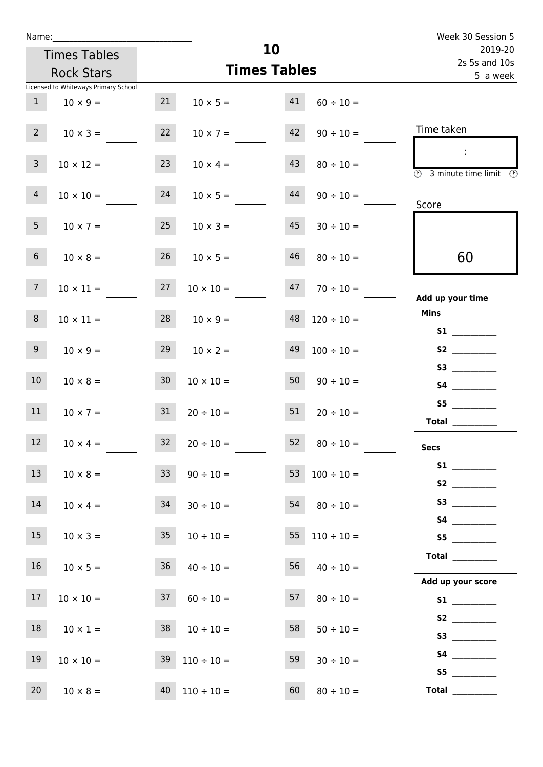| Name:           |                                      |    |                          |                       | Week 30 Session 5                                      |
|-----------------|--------------------------------------|----|--------------------------|-----------------------|--------------------------------------------------------|
|                 | <b>Times Tables</b>                  |    |                          | 10                    | 2019-20<br>2s 5s and 10s                               |
|                 | <b>Rock Stars</b>                    |    |                          | <b>Times Tables</b>   | 5 a week                                               |
|                 | Licensed to Whiteways Primary School |    |                          |                       |                                                        |
| $\mathbf{1}$    | $10 \times 9 =$                      | 21 | $10 \times 5 = 41$       | $60 \div 10 =$        |                                                        |
| $2^{\circ}$     | $10 \times 3 =$                      | 22 | $10 \times 7 =$          | 42<br>$90 \div 10 =$  | Time taken                                             |
| 3 <sup>7</sup>  | $10 \times 12 =$                     | 23 | $10 \times 4 =$          | 43<br>$80 \div 10 =$  | $\sim 10$<br>3 minute time limit<br>- (F)              |
| $\overline{4}$  | $10 \times 10 =$                     | 24 | $10 \times 5 =$          | 44<br>$90 \div 10 =$  | Score                                                  |
| 5 <sub>1</sub>  | $10 \times 7 =$                      | 25 | $10 \times 3 =$          | 45<br>$30 \div 10 =$  |                                                        |
| 6 <sup>1</sup>  | $10 \times 8 =$                      | 26 | $10 \times 5 =$          | 46<br>$80 \div 10 =$  | 60                                                     |
| 7 <sup>7</sup>  | $10 \times 11 = 27$                  |    | $10 \times 10 =$         | 47<br>$70 \div 10 =$  | Add up your time                                       |
| 8               | $10 \times 11 =$                     |    | $28 \t 10 \times 9 =$    | 48<br>$120 \div 10 =$ | <b>Mins</b>                                            |
| 9 <sub>o</sub>  | $10 \times 9 =$                      | 29 | $10 \times 2 =$          | 49<br>$100 \div 10 =$ | S2                                                     |
| 10 <sup>°</sup> | $10 \times 8 =$                      | 30 | $10 \times 10 =$         | 50<br>$90 \div 10 =$  |                                                        |
| 11              | $10 \times 7 =$                      | 31 | $20 \div 10 =$           | 51<br>$20 \div 10 =$  | S5<br>Total                                            |
| 12              | $10 \times 4 =$                      | 32 | $20 \div 10 =$           | $80 \div 10 =$<br>52  | <b>Secs</b>                                            |
| 13              | $10 \times 8 =$ 33                   |    | $90 \div 10 =$           | $100 \div 10 =$       | S2                                                     |
| 14              | $10 \times 4 =$                      | 34 | $30 \div 10 =$           | 54<br>$80 \div 10 =$  |                                                        |
| 15              | $10 \times 3 =$                      | 35 | $10 \div 10 =$           | 55<br>$110 \div 10 =$ | S5                                                     |
| 16 <sup>1</sup> | $10 \times 5 =$                      | 36 | $40 \div 10 =$           | 56<br>$40 \div 10 =$  | Total $\frac{1}{\sqrt{1-\frac{1}{2}}\cdot\frac{1}{2}}$ |
| 17              | $10 \times 10 =$                     |    | $37 \t 60 \div 10 =$     | 57<br>$80 \div 10 =$  | Add up your score                                      |
| 18              | $10 \times 1 =$                      |    | $38 \t 10 \div 10 =$     | 58<br>$50 \div 10 =$  | S2                                                     |
| 19              | $10 \times 10 =$                     |    | $39 \quad 110 \div 10 =$ | 59<br>$30 \div 10 =$  | S4<br>S5                                               |

20 10 × 8 = 40 110 ÷ 10 = 60 80 ÷ 10 = **Total** \_\_\_\_\_\_\_\_\_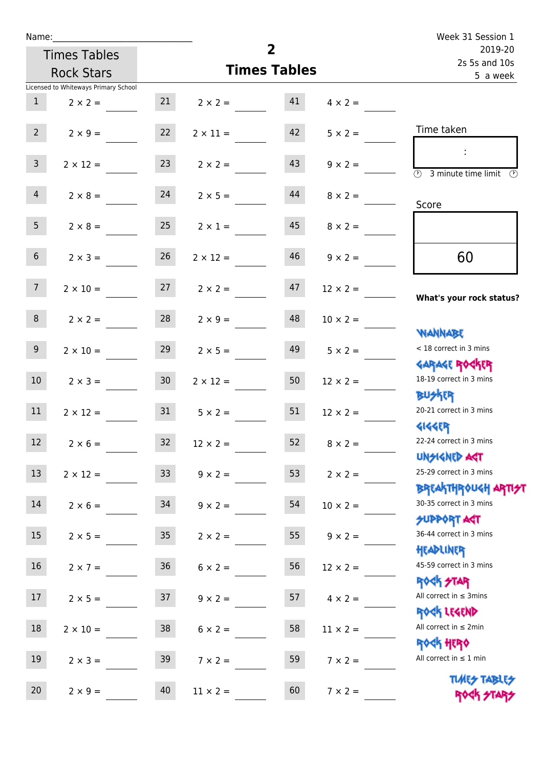| Name:           |                                      |                 |                                   | Week 31 Session 1   |                 |                                                                  |  |
|-----------------|--------------------------------------|-----------------|-----------------------------------|---------------------|-----------------|------------------------------------------------------------------|--|
|                 | <b>Times Tables</b>                  |                 |                                   | $\overline{2}$      |                 | 2019-20<br>2s 5s and 10s                                         |  |
|                 | <b>Rock Stars</b>                    |                 |                                   | <b>Times Tables</b> |                 | 5 a week                                                         |  |
|                 | Licensed to Whiteways Primary School |                 |                                   |                     |                 |                                                                  |  |
| 1               | $2 \times 2 =$                       |                 | $21 \t 2 \times 2 = 41$           |                     | $4 \times 2 =$  |                                                                  |  |
| $2^{\circ}$     | $2 \times 9 =$                       | 22              | $2 \times 11 =$                   | 42                  | $5 \times 2 =$  | Time taken                                                       |  |
| 3 <sup>7</sup>  | $2 \times 12 =$                      | 23              | $2 \times 2 =$                    | 43                  | $9 \times 2 =$  | $\overline{\textcircled{2}}$ 3 minute time limit<br>O)           |  |
| $\overline{4}$  | $2 \times 8 = 24$                    |                 | $2 \times 5 =$                    | 44                  | $8 \times 2 =$  | Score                                                            |  |
| 5 <sub>1</sub>  | $2 \times 8 =$                       | 25              | $2 \times 1 =$                    | 45                  | $8 \times 2 =$  |                                                                  |  |
| 6 <sup>1</sup>  | $2 \times 3 =$                       | 26              | $2 \times 12 =$                   | 46                  | $9 \times 2 =$  | 60                                                               |  |
| 7               |                                      |                 | $2 \times 10 =$ 27 $2 \times 2 =$ | 47                  | $12 \times 2 =$ | What's your rock status?                                         |  |
| 8               | $2 \times 2 =$                       | 28              | $2 \times 9 =$                    | 48                  | $10 \times 2 =$ | <b>WANNABE</b>                                                   |  |
| 9 <sub>o</sub>  | $2 \times 10 =$                      | 29              | $2 \times 5 =$                    | 49                  | $5 \times 2 =$  | < 18 correct in 3 mins<br><b>GARAGE ROCKER</b>                   |  |
| 10 <sup>1</sup> | $2 \times 3 =$                       | 30              | $2 \times 12 =$                   | 50                  | $12 \times 2 =$ | 18-19 correct in 3 mins<br><b>BUSKER</b>                         |  |
| 11              | $2 \times 12 =$                      | 31              | $5 \times 2 =$                    | 51                  | $12 \times 2 =$ | 20-21 correct in 3 mins<br><b>4144ER</b>                         |  |
| 12              | $2 \times 6 =$                       | 32              | $12 \times 2 =$                   | 52                  | $8 \times 2 =$  | 22-24 correct in 3 mins<br><b>UNSIGNED AST</b>                   |  |
| 13              | $2 \times 12 =$                      | 33 <sup>°</sup> | $9 \times 2 =$                    | 53                  | $2 \times 2 =$  | 25-29 correct in 3 mins<br><b>BREAKTHROUGH ARTI<del>S</del>T</b> |  |
| 14              | $2 \times 6 =$                       | 34              | $9 \times 2 =$                    | 54                  | $10 \times 2 =$ | 30-35 correct in 3 mins<br><b>SUPPORT AGT</b>                    |  |
| 15              | $2 \times 5 =$                       | 35 <sub>1</sub> | $2 \times 2 =$                    | 55                  | $9 \times 2 =$  | 36-44 correct in 3 mins<br>HEADLINER                             |  |
| 16              | $2 \times 7 =$                       | $36\,$          | $6 \times 2 =$                    | 56                  | $12 \times 2 =$ | 45-59 correct in 3 mins<br>ROCK STAR                             |  |
| 17              | $2 \times 5 =$                       | 37              | $9 \times 2 =$                    | 57                  | $4 \times 2 =$  | All correct in $\leq$ 3mins<br>ROCK LEGEND                       |  |
| $18\,$          | $2 \times 10 =$                      | 38              | $6 \times 2 =$                    | 58                  | $11 \times 2 =$ | All correct in $\leq 2$ min<br><b>ROCK HERO</b>                  |  |
| 19              | $2 \times 3 =$                       | 39              | $7 \times 2 =$                    | 59                  | $7 \times 2 =$  | All correct in $\leq 1$ min                                      |  |
| 20              | $2 \times 9 =$                       | 40              | $11 \times 2 =$                   | 60                  | $7 \times 2 =$  | <b>TUARS TABLES</b><br>ROCK STARS                                |  |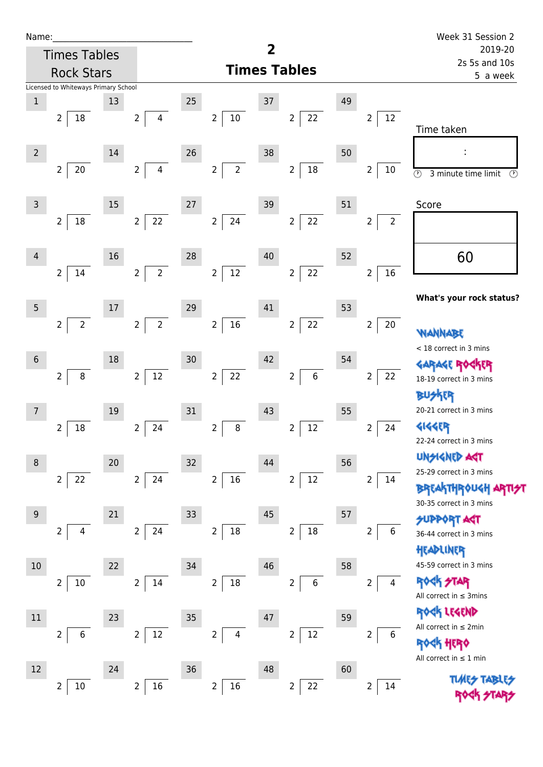| Name |  |  |  |
|------|--|--|--|
|      |  |  |  |

| Name:          |                                      |    |                                  |    |                                  |    |                               |    |                                  | Week 31 Session 2                                                     |
|----------------|--------------------------------------|----|----------------------------------|----|----------------------------------|----|-------------------------------|----|----------------------------------|-----------------------------------------------------------------------|
|                | <b>Times Tables</b>                  |    |                                  |    |                                  | 2  |                               |    |                                  | 2019-20<br>2s 5s and 10s                                              |
|                | <b>Rock Stars</b>                    |    |                                  |    |                                  |    | <b>Times Tables</b>           |    |                                  | 5 a week                                                              |
|                | Licensed to Whiteways Primary School |    |                                  |    |                                  |    |                               |    |                                  |                                                                       |
| $\mathbf 1$    |                                      | 13 |                                  | 25 |                                  | 37 |                               | 49 |                                  |                                                                       |
|                | $\overline{2}$<br>$18\,$             |    | $\overline{2}$<br>$\overline{4}$ |    | $10\,$<br>$\overline{a}$         |    | 22<br>$\overline{2}$          |    | 12<br>$\overline{2}$             | Time taken                                                            |
| $\overline{2}$ |                                      | 14 |                                  | 26 |                                  | 38 |                               | 50 |                                  |                                                                       |
|                | $\overline{2}$<br>$20\,$             |    | $\overline{4}$<br>$\overline{2}$ |    | $\overline{2}$<br>$\overline{2}$ |    | $18\,$<br>$\overline{2}$      |    | $\overline{2}$<br>10             | $\overline{\odot}$<br>$\overline{\mathcal{O}}$<br>3 minute time limit |
| $\mathsf{3}$   |                                      | 15 |                                  | 27 |                                  | 39 |                               | 51 |                                  | Score                                                                 |
|                | $\overline{2}$<br>$18\,$             |    | $\overline{2}$<br>22             |    | $24\,$<br>$\overline{2}$         |    | 22<br>$\overline{2}$          |    | $\overline{2}$<br>$\overline{2}$ |                                                                       |
| 4              |                                      | 16 |                                  | 28 |                                  | 40 |                               | 52 |                                  | 60                                                                    |
|                | $\overline{2}$<br>14                 |    | $\overline{2}$<br>$\overline{2}$ |    | $\overline{2}$<br>$12\,$         |    | 22<br>$\overline{2}$          |    | 16<br>$\overline{2}$             |                                                                       |
|                |                                      |    |                                  |    |                                  |    |                               |    |                                  | What's your rock status?                                              |
| 5              |                                      | 17 |                                  | 29 |                                  | 41 |                               | 53 |                                  |                                                                       |
|                | $\overline{2}$<br>$\overline{2}$     |    | $\overline{2}$<br>$\overline{2}$ |    | $16\,$<br>$\overline{2}$         |    | 22<br>$\overline{2}$          |    | $\overline{2}$<br>20             | WANNABE<br>< 18 correct in 3 mins                                     |
| $6\,$          |                                      | 18 |                                  | 30 |                                  | 42 |                               | 54 |                                  |                                                                       |
|                | $\overline{2}$<br>$\, 8$             |    | $12\,$<br>$\overline{2}$         |    | 22<br>$\overline{2}$             |    | $\,6\,$<br>$\overline{2}$     |    | $\overline{2}$<br>22             | 18-19 correct in 3 mins                                               |
|                |                                      |    |                                  |    |                                  |    |                               |    |                                  | <b>BUSKER</b>                                                         |
| 7              |                                      | 19 |                                  | 31 |                                  | 43 |                               | 55 |                                  | 20-21 correct in 3 mins                                               |
|                | $\overline{2}$<br>18                 |    | $\overline{2}$<br>24             |    | 8<br>2                           |    | 12<br>$\overline{2}$          |    | $\overline{2}$<br>24             | <b>4144ER</b>                                                         |
|                |                                      |    |                                  |    |                                  |    |                               |    |                                  | 22-24 correct in 3 mins                                               |
| $\, 8$         |                                      | 20 |                                  | 32 |                                  | 44 |                               | 56 |                                  | <b>UNSIGNED AGT</b>                                                   |
|                | $\overline{2}$<br>22                 |    | $\overline{2}$<br>24             |    | $16\,$<br>$\overline{2}$         |    | $12\,$<br>$\overline{2}$      |    | 2<br>14                          | 25-29 correct in 3 mins                                               |
|                |                                      |    |                                  |    |                                  |    |                               |    |                                  | <b>BREAKTHROUGH</b><br>30-35 correct in 3 mins                        |
| 9              |                                      | 21 |                                  | 33 |                                  | 45 |                               | 57 |                                  | <b>PPORT AGT</b>                                                      |
|                | $\overline{2}$<br>4                  |    | $\overline{2}$<br>24             |    | $\mathbf 2$<br>$18\,$            |    | $18\,$<br>$\overline{2}$      |    | 6<br>2                           | 36-44 correct in 3 mins                                               |
|                |                                      |    |                                  |    |                                  |    |                               |    |                                  | HEADLINER                                                             |
| $10$           |                                      | 22 |                                  | 34 |                                  | 46 |                               | 58 |                                  | 45-59 correct in 3 mins                                               |
|                | $\overline{2}$<br>$10\,$             |    | $\overline{2}$<br>14             |    | $\overline{2}$<br>$18\,$         |    | $\,$ 6 $\,$<br>$\overline{2}$ |    | 2<br>4                           | <b>ROCK STAR</b><br>All correct in $\leq$ 3mins                       |
| $11\,$         |                                      | 23 |                                  | 35 |                                  | 47 |                               | 59 |                                  | ROCK LEGEND                                                           |
|                | $\overline{2}$<br>6                  |    | 12<br>$\overline{2}$             |    | $\overline{2}$<br>4              |    | $12\,$<br>$\overline{2}$      |    | $\overline{2}$<br>6              | All correct in $\leq 2$ min                                           |
|                |                                      |    |                                  |    |                                  |    |                               |    |                                  | HERQ                                                                  |
|                |                                      |    |                                  |    |                                  |    |                               |    |                                  | All correct in $\leq 1$ min                                           |
| 12             |                                      | 24 |                                  | 36 |                                  | 48 |                               | 60 |                                  | <b>TUARS TABLIS</b>                                                   |
|                | $10\,$<br>2                          |    | $16\,$<br>2                      |    | $16\,$<br>2                      |    | 22<br>2                       |    | 14<br>2                          |                                                                       |

**TIMES TABLES** ROCK STARS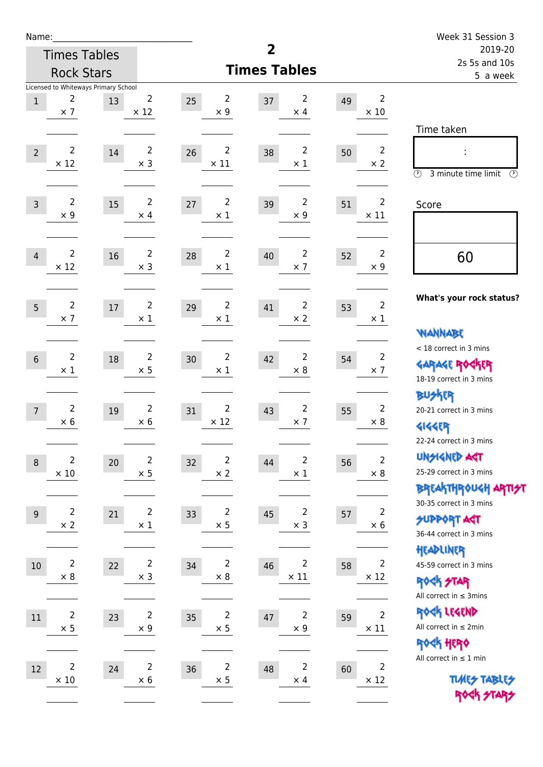| Name:          |                |                                      |                |                      |                          |    |                | Week 31 Session 3                             |
|----------------|----------------|--------------------------------------|----------------|----------------------|--------------------------|----|----------------|-----------------------------------------------|
|                |                | <b>Times Tables</b>                  |                |                      | 2                        |    |                | 2019-20                                       |
|                |                | <b>Rock Stars</b>                    |                |                      | <b>Times Tables</b>      |    |                | 2s 5s and 10s<br>5 a week                     |
|                | 2              | Licensed to Whiteways Primary School | $\overline{2}$ | $\overline{2}$       | 2                        |    | $\overline{2}$ |                                               |
| $\mathbf{1}$   | $\times$ 7     | 13                                   | $\times$ 12    | 25<br>$\times$ 9     | 37<br>$\times$ 4         | 49 | $\times$ 10    |                                               |
|                |                |                                      |                |                      |                          |    |                | Time taken                                    |
|                | $\overline{2}$ |                                      | $\overline{2}$ | $\overline{2}$       | $\overline{2}$           |    | $\overline{2}$ |                                               |
| $\overline{2}$ | $\times$ 12    | 14                                   | $\times$ 3     | 26<br>$\times$ 11    | 38<br>$\times$ 1         | 50 | $\times 2$     | l                                             |
|                |                |                                      |                |                      |                          |    |                | $\circled{r}$<br>3 minute time limit<br>⊙     |
| $\overline{3}$ | $\overline{2}$ | 15                                   | $\overline{2}$ | $\overline{2}$<br>27 | $\overline{2}$<br>39     | 51 | $\overline{2}$ | Score                                         |
|                | $\times$ 9     |                                      | $\times$ 4     | $\times$ 1           | $\times$ 9               |    | $\times$ 11    |                                               |
|                |                |                                      |                |                      |                          |    |                |                                               |
| $\overline{4}$ | $\overline{2}$ | 16                                   | $\overline{2}$ | $\overline{2}$<br>28 | $\overline{2}$<br>40     | 52 | $\overline{2}$ | 60                                            |
|                | $\times$ 12    |                                      | $\times$ 3     | $\times$ 1           | $\times$ 7               |    | $\times$ 9     |                                               |
|                |                |                                      |                |                      |                          |    |                |                                               |
| 5              | $\overline{2}$ | $17\,$                               | $\overline{2}$ | $\overline{2}$<br>29 | $\overline{2}$<br>41     | 53 | $\overline{2}$ | What's your rock status?                      |
|                | $\times$ 7     |                                      | $\times$ 1     | $\times$ 1           | $\times$ 2               |    | $\times$ 1     |                                               |
|                |                |                                      |                |                      |                          |    |                | <b>WANNABE</b>                                |
| $6\phantom{1}$ | $\overline{2}$ | 18                                   | $\overline{2}$ | $\overline{2}$<br>30 | $\overline{2}$<br>42     | 54 | $\overline{2}$ | < 18 correct in 3 mins                        |
|                | $\times$ 1     |                                      | $\times$ 5     | $\times$ 1           | $\times$ 8               |    | $\times$ 7     | <b>GARAGE ROCKER</b>                          |
|                |                |                                      |                |                      |                          |    |                | 18-19 correct in 3 mins<br><b>BUSKER</b>      |
| $\overline{7}$ | 2              | 19                                   | $\overline{2}$ | $\overline{2}$<br>31 | $\overline{2}$<br>43     | 55 | $\overline{2}$ | 20-21 correct in 3 mins                       |
|                | $\times 6$     |                                      | $\times 6$     | $\times$ 12          | $\times$ 7               |    | $\times 8$     | <b>4144EP</b>                                 |
|                |                |                                      |                |                      |                          |    |                | 22-24 correct in 3 mins                       |
| $\,8\,$        | 2              | $20\,$                               | $\overline{2}$ | $\overline{2}$<br>32 | $\overline{2}$<br>44     | 56 | $\overline{2}$ | <b>UNSIGNED AGT</b>                           |
|                | $\times$ 10    |                                      | $\times$ 5     | $\times$ 2           | $\times$ 1               |    | $\times$ 8     | 25-29 correct in 3 mins                       |
|                |                |                                      |                |                      |                          |    |                | BREAKTHRÓUGH ARTI <del>2</del> 1              |
| $9$            | $\overline{2}$ | 21                                   | $\overline{c}$ | $\overline{c}$<br>33 | $\overline{c}$<br>$45\,$ | 57 | $\overline{c}$ | 30-35 correct in 3 mins                       |
|                | $\times$ 2     |                                      | $\times$ 1     | $\times$ 5           | $\times$ 3               |    | $\times$ 6     | <b>SUPPORT AGT</b><br>36-44 correct in 3 mins |
|                |                |                                      |                |                      |                          |    |                | HEADLINER                                     |
| $10\,$         | $\overline{2}$ | 22                                   | $\overline{2}$ | $\overline{2}$<br>34 | $\overline{2}$<br>46     | 58 | $\overline{2}$ | 45-59 correct in 3 mins                       |
|                | $\times$ 8     |                                      | $\times$ 3     | $\times$ 8           | $\times$ 11              |    | $\times$ 12    | <b>ROCK STAR</b>                              |
|                |                |                                      |                |                      |                          |    |                | All correct in $\leq$ 3mins                   |
| 11             | $\overline{2}$ | 23                                   | $\mathbf 2$    | $\mathbf 2$<br>35    | $\mathbf 2$<br>47        | 59 | $\overline{2}$ | ROCK LEGEND                                   |
|                | $\times$ 5     |                                      | $\times$ 9     | $\times$ 5           | $\times$ 9               |    | $\times$ 11    | All correct in $\leq 2$ min                   |
|                |                |                                      |                |                      |                          |    |                | ROCK HERO                                     |
| $12\,$         | $\overline{2}$ | 24                                   | $\mathbf 2$    | $\overline{2}$<br>36 | $\overline{2}$<br>48     | 60 | $\overline{2}$ | All correct in $\leq 1$ min                   |
|                | $\times$ 10    |                                      | $\times$ 6     | $\times$ 5           | $\times$ 4               |    | $\times$ 12    | <b>TUARS TABLES</b>                           |
|                |                |                                      |                |                      |                          |    |                |                                               |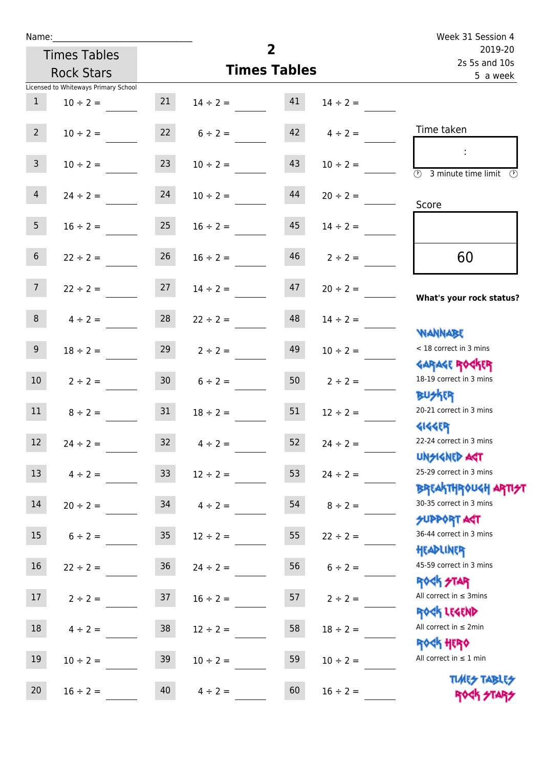| Name:           |                                      |                 |                                |                     |                    | Week 31 Session 4                                                |  |  |
|-----------------|--------------------------------------|-----------------|--------------------------------|---------------------|--------------------|------------------------------------------------------------------|--|--|
|                 | <b>Times Tables</b>                  |                 |                                | $\overline{2}$      |                    | 2019-20<br>2s 5s and 10s                                         |  |  |
|                 | <b>Rock Stars</b>                    |                 |                                | <b>Times Tables</b> |                    | 5 a week                                                         |  |  |
|                 | Licensed to Whiteways Primary School |                 |                                |                     |                    |                                                                  |  |  |
| 1               | $10 \div 2 =$                        |                 | $21 \t 14 \div 2 = 41$         |                     | $14 \div 2 =$      |                                                                  |  |  |
| $2^{\circ}$     | $10 \div 2 =$                        |                 | $22 \t 6 \div 2 =$             |                     | $42 \t 4 \div 2 =$ | Time taken                                                       |  |  |
| 3 <sup>1</sup>  | $10 \div 2 =$                        | 23              | $10 \div 2 =$                  | 43                  | $10 \div 2 =$      | $\overline{(\mathcal{V})}$<br>3 minute time limit                |  |  |
| 4               | $24 \div 2 =$                        | 24              | $10 \div 2 =$                  | 44                  | $20 \div 2 =$      | Score                                                            |  |  |
| 5 <sub>5</sub>  | $16 \div 2 = 25$                     |                 | $16 \div 2 =$                  | 45                  | $14 \div 2 =$      |                                                                  |  |  |
| 6 <sup>1</sup>  | $22 \div 2 =$                        | 26              | $16 \div 2 =$                  | 46                  | $2 \div 2 =$       | 60                                                               |  |  |
| 7 <sup>7</sup>  |                                      |                 | $22 \div 2 = 27$ $14 \div 2 =$ | 47                  | $20 \div 2 =$      | What's your rock status?                                         |  |  |
| 8 <sup>1</sup>  | $4 \div 2 =$                         |                 | $28$ $22 \div 2 =$             | 48                  | $14 \div 2 =$      | <b>NANNABE</b>                                                   |  |  |
| 9 <sub>o</sub>  | $18 \div 2 =$                        | 29              | $2 \div 2 =$                   | 49                  | $10 \div 2 =$      | < 18 correct in 3 mins                                           |  |  |
| 10 <sup>1</sup> | $2 \div 2 =$                         |                 | $30 \t 6 \div 2 =$             |                     | $50$ $2 \div 2 =$  | <b>GARAGE ROCKER</b><br>18-19 correct in 3 mins<br><b>BUSKER</b> |  |  |
| 11              | $8 \div 2 = 31$                      |                 | $18 \div 2 =$                  | 51                  | $12 \div 2 =$      | 20-21 correct in 3 mins<br><b>4144EP</b>                         |  |  |
| 12              | $24 \div 2 =$                        | 32              | $4 \div 2 =$                   | 52                  | $24 \div 2 =$      | 22-24 correct in 3 mins<br><b>UNSIGNED AST</b>                   |  |  |
| 13              | $4 \div 2 =$                         | 33 <sup>°</sup> | $12 \div 2 =$                  | 53                  | $24 \div 2 =$      | 25-29 correct in 3 mins<br><b>BREAKTHROUGH ARTH</b>              |  |  |
| 14              | $20 \div 2 =$                        | 34              | $4 \div 2 =$                   | 54                  | $8 \div 2 =$       | 30-35 correct in 3 mins<br><b>SUPPORT AGT</b>                    |  |  |
| 15              | $6 \div 2 =$                         | $35\,$          | $12 \div 2 =$                  | 55                  | $22 \div 2 =$      | 36-44 correct in 3 mins<br>HEADLINER                             |  |  |
| 16              | $22 \div 2 =$                        | $36\,$          | $24 \div 2 =$                  | 56                  | $6 \div 2 =$       | 45-59 correct in 3 mins<br><b>ROCK STAR</b>                      |  |  |
| 17              | $2 \div 2 =$                         | 37              | $16 \div 2 =$                  | 57                  | $2 \div 2 =$       | All correct in $\leq$ 3mins<br>ROCK LEGEND                       |  |  |
| 18              | $4 \div 2 =$                         | 38              | $12 \div 2 =$                  | 58                  | $18 \div 2 =$      | All correct in $\leq 2$ min<br><b>ROCK HERO</b>                  |  |  |
| 19              | $10 \div 2 =$                        | 39              | $10 \div 2 =$                  | 59                  | $10 \div 2 =$      | All correct in $\leq 1$ min                                      |  |  |
| 20              | $16 \div 2 =$                        | 40              | $4 \div 2 =$                   | 60                  | $16 \div 2 =$      | <b>TUARS TABLES</b><br>ROCK STARS                                |  |  |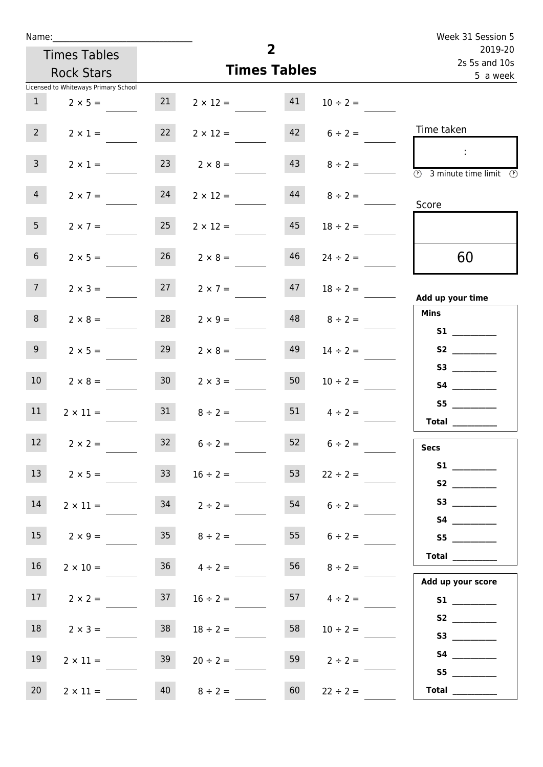| Week 31 Session 5                                                                    |                    |                     |                    |                 |                                      | Name:           |
|--------------------------------------------------------------------------------------|--------------------|---------------------|--------------------|-----------------|--------------------------------------|-----------------|
| 2019-20<br>2s 5s and 10s                                                             |                    | $\overline{2}$      |                    |                 | <b>Times Tables</b>                  |                 |
| 5 a week                                                                             |                    | <b>Times Tables</b> |                    |                 | <b>Rock Stars</b>                    |                 |
|                                                                                      |                    |                     |                    |                 | Licensed to Whiteways Primary School |                 |
|                                                                                      | $10 \div 2 =$      | 41                  | $2 \times 12 =$    | 21              | $2 \times 5 =$                       | $\mathbf{1}$    |
| Time taken                                                                           | $6 \div 2 =$       | 42                  | $2 \times 12 =$    | 22              | $2 \times 1 =$                       | $2^{\circ}$     |
| $\mathcal{L}_{\mathcal{A}}$<br>$\circled{r}$<br>3 minute time limit<br>$\circled{r}$ | $8 \div 2 =$       | 43                  | $2 \times 8 =$     | 23              | $2 \times 1 =$                       | 3 <sup>7</sup>  |
| Score                                                                                | $8 \div 2 =$       | 44                  | $2 \times 12 =$    | 24              | $2 \times 7 =$                       | $\overline{4}$  |
|                                                                                      | $18 \div 2 =$      | 45                  | $2 \times 12 =$    | 25              | $2 \times 7 =$                       | 5 <sub>1</sub>  |
| 60                                                                                   | $24 \div 2 =$      | 46                  | $2 \times 8 =$     | 26              | $2 \times 5 =$                       | 6 <sup>1</sup>  |
| Add up your time                                                                     | $18 \div 2 =$      | 47                  | $2 \times 7 =$     | 27              | $2 \times 3 =$                       | 7 <sup>7</sup>  |
| <b>Mins</b><br>S1                                                                    | $8 \div 2 =$       | 48                  | $2 \times 9 =$     | 28              | $2 \times 8 =$                       | 8               |
|                                                                                      | $14 \div 2 =$      | 49                  | $2 \times 8 =$     | 29              | $2 \times 5 =$                       | 9 <sub>o</sub>  |
|                                                                                      | $10 \div 2 =$      | 50                  | $2 \times 3 =$     | 30 <sup>1</sup> | $2 \times 8 =$                       | 10 <sup>°</sup> |
| S5<br>Total                                                                          | $4 \div 2 =$       | 51                  | $8 \div 2 =$       | 31              | $2 \times 11 =$                      | 11              |
| <b>Secs</b>                                                                          | $6 \div 2 =$       | 52                  | $6 \div 2 =$       | 32              | $2 \times 2 =$                       | 12              |
| S2                                                                                   | $22 \div 2 =$      | 53                  | $16 \div 2 =$      | 33 <sup>2</sup> | $2 \times 5 =$                       | 13 <sup>7</sup> |
|                                                                                      | $6 \div 2 =$       | 54                  | $2 \div 2 =$       | 34              | $2 \times 11 =$                      | 14              |
| S5                                                                                   | 55 $6 \div 2 =$    |                     | $35 \t 8 \div 2 =$ |                 | $2 \times 9 =$                       | 15              |
| <b>Total</b><br>Add up your score                                                    | $56 \t 8 \div 2 =$ |                     | $36 \t 4 \div 2 =$ |                 | $2 \times 10 =$                      | 16              |
|                                                                                      | 57 $4 \div 2 =$    |                     | $16 \div 2 =$      | 37              | $2 \times 2 =$                       | 17              |
| S3                                                                                   | $10 \div 2 =$      | 58                  | $18 \div 2 =$      | 38              | $2 \times 3 =$                       | 18              |
| <b>S4 S4</b>                                                                         | $2 \div 2 =$       | 59                  | $20 \div 2 =$      | 39              | $2 \times 11 =$                      | 19              |
| Total $\qquad$                                                                       | $22 \div 2 =$      | 60                  | $8 \div 2 =$       | 40              | $2 \times 11 =$                      | 20 <sub>2</sub> |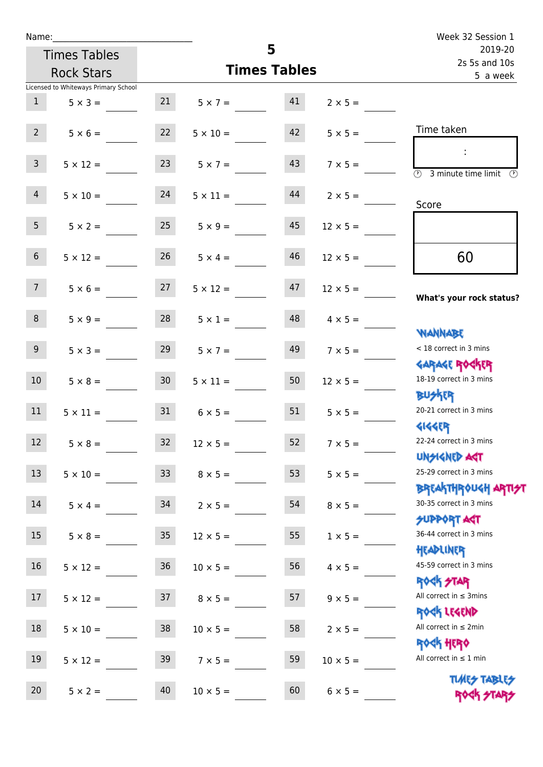| Name:           |                                      |                 |                                   |                     |                      | Week 32 Session 1                                                 |
|-----------------|--------------------------------------|-----------------|-----------------------------------|---------------------|----------------------|-------------------------------------------------------------------|
|                 | <b>Times Tables</b>                  |                 |                                   | 5                   |                      | 2019-20<br>2s 5s and 10s                                          |
|                 | <b>Rock Stars</b>                    |                 |                                   | <b>Times Tables</b> |                      | 5 a week                                                          |
|                 | Licensed to Whiteways Primary School |                 |                                   |                     |                      |                                                                   |
| 1               | $5 \times 3 =$ 21 $5 \times 7 =$ 41  |                 |                                   |                     | $2 \times 5 =$       |                                                                   |
| 2               | $5 \times 6 =$                       | 22              | $5 \times 10 =$                   | 42                  | $5 \times 5 =$       | Time taken                                                        |
| 3 <sup>7</sup>  | $5 \times 12 =$                      | 23              | $5 \times 7 =$                    | 43                  | $7 \times 5 =$       | $\overline{\textcircled{2}}$ 3 minute time limit<br>$\mathcal{O}$ |
| 4               | $5 \times 10 = 24$                   |                 | $5 \times 11 =$                   | 44                  | $2 \times 5 =$       | Score                                                             |
| 5 <sub>1</sub>  | $5 \times 2 =$                       | 25              | $5 \times 9 =$                    | 45                  | $12 \times 5 =$      |                                                                   |
| 6 <sup>1</sup>  | $5 \times 12 =$                      | 26              | $5 \times 4 =$                    | 46                  | $12 \times 5 =$      | 60                                                                |
| 7 <sup>7</sup>  |                                      |                 | $5 \times 6 =$ 27 $5 \times 12 =$ | 47                  | $12 \times 5 =$      | What's your rock status?                                          |
| 8               | $5 \times 9 =$                       | 28              | $5 \times 1 =$                    | 48                  | $4 \times 5 =$       | <b>JARNARY</b>                                                    |
| 9 <sub>o</sub>  | $5 \times 3 =$                       | 29              | $5 \times 7 =$                    | 49                  | $7 \times 5 =$       | < 18 correct in 3 mins                                            |
| 10 <sup>1</sup> | $5 \times 8 = 30$                    |                 | $5 \times 11 =$                   | 50                  | $12 \times 5 =$      | <b>GARAGE ROCKER</b><br>18-19 correct in 3 mins<br><b>BUSKER</b>  |
| 11              | $5 \times 11 =$                      | 31              | $6 \times 5 =$                    |                     | $51 \t 5 \times 5 =$ | 20-21 correct in 3 mins<br><b>4144EP</b>                          |
| 12              | $5 \times 8 =$                       | 32              | $12 \times 5 =$                   | 52                  | $7 \times 5 =$       | 22-24 correct in 3 mins<br><b>UNSIGNED AGT</b>                    |
| 13              | $5 \times 10 =$                      | 33 <sup>°</sup> | $8 \times 5 =$                    | 53                  | $5 \times 5 =$       | 25-29 correct in 3 mins<br><b>BREAKTHROUGH ARTI<del>S</del>T</b>  |
| 14              | $5 \times 4 =$                       | 34              | $2 \times 5 =$                    | 54                  | $8 \times 5 =$       | 30-35 correct in 3 mins<br><b>SUPPORT AGT</b>                     |
| 15              | $5 \times 8 =$                       | 35 <sub>o</sub> | $12 \times 5 =$                   | 55                  | $1 \times 5 =$       | 36-44 correct in 3 mins<br>HEADLINER                              |
| 16              | $5 \times 12 =$                      | $36\,$          | $10 \times 5 =$                   | 56                  | $4 \times 5 =$       | 45-59 correct in 3 mins<br><b>ROCK STAR</b>                       |
| 17              | $5 \times 12 =$                      | 37              | $8 \times 5 =$                    | 57                  | $9 \times 5 =$       | All correct in $\leq$ 3mins<br>ROCK LEGEND                        |
| 18              | $5 \times 10 =$                      | 38              | $10 \times 5 =$                   | 58                  | $2 \times 5 =$       | All correct in $\leq 2$ min<br><b>ROCK HERO</b>                   |
| 19              | $5 \times 12 =$                      | 39              | $7 \times 5 =$                    | 59                  | $10 \times 5 =$      | All correct in $\leq 1$ min                                       |
| 20              | $5 \times 2 =$                       | 40              | $10 \times 5 =$                   | 60                  | $6 \times 5 =$       | <b>TUARS TABLES</b><br>ROCK STARS                                 |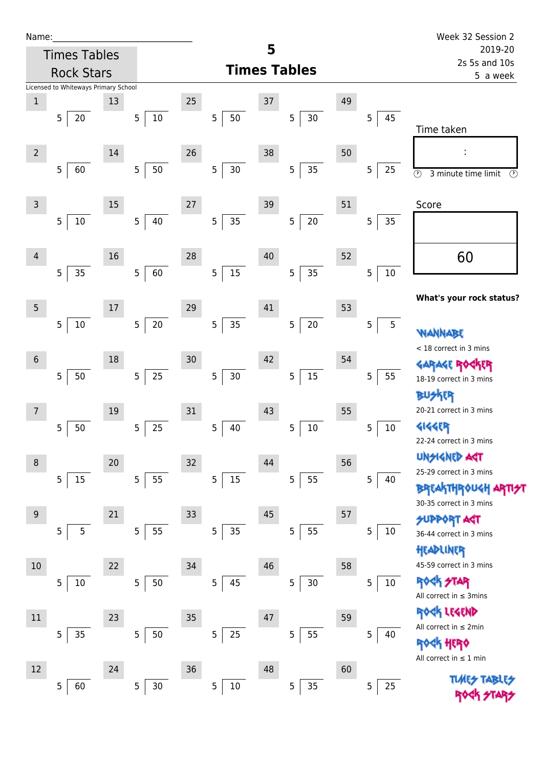| Name |  |  |  |
|------|--|--|--|
|      |  |  |  |

| Name:          |                                      |    |                          |        |             |    |                          |    |             | Week 32 Session 2                                                       |
|----------------|--------------------------------------|----|--------------------------|--------|-------------|----|--------------------------|----|-------------|-------------------------------------------------------------------------|
|                | <b>Times Tables</b>                  |    |                          |        |             | 5  |                          |    |             | 2019-20                                                                 |
|                | <b>Rock Stars</b>                    |    |                          |        |             |    | <b>Times Tables</b>      |    |             | 2s 5s and 10s<br>5 a week                                               |
|                | Licensed to Whiteways Primary School |    |                          |        |             |    |                          |    |             |                                                                         |
| $\mathbf{1}$   | 5<br>20                              | 13 | $10\,$<br>$\sqrt{5}$     | 25     | 5<br>50     | 37 | $\overline{5}$<br>30     | 49 | 45<br>5     |                                                                         |
|                |                                      |    |                          |        |             |    |                          |    |             | Time taken                                                              |
| $\overline{2}$ |                                      | 14 |                          | 26     |             | 38 |                          | 50 |             | ţ,                                                                      |
|                | 5<br>60                              |    | $50\,$<br>$\sqrt{5}$     |        | 5<br>$30\,$ |    | 35<br>5                  |    | 5<br>25     | $\odot$<br>3 minute time limit<br>$\circled{r}$                         |
| 3              |                                      | 15 |                          | 27     |             | 39 |                          | 51 |             | Score                                                                   |
|                | 5<br>10                              |    | 40<br>$\overline{5}$     |        | 5<br>35     |    | $20\,$<br>$\overline{5}$ |    | 5<br>35     |                                                                         |
| $\overline{4}$ |                                      | 16 |                          | 28     |             | 40 |                          | 52 |             | 60                                                                      |
|                | 35<br>5                              |    | 60<br>$\overline{5}$     |        | 5<br>15     |    | 35<br>5                  |    | 5<br>$10\,$ |                                                                         |
| 5              |                                      | 17 |                          | 29     |             | 41 |                          | 53 |             | What's your rock status?                                                |
|                | 10<br>$\overline{5}$                 |    | $20\,$<br>$\sqrt{5}$     |        | 5<br>35     |    | $20\,$<br>$\sqrt{5}$     |    | 5<br>5      |                                                                         |
|                |                                      |    |                          |        |             |    |                          |    |             | WANNABE<br>< 18 correct in 3 mins                                       |
| $\,$ 6 $\,$    |                                      | 18 |                          | $30\,$ |             | 42 |                          | 54 |             | GARAGE ROGKER                                                           |
|                | 50<br>5                              |    | 25<br>$\sqrt{5}$         |        | 5<br>$30\,$ |    | 15<br>5                  |    | 5<br>55     | 18-19 correct in 3 mins                                                 |
| 7              |                                      | 19 |                          | $31\,$ |             | 43 |                          | 55 |             | 化<br>20-21 correct in 3 mins                                            |
|                | 50<br>5                              |    | 25<br>$\overline{5}$     |        | 5<br>40     |    | 5<br>$10\,$              |    | 5<br>$10\,$ | <b>4144EP</b><br>22-24 correct in 3 mins                                |
|                |                                      |    |                          |        |             |    |                          |    |             | <b>UNSIGNED AST</b>                                                     |
| 8              |                                      | 20 |                          | $32\,$ |             | 44 |                          | 56 |             | 25-29 correct in 3 mins                                                 |
|                | 15<br>5                              |    | 55<br>$\overline{5}$     |        | 5<br>15     |    | 55<br>5                  |    | 5<br>40     | <b>BREAKTHROUGH A</b> I<br>30-35 correct in 3 mins                      |
| $9$            |                                      | 21 |                          | 33     |             | 45 |                          | 57 |             | <b>SUPPORT AGT</b>                                                      |
|                | $\overline{5}$<br>5                  |    | 55<br>5                  |        | 35<br>5     |    | 55<br>5                  |    | 5<br>$10\,$ | 36-44 correct in 3 mins                                                 |
| 10             |                                      | 22 |                          | 34     |             | 46 |                          | 58 |             | HEADLINER<br>45-59 correct in 3 mins                                    |
|                | 5<br>10                              |    | $\mathsf S$<br>$50\,$    |        | 5<br>45     |    | 5<br>$30\,$              |    | 5<br>$10\,$ | <b>ROCK STAR</b><br>All correct in $\leq$ 3mins                         |
| 11             |                                      | 23 |                          | 35     |             | 47 |                          | 59 |             | ROCK LEGEND                                                             |
|                | 35<br>5                              |    | $\mathsf S$<br>$50\,$    |        | 25<br>5     |    | 55<br>5                  |    | 5<br>40     | All correct in $\leq 2$ min                                             |
|                |                                      |    |                          |        |             |    |                          |    |             | <b><k b="" her0<=""><br/>All correct in <math>\leq 1</math> min</k></b> |
| 12             |                                      | 24 |                          | $36\,$ |             | 48 |                          | 60 |             |                                                                         |
|                | 60<br>5                              |    | $30\,$<br>$\overline{5}$ |        | 5<br>$10\,$ |    | 35<br>5                  |    | 25<br>5     | <b>TIMES</b>                                                            |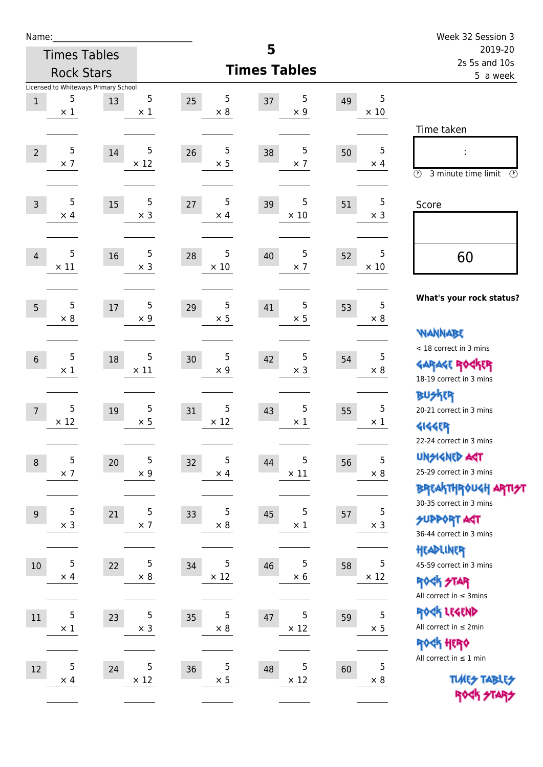| Name:          |                                           |                  |                  |                     |                   | Week 32 Session 3                                                |  |
|----------------|-------------------------------------------|------------------|------------------|---------------------|-------------------|------------------------------------------------------------------|--|
|                | <b>Times Tables</b>                       |                  |                  | 5                   |                   | 2019-20<br>2s 5s and 10s                                         |  |
|                | <b>Rock Stars</b>                         |                  |                  | <b>Times Tables</b> |                   | 5 a week                                                         |  |
|                | Licensed to Whiteways Primary School<br>5 | 5                | 5                | 5                   | 5                 |                                                                  |  |
| $1\,$          | $\times$ 1                                | 13<br>$\times$ 1 | 25<br>$\times$ 8 | 37<br>$\times$ 9    | 49<br>$\times$ 10 |                                                                  |  |
|                |                                           |                  |                  |                     |                   | Time taken                                                       |  |
|                | 5                                         | 5<br>14          | 5<br>26          | 5                   | 5                 |                                                                  |  |
| $\overline{2}$ | $\times$ 7                                | $\times$ 12      | $\times$ 5       | 38<br>$\times$ 7    | 50<br>$\times$ 4  |                                                                  |  |
|                |                                           |                  |                  |                     |                   | $\circled{r}$<br>3 minute time limit<br>$(\mathcal{F})$          |  |
| $\overline{3}$ | 5                                         | 5<br>15          | 5<br>27          | 5<br>39             | 5<br>51           | Score                                                            |  |
|                | $\times$ 4                                | $\times$ 3       | $\times$ 4       | $\times$ 10         | $\times$ 3        |                                                                  |  |
|                |                                           |                  |                  |                     |                   |                                                                  |  |
| $\overline{4}$ | 5                                         | $\sqrt{5}$<br>16 | 5<br>28          | 5<br>40             | 5<br>52           | 60                                                               |  |
|                | $\times$ 11                               | $\times$ 3       | $\times$ 10      | $\times$ 7          | $\times$ 10       |                                                                  |  |
|                |                                           |                  |                  |                     |                   |                                                                  |  |
| 5              | 5                                         | 5<br>17          | 5<br>29          | 5<br>41             | 5<br>53           | What's your rock status?                                         |  |
|                | $\times$ 8                                | $\times$ 9       | $\times$ 5       | $\times$ 5          | $\times 8$        |                                                                  |  |
|                |                                           |                  |                  |                     |                   | <b>WANNABE</b>                                                   |  |
| $6\,$          | 5                                         | 5<br>18          | 5<br>30          | 5<br>42             | 5<br>54           | < 18 correct in 3 mins                                           |  |
|                | $\times$ 1                                | $\times$ 11      | $\times$ 9       | $\times$ 3          | $\times 8$        | <b>GARAGE ROCKER</b><br>18-19 correct in 3 mins                  |  |
|                |                                           |                  |                  |                     |                   | <b>BUSKER</b>                                                    |  |
| $\overline{7}$ | 5                                         | 5<br>19          | 5<br>31          | 5<br>43             | 5<br>55           | 20-21 correct in 3 mins                                          |  |
|                | $\times$ 12                               | $\times$ 5       | $\times$ 12      | $\times$ 1          | $\times$ 1        | 外行                                                               |  |
|                |                                           |                  |                  |                     |                   | 22-24 correct in 3 mins                                          |  |
| $\,8\,$        | 5                                         | 5<br>20          | 5<br>32          | 5<br>44             | 5<br>56           | <b>UNGIGNED AST</b>                                              |  |
|                | $\times$ 7                                | $\times$ 9       | $\times$ 4       | $\times$ 11         | $\times$ 8        | 25-29 correct in 3 mins                                          |  |
|                |                                           |                  |                  |                     |                   | <b>BREAKTHR0UGH ARTI<del>S</del>T</b><br>30-35 correct in 3 mins |  |
| 9              | 5                                         | 5<br>21          | 5<br>33          | 5<br>45             | 5<br>57           | <b>SUPPORT ART</b>                                               |  |
|                | $\times$ 3                                | $\times$ 7       | $\times$ 8       | $\times$ 1          | $\times$ 3        | 36-44 correct in 3 mins                                          |  |
|                |                                           |                  |                  |                     |                   | HEADLINER                                                        |  |
| 10             | 5                                         | 5<br>22          | 5<br>34          | 5<br>46             | 5<br>58           | 45-59 correct in 3 mins                                          |  |
|                | $\times$ 4                                | $\times$ 8       | $\times$ 12      | $\times$ 6          | $\times$ 12       | <b>ROCK STAR</b>                                                 |  |
|                |                                           |                  |                  |                     |                   | All correct in $\leq$ 3mins                                      |  |
| 11             | 5                                         | 5<br>23          | 5<br>35          | 5<br>47             | 5<br>59           | ROCK LEGEND                                                      |  |
|                | $\times$ 1                                | $\times$ 3       | $\times$ 8       | $\times$ 12         | $\times$ 5        | All correct in $\leq 2$ min                                      |  |
|                |                                           |                  |                  |                     |                   | ROCK HERO<br>All correct in $\leq 1$ min                         |  |
| 12             | 5                                         | 5<br>24          | 5<br>36          | 5<br>48             | 5<br>60           |                                                                  |  |
|                | $\times$ 4                                | $\times$ 12      | $\times$ 5       | $\times$ 12         | $\times 8$        | <b>TUARS TABLES</b>                                              |  |
|                |                                           |                  |                  |                     |                   | ROCK STARS                                                       |  |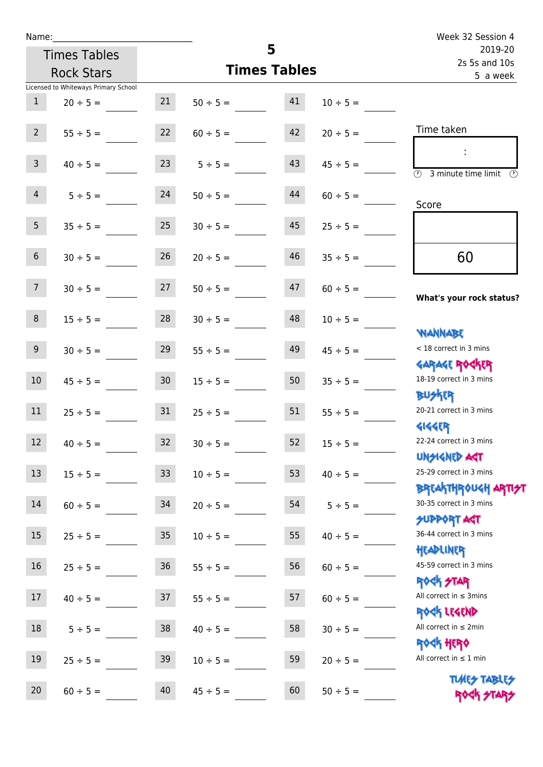| Name:          |                                      |                  |               |                     |               | Week 32 Session 4                                                      |
|----------------|--------------------------------------|------------------|---------------|---------------------|---------------|------------------------------------------------------------------------|
|                | <b>Times Tables</b>                  |                  |               | 5                   |               | 2019-20<br>2s 5s and 10s                                               |
|                | <b>Rock Stars</b>                    |                  |               | <b>Times Tables</b> |               | 5 a week                                                               |
|                | Licensed to Whiteways Primary School |                  |               |                     |               |                                                                        |
| $\mathbf{1}$   | $20 \div 5 =$                        | 21               | $50 \div 5 =$ | 41                  | $10 \div 5 =$ |                                                                        |
| $2^{\circ}$    | $55 \div 5 =$                        | 22               | $60 \div 5 =$ | 42                  | $20 \div 5 =$ | Time taken                                                             |
| 3 <sup>7</sup> | $40 \div 5 =$                        | 23               | $5 \div 5 =$  | 43                  | $45 \div 5 =$ | $\mathcal{L}$<br>$\overline{\textcircled{3}}$ 3 minute time limit<br>⊕ |
| $\overline{4}$ | $5 \div 5 =$                         | 24               | $50 \div 5 =$ | 44                  | $60 \div 5 =$ | Score                                                                  |
| 5 <sub>1</sub> | $35 \div 5 =$                        | 25               | $30 \div 5 =$ | 45                  | $25 \div 5 =$ |                                                                        |
| 6 <sup>1</sup> | $30 \div 5 =$                        | 26               | $20 \div 5 =$ | 46                  | $35 \div 5 =$ | 60                                                                     |
| 7 <sup>7</sup> | $30 \div 5 =$                        | 27               | $50 \div 5 =$ | 47                  | $60 \div 5 =$ | What's your rock status?                                               |
| 8              | $15 \div 5 =$                        | 28               | $30 \div 5 =$ | 48                  | $10 \div 5 =$ | <b>NANNABE</b>                                                         |
| 9 <sub>o</sub> | $30 \div 5 =$                        | 29               | $55 \div 5 =$ | 49                  | $45 \div 5 =$ | < 18 correct in 3 mins                                                 |
| 10             | $45 \div 5 =$                        | 30 <sub>2</sub>  | $15 \div 5 =$ | 50                  | $35 \div 5 =$ | <b>GARAGE ROCKER</b><br>18-19 correct in 3 mins<br><b>BUSKER</b>       |
| 11             | $25 \div 5 =$                        | 31               | $25 \div 5 =$ | 51                  | $55 \div 5 =$ | 20-21 correct in 3 mins                                                |
| 12             | $40 \div 5 =$                        | 32               | $30 \div 5 =$ | 52                  | $15 \div 5 =$ | <b>4144ER</b><br>22-24 correct in 3 mins<br>UNSIGNED AGT               |
| 13             | $15 \div 5 =$                        | 33               | $10 \div 5 =$ | 53                  | $40 \div 5 =$ | 25-29 correct in 3 mins<br><b>BREAKTHROUGH ARTI<del>S</del>T</b>       |
| 14             | $60 \div 5 =$                        | 34               | $20 \div 5 =$ | 54                  | $5 ÷ 5 =$     | 30-35 correct in 3 mins<br>SUPPORT ART                                 |
| 15             | $25 \div 5 =$                        | $35\phantom{.0}$ | $10 \div 5 =$ | 55                  | $40 \div 5 =$ | 36-44 correct in 3 mins<br>HEADLINER                                   |
| 16             | $25 \div 5 =$                        | 36               | $55 \div 5 =$ | 56                  | $60 \div 5 =$ | 45-59 correct in 3 mins<br><b>ROCK STAR</b>                            |
| 17             | $40 \div 5 =$                        | 37               | $55 \div 5 =$ | 57                  | $60 \div 5 =$ | All correct in $\leq$ 3mins<br>ROCK LEGEND                             |
| $18\,$         | $5 ÷ 5 =$                            | 38               | $40 \div 5 =$ | 58                  | $30 \div 5 =$ | All correct in $\leq 2$ min<br>ROCK HERO                               |
| 19             | $25 \div 5 =$                        | 39               | $10 \div 5 =$ | 59                  | $20 \div 5 =$ | All correct in $\leq 1$ min                                            |
| 20             | $60 \div 5 =$                        | 40               | $45 \div 5 =$ | 60                  | $50 \div 5 =$ | <b>TUARS TABLES</b><br>ROCK STARS                                      |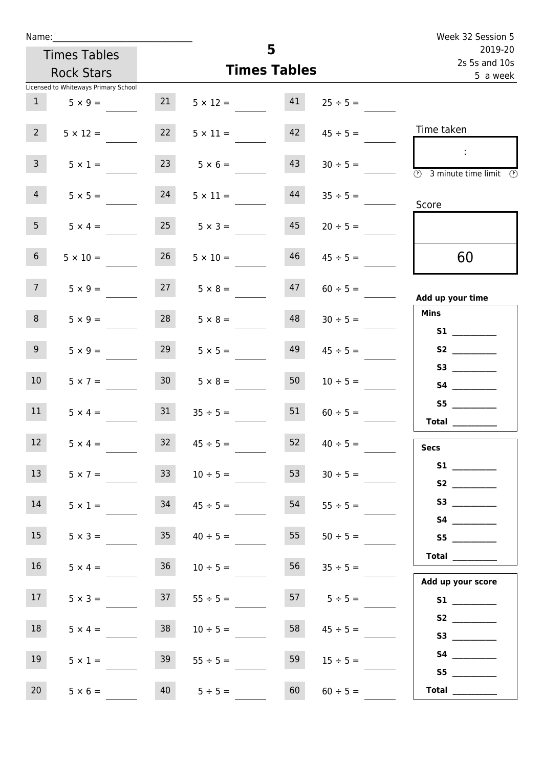| Name:                                |                      |                       |                    | Week 32 Session 5                                    |
|--------------------------------------|----------------------|-----------------------|--------------------|------------------------------------------------------|
| <b>Times Tables</b>                  |                      | 5                     |                    | 2019-20                                              |
| <b>Rock Stars</b>                    |                      | <b>Times Tables</b>   |                    | 2s 5s and 10s<br>5 a week                            |
| Licensed to Whiteways Primary School |                      |                       |                    |                                                      |
| 1<br>$5 \times 9 =$                  | 21                   | 41<br>$5 \times 12 =$ | $25 \div 5 =$      |                                                      |
| 2 <sup>7</sup><br>$5 \times 12 =$    | 22                   | 42<br>$5 \times 11 =$ | $45 \div 5 =$      | Time taken                                           |
| 3 <sup>7</sup><br>$5 \times 1 =$     | $23 \t 5 \times 6 =$ | 43                    | $30 \div 5 =$      | $\sim$ 10 $\,$<br>3 minute time limit<br>⊕           |
| 4<br>$5 \times 5 =$                  | 24                   | 44<br>$5 \times 11 =$ | $35 \div 5 =$      | Score                                                |
| 5 <sub>1</sub><br>$5 \times 4 =$     | 25                   | 45<br>$5 \times 3 =$  | $20 \div 5 =$      |                                                      |
| 6 <sup>1</sup><br>$5 \times 10 =$    | 26                   | 46<br>$5 \times 10 =$ | $45 \div 5 =$      | 60                                                   |
| 7 <sup>7</sup><br>$5 \times 9 =$     | $27 \t 5 \times 8 =$ | 47                    | $60 \div 5 =$      | Add up your time                                     |
| 8<br>$5 \times 9 =$                  | 28                   | 48<br>$5 \times 8 =$  | $30 \div 5 =$      | <b>Mins</b><br><b>S1</b> and the set of $\mathbf{S}$ |
| 9 <sub>o</sub><br>$5 \times 9 =$     | 29                   | 49<br>$5 \times 5 =$  | $45 \div 5 =$      |                                                      |
| 10 <sup>°</sup><br>$5 \times 7 =$    | 30 <sup>1</sup>      | 50<br>$5 \times 8 =$  | $10 \div 5 =$      | S3<br><b>S4 S4</b>                                   |
| 11<br>$5 \times 4 =$                 | 31                   | 51<br>$35 \div 5 =$   | $60 \div 5 =$      | <b>Total</b>                                         |
| 12 <sup>7</sup><br>$5 \times 4 =$    | 32                   | 52<br>$45 \div 5 =$   | $40 \div 5 =$      | <b>Secs</b>                                          |
| 13<br>$5 \times 7 =$                 | 33 <sup>7</sup>      | 53<br>$10 \div 5 =$   | $30 \div 5 =$      |                                                      |
| 14<br>$5 \times 1 =$                 | 34                   | 54<br>$45 \div 5 =$   | $55 \div 5 =$      |                                                      |
| 15<br>$5 \times 3 =$                 | 35                   | 55<br>$40 \div 5 =$   | $50 \div 5 =$      | S5                                                   |
| 16 <sup>1</sup><br>$5 \times 4 =$    | 36                   | 56<br>$10 \div 5 =$   | $35 \div 5 =$      | Total<br>Add up your score                           |
| 17<br>$5 \times 3 =$                 | 37                   | $55 \div 5 =$         | $57 \t 5 \div 5 =$ |                                                      |
| 18<br>$5 \times 4 =$                 | 38                   | 58<br>$10 \div 5 =$   | $45 \div 5 =$      | S2                                                   |
| 19<br>$5 \times 1 =$                 | 39                   | 59<br>$55 \div 5 =$   | $15 \div 5 =$      | S5                                                   |
| 20<br>$5 \times 6 =$                 | 40                   | 60<br>$5 ÷ 5 =$       | $60 \div 5 =$      | Total $\qquad$                                       |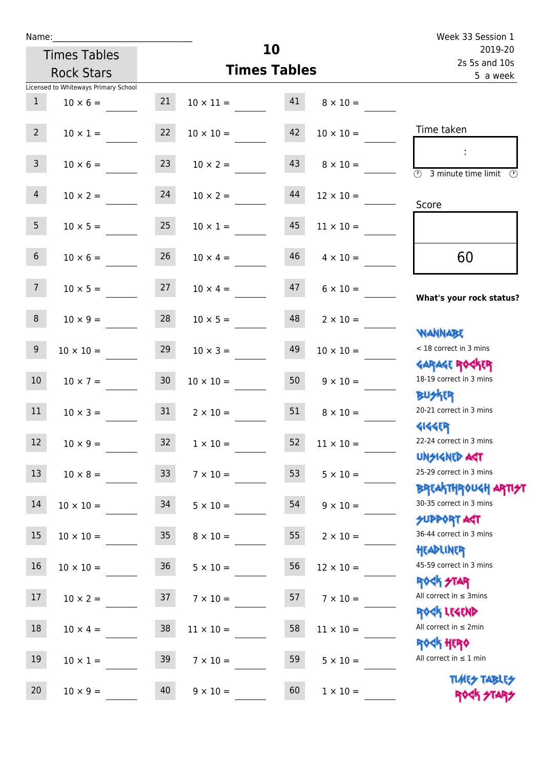| Name:           |                                      |    | Week 33 Session 1   |                     |                  |                                                                  |
|-----------------|--------------------------------------|----|---------------------|---------------------|------------------|------------------------------------------------------------------|
|                 | <b>Times Tables</b>                  |    |                     | 10                  |                  | 2019-20<br>2s 5s and 10s                                         |
|                 | <b>Rock Stars</b>                    |    |                     | <b>Times Tables</b> |                  | 5 a week                                                         |
|                 | Licensed to Whiteways Primary School |    |                     |                     |                  |                                                                  |
| 1               | $10 \times 6 =$                      | 21 | $10 \times 11 = 41$ |                     | $8 \times 10 =$  |                                                                  |
| 2 <sup>7</sup>  | $10 \times 1 =$                      | 22 | $10 \times 10 =$    | 42                  | $10 \times 10 =$ | Time taken                                                       |
| 3 <sup>7</sup>  | $10 \times 6 =$                      | 23 | $10 \times 2 =$     | 43                  | $8 \times 10 =$  | <b>3</b> minute time limit<br>$\mathcal{O}$                      |
| 4               | $10 \times 2 = 24$                   |    | $10 \times 2 =$     | 44                  | $12 \times 10 =$ | Score                                                            |
| 5 <sub>1</sub>  | $10 \times 5 =$                      | 25 | $10 \times 1 =$     | 45                  | $11 \times 10 =$ |                                                                  |
| 6 <sup>1</sup>  | $10 \times 6 =$                      | 26 | $10 \times 4 =$     | 46                  | $4 \times 10 =$  | 60                                                               |
| 7 <sup>7</sup>  | $10 \times 5 = 27$                   |    | $10 \times 4 =$     | 47                  | $6 \times 10 =$  | What's your rock status?                                         |
| 8               | $10 \times 9 =$                      | 28 | $10 \times 5 =$     | 48                  | $2 \times 10 =$  | <b>NANNABE</b>                                                   |
| 9               | $10 \times 10 =$                     | 29 | $10 \times 3 =$     | 49                  | $10 \times 10 =$ | < 18 correct in 3 mins                                           |
| 10 <sup>°</sup> | $10 \times 7 = 30$                   |    | $10 \times 10 = 50$ |                     | $9 \times 10 =$  | <b>GARAGE ROGKER</b><br>18-19 correct in 3 mins<br><b>BUSKER</b> |
| 11              | $10 \times 3 = 31$                   |    | $2 \times 10 =$     | 51                  | $8 \times 10 =$  | 20-21 correct in 3 mins<br><b>4144EP</b>                         |
| $12\,$          | $10 \times 9 =$                      | 32 | $1 \times 10 =$     | 52                  | $11\times10=$    | 22-24 correct in 3 mins<br><b>UNSIGNED AST</b>                   |
| 13              | $10 \times 8 =$                      | 33 | $7 \times 10 =$     | 53                  | $5 \times 10 =$  | 25-29 correct in 3 mins<br><b>BREAKTHROUGH ARTI<del>S</del>T</b> |
| 14              | $10 \times 10 =$                     | 34 | $5 \times 10 =$     | 54                  | $9 \times 10 =$  | 30-35 correct in 3 mins<br><b>SUPPORT AGT</b>                    |
| 15              | $10 \times 10 =$                     | 35 | $8 \times 10 =$     | 55                  | $2 \times 10 =$  | 36-44 correct in 3 mins<br>HEADLINER                             |
| 16              | $10 \times 10 =$                     | 36 | $5 \times 10 =$     | 56                  | $12 \times 10 =$ | 45-59 correct in 3 mins<br><b>ROCK STAR</b>                      |
| 17              | $10 \times 2 =$                      | 37 | $7 \times 10 =$     | 57                  | $7 \times 10 =$  | All correct in $\leq$ 3mins<br>ROCK LEGEND                       |
| 18              | $10 \times 4 =$                      | 38 | $11 \times 10 =$    | 58                  | $11 \times 10 =$ | All correct in $\leq 2$ min                                      |
| 19              | $10 \times 1 =$                      | 39 | $7 \times 10 =$     | 59                  | $5 \times 10 =$  | <b>ROGH HERO</b><br>All correct in $\leq 1$ min                  |
| 20              | $10 \times 9 =$                      | 40 | $9 \times 10 =$     | 60                  | $1 \times 10 =$  | <b>TUARS TABLES</b><br>ROCK STARS                                |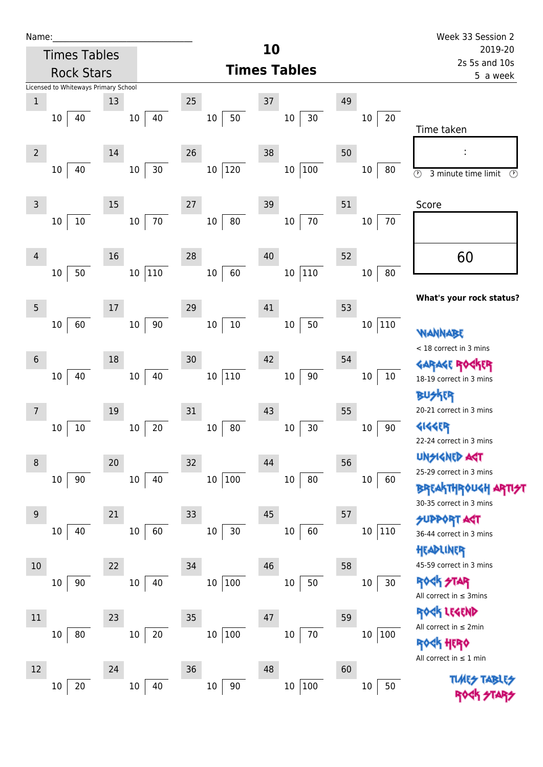| Name:<br><b>Times Tables</b>                                                  |                    |                                  | 10                          |                    | Week 33 Session 2<br>2019-20                                                           |  |  |
|-------------------------------------------------------------------------------|--------------------|----------------------------------|-----------------------------|--------------------|----------------------------------------------------------------------------------------|--|--|
| <b>Rock Stars</b>                                                             |                    |                                  | <b>Times Tables</b>         |                    | 2s 5s and 10s<br>5 a week                                                              |  |  |
| Licensed to Whiteways Primary School<br>$\mathbf{1}$<br>10 <sup>°</sup><br>40 | 13<br>$10 \mid 40$ | 25<br>$10\,$<br>50               | 37<br>$10\,$<br>30          | 49<br>20<br>$10\,$ |                                                                                        |  |  |
| $\overline{2}$                                                                | 14                 | 26                               | 38                          | 50                 | Time taken                                                                             |  |  |
| 40<br>10                                                                      | $30\,$<br>10       | 120<br>10                        | 10 100                      | 10<br>80           | $\circled{r}$<br>3 minute time limit                                                   |  |  |
| $\mathsf 3$                                                                   | 15                 | 27                               | 39                          | 51                 | Score                                                                                  |  |  |
| $10\,$<br>10                                                                  | $10 \mid 70$       | $10\,$<br>80                     | 70<br>10                    | 10<br>70           |                                                                                        |  |  |
| $\overline{4}$<br>50<br>$10\,$                                                | 16<br>10 110       | 28<br>$10\,$<br>60               | 40<br>10 110                | 52<br>80<br>10     | 60                                                                                     |  |  |
| 5                                                                             | 17                 | 29                               | 41                          | 53                 | What's your rock status?                                                               |  |  |
| 60<br>$10\,$                                                                  | 10   90            | $10\,$<br>$10\,$                 | $10\,$<br>50                | $10\,$<br>110      | <b>WANNABE</b><br>< 18 correct in 3 mins                                               |  |  |
| 6<br>40<br>10 <sup>°</sup>                                                    | 18<br>10<br>40     | 30<br>10 <sup>°</sup><br>$110\,$ | 42<br>90<br>10 <sup>°</sup> | 54<br>10<br>10     | 18-19 correct in 3 mins                                                                |  |  |
| 7                                                                             | 19                 | 31                               | 43                          | 55                 | <b>BUSKER</b><br>20-21 correct in 3 mins                                               |  |  |
| $10\,$<br>10                                                                  | 20<br>10           | 80<br>10                         | $30\,$<br>$10\,$            | $10\,$<br>90       | <b>4144EP</b><br>22-24 correct in 3 mins                                               |  |  |
| 8<br>90<br>10                                                                 | 20<br>40<br>10     | 32<br>$100\,$<br>$10\,$          | 44<br>80<br>10              | 56<br>10<br>60     | <b>UNSIGNED AST</b><br>25-29 correct in 3 mins                                         |  |  |
| $\overline{9}$                                                                | 21                 | 33                               | 45                          | 57                 | <b>BREAKTHROUGH ARTI<del>S</del>T</b><br>30-35 correct in 3 mins<br><b>SUPPORT AGT</b> |  |  |
| 40<br>10                                                                      | 10<br>60           | 30<br>$10\,$                     | 10<br>60                    | 110<br>10          | 36-44 correct in 3 mins<br>HEADLINER                                                   |  |  |
| 10<br>$90\,$<br>10                                                            | 22<br>$10\,$<br>40 | 34<br>$100\,$<br>$10\,$          | 46<br>$50\,$<br>$10\,$      | 58<br>$10\,$<br>30 | 45-59 correct in 3 mins<br><b>ROCK STAR</b>                                            |  |  |
| $11\,$                                                                        | 23                 | 35                               | 47                          | 59                 | All correct in $\leq$ 3mins<br>EK LEGEND                                               |  |  |
| 80<br>10                                                                      | $20\,$<br>10       | $100\,$<br>10 <sup>°</sup>       | $70\,$<br>$10\,$            | 100<br>$10\,$      | All correct in $\leq 2$ min<br><b>ROGH HERO</b><br>All correct in $\leq 1$ min         |  |  |

 $10 \overline{\smash{)}20}$ 

 $10 \overline{40}$ 

 $10 \overline{\smash{)}\,90}$ 

 $10 \overline{)100}$ 

 $10 \overline{\smash{\big)}\,50}$ 

**TIME** 

ROCK STARS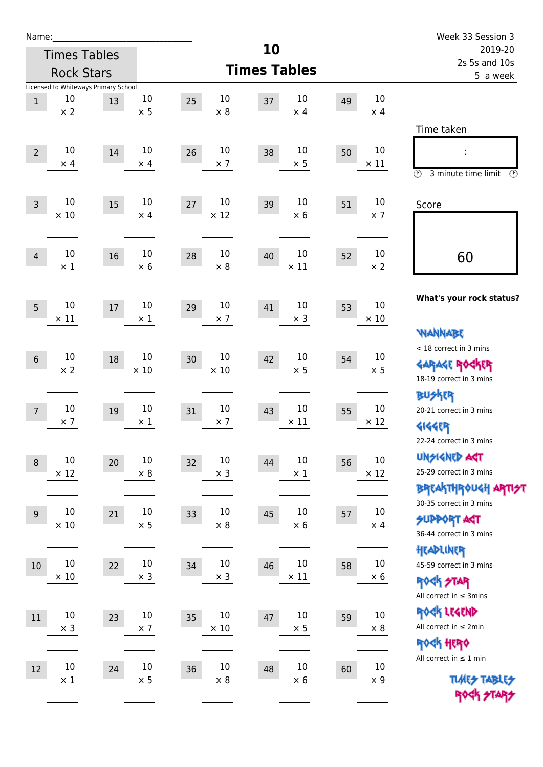| 10<br>2019-20<br><b>Times Tables</b><br>2s 5s and 10s<br><b>Times Tables</b><br><b>Rock Stars</b><br>5 a week<br>Licensed to Whiteways Primary School<br>10<br>10<br>10<br>10<br>10<br>37<br>49<br>25<br>$\mathbf{1}$<br>13<br>$\times 8$<br>$\times 2$<br>$\times$ 5<br>$\times$ 4<br>$\times$ 4<br>Time taken<br>$10\,$<br>10<br>10<br>10<br>10<br>14<br>26<br>38<br>$\overline{2}$<br>50<br>$\times$ 7<br>$\times$ 5<br>$\times$ 11<br>$\times$ 4<br>$\times$ 4<br>$\circled{r}$<br>3 minute time limit<br>$\circled{r}$<br>10<br>10<br>10<br>10<br>10<br>15<br>27<br>$\overline{3}$<br>39<br>51<br>Score<br>$\times$ 12<br>$\times$ 10<br>$\times$ 6<br>$\times$ 7<br>$\times$ 4<br>10<br>10<br>10<br>10<br>$10\,$<br>16<br>28<br>40<br>52<br>60<br>$\overline{4}$<br>$\times$ 11<br>$\times 8$<br>$\times 2$<br>$\times$ 1<br>$\times$ 6<br>What's your rock status?<br>10<br>10<br>10<br>10<br>10<br>29<br>41<br>53<br>5<br>17<br>$\times$ 11<br>$\times$ 3<br>$\times$ 10<br>$\times$ 1<br>$\times$ 7<br><b>WANNABE</b><br>< 18 correct in 3 mins<br>10<br>10<br>10<br>10<br>10<br>42<br>18<br>30<br>54<br>$\sqrt{6}$<br><b>GARAGE ROCKER</b><br>$\times$ 10<br>$\times$ 10<br>$\times$ 5<br>$\times$ 2<br>$\times$ 5<br>18-19 correct in 3 mins<br><b>BUSKER</b><br>10<br>10<br>10<br>10<br>10<br>43<br>31<br>20-21 correct in 3 mins<br>19<br>55<br>$\overline{7}$<br>$\times$ 7<br>$\times$ 11<br>$\times$ 12<br>$\times$ 1<br>$\times$ 7<br><b>4144EP</b><br>22-24 correct in 3 mins<br><b>UNSIGNED AGT</b><br>$10\,$<br>$10\,$<br>$10\,$<br>$10\,$<br>$10\,$<br>44<br>$20\,$<br>32<br>56<br>$\boldsymbol{8}$<br>25-29 correct in 3 mins<br>$\times$ 12<br>$\times$ 12<br>$\times$ 3<br>$\times 8$<br>$\times$ 1<br>BREAKTHRÓUGH ARTI <del>S</del> T<br>30-35 correct in 3 mins<br>$10\,$<br>$10\,$<br>10<br>10<br>$10\,$<br>21<br>45<br>33<br>57<br>9<br><b>SUPPORT ART</b><br>$\times$ 10<br>$\times$ 5<br>$\times 8$<br>$\times$ 6<br>$\times$ 4<br>36-44 correct in 3 mins<br>HEADLINER<br>$10\,$<br>$10\,$<br>$10\,$<br>10<br>$10\,$<br>34<br>46<br>10<br>22<br>45-59 correct in 3 mins<br>58<br>$\times$ 10<br>$\times$ 11<br>$\times$ 3<br>$\times$ 3<br>$\times$ 6<br>ROCK STAR<br>All correct in $\leq$ 3mins<br>ROCK LEGEND<br>$10\,$<br>$10\,$<br>$10\,$<br>$10\,$<br>$10\,$<br>23<br>35<br>47<br>11<br>59<br>All correct in $\leq 2$ min<br>$\times$ 10<br>$\times$ 7<br>$\times$ 5<br>$\times$ 8<br>$\times$ 3<br>ROCK HERO<br>All correct in $\leq 1$ min<br>$10\,$<br>$10\,$<br>10<br>10<br>$10\,$<br>36<br>12<br>24<br>48<br>60<br><b>TUARS TABLES</b><br>$\times$ 8<br>$\times$ 1<br>$\times$ 5<br>$\times$ 6<br>$\times$ 9<br>ROCK STARS | Name: |  |  |  | Week 33 Session 3 |
|-----------------------------------------------------------------------------------------------------------------------------------------------------------------------------------------------------------------------------------------------------------------------------------------------------------------------------------------------------------------------------------------------------------------------------------------------------------------------------------------------------------------------------------------------------------------------------------------------------------------------------------------------------------------------------------------------------------------------------------------------------------------------------------------------------------------------------------------------------------------------------------------------------------------------------------------------------------------------------------------------------------------------------------------------------------------------------------------------------------------------------------------------------------------------------------------------------------------------------------------------------------------------------------------------------------------------------------------------------------------------------------------------------------------------------------------------------------------------------------------------------------------------------------------------------------------------------------------------------------------------------------------------------------------------------------------------------------------------------------------------------------------------------------------------------------------------------------------------------------------------------------------------------------------------------------------------------------------------------------------------------------------------------------------------------------------------------------------------------------------------------------------------------------------------------------------------------------------------------------------------------------------------------------------------------------------------------------------------------------------------------------------------------------------------------------------------------------------------------------------------------------------------------------------------------------------------------------------------------------------------------------------------------------------------|-------|--|--|--|-------------------|
|                                                                                                                                                                                                                                                                                                                                                                                                                                                                                                                                                                                                                                                                                                                                                                                                                                                                                                                                                                                                                                                                                                                                                                                                                                                                                                                                                                                                                                                                                                                                                                                                                                                                                                                                                                                                                                                                                                                                                                                                                                                                                                                                                                                                                                                                                                                                                                                                                                                                                                                                                                                                                                                                       |       |  |  |  |                   |
|                                                                                                                                                                                                                                                                                                                                                                                                                                                                                                                                                                                                                                                                                                                                                                                                                                                                                                                                                                                                                                                                                                                                                                                                                                                                                                                                                                                                                                                                                                                                                                                                                                                                                                                                                                                                                                                                                                                                                                                                                                                                                                                                                                                                                                                                                                                                                                                                                                                                                                                                                                                                                                                                       |       |  |  |  |                   |
|                                                                                                                                                                                                                                                                                                                                                                                                                                                                                                                                                                                                                                                                                                                                                                                                                                                                                                                                                                                                                                                                                                                                                                                                                                                                                                                                                                                                                                                                                                                                                                                                                                                                                                                                                                                                                                                                                                                                                                                                                                                                                                                                                                                                                                                                                                                                                                                                                                                                                                                                                                                                                                                                       |       |  |  |  |                   |
|                                                                                                                                                                                                                                                                                                                                                                                                                                                                                                                                                                                                                                                                                                                                                                                                                                                                                                                                                                                                                                                                                                                                                                                                                                                                                                                                                                                                                                                                                                                                                                                                                                                                                                                                                                                                                                                                                                                                                                                                                                                                                                                                                                                                                                                                                                                                                                                                                                                                                                                                                                                                                                                                       |       |  |  |  |                   |
|                                                                                                                                                                                                                                                                                                                                                                                                                                                                                                                                                                                                                                                                                                                                                                                                                                                                                                                                                                                                                                                                                                                                                                                                                                                                                                                                                                                                                                                                                                                                                                                                                                                                                                                                                                                                                                                                                                                                                                                                                                                                                                                                                                                                                                                                                                                                                                                                                                                                                                                                                                                                                                                                       |       |  |  |  |                   |
|                                                                                                                                                                                                                                                                                                                                                                                                                                                                                                                                                                                                                                                                                                                                                                                                                                                                                                                                                                                                                                                                                                                                                                                                                                                                                                                                                                                                                                                                                                                                                                                                                                                                                                                                                                                                                                                                                                                                                                                                                                                                                                                                                                                                                                                                                                                                                                                                                                                                                                                                                                                                                                                                       |       |  |  |  |                   |
|                                                                                                                                                                                                                                                                                                                                                                                                                                                                                                                                                                                                                                                                                                                                                                                                                                                                                                                                                                                                                                                                                                                                                                                                                                                                                                                                                                                                                                                                                                                                                                                                                                                                                                                                                                                                                                                                                                                                                                                                                                                                                                                                                                                                                                                                                                                                                                                                                                                                                                                                                                                                                                                                       |       |  |  |  |                   |
|                                                                                                                                                                                                                                                                                                                                                                                                                                                                                                                                                                                                                                                                                                                                                                                                                                                                                                                                                                                                                                                                                                                                                                                                                                                                                                                                                                                                                                                                                                                                                                                                                                                                                                                                                                                                                                                                                                                                                                                                                                                                                                                                                                                                                                                                                                                                                                                                                                                                                                                                                                                                                                                                       |       |  |  |  |                   |
|                                                                                                                                                                                                                                                                                                                                                                                                                                                                                                                                                                                                                                                                                                                                                                                                                                                                                                                                                                                                                                                                                                                                                                                                                                                                                                                                                                                                                                                                                                                                                                                                                                                                                                                                                                                                                                                                                                                                                                                                                                                                                                                                                                                                                                                                                                                                                                                                                                                                                                                                                                                                                                                                       |       |  |  |  |                   |
|                                                                                                                                                                                                                                                                                                                                                                                                                                                                                                                                                                                                                                                                                                                                                                                                                                                                                                                                                                                                                                                                                                                                                                                                                                                                                                                                                                                                                                                                                                                                                                                                                                                                                                                                                                                                                                                                                                                                                                                                                                                                                                                                                                                                                                                                                                                                                                                                                                                                                                                                                                                                                                                                       |       |  |  |  |                   |
|                                                                                                                                                                                                                                                                                                                                                                                                                                                                                                                                                                                                                                                                                                                                                                                                                                                                                                                                                                                                                                                                                                                                                                                                                                                                                                                                                                                                                                                                                                                                                                                                                                                                                                                                                                                                                                                                                                                                                                                                                                                                                                                                                                                                                                                                                                                                                                                                                                                                                                                                                                                                                                                                       |       |  |  |  |                   |
|                                                                                                                                                                                                                                                                                                                                                                                                                                                                                                                                                                                                                                                                                                                                                                                                                                                                                                                                                                                                                                                                                                                                                                                                                                                                                                                                                                                                                                                                                                                                                                                                                                                                                                                                                                                                                                                                                                                                                                                                                                                                                                                                                                                                                                                                                                                                                                                                                                                                                                                                                                                                                                                                       |       |  |  |  |                   |
|                                                                                                                                                                                                                                                                                                                                                                                                                                                                                                                                                                                                                                                                                                                                                                                                                                                                                                                                                                                                                                                                                                                                                                                                                                                                                                                                                                                                                                                                                                                                                                                                                                                                                                                                                                                                                                                                                                                                                                                                                                                                                                                                                                                                                                                                                                                                                                                                                                                                                                                                                                                                                                                                       |       |  |  |  |                   |
|                                                                                                                                                                                                                                                                                                                                                                                                                                                                                                                                                                                                                                                                                                                                                                                                                                                                                                                                                                                                                                                                                                                                                                                                                                                                                                                                                                                                                                                                                                                                                                                                                                                                                                                                                                                                                                                                                                                                                                                                                                                                                                                                                                                                                                                                                                                                                                                                                                                                                                                                                                                                                                                                       |       |  |  |  |                   |
|                                                                                                                                                                                                                                                                                                                                                                                                                                                                                                                                                                                                                                                                                                                                                                                                                                                                                                                                                                                                                                                                                                                                                                                                                                                                                                                                                                                                                                                                                                                                                                                                                                                                                                                                                                                                                                                                                                                                                                                                                                                                                                                                                                                                                                                                                                                                                                                                                                                                                                                                                                                                                                                                       |       |  |  |  |                   |
|                                                                                                                                                                                                                                                                                                                                                                                                                                                                                                                                                                                                                                                                                                                                                                                                                                                                                                                                                                                                                                                                                                                                                                                                                                                                                                                                                                                                                                                                                                                                                                                                                                                                                                                                                                                                                                                                                                                                                                                                                                                                                                                                                                                                                                                                                                                                                                                                                                                                                                                                                                                                                                                                       |       |  |  |  |                   |
|                                                                                                                                                                                                                                                                                                                                                                                                                                                                                                                                                                                                                                                                                                                                                                                                                                                                                                                                                                                                                                                                                                                                                                                                                                                                                                                                                                                                                                                                                                                                                                                                                                                                                                                                                                                                                                                                                                                                                                                                                                                                                                                                                                                                                                                                                                                                                                                                                                                                                                                                                                                                                                                                       |       |  |  |  |                   |
|                                                                                                                                                                                                                                                                                                                                                                                                                                                                                                                                                                                                                                                                                                                                                                                                                                                                                                                                                                                                                                                                                                                                                                                                                                                                                                                                                                                                                                                                                                                                                                                                                                                                                                                                                                                                                                                                                                                                                                                                                                                                                                                                                                                                                                                                                                                                                                                                                                                                                                                                                                                                                                                                       |       |  |  |  |                   |
|                                                                                                                                                                                                                                                                                                                                                                                                                                                                                                                                                                                                                                                                                                                                                                                                                                                                                                                                                                                                                                                                                                                                                                                                                                                                                                                                                                                                                                                                                                                                                                                                                                                                                                                                                                                                                                                                                                                                                                                                                                                                                                                                                                                                                                                                                                                                                                                                                                                                                                                                                                                                                                                                       |       |  |  |  |                   |
|                                                                                                                                                                                                                                                                                                                                                                                                                                                                                                                                                                                                                                                                                                                                                                                                                                                                                                                                                                                                                                                                                                                                                                                                                                                                                                                                                                                                                                                                                                                                                                                                                                                                                                                                                                                                                                                                                                                                                                                                                                                                                                                                                                                                                                                                                                                                                                                                                                                                                                                                                                                                                                                                       |       |  |  |  |                   |
|                                                                                                                                                                                                                                                                                                                                                                                                                                                                                                                                                                                                                                                                                                                                                                                                                                                                                                                                                                                                                                                                                                                                                                                                                                                                                                                                                                                                                                                                                                                                                                                                                                                                                                                                                                                                                                                                                                                                                                                                                                                                                                                                                                                                                                                                                                                                                                                                                                                                                                                                                                                                                                                                       |       |  |  |  |                   |
|                                                                                                                                                                                                                                                                                                                                                                                                                                                                                                                                                                                                                                                                                                                                                                                                                                                                                                                                                                                                                                                                                                                                                                                                                                                                                                                                                                                                                                                                                                                                                                                                                                                                                                                                                                                                                                                                                                                                                                                                                                                                                                                                                                                                                                                                                                                                                                                                                                                                                                                                                                                                                                                                       |       |  |  |  |                   |
|                                                                                                                                                                                                                                                                                                                                                                                                                                                                                                                                                                                                                                                                                                                                                                                                                                                                                                                                                                                                                                                                                                                                                                                                                                                                                                                                                                                                                                                                                                                                                                                                                                                                                                                                                                                                                                                                                                                                                                                                                                                                                                                                                                                                                                                                                                                                                                                                                                                                                                                                                                                                                                                                       |       |  |  |  |                   |
|                                                                                                                                                                                                                                                                                                                                                                                                                                                                                                                                                                                                                                                                                                                                                                                                                                                                                                                                                                                                                                                                                                                                                                                                                                                                                                                                                                                                                                                                                                                                                                                                                                                                                                                                                                                                                                                                                                                                                                                                                                                                                                                                                                                                                                                                                                                                                                                                                                                                                                                                                                                                                                                                       |       |  |  |  |                   |
|                                                                                                                                                                                                                                                                                                                                                                                                                                                                                                                                                                                                                                                                                                                                                                                                                                                                                                                                                                                                                                                                                                                                                                                                                                                                                                                                                                                                                                                                                                                                                                                                                                                                                                                                                                                                                                                                                                                                                                                                                                                                                                                                                                                                                                                                                                                                                                                                                                                                                                                                                                                                                                                                       |       |  |  |  |                   |
|                                                                                                                                                                                                                                                                                                                                                                                                                                                                                                                                                                                                                                                                                                                                                                                                                                                                                                                                                                                                                                                                                                                                                                                                                                                                                                                                                                                                                                                                                                                                                                                                                                                                                                                                                                                                                                                                                                                                                                                                                                                                                                                                                                                                                                                                                                                                                                                                                                                                                                                                                                                                                                                                       |       |  |  |  |                   |
|                                                                                                                                                                                                                                                                                                                                                                                                                                                                                                                                                                                                                                                                                                                                                                                                                                                                                                                                                                                                                                                                                                                                                                                                                                                                                                                                                                                                                                                                                                                                                                                                                                                                                                                                                                                                                                                                                                                                                                                                                                                                                                                                                                                                                                                                                                                                                                                                                                                                                                                                                                                                                                                                       |       |  |  |  |                   |
|                                                                                                                                                                                                                                                                                                                                                                                                                                                                                                                                                                                                                                                                                                                                                                                                                                                                                                                                                                                                                                                                                                                                                                                                                                                                                                                                                                                                                                                                                                                                                                                                                                                                                                                                                                                                                                                                                                                                                                                                                                                                                                                                                                                                                                                                                                                                                                                                                                                                                                                                                                                                                                                                       |       |  |  |  |                   |
|                                                                                                                                                                                                                                                                                                                                                                                                                                                                                                                                                                                                                                                                                                                                                                                                                                                                                                                                                                                                                                                                                                                                                                                                                                                                                                                                                                                                                                                                                                                                                                                                                                                                                                                                                                                                                                                                                                                                                                                                                                                                                                                                                                                                                                                                                                                                                                                                                                                                                                                                                                                                                                                                       |       |  |  |  |                   |
|                                                                                                                                                                                                                                                                                                                                                                                                                                                                                                                                                                                                                                                                                                                                                                                                                                                                                                                                                                                                                                                                                                                                                                                                                                                                                                                                                                                                                                                                                                                                                                                                                                                                                                                                                                                                                                                                                                                                                                                                                                                                                                                                                                                                                                                                                                                                                                                                                                                                                                                                                                                                                                                                       |       |  |  |  |                   |
|                                                                                                                                                                                                                                                                                                                                                                                                                                                                                                                                                                                                                                                                                                                                                                                                                                                                                                                                                                                                                                                                                                                                                                                                                                                                                                                                                                                                                                                                                                                                                                                                                                                                                                                                                                                                                                                                                                                                                                                                                                                                                                                                                                                                                                                                                                                                                                                                                                                                                                                                                                                                                                                                       |       |  |  |  |                   |
|                                                                                                                                                                                                                                                                                                                                                                                                                                                                                                                                                                                                                                                                                                                                                                                                                                                                                                                                                                                                                                                                                                                                                                                                                                                                                                                                                                                                                                                                                                                                                                                                                                                                                                                                                                                                                                                                                                                                                                                                                                                                                                                                                                                                                                                                                                                                                                                                                                                                                                                                                                                                                                                                       |       |  |  |  |                   |
|                                                                                                                                                                                                                                                                                                                                                                                                                                                                                                                                                                                                                                                                                                                                                                                                                                                                                                                                                                                                                                                                                                                                                                                                                                                                                                                                                                                                                                                                                                                                                                                                                                                                                                                                                                                                                                                                                                                                                                                                                                                                                                                                                                                                                                                                                                                                                                                                                                                                                                                                                                                                                                                                       |       |  |  |  |                   |
|                                                                                                                                                                                                                                                                                                                                                                                                                                                                                                                                                                                                                                                                                                                                                                                                                                                                                                                                                                                                                                                                                                                                                                                                                                                                                                                                                                                                                                                                                                                                                                                                                                                                                                                                                                                                                                                                                                                                                                                                                                                                                                                                                                                                                                                                                                                                                                                                                                                                                                                                                                                                                                                                       |       |  |  |  |                   |
|                                                                                                                                                                                                                                                                                                                                                                                                                                                                                                                                                                                                                                                                                                                                                                                                                                                                                                                                                                                                                                                                                                                                                                                                                                                                                                                                                                                                                                                                                                                                                                                                                                                                                                                                                                                                                                                                                                                                                                                                                                                                                                                                                                                                                                                                                                                                                                                                                                                                                                                                                                                                                                                                       |       |  |  |  |                   |
|                                                                                                                                                                                                                                                                                                                                                                                                                                                                                                                                                                                                                                                                                                                                                                                                                                                                                                                                                                                                                                                                                                                                                                                                                                                                                                                                                                                                                                                                                                                                                                                                                                                                                                                                                                                                                                                                                                                                                                                                                                                                                                                                                                                                                                                                                                                                                                                                                                                                                                                                                                                                                                                                       |       |  |  |  |                   |
|                                                                                                                                                                                                                                                                                                                                                                                                                                                                                                                                                                                                                                                                                                                                                                                                                                                                                                                                                                                                                                                                                                                                                                                                                                                                                                                                                                                                                                                                                                                                                                                                                                                                                                                                                                                                                                                                                                                                                                                                                                                                                                                                                                                                                                                                                                                                                                                                                                                                                                                                                                                                                                                                       |       |  |  |  |                   |
|                                                                                                                                                                                                                                                                                                                                                                                                                                                                                                                                                                                                                                                                                                                                                                                                                                                                                                                                                                                                                                                                                                                                                                                                                                                                                                                                                                                                                                                                                                                                                                                                                                                                                                                                                                                                                                                                                                                                                                                                                                                                                                                                                                                                                                                                                                                                                                                                                                                                                                                                                                                                                                                                       |       |  |  |  |                   |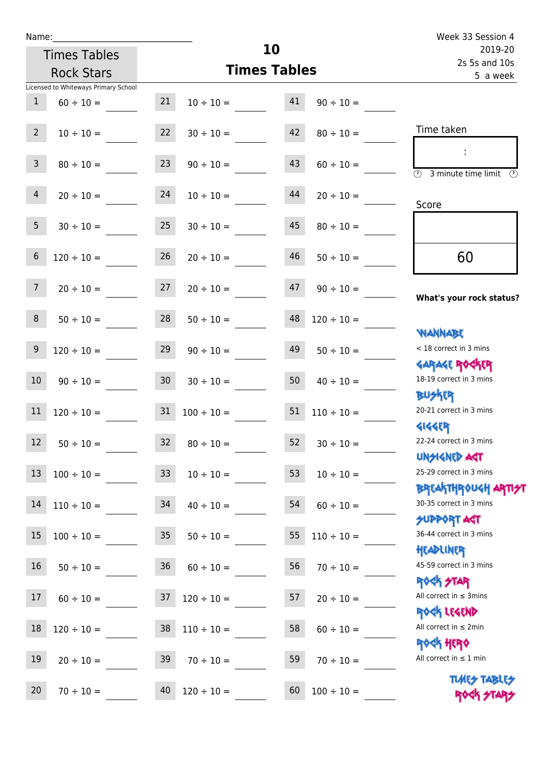П

Γ

| Name:           |                                      |                 |                     |    |                 | Week 33 Session 4                                                |
|-----------------|--------------------------------------|-----------------|---------------------|----|-----------------|------------------------------------------------------------------|
|                 | <b>Times Tables</b>                  |                 |                     | 10 |                 | 2019-20                                                          |
|                 | <b>Rock Stars</b>                    |                 | <b>Times Tables</b> |    |                 | 2s 5s and 10s<br>5 a week                                        |
|                 | Licensed to Whiteways Primary School |                 |                     |    |                 |                                                                  |
| $\mathbf{1}$    | $60 \div 10 =$                       | 21              | $10 \div 10 =$      | 41 | $90 \div 10 =$  |                                                                  |
| $2^{\circ}$     | $10 \div 10 =$                       | 22              | $30 \div 10 =$      | 42 | $80 \div 10 =$  | Time taken                                                       |
| $\mathsf{3}$    | $80 \div 10 =$                       | 23              | $90 \div 10 =$      | 43 | $60 \div 10 =$  | $\overline{\mathcal{O}}$<br>3 minute time limit                  |
| $\overline{4}$  | $20 \div 10 =$                       | 24              | $10 \div 10 =$      | 44 | $20 \div 10 =$  | Score                                                            |
| 5 <sub>1</sub>  | $30 \div 10 =$                       | 25              | $30 \div 10 =$      | 45 | $80 \div 10 =$  |                                                                  |
| 6               | $120 \div 10 =$                      | 26              | $20 \div 10 =$      | 46 | $50 \div 10 =$  | 60                                                               |
| $7\overline{ }$ | $20 \div 10 =$                       | 27              | $20 \div 10 =$      | 47 | $90 \div 10 =$  | What's your rock status?                                         |
| 8               | $50 \div 10 =$                       | 28              | $50 \div 10 =$      | 48 | $120 \div 10 =$ | <b>NANNABE</b>                                                   |
| 9               | $120 \div 10 =$                      | 29              | $90 \div 10 =$      | 49 | $50 \div 10 =$  | < 18 correct in 3 mins                                           |
| 10              | $90 \div 10 =$                       | 30 <sup>°</sup> | $30 \div 10 =$      | 50 | $40 \div 10 =$  | <b>GARAGE ROGKER</b><br>18-19 correct in 3 mins                  |
| 11              | $120 \div 10 =$                      | 31              | $100 \div 10 =$     | 51 | $110 \div 10 =$ | <b>BUSKRR</b><br>20-21 correct in 3 mins                         |
| 12              | $50 \div 10 =$                       | 32              | $80 \div 10 =$      | 52 | $30 \div 10 =$  | <b>4144ER</b><br>22-24 correct in 3 mins                         |
| 13              | $100 \div 10 =$                      | 33 <sup>°</sup> | $10 \div 10 =$      | 53 | $10 \div 10 =$  | <b>UNSIGNED AST</b><br>25-29 correct in 3 mins                   |
| 14              | $110 \div 10 =$                      | 34              | $40 \div 10 =$      | 54 | $60 \div 10 =$  | <b>BREAKTHROUGH ARTI<del>S</del>T</b><br>30-35 correct in 3 mins |
| 15              | $100 \div 10 =$                      | 35 <sub>1</sub> | $50 \div 10 =$      | 55 | $110 \div 10 =$ | <b>SUPPORT AGT</b><br>36-44 correct in 3 mins                    |
| 16              | $50 \div 10 =$                       | 36              | $60 \div 10 =$      | 56 | $70 \div 10 =$  | HEADLINER<br>45-59 correct in 3 mins                             |
| 17              | $60 \div 10 =$                       | 37              | $120 \div 10 =$     | 57 | $20 \div 10 =$  | <b>ROGH STAR</b><br>All correct in $\leq$ 3mins                  |
| 18              | $120 \div 10 =$                      | 38              | $110 \div 10 =$     | 58 | $60 \div 10 =$  | ROCK LEGEND<br>All correct in $\leq 2$ min                       |

19  $20 \div 10 =$  39  $70 \div 10 =$  59  $70 \div 10 =$ 

20  $70 \div 10 =$  40  $120 \div 10 =$  60  $100 \div 10 =$ 

Rock Hero All correct in  $\leq 1$  min

> **TIMES TABLES** ROCK STARS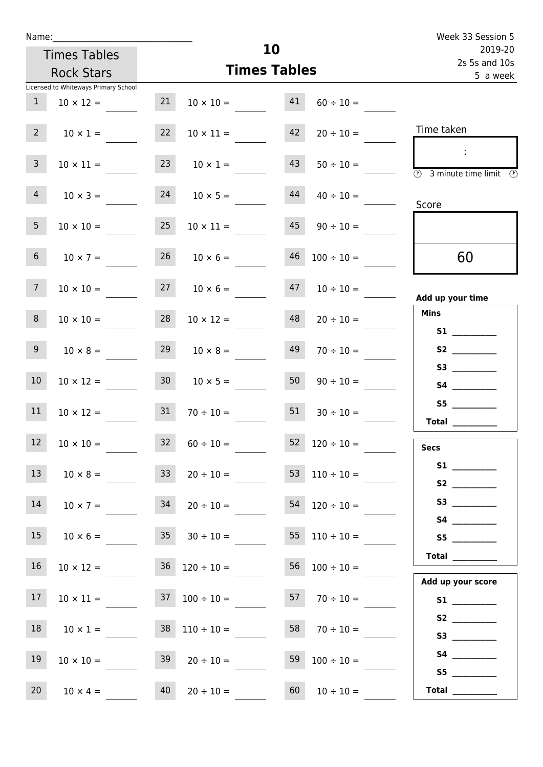|                                                                 |                                       |    | Week 33 Session 5                  |                     |                               |                                                                                                                                                                                                                                                                                                                                                                                                                                                                                                                                                                                                                     |
|-----------------------------------------------------------------|---------------------------------------|----|------------------------------------|---------------------|-------------------------------|---------------------------------------------------------------------------------------------------------------------------------------------------------------------------------------------------------------------------------------------------------------------------------------------------------------------------------------------------------------------------------------------------------------------------------------------------------------------------------------------------------------------------------------------------------------------------------------------------------------------|
|                                                                 | <b>Times Tables</b>                   |    |                                    | 10                  |                               | 2019-20<br>2s 5s and 10s                                                                                                                                                                                                                                                                                                                                                                                                                                                                                                                                                                                            |
|                                                                 | <b>Rock Stars</b>                     |    |                                    | <b>Times Tables</b> |                               | 5 a week                                                                                                                                                                                                                                                                                                                                                                                                                                                                                                                                                                                                            |
|                                                                 | Licensed to Whiteways Primary School  |    |                                    |                     |                               |                                                                                                                                                                                                                                                                                                                                                                                                                                                                                                                                                                                                                     |
| 1                                                               | $10 \times 12 =$                      | 21 |                                    |                     | $10 \times 10 =$ 41 60 ÷ 10 = |                                                                                                                                                                                                                                                                                                                                                                                                                                                                                                                                                                                                                     |
| $2 \quad$                                                       | $10 \times 1 =$                       | 22 | $10 \times 11 =$                   | 42                  | $20 \div 10 =$                | Time taken                                                                                                                                                                                                                                                                                                                                                                                                                                                                                                                                                                                                          |
| $\mathbf{3}$                                                    | $10 \times 11 =$                      |    | 23 $10 \times 1 =$                 | 43                  | $50 \div 10 =$                | $\sim$<br>$\overline{\textcircled{1}}$ 3 minute time limit $\overline{\textcircled{1}}$                                                                                                                                                                                                                                                                                                                                                                                                                                                                                                                             |
| $4\overline{ }$                                                 |                                       |    | $10 \times 3 = 24$ $10 \times 5 =$ | 44                  | $40 \div 10 =$                | Score                                                                                                                                                                                                                                                                                                                                                                                                                                                                                                                                                                                                               |
| 5 <sub>1</sub>                                                  | $10 \times 10 =$                      | 25 | $10 \times 11 =$                   |                     | $45 \t 90 \div 10 =$          |                                                                                                                                                                                                                                                                                                                                                                                                                                                                                                                                                                                                                     |
| 6 <sup>1</sup>                                                  | $10 \times 7 =$                       |    | $26 \t 10 \times 6 =$              | 46                  | $100 \div 10 =$               | 60                                                                                                                                                                                                                                                                                                                                                                                                                                                                                                                                                                                                                  |
| 7 <sup>7</sup>                                                  | $10 \times 10 =$ $27$ $10 \times 6 =$ |    |                                    |                     | $47$ $10 \div 10 =$           | Add up your time                                                                                                                                                                                                                                                                                                                                                                                                                                                                                                                                                                                                    |
| 8                                                               | $10 \times 10 =$                      | 28 | $10 \times 12 =$                   | 48                  | $20 \div 10 =$                | <b>Mins</b>                                                                                                                                                                                                                                                                                                                                                                                                                                                                                                                                                                                                         |
| 9 <sub>o</sub>                                                  | $10 \times 8 =$                       | 29 | $10 \times 8 =$                    | 49                  | $70 \div 10 =$                | S2                                                                                                                                                                                                                                                                                                                                                                                                                                                                                                                                                                                                                  |
| 10 <sup>°</sup>                                                 | $10 \times 12 = 30$ $10 \times 5 =$   |    |                                    | 50                  | $90 \div 10 =$                |                                                                                                                                                                                                                                                                                                                                                                                                                                                                                                                                                                                                                     |
| 11                                                              | $10 \times 12 = 31$                   |    | $70 \div 10 = 51$                  |                     | $30 \div 10 =$                | S5<br>Total                                                                                                                                                                                                                                                                                                                                                                                                                                                                                                                                                                                                         |
| $\mathcal{L}(\mathcal{A})$ and $\mathcal{L}(\mathcal{A})$<br>12 | $10 \times 10 =$                      | 32 | $60 \div 10 =$                     |                     | 52 $120 \div 10 =$            | <b>Secs</b>                                                                                                                                                                                                                                                                                                                                                                                                                                                                                                                                                                                                         |
| 13                                                              | $10 \times 8 =$                       | 33 | $20 \div 10 =$                     |                     | 53 $110 \div 10 =$            |                                                                                                                                                                                                                                                                                                                                                                                                                                                                                                                                                                                                                     |
| 14                                                              | $10 \times 7 =$                       | 34 | $20 \div 10 =$                     |                     | $54$ 120 ÷ 10 =               |                                                                                                                                                                                                                                                                                                                                                                                                                                                                                                                                                                                                                     |
| 15                                                              | $10 \times 6 =$                       |    | $35 \t 30 \div 10 =$               |                     | 55 $110 \div 10 =$            | S5                                                                                                                                                                                                                                                                                                                                                                                                                                                                                                                                                                                                                  |
| 16 <sup>1</sup>                                                 | $10 \times 12 =$                      |    | $36 \quad 120 \div 10 =$           |                     | $56 \quad 100 \div 10 =$      | Total $\frac{1}{2}$<br>Add up your score                                                                                                                                                                                                                                                                                                                                                                                                                                                                                                                                                                            |
| 17                                                              | $10 \times 11 =$                      |    | $37 \quad 100 \div 10 =$           |                     | $57 \t 70 \div 10 =$          |                                                                                                                                                                                                                                                                                                                                                                                                                                                                                                                                                                                                                     |
| 18                                                              | $10 \times 1 =$                       |    | $38 \quad 110 \div 10 =$           | 58                  | $70 \div 10 =$                | S2                                                                                                                                                                                                                                                                                                                                                                                                                                                                                                                                                                                                                  |
| 19                                                              | $10 \times 10 =$                      | 39 | $20 \div 10 =$                     | 59                  | $100 \div 10 =$               | S5                                                                                                                                                                                                                                                                                                                                                                                                                                                                                                                                                                                                                  |
| 20 <sub>2</sub>                                                 | $10 \times 4 =$                       |    | $40 \t 20 \div 10 =$               | 60                  | $10 \div 10 =$                | $\begin{tabular}{c} Total & \underline{\hspace{1cm}} & \underline{\hspace{1cm}} & \underline{\hspace{1cm}} & \underline{\hspace{1cm}} & \underline{\hspace{1cm}} & \underline{\hspace{1cm}} & \underline{\hspace{1cm}} & \underline{\hspace{1cm}} & \underline{\hspace{1cm}} & \underline{\hspace{1cm}} & \underline{\hspace{1cm}} & \underline{\hspace{1cm}} & \underline{\hspace{1cm}} & \underline{\hspace{1cm}} & \underline{\hspace{1cm}} & \underline{\hspace{1cm}} & \underline{\hspace{1cm}} & \underline{\hspace{1cm}} & \underline{\hspace{1cm}} & \underline{\hspace{1cm}} & \underline{\hspace{1cm}} &$ |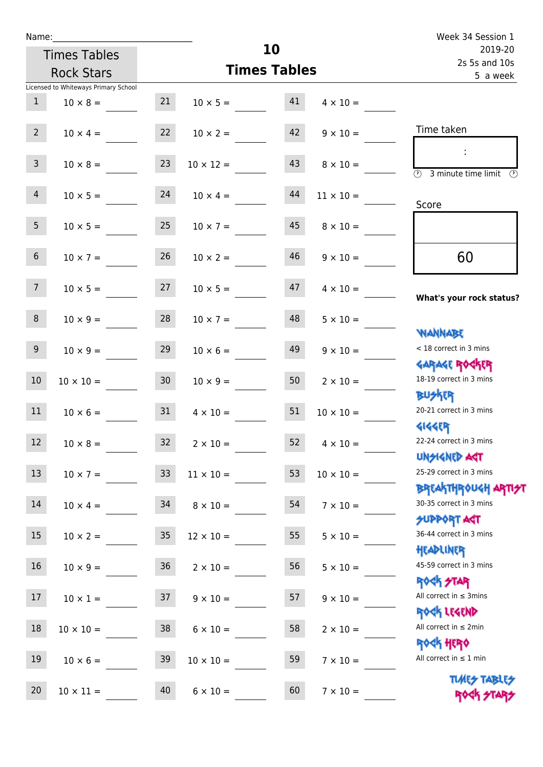| Name:                 |                                      |                 |                    |                     |                  | Week 34 Session 1                                          |  |
|-----------------------|--------------------------------------|-----------------|--------------------|---------------------|------------------|------------------------------------------------------------|--|
|                       | <b>Times Tables</b>                  |                 |                    | 10                  |                  | 2019-20<br>2s 5s and 10s                                   |  |
|                       | <b>Rock Stars</b>                    |                 |                    | <b>Times Tables</b> |                  | 5 a week                                                   |  |
|                       | Licensed to Whiteways Primary School |                 |                    |                     |                  |                                                            |  |
| 1                     | $10 \times 8 =$                      | 21              | $10 \times 5 = 41$ |                     | $4 \times 10 =$  |                                                            |  |
| $2^{\circ}$           | $10 \times 4 =$                      | 22              | $10 \times 2 =$    | 42                  | $9 \times 10 =$  | Time taken                                                 |  |
| 3 <sup>7</sup>        | $10 \times 8 =$                      | 23              | $10 \times 12 =$   | 43                  | $8 \times 10 =$  | $\overline{\bigcirc}$ 3 minute time limit<br>O)            |  |
| 4                     | $10 \times 5 = 24$                   |                 | $10 \times 4 =$    | 44                  | $11 \times 10 =$ | Score                                                      |  |
| 5 <sub>1</sub>        | $10 \times 5 =$                      | 25              | $10 \times 7 =$    | 45                  | $8 \times 10 =$  |                                                            |  |
| 6 <sup>1</sup>        | $10 \times 7 =$                      | 26              | $10 \times 2 =$    | 46                  | $9 \times 10 =$  | 60                                                         |  |
| 7 <sup>7</sup>        | $10 \times 5 = 27$                   |                 | $10 \times 5 =$    | 47                  | $4 \times 10 =$  | What's your rock status?                                   |  |
| 8                     | $10 \times 9 =$                      | 28              | $10 \times 7 =$    | 48                  | $5 \times 10 =$  | <b>NANNABE</b>                                             |  |
| 9 <sub>o</sub>        | $10 \times 9 =$                      | 29              | $10 \times 6 =$    | 49                  | $9 \times 10 =$  | < 18 correct in 3 mins<br><b>GARAGE ROGKER</b>             |  |
| 10 <sup>°</sup>       | $10 \times 10 =$                     | 30              | $10 \times 9 =$    | 50                  | $2 \times 10 =$  | 18-19 correct in 3 mins<br><b>BU外四</b>                     |  |
| 11                    | $10 \times 6 = 31$                   |                 | $4 \times 10 =$    | 51                  | $10 \times 10 =$ | 20-21 correct in 3 mins<br><b>4144EP</b>                   |  |
| <b>Contract</b><br>12 | $10 \times 8 =$                      | 32              | $2 \times 10 =$    | 52                  | $4 \times 10 =$  | 22-24 correct in 3 mins<br><b>UNSIGNED AGT</b>             |  |
| 13                    | $10 \times 7 =$                      | 33 <sup>°</sup> | $11 \times 10 =$   | 53                  | $10 \times 10 =$ | 25-29 correct in 3 mins<br>ΒΡΓΑΚΤΗΡΟUGH ΑΡΠ <del>2</del> 1 |  |
| 14                    | $10 \times 4 =$                      | 34              | $8 \times 10 =$    | 54                  | $7 \times 10 =$  | 30-35 correct in 3 mins<br><b>SUPPORT AGT</b>              |  |
| 15                    | $10 \times 2 =$                      | 35              | $12 \times 10 =$   | 55                  | $5 \times 10 =$  | 36-44 correct in 3 mins<br>HEADLINER                       |  |
| 16                    | $10 \times 9 =$                      | $36\phantom{a}$ | $2 \times 10 =$    | 56                  | $5 \times 10 =$  | 45-59 correct in 3 mins<br><b>ROCK STAR</b>                |  |
| 17                    | $10 \times 1 =$                      | 37              | $9 \times 10 =$    | 57                  | $9 \times 10 =$  | All correct in $\leq$ 3mins<br>ROCK LEGEND                 |  |
| $18\,$                | $10 \times 10 =$                     | 38              | $6 \times 10 =$    | 58                  | $2 \times 10 =$  | All correct in $\leq 2$ min<br><b>ROCK HERO</b>            |  |
| 19                    | $10 \times 6 =$                      | 39              | $10 \times 10 =$   | 59                  | $7 \times 10 =$  | All correct in $\leq 1$ min                                |  |
| 20                    | $10 \times 11 =$                     | 40              | $6 \times 10 =$    | 60                  | $7 \times 10 =$  | <b>TUARS TABLES</b><br>ROCK STARS                          |  |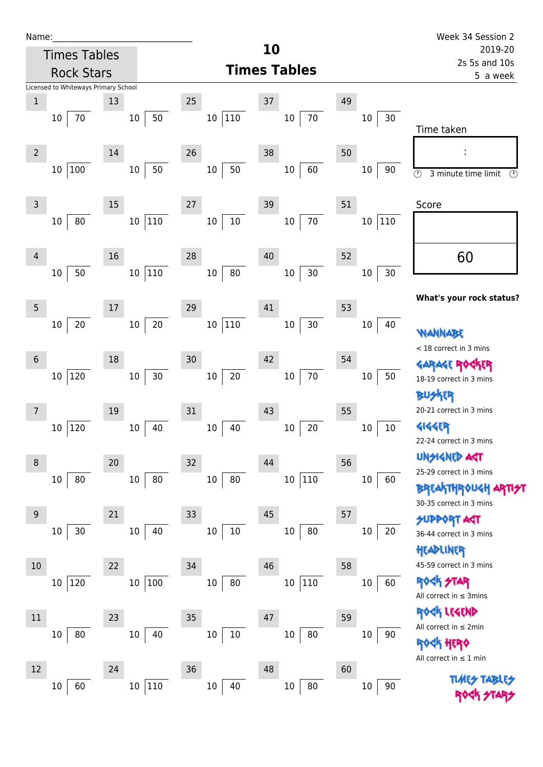| Name:_         |                                      |    |                  |    |                         |    |                     |    |               | Week 34 Session 2                              |
|----------------|--------------------------------------|----|------------------|----|-------------------------|----|---------------------|----|---------------|------------------------------------------------|
|                | <b>Times Tables</b>                  |    |                  |    |                         | 10 |                     |    |               | 2019-20                                        |
|                | <b>Rock Stars</b>                    |    |                  |    |                         |    | <b>Times Tables</b> |    |               | 2s 5s and 10s                                  |
|                | Licensed to Whiteways Primary School |    |                  |    |                         |    |                     |    |               | 5 a week                                       |
| $\mathbf{1}$   |                                      | 13 |                  | 25 |                         | 37 |                     | 49 |               |                                                |
|                | 70<br>10                             |    | 50<br>$10\,$     |    | $ 110\rangle$<br>10     |    | 10<br>70            |    | $30\,$<br>10  |                                                |
|                |                                      |    |                  |    |                         |    |                     |    |               | Time taken                                     |
|                |                                      |    |                  |    |                         |    |                     |    |               |                                                |
| $\overline{2}$ |                                      | 14 |                  | 26 |                         | 38 |                     | 50 |               | ÷                                              |
|                | 100<br>10                            |    | 50<br>$10\,$     |    | 50<br>$10\,$            |    | 60<br>$10\,$        |    | 90<br>10      | $\circledcirc$<br>3 minute time limit<br>P)    |
|                |                                      |    |                  |    |                         |    |                     |    |               |                                                |
| 3              |                                      | 15 |                  | 27 |                         | 39 |                     | 51 |               | Score                                          |
|                | 80<br>10                             |    | 110<br>10        |    | $10\,$<br>$10\,$        |    | $70\,$<br>$10\,$    |    | 110<br>$10\,$ |                                                |
|                |                                      |    |                  |    |                         |    |                     |    |               |                                                |
| 4              |                                      | 16 |                  | 28 |                         | 40 |                     | 52 |               | 60                                             |
|                | 50<br>$10\,$                         |    | 110<br>$10\,$    |    | 80<br>$10\,$            |    | $30$<br>$10\,$      |    | 30<br>$10\,$  |                                                |
|                |                                      |    |                  |    |                         |    |                     |    |               |                                                |
| 5              |                                      | 17 |                  | 29 |                         | 41 |                     | 53 |               | What's your rock status?                       |
|                | $20\,$<br>10                         |    | $20\,$<br>$10\,$ |    | $ 110\rangle$<br>$10\,$ |    | $30\,$<br>$10\,$    |    | 40<br>10      |                                                |
|                |                                      |    |                  |    |                         |    |                     |    |               | WANNABE                                        |
| 6              |                                      | 18 |                  | 30 |                         | 42 |                     | 54 |               | < 18 correct in 3 mins                         |
|                |                                      |    |                  |    |                         |    |                     |    |               | GARAGE ROCKER                                  |
|                | 120<br>10 <sub>1</sub>               |    | 30<br>$10\,$     |    | $20\,$<br>$10\,$        |    | $70\,$<br>$10\,$    |    | 50<br>10      | 18-19 correct in 3 mins                        |
|                |                                      |    |                  |    |                         |    |                     |    |               | <b>ICR</b>                                     |
| $\overline{7}$ |                                      | 19 |                  | 31 |                         | 43 |                     | 55 |               | 20-21 correct in 3 mins                        |
|                | 120<br>10                            |    | 40<br>10         |    | 40<br>$10\,$            |    | $20\,$<br>$10\,$    |    | $10\,$<br>10  | <b>4144EP</b>                                  |
|                |                                      |    |                  |    |                         |    |                     |    |               | 22-24 correct in 3 mins                        |
| 8              |                                      | 20 |                  | 32 |                         | 44 |                     | 56 |               | <b>UNSIGNED AGT</b><br>25-29 correct in 3 mins |
|                | 80<br>10                             |    | 80<br>10         |    | 80<br>10                |    | 10 110              |    | 60<br>$10\,$  | <b>BREAKTHROUGH ARTIST</b>                     |
|                |                                      |    |                  |    |                         |    |                     |    |               | 30-35 correct in 3 mins                        |
| $9\,$          |                                      | 21 |                  | 33 |                         | 45 |                     | 57 |               | <b>SUPPORT AST</b>                             |
|                | 30<br>10                             |    | $10\,$<br>40     |    | $10\,$<br>$10\,$        |    | 80<br>$10\,$        |    | 20<br>10      | 36-44 correct in 3 mins                        |
|                |                                      |    |                  |    |                         |    |                     |    |               | HEADLINER                                      |
| 10             |                                      | 22 |                  | 34 |                         | 46 |                     | 58 |               | 45-59 correct in 3 mins                        |
|                | 120<br>10 <sup>1</sup>               |    | 100<br>10        |    | $80\,$<br>$10\,$        |    | 10 110              |    | 60<br>$10\,$  | <b>ROCK STAR</b>                               |
|                |                                      |    |                  |    |                         |    |                     |    |               | All correct in $\leq$ 3mins                    |
| 11             |                                      | 23 |                  | 35 |                         | 47 |                     | 59 |               | ROCK LEGEND                                    |
|                |                                      |    |                  |    |                         |    |                     |    |               | All correct in $\leq 2$ min                    |
|                | 80<br>10                             |    | $10\,$<br>40     |    | $10\,$<br>$10\,$        |    | $10\,$<br>80        |    | $10\,$<br>90  | <b><h b="" her0<=""></h></b>                   |
|                |                                      |    |                  |    |                         |    |                     |    |               | All correct in $\leq 1$ min                    |
| 12             |                                      | 24 |                  | 36 |                         | 48 |                     | 60 |               |                                                |
|                | 60<br>10                             |    | 110<br>10        |    | 40<br>$10\,$            |    | 80<br>10            |    | $90\,$<br>10  |                                                |
|                |                                      |    |                  |    |                         |    |                     |    |               |                                                |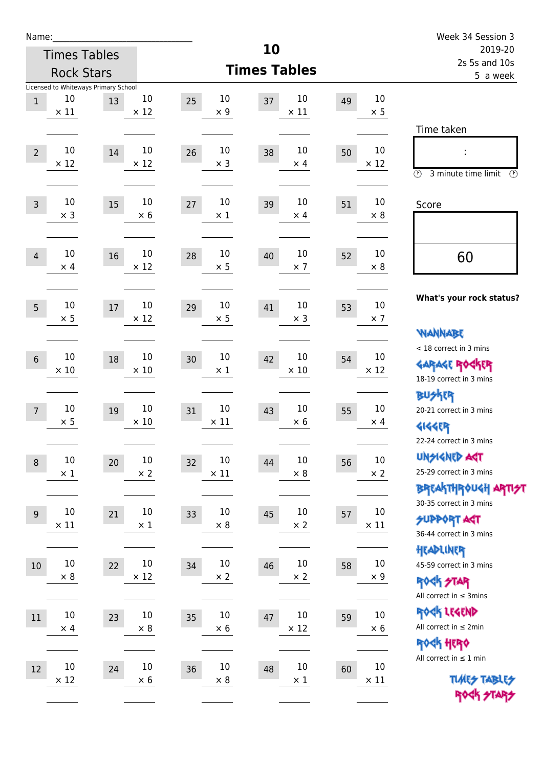| Name:          |                                                           |    |                       |    |                             |                       |    |                       | Week 34 Session 3                                                                               |
|----------------|-----------------------------------------------------------|----|-----------------------|----|-----------------------------|-----------------------|----|-----------------------|-------------------------------------------------------------------------------------------------|
|                | <b>Times Tables</b>                                       |    |                       |    | 10                          |                       |    |                       | 2019-20                                                                                         |
|                | <b>Rock Stars</b>                                         |    |                       |    | <b>Times Tables</b>         |                       |    |                       | 2s 5s and 10s<br>5 a week                                                                       |
| $\mathbf{1}$   | Licensed to Whiteways Primary School<br>10<br>$\times$ 11 | 13 | 10<br>$\times$ 12     | 25 | 10<br>37<br>$\times$ 9      | 10<br>$\times$ 11     | 49 | 10<br>$\times$ 5      |                                                                                                 |
| $\overline{2}$ | 10<br>$\times$ 12                                         | 14 | 10<br>$\times$ 12     | 26 | 10<br>38<br>$\times$ 3      | 10<br>$\times$ 4      | 50 | 10<br>$\times$ 12     | Time taken<br>t,<br>3 minute time limit<br>$\circled{r}$<br>$\mathcal{O}$                       |
| $\overline{3}$ | 10<br>$\times$ 3                                          | 15 | 10<br>$\times 6$      | 27 | 10<br>39<br>$\times$ 1      | 10<br>$\times$ 4      | 51 | 10<br>$\times 8$      | Score                                                                                           |
| $\overline{4}$ | 10<br>$\times$ 4                                          | 16 | 10<br>$\times$ 12     | 28 | 10<br>40<br>$\times$ 5      | $10\,$<br>$\times$ 7  | 52 | 10<br>$\times 8$      | 60                                                                                              |
| 5              | 10<br>$\times$ 5                                          | 17 | 10<br>$\times$ 12     | 29 | 10<br>41<br>$\times$ 5      | 10<br>$\times$ 3      | 53 | 10<br>$\times$ 7      | What's your rock status?<br><b>NANNABE</b>                                                      |
| $6\phantom{1}$ | 10<br>$\times$ 10                                         | 18 | 10<br>$\times$ 10     | 30 | 10<br>42<br>$\times$ 1      | 10<br>$\times$ 10     | 54 | 10<br>$\times$ 12     | < 18 correct in 3 mins<br><b>GARAGE ROGKER</b><br>18-19 correct in 3 mins                       |
| $\overline{7}$ | 10<br>$\times$ 5                                          | 19 | 10<br>$\times$ 10     | 31 | 10<br>43<br>$\times$ 11     | 10<br>$\times 6$      | 55 | 10<br>$\times$ 4      | <b>BUSKER</b><br>20-21 correct in 3 mins<br><b>4144EP</b><br>22-24 correct in 3 mins            |
| $\,8\,$        | $10\,$<br>$\times$ 1                                      | 20 | $10\,$<br>$\times$ 2  | 32 | $10\,$<br>44<br>$\times$ 11 | $10\,$<br>$\times$ 8  | 56 | $10\,$<br>$\times 2$  | <b>UNSIGNED AGT</b><br>25-29 correct in 3 mins<br>ΒΡΓΑ <sup>Κ</sup> ΤΗΡΟυΚΗ ΑΡΤΙ <del>2</del> Τ |
| $9\,$          | $10\,$<br>$\times$ 11                                     | 21 | $10\,$<br>$\times$ 1  | 33 | 10<br>45<br>$\times$ 8      | $10\,$<br>$\times$ 2  | 57 | $10\,$<br>$\times$ 11 | 30-35 correct in 3 mins<br><b>SUPPORT AST</b><br>36-44 correct in 3 mins                        |
| 10             | $10\,$<br>$\times$ 8                                      | 22 | $10\,$<br>$\times$ 12 | 34 | $10\,$<br>46<br>$\times$ 2  | $10\,$<br>$\times$ 2  | 58 | $10\,$<br>$\times$ 9  | HEADLINER<br>45-59 correct in 3 mins<br><b>ROCK STAR</b><br>All correct in $\leq$ 3mins         |
| 11             | $10\,$<br>$\times$ 4                                      | 23 | $10\,$<br>$\times$ 8  | 35 | 10<br>47<br>$\times$ 6      | $10\,$<br>$\times$ 12 | 59 | 10<br>$\times$ 6      | ROCK LEGEND<br>All correct in $\leq 2$ min<br><b>ROCK HERO</b>                                  |
| 12             | $10\,$<br>$\times$ 12                                     | 24 | $10\,$<br>$\times$ 6  | 36 | $10\,$<br>48<br>$\times 8$  | $10\,$<br>$\times$ 1  | 60 | $10\,$<br>$\times$ 11 | All correct in $\leq 1$ min<br><b>TUARS TABLES</b><br>ROCK STARS                                |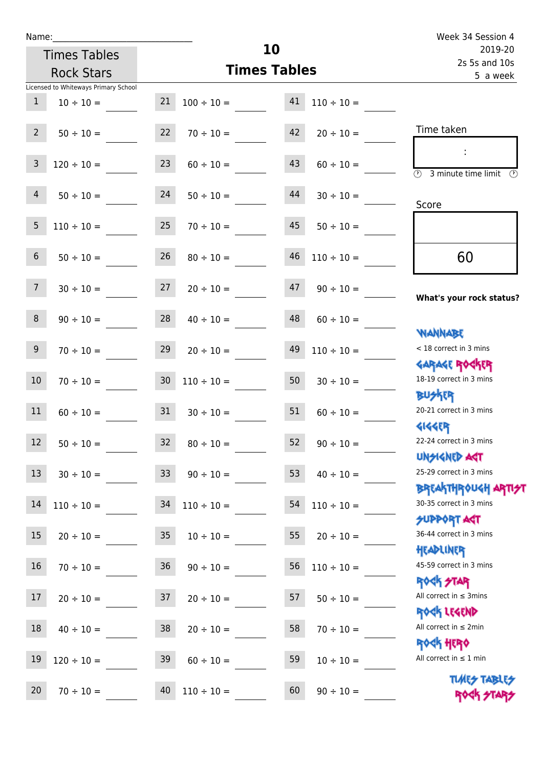| Name:           |                                      |                 |                      |    |                 | Week 34 Session 4                                                |
|-----------------|--------------------------------------|-----------------|----------------------|----|-----------------|------------------------------------------------------------------|
|                 | <b>Times Tables</b>                  |                 |                      | 10 |                 | 2019-20<br>2s 5s and 10s                                         |
|                 | <b>Rock Stars</b>                    |                 | <b>Times Tables</b>  |    | 5 a week        |                                                                  |
|                 | Licensed to Whiteways Primary School |                 |                      |    |                 |                                                                  |
| $\mathbf{1}$    | $10 \div 10 =$                       | 21              | $100 \div 10 = 41$   |    | $110 \div 10 =$ |                                                                  |
| $2^{\circ}$     | $50 \div 10 =$                       | 22              | $70 \div 10 =$       | 42 | $20 \div 10 =$  | Time taken                                                       |
| $\mathbf{3}$    | $120 \div 10 =$                      | 23              | $60 \div 10 =$       | 43 | $60 \div 10 =$  | $\overline{\textcircled{2}}$ 3 minute time limit<br>O)           |
| $\overline{4}$  | $50 \div 10 =$                       | 24              | $50 \div 10 =$       | 44 | $30 \div 10 =$  | Score                                                            |
| 5               | $110 \div 10 =$                      | 25              | $70 \div 10 =$       | 45 | $50 \div 10 =$  |                                                                  |
| 6               | $50 \div 10 =$                       | 26              | $80 \div 10 =$       | 46 | $110 \div 10 =$ | 60                                                               |
| $7\overline{ }$ | $30 \div 10 =$                       | 27              | $20 \div 10 =$       | 47 | $90 \div 10 =$  | What's your rock status?                                         |
| 8               | $90 \div 10 =$                       |                 | $28 \t 40 \div 10 =$ | 48 | $60 \div 10 =$  | <b>NANNABE</b>                                                   |
| 9 <sub>o</sub>  | $70 \div 10 =$                       | 29              | $20 \div 10 =$       | 49 | $110 \div 10 =$ | < 18 correct in 3 mins                                           |
| 10 <sup>°</sup> | $70 \div 10 =$                       | 30 <sub>o</sub> | $110 \div 10 =$      | 50 | $30 \div 10 =$  | <b>GARAGE ROGKER</b><br>18-19 correct in 3 mins<br><b>BUSKER</b> |
| 11              | $60 \div 10 =$                       | 31              | $30 \div 10 =$       | 51 | $60 \div 10 =$  | 20-21 correct in 3 mins<br>41445                                 |
| 12              | $50 \div 10 =$                       | 32              | $80 \div 10 =$       | 52 | $90 \div 10 =$  | 22-24 correct in 3 mins<br><b>UNSIGNED AGT</b>                   |
| 13              | $30 \div 10 =$                       | 33 <sup>°</sup> | $90 \div 10 =$       | 53 | $40 \div 10 =$  | 25-29 correct in 3 mins                                          |
| 14              | $110 \div 10 =$                      | 34              | $110 \div 10 =$      | 54 | $110 \div 10 =$ | ΒΡΓΑΚΤΗΡΟUGH ΑΡΤΙ <del>2</del> Τ<br>30-35 correct in 3 mins      |
| 15              | $20 \div 10 =$                       | 35 <sub>o</sub> | $10 \div 10 =$       | 55 | $20 \div 10 =$  | <b>SUPPORT AGT</b><br>36-44 correct in 3 mins                    |
| 16              | $70 \div 10 =$                       | 36              | $90 \div 10 =$       | 56 | $110 \div 10 =$ | HEADLINER<br>45-59 correct in 3 mins                             |
| 17              | $20 \div 10 =$                       | 37              | $20 \div 10 =$       | 57 | $50 \div 10 =$  | <b>ROCK STAR</b><br>All correct in $\leq$ 3mins                  |
| 18              | $40 \div 10 =$                       | 38              | $20 \div 10 =$       | 58 | $70 \div 10 =$  | ROCK LEGEND<br>All correct in $\leq 2$ min                       |
| 19              | $120 \div 10 =$                      | 39              | $60 \div 10 =$       | 59 | $10 \div 10 =$  | <b>ROCK HERO</b><br>All correct in $\leq 1$ min                  |
| 20              | $70 \div 10 =$                       | 40              | $110 \div 10 =$      | 60 | $90 \div 10 =$  | <b>TUARS TABLES</b><br>ROCK STARS                                |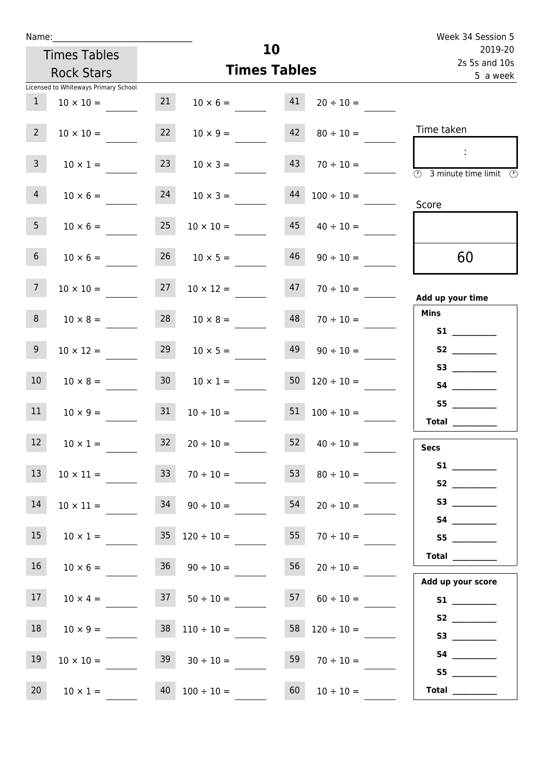| Name:           |                                                          |    |                          |                          | Week 34 Session 5                                                  |
|-----------------|----------------------------------------------------------|----|--------------------------|--------------------------|--------------------------------------------------------------------|
|                 | <b>Times Tables</b>                                      |    |                          | 10                       | 2019-20<br>2s 5s and 10s                                           |
|                 | <b>Rock Stars</b>                                        |    |                          | <b>Times Tables</b>      | 5 a week                                                           |
| $\mathbf{1}$    | Licensed to Whiteways Primary School<br>$10 \times 10 =$ | 21 | $10 \times 6 = 41$       | $20 \div 10 =$           |                                                                    |
| $2^{\circ}$     | $10 \times 10 =$                                         | 22 | $10 \times 9 =$          | 42<br>$80 \div 10 =$     | Time taken                                                         |
| 3 <sup>7</sup>  | $10 \times 1 =$                                          | 23 | $10 \times 3 =$          | 43<br>$70 \div 10 =$     | $\sim 10$<br>$\overline{\textcircled{3}}$ 3 minute time limit<br>⊕ |
| 4               | $10 \times 6 =$                                          | 24 | $10 \times 3 =$          | 44<br>$100 \div 10 =$    | Score                                                              |
| 5 <sub>1</sub>  | $10 \times 6 =$                                          | 25 | $10 \times 10 =$         | 45<br>$40 \div 10 =$     |                                                                    |
| 6 <sup>1</sup>  | $10 \times 6 =$                                          | 26 | $10 \times 5 =$          | 46<br>$90 \div 10 =$     | 60                                                                 |
| 7 <sup>7</sup>  | $10 \times 10 =$                                         | 27 | $10 \times 12 =$         | 47<br>$70 \div 10 =$     | Add up your time                                                   |
| 8               | $10 \times 8 =$                                          |    | $28$ $10 \times 8 =$     | 48<br>$70 \div 10 =$     | <b>Mins</b><br><b>S1</b>                                           |
| 9 <sub>o</sub>  | $10 \times 12 =$                                         | 29 | $10 \times 5 =$          | 49<br>$90 \div 10 =$     | S2                                                                 |
| 10 <sup>1</sup> | $10 \times 8 =$                                          | 30 | $10 \times 1 =$          | 50<br>$120 \div 10 =$    |                                                                    |
| 11              | $10 \times 9 =$                                          | 31 | $10 \div 10 =$           | 51<br>$100 \div 10 =$    | S5<br>Total $\_\_$                                                 |
| 12              | $10 \times 1 =$                                          | 32 | $20 \div 10 =$           | 52<br>$40 \div 10 =$     | <b>Secs</b>                                                        |
| 13              | $10 \times 11 =$                                         | 33 | $70 \div 10 =$           | 53<br>$80 \div 10 =$     |                                                                    |
| 14              | $10 \times 11 =$                                         |    | $34$ $90 \div 10 =$      | 54<br>$20 \div 10 =$     |                                                                    |
| 15              | $10 \times 1 =$                                          |    | $35 \quad 120 \div 10 =$ | 55<br>$70 \div 10 =$     |                                                                    |
| 16              | $10 \times 6 =$                                          |    | $36 \t 90 \div 10 =$     | 56<br>$20 \div 10 =$     | Total $\_\_$<br>Add up your score                                  |
| 17              | $10 \times 4 =$                                          |    | $37 \t 50 \div 10 =$     | 57<br>$60 \div 10 =$     |                                                                    |
| 18              | $10 \times 9 =$                                          |    | $38 \quad 110 \div 10 =$ | $58 \quad 120 \div 10 =$ |                                                                    |
| 19              | $10 \times 10 =$                                         |    | $39 \t30 \div 10 =$      | 59<br>$70 \div 10 =$     | S5                                                                 |

20 10 × 1 = 40 100 ÷ 10 = 60 10 ÷ 10 = **Total** \_\_\_\_\_\_\_\_\_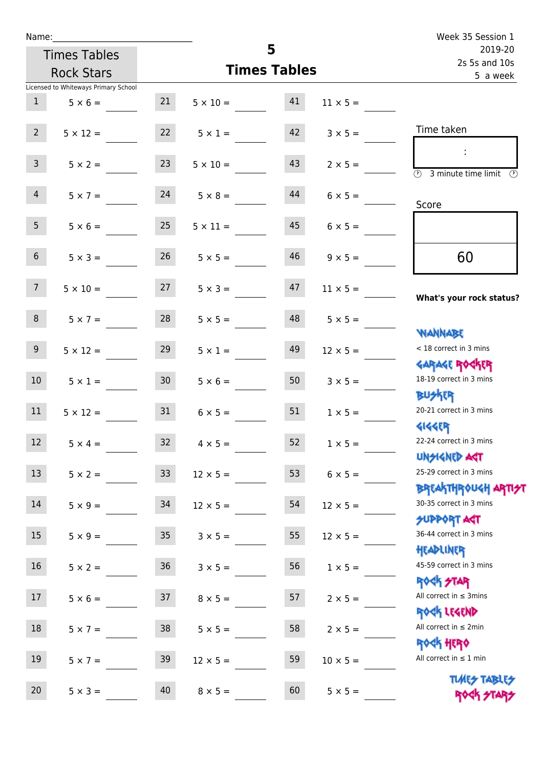| Name:            |                                      |                 |                       |                     |                 | Week 35 Session 1                                                |
|------------------|--------------------------------------|-----------------|-----------------------|---------------------|-----------------|------------------------------------------------------------------|
|                  | <b>Times Tables</b>                  |                 |                       | 5                   |                 | 2019-20<br>2s 5s and 10s                                         |
|                  | <b>Rock Stars</b>                    |                 |                       | <b>Times Tables</b> |                 | 5 a week                                                         |
|                  | Licensed to Whiteways Primary School |                 |                       |                     |                 |                                                                  |
| $\mathbf{1}$     | $5 \times 6 =$                       |                 | $21 \t 5 \times 10 =$ | 41                  | $11 \times 5 =$ |                                                                  |
| $2^{\circ}$      | $5 \times 12 =$                      | 22              | $5 \times 1 =$        | 42                  | $3 \times 5 =$  | Time taken                                                       |
| 3 <sup>7</sup>   | $5 \times 2 =$                       | 23              | $5 \times 10 =$       | 43                  | $2 \times 5 =$  | $\overline{(\mathcal{V})}$<br>3 minute time limit<br>(V)         |
| 4                | $5 \times 7 = 24$                    |                 | $5 \times 8 =$        | 44                  | $6 \times 5 =$  | Score                                                            |
| 5 <sub>1</sub>   | $5 \times 6 =$                       | 25              | $5 \times 11 =$       | 45                  | $6 \times 5 =$  |                                                                  |
| 6 <sup>1</sup>   | $5 \times 3 =$                       | 26              | $5 \times 5 =$        | 46                  | $9 \times 5 =$  | 60                                                               |
| 7 <sup>7</sup>   | $5 \times 10 =$                      | 27              | $5 \times 3 =$        | 47                  | $11 \times 5 =$ | What's your rock status?                                         |
| 8                | $5 \times 7 =$                       | 28              | $5 \times 5 =$        | 48                  | $5 \times 5 =$  | <b>NANNABE</b>                                                   |
| 9 <sub>o</sub>   | $5 \times 12 =$                      | 29              | $5 \times 1 =$        | 49                  | $12 \times 5 =$ | < 18 correct in 3 mins                                           |
| 10 <sup>°</sup>  | $5 \times 1 =$                       | 30 <sup>°</sup> | $5 \times 6 =$        | 50                  | $3 \times 5 =$  | <b>GARAGE ROCKER</b><br>18-19 correct in 3 mins<br><b>BU外四</b>   |
| 11               | $5 \times 12 =$                      | 31              | $6 \times 5 =$        | 51                  | $1 \times 5 =$  | 20-21 correct in 3 mins<br><b>4144ER</b>                         |
| 12               | $5 \times 4 =$                       | 32              | $4 \times 5 =$        | 52                  | $1 \times 5 =$  | 22-24 correct in 3 mins<br><b>UNSIGNED AGT</b>                   |
| 13               | $5 \times 2 =$                       | 33              | $12 \times 5 =$       | 53                  | $6 \times 5 =$  | 25-29 correct in 3 mins<br><b>BREAKTHROUGH ARTI<del>S</del>T</b> |
| 14               | $5 \times 9 =$                       | 34              | $12 \times 5 =$       | 54                  | $12 \times 5 =$ | 30-35 correct in 3 mins<br><b>SUPPORT AGT</b>                    |
| 15 <sub>15</sub> | $5 \times 9 =$                       | $35\,$          | $3 \times 5 =$        | 55                  | $12 \times 5 =$ | 36-44 correct in 3 mins<br>HEADLINER                             |
| 16               | $5 \times 2 =$                       | $36\,$          | $3 \times 5 =$        | 56                  | $1 \times 5 =$  | 45-59 correct in 3 mins<br>ROCK STAR                             |
| 17               | $5 \times 6 =$                       | 37              | $8 \times 5 =$        | 57                  | $2 \times 5 =$  | All correct in $\leq$ 3mins<br>ROCK LEGEND                       |
| 18               | $5 \times 7 =$                       | 38              | $5 \times 5 =$        | 58                  | $2 \times 5 =$  | All correct in $\leq 2$ min<br>ROCK HERO                         |
| 19               | $5 \times 7 =$                       | 39              | $12 \times 5 =$       | 59                  | $10 \times 5 =$ | All correct in $\leq 1$ min                                      |
| 20               | $5 \times 3 =$                       | 40              | $8 \times 5 =$        | 60                  | $5 \times 5 =$  | <b>TUARS TABLES</b><br>ROCK STARS                                |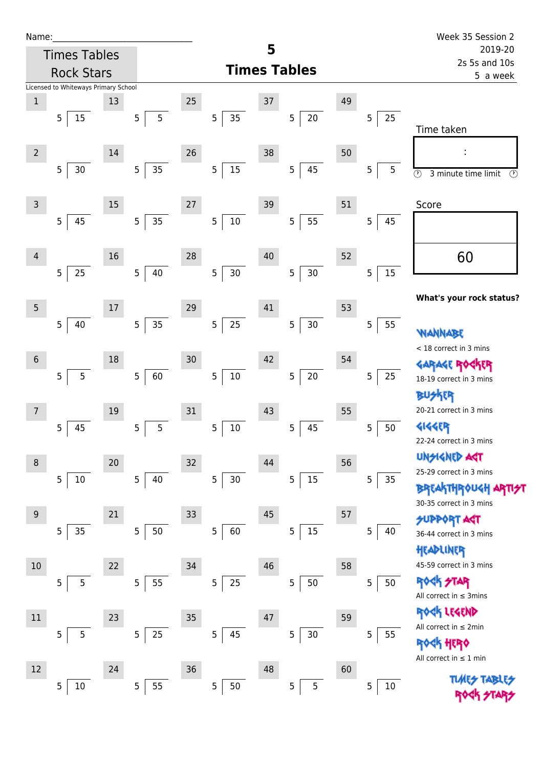| Name |  |  |  |
|------|--|--|--|
|      |  |  |  |

| Name:          |                |                                      |    |                |                |        |   |                 |                     |   |                |    |   |        | Week 35 Session 2                                                     |
|----------------|----------------|--------------------------------------|----|----------------|----------------|--------|---|-----------------|---------------------|---|----------------|----|---|--------|-----------------------------------------------------------------------|
|                |                | <b>Times Tables</b>                  |    |                |                |        |   |                 | 5                   |   |                |    |   |        | 2019-20<br>2s 5s and 10s                                              |
|                |                | <b>Rock Stars</b>                    |    |                |                |        |   |                 | <b>Times Tables</b> |   |                |    |   |        | 5 a week                                                              |
|                |                | Licensed to Whiteways Primary School |    |                |                |        |   |                 |                     |   |                |    |   |        |                                                                       |
| $\,1$          |                |                                      | 13 |                |                | 25     |   |                 | 37                  |   |                | 49 |   |        |                                                                       |
|                | 5              | 15                                   |    | $\overline{5}$ | $\overline{5}$ |        | 5 | 35              |                     | 5 | $20\,$         |    | 5 | 25     | Time taken                                                            |
|                |                |                                      |    |                |                |        |   |                 |                     |   |                |    |   |        |                                                                       |
| $\overline{2}$ |                |                                      | 14 |                |                | 26     |   |                 | 38                  |   |                | 50 |   |        | ÷                                                                     |
|                | $\overline{5}$ | 30                                   |    | $\sqrt{5}$     | 35             |        | 5 | $15\,$          |                     | 5 | 45             |    | 5 | 5      | $\overline{\circlearrowright}$<br>3 minute time limit<br>$\odot$      |
|                |                |                                      |    |                |                |        |   |                 |                     |   |                |    |   |        |                                                                       |
| 3              |                |                                      | 15 |                |                | 27     |   |                 | 39                  |   |                | 51 |   |        | Score                                                                 |
|                | 5              | 45                                   |    | $\overline{5}$ | 35             |        | 5 | $10\,$          |                     | 5 | 55             |    | 5 | 45     |                                                                       |
|                |                |                                      |    |                |                |        |   |                 |                     |   |                |    |   |        |                                                                       |
| $\overline{4}$ |                |                                      | 16 |                |                | 28     |   |                 | 40                  |   |                | 52 |   |        | 60                                                                    |
|                | 5              | 25                                   |    | 5              | 40             |        | 5 | 30 <sub>o</sub> |                     | 5 | $30\,$         |    | 5 | 15     |                                                                       |
|                |                |                                      |    |                |                |        |   |                 |                     |   |                |    |   |        | What's your rock status?                                              |
| 5              |                |                                      | 17 |                |                | 29     |   |                 | 41                  |   |                | 53 |   |        |                                                                       |
|                | 5              | 40                                   |    | $\overline{5}$ | 35             |        | 5 | 25              |                     | 5 | $30\,$         |    | 5 | 55     | WANNABE                                                               |
|                |                |                                      |    |                |                |        |   |                 |                     |   |                |    |   |        | < 18 correct in 3 mins                                                |
| $\sqrt{6}$     |                |                                      | 18 |                |                | 30     |   |                 | 42                  |   |                | 54 |   |        | <b>GARAGE ROC</b>                                                     |
|                | 5              | 5                                    |    | $\mathsf S$    | 60             |        | 5 | $10\,$          |                     | 5 | $20\,$         |    | 5 | 25     | 18-19 correct in 3 mins                                               |
|                |                |                                      |    |                |                |        |   |                 |                     |   |                |    |   |        | <b>FR</b>                                                             |
| 7              |                |                                      | 19 |                |                | 31     |   |                 | 43                  |   |                | 55 |   |        | 20-21 correct in 3 mins                                               |
|                | 5              | 45                                   |    | $\overline{5}$ | 5              |        | 5 | $10\,$          |                     | 5 | 45             |    | 5 | 50     | 4144EP                                                                |
|                |                |                                      |    |                |                |        |   |                 |                     |   |                |    |   |        | 22-24 correct in 3 mins                                               |
| 8              |                |                                      | 20 |                |                | $32\,$ |   |                 | 44                  |   |                | 56 |   |        | <b>UNSIGNED ART</b><br>25-29 correct in 3 mins                        |
|                | 5              | $10\,$                               |    | 5              | 40             |        | 5 | $30\,$          |                     | 5 | $15\,$         |    | 5 | 35     |                                                                       |
|                |                |                                      |    |                |                |        |   |                 |                     |   |                |    |   |        | BREAKTHROUGH<br>30-35 correct in 3 mins                               |
| 9              |                |                                      | 21 |                |                | 33     |   |                 | 45                  |   |                | 57 |   |        | <b>SUPPORT AGT</b>                                                    |
|                | 5              | 35                                   |    | $\overline{5}$ | 50             |        | 5 | 60              |                     | 5 | 15             |    | 5 | 40     | 36-44 correct in 3 mins                                               |
|                |                |                                      |    |                |                |        |   |                 |                     |   |                |    |   |        | HEADLINER                                                             |
| 10             |                |                                      | 22 |                |                | 34     |   |                 | 46                  |   |                | 58 |   |        | 45-59 correct in 3 mins                                               |
|                | 5              | 5                                    |    | $\overline{5}$ | 55             |        | 5 | 25              |                     | 5 | $50\,$         |    | 5 | 50     | <b>ROCK STAR</b>                                                      |
|                |                |                                      |    |                |                |        |   |                 |                     |   |                |    |   |        | All correct in $\leq$ 3mins                                           |
| 11             |                |                                      | 23 |                |                | 35     |   |                 | 47                  |   |                | 59 |   |        | ROCK LEGEND                                                           |
|                | 5              | 5                                    |    | $\sqrt{5}$     | $25\,$         |        | 5 | 45              |                     | 5 | $30\,$         |    | 5 | 55     | All correct in $\leq 2$ min                                           |
|                |                |                                      |    |                |                |        |   |                 |                     |   |                |    |   |        | $\frac{d\mathbf{k}}{d\mathbf{k}}$ HEPO<br>All correct in $\leq 1$ min |
| 12             |                |                                      | 24 |                |                | 36     |   |                 | 48                  |   |                | 60 |   |        |                                                                       |
|                | 5              | 10                                   |    | $\overline{5}$ | 55             |        | 5 | 50              |                     | 5 | $\overline{5}$ |    | 5 | $10\,$ | <b>TIARS TABI</b>                                                     |
|                |                |                                      |    |                |                |        |   |                 |                     |   |                |    |   |        |                                                                       |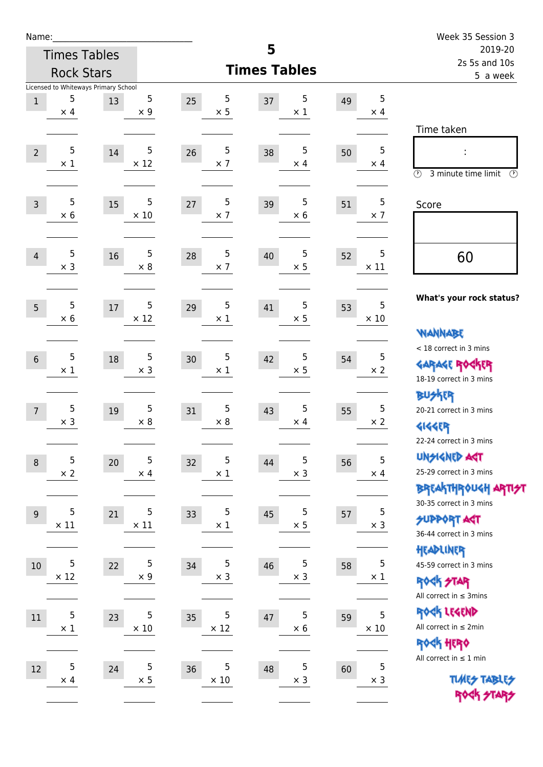| Name:          |                 |                                      |                          |                       |                       |    |                  | Week 35 Session 3                                                |
|----------------|-----------------|--------------------------------------|--------------------------|-----------------------|-----------------------|----|------------------|------------------------------------------------------------------|
|                |                 | <b>Times Tables</b>                  |                          |                       | 5                     |    |                  | 2019-20                                                          |
|                |                 | <b>Rock Stars</b>                    |                          |                       | <b>Times Tables</b>   |    |                  | 2s 5s and 10s<br>5 a week                                        |
|                |                 | Licensed to Whiteways Primary School |                          |                       |                       |    |                  |                                                                  |
| $1\,$          | 5<br>$\times$ 4 | 13                                   | 5<br>$\times$ 9          | 5<br>25<br>$\times$ 5 | 5<br>37<br>$\times$ 1 | 49 | 5<br>$\times$ 4  |                                                                  |
|                |                 |                                      |                          |                       |                       |    |                  | Time taken                                                       |
|                |                 |                                      |                          |                       |                       |    |                  |                                                                  |
| $\overline{2}$ | 5<br>$\times$ 1 | 14                                   | 5<br>$\times$ 12         | 5<br>26<br>$\times$ 7 | 5<br>38<br>$\times$ 4 | 50 | 5<br>$\times$ 4  |                                                                  |
|                |                 |                                      |                          |                       |                       |    |                  | $\circled{r}$<br>3 minute time limit<br>$(\mathcal{F})$          |
|                |                 |                                      |                          |                       |                       |    |                  |                                                                  |
| $\overline{3}$ | 5<br>$\times$ 6 | 15                                   | 5<br>$\times$ 10         | 5<br>27<br>$\times$ 7 | 5<br>39<br>$\times$ 6 | 51 | 5<br>$\times$ 7  | Score                                                            |
|                |                 |                                      |                          |                       |                       |    |                  |                                                                  |
|                |                 |                                      |                          |                       |                       |    |                  |                                                                  |
| $\overline{4}$ | 5<br>$\times$ 3 | 16                                   | $\sqrt{5}$<br>$\times 8$ | 5<br>28<br>$\times$ 7 | 5<br>40<br>$\times$ 5 | 52 | 5<br>$\times$ 11 | 60                                                               |
|                |                 |                                      |                          |                       |                       |    |                  |                                                                  |
|                |                 |                                      |                          |                       |                       |    |                  | What's your rock status?                                         |
| 5              | 5<br>$\times$ 6 | 17                                   | 5<br>$\times$ 12         | 5<br>29<br>$\times$ 1 | 5<br>41<br>$\times$ 5 | 53 | 5<br>$\times$ 10 |                                                                  |
|                |                 |                                      |                          |                       |                       |    |                  | <b>WANNABE</b>                                                   |
|                |                 |                                      |                          |                       |                       |    |                  | < 18 correct in 3 mins                                           |
| $6\,$          | 5<br>$\times$ 1 | 18                                   | 5<br>$\times$ 3          | 5<br>30<br>$\times$ 1 | 5<br>42<br>$\times$ 5 | 54 | 5<br>$\times 2$  | <b>GARAGE ROCKER</b>                                             |
|                |                 |                                      |                          |                       |                       |    |                  | 18-19 correct in 3 mins                                          |
|                |                 |                                      |                          |                       |                       |    |                  | <b>BUSKER</b>                                                    |
| $\overline{7}$ | 5               | 19                                   | 5                        | 5<br>31               | 5<br>43               | 55 | 5                | 20-21 correct in 3 mins                                          |
|                | $\times$ 3      |                                      | $\times$ 8               | $\times$ 8            | $\times$ 4            |    | $\times$ 2       | <b>4144EP</b>                                                    |
|                |                 |                                      |                          |                       |                       |    |                  | 22-24 correct in 3 mins                                          |
| $\,8\,$        | 5               | 20                                   | 5                        | 5<br>32               | 5<br>44               | 56 | 5                | <b>UNGIGNED AST</b>                                              |
|                | $\times$ 2      |                                      | $\times$ 4               | $\times$ 1            | $\times$ 3            |    | $\times$ 4       | 25-29 correct in 3 mins                                          |
|                |                 |                                      |                          |                       |                       |    |                  | <b>BREAKTHR0UGH ARTI<del>S</del>T</b><br>30-35 correct in 3 mins |
| 9              | 5               | 21                                   | 5                        | 5<br>33               | 5<br>45               | 57 | 5                | <b>SUPPORT ART</b>                                               |
|                | $\times$ 11     |                                      | $\times$ 11              | $\times$ 1            | $\times$ 5            |    | $\times$ 3       | 36-44 correct in 3 mins                                          |
|                |                 |                                      |                          |                       |                       |    |                  | HEADLINER                                                        |
| 10             | 5               | 22                                   | 5                        | 5<br>34               | 5<br>46               | 58 | 5                | 45-59 correct in 3 mins                                          |
|                | $\times$ 12     |                                      | $\times$ 9               | $\times$ 3            | $\times$ 3            |    | $\times$ 1       | <b>ROCK STAR</b>                                                 |
|                |                 |                                      |                          |                       |                       |    |                  | All correct in $\leq$ 3mins                                      |
| 11             | 5               | 23                                   | 5                        | 5<br>35               | 5<br>47               | 59 | 5                | ROCK LEGEND                                                      |
|                | $\times$ 1      |                                      | $\times$ 10              | $\times$ 12           | $\times$ 6            |    | $\times$ 10      | All correct in $\leq 2$ min                                      |
|                |                 |                                      |                          |                       |                       |    |                  | ROCK HERO                                                        |
| $12\,$         | 5               | 24                                   | 5                        | 5<br>36               | 5<br>48               | 60 | 5                | All correct in $\leq 1$ min                                      |
|                | $\times$ 4      |                                      | $\times$ 5               | $\times$ 10           | $\times$ 3            |    | $\times$ 3       | <b>TUARS TABLES</b>                                              |
|                |                 |                                      |                          |                       |                       |    |                  | ROCK STARS                                                       |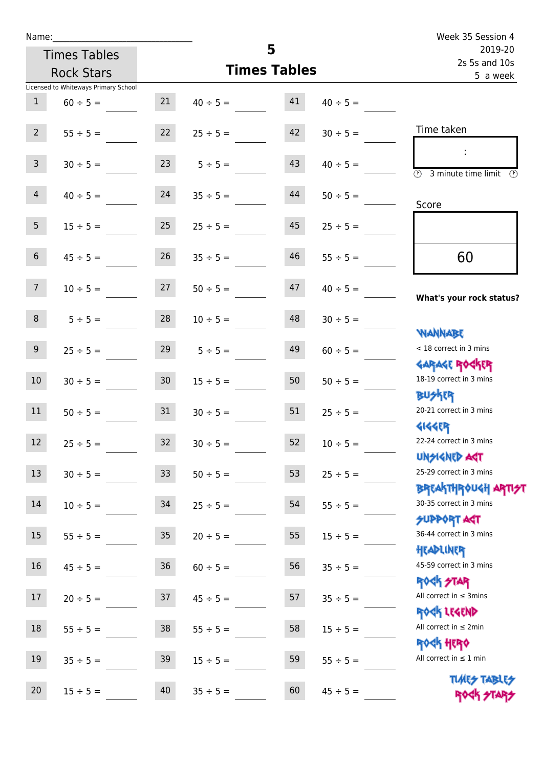Times Tables Rock Stars

|                  | Licensed to Whiteways Primary School |                 |               |    |               |                                                                  |
|------------------|--------------------------------------|-----------------|---------------|----|---------------|------------------------------------------------------------------|
| $\mathbf{1}$     | $60 \div 5 =$                        | 21              | $40 \div 5 =$ | 41 | $40 \div 5 =$ |                                                                  |
| $2^{\circ}$      | $55 \div 5 =$                        | 22              | $25 \div 5 =$ | 42 | $30 \div 5 =$ | Time taken                                                       |
| $\mathbf{3}$     | $30 \div 5 =$                        | 23              | $5 \div 5 =$  | 43 | $40 \div 5 =$ | $\overline{(\Omega)}$<br>3 minute time limit<br>(V)              |
| $\overline{4}$   | $40 \div 5 =$                        | 24              | $35 \div 5 =$ | 44 | $50 \div 5 =$ | Score                                                            |
| 5 <sub>1</sub>   | $15 \div 5 =$                        | 25              | $25 \div 5 =$ | 45 | $25 \div 5 =$ |                                                                  |
| $6 \overline{6}$ | $45 \div 5 =$                        | 26              | $35 \div 5 =$ | 46 | $55 \div 5 =$ | 60                                                               |
| 7 <sup>7</sup>   | $10 \div 5 =$                        | 27              | $50 \div 5 =$ | 47 | $40 \div 5 =$ | What's your rock status?                                         |
| 8                | $5 ÷ 5 =$                            | 28              | $10 \div 5 =$ | 48 | $30 \div 5 =$ | <b>NANNABE</b>                                                   |
| 9 <sub>o</sub>   | $25 \div 5 =$                        | 29              | $5 \div 5 =$  | 49 | $60 \div 5 =$ | < 18 correct in 3 mins<br><b>GARAGE ROCKER</b>                   |
| $10\,$           | $30 \div 5 =$                        | 30 <sub>o</sub> | $15 \div 5 =$ | 50 | $50 \div 5 =$ | 18-19 correct in 3 mins<br><b>BUSKER</b>                         |
| 11               | $50 \div 5 =$                        | 31              | $30 \div 5 =$ | 51 | $25 \div 5 =$ | 20-21 correct in 3 mins<br><b>4144ER</b>                         |
| 12               | $25 \div 5 =$                        | 32              | $30 \div 5 =$ | 52 | $10 \div 5 =$ | 22-24 correct in 3 mins<br><b>UNSIGNED AGT</b>                   |
| 13               | $30 \div 5 =$                        | 33              | $50 \div 5 =$ | 53 | $25 \div 5 =$ | 25-29 correct in 3 mins                                          |
| 14               | $10 \div 5 =$                        | 34              | $25 \div 5 =$ | 54 | $55 \div 5 =$ | <b>BREAKTHROUGH ARTI<del>S</del>T</b><br>30-35 correct in 3 mins |
| 15               | $55 \div 5 =$                        | $35\,$          | $20 \div 5 =$ | 55 | $15 \div 5 =$ | <b>SUPPORT ART</b><br>36-44 correct in 3 mins<br>HEADLINER       |
| 16               | $45 \div 5 =$                        | 36              | $60 \div 5 =$ | 56 | $35 ÷ 5 =$    | 45-59 correct in 3 mins<br><b>ROCK STAR</b>                      |
| 17               | $20 \div 5 =$                        | 37              | $45 \div 5 =$ | 57 | $35 ÷ 5 =$    | All correct in $\leq$ 3mins<br>ROCK LEGEND                       |
| 18               | $55 \div 5 =$                        | $38\,$          | $55 \div 5 =$ | 58 | $15 ÷ 5 =$    | All correct in $\leq 2$ min<br>ROCK HERO                         |
| 19               | $35 ÷ 5 =$                           | 39              | $15 \div 5 =$ | 59 | $55 \div 5 =$ | All correct in $\leq 1$ min                                      |
| 20               | $15 \div 5 =$                        | 40              | $35 \div 5 =$ | 60 | $45 \div 5 =$ | <b>TUARS TABLES</b><br>ROCK STARS                                |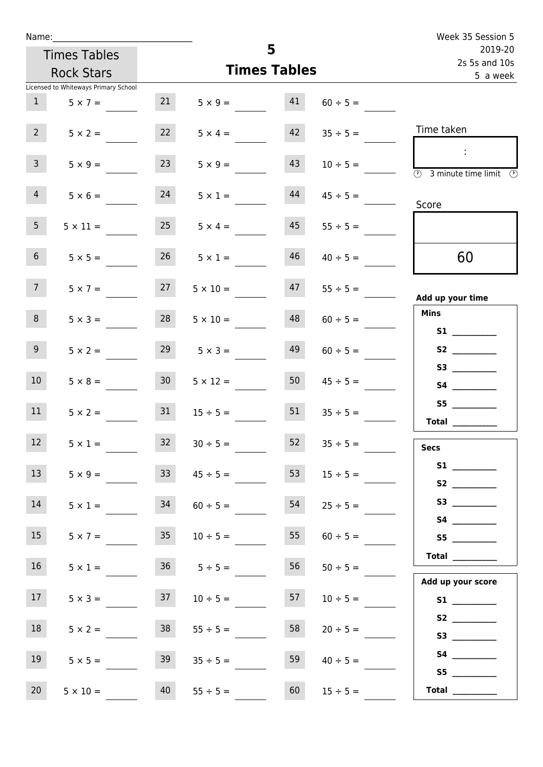| Name:           |                                      |                 |                    |                     |               | Week 35 Session 5                          |
|-----------------|--------------------------------------|-----------------|--------------------|---------------------|---------------|--------------------------------------------|
|                 | <b>Times Tables</b>                  |                 |                    | 5                   |               | 2019-20<br>2s 5s and 10s                   |
|                 | <b>Rock Stars</b>                    |                 |                    | <b>Times Tables</b> |               | 5 a week                                   |
|                 | Licensed to Whiteways Primary School |                 |                    |                     |               |                                            |
| 1               | $5 \times 7 =$                       | 21              | $5 \times 9 =$     | 41                  | $60 \div 5 =$ |                                            |
| 2 <sup>7</sup>  | $5 \times 2 =$                       | 22              | $5 \times 4 =$     | 42                  | $35 \div 5 =$ | Time taken                                 |
| $\mathbf{3}$    | $5 \times 9 =$                       | 23              | $5 \times 9 =$     | 43                  | $10 \div 5 =$ | $\mathbb{R}^n$<br>3 minute time limit<br>⊕ |
| 4               | $5 \times 6 =$                       | 24              | $5 \times 1 =$     | 44                  | $45 \div 5 =$ | Score                                      |
| 5 <sub>1</sub>  | $5 \times 11 =$                      | 25              | $5 \times 4 =$     | 45                  | $55 \div 5 =$ |                                            |
| 6 <sup>1</sup>  | $5 \times 5 =$                       | 26              | $5 \times 1 =$     | 46                  | $40 \div 5 =$ | 60                                         |
| 7 <sup>7</sup>  | $5 \times 7 =$                       | 27              | $5 \times 10 =$    | 47                  | $55 \div 5 =$ | Add up your time                           |
| 8               | $5 \times 3 =$                       | 28              | $5 \times 10 =$    | 48                  | $60 \div 5 =$ | <b>Mins</b><br><b>S1 S1</b>                |
| 9 <sub>o</sub>  | $5 \times 2 =$                       | 29              | $5 \times 3 =$     | 49                  | $60 \div 5 =$ |                                            |
| 10 <sup>°</sup> | $5 \times 8 =$                       | 30 <sup>1</sup> | $5 \times 12 =$    | 50                  | $45 \div 5 =$ |                                            |
| 11              | $5 \times 2 =$                       | 31              | $15 \div 5 =$      | 51                  | $35 \div 5 =$ | S5<br><b>Total</b>                         |
| 12              | $5 \times 1 =$                       | 32              | $30 \div 5 =$      | 52                  | $35 \div 5 =$ | <b>Secs</b>                                |
| 13              | $5 \times 9 =$                       | 33 <sup>2</sup> | $45 \div 5 =$      | 53                  | $15 \div 5 =$ |                                            |
| 14              | $5 \times 1 =$                       | 34              | $60 \div 5 =$      | 54                  | $25 \div 5 =$ |                                            |
| 15              | $5 \times 7 =$                       | 35              | $10 \div 5 =$      | 55                  | $60 \div 5 =$ | S5                                         |
| 16 <sup>1</sup> | $5 \times 1 =$                       |                 | $36 \t 5 \div 5 =$ | 56                  | $50 \div 5 =$ | <b>Total</b>                               |
| 17 <sub>1</sub> | $5 \times 3 =$                       | 37              | $10 \div 5 =$      | 57                  | $10 \div 5 =$ | Add up your score                          |
| 18              | $5 \times 2 =$                       | 38              | $55 \div 5 =$      | 58                  | $20 \div 5 =$ |                                            |
| 19              | $5 \times 5 =$                       | 39              | $35 \div 5 =$      | 59                  | $40 \div 5 =$ | S5                                         |
| 20              | $5 \times 10 =$                      | 40              | $55 \div 5 =$      | 60                  | $15 \div 5 =$ | Total $\qquad$                             |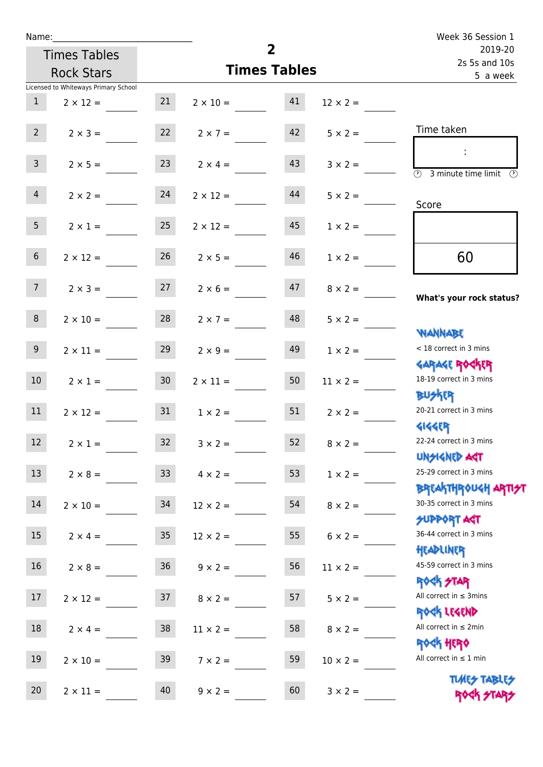| Name:           |                                      |                 |                    |                     |                 | Week 36 Session 1                                                             |
|-----------------|--------------------------------------|-----------------|--------------------|---------------------|-----------------|-------------------------------------------------------------------------------|
|                 | <b>Times Tables</b>                  |                 |                    | $\overline{2}$      |                 | 2019-20<br>2s 5s and 10s                                                      |
|                 | <b>Rock Stars</b>                    |                 |                    | <b>Times Tables</b> |                 | 5 a week                                                                      |
|                 | Licensed to Whiteways Primary School |                 |                    |                     |                 |                                                                               |
| 1               | $2 \times 12 =$                      | 21              | $2 \times 10 = 41$ |                     | $12 \times 2 =$ |                                                                               |
| $2^{\circ}$     | $2 \times 3 =$                       | 22              | $2 \times 7 =$     | 42                  | $5 \times 2 =$  | Time taken                                                                    |
| $\mathsf{3}$    | $2 \times 5 =$                       | 23              | $2 \times 4 =$     | 43                  | $3 \times 2 =$  | $\overline{\textcircled{1}}$ 3 minute time limit $\overline{\textcircled{1}}$ |
| $\overline{4}$  | $2 \times 2 = 24$                    |                 | $2 \times 12 =$    | 44                  | $5 \times 2 =$  | Score                                                                         |
| 5 <sub>1</sub>  | $2 \times 1 =$                       | 25              | $2 \times 12 =$    | 45                  | $1 \times 2 =$  |                                                                               |
| 6 <sup>1</sup>  | $2 \times 12 =$                      | 26              | $2 \times 5 =$     | 46                  | $1 \times 2 =$  | 60                                                                            |
| 7 <sup>7</sup>  | $2 \times 3 = 27$ $2 \times 6 = 47$  |                 |                    |                     | $8 \times 2 =$  | What's your rock status?                                                      |
| 8               | $2 \times 10 =$                      | 28              | $2 \times 7 =$     | 48                  | $5 \times 2 =$  |                                                                               |
| 9 <sub>o</sub>  | $2 \times 11 =$                      | 29              | $2 \times 9 =$     | 49                  | $1 \times 2 =$  | <b>JARNARY</b><br>< 18 correct in 3 mins                                      |
| 10 <sup>1</sup> | $2 \times 1 = 30$                    |                 | $2 \times 11 =$    | 50                  | $11 \times 2 =$ | <b>GARAGE ROGKER</b><br>18-19 correct in 3 mins<br><b>BUSKER</b>              |
| 11              | $2 \times 12 =$                      | 31              | $1 \times 2 =$     | 51                  | $2 \times 2 =$  | 20-21 correct in 3 mins                                                       |
| 12              | $2 \times 1 =$                       | 32              | $3 \times 2 =$     | 52                  | $8 \times 2 =$  | <b>4144EP</b><br>22-24 correct in 3 mins<br><b>UNSIGNED AGT</b>               |
| 13              | $2 \times 8 =$                       | 33 <sup>°</sup> | $4 \times 2 =$     | 53                  | $1 \times 2 =$  | 25-29 correct in 3 mins<br><b>BREAKTHROUGH ARTI<del>S</del>T</b>              |
| 14              | $2 \times 10 =$                      | 34              | $12 \times 2 =$    | 54                  | $8 \times 2 =$  | 30-35 correct in 3 mins<br><b>SUPPORT AGT</b>                                 |
| 15              | $2 \times 4 =$                       | 35 <sub>o</sub> | $12 \times 2 =$    | 55                  | $6 \times 2 =$  | 36-44 correct in 3 mins<br>HEADLINER                                          |
| 16              | $2 \times 8 =$                       | 36              | $9 \times 2 =$     | 56                  | $11 \times 2 =$ | 45-59 correct in 3 mins<br><b>ROCK STAR</b>                                   |
| 17              | $2 \times 12 =$                      | 37              | $8 \times 2 =$     | 57                  | $5 \times 2 =$  | All correct in $\leq$ 3mins<br>ROCK LEGEND                                    |
| 18              | $2 \times 4 =$                       | 38              | $11 \times 2 =$    | 58                  | $8 \times 2 =$  | All correct in $\leq 2$ min                                                   |
| 19              | $2 \times 10 =$                      | 39              | $7 \times 2 =$     | 59                  | $10 \times 2 =$ | <b>ROCK HERO</b><br>All correct in $\leq 1$ min                               |
| 20              | $2 \times 11 =$                      | 40              | $9 \times 2 =$     | 60                  | $3 \times 2 =$  | <b>TUARS TABLES</b><br>ROCK STARS                                             |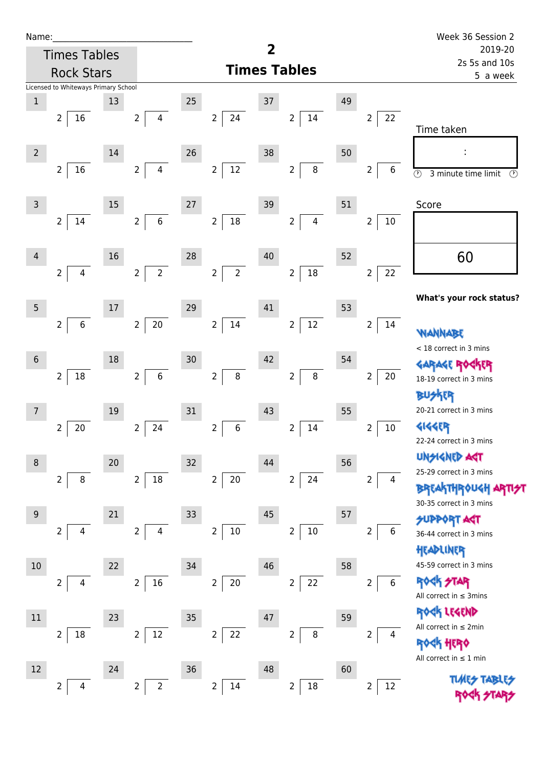| Name:           |                                      |    |                                    |    |                                     |        |                                  |    |                                    | Week 36 Session 2                                                      |  |
|-----------------|--------------------------------------|----|------------------------------------|----|-------------------------------------|--------|----------------------------------|----|------------------------------------|------------------------------------------------------------------------|--|
|                 | <b>Times Tables</b>                  |    |                                    | 2  |                                     |        |                                  |    | 2019-20<br>2s 5s and 10s           |                                                                        |  |
|                 | <b>Rock Stars</b>                    |    |                                    |    |                                     |        | <b>Times Tables</b>              |    | 5 a week                           |                                                                        |  |
|                 | Licensed to Whiteways Primary School |    |                                    |    |                                     |        |                                  |    |                                    |                                                                        |  |
| $1\,$           |                                      | 13 |                                    | 25 |                                     | 37     |                                  | 49 |                                    |                                                                        |  |
|                 | 16<br>$\overline{2}$                 |    | $2^{\circ}$<br>$\overline{4}$      |    | $24\,$<br>$\overline{2}$            |        | $\overline{2}$<br>14             |    | 22<br>$\overline{2}$               | Time taken                                                             |  |
| $\overline{2}$  |                                      | 14 |                                    | 26 |                                     | 38     |                                  | 50 |                                    |                                                                        |  |
|                 | 16<br>$\overline{2}$                 |    | $\overline{4}$<br>$\overline{2}$   |    | $12 \overline{ }$<br>$\overline{2}$ |        | $\, 8$<br>$\overline{2}$         |    | $\overline{2}$<br>6                | $\overline{\circlearrowright}$<br>3 minute time limit<br>$\circled{r}$ |  |
| $\overline{3}$  |                                      | 15 |                                    | 27 |                                     | 39     |                                  | 51 |                                    | Score                                                                  |  |
|                 | $14\,$<br>$\overline{2}$             |    | $\,$ 6 $\,$<br>$\overline{2}$      |    | $18\,$<br>$\overline{2}$            |        | $\overline{4}$<br>$\overline{2}$ |    | $\overline{2}$<br>$10\,$           |                                                                        |  |
| 4               |                                      | 16 |                                    | 28 |                                     | $40\,$ |                                  | 52 |                                    | 60                                                                     |  |
|                 | $\overline{4}$<br>$\overline{2}$     |    | $\overline{2}$<br>$\overline{2}$   |    | $\overline{2}$<br>$\overline{2}$    |        | 18<br>$\overline{2}$             |    | 22<br>$\overline{2}$               |                                                                        |  |
|                 |                                      |    |                                    |    |                                     |        |                                  |    |                                    | What's your rock status?                                               |  |
| $\overline{5}$  | $\,$ 6<br>$\overline{2}$             | 17 | $20\,$<br>$\overline{2}$           | 29 | $\overline{2}$<br>$14\,$            | 41     | $12\,$<br>$\overline{2}$         | 53 | $\overline{2}$<br>14               |                                                                        |  |
|                 |                                      |    |                                    |    |                                     |        |                                  |    |                                    | <b>ANNAW</b><br>< 18 correct in 3 mins                                 |  |
| $6\phantom{1}6$ |                                      | 18 |                                    | 30 |                                     | 42     |                                  | 54 |                                    |                                                                        |  |
|                 | $18\,$<br>$\overline{2}$             |    | $\boldsymbol{6}$<br>$\overline{2}$ |    | $\overline{2}$<br>$\bf 8$           |        | $\bf 8$<br>$\overline{2}$        |    | $\overline{2}$<br>20               | 18-19 correct in 3 mins                                                |  |
|                 |                                      |    |                                    |    |                                     |        |                                  |    |                                    | <b>BUSKER</b>                                                          |  |
| $\overline{7}$  |                                      | 19 |                                    | 31 |                                     | 43     |                                  | 55 |                                    | 20-21 correct in 3 mins                                                |  |
|                 | 20<br>2                              |    | $\overline{2}$<br>24               |    | $\overline{2}$<br>$\,6\,$           |        | 14<br>2                          |    | 2<br>10                            | <b>4144EP</b>                                                          |  |
|                 |                                      |    |                                    |    |                                     |        |                                  |    |                                    | 22-24 correct in 3 mins                                                |  |
| 8               |                                      | 20 |                                    | 32 |                                     | 44     |                                  | 56 |                                    | <b>UNSIGNED AGT</b>                                                    |  |
|                 | $\overline{2}$<br>8                  |    | $18\,$<br>$\overline{2}$           |    | $20\,$<br>$\overline{2}$            |        | 24<br>$\overline{2}$             |    | 2<br>4                             | 25-29 correct in 3 mins                                                |  |
|                 |                                      |    |                                    |    |                                     |        |                                  |    |                                    | <b>BREAKTHROUGH</b>                                                    |  |
| 9               |                                      | 21 |                                    | 33 |                                     | 45     |                                  | 57 |                                    | 30-35 correct in 3 mins                                                |  |
|                 | 2<br>4                               |    | $\overline{2}$<br>4                |    | $\overline{2}$<br>$10\,$            |        | $10\,$<br>$\overline{2}$         |    | 6<br>2                             | <b>SUPPORT AGT</b><br>36-44 correct in 3 mins                          |  |
|                 |                                      |    |                                    |    |                                     |        |                                  |    |                                    | HEADLINER                                                              |  |
| 10              |                                      | 22 |                                    | 34 |                                     | 46     |                                  | 58 |                                    | 45-59 correct in 3 mins                                                |  |
|                 | $\overline{2}$<br>4                  |    | 16<br>$\overline{2}$               |    | $20\,$<br>$\overline{2}$            |        | 22<br>$\overline{2}$             |    | $\overline{2}$<br>$\boldsymbol{6}$ | <b>ROCK STAR</b>                                                       |  |
|                 |                                      |    |                                    |    |                                     |        |                                  |    |                                    | All correct in $\leq$ 3mins                                            |  |
| 11              |                                      | 23 |                                    | 35 |                                     | 47     |                                  | 59 |                                    | ROCK LEGEND                                                            |  |
|                 | 18<br>$\overline{2}$                 |    | $12\,$<br>$\overline{2}$           |    | 22<br>$\mathbf{2}$                  |        | $\bf 8$<br>$\overline{2}$        |    | $\overline{2}$<br>4                | All correct in $\leq 2$ min                                            |  |
|                 |                                      |    |                                    |    |                                     |        |                                  |    |                                    | <b>ROCK HERO</b>                                                       |  |
| 12              |                                      | 24 |                                    | 36 |                                     | 48     |                                  | 60 |                                    | All correct in $\leq 1$ min                                            |  |
|                 | 2<br>4                               |    | $\overline{2}$<br>$\overline{2}$   |    | $\overline{2}$<br>14                |        | $\overline{2}$<br>$18\,$         |    | $\overline{\mathbf{c}}$<br>12      |                                                                        |  |
|                 |                                      |    |                                    |    |                                     |        |                                  |    |                                    |                                                                        |  |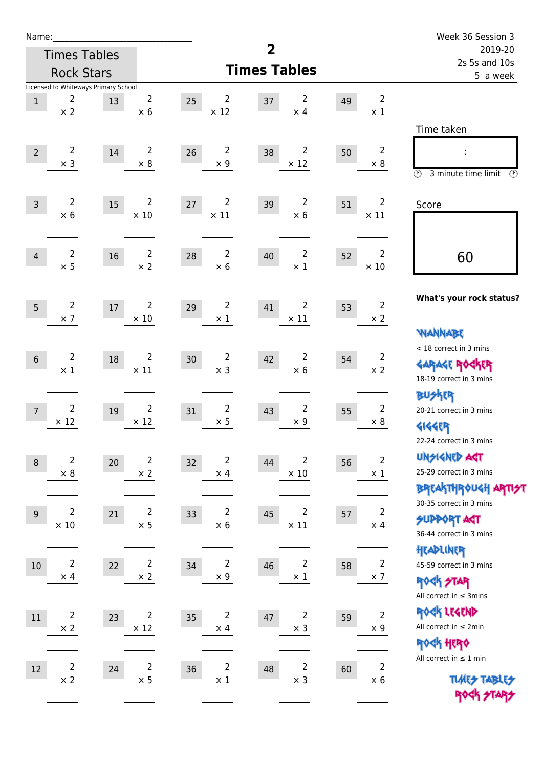| Name:          |                               |                                            |                               |                   |                                    |                               |    | Week 36 Session 3             |                                                                                      |  |
|----------------|-------------------------------|--------------------------------------------|-------------------------------|-------------------|------------------------------------|-------------------------------|----|-------------------------------|--------------------------------------------------------------------------------------|--|
|                |                               | <b>Times Tables</b>                        |                               |                   | 2                                  | 2019-20<br>2s 5s and 10s      |    |                               |                                                                                      |  |
|                | <b>Rock Stars</b>             |                                            |                               |                   | <b>Times Tables</b>                | 5 a week                      |    |                               |                                                                                      |  |
| $1\,$          | 2<br>$\times$ 2               | Licensed to Whiteways Primary School<br>13 | 2<br>$\times$ 6               | 25<br>$\times$ 12 | 2<br>37                            | 2<br>$\times$ 4               | 49 | $\overline{2}$<br>$\times$ 1  | Time taken                                                                           |  |
| $\overline{2}$ | $\overline{2}$<br>$\times$ 3  | 14                                         | $\overline{2}$<br>$\times 8$  | 26                | $\overline{2}$<br>38<br>$\times$ 9 | $\overline{2}$<br>$\times$ 12 | 50 | $\overline{2}$<br>$\times 8$  | $\circled{r}$<br>3 minute time limit<br>$\circled{r}$                                |  |
| $\overline{3}$ | $\overline{2}$<br>$\times$ 6  | 15                                         | $\overline{2}$<br>$\times$ 10 | 27<br>$\times$ 11 | 2<br>39                            | 2<br>$\times$ 6               | 51 | $\overline{2}$<br>$\times$ 11 | Score                                                                                |  |
| $\overline{4}$ | $\overline{2}$<br>$\times$ 5  | 16                                         | $\overline{2}$<br>$\times 2$  | 28                | $\overline{2}$<br>40<br>$\times$ 6 | $\overline{2}$<br>$\times$ 1  | 52 | $\overline{2}$<br>$\times$ 10 | 60                                                                                   |  |
| 5              | $\overline{2}$<br>$\times$ 7  | 17                                         | $\overline{2}$<br>$\times$ 10 | 29                | $\overline{2}$<br>41<br>$\times$ 1 | 2<br>$\times$ 11              | 53 | $\overline{2}$<br>$\times 2$  | What's your rock status?<br><b>NANNABE</b>                                           |  |
| $6\phantom{1}$ | $\overline{2}$<br>$\times 1$  | 18                                         | $\overline{2}$<br>$\times$ 11 | 30                | $\overline{c}$<br>42<br>$\times$ 3 | 2<br>$\times 6$               | 54 | 2<br>$\times$ 2               | < 18 correct in 3 mins<br><b>GARAGE ROCKER</b><br>18-19 correct in 3 mins            |  |
| $\overline{7}$ | $\overline{2}$<br>$\times$ 12 | 19                                         | $\overline{2}$<br>$\times$ 12 | 31                | $\overline{2}$<br>43<br>$\times$ 5 | 2<br>$\times$ 9               | 55 | $\overline{2}$<br>$\times 8$  | <b>BUSKER</b><br>20-21 correct in 3 mins<br><b>4144ER</b><br>22-24 correct in 3 mins |  |
| $\,8\,$        | $\overline{2}$<br>$\times$ 8  | 20                                         | $\overline{2}$<br>$\times$ 2  | 32                | $\overline{2}$<br>44<br>$\times$ 4 | 2<br>$\times$ 10              | 56 | $\overline{2}$<br>$\times$ 1  | <b>UNGIGNED AST</b><br>25-29 correct in 3 mins<br>BREAKTHRÓUGH ARTI <del>2</del> 1   |  |
| $\overline{9}$ | $\overline{2}$<br>$\times$ 10 | 21                                         | $\overline{2}$<br>$\times$ 5  | 33                | $\overline{2}$<br>45<br>$\times$ 6 | $\overline{2}$<br>$\times$ 11 | 57 | $\overline{2}$<br>$\times$ 4  | 30-35 correct in 3 mins<br><b>SUPPORT ART</b><br>36-44 correct in 3 mins             |  |
| $10\,$         | $\overline{2}$<br>$\times$ 4  | 22                                         | $\overline{c}$<br>$\times$ 2  | 34                | $\overline{c}$<br>46<br>$\times$ 9 | $\overline{c}$<br>$\times$ 1  | 58 | $\overline{2}$<br>$\times$ 7  | HEADLINER<br>45-59 correct in 3 mins<br>ROCK STAR<br>All correct in $\leq$ 3mins     |  |
| $11\,$         | $\overline{2}$<br>$\times 2$  | 23                                         | $\overline{2}$<br>$\times$ 12 | 35                | $\mathsf{2}\,$<br>47<br>$\times$ 4 | $\overline{c}$<br>$\times$ 3  | 59 | $\mathbf 2$<br>$\times$ 9     | ROCK LEGEND<br>All correct in $\leq 2$ min<br>ROCK HERO                              |  |
| 12             | $\overline{c}$<br>$\times$ 2  | 24                                         | $\overline{2}$<br>$\times$ 5  | 36                | $\overline{2}$<br>48<br>$\times$ 1 | $\overline{2}$<br>$\times$ 3  | 60 | $\overline{2}$<br>$\times$ 6  | All correct in $\leq 1$ min<br><b>TUARS TABLES</b><br>ROCK STARS                     |  |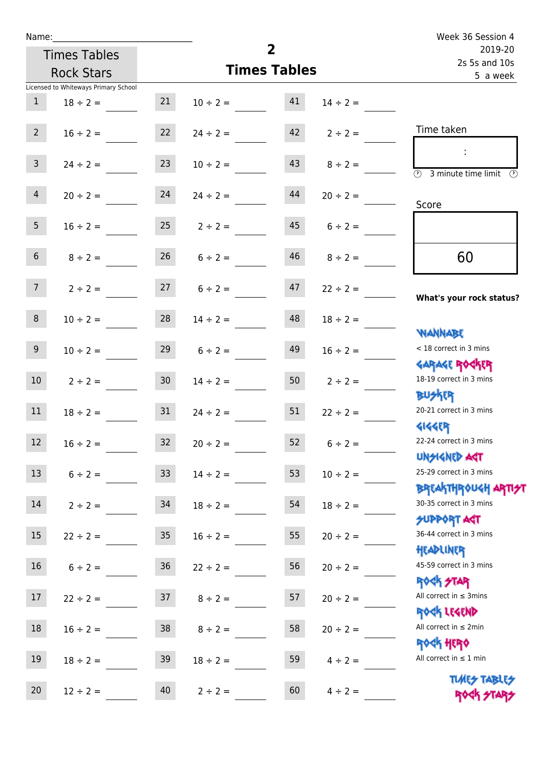| Name:                                |                               |                           |                          | Week 36 Session 4                                                |  |  |
|--------------------------------------|-------------------------------|---------------------------|--------------------------|------------------------------------------------------------------|--|--|
| <b>Times Tables</b>                  |                               | $\overline{2}$            | 2019-20<br>2s 5s and 10s |                                                                  |  |  |
| <b>Rock Stars</b>                    |                               | <b>Times Tables</b>       | 5 a week                 |                                                                  |  |  |
| Licensed to Whiteways Primary School |                               |                           |                          |                                                                  |  |  |
| $\mathbf{1}$<br>$18 \div 2 =$        | 21                            | 41<br>$10 \div 2 =$       | $14 \div 2 =$            |                                                                  |  |  |
| $2^{\circ}$<br>$16 \div 2 =$         | 22                            | $24 \div 2 =$             | $42$ $2 \div 2 =$        | Time taken                                                       |  |  |
| 3 <sup>7</sup><br>$24 \div 2 =$      | 23                            | 43<br>$10 \div 2 =$       | $8 \div 2 =$             | $\overline{(\mathcal{V})}$<br>3 minute time limit                |  |  |
| $\overline{4}$<br>$20 \div 2 =$      | 24                            | 44<br>$24 \div 2 =$       | $20 \div 2 =$            | Score                                                            |  |  |
| 5 <sub>1</sub>                       | $16 \div 2 = 25$ $2 \div 2 =$ |                           | $45 \t 6 \div 2 =$       |                                                                  |  |  |
| 6 <sup>1</sup><br>$8 \div 2 =$       | 26                            | 46<br>$6 \div 2 =$        | $8 \div 2 =$             | 60                                                               |  |  |
| 7 <sup>7</sup><br>$2 \div 2 =$       |                               | $27 \t 6 \div 2 =$<br>47  | $22 \div 2 =$            | What's your rock status?                                         |  |  |
| 8<br>$10 \div 2 =$                   |                               | $28 \t 14 \div 2 =$<br>48 | $18 \div 2 =$            |                                                                  |  |  |
| 9 <sub>o</sub><br>$10 \div 2 =$      | 29                            | 49<br>$6 \div 2 =$        | $16 \div 2 =$            | <b>NANNABE</b><br>< 18 correct in 3 mins                         |  |  |
| 10 <sup>°</sup><br>$2 \div 2 =$      | 30 <sub>o</sub>               | 50<br>$14 \div 2 =$       | $2 \div 2 =$             | <b>GARAGE ROCKER</b><br>18-19 correct in 3 mins<br><b>BUSKER</b> |  |  |
| $18 \div 2 = 31$<br>11               |                               | 51<br>$24 \div 2 =$       | $22 \div 2 =$            | 20-21 correct in 3 mins                                          |  |  |
| 12<br>$16 \div 2 =$                  | 32                            | $20 \div 2 =$<br>52       | $6 \div 2 =$             | <b>4144EP</b><br>22-24 correct in 3 mins<br><b>UNSIGNED AST</b>  |  |  |
| 13<br>$6 \div 2 =$                   | 33 <sup>°</sup>               | 53<br>$14 \div 2 =$       | $10 \div 2 =$            | 25-29 correct in 3 mins<br>BREAKTHRÓUGH ARTI <del>2</del> 1      |  |  |
| 14<br>$2 \div 2 =$                   | 34                            | 54<br>$18 \div 2 =$       | $18 \div 2 =$            | 30-35 correct in 3 mins<br><b>SUPPORT AGT</b>                    |  |  |
| $15\,$<br>$22 \div 2 =$              | 35 <sub>2</sub>               | 55<br>$16 \div 2 =$       | $20 \div 2 =$            | 36-44 correct in 3 mins<br>HEADLINER                             |  |  |
| 16<br>$6 \div 2 =$                   | $36\,$                        | 56<br>$22 \div 2 =$       | $20 \div 2 =$            | 45-59 correct in 3 mins<br><b>ROCK STAR</b>                      |  |  |
| 17<br>$22 \div 2 =$                  | 37                            | 57<br>$8 \div 2 =$        | $20 \div 2 =$            | All correct in $\leq$ 3mins<br>ROCK LEGEND                       |  |  |
| $18\,$<br>$16 \div 2 =$              | 38                            | 58<br>$8 \div 2 =$        | $20 \div 2 =$            | All correct in $\leq 2$ min<br><b>ROCK HERO</b>                  |  |  |
| 19<br>$18 \div 2 =$                  | 39                            | 59<br>$18 \div 2 =$       | $4 \div 2 =$             | All correct in $\leq 1$ min                                      |  |  |
| 20<br>$12 \div 2 =$                  | 40                            | 60<br>$2 \div 2 =$        | $4 \div 2 =$             | <b>TUARS TABLES</b><br>ROCK STARS                                |  |  |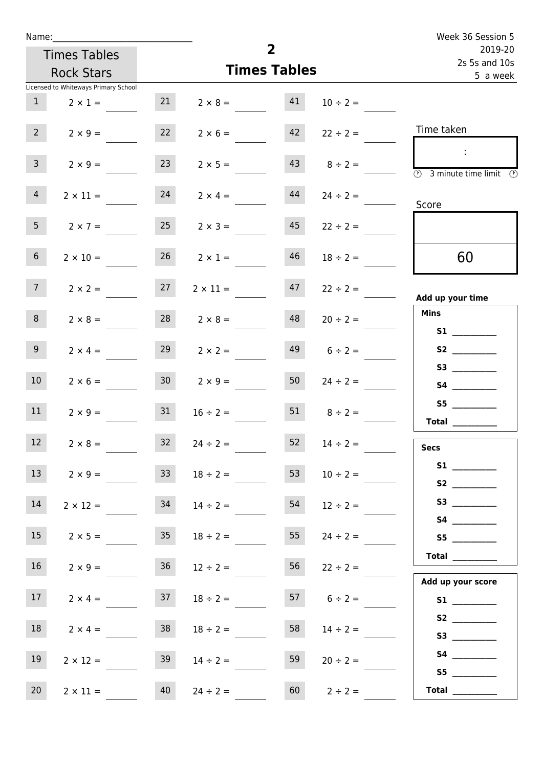| Week 36 Session 5                                                                              |                   | $\overline{2}$      |                   |                 |                                      | Name:           |
|------------------------------------------------------------------------------------------------|-------------------|---------------------|-------------------|-----------------|--------------------------------------|-----------------|
| 2019-20                                                                                        |                   | <b>Times Tables</b> |                   |                 |                                      |                 |
| 2s 5s and 10s<br>5 a week                                                                      |                   | <b>Times Tables</b> | <b>Rock Stars</b> |                 |                                      |                 |
|                                                                                                |                   |                     |                   |                 | Licensed to Whiteways Primary School |                 |
|                                                                                                | $10 \div 2 =$     | 41                  | $2 \times 8 =$    | 21              | $2 \times 1 =$                       | 1               |
| Time taken                                                                                     | $22 \div 2 =$     | 42                  | $2 \times 6 =$    | 22              | $2 \times 9 =$                       | 2 <sup>7</sup>  |
| $\mathcal{L}$<br>$\overline{\textcircled{2}}$ 3 minute time limit $\overline{\textcircled{2}}$ | $8 \div 2 =$      | 43                  | $2 \times 5 =$    | 23              | $2 \times 9 =$                       | 3 <sup>7</sup>  |
| Score                                                                                          | $24 \div 2 =$     | 44                  | $2 \times 4 =$    | 24              | $2 \times 11 =$                      | $\overline{4}$  |
|                                                                                                | $22 \div 2 =$     | 45                  | $2 \times 3 =$    | 25              | $2 \times 7 =$                       | 5 <sub>1</sub>  |
| 60                                                                                             | $18 \div 2 =$     | 46                  | $2 \times 1 =$    | 26              | $2 \times 10 =$                      | 6 <sup>1</sup>  |
| Add up your time                                                                               | $22 \div 2 =$     | 47                  | $2 \times 11 =$   | 27              | $2 \times 2 =$                       | 7 <sup>7</sup>  |
| <b>Mins</b><br><b>S1</b>                                                                       | $20 \div 2 =$     | 48                  | $2 \times 8 =$    | 28              | $2 \times 8 =$                       | 8               |
| S2                                                                                             | $6 \div 2 =$      | 49                  | $2 \times 2 =$    | 29              | $2 \times 4 =$                       | 9 <sub>o</sub>  |
|                                                                                                | $24 \div 2 =$     | 50                  | $2 \times 9 =$    | 30 <sup>1</sup> | $2 \times 6 =$                       | 10              |
| <b>Total</b>                                                                                   | $8 \div 2 =$      | 51                  | $16 \div 2 =$     | 31              | $2 \times 9 =$                       | 11              |
| <b>Secs</b>                                                                                    | $14 \div 2 =$     | 52                  | $24 \div 2 =$     | 32              | $2 \times 8 =$                       | 12              |
|                                                                                                | $10 \div 2 =$     | 53                  | $18 \div 2 =$     | 33              | $2 \times 9 =$                       | 13              |
|                                                                                                | $12 \div 2 =$     | 54                  | $14 \div 2 =$     | 34              | $2 \times 12 =$                      | 14              |
| S5                                                                                             | $24 \div 2 =$     | 55                  | $18 \div 2 =$     | 35              | $2 \times 5 =$                       | 15              |
| Total<br>Add up your score                                                                     | $22 \div 2 =$     | 56                  | $12 \div 2 =$     | 36              | $2 \times 9 =$                       | 16              |
|                                                                                                | $57$ $6 \div 2 =$ |                     | $18 \div 2 =$     | 37              | $2 \times 4 =$                       | 17              |
|                                                                                                | $14 \div 2 =$     | 58                  | $18 \div 2 =$     | 38              | $2 \times 4 =$                       | 18              |
| S4<br>S5                                                                                       | $20 \div 2 =$     | 59                  | $14 \div 2 =$     | 39              | $2 \times 12 =$                      | 19              |
| Total $\qquad$                                                                                 | $2 \div 2 =$      | 60                  | $24 \div 2 =$     | 40              | $2 \times 11 =$                      | 20 <sub>2</sub> |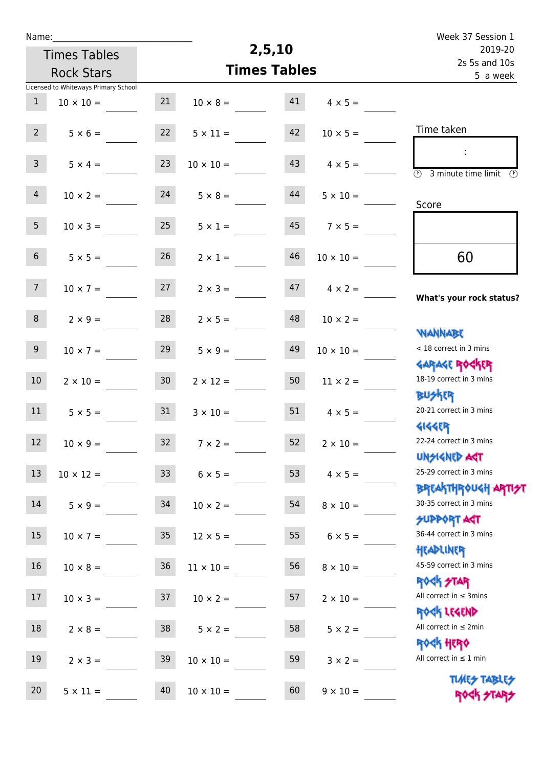| Name:           |                                      |                 |                     |        |                       | Week 37 Session 1                                                |  |  |
|-----------------|--------------------------------------|-----------------|---------------------|--------|-----------------------|------------------------------------------------------------------|--|--|
|                 | <b>Times Tables</b>                  |                 |                     | 2,5,10 |                       | 2019-20                                                          |  |  |
|                 | <b>Rock Stars</b>                    |                 | <b>Times Tables</b> |        |                       | 2s 5s and 10s<br>5 a week                                        |  |  |
|                 | Licensed to Whiteways Primary School |                 |                     |        |                       |                                                                  |  |  |
| $\mathbf{1}$    | $10 \times 10 =$                     | 21              | $10 \times 8 =$     | 41     | $4 \times 5 =$        |                                                                  |  |  |
| $2^{\circ}$     | $5 \times 6 =$                       | 22              | $5 \times 11 =$     | 42     | $10 \times 5 =$       | Time taken                                                       |  |  |
| 3 <sup>7</sup>  | $5 \times 4 =$                       | 23              | $10 \times 10 =$    | 43     | $4 \times 5 =$        | $\overline{(\mathcal{V})}$<br>3 minute time limit<br>$\odot$     |  |  |
| $\overline{4}$  | $10 \times 2 =$                      | 24              | $5 \times 8 =$      | 44     | $5 \times 10 =$       | Score                                                            |  |  |
| 5 <sub>1</sub>  | $10 \times 3 =$                      | 25              | $5 \times 1 =$      | 45     | $7 \times 5 =$        |                                                                  |  |  |
| 6 <sup>1</sup>  | $5 \times 5 =$                       | 26              | $2 \times 1 =$      | 46     | $10 \times 10 =$      | 60                                                               |  |  |
| 7 <sup>7</sup>  | $10 \times 7 =$                      | 27              | $2 \times 3 =$      | 47     | $4 \times 2 =$        | What's your rock status?                                         |  |  |
| 8               | $2 \times 9 =$                       | 28              | $2 \times 5 =$      | 48     | $10 \times 2 =$       | <b>JARNARY</b>                                                   |  |  |
| 9 <sub>o</sub>  | $10 \times 7 =$                      | 29              | $5 \times 9 =$      | 49     | $10 \times 10 =$      | < 18 correct in 3 mins<br><b>GARAGE ROGKER</b>                   |  |  |
| 10 <sup>°</sup> | $2 \times 10 =$                      | 30 <sub>o</sub> | $2 \times 12 =$     | 50     | $11 \times 2 =$       | 18-19 correct in 3 mins<br><b>BUSKRR</b>                         |  |  |
| 11              | $5 \times 5 =$                       | 31              | $3 \times 10 =$     | 51     | $4 \times 5 =$        | 20-21 correct in 3 mins<br><b>4144EP</b>                         |  |  |
| 12              | $10 \times 9 =$                      | 32              | $7 \times 2 =$      |        | $52 \t 2 \times 10 =$ | 22-24 correct in 3 mins<br><b>UNSIGNED AST</b>                   |  |  |
| 13              | $10 \times 12 =$                     | 33              | $6 \times 5 =$      | 53     | $4 \times 5 =$        | 25-29 correct in 3 mins                                          |  |  |
| 14              | $5 \times 9 =$                       | 34              | $10 \times 2 =$     | 54     | $8 \times 10 =$       | <b>BREAKTHROUGH ARTI<del>S</del>T</b><br>30-35 correct in 3 mins |  |  |
| 15 <sub>1</sub> | $10 \times 7 =$                      | 35 <sub>1</sub> | $12 \times 5 =$     | 55     | $6 \times 5 =$        | <b>SUPPORT AGT</b><br>36-44 correct in 3 mins                    |  |  |
| 16              | $10 \times 8 =$                      | 36              | $11 \times 10 =$    | 56     | $8 \times 10 =$       | HEADLINER<br>45-59 correct in 3 mins<br><b>ROCK STAR</b>         |  |  |
| 17              | $10 \times 3 =$                      | 37              | $10 \times 2 =$     | 57     | $2 \times 10 =$       | All correct in $\leq$ 3mins<br>ROCK LEGEND                       |  |  |
| 18              | $2 \times 8 =$                       | 38              | $5 \times 2 =$      | 58     | $5 \times 2 =$        | All correct in $\leq 2$ min<br>ROCK HERO                         |  |  |
| 19              | $2 \times 3 =$                       | 39              | $10 \times 10 =$    | 59     | $3 \times 2 =$        | All correct in $\leq 1$ min                                      |  |  |
| 20              | $5 \times 11 =$                      | 40              | $10 \times 10 =$    | 60     | $9 \times 10 =$       | <b>TUARS TABLES</b><br>ROCK STARS                                |  |  |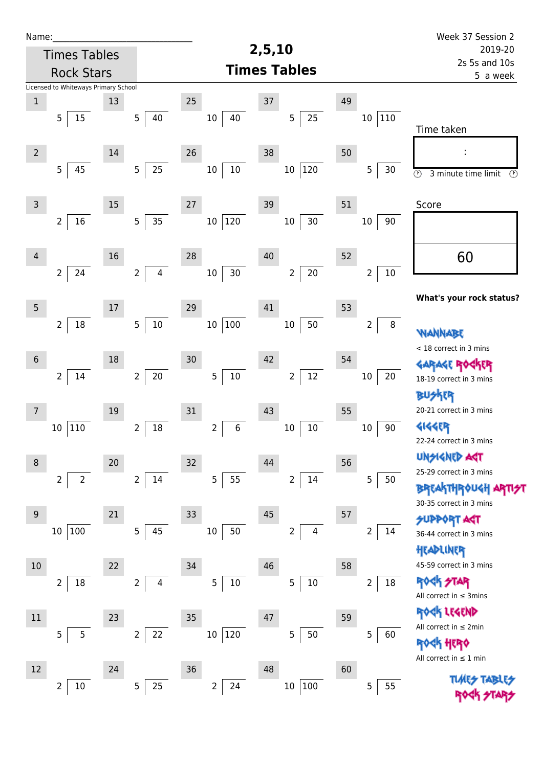| Name:          |                                      |    |                                  |                     |                                   |         |                           | Week 37 Session 2                                             |  |
|----------------|--------------------------------------|----|----------------------------------|---------------------|-----------------------------------|---------|---------------------------|---------------------------------------------------------------|--|
|                | <b>Times Tables</b>                  |    |                                  |                     | 2,5,10                            | 2019-20 |                           |                                                               |  |
|                | <b>Rock Stars</b>                    |    |                                  |                     | <b>Times Tables</b>               |         | 2s 5s and 10s<br>5 a week |                                                               |  |
|                | Licensed to Whiteways Primary School |    |                                  |                     |                                   |         |                           |                                                               |  |
| $\mathbf 1$    |                                      | 13 |                                  | 25                  | $37\,$                            | 49      |                           |                                                               |  |
|                | 5<br>15                              |    | 5<br>40                          | $10\,$<br>40        | 25<br>5                           |         | 110<br>10                 | Time taken                                                    |  |
| $\overline{2}$ |                                      | 14 |                                  | 26                  | 38                                | 50      |                           |                                                               |  |
|                | $\overline{5}$<br>45                 |    | 25<br>5 <sub>5</sub>             | $10\,$<br>$10\,$    | 120<br>$10\,$                     |         | 5<br>30                   | $\overline{\odot}$<br>3 minute time limit<br>$\circled{r}$    |  |
| $\mathsf 3$    |                                      | 15 |                                  | 27                  | 39                                | 51      |                           | Score                                                         |  |
|                | 16<br>$\overline{2}$                 |    | 35<br>5                          | 120<br>$10\,$       | 30<br>$10\,$                      |         | $10\,$<br>90              |                                                               |  |
| $\overline{4}$ |                                      | 16 |                                  | 28                  | 40                                | 52      |                           | 60                                                            |  |
|                | 24<br>$\overline{2}$                 |    | $\overline{4}$<br>$\overline{2}$ | $30\,$<br>10        | $20\,$<br>$\overline{2}$          |         | $10\,$<br>$\overline{2}$  |                                                               |  |
| 5              |                                      | 17 |                                  | 29                  | 41                                | 53      |                           | What's your rock status?                                      |  |
|                | $\overline{2}$<br>18                 |    | 10<br>5                          | 100<br>$10\,$       | 50<br>$10\,$                      |         | $\bf 8$<br>$\overline{2}$ | <b><i>NANNABE</i></b>                                         |  |
| $\sqrt{6}$     |                                      | 18 |                                  | 30                  | 42                                | 54      |                           | < 18 correct in 3 mins                                        |  |
|                | $\overline{2}$<br>14                 |    | $20\,$<br>$\overline{2}$         | $10\,$<br>5         | $12\,$<br>$\overline{\mathbf{c}}$ |         | 20<br>$10\,$              | <b>GARAGE ROC</b><br>18-19 correct in 3 mins<br><b>BUSKER</b> |  |
| 7              |                                      | 19 |                                  | 31                  | 43                                | 55      |                           | 20-21 correct in 3 mins                                       |  |
|                | 110<br>10                            |    | 18<br>$\overline{2}$             | 6<br>$\overline{2}$ | $10\,$<br>$10\,$                  |         | 90<br>$10\,$              | <b>4144EP</b><br>22-24 correct in 3 mins                      |  |
| $\,8\,$        |                                      | 20 |                                  | 32                  | 44                                | 56      |                           | <b>UNGIGNED AST</b>                                           |  |
|                | $\overline{2}$<br>$\overline{2}$     |    | 14<br>$\overline{2}$             | 5<br>55             | $14\,$<br>$\overline{2}$          |         | 5<br>50                   | 25-29 correct in 3 mins                                       |  |
|                |                                      |    |                                  |                     |                                   |         |                           | <b>BREAKTHROUGH</b><br>30-35 correct in 3 mins                |  |
| 9              |                                      | 21 |                                  | 33                  | 45                                | 57      |                           | <b>SUPPORT AST</b>                                            |  |
|                | 100<br>10                            |    | 45<br>5                          | 50<br>10            | $\overline{2}$<br>$\overline{4}$  |         | 2<br>14                   | 36-44 correct in 3 mins<br>HEADLINER                          |  |
| $10$           |                                      | 22 |                                  | 34                  | 46                                | 58      |                           | 45-59 correct in 3 mins                                       |  |
|                | 2<br>18                              |    | $\overline{2}$<br>4              | 5<br>$10\,$         | $10\,$<br>5                       |         | $18\,$<br>$\overline{2}$  | <b>ROCK STAR</b><br>All correct in $\leq$ 3mins               |  |
| 11             |                                      | 23 |                                  | 35                  | 47                                | 59      |                           | ROCK LEGEND                                                   |  |
|                | $\overline{5}$<br>5                  |    | 22<br>$\overline{2}$             | 120<br>10           | $50\,$<br>5                       |         | 5<br>60                   | All correct in $\leq 2$ min<br>HERQ                           |  |
| 12             |                                      | 24 |                                  | 36                  | 48                                | 60      |                           | All correct in $\leq 1$ min                                   |  |
|                | $10\,$<br>$\overline{2}$             |    | 25<br>5                          | 2<br>24             | 100<br>$10\,$                     |         | 55<br>5                   | <b>TUARS TABARS</b><br><b>ROCK 47</b>                         |  |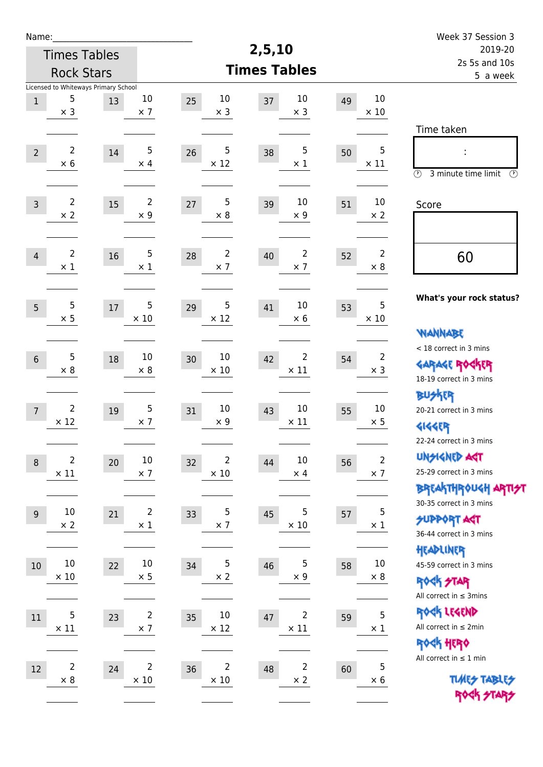| Name:                                                                                          |                                                                                                              | Week 37 Session 3                                                                       |  |  |
|------------------------------------------------------------------------------------------------|--------------------------------------------------------------------------------------------------------------|-----------------------------------------------------------------------------------------|--|--|
| <b>Times Tables</b>                                                                            | 2,5,10                                                                                                       | 2019-20<br>2s 5s and 10s<br>5 a week                                                    |  |  |
| <b>Rock Stars</b>                                                                              | <b>Times Tables</b>                                                                                          |                                                                                         |  |  |
| Licensed to Whiteways Primary School<br>5<br>$10\,$<br>13<br>$\,1$<br>$\times$ 3<br>$\times$ 7 | 10<br>10<br>10<br>25<br>37<br>49<br>$\times$ 10<br>$\times$ 3<br>$\times$ 3                                  |                                                                                         |  |  |
| 2<br>5<br>$\overline{2}$<br>$14\,$<br>$\times$ 6<br>$\times$ 4                                 | 5<br>5<br>5<br>38<br>26<br>50<br>$\times$ 12<br>$\times$ 11<br>$\times 1$                                    | Time taken<br>$\circled{r}$<br>3 minute time limit<br>$\circled{r}$                     |  |  |
| $\overline{2}$<br>$\overline{2}$<br>15<br>$\overline{3}$<br>$\times 2$<br>$\times$ 9           | 5<br>10<br>10<br>27<br>39<br>51<br>$\times$ 9<br>$\times 8$<br>$\times 2$                                    | Score                                                                                   |  |  |
| 2<br>5<br>16<br>$\overline{4}$<br>$\times$ 1<br>$\times$ 1                                     | $\overline{2}$<br>$\overline{2}$<br>2<br>28<br>40<br>52<br>$\times$ 7<br>$\times 8$<br>$\times$ 7            | 60                                                                                      |  |  |
| 5<br>5<br>5<br>17<br>$\times$ 5<br>$\times$ 10                                                 | 5<br>5<br>10<br>41<br>29<br>53<br>$\times$ 12<br>$\times 6$<br>$\times 10$                                   | What's your rock status?<br><b>WANNABE</b>                                              |  |  |
| 5<br>10<br>18<br>$6\,$<br>$\times$ 8<br>$\times 8$                                             | 10<br>2<br>$\overline{2}$<br>42<br>30<br>54<br>$\times$ 10<br>$\times$ 11<br>$\times$ 3                      | < 18 correct in 3 mins<br><b>GARAGE ROCKER</b><br>18-19 correct in 3 mins               |  |  |
| $\overline{2}$<br>5<br>19<br>$\overline{7}$<br>$\times$ 12<br>$\times$ 7                       | 10<br>10<br>10<br>43<br>31<br>55<br>$\times$ 11<br>$\times$ 9<br>$\times 5$                                  | <b>BUSKRR</b><br>20-21 correct in 3 mins<br><b>4144EP</b><br>22-24 correct in 3 mins    |  |  |
| $\overline{c}$<br>$10\,$<br>20<br>$\,8\,$<br>$\times$ 11<br>$\times$ 7                         | $\overline{2}$<br>$\overline{2}$<br>10<br>32<br>44<br>56<br>$\times$ 7<br>$\times$ 10<br>$\times$ 4          | <b>UNSIGNED AGT</b><br>25-29 correct in 3 mins<br><b>BREAKTHROUGH ARTI<del>S</del>T</b> |  |  |
| $10\,$<br>$\overline{2}$<br>21<br>$\overline{9}$<br>$\times$ 2<br>$\times$ 1                   | 5<br>5<br>5<br>33<br>45<br>57<br>$\times$ 10<br>$\times$ 7<br>$\times$ 1                                     | 30-35 correct in 3 mins<br><b>SUPPORT ART</b><br>36-44 correct in 3 mins                |  |  |
| $10\,$<br>$10\,$<br>22<br>10<br>$\times$ 10<br>$\times$ 5                                      | 5<br>5<br>$10\,$<br>34<br>46<br>58<br>$\times$ 9<br>$\times 2$<br>$\times 8$                                 | HEADLINER<br>45-59 correct in 3 mins<br><b>ROCK STAR</b><br>All correct in $\leq$ 3mins |  |  |
| 5<br>$\overline{2}$<br>$11\,$<br>23<br>$\times$ 7<br>$\times$ 11                               | 5<br>$10\,$<br>$\overline{2}$<br>47<br>35<br>59<br>$\times$ 12<br>$\times$ 11<br>$\times$ 1                  | ROCK LEGEND<br>All correct in $\leq 2$ min<br><b>ROCK HERO</b>                          |  |  |
| $\overline{c}$<br>$\overline{c}$<br>12<br>24<br>$\times$ 8<br>$\times$ 10                      | $\mathbf 5$<br>$\overline{2}$<br>$\overline{c}$<br>36<br>48<br>60<br>$\times$ 2<br>$\times$ 10<br>$\times$ 6 | All correct in $\leq 1$ min<br><b>TUARS TABLES</b><br>ROCK STARS                        |  |  |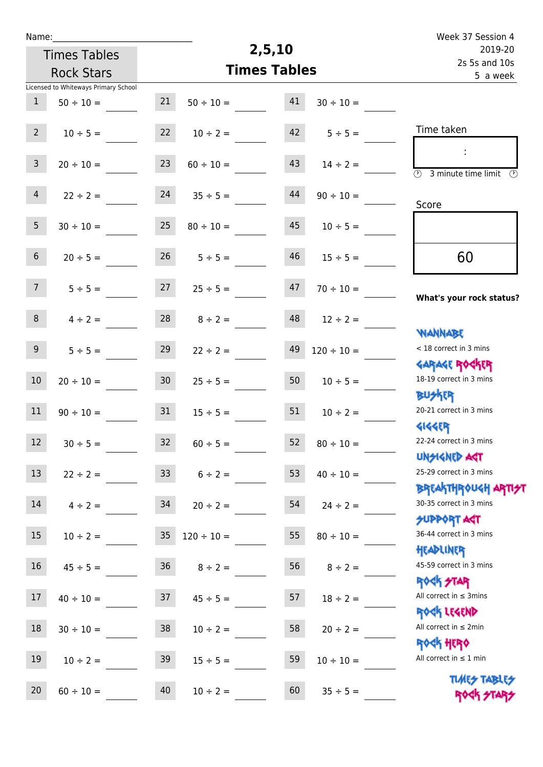| Week 37 Session 4                                                |                     | 2,5,10              |                 |                 |                                      | Name:            |
|------------------------------------------------------------------|---------------------|---------------------|-----------------|-----------------|--------------------------------------|------------------|
| 2019-20                                                          |                     | <b>Times Tables</b> |                 |                 |                                      |                  |
| 2s 5s and 10s<br>5 a week                                        | <b>Times Tables</b> |                     |                 |                 | <b>Rock Stars</b>                    |                  |
|                                                                  |                     |                     |                 |                 | Licensed to Whiteways Primary School |                  |
|                                                                  | $30 \div 10 =$      | 41                  | $50 \div 10 =$  | 21              | $50 \div 10 =$                       | $\mathbf{1}$     |
| Time taken                                                       | $5 \div 5 =$        | 42                  | $10 \div 2 =$   | 22              | $10 \div 5 =$                        | $2^{\circ}$      |
| $\overline{\circ}$<br>3 minute time limit<br>$\mathcal{O}$       | $14 \div 2 =$       | 43                  | $60 \div 10 =$  | 23              | $20 \div 10 =$                       | $\mathsf{3}$     |
| Score                                                            | $90 \div 10 =$      | 44                  | $35 \div 5 =$   | 24              | $22 \div 2 =$                        | $\overline{4}$   |
|                                                                  | $10 \div 5 =$       | 45                  | $80 \div 10 =$  | 25              | $30 \div 10 =$                       | 5                |
| 60                                                               | $15 \div 5 =$       | 46                  | $5 ÷ 5 =$       | 26              | $20 \div 5 =$                        | $\sqrt{6}$       |
| What's your rock status?                                         | $70 \div 10 =$      | 47                  | $25 \div 5 =$   | 27              | $5 ÷ 5 =$                            | 7 <sup>7</sup>   |
|                                                                  | $12 \div 2 =$       | 48                  | $8 \div 2 =$    | 28              | $4 \div 2 =$                         | $8\phantom{1}$   |
| <b>JARNARY</b><br>< 18 correct in 3 mins                         | $120 \div 10 =$     | 49                  | $22 \div 2 =$   | 29              | $5 ÷ 5 =$                            | $\boldsymbol{9}$ |
| <b>GARAGE ROGKER</b><br>18-19 correct in 3 mins                  | $10 \div 5 =$       | 50                  | $25 \div 5 =$   | 30 <sub>o</sub> | $20 \div 10 =$                       | 10               |
| <b>BUSKER</b><br>20-21 correct in 3 mins                         | $10 \div 2 =$       | 51                  | $15 \div 5 =$   | 31              | $90 \div 10 =$                       | 11               |
| <b>4144EP</b><br>22-24 correct in 3 mins                         | $80 \div 10 =$      | 52                  | $60 \div 5 =$   | 32              | $30 \div 5 =$                        | 12               |
| <b>UNSIGNED AST</b><br>25-29 correct in 3 mins                   | $40 \div 10 =$      | 53                  | $6 \div 2 =$    | 33 <sup>°</sup> | $22 \div 2 =$                        | 13               |
| <b>BREAKTHROUGH ARTI<del>S</del>T</b><br>30-35 correct in 3 mins | $24 \div 2 =$       | 54                  | $20 \div 2 =$   | 34              | $4 \div 2 =$                         | 14               |
| <b>SUPPORT AGT</b><br>36-44 correct in 3 mins                    | $80 \div 10 =$      | 55                  | $120 \div 10 =$ | 35              | $10 \div 2 =$                        | 15               |
| HEADLINER<br>45-59 correct in 3 mins                             | $8 \div 2 =$        | 56                  | $8 \div 2 =$    | 36 <sup>°</sup> | $45 \div 5 =$                        | 16               |
| <b>ROCK STAR</b><br>All correct in $\leq$ 3mins                  | $18 \div 2 =$       | 57                  | $45 \div 5 =$   | 37              | $40 \div 10 =$                       | 17               |
| ROCK LEGEND<br>All correct in $\leq 2$ min                       | $20 \div 2 =$       | 58                  | $10 \div 2 =$   | 38              | $30 \div 10 =$                       | $18\,$           |
| <b>ROCK HERO</b><br>All correct in $\leq 1$ min                  | $10 \div 10 =$      | 59                  | $15 \div 5 =$   | 39              | $10 \div 2 =$                        | 19               |
| <b>TUARS TABLES</b><br>ROCK STARS                                | $35 \div 5 =$       | 60                  | $10 \div 2 =$   | 40              | $60 \div 10 =$                       | 20               |